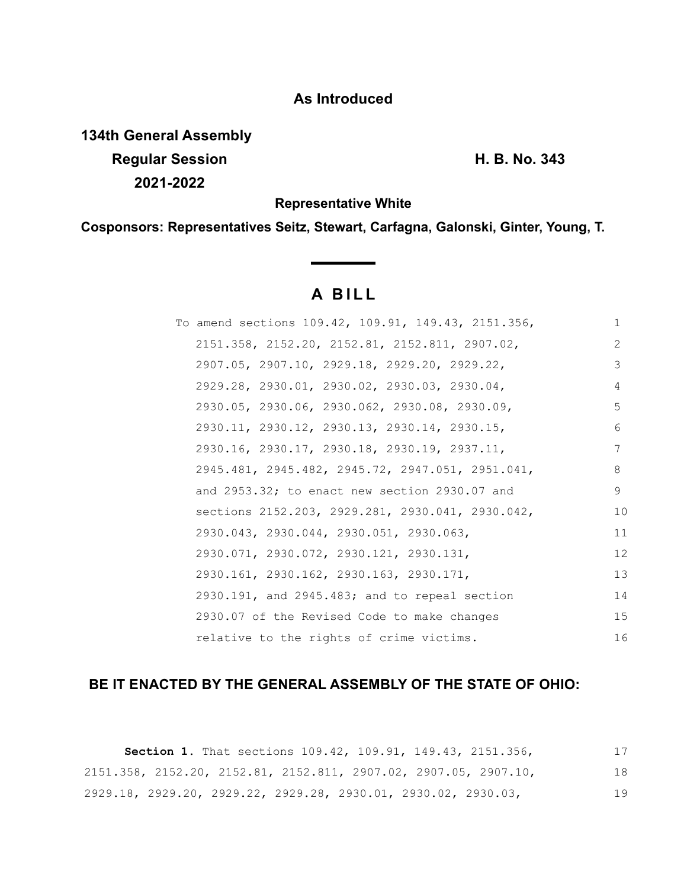## **As Introduced**

**134th General Assembly Regular Session H. B. No. 343 2021-2022**

**Representative White**

**Cosponsors: Representatives Seitz, Stewart, Carfagna, Galonski, Ginter, Young, T.**

# **A B I L L**

| To amend sections 109.42, 109.91, 149.43, 2151.356, | $\mathbf{1}$  |
|-----------------------------------------------------|---------------|
| 2151.358, 2152.20, 2152.81, 2152.811, 2907.02,      | $\mathcal{L}$ |
| 2907.05, 2907.10, 2929.18, 2929.20, 2929.22,        | 3             |
| 2929.28, 2930.01, 2930.02, 2930.03, 2930.04,        | 4             |
| 2930.05, 2930.06, 2930.062, 2930.08, 2930.09,       | 5             |
| 2930.11, 2930.12, 2930.13, 2930.14, 2930.15,        | 6             |
| 2930.16, 2930.17, 2930.18, 2930.19, 2937.11,        | 7             |
| 2945.481, 2945.482, 2945.72, 2947.051, 2951.041,    | 8             |
| and 2953.32; to enact new section 2930.07 and       | 9             |
| sections 2152.203, 2929.281, 2930.041, 2930.042,    | 10            |
| 2930.043, 2930.044, 2930.051, 2930.063,             | 11            |
| 2930.071, 2930.072, 2930.121, 2930.131,             | 12            |
| 2930.161, 2930.162, 2930.163, 2930.171,             | 13            |
| 2930.191, and 2945.483; and to repeal section       | 14            |
| 2930.07 of the Revised Code to make changes         | 15            |
| relative to the rights of crime victims.            | 16            |

## **BE IT ENACTED BY THE GENERAL ASSEMBLY OF THE STATE OF OHIO:**

**Section 1.** That sections 109.42, 109.91, 149.43, 2151.356, 2151.358, 2152.20, 2152.81, 2152.811, 2907.02, 2907.05, 2907.10, 2929.18, 2929.20, 2929.22, 2929.28, 2930.01, 2930.02, 2930.03, 17 18 19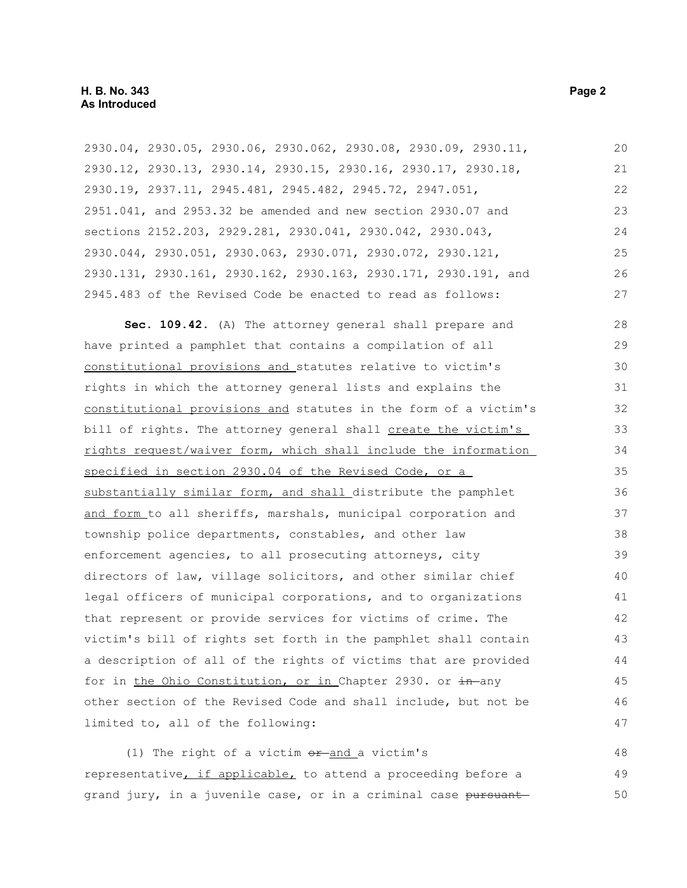2930.04, 2930.05, 2930.06, 2930.062, 2930.08, 2930.09, 2930.11, 2930.12, 2930.13, 2930.14, 2930.15, 2930.16, 2930.17, 2930.18, 2930.19, 2937.11, 2945.481, 2945.482, 2945.72, 2947.051, 2951.041, and 2953.32 be amended and new section 2930.07 and sections 2152.203, 2929.281, 2930.041, 2930.042, 2930.043, 2930.044, 2930.051, 2930.063, 2930.071, 2930.072, 2930.121, 2930.131, 2930.161, 2930.162, 2930.163, 2930.171, 2930.191, and 2945.483 of the Revised Code be enacted to read as follows: 20 21 22 23 24 25 26 27

**Sec. 109.42.** (A) The attorney general shall prepare and have printed a pamphlet that contains a compilation of all constitutional provisions and statutes relative to victim's rights in which the attorney general lists and explains the constitutional provisions and statutes in the form of a victim's bill of rights. The attorney general shall create the victim's rights request/waiver form, which shall include the information specified in section 2930.04 of the Revised Code, or a substantially similar form, and shall distribute the pamphlet and form to all sheriffs, marshals, municipal corporation and township police departments, constables, and other law enforcement agencies, to all prosecuting attorneys, city directors of law, village solicitors, and other similar chief legal officers of municipal corporations, and to organizations that represent or provide services for victims of crime. The victim's bill of rights set forth in the pamphlet shall contain a description of all of the rights of victims that are provided for in the Ohio Constitution, or in Chapter 2930. or  $\pm$ n-any other section of the Revised Code and shall include, but not be limited to, all of the following: 28 29 30 31 32 33 34 35 36 37 38 39 40 41 42 43 44 45 46 47

(1) The right of a victim  $or$ -and a victim's representative, if applicable, to attend a proceeding before a grand jury, in a juvenile case, or in a criminal case pursuant-48 49 50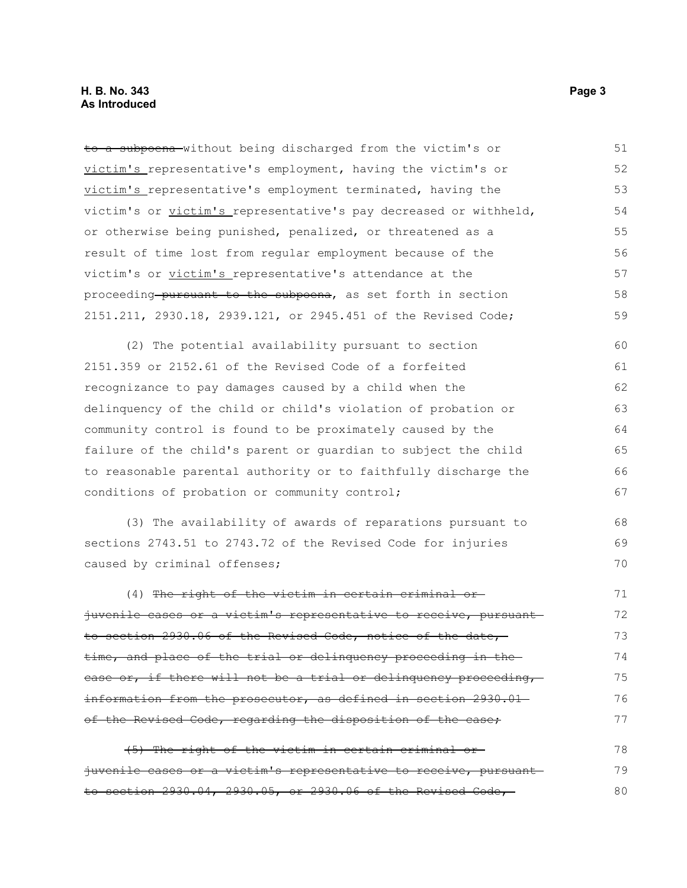to a subpoena without being discharged from the victim's or victim's representative's employment, having the victim's or victim's representative's employment terminated, having the victim's or victim's representative's pay decreased or withheld, or otherwise being punished, penalized, or threatened as a result of time lost from regular employment because of the victim's or victim's representative's attendance at the proceeding pursuant to the subpoena, as set forth in section 2151.211, 2930.18, 2939.121, or 2945.451 of the Revised Code; 51 52 53 54 55 56 57 58 59

(2) The potential availability pursuant to section 2151.359 or 2152.61 of the Revised Code of a forfeited recognizance to pay damages caused by a child when the delinquency of the child or child's violation of probation or community control is found to be proximately caused by the failure of the child's parent or guardian to subject the child to reasonable parental authority or to faithfully discharge the conditions of probation or community control; 60 61 62 63 64 65 66 67

(3) The availability of awards of reparations pursuant to sections 2743.51 to 2743.72 of the Revised Code for injuries caused by criminal offenses;

(4) The right of the victim in certain criminal or juvenile cases or a victim's representative to receive, pursuant to section 2930.06 of the Revised Code, notice of the date, time, and place of the trial or delinquency proceeding in the case or, if there will not be a trial or delinquency proceeding, information from the prosecutor, as defined in section 2930.01 of the Revised Code, regarding the disposition of the case; 71 72 73 74 75 76 77

(5) The right of the victim in certain criminal or juvenile cases or a victim's representative to receive, pursuantto section 2930.04, 2930.05, or 2930.06 of the Revised Code, 78 79 80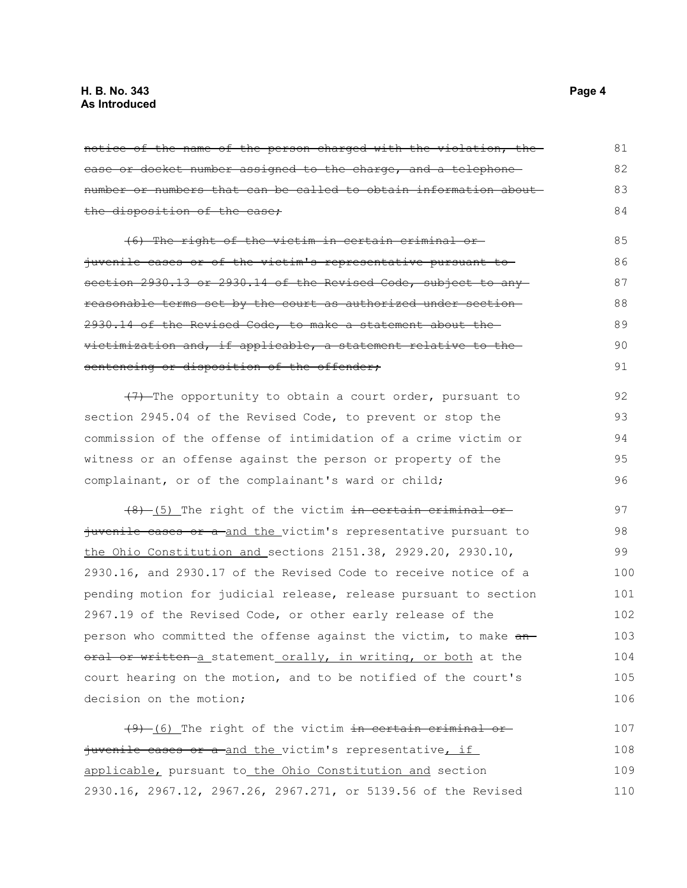notice of the name of the person charged with the violation, the case or docket number assigned to the charge, and a telephone number or numbers that can be called to obtain information about the disposition of the case; (6) The right of the victim in certain criminal or juvenile cases or of the victim's representative pursuant to section 2930.13 or 2930.14 of the Revised Code, subject to any reasonable terms set by the court as authorized under section 2930.14 of the Revised Code, to make a statement about the victimization and, if applicable, a statement relative to the sentencing or disposition of the offender;  $(7)$  The opportunity to obtain a court order, pursuant to section 2945.04 of the Revised Code, to prevent or stop the commission of the offense of intimidation of a crime victim or witness or an offense against the person or property of the complainant, or of the complainant's ward or child;  $(8)$  (5) The right of the victim in certain criminal orjuvenile cases or a and the victim's representative pursuant to the Ohio Constitution and sections 2151.38, 2929.20, 2930.10, 2930.16, and 2930.17 of the Revised Code to receive notice of a pending motion for judicial release, release pursuant to section 2967.19 of the Revised Code, or other early release of the person who committed the offense against the victim, to make anoral or written a statement orally, in writing, or both at the court hearing on the motion, and to be notified of the court's decision on the motion;  $(9)$  (6) The right of the victim in certain criminal orjuvenile cases or a and the victim's representative, if applicable, pursuant to\_the Ohio Constitution and section 81 82 83 84 85 86 87 88 89 90 91 92 93 94 95 96 97 98 99 100 101 102 103 104 105 106 107 108 109

2930.16, 2967.12, 2967.26, 2967.271, or 5139.56 of the Revised 110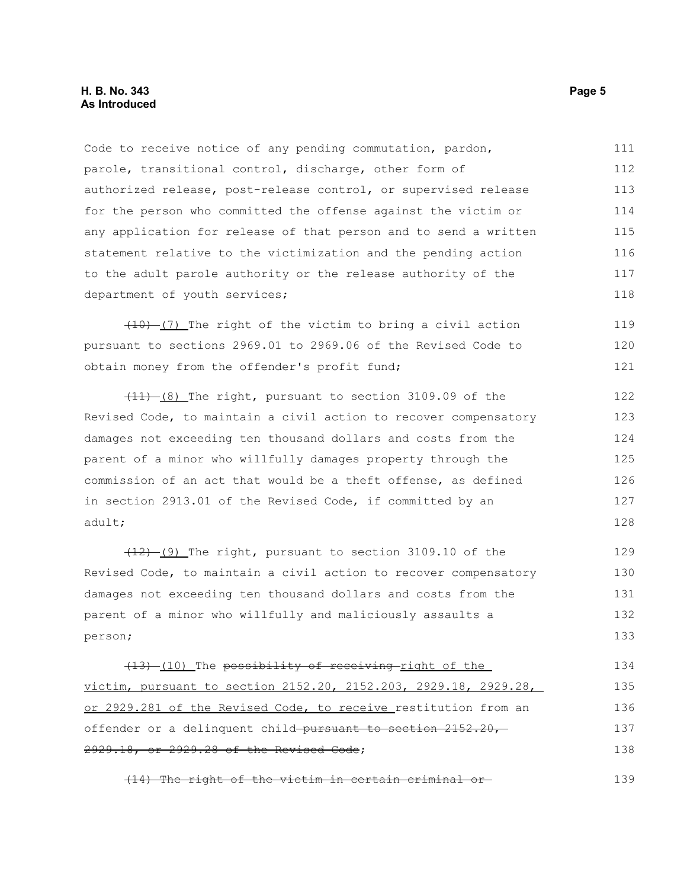Code to receive notice of any pending commutation, pardon, parole, transitional control, discharge, other form of authorized release, post-release control, or supervised release for the person who committed the offense against the victim or any application for release of that person and to send a written statement relative to the victimization and the pending action to the adult parole authority or the release authority of the department of youth services; 111 112 113 114 115 116 117 118

 $(10)$  (7) The right of the victim to bring a civil action pursuant to sections 2969.01 to 2969.06 of the Revised Code to obtain money from the offender's profit fund; 119 120 121

 $(11)$  (8) The right, pursuant to section 3109.09 of the Revised Code, to maintain a civil action to recover compensatory damages not exceeding ten thousand dollars and costs from the parent of a minor who willfully damages property through the commission of an act that would be a theft offense, as defined in section 2913.01 of the Revised Code, if committed by an adult; 122 123 124 125 126 127 128

 $(12)$  (9) The right, pursuant to section 3109.10 of the Revised Code, to maintain a civil action to recover compensatory damages not exceeding ten thousand dollars and costs from the parent of a minor who willfully and maliciously assaults a person; 129 130 131 132 133

(13) (10) The possibility of receiving right of the victim, pursuant to section 2152.20, 2152.203, 2929.18, 2929.28, or 2929.281 of the Revised Code, to receive restitution from an offender or a delinquent child pursuant to section 2152.20, 2929.18, or 2929.28 of the Revised Code; 134 135 136 137 138

(14) The right of the victim in certain criminal or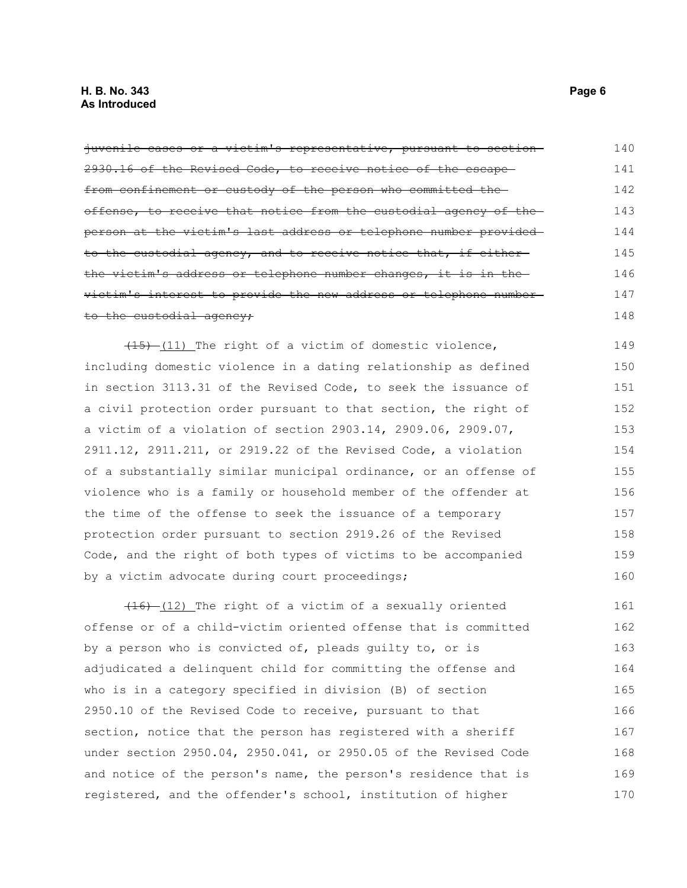## **H. B. No. 343 Page 6 As Introduced**

| juvenile cases or a victim's representative, pursuant to section  | 140                  |
|-------------------------------------------------------------------|----------------------|
| 2930.16 of the Revised Code, to receive notice of the escape      | 141                  |
| from confinement or custody of the person who committed the-      | 142                  |
| offense, to receive that notice from the custodial agency of the  | 143                  |
| person at the victim's last address or telephone number provided  | 144                  |
| to the custodial agency, and to receive notice that, if either-   | 145                  |
| the victim's address or telephone number changes, it is in the    | 146                  |
| victim's interest to provide the new address or telephone number- | 147                  |
| to the custodial agency;                                          | 148                  |
| $(15)$ $(11)$ The right of a victim of domestic violence,         | 149                  |
| including domestic violence in a dating relationship as defined   | 150                  |
| in section 3113.31 of the Revised Code, to seek the issuance of   | 151                  |
| a civil protection order pursuant to that section, the right of   | 152                  |
| a victim of a violation of section 2903.14, 2909.06, 2909.07,     | 153                  |
| 2911.12, 2911.211, or 2919.22 of the Revised Code, a violation    | 154                  |
| of a substantially similar municipal ordinance, or an offense of  | 155                  |
| violence who is a family or household member of the offender at   | 156                  |
| the time of the offense to seek the issuance of a temporary       | 157                  |
| protection order pursuant to section 2919.26 of the Revised       | 158                  |
| Code, and the right of both types of victims to be accompanied    | 159                  |
| by a victim advocate during court proceedings;                    | 160                  |
| $(16)$ $(12)$ The right of a victim of a sexually oriented        | 161                  |
| offense or of a child-victim oriented offense that is committed   | 162                  |
| by a person who is convicted of, pleads guilty to, or is          | 163                  |
|                                                                   | $\sim$ $\sim$ $\sim$ |

adjudicated a delinquent child for committing the offense and who is in a category specified in division (B) of section 2950.10 of the Revised Code to receive, pursuant to that section, notice that the person has registered with a sheriff under section 2950.04, 2950.041, or 2950.05 of the Revised Code and notice of the person's name, the person's residence that is registered, and the offender's school, institution of higher 164 165 166 167 168 169 170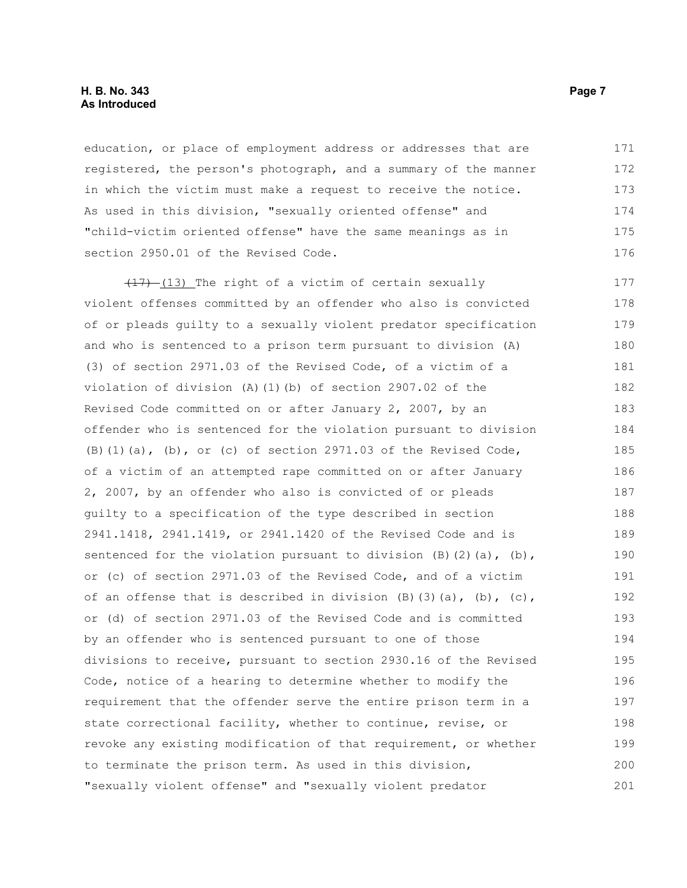## **H. B. No. 343** Page 7 **As Introduced**

education, or place of employment address or addresses that are registered, the person's photograph, and a summary of the manner in which the victim must make a request to receive the notice. As used in this division, "sexually oriented offense" and "child-victim oriented offense" have the same meanings as in section 2950.01 of the Revised Code. 171 172 173 174 175 176

 $(17)$   $(13)$  The right of a victim of certain sexually violent offenses committed by an offender who also is convicted of or pleads guilty to a sexually violent predator specification and who is sentenced to a prison term pursuant to division (A) (3) of section 2971.03 of the Revised Code, of a victim of a violation of division (A)(1)(b) of section 2907.02 of the Revised Code committed on or after January 2, 2007, by an offender who is sentenced for the violation pursuant to division  $(B)$ (1)(a),  $(b)$ , or (c) of section 2971.03 of the Revised Code, of a victim of an attempted rape committed on or after January 2, 2007, by an offender who also is convicted of or pleads guilty to a specification of the type described in section 2941.1418, 2941.1419, or 2941.1420 of the Revised Code and is sentenced for the violation pursuant to division  $(B)$   $(2)$   $(a)$ ,  $(b)$ , or (c) of section 2971.03 of the Revised Code, and of a victim of an offense that is described in division  $(B)(3)(a)$ ,  $(b)$ ,  $(c)$ , or (d) of section 2971.03 of the Revised Code and is committed by an offender who is sentenced pursuant to one of those divisions to receive, pursuant to section 2930.16 of the Revised Code, notice of a hearing to determine whether to modify the requirement that the offender serve the entire prison term in a state correctional facility, whether to continue, revise, or revoke any existing modification of that requirement, or whether to terminate the prison term. As used in this division, "sexually violent offense" and "sexually violent predator 177 178 179 180 181 182 183 184 185 186 187 188 189 190 191 192 193 194 195 196 197 198 199 200 201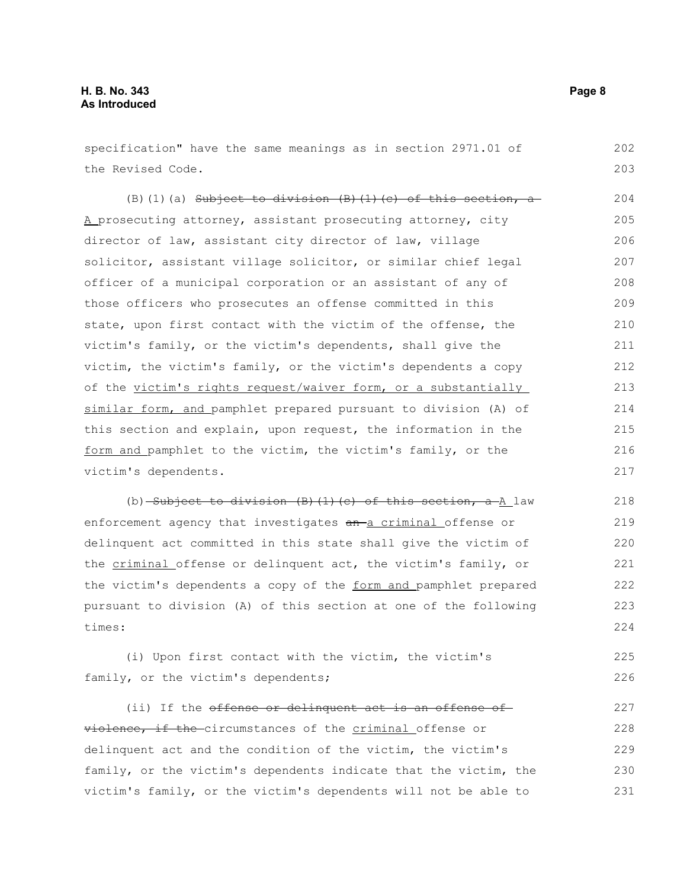## **H. B. No. 343 Page 8 As Introduced**

specification" have the same meanings as in section 2971.01 of the Revised Code. 202 203

(B)(1)(a) Subject to division  $(B)$  (1)(c) of this section, a A prosecuting attorney, assistant prosecuting attorney, city director of law, assistant city director of law, village solicitor, assistant village solicitor, or similar chief legal officer of a municipal corporation or an assistant of any of those officers who prosecutes an offense committed in this state, upon first contact with the victim of the offense, the victim's family, or the victim's dependents, shall give the victim, the victim's family, or the victim's dependents a copy of the victim's rights request/waiver form, or a substantially similar form, and pamphlet prepared pursuant to division (A) of this section and explain, upon request, the information in the form and pamphlet to the victim, the victim's family, or the victim's dependents. 204 205 206 207 208 209 210 211 212 213 214 215 216 217

(b) -Subject to division (B)(1)(c) of this section,  $a - A$  law enforcement agency that investigates an a criminal offense or delinquent act committed in this state shall give the victim of the criminal offense or delinquent act, the victim's family, or the victim's dependents a copy of the form and pamphlet prepared pursuant to division (A) of this section at one of the following times:

(i) Upon first contact with the victim, the victim's family, or the victim's dependents; 225 226

(ii) If the offense or delinquent act is an offense of violence, if the circumstances of the criminal offense or delinquent act and the condition of the victim, the victim's family, or the victim's dependents indicate that the victim, the victim's family, or the victim's dependents will not be able to 227 228 229 230 231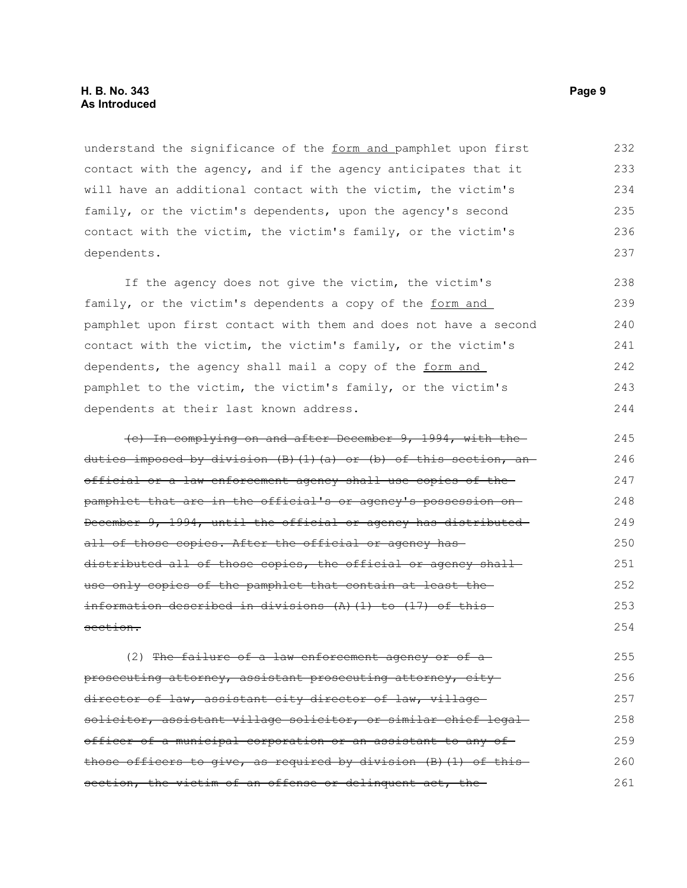## **H. B. No. 343 Page 9 As Introduced**

understand the significance of the form and pamphlet upon first contact with the agency, and if the agency anticipates that it will have an additional contact with the victim, the victim's family, or the victim's dependents, upon the agency's second contact with the victim, the victim's family, or the victim's dependents. 232 233 234 235 236 237

If the agency does not give the victim, the victim's family, or the victim's dependents a copy of the form and pamphlet upon first contact with them and does not have a second contact with the victim, the victim's family, or the victim's dependents, the agency shall mail a copy of the form and pamphlet to the victim, the victim's family, or the victim's dependents at their last known address.

(c) In complying on and after December 9, 1994, with the duties imposed by division (B)(1)(a) or (b) of this section, an official or a law enforcement agency shall use copies of the pamphlet that are in the official's or agency's possession on December 9, 1994, until the official or agency has distributed all of those copies. After the official or agency hasdistributed all of those copies, the official or agency shall use only copies of the pamphlet that contain at least the information described in divisions (A)(1) to (17) of this section. 245 246 247 248 249 250 251 252 253 254

(2) The failure of a law enforcement agency or of  $a$ prosecuting attorney, assistant prosecuting attorney, city director of law, assistant city director of law, villagesolicitor, assistant village solicitor, or similar chief legalofficer of a municipal corporation or an assistant to any of those officers to give, as required by division (B)(1) of this section, the victim of an offense or delinquent act, the-255 256 257 258 259 260 261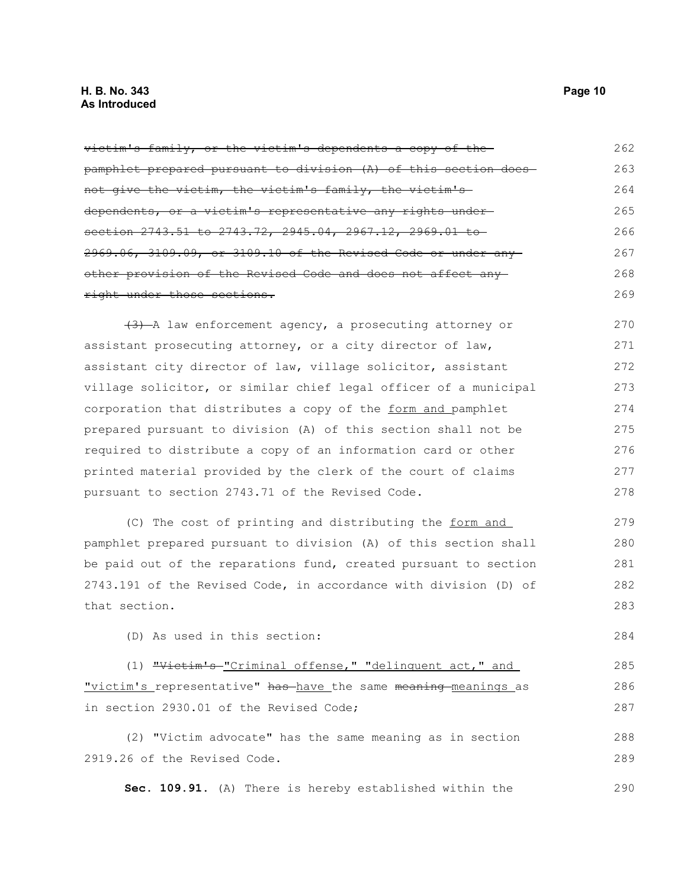victim's family, or the victim's dependents a copy of the pamphlet prepared pursuant to division (A) of this section does not give the victim, the victim's family, the victim's dependents, or a victim's representative any rights undersection 2743.51 to 2743.72, 2945.04, 2967.12, 2969.01 to 2969.06, 3109.09, or 3109.10 of the Revised Code or under any other provision of the Revised Code and does not affect any right under those sections. 262 263 264 265 266 267 268 269

 $(3)$  -A law enforcement agency, a prosecuting attorney or assistant prosecuting attorney, or a city director of law, assistant city director of law, village solicitor, assistant village solicitor, or similar chief legal officer of a municipal corporation that distributes a copy of the form and pamphlet prepared pursuant to division (A) of this section shall not be required to distribute a copy of an information card or other printed material provided by the clerk of the court of claims pursuant to section 2743.71 of the Revised Code. 270 271 272 273 274 275 276 277 278

(C) The cost of printing and distributing the form and pamphlet prepared pursuant to division (A) of this section shall be paid out of the reparations fund, created pursuant to section 2743.191 of the Revised Code, in accordance with division (D) of that section.

(D) As used in this section:

284

285 286 287

(1) "Victim's "Criminal offense," "delinquent act," and "victim's representative" has have the same meaning meanings as in section 2930.01 of the Revised Code;

(2) "Victim advocate" has the same meaning as in section 2919.26 of the Revised Code. 288 289

**Sec. 109.91.** (A) There is hereby established within the 290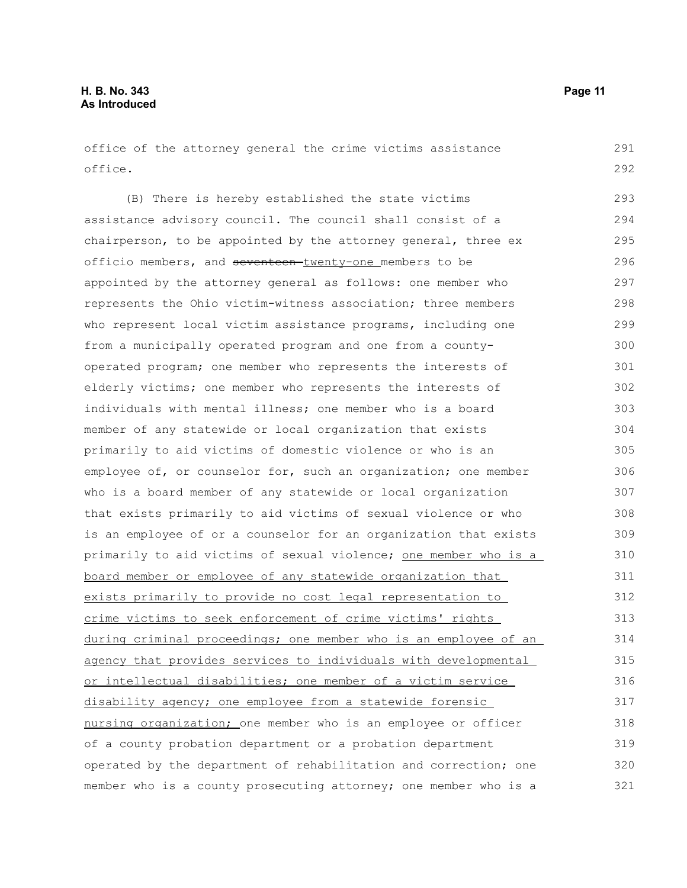office of the attorney general the crime victims assistance office.

(B) There is hereby established the state victims assistance advisory council. The council shall consist of a chairperson, to be appointed by the attorney general, three ex officio members, and seventeen-twenty-one members to be appointed by the attorney general as follows: one member who represents the Ohio victim-witness association; three members who represent local victim assistance programs, including one from a municipally operated program and one from a countyoperated program; one member who represents the interests of elderly victims; one member who represents the interests of individuals with mental illness; one member who is a board member of any statewide or local organization that exists primarily to aid victims of domestic violence or who is an employee of, or counselor for, such an organization; one member who is a board member of any statewide or local organization that exists primarily to aid victims of sexual violence or who is an employee of or a counselor for an organization that exists primarily to aid victims of sexual violence; one member who is a board member or employee of any statewide organization that exists primarily to provide no cost legal representation to crime victims to seek enforcement of crime victims' rights during criminal proceedings; one member who is an employee of an agency that provides services to individuals with developmental or intellectual disabilities; one member of a victim service disability agency; one employee from a statewide forensic nursing organization; one member who is an employee or officer of a county probation department or a probation department operated by the department of rehabilitation and correction; one member who is a county prosecuting attorney; one member who is a 293 294 295 296 297 298 299 300 301 302 303 304 305 306 307 308 309 310 311 312 313 314 315 316 317 318 319 320 321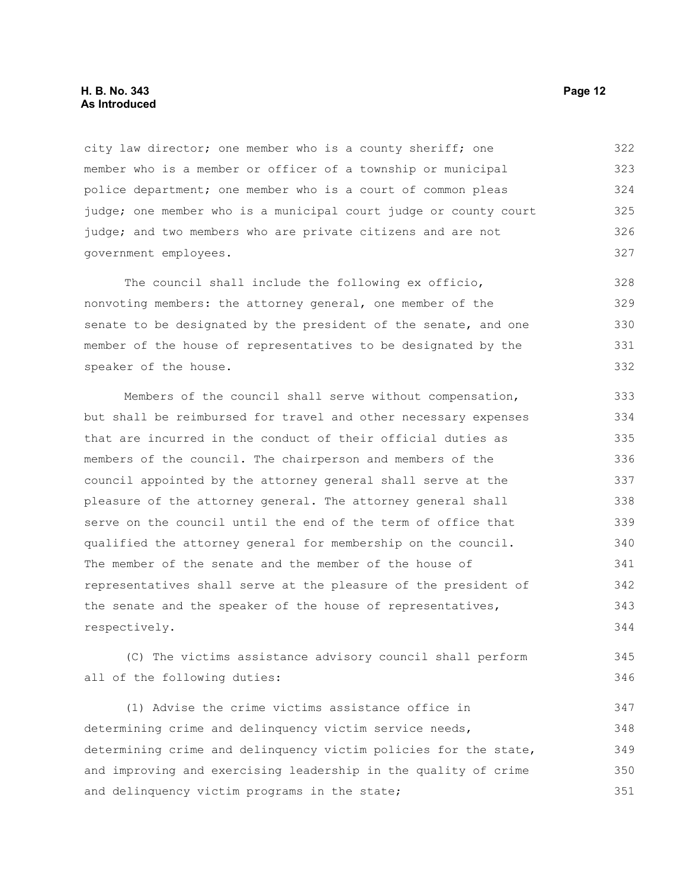## **H. B. No. 343 Page 12 As Introduced**

city law director; one member who is a county sheriff; one member who is a member or officer of a township or municipal police department; one member who is a court of common pleas judge; one member who is a municipal court judge or county court judge; and two members who are private citizens and are not government employees. 323 324 325 326

The council shall include the following ex officio, nonvoting members: the attorney general, one member of the senate to be designated by the president of the senate, and one member of the house of representatives to be designated by the speaker of the house. 328 329 330 331 332

Members of the council shall serve without compensation, but shall be reimbursed for travel and other necessary expenses that are incurred in the conduct of their official duties as members of the council. The chairperson and members of the council appointed by the attorney general shall serve at the pleasure of the attorney general. The attorney general shall serve on the council until the end of the term of office that qualified the attorney general for membership on the council. The member of the senate and the member of the house of representatives shall serve at the pleasure of the president of the senate and the speaker of the house of representatives, respectively. 333 334 335 336 337 338 339 340 341 342 343 344

(C) The victims assistance advisory council shall perform all of the following duties: 345 346

(1) Advise the crime victims assistance office in determining crime and delinquency victim service needs, determining crime and delinquency victim policies for the state, and improving and exercising leadership in the quality of crime and delinquency victim programs in the state; 347 348 349 350 351

322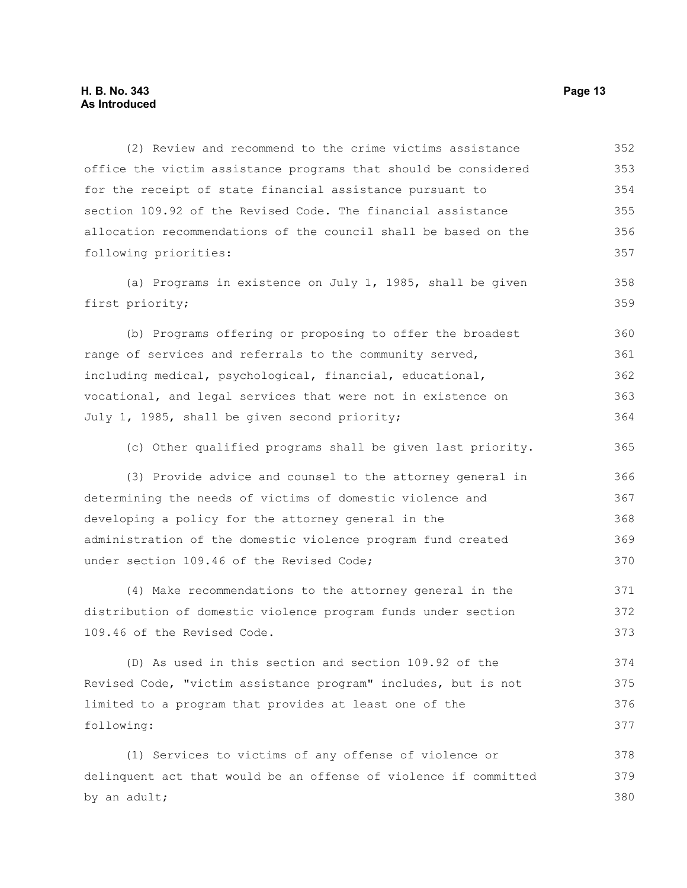## **H. B. No. 343 Page 13 As Introduced**

(2) Review and recommend to the crime victims assistance office the victim assistance programs that should be considered for the receipt of state financial assistance pursuant to section 109.92 of the Revised Code. The financial assistance allocation recommendations of the council shall be based on the following priorities: (a) Programs in existence on July 1, 1985, shall be given first priority; (b) Programs offering or proposing to offer the broadest range of services and referrals to the community served, including medical, psychological, financial, educational, vocational, and legal services that were not in existence on July 1, 1985, shall be given second priority; (c) Other qualified programs shall be given last priority. (3) Provide advice and counsel to the attorney general in determining the needs of victims of domestic violence and developing a policy for the attorney general in the administration of the domestic violence program fund created under section 109.46 of the Revised Code; (4) Make recommendations to the attorney general in the distribution of domestic violence program funds under section 109.46 of the Revised Code. (D) As used in this section and section 109.92 of the Revised Code, "victim assistance program" includes, but is not limited to a program that provides at least one of the following: (1) Services to victims of any offense of violence or delinquent act that would be an offense of violence if committed by an adult; 352 353 354 355 356 357 358 359 360 361 362 363 364 365 366 367 368 369 370 371 372 373 374 375 376 377 378 379 380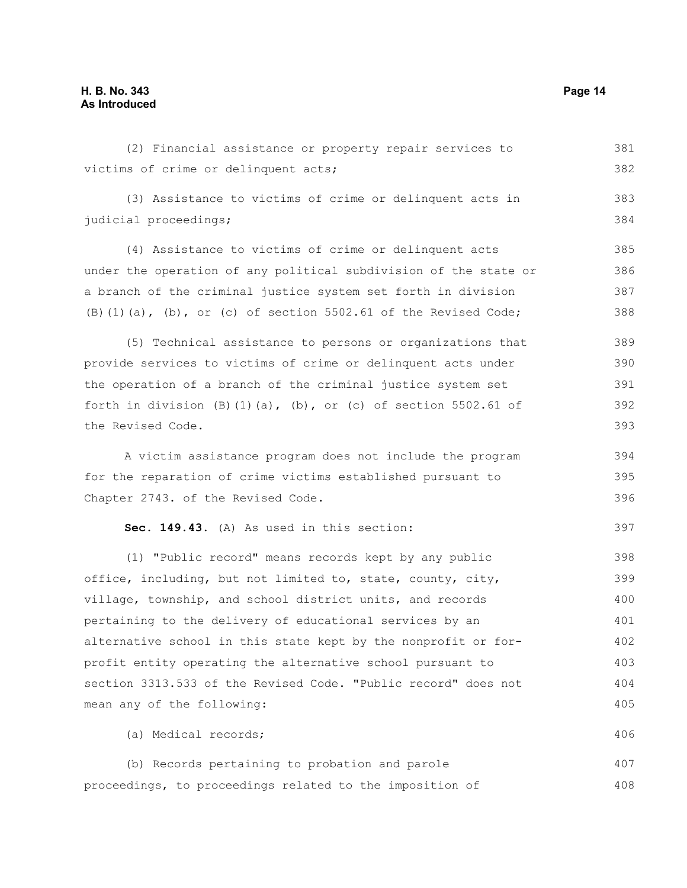## **H. B. No. 343 Page 14 As Introduced**

(2) Financial assistance or property repair services to victims of crime or delinquent acts; (3) Assistance to victims of crime or delinquent acts in judicial proceedings; (4) Assistance to victims of crime or delinquent acts under the operation of any political subdivision of the state or a branch of the criminal justice system set forth in division  $(B)$ (1)(a),  $(b)$ , or (c) of section 5502.61 of the Revised Code; (5) Technical assistance to persons or organizations that provide services to victims of crime or delinquent acts under the operation of a branch of the criminal justice system set forth in division  $(B)$   $(1)$   $(a)$ ,  $(b)$ , or  $(c)$  of section 5502.61 of the Revised Code. A victim assistance program does not include the program for the reparation of crime victims established pursuant to Chapter 2743. of the Revised Code. **Sec. 149.43.** (A) As used in this section: (1) "Public record" means records kept by any public office, including, but not limited to, state, county, city, village, township, and school district units, and records pertaining to the delivery of educational services by an alternative school in this state kept by the nonprofit or forprofit entity operating the alternative school pursuant to section 3313.533 of the Revised Code. "Public record" does not mean any of the following: (a) Medical records; (b) Records pertaining to probation and parole proceedings, to proceedings related to the imposition of 381 382 383 384 385 386 387 388 389 390 391 392 393 394 395 396 397 398 399 400 401 402 403 404 405 406 407 408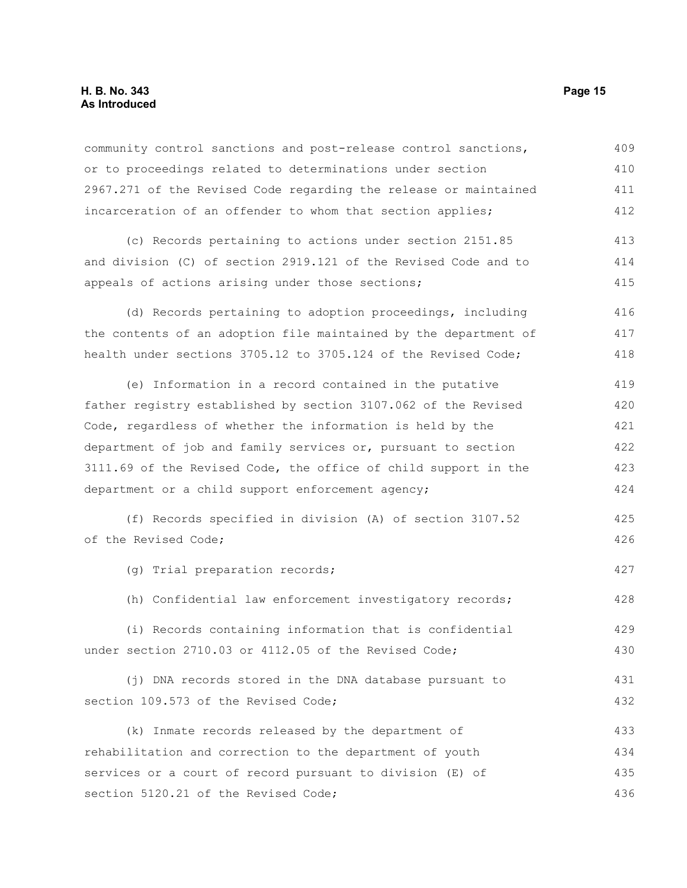## **H. B. No. 343 Page 15 As Introduced**

community control sanctions and post-release control sanctions, or to proceedings related to determinations under section 2967.271 of the Revised Code regarding the release or maintained incarceration of an offender to whom that section applies; 409 410 411 412

(c) Records pertaining to actions under section 2151.85 and division (C) of section 2919.121 of the Revised Code and to appeals of actions arising under those sections; 413 414 415

(d) Records pertaining to adoption proceedings, including the contents of an adoption file maintained by the department of health under sections 3705.12 to 3705.124 of the Revised Code; 416 417 418

(e) Information in a record contained in the putative father registry established by section 3107.062 of the Revised Code, regardless of whether the information is held by the department of job and family services or, pursuant to section 3111.69 of the Revised Code, the office of child support in the department or a child support enforcement agency; 419 420 421 422 423 424

(f) Records specified in division (A) of section 3107.52 of the Revised Code; 425 426

(g) Trial preparation records; 427

(h) Confidential law enforcement investigatory records; 428

(i) Records containing information that is confidential under section 2710.03 or 4112.05 of the Revised Code; 429 430

(j) DNA records stored in the DNA database pursuant to section 109.573 of the Revised Code; 431 432

(k) Inmate records released by the department of rehabilitation and correction to the department of youth services or a court of record pursuant to division (E) of section 5120.21 of the Revised Code: 433 434 435 436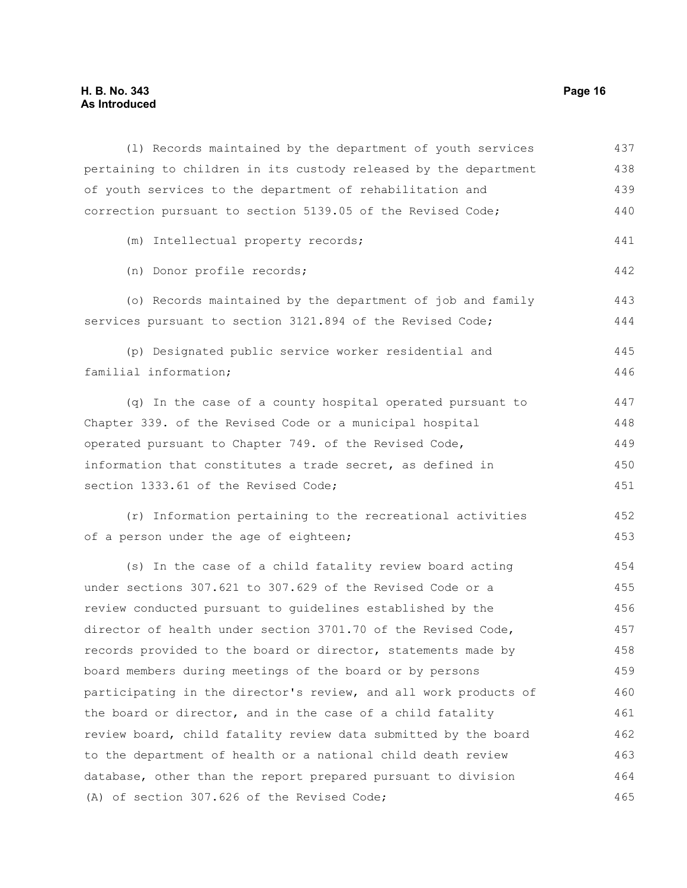## **H. B. No. 343 Page 16 As Introduced**

| (1) Records maintained by the department of youth services       | 437 |
|------------------------------------------------------------------|-----|
| pertaining to children in its custody released by the department | 438 |
| of youth services to the department of rehabilitation and        | 439 |
| correction pursuant to section 5139.05 of the Revised Code;      |     |
| (m) Intellectual property records;                               | 441 |
| (n) Donor profile records;                                       | 442 |
| (o) Records maintained by the department of job and family       | 443 |
| services pursuant to section 3121.894 of the Revised Code;       |     |
| (p) Designated public service worker residential and             | 445 |
| familial information;                                            | 446 |
| (q) In the case of a county hospital operated pursuant to        | 447 |
| Chapter 339. of the Revised Code or a municipal hospital         | 448 |
| operated pursuant to Chapter 749. of the Revised Code,           | 449 |
| information that constitutes a trade secret, as defined in       | 450 |
| section 1333.61 of the Revised Code;                             |     |
| (r) Information pertaining to the recreational activities        | 452 |
| of a person under the age of eighteen;                           | 453 |
| (s) In the case of a child fatality review board acting          | 454 |
| under sections 307.621 to 307.629 of the Revised Code or a       | 455 |
| review conducted pursuant to guidelines established by the       | 456 |
| director of health under section 3701.70 of the Revised Code,    | 457 |
| records provided to the board or director, statements made by    | 458 |
| board members during meetings of the board or by persons         | 459 |
| participating in the director's review, and all work products of | 460 |
| the board or director, and in the case of a child fatality       | 461 |
| review board, child fatality review data submitted by the board  | 462 |
| to the department of health or a national child death review     | 463 |
| database, other than the report prepared pursuant to division    | 464 |
| (A) of section 307.626 of the Revised Code;                      | 465 |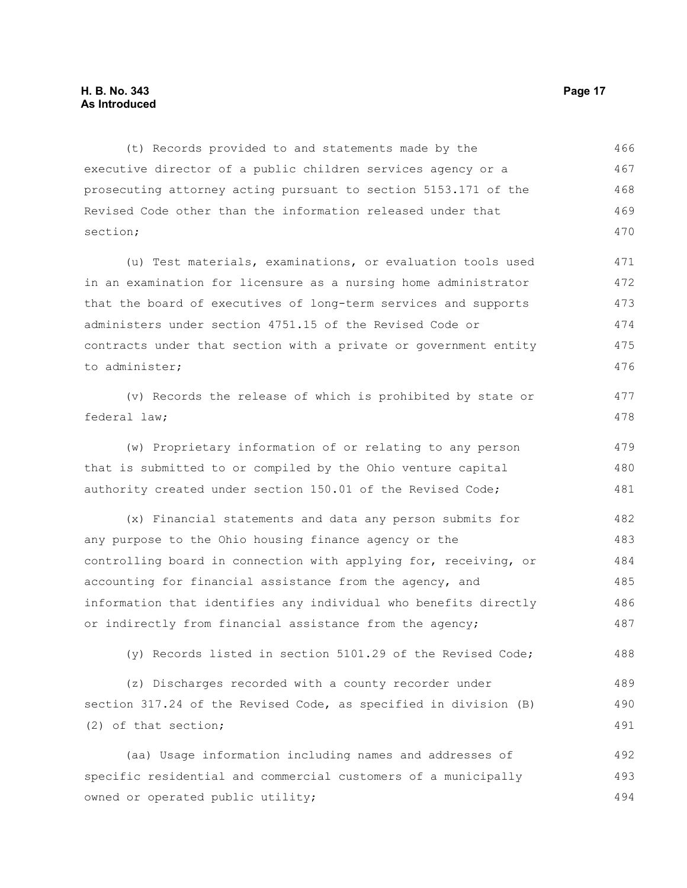(t) Records provided to and statements made by the executive director of a public children services agency or a prosecuting attorney acting pursuant to section 5153.171 of the Revised Code other than the information released under that section; (u) Test materials, examinations, or evaluation tools used 466 467 468 469 470 471

in an examination for licensure as a nursing home administrator that the board of executives of long-term services and supports administers under section 4751.15 of the Revised Code or contracts under that section with a private or government entity to administer; 472 473 474 475 476

(v) Records the release of which is prohibited by state or federal law; 477 478

(w) Proprietary information of or relating to any person that is submitted to or compiled by the Ohio venture capital authority created under section 150.01 of the Revised Code; 479 480 481

(x) Financial statements and data any person submits for any purpose to the Ohio housing finance agency or the controlling board in connection with applying for, receiving, or accounting for financial assistance from the agency, and information that identifies any individual who benefits directly or indirectly from financial assistance from the agency; 482 483 484 485 486 487

(y) Records listed in section 5101.29 of the Revised Code; 488

(z) Discharges recorded with a county recorder under section 317.24 of the Revised Code, as specified in division (B) (2) of that section; 489 490 491

(aa) Usage information including names and addresses of specific residential and commercial customers of a municipally owned or operated public utility; 492 493 494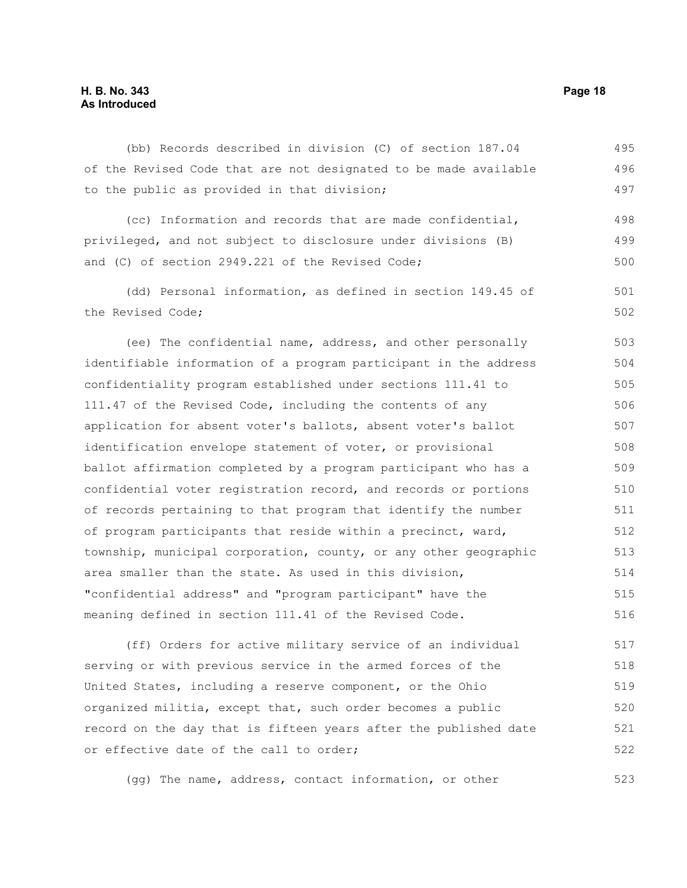## **H. B. No. 343 Page 18 As Introduced**

(bb) Records described in division (C) of section 187.04 of the Revised Code that are not designated to be made available to the public as provided in that division; (cc) Information and records that are made confidential, privileged, and not subject to disclosure under divisions (B) and (C) of section 2949.221 of the Revised Code; (dd) Personal information, as defined in section 149.45 of the Revised Code; (ee) The confidential name, address, and other personally identifiable information of a program participant in the address confidentiality program established under sections 111.41 to 111.47 of the Revised Code, including the contents of any application for absent voter's ballots, absent voter's ballot identification envelope statement of voter, or provisional ballot affirmation completed by a program participant who has a confidential voter registration record, and records or portions of records pertaining to that program that identify the number of program participants that reside within a precinct, ward, township, municipal corporation, county, or any other geographic area smaller than the state. As used in this division, "confidential address" and "program participant" have the meaning defined in section 111.41 of the Revised Code. (ff) Orders for active military service of an individual 495 496 497 498 499 500 501 502 503 504 505 506 507 508 509 510 511 512 513 514 515 516 517 518

serving or with previous service in the armed forces of the United States, including a reserve component, or the Ohio organized militia, except that, such order becomes a public record on the day that is fifteen years after the published date or effective date of the call to order; 519 520 521 522

(gg) The name, address, contact information, or other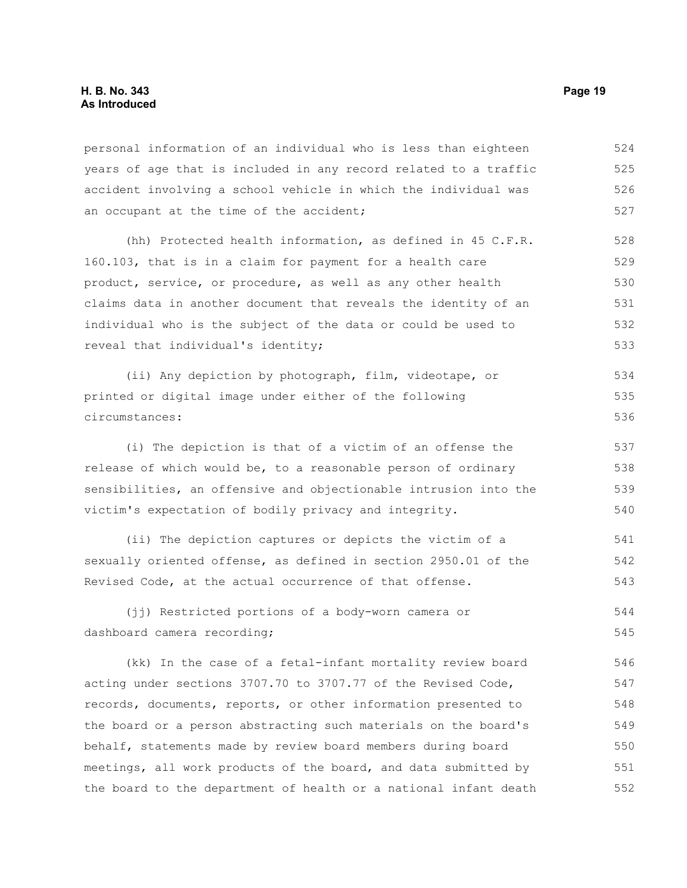personal information of an individual who is less than eighteen years of age that is included in any record related to a traffic accident involving a school vehicle in which the individual was an occupant at the time of the accident; 524 525 526 527

(hh) Protected health information, as defined in 45 C.F.R. 160.103, that is in a claim for payment for a health care product, service, or procedure, as well as any other health claims data in another document that reveals the identity of an individual who is the subject of the data or could be used to reveal that individual's identity; 528 529 530 531 532 533

(ii) Any depiction by photograph, film, videotape, or printed or digital image under either of the following circumstances: 534 535 536

(i) The depiction is that of a victim of an offense the release of which would be, to a reasonable person of ordinary sensibilities, an offensive and objectionable intrusion into the victim's expectation of bodily privacy and integrity. 537 538 539 540

(ii) The depiction captures or depicts the victim of a sexually oriented offense, as defined in section 2950.01 of the Revised Code, at the actual occurrence of that offense. 541 542 543

(jj) Restricted portions of a body-worn camera or dashboard camera recording; 544 545

(kk) In the case of a fetal-infant mortality review board acting under sections 3707.70 to 3707.77 of the Revised Code, records, documents, reports, or other information presented to the board or a person abstracting such materials on the board's behalf, statements made by review board members during board meetings, all work products of the board, and data submitted by the board to the department of health or a national infant death 546 547 548 549 550 551 552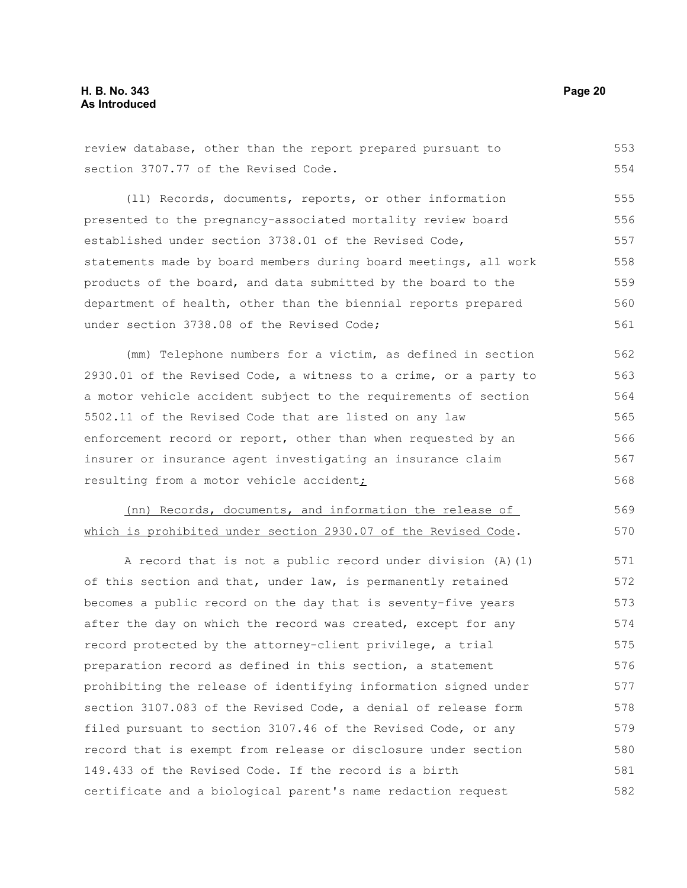review database, other than the report prepared pursuant to section 3707.77 of the Revised Code. 553 554

(ll) Records, documents, reports, or other information presented to the pregnancy-associated mortality review board established under section 3738.01 of the Revised Code, statements made by board members during board meetings, all work products of the board, and data submitted by the board to the department of health, other than the biennial reports prepared under section 3738.08 of the Revised Code; 555 556 557 558 559 560 561

(mm) Telephone numbers for a victim, as defined in section 2930.01 of the Revised Code, a witness to a crime, or a party to a motor vehicle accident subject to the requirements of section 5502.11 of the Revised Code that are listed on any law enforcement record or report, other than when requested by an insurer or insurance agent investigating an insurance claim resulting from a motor vehicle accident; 562 563 564 565 566 567 568

#### (nn) Records, documents, and information the release of which is prohibited under section 2930.07 of the Revised Code. 569 570

A record that is not a public record under division (A)(1) of this section and that, under law, is permanently retained becomes a public record on the day that is seventy-five years after the day on which the record was created, except for any record protected by the attorney-client privilege, a trial preparation record as defined in this section, a statement prohibiting the release of identifying information signed under section 3107.083 of the Revised Code, a denial of release form filed pursuant to section 3107.46 of the Revised Code, or any record that is exempt from release or disclosure under section 149.433 of the Revised Code. If the record is a birth certificate and a biological parent's name redaction request 571 572 573 574 575 576 577 578 579 580 581 582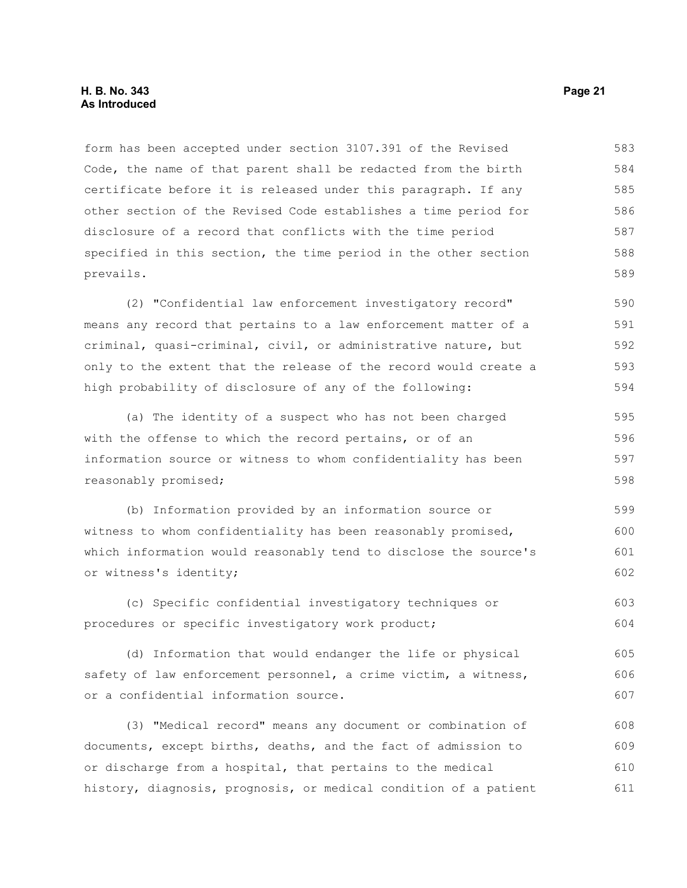#### **H. B. No. 343 Page 21 As Introduced**

form has been accepted under section 3107.391 of the Revised Code, the name of that parent shall be redacted from the birth certificate before it is released under this paragraph. If any other section of the Revised Code establishes a time period for disclosure of a record that conflicts with the time period specified in this section, the time period in the other section prevails. 583 584 585 586 587 588 589

(2) "Confidential law enforcement investigatory record" means any record that pertains to a law enforcement matter of a criminal, quasi-criminal, civil, or administrative nature, but only to the extent that the release of the record would create a high probability of disclosure of any of the following: 590 591 592 593 594

(a) The identity of a suspect who has not been charged with the offense to which the record pertains, or of an information source or witness to whom confidentiality has been reasonably promised; 595 596 597 598

(b) Information provided by an information source or witness to whom confidentiality has been reasonably promised, which information would reasonably tend to disclose the source's or witness's identity; 599 600 601 602

(c) Specific confidential investigatory techniques or procedures or specific investigatory work product; 603 604

(d) Information that would endanger the life or physical safety of law enforcement personnel, a crime victim, a witness, or a confidential information source. 605 606 607

(3) "Medical record" means any document or combination of documents, except births, deaths, and the fact of admission to or discharge from a hospital, that pertains to the medical history, diagnosis, prognosis, or medical condition of a patient 608 609 610 611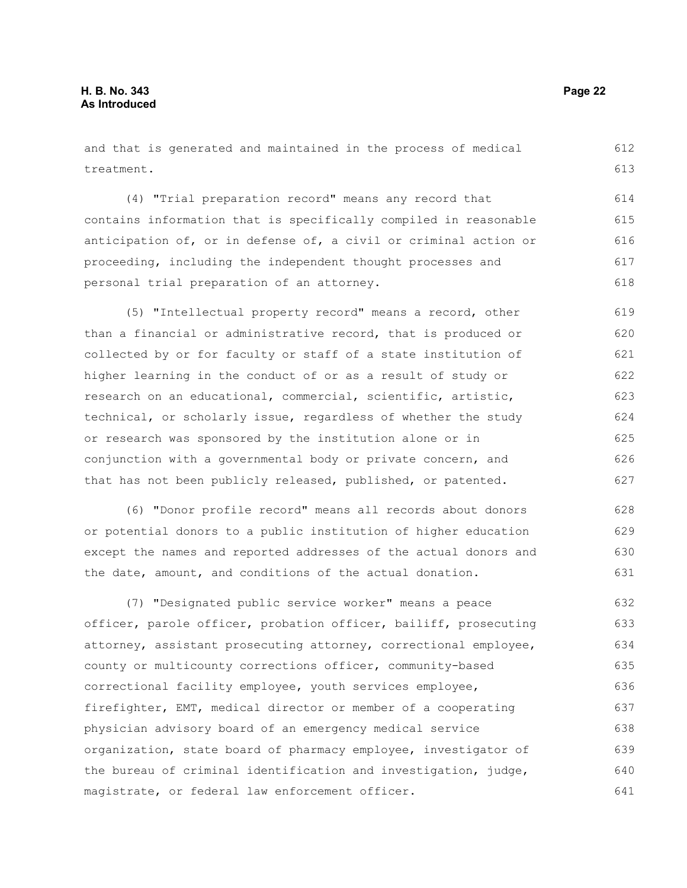and that is generated and maintained in the process of medical treatment. 612 613

(4) "Trial preparation record" means any record that contains information that is specifically compiled in reasonable anticipation of, or in defense of, a civil or criminal action or proceeding, including the independent thought processes and personal trial preparation of an attorney. 614 615 616 617 618

(5) "Intellectual property record" means a record, other than a financial or administrative record, that is produced or collected by or for faculty or staff of a state institution of higher learning in the conduct of or as a result of study or research on an educational, commercial, scientific, artistic, technical, or scholarly issue, regardless of whether the study or research was sponsored by the institution alone or in conjunction with a governmental body or private concern, and that has not been publicly released, published, or patented. 619 620 621 622 623 624 625 626 627

(6) "Donor profile record" means all records about donors or potential donors to a public institution of higher education except the names and reported addresses of the actual donors and the date, amount, and conditions of the actual donation. 628 629 630 631

(7) "Designated public service worker" means a peace officer, parole officer, probation officer, bailiff, prosecuting attorney, assistant prosecuting attorney, correctional employee, county or multicounty corrections officer, community-based correctional facility employee, youth services employee, firefighter, EMT, medical director or member of a cooperating physician advisory board of an emergency medical service organization, state board of pharmacy employee, investigator of the bureau of criminal identification and investigation, judge, magistrate, or federal law enforcement officer. 632 633 634 635 636 637 638 639 640 641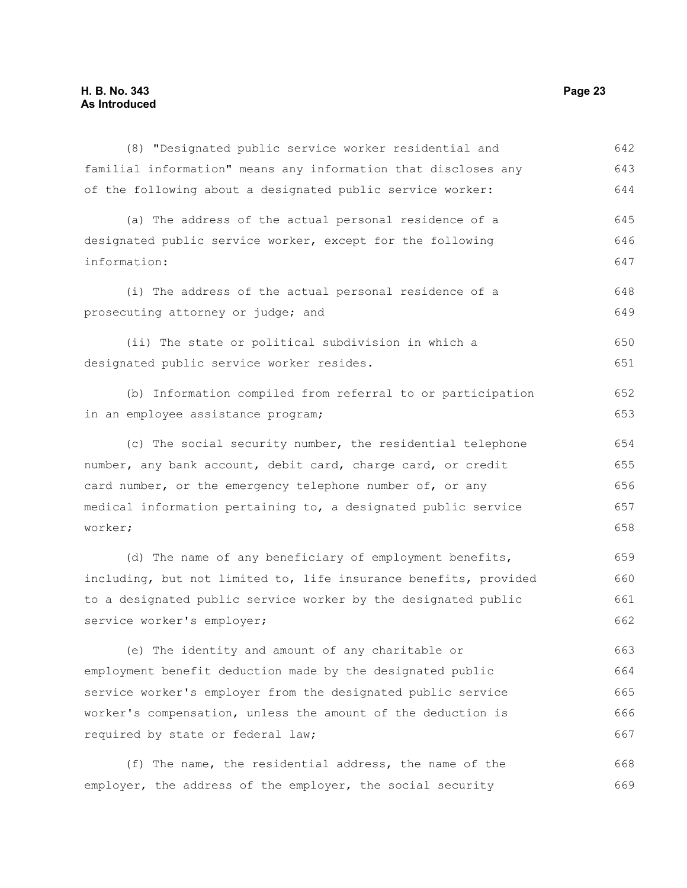## **H. B. No. 343 Page 23 As Introduced**

| (8) "Designated public service worker residential and            | 642 |
|------------------------------------------------------------------|-----|
| familial information" means any information that discloses any   | 643 |
| of the following about a designated public service worker:       | 644 |
| (a) The address of the actual personal residence of a            | 645 |
| designated public service worker, except for the following       | 646 |
| information:                                                     | 647 |
| (i) The address of the actual personal residence of a            | 648 |
| prosecuting attorney or judge; and                               | 649 |
| (ii) The state or political subdivision in which a               | 650 |
| designated public service worker resides.                        | 651 |
| (b) Information compiled from referral to or participation       | 652 |
| in an employee assistance program;                               | 653 |
| (c) The social security number, the residential telephone        | 654 |
| number, any bank account, debit card, charge card, or credit     | 655 |
| card number, or the emergency telephone number of, or any        |     |
| medical information pertaining to, a designated public service   |     |
| worker;                                                          | 658 |
| (d) The name of any beneficiary of employment benefits,          | 659 |
| including, but not limited to, life insurance benefits, provided | 660 |
| to a designated public service worker by the designated public   | 661 |
| service worker's employer;                                       | 662 |
| (e) The identity and amount of any charitable or                 | 663 |
| employment benefit deduction made by the designated public       | 664 |
| service worker's employer from the designated public service     | 665 |
| worker's compensation, unless the amount of the deduction is     |     |
| required by state or federal law;                                | 667 |
| (f) The name, the residential address, the name of the           | 668 |
| employer, the address of the employer, the social security       | 669 |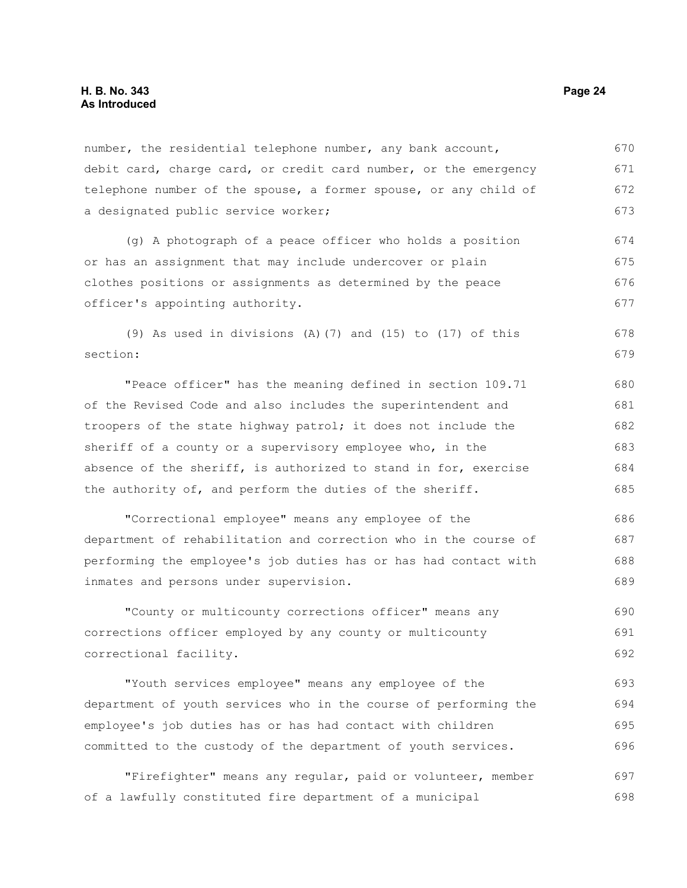number, the residential telephone number, any bank account, debit card, charge card, or credit card number, or the emergency telephone number of the spouse, a former spouse, or any child of a designated public service worker; 670 671 672 673

(g) A photograph of a peace officer who holds a position or has an assignment that may include undercover or plain clothes positions or assignments as determined by the peace officer's appointing authority. 674 675 676 677

(9) As used in divisions (A)(7) and (15) to (17) of this section: 678 679

"Peace officer" has the meaning defined in section 109.71 of the Revised Code and also includes the superintendent and troopers of the state highway patrol; it does not include the sheriff of a county or a supervisory employee who, in the absence of the sheriff, is authorized to stand in for, exercise the authority of, and perform the duties of the sheriff. 680 681 682 683 684 685

"Correctional employee" means any employee of the department of rehabilitation and correction who in the course of performing the employee's job duties has or has had contact with inmates and persons under supervision. 686 687 688 689

"County or multicounty corrections officer" means any corrections officer employed by any county or multicounty correctional facility. 690 691 692

"Youth services employee" means any employee of the department of youth services who in the course of performing the employee's job duties has or has had contact with children committed to the custody of the department of youth services. 693 694 695 696

"Firefighter" means any regular, paid or volunteer, member of a lawfully constituted fire department of a municipal 697 698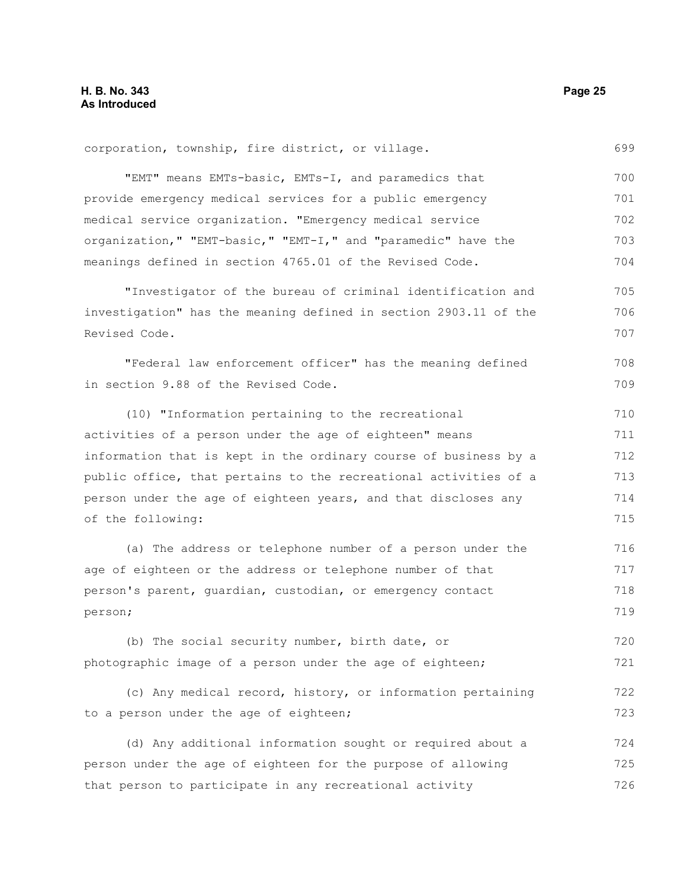corporation, township, fire district, or village. 699

"EMT" means EMTs-basic, EMTs-I, and paramedics that provide emergency medical services for a public emergency medical service organization. "Emergency medical service organization," "EMT-basic," "EMT-I," and "paramedic" have the meanings defined in section 4765.01 of the Revised Code. 700 701 702 703 704

"Investigator of the bureau of criminal identification and investigation" has the meaning defined in section 2903.11 of the Revised Code. 705 706 707

"Federal law enforcement officer" has the meaning defined in section 9.88 of the Revised Code. 708 709

(10) "Information pertaining to the recreational activities of a person under the age of eighteen" means information that is kept in the ordinary course of business by a public office, that pertains to the recreational activities of a person under the age of eighteen years, and that discloses any of the following: 710 711 712 713 714 715

(a) The address or telephone number of a person under the age of eighteen or the address or telephone number of that person's parent, guardian, custodian, or emergency contact person; 716 717 718 719

(b) The social security number, birth date, or photographic image of a person under the age of eighteen; 720 721

(c) Any medical record, history, or information pertaining to a person under the age of eighteen; 722 723

(d) Any additional information sought or required about a person under the age of eighteen for the purpose of allowing that person to participate in any recreational activity 724 725 726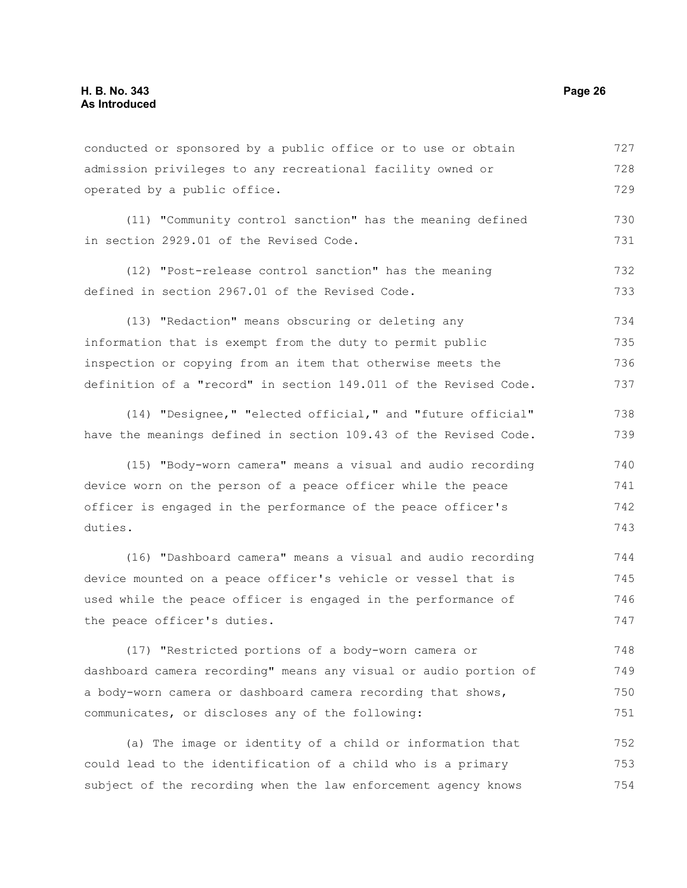conducted or sponsored by a public office or to use or obtain admission privileges to any recreational facility owned or operated by a public office. 727 728 729

(11) "Community control sanction" has the meaning defined in section 2929.01 of the Revised Code. 730 731

(12) "Post-release control sanction" has the meaning defined in section 2967.01 of the Revised Code. 732 733

(13) "Redaction" means obscuring or deleting any information that is exempt from the duty to permit public inspection or copying from an item that otherwise meets the definition of a "record" in section 149.011 of the Revised Code. 734 735 736 737

(14) "Designee," "elected official," and "future official" have the meanings defined in section 109.43 of the Revised Code. 738 739

(15) "Body-worn camera" means a visual and audio recording device worn on the person of a peace officer while the peace officer is engaged in the performance of the peace officer's duties. 740 741 742 743

(16) "Dashboard camera" means a visual and audio recording device mounted on a peace officer's vehicle or vessel that is used while the peace officer is engaged in the performance of the peace officer's duties. 744 745 746 747

(17) "Restricted portions of a body-worn camera or dashboard camera recording" means any visual or audio portion of a body-worn camera or dashboard camera recording that shows, communicates, or discloses any of the following: 748 749 750 751

(a) The image or identity of a child or information that could lead to the identification of a child who is a primary subject of the recording when the law enforcement agency knows 752 753 754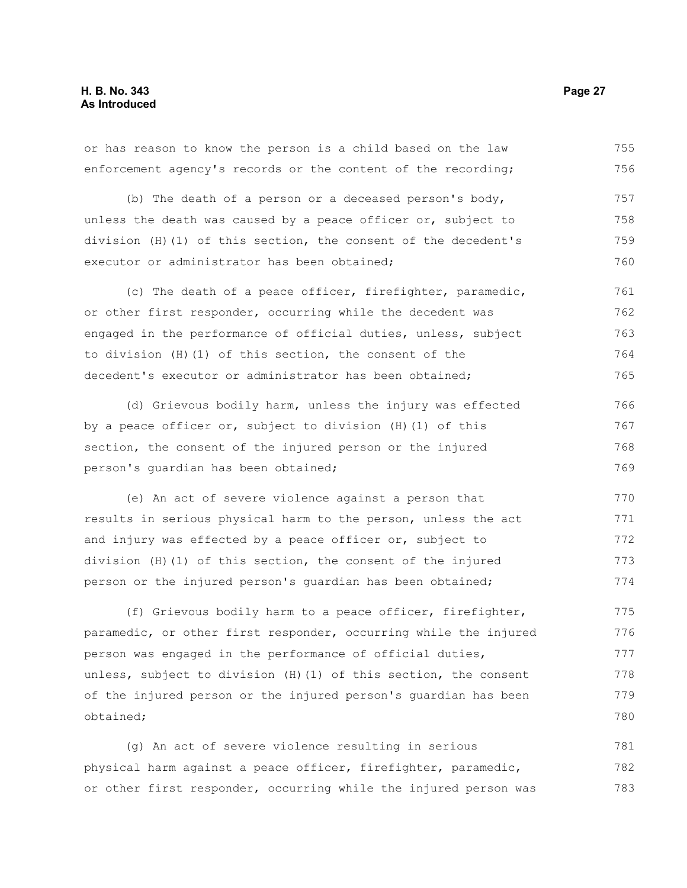obtained;

| or has reason to know the person is a child based on the law     | 755 |
|------------------------------------------------------------------|-----|
| enforcement agency's records or the content of the recording;    | 756 |
| (b) The death of a person or a deceased person's body,           | 757 |
| unless the death was caused by a peace officer or, subject to    | 758 |
| division (H) (1) of this section, the consent of the decedent's  | 759 |
| executor or administrator has been obtained;                     | 760 |
| (c) The death of a peace officer, firefighter, paramedic,        | 761 |
| or other first responder, occurring while the decedent was       | 762 |
| engaged in the performance of official duties, unless, subject   | 763 |
| to division (H) (1) of this section, the consent of the          | 764 |
| decedent's executor or administrator has been obtained;          | 765 |
| (d) Grievous bodily harm, unless the injury was effected         | 766 |
| by a peace officer or, subject to division (H) (1) of this       | 767 |
| section, the consent of the injured person or the injured        | 768 |
| person's quardian has been obtained;                             | 769 |
| (e) An act of severe violence against a person that              | 770 |
| results in serious physical harm to the person, unless the act   | 771 |
| and injury was effected by a peace officer or, subject to        | 772 |
| division (H) (1) of this section, the consent of the injured     | 773 |
| person or the injured person's guardian has been obtained;       | 774 |
| (f) Grievous bodily harm to a peace officer, firefighter,        | 775 |
| paramedic, or other first responder, occurring while the injured | 776 |
| person was engaged in the performance of official duties,        | 777 |
| unless, subject to division (H) (1) of this section, the consent | 778 |

(g) An act of severe violence resulting in serious physical harm against a peace officer, firefighter, paramedic, or other first responder, occurring while the injured person was 781 782 783

of the injured person or the injured person's guardian has been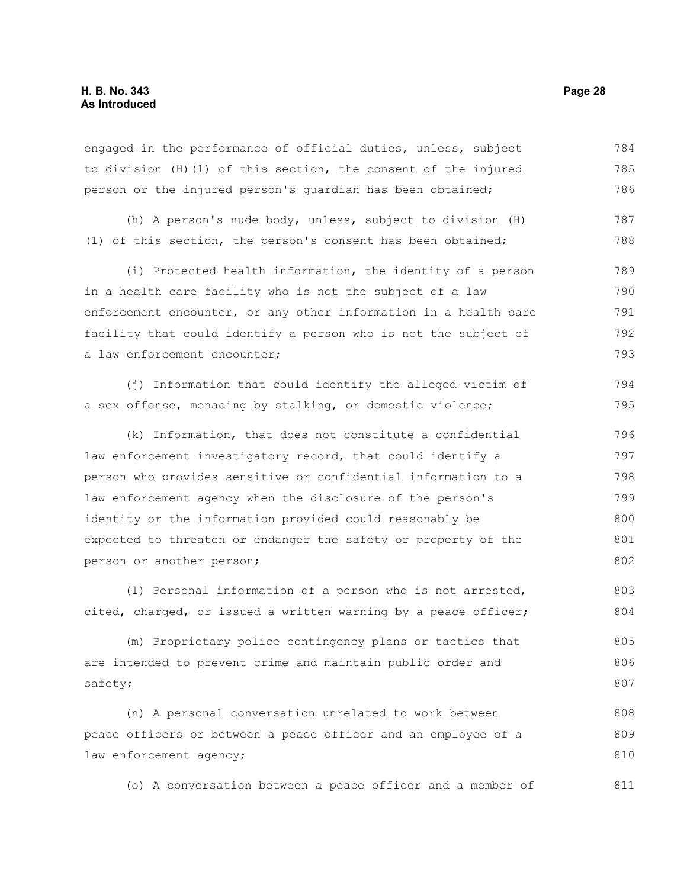engaged in the performance of official duties, unless, subject to division (H)(1) of this section, the consent of the injured person or the injured person's guardian has been obtained; 784 785 786

(h) A person's nude body, unless, subject to division (H) (1) of this section, the person's consent has been obtained; 787 788

(i) Protected health information, the identity of a person in a health care facility who is not the subject of a law enforcement encounter, or any other information in a health care facility that could identify a person who is not the subject of a law enforcement encounter; 789 790 791 792 793

(j) Information that could identify the alleged victim of a sex offense, menacing by stalking, or domestic violence; 794 795

(k) Information, that does not constitute a confidential law enforcement investigatory record, that could identify a person who provides sensitive or confidential information to a law enforcement agency when the disclosure of the person's identity or the information provided could reasonably be expected to threaten or endanger the safety or property of the person or another person; 796 797 798 799 800 801 802

(l) Personal information of a person who is not arrested, cited, charged, or issued a written warning by a peace officer; 803 804

(m) Proprietary police contingency plans or tactics that are intended to prevent crime and maintain public order and safety; 805 806 807

(n) A personal conversation unrelated to work between peace officers or between a peace officer and an employee of a law enforcement agency; 808 809 810

(o) A conversation between a peace officer and a member of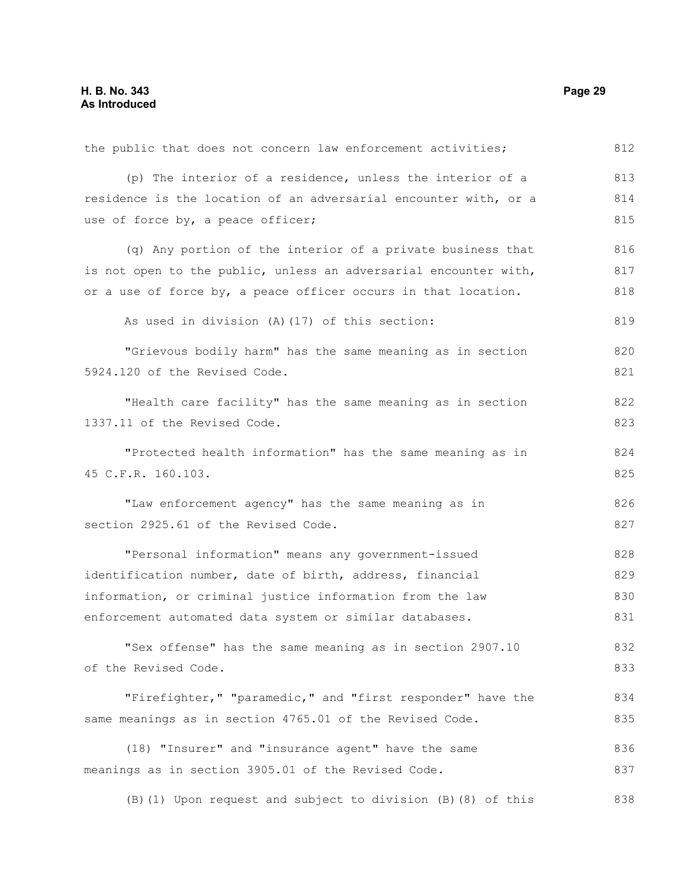| the public that does not concern law enforcement activities;     | 812 |
|------------------------------------------------------------------|-----|
| (p) The interior of a residence, unless the interior of a        | 813 |
| residence is the location of an adversarial encounter with, or a | 814 |
| use of force by, a peace officer;                                | 815 |
| (q) Any portion of the interior of a private business that       | 816 |
| is not open to the public, unless an adversarial encounter with, | 817 |
| or a use of force by, a peace officer occurs in that location.   | 818 |
| As used in division (A) (17) of this section:                    | 819 |
| "Grievous bodily harm" has the same meaning as in section        | 820 |
| 5924.120 of the Revised Code.                                    | 821 |
| "Health care facility" has the same meaning as in section        | 822 |
| 1337.11 of the Revised Code.                                     | 823 |
| "Protected health information" has the same meaning as in        | 824 |
| 45 C.F.R. 160.103.                                               |     |
| "Law enforcement agency" has the same meaning as in              | 826 |
| section 2925.61 of the Revised Code.                             | 827 |
| "Personal information" means any government-issued               | 828 |
| identification number, date of birth, address, financial         | 829 |
| information, or criminal justice information from the law        | 830 |
| enforcement automated data system or similar databases.          | 831 |
| "Sex offense" has the same meaning as in section 2907.10         | 832 |
| of the Revised Code.                                             | 833 |
| "Firefighter," "paramedic," and "first responder" have the       | 834 |
| same meanings as in section 4765.01 of the Revised Code.         | 835 |
| (18) "Insurer" and "insurance agent" have the same               | 836 |
| meanings as in section 3905.01 of the Revised Code.              | 837 |
| (B) (1) Upon request and subject to division (B) (8) of this     | 838 |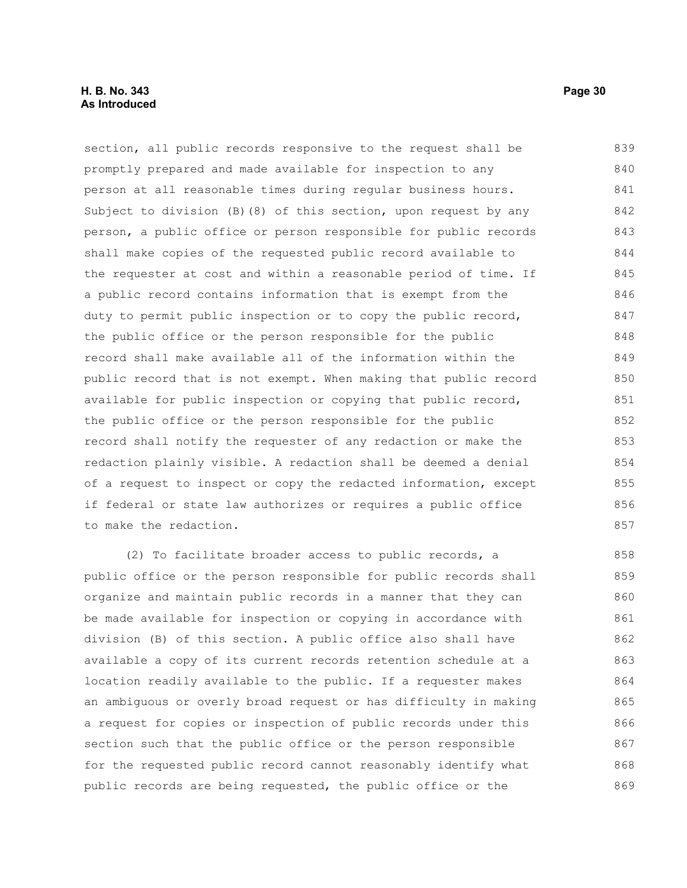## **H. B. No. 343 Page 30 As Introduced**

section, all public records responsive to the request shall be promptly prepared and made available for inspection to any person at all reasonable times during regular business hours. Subject to division (B)(8) of this section, upon request by any person, a public office or person responsible for public records shall make copies of the requested public record available to the requester at cost and within a reasonable period of time. If a public record contains information that is exempt from the duty to permit public inspection or to copy the public record, the public office or the person responsible for the public record shall make available all of the information within the public record that is not exempt. When making that public record available for public inspection or copying that public record, the public office or the person responsible for the public record shall notify the requester of any redaction or make the redaction plainly visible. A redaction shall be deemed a denial of a request to inspect or copy the redacted information, except if federal or state law authorizes or requires a public office to make the redaction. 839 840 841 842 843 844 845 846 847 848 849 850 851 852 853 854 855 856 857

(2) To facilitate broader access to public records, a public office or the person responsible for public records shall organize and maintain public records in a manner that they can be made available for inspection or copying in accordance with division (B) of this section. A public office also shall have available a copy of its current records retention schedule at a location readily available to the public. If a requester makes an ambiguous or overly broad request or has difficulty in making a request for copies or inspection of public records under this section such that the public office or the person responsible for the requested public record cannot reasonably identify what public records are being requested, the public office or the 858 859 860 861 862 863 864 865 866 867 868 869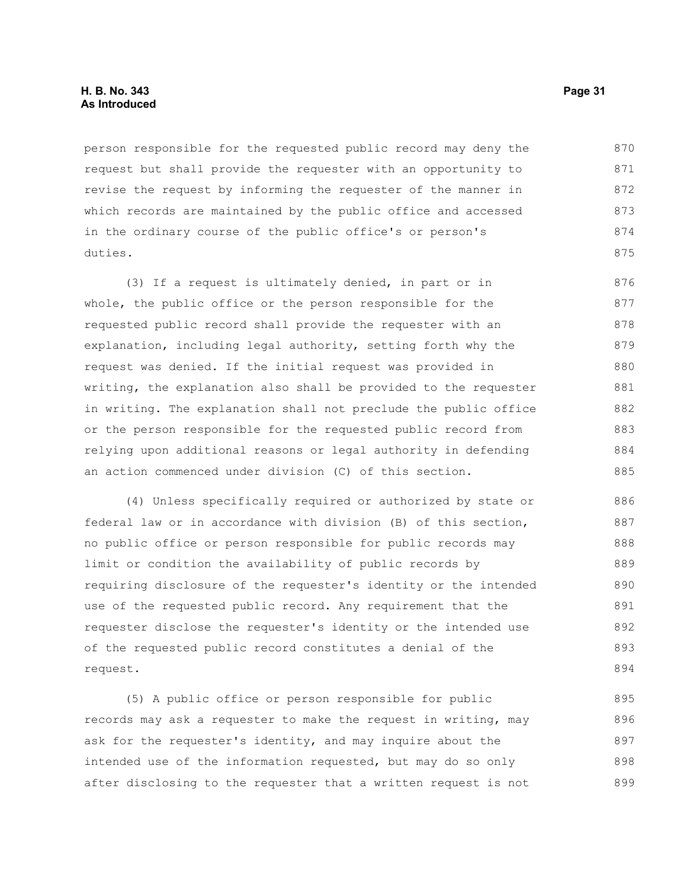person responsible for the requested public record may deny the request but shall provide the requester with an opportunity to revise the request by informing the requester of the manner in which records are maintained by the public office and accessed in the ordinary course of the public office's or person's duties. 870 871 872 873 874 875

(3) If a request is ultimately denied, in part or in whole, the public office or the person responsible for the requested public record shall provide the requester with an explanation, including legal authority, setting forth why the request was denied. If the initial request was provided in writing, the explanation also shall be provided to the requester in writing. The explanation shall not preclude the public office or the person responsible for the requested public record from relying upon additional reasons or legal authority in defending an action commenced under division (C) of this section. 876 877 878 879 880 881 882 883 884 885

(4) Unless specifically required or authorized by state or federal law or in accordance with division (B) of this section, no public office or person responsible for public records may limit or condition the availability of public records by requiring disclosure of the requester's identity or the intended use of the requested public record. Any requirement that the requester disclose the requester's identity or the intended use of the requested public record constitutes a denial of the request. 886 887 888 889 890 891 892 893 894

(5) A public office or person responsible for public records may ask a requester to make the request in writing, may ask for the requester's identity, and may inquire about the intended use of the information requested, but may do so only after disclosing to the requester that a written request is not 895 896 897 898 899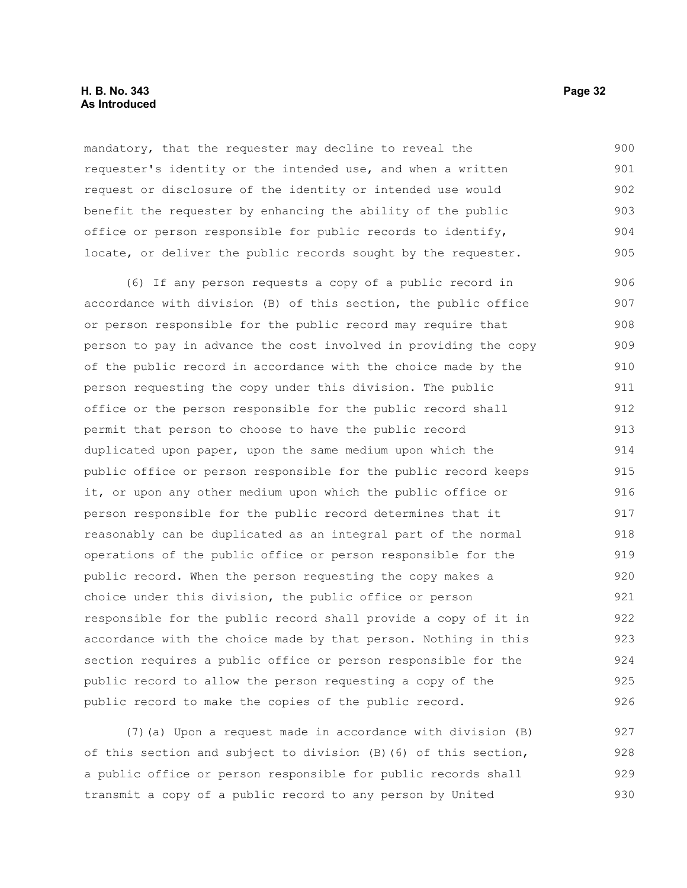## **H. B. No. 343 Page 32 As Introduced**

mandatory, that the requester may decline to reveal the requester's identity or the intended use, and when a written request or disclosure of the identity or intended use would benefit the requester by enhancing the ability of the public office or person responsible for public records to identify, locate, or deliver the public records sought by the requester. 900 901 902 903 904 905

(6) If any person requests a copy of a public record in accordance with division (B) of this section, the public office or person responsible for the public record may require that person to pay in advance the cost involved in providing the copy of the public record in accordance with the choice made by the person requesting the copy under this division. The public office or the person responsible for the public record shall permit that person to choose to have the public record duplicated upon paper, upon the same medium upon which the public office or person responsible for the public record keeps it, or upon any other medium upon which the public office or person responsible for the public record determines that it reasonably can be duplicated as an integral part of the normal operations of the public office or person responsible for the public record. When the person requesting the copy makes a choice under this division, the public office or person responsible for the public record shall provide a copy of it in accordance with the choice made by that person. Nothing in this section requires a public office or person responsible for the public record to allow the person requesting a copy of the public record to make the copies of the public record. 906 907 908 909 910 911 912 913 914 915 916 917 918 919 920 921 922 923 924 925 926

(7)(a) Upon a request made in accordance with division (B) of this section and subject to division (B)(6) of this section, a public office or person responsible for public records shall transmit a copy of a public record to any person by United 927 928 929 930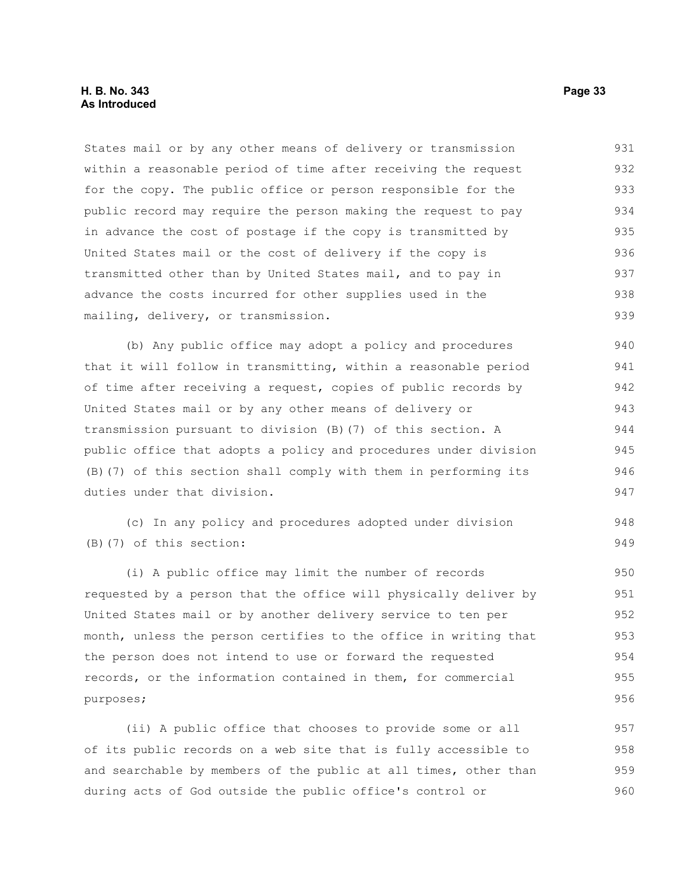## **H. B. No. 343 Page 33 As Introduced**

States mail or by any other means of delivery or transmission within a reasonable period of time after receiving the request for the copy. The public office or person responsible for the public record may require the person making the request to pay in advance the cost of postage if the copy is transmitted by United States mail or the cost of delivery if the copy is transmitted other than by United States mail, and to pay in advance the costs incurred for other supplies used in the mailing, delivery, or transmission. 931 932 933 934 935 936 937 938 939

(b) Any public office may adopt a policy and procedures that it will follow in transmitting, within a reasonable period of time after receiving a request, copies of public records by United States mail or by any other means of delivery or transmission pursuant to division (B)(7) of this section. A public office that adopts a policy and procedures under division (B)(7) of this section shall comply with them in performing its duties under that division. 940 941 942 943 944 945 946 947

(c) In any policy and procedures adopted under division (B)(7) of this section:

(i) A public office may limit the number of records requested by a person that the office will physically deliver by United States mail or by another delivery service to ten per month, unless the person certifies to the office in writing that the person does not intend to use or forward the requested records, or the information contained in them, for commercial purposes; 950 951 952 953 954 955 956

(ii) A public office that chooses to provide some or all of its public records on a web site that is fully accessible to and searchable by members of the public at all times, other than during acts of God outside the public office's control or 957 958 959 960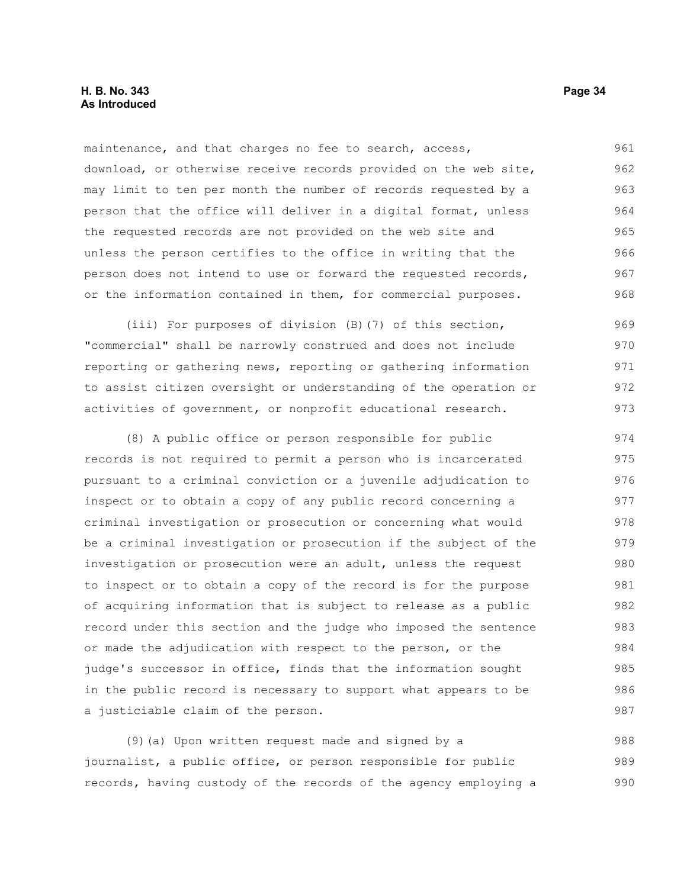maintenance, and that charges no fee to search, access, download, or otherwise receive records provided on the web site, may limit to ten per month the number of records requested by a person that the office will deliver in a digital format, unless the requested records are not provided on the web site and unless the person certifies to the office in writing that the person does not intend to use or forward the requested records, or the information contained in them, for commercial purposes. 961 962 963 964 965 966 967 968

(iii) For purposes of division (B)(7) of this section, "commercial" shall be narrowly construed and does not include reporting or gathering news, reporting or gathering information to assist citizen oversight or understanding of the operation or activities of government, or nonprofit educational research. 969 970 971 972 973

(8) A public office or person responsible for public records is not required to permit a person who is incarcerated pursuant to a criminal conviction or a juvenile adjudication to inspect or to obtain a copy of any public record concerning a criminal investigation or prosecution or concerning what would be a criminal investigation or prosecution if the subject of the investigation or prosecution were an adult, unless the request to inspect or to obtain a copy of the record is for the purpose of acquiring information that is subject to release as a public record under this section and the judge who imposed the sentence or made the adjudication with respect to the person, or the judge's successor in office, finds that the information sought in the public record is necessary to support what appears to be a justiciable claim of the person. 974 975 976 977 978 979 980 981 982 983 984 985 986 987

(9)(a) Upon written request made and signed by a journalist, a public office, or person responsible for public records, having custody of the records of the agency employing a 988 989 990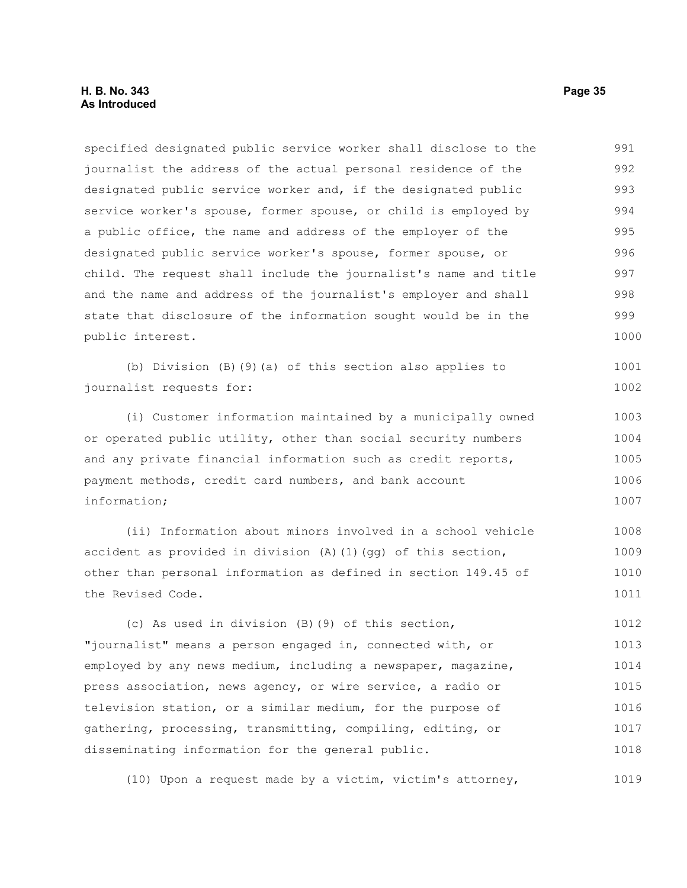## **H. B. No. 343 Page 35 As Introduced**

specified designated public service worker shall disclose to the journalist the address of the actual personal residence of the designated public service worker and, if the designated public service worker's spouse, former spouse, or child is employed by a public office, the name and address of the employer of the designated public service worker's spouse, former spouse, or child. The request shall include the journalist's name and title and the name and address of the journalist's employer and shall state that disclosure of the information sought would be in the public interest. 991 992 993 994 995 996 997 998 999 1000

(b) Division (B)(9)(a) of this section also applies to journalist requests for: 1001 1002

(i) Customer information maintained by a municipally owned or operated public utility, other than social security numbers and any private financial information such as credit reports, payment methods, credit card numbers, and bank account information; 1003 1004 1005 1006 1007

(ii) Information about minors involved in a school vehicle accident as provided in division (A)(1)(gg) of this section, other than personal information as defined in section 149.45 of the Revised Code. 1008 1009 1010 1011

(c) As used in division (B)(9) of this section, "journalist" means a person engaged in, connected with, or employed by any news medium, including a newspaper, magazine, press association, news agency, or wire service, a radio or television station, or a similar medium, for the purpose of gathering, processing, transmitting, compiling, editing, or disseminating information for the general public. 1012 1013 1014 1015 1016 1017 1018

(10) Upon a request made by a victim, victim's attorney,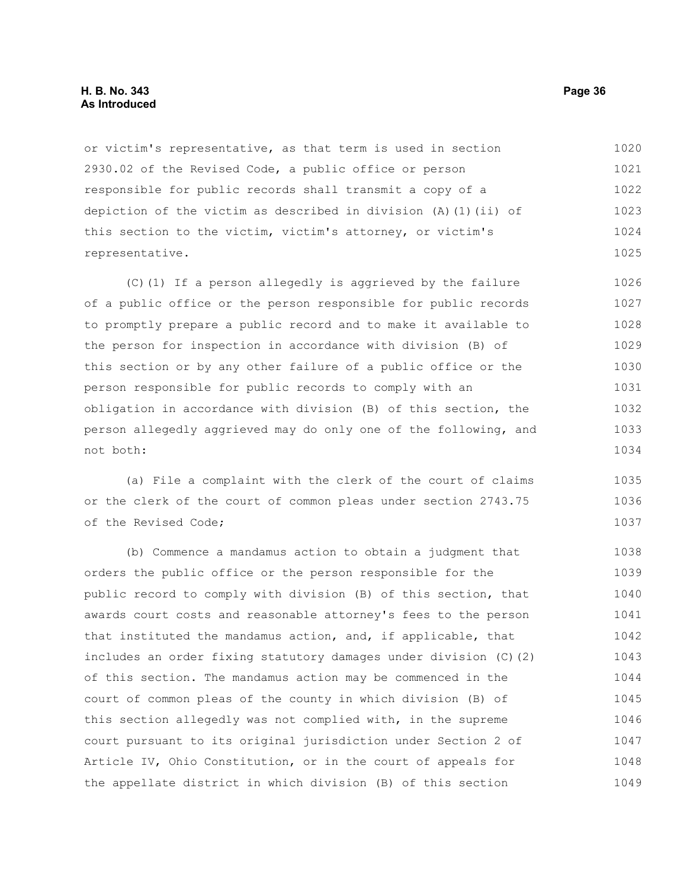## **H. B. No. 343 Page 36 As Introduced**

or victim's representative, as that term is used in section 2930.02 of the Revised Code, a public office or person responsible for public records shall transmit a copy of a depiction of the victim as described in division  $(A)$  (1)(ii) of this section to the victim, victim's attorney, or victim's representative. 1020 1021 1022 1023 1024 1025

(C)(1) If a person allegedly is aggrieved by the failure of a public office or the person responsible for public records to promptly prepare a public record and to make it available to the person for inspection in accordance with division (B) of this section or by any other failure of a public office or the person responsible for public records to comply with an obligation in accordance with division (B) of this section, the person allegedly aggrieved may do only one of the following, and not both: 1026 1027 1028 1029 1030 1031 1032 1033 1034

(a) File a complaint with the clerk of the court of claims or the clerk of the court of common pleas under section 2743.75 of the Revised Code; 1035 1036 1037

(b) Commence a mandamus action to obtain a judgment that orders the public office or the person responsible for the public record to comply with division (B) of this section, that awards court costs and reasonable attorney's fees to the person that instituted the mandamus action, and, if applicable, that includes an order fixing statutory damages under division (C)(2) of this section. The mandamus action may be commenced in the court of common pleas of the county in which division (B) of this section allegedly was not complied with, in the supreme court pursuant to its original jurisdiction under Section 2 of Article IV, Ohio Constitution, or in the court of appeals for the appellate district in which division (B) of this section 1038 1039 1040 1041 1042 1043 1044 1045 1046 1047 1048 1049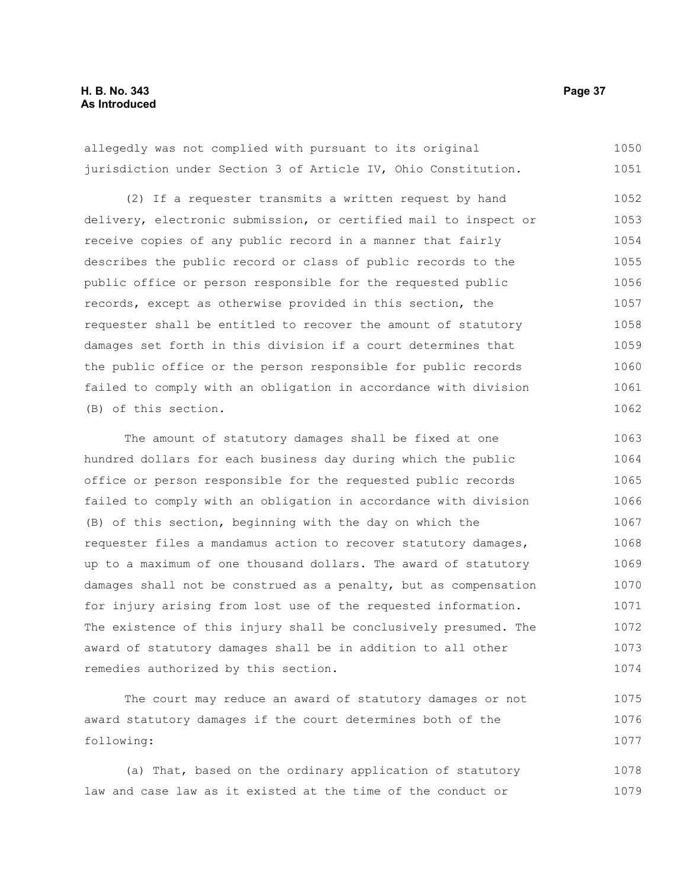allegedly was not complied with pursuant to its original jurisdiction under Section 3 of Article IV, Ohio Constitution. 1050 1051

(2) If a requester transmits a written request by hand delivery, electronic submission, or certified mail to inspect or receive copies of any public record in a manner that fairly describes the public record or class of public records to the public office or person responsible for the requested public records, except as otherwise provided in this section, the requester shall be entitled to recover the amount of statutory damages set forth in this division if a court determines that the public office or the person responsible for public records failed to comply with an obligation in accordance with division (B) of this section. 1052 1053 1054 1055 1056 1057 1058 1059 1060 1061 1062

The amount of statutory damages shall be fixed at one hundred dollars for each business day during which the public office or person responsible for the requested public records failed to comply with an obligation in accordance with division (B) of this section, beginning with the day on which the requester files a mandamus action to recover statutory damages, up to a maximum of one thousand dollars. The award of statutory damages shall not be construed as a penalty, but as compensation for injury arising from lost use of the requested information. The existence of this injury shall be conclusively presumed. The award of statutory damages shall be in addition to all other remedies authorized by this section. 1063 1064 1065 1066 1067 1068 1069 1070 1071 1072 1073 1074

The court may reduce an award of statutory damages or not award statutory damages if the court determines both of the following: 1075 1076 1077

(a) That, based on the ordinary application of statutory law and case law as it existed at the time of the conduct or 1078 1079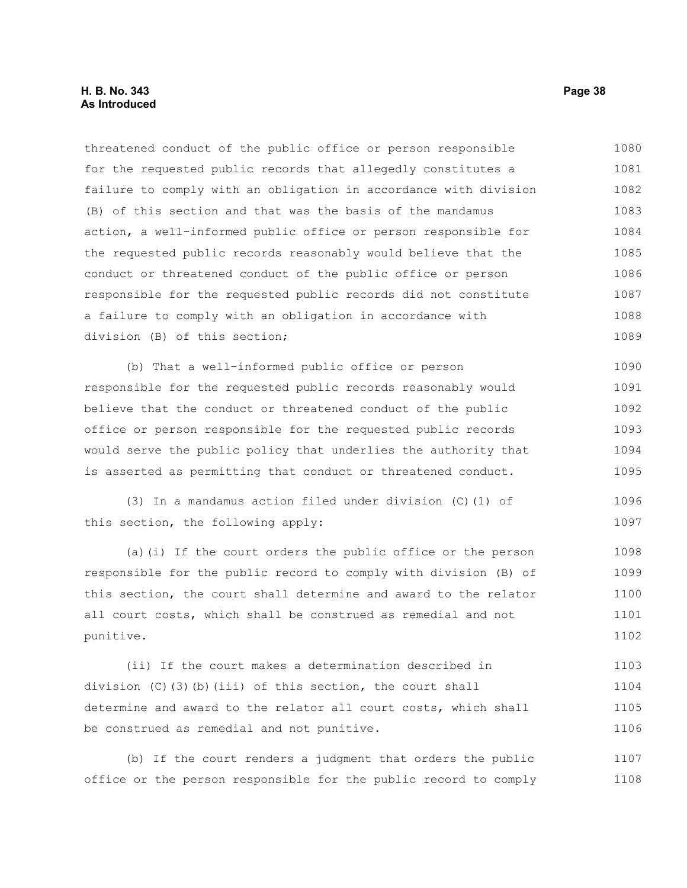# **H. B. No. 343 Page 38 As Introduced**

threatened conduct of the public office or person responsible for the requested public records that allegedly constitutes a failure to comply with an obligation in accordance with division (B) of this section and that was the basis of the mandamus action, a well-informed public office or person responsible for the requested public records reasonably would believe that the conduct or threatened conduct of the public office or person responsible for the requested public records did not constitute a failure to comply with an obligation in accordance with division (B) of this section; 1080 1081 1082 1083 1084 1085 1086 1087 1088 1089

(b) That a well-informed public office or person responsible for the requested public records reasonably would believe that the conduct or threatened conduct of the public office or person responsible for the requested public records would serve the public policy that underlies the authority that is asserted as permitting that conduct or threatened conduct. 1090 1091 1092 1093 1094 1095

(3) In a mandamus action filed under division (C)(1) of this section, the following apply: 1096 1097

(a)(i) If the court orders the public office or the person responsible for the public record to comply with division (B) of this section, the court shall determine and award to the relator all court costs, which shall be construed as remedial and not punitive. 1098 1099 1100 1101 1102

(ii) If the court makes a determination described in division  $(C)$ (3)(b)(iii) of this section, the court shall determine and award to the relator all court costs, which shall be construed as remedial and not punitive. 1103 1104 1105 1106

(b) If the court renders a judgment that orders the public office or the person responsible for the public record to comply 1107 1108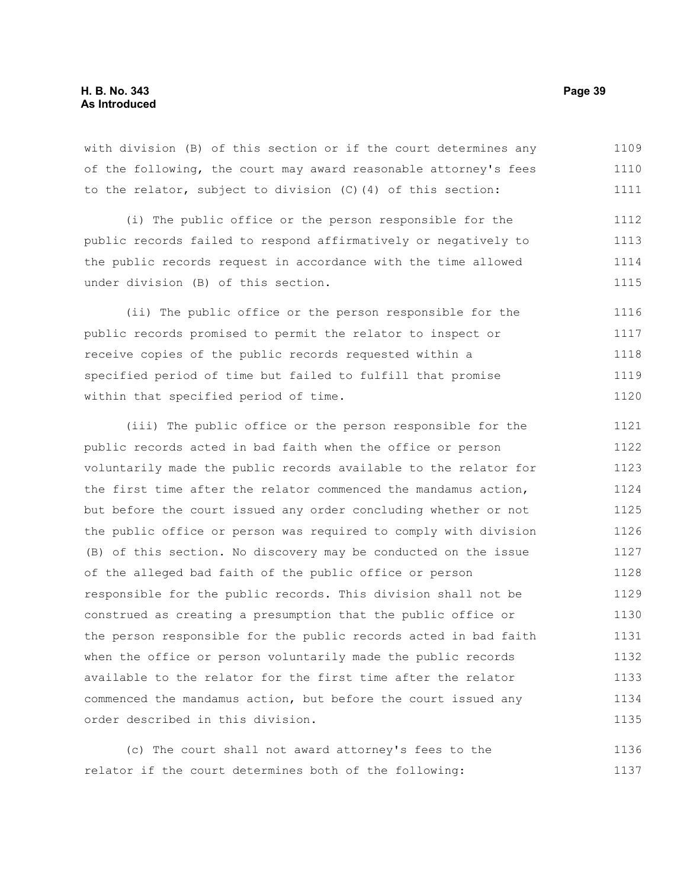with division (B) of this section or if the court determines any of the following, the court may award reasonable attorney's fees to the relator, subject to division (C)(4) of this section: 1109 1110 1111

(i) The public office or the person responsible for the public records failed to respond affirmatively or negatively to the public records request in accordance with the time allowed under division (B) of this section. 1112 1113 1114 1115

(ii) The public office or the person responsible for the public records promised to permit the relator to inspect or receive copies of the public records requested within a specified period of time but failed to fulfill that promise within that specified period of time. 1116 1117 1118 1119 1120

(iii) The public office or the person responsible for the public records acted in bad faith when the office or person voluntarily made the public records available to the relator for the first time after the relator commenced the mandamus action, but before the court issued any order concluding whether or not the public office or person was required to comply with division (B) of this section. No discovery may be conducted on the issue of the alleged bad faith of the public office or person responsible for the public records. This division shall not be construed as creating a presumption that the public office or the person responsible for the public records acted in bad faith when the office or person voluntarily made the public records available to the relator for the first time after the relator commenced the mandamus action, but before the court issued any order described in this division. 1121 1122 1123 1124 1125 1126 1127 1128 1129 1130 1131 1132 1133 1134 1135

(c) The court shall not award attorney's fees to the relator if the court determines both of the following: 1136 1137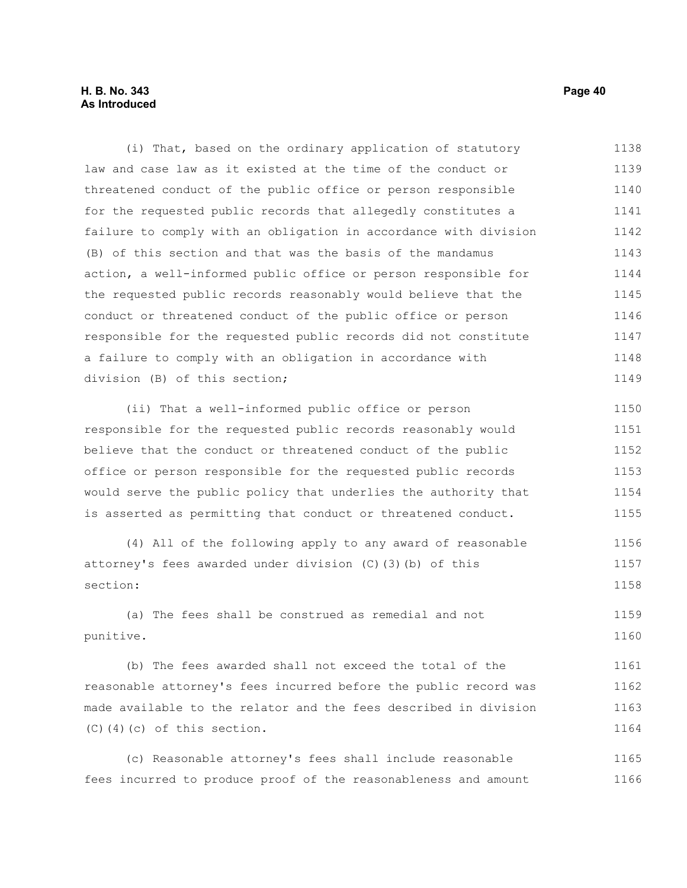# **H. B. No. 343 Page 40 As Introduced**

(i) That, based on the ordinary application of statutory law and case law as it existed at the time of the conduct or threatened conduct of the public office or person responsible for the requested public records that allegedly constitutes a failure to comply with an obligation in accordance with division (B) of this section and that was the basis of the mandamus action, a well-informed public office or person responsible for the requested public records reasonably would believe that the conduct or threatened conduct of the public office or person responsible for the requested public records did not constitute a failure to comply with an obligation in accordance with division (B) of this section; 1138 1139 1140 1141 1142 1143 1144 1145 1146 1147 1148 1149

(ii) That a well-informed public office or person responsible for the requested public records reasonably would believe that the conduct or threatened conduct of the public office or person responsible for the requested public records would serve the public policy that underlies the authority that is asserted as permitting that conduct or threatened conduct. 1150 1151 1152 1153 1154 1155

```
(4) All of the following apply to any award of reasonable
attorney's fees awarded under division (C)(3)(b) of this
section: 
                                                                            1156
                                                                            1157
                                                                             1158
```
(a) The fees shall be construed as remedial and not punitive. 1159 1160

(b) The fees awarded shall not exceed the total of the reasonable attorney's fees incurred before the public record was made available to the relator and the fees described in division (C)(4)(c) of this section. 1161 1162 1163 1164

(c) Reasonable attorney's fees shall include reasonable fees incurred to produce proof of the reasonableness and amount 1165 1166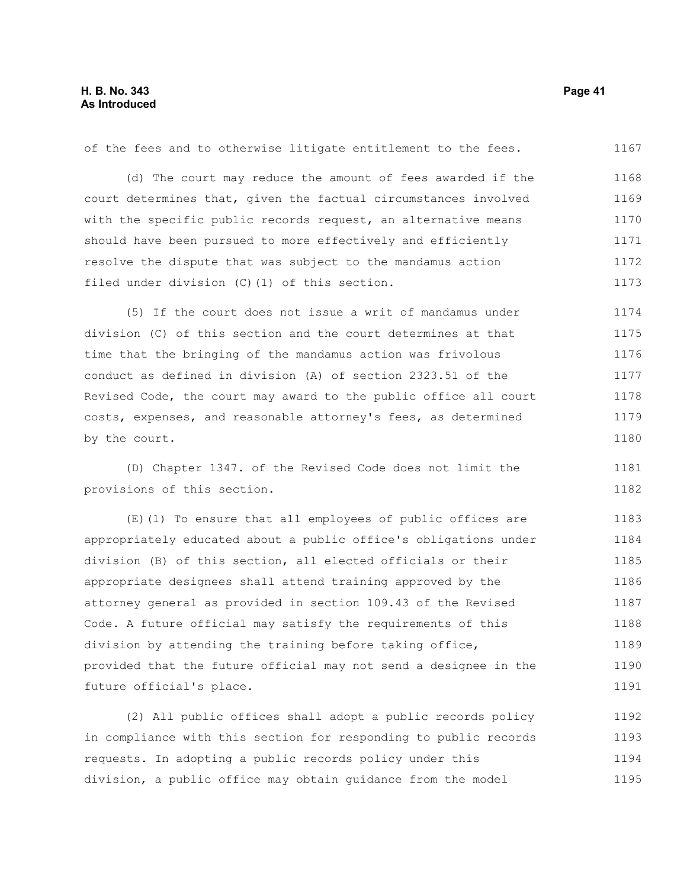|  |  |  |  |  |  |  | of the fees and to otherwise litigate entitlement to the fees. |  |  |  | 1167 |
|--|--|--|--|--|--|--|----------------------------------------------------------------|--|--|--|------|
|--|--|--|--|--|--|--|----------------------------------------------------------------|--|--|--|------|

(d) The court may reduce the amount of fees awarded if the court determines that, given the factual circumstances involved with the specific public records request, an alternative means should have been pursued to more effectively and efficiently resolve the dispute that was subject to the mandamus action filed under division (C)(1) of this section. 1168 1169 1170 1171 1172 1173

(5) If the court does not issue a writ of mandamus under division (C) of this section and the court determines at that time that the bringing of the mandamus action was frivolous conduct as defined in division (A) of section 2323.51 of the Revised Code, the court may award to the public office all court costs, expenses, and reasonable attorney's fees, as determined by the court. 1174 1175 1176 1177 1178 1179 1180

(D) Chapter 1347. of the Revised Code does not limit the provisions of this section. 1181 1182

(E)(1) To ensure that all employees of public offices are appropriately educated about a public office's obligations under division (B) of this section, all elected officials or their appropriate designees shall attend training approved by the attorney general as provided in section 109.43 of the Revised Code. A future official may satisfy the requirements of this division by attending the training before taking office, provided that the future official may not send a designee in the future official's place. 1183 1184 1185 1186 1187 1188 1189 1190 1191

(2) All public offices shall adopt a public records policy in compliance with this section for responding to public records requests. In adopting a public records policy under this division, a public office may obtain guidance from the model 1192 1193 1194 1195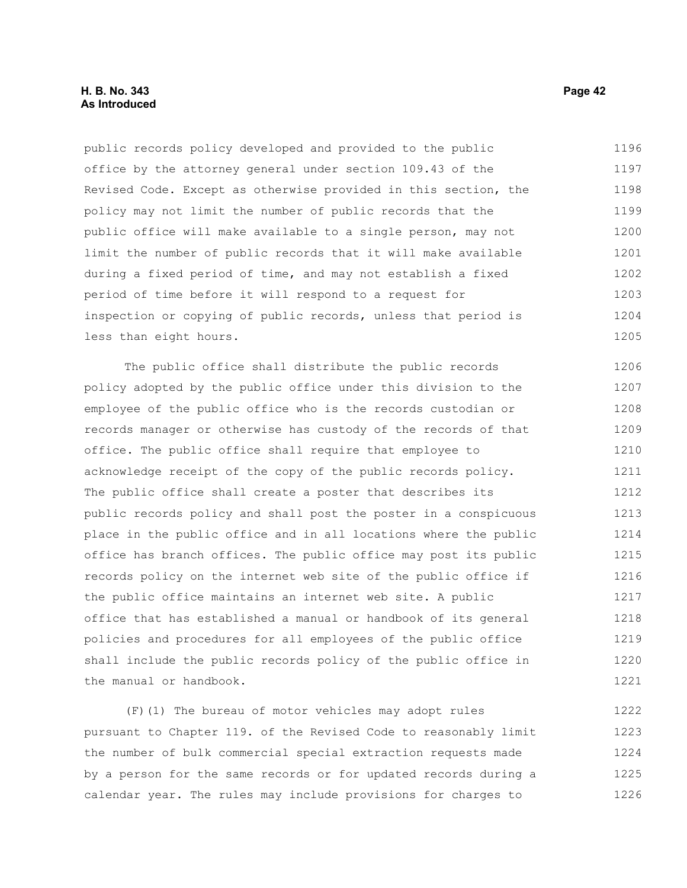# **H. B. No. 343 Page 42 As Introduced**

public records policy developed and provided to the public office by the attorney general under section 109.43 of the Revised Code. Except as otherwise provided in this section, the policy may not limit the number of public records that the public office will make available to a single person, may not limit the number of public records that it will make available during a fixed period of time, and may not establish a fixed period of time before it will respond to a request for inspection or copying of public records, unless that period is less than eight hours. 1196 1197 1198 1199 1200 1201 1202 1203 1204 1205

The public office shall distribute the public records policy adopted by the public office under this division to the employee of the public office who is the records custodian or records manager or otherwise has custody of the records of that office. The public office shall require that employee to acknowledge receipt of the copy of the public records policy. The public office shall create a poster that describes its public records policy and shall post the poster in a conspicuous place in the public office and in all locations where the public office has branch offices. The public office may post its public records policy on the internet web site of the public office if the public office maintains an internet web site. A public office that has established a manual or handbook of its general policies and procedures for all employees of the public office shall include the public records policy of the public office in the manual or handbook. 1206 1207 1208 1209 1210 1211 1212 1213 1214 1215 1216 1217 1218 1219 1220 1221

(F)(1) The bureau of motor vehicles may adopt rules pursuant to Chapter 119. of the Revised Code to reasonably limit the number of bulk commercial special extraction requests made by a person for the same records or for updated records during a calendar year. The rules may include provisions for charges to 1222 1223 1224 1225 1226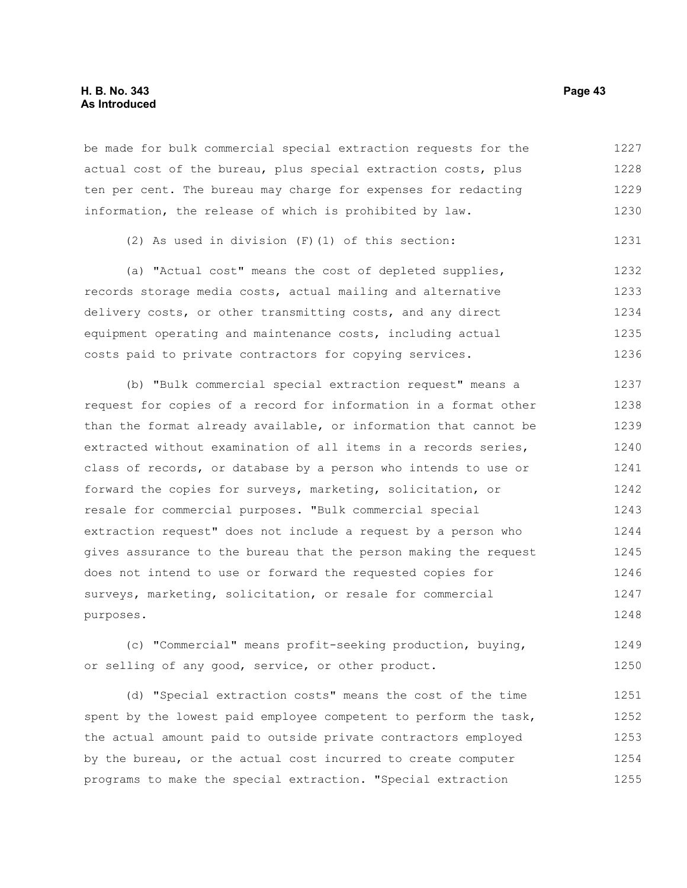### **H. B. No. 343 Page 43 As Introduced**

be made for bulk commercial special extraction requests for the actual cost of the bureau, plus special extraction costs, plus ten per cent. The bureau may charge for expenses for redacting information, the release of which is prohibited by law. 1227 1228 1229 1230

```
(2) As used in division (F)(1) of this section: 
                                                                       1231
```
(a) "Actual cost" means the cost of depleted supplies, records storage media costs, actual mailing and alternative delivery costs, or other transmitting costs, and any direct equipment operating and maintenance costs, including actual costs paid to private contractors for copying services. 1232 1233 1234 1235 1236

(b) "Bulk commercial special extraction request" means a request for copies of a record for information in a format other than the format already available, or information that cannot be extracted without examination of all items in a records series, class of records, or database by a person who intends to use or forward the copies for surveys, marketing, solicitation, or resale for commercial purposes. "Bulk commercial special extraction request" does not include a request by a person who gives assurance to the bureau that the person making the request does not intend to use or forward the requested copies for surveys, marketing, solicitation, or resale for commercial purposes. 1237 1238 1239 1240 1241 1242 1243 1244 1245 1246 1247 1248

(c) "Commercial" means profit-seeking production, buying, or selling of any good, service, or other product. 1249 1250

(d) "Special extraction costs" means the cost of the time spent by the lowest paid employee competent to perform the task, the actual amount paid to outside private contractors employed by the bureau, or the actual cost incurred to create computer programs to make the special extraction. "Special extraction 1251 1252 1253 1254 1255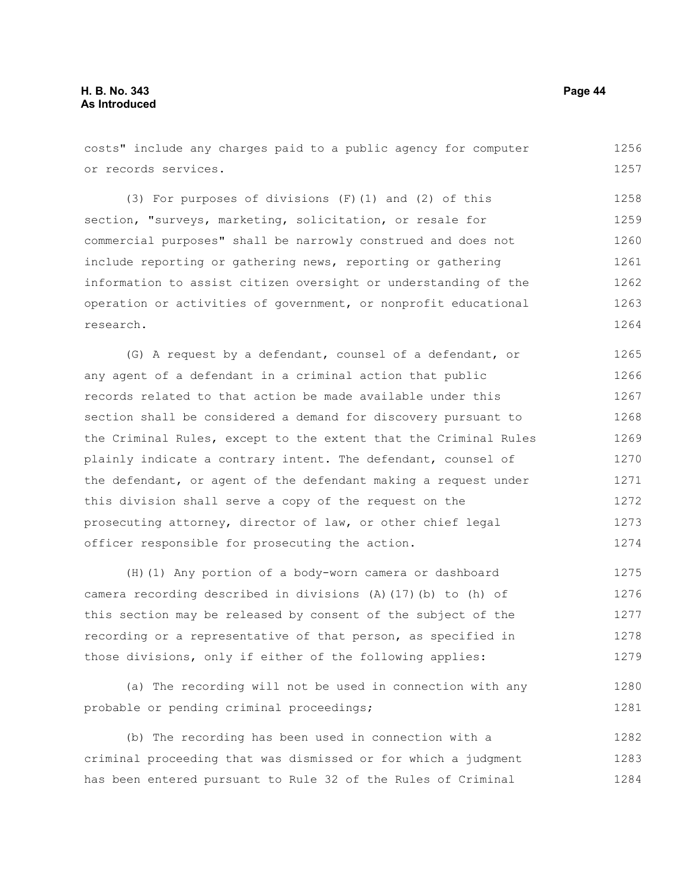costs" include any charges paid to a public agency for computer or records services. 1256 1257

(3) For purposes of divisions (F)(1) and (2) of this section, "surveys, marketing, solicitation, or resale for commercial purposes" shall be narrowly construed and does not include reporting or gathering news, reporting or gathering information to assist citizen oversight or understanding of the operation or activities of government, or nonprofit educational research. 1258 1259 1260 1261 1262 1263 1264

(G) A request by a defendant, counsel of a defendant, or any agent of a defendant in a criminal action that public records related to that action be made available under this section shall be considered a demand for discovery pursuant to the Criminal Rules, except to the extent that the Criminal Rules plainly indicate a contrary intent. The defendant, counsel of the defendant, or agent of the defendant making a request under this division shall serve a copy of the request on the prosecuting attorney, director of law, or other chief legal officer responsible for prosecuting the action. 1265 1266 1267 1268 1269 1270 1271 1272 1273 1274

(H)(1) Any portion of a body-worn camera or dashboard camera recording described in divisions (A)(17)(b) to (h) of this section may be released by consent of the subject of the recording or a representative of that person, as specified in those divisions, only if either of the following applies: 1275 1276 1277 1278 1279

(a) The recording will not be used in connection with any probable or pending criminal proceedings; 1280 1281

(b) The recording has been used in connection with a criminal proceeding that was dismissed or for which a judgment has been entered pursuant to Rule 32 of the Rules of Criminal 1282 1283 1284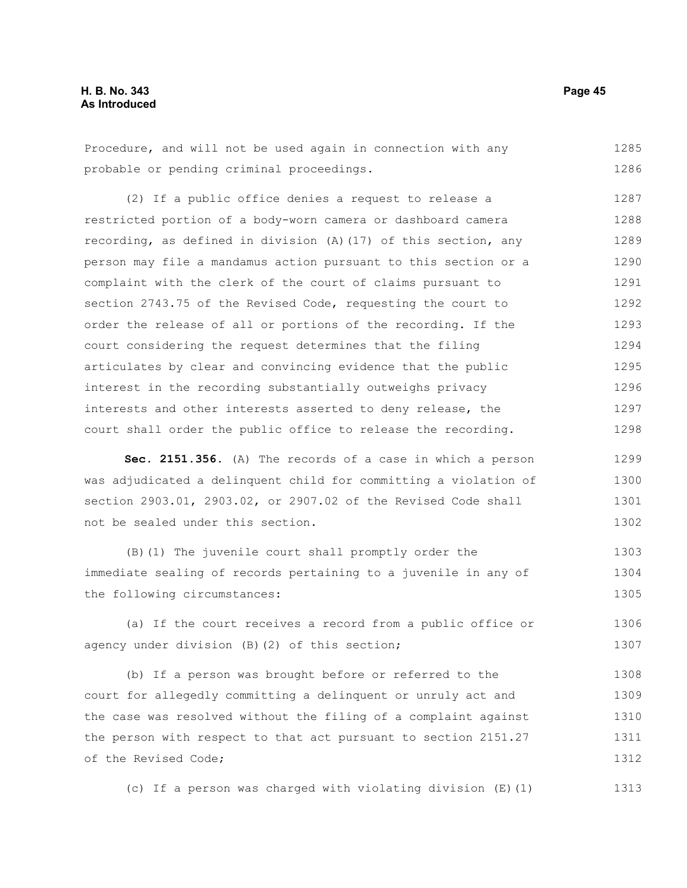Procedure, and will not be used again in connection with any probable or pending criminal proceedings. 1285 1286

(2) If a public office denies a request to release a restricted portion of a body-worn camera or dashboard camera recording, as defined in division (A)(17) of this section, any person may file a mandamus action pursuant to this section or a complaint with the clerk of the court of claims pursuant to section 2743.75 of the Revised Code, requesting the court to order the release of all or portions of the recording. If the court considering the request determines that the filing articulates by clear and convincing evidence that the public interest in the recording substantially outweighs privacy interests and other interests asserted to deny release, the court shall order the public office to release the recording. 1287 1288 1289 1290 1291 1292 1293 1294 1295 1296 1297 1298

**Sec. 2151.356.** (A) The records of a case in which a person was adjudicated a delinquent child for committing a violation of section 2903.01, 2903.02, or 2907.02 of the Revised Code shall not be sealed under this section. 1299 1300 1301 1302

(B)(1) The juvenile court shall promptly order the immediate sealing of records pertaining to a juvenile in any of the following circumstances: 1303 1304 1305

(a) If the court receives a record from a public office or agency under division (B)(2) of this section; 1306 1307

(b) If a person was brought before or referred to the court for allegedly committing a delinquent or unruly act and the case was resolved without the filing of a complaint against the person with respect to that act pursuant to section 2151.27 of the Revised Code; 1308 1309 1310 1311 1312

(c) If a person was charged with violating division (E)(1) 1313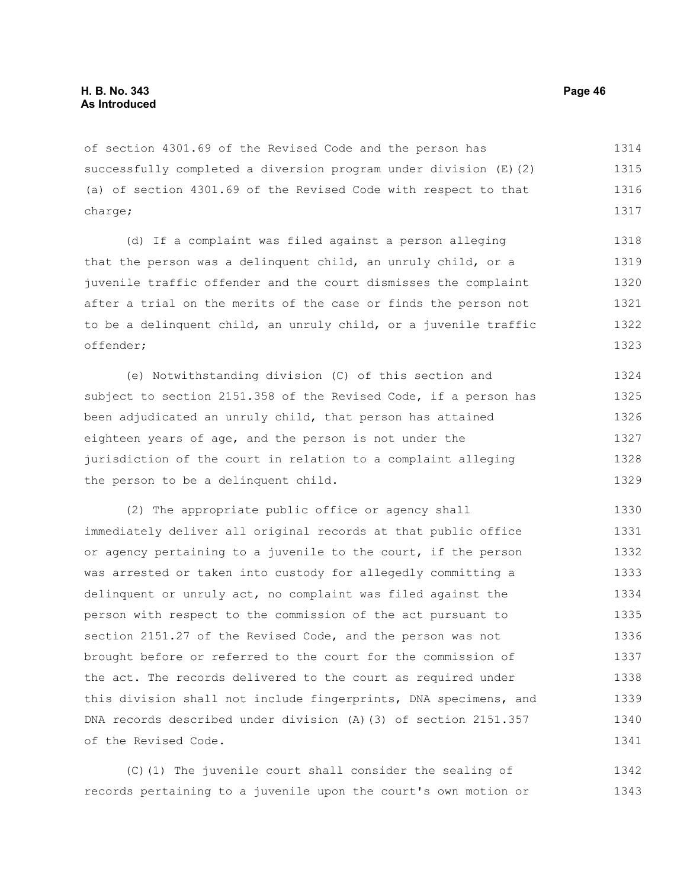of section 4301.69 of the Revised Code and the person has successfully completed a diversion program under division (E)(2) (a) of section 4301.69 of the Revised Code with respect to that charge; 1314 1315 1316 1317

(d) If a complaint was filed against a person alleging that the person was a delinquent child, an unruly child, or a juvenile traffic offender and the court dismisses the complaint after a trial on the merits of the case or finds the person not to be a delinquent child, an unruly child, or a juvenile traffic offender; 1318 1319 1320 1321 1322 1323

(e) Notwithstanding division (C) of this section and subject to section 2151.358 of the Revised Code, if a person has been adjudicated an unruly child, that person has attained eighteen years of age, and the person is not under the jurisdiction of the court in relation to a complaint alleging the person to be a delinquent child. 1324 1325 1326 1327 1328 1329

(2) The appropriate public office or agency shall immediately deliver all original records at that public office or agency pertaining to a juvenile to the court, if the person was arrested or taken into custody for allegedly committing a delinquent or unruly act, no complaint was filed against the person with respect to the commission of the act pursuant to section 2151.27 of the Revised Code, and the person was not brought before or referred to the court for the commission of the act. The records delivered to the court as required under this division shall not include fingerprints, DNA specimens, and DNA records described under division (A)(3) of section 2151.357 of the Revised Code. 1330 1331 1332 1333 1334 1335 1336 1337 1338 1339 1340 1341

(C)(1) The juvenile court shall consider the sealing of records pertaining to a juvenile upon the court's own motion or 1342 1343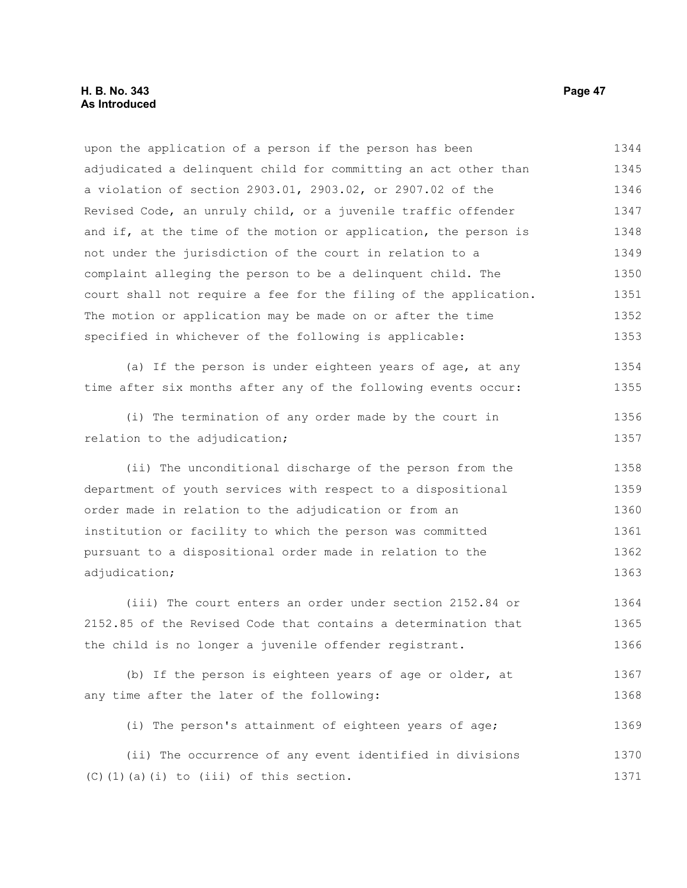upon the application of a person if the person has been adjudicated a delinquent child for committing an act other than a violation of section 2903.01, 2903.02, or 2907.02 of the Revised Code, an unruly child, or a juvenile traffic offender and if, at the time of the motion or application, the person is not under the jurisdiction of the court in relation to a complaint alleging the person to be a delinquent child. The court shall not require a fee for the filing of the application. The motion or application may be made on or after the time specified in whichever of the following is applicable: 1344 1345 1346 1347 1348 1349 1350 1351 1352 1353

(a) If the person is under eighteen years of age, at any time after six months after any of the following events occur: 1354 1355

(i) The termination of any order made by the court in relation to the adjudication; 1356 1357

(ii) The unconditional discharge of the person from the department of youth services with respect to a dispositional order made in relation to the adjudication or from an institution or facility to which the person was committed pursuant to a dispositional order made in relation to the adjudication; 1358 1359 1360 1361 1362 1363

(iii) The court enters an order under section 2152.84 or 2152.85 of the Revised Code that contains a determination that the child is no longer a juvenile offender registrant. 1364 1365 1366

(b) If the person is eighteen years of age or older, at any time after the later of the following: 1367 1368

(i) The person's attainment of eighteen years of age; 1369

(ii) The occurrence of any event identified in divisions  $(C)$  (1)(a)(i) to (iii) of this section. 1370 1371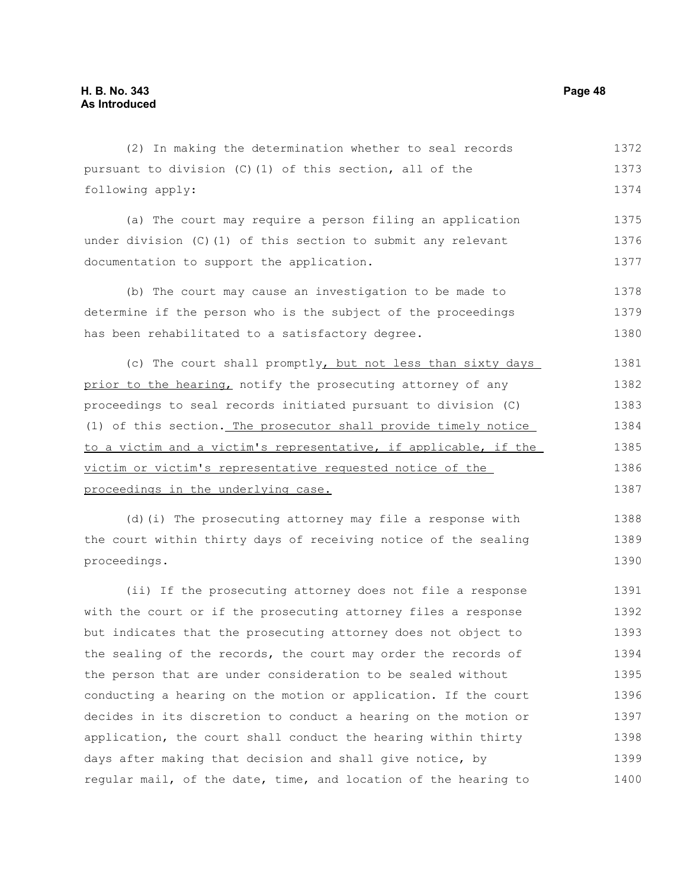| pursuant to division (C)(1) of this section, all of the          | 1373 |
|------------------------------------------------------------------|------|
| following apply:                                                 | 1374 |
| (a) The court may require a person filing an application         | 1375 |
| under division $(C)$ (1) of this section to submit any relevant  | 1376 |
|                                                                  |      |
| documentation to support the application.                        | 1377 |
| (b) The court may cause an investigation to be made to           | 1378 |
| determine if the person who is the subject of the proceedings    | 1379 |
| has been rehabilitated to a satisfactory degree.                 | 1380 |
| (c) The court shall promptly, but not less than sixty days       | 1381 |
| prior to the hearing, notify the prosecuting attorney of any     | 1382 |
| proceedings to seal records initiated pursuant to division (C)   | 1383 |
| (1) of this section. The prosecutor shall provide timely notice  | 1384 |
| to a victim and a victim's representative, if applicable, if the | 1385 |
| victim or victim's representative requested notice of the        | 1386 |
| proceedings in the underlying case.                              | 1387 |
| (d) (i) The prosecuting attorney may file a response with        | 1388 |
| the court within thirty days of receiving notice of the sealing  | 1389 |
| proceedings.                                                     | 1390 |
| (ii) If the prosecuting attorney does not file a response        | 1391 |
| with the court or if the prosecuting attorney files a response   | 1392 |
| but indicates that the prosecuting attorney does not object to   | 1393 |
| the sealing of the records, the court may order the records of   | 1394 |
| the person that are under consideration to be sealed without     | 1395 |
| conducting a hearing on the motion or application. If the court  | 1396 |
| decides in its discretion to conduct a hearing on the motion or  | 1397 |
| application, the court shall conduct the hearing within thirty   | 1398 |

(2) In making the determination whether to seal records

days after making that decision and shall give notice, by regular mail, of the date, time, and location of the hearing to 1399 1400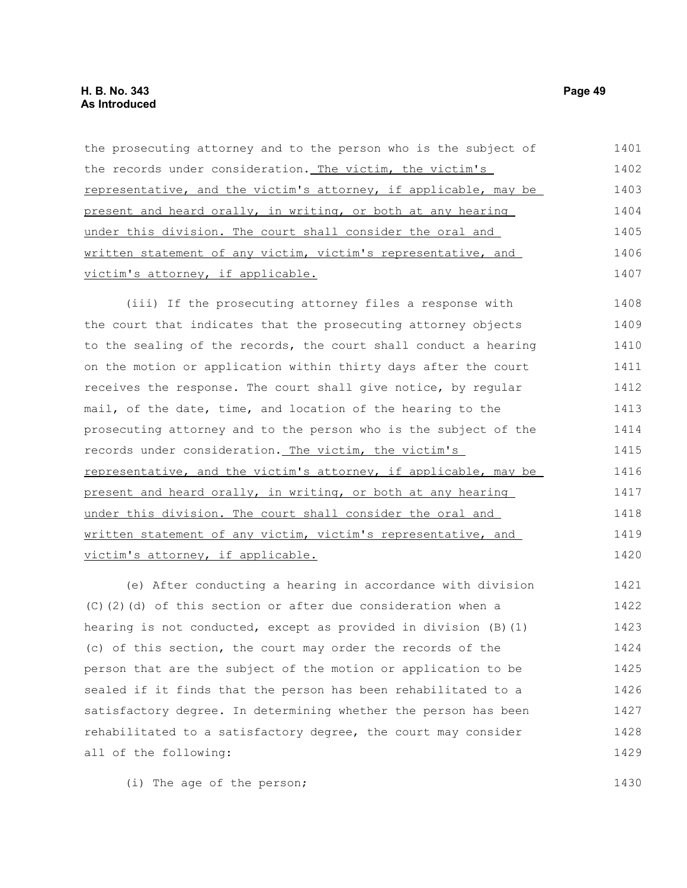| the prosecuting attorney and to the person who is the subject of | 1401 |
|------------------------------------------------------------------|------|
| the records under consideration. The victim, the victim's        | 1402 |
| representative, and the victim's attorney, if applicable, may be | 1403 |
| present and heard orally, in writing, or both at any hearing     | 1404 |
| under this division. The court shall consider the oral and       | 1405 |
| written statement of any victim, victim's representative, and    | 1406 |
| victim's attorney, if applicable.                                | 1407 |
| (iii) If the prosecuting attorney files a response with          | 1408 |
| the court that indicates that the prosecuting attorney objects   | 1409 |
| to the sealing of the records, the court shall conduct a hearing | 1410 |
| on the motion or application within thirty days after the court  | 1411 |
| receives the response. The court shall give notice, by regular   | 1412 |
| mail, of the date, time, and location of the hearing to the      | 1413 |
| prosecuting attorney and to the person who is the subject of the | 1414 |
| records under consideration. The victim, the victim's            | 1415 |
| representative, and the victim's attorney, if applicable, may be | 1416 |
| present and heard orally, in writing, or both at any hearing     | 1417 |
| under this division. The court shall consider the oral and       | 1418 |
| written statement of any victim, victim's representative, and    | 1419 |
| victim's attorney, if applicable.                                | 1420 |
| (e) After conducting a hearing in accordance with division       | 1421 |
| (C)(2)(d) of this section or after due consideration when a      | 1422 |
| hearing is not conducted, except as provided in division (B) (1) | 1423 |
|                                                                  |      |

(c) of this section, the court may order the records of the person that are the subject of the motion or application to be sealed if it finds that the person has been rehabilitated to a satisfactory degree. In determining whether the person has been rehabilitated to a satisfactory degree, the court may consider all of the following: 1424 1425 1426 1427 1428 1429

(i) The age of the person;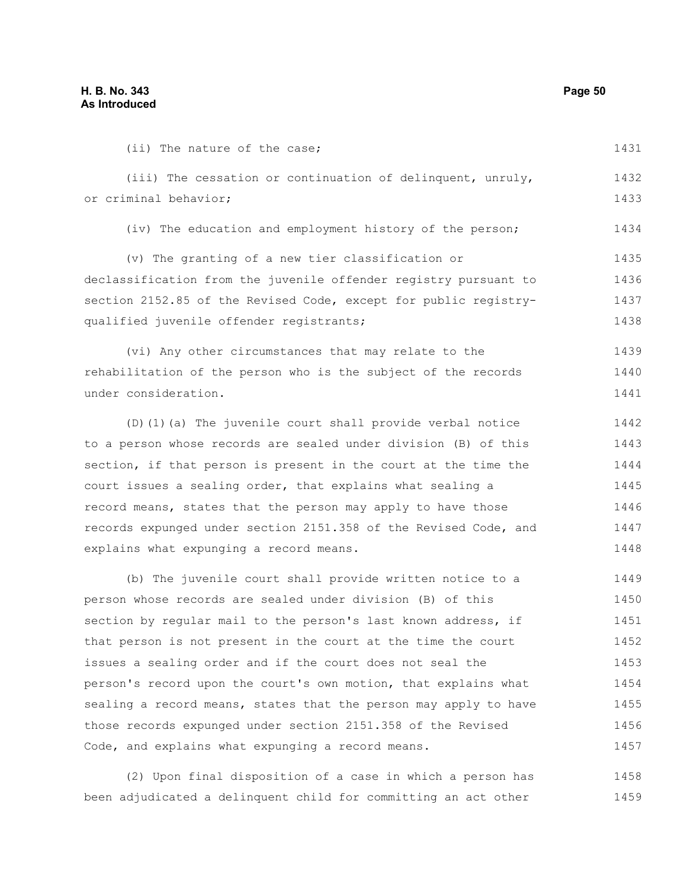1457

| (ii) The nature of the case;                                     | 1431 |
|------------------------------------------------------------------|------|
| (iii) The cessation or continuation of delinquent, unruly,       | 1432 |
| or criminal behavior;                                            | 1433 |
| (iv) The education and employment history of the person;         | 1434 |
| (v) The granting of a new tier classification or                 | 1435 |
| declassification from the juvenile offender registry pursuant to | 1436 |
| section 2152.85 of the Revised Code, except for public registry- | 1437 |
| qualified juvenile offender registrants;                         | 1438 |
| (vi) Any other circumstances that may relate to the              | 1439 |
| rehabilitation of the person who is the subject of the records   | 1440 |
| under consideration.                                             | 1441 |
| (D) (1) (a) The juvenile court shall provide verbal notice       | 1442 |
| to a person whose records are sealed under division (B) of this  | 1443 |
| section, if that person is present in the court at the time the  | 1444 |
| court issues a sealing order, that explains what sealing a       | 1445 |
| record means, states that the person may apply to have those     | 1446 |
| records expunged under section 2151.358 of the Revised Code, and | 1447 |
| explains what expunging a record means.                          | 1448 |
| (b) The juvenile court shall provide written notice to a         | 1449 |
| person whose records are sealed under division (B) of this       | 1450 |
| section by regular mail to the person's last known address, if   | 1451 |
| that person is not present in the court at the time the court    | 1452 |
| issues a sealing order and if the court does not seal the        | 1453 |
| person's record upon the court's own motion, that explains what  | 1454 |
| sealing a record means, states that the person may apply to have | 1455 |
| those records expunged under section 2151.358 of the Revised     | 1456 |

(2) Upon final disposition of a case in which a person has been adjudicated a delinquent child for committing an act other 1458 1459

Code, and explains what expunging a record means.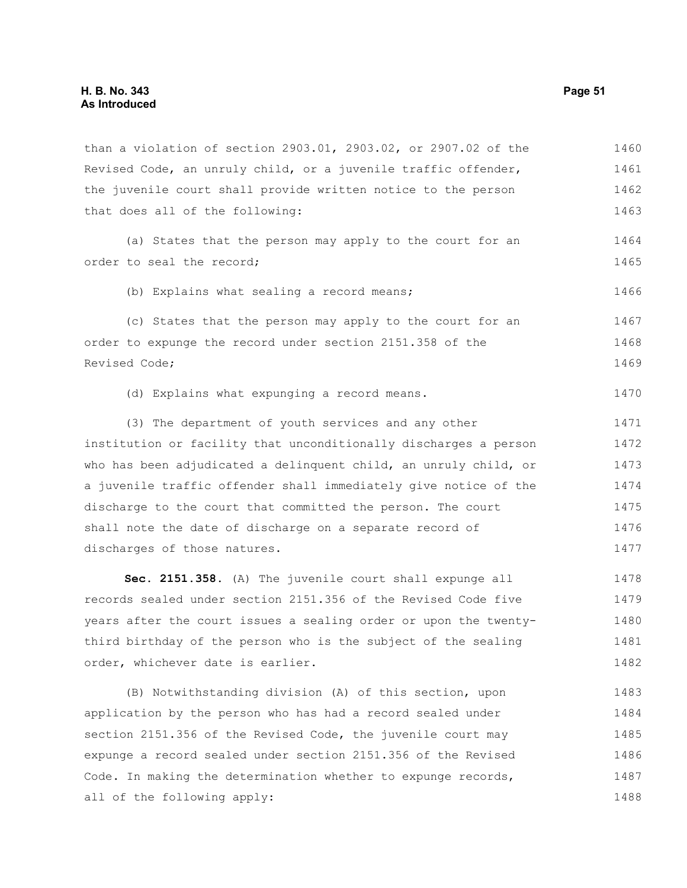### **H. B. No. 343 Page 51 As Introduced**

all of the following apply:

than a violation of section 2903.01, 2903.02, or 2907.02 of the Revised Code, an unruly child, or a juvenile traffic offender, the juvenile court shall provide written notice to the person that does all of the following: (a) States that the person may apply to the court for an order to seal the record; (b) Explains what sealing a record means; (c) States that the person may apply to the court for an order to expunge the record under section 2151.358 of the Revised Code; (d) Explains what expunging a record means. (3) The department of youth services and any other institution or facility that unconditionally discharges a person who has been adjudicated a delinquent child, an unruly child, or a juvenile traffic offender shall immediately give notice of the discharge to the court that committed the person. The court shall note the date of discharge on a separate record of discharges of those natures. **Sec. 2151.358.** (A) The juvenile court shall expunge all records sealed under section 2151.356 of the Revised Code five years after the court issues a sealing order or upon the twentythird birthday of the person who is the subject of the sealing order, whichever date is earlier. (B) Notwithstanding division (A) of this section, upon application by the person who has had a record sealed under section 2151.356 of the Revised Code, the juvenile court may expunge a record sealed under section 2151.356 of the Revised Code. In making the determination whether to expunge records, 1460 1461 1462 1463 1464 1465 1466 1467 1468 1469 1470 1471 1472 1473 1474 1475 1476 1477 1478 1479 1480 1481 1482 1483 1484 1485 1486 1487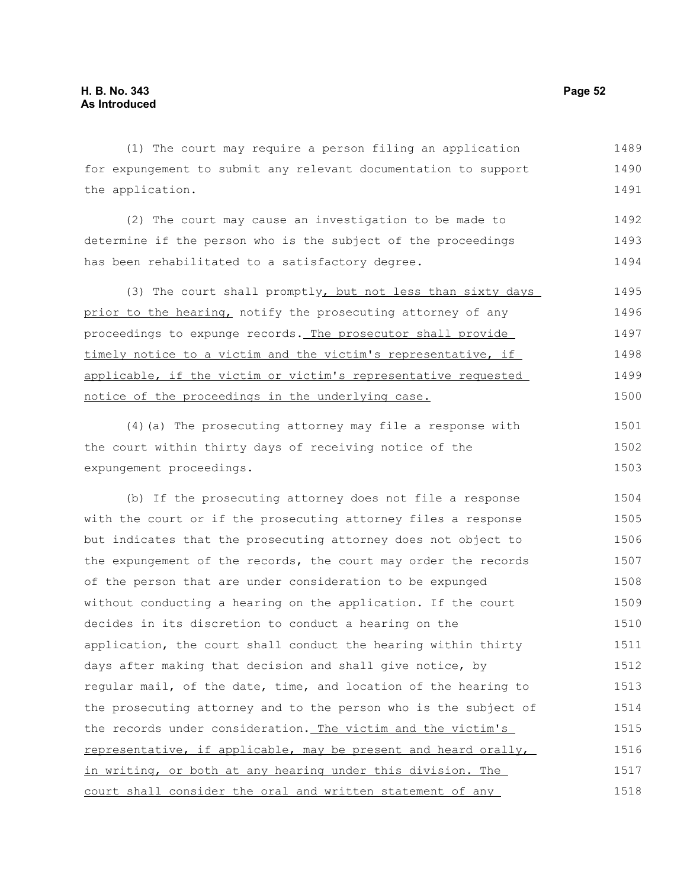(1) The court may require a person filing an application for expungement to submit any relevant documentation to support the application. 1489 1490 1491

(2) The court may cause an investigation to be made to determine if the person who is the subject of the proceedings has been rehabilitated to a satisfactory degree. 1492 1493 1494

(3) The court shall promptly, but not less than sixty days prior to the hearing, notify the prosecuting attorney of any proceedings to expunge records. The prosecutor shall provide timely notice to a victim and the victim's representative, if applicable, if the victim or victim's representative requested notice of the proceedings in the underlying case. 1495 1496 1497 1498 1499 1500

(4)(a) The prosecuting attorney may file a response with the court within thirty days of receiving notice of the expungement proceedings. 1501 1502 1503

(b) If the prosecuting attorney does not file a response with the court or if the prosecuting attorney files a response but indicates that the prosecuting attorney does not object to the expungement of the records, the court may order the records of the person that are under consideration to be expunged without conducting a hearing on the application. If the court decides in its discretion to conduct a hearing on the application, the court shall conduct the hearing within thirty days after making that decision and shall give notice, by regular mail, of the date, time, and location of the hearing to the prosecuting attorney and to the person who is the subject of the records under consideration. The victim and the victim's representative, if applicable, may be present and heard orally, in writing, or both at any hearing under this division. The court shall consider the oral and written statement of any 1504 1505 1506 1507 1508 1509 1510 1511 1512 1513 1514 1515 1516 1517 1518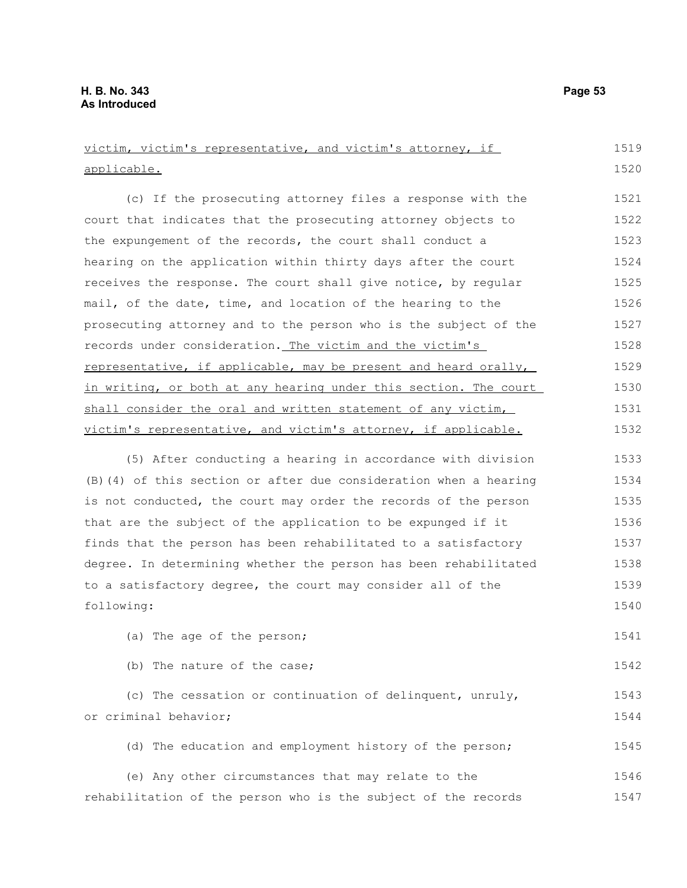victim, victim's representative, and victim's attorney, if applicable. (c) If the prosecuting attorney files a response with the court that indicates that the prosecuting attorney objects to the expungement of the records, the court shall conduct a hearing on the application within thirty days after the court receives the response. The court shall give notice, by regular mail, of the date, time, and location of the hearing to the prosecuting attorney and to the person who is the subject of the records under consideration. The victim and the victim's representative, if applicable, may be present and heard orally, in writing, or both at any hearing under this section. The court shall consider the oral and written statement of any victim, victim's representative, and victim's attorney, if applicable. (5) After conducting a hearing in accordance with division (B)(4) of this section or after due consideration when a hearing is not conducted, the court may order the records of the person that are the subject of the application to be expunged if it finds that the person has been rehabilitated to a satisfactory degree. In determining whether the person has been rehabilitated to a satisfactory degree, the court may consider all of the following: (a) The age of the person; (b) The nature of the case; (c) The cessation or continuation of delinquent, unruly, or criminal behavior; (d) The education and employment history of the person; (e) Any other circumstances that may relate to the rehabilitation of the person who is the subject of the records 1519 1520 1521 1522 1523 1524 1525 1526 1527 1528 1529 1530 1531 1532 1533 1534 1535 1536 1537 1538 1539 1540 1541 1542 1543 1544 1545 1546 1547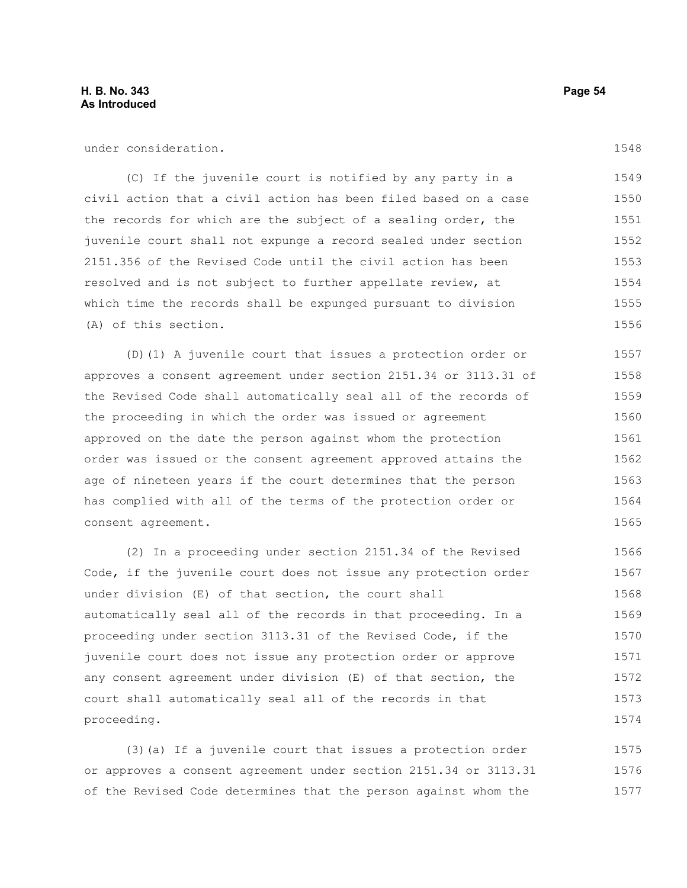under consideration.

(C) If the juvenile court is notified by any party in a civil action that a civil action has been filed based on a case the records for which are the subject of a sealing order, the juvenile court shall not expunge a record sealed under section 2151.356 of the Revised Code until the civil action has been resolved and is not subject to further appellate review, at which time the records shall be expunged pursuant to division (A) of this section. 1549 1550 1551 1552 1553 1554 1555 1556

(D)(1) A juvenile court that issues a protection order or approves a consent agreement under section 2151.34 or 3113.31 of the Revised Code shall automatically seal all of the records of the proceeding in which the order was issued or agreement approved on the date the person against whom the protection order was issued or the consent agreement approved attains the age of nineteen years if the court determines that the person has complied with all of the terms of the protection order or consent agreement. 1557 1558 1559 1560 1561 1562 1563 1564 1565

(2) In a proceeding under section 2151.34 of the Revised Code, if the juvenile court does not issue any protection order under division (E) of that section, the court shall automatically seal all of the records in that proceeding. In a proceeding under section 3113.31 of the Revised Code, if the juvenile court does not issue any protection order or approve any consent agreement under division (E) of that section, the court shall automatically seal all of the records in that proceeding. 1566 1567 1568 1569 1570 1571 1572 1573 1574

(3)(a) If a juvenile court that issues a protection order or approves a consent agreement under section 2151.34 or 3113.31 of the Revised Code determines that the person against whom the 1575 1576 1577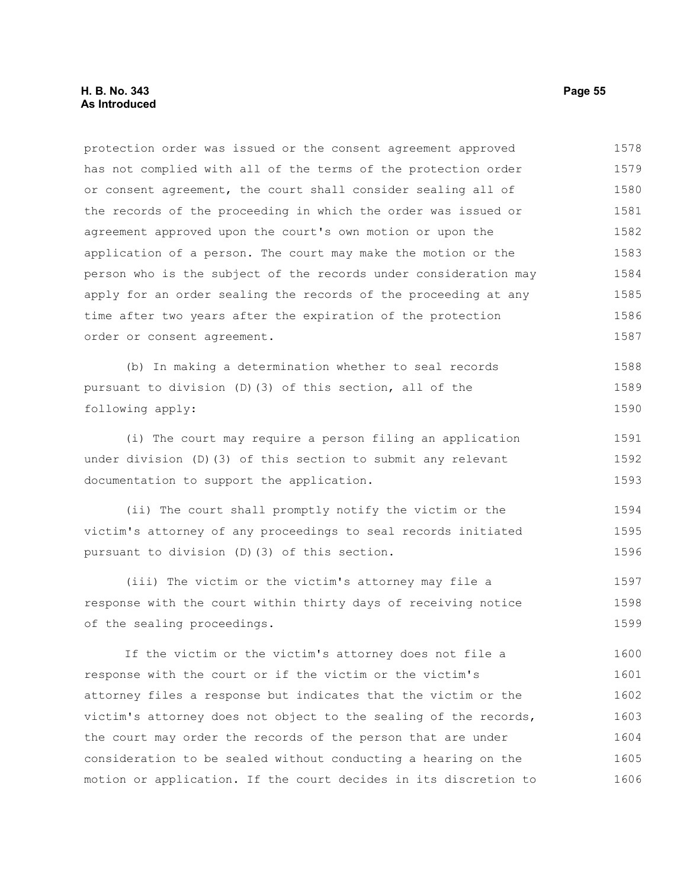# **H. B. No. 343 Page 55 As Introduced**

protection order was issued or the consent agreement approved has not complied with all of the terms of the protection order or consent agreement, the court shall consider sealing all of the records of the proceeding in which the order was issued or agreement approved upon the court's own motion or upon the application of a person. The court may make the motion or the person who is the subject of the records under consideration may apply for an order sealing the records of the proceeding at any time after two years after the expiration of the protection order or consent agreement. 1578 1579 1580 1581 1582 1583 1584 1585 1586 1587

(b) In making a determination whether to seal records pursuant to division (D)(3) of this section, all of the following apply: 1588 1589 1590

(i) The court may require a person filing an application under division (D)(3) of this section to submit any relevant documentation to support the application. 1591 1592 1593

(ii) The court shall promptly notify the victim or the victim's attorney of any proceedings to seal records initiated pursuant to division (D)(3) of this section. 1594 1595 1596

(iii) The victim or the victim's attorney may file a response with the court within thirty days of receiving notice of the sealing proceedings. 1597 1598 1599

If the victim or the victim's attorney does not file a response with the court or if the victim or the victim's attorney files a response but indicates that the victim or the victim's attorney does not object to the sealing of the records, the court may order the records of the person that are under consideration to be sealed without conducting a hearing on the motion or application. If the court decides in its discretion to 1600 1601 1602 1603 1604 1605 1606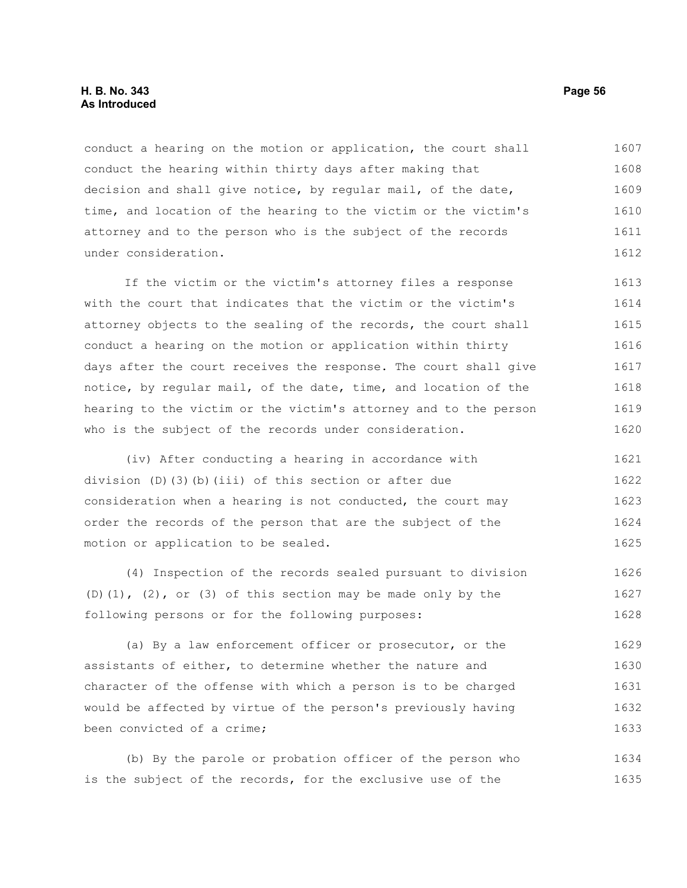### **H. B. No. 343 Page 56 As Introduced**

conduct a hearing on the motion or application, the court shall conduct the hearing within thirty days after making that decision and shall give notice, by regular mail, of the date, time, and location of the hearing to the victim or the victim's attorney and to the person who is the subject of the records under consideration. 1607 1608 1609 1610 1611 1612

If the victim or the victim's attorney files a response with the court that indicates that the victim or the victim's attorney objects to the sealing of the records, the court shall conduct a hearing on the motion or application within thirty days after the court receives the response. The court shall give notice, by regular mail, of the date, time, and location of the hearing to the victim or the victim's attorney and to the person who is the subject of the records under consideration. 1613 1614 1615 1616 1617 1618 1619 1620

(iv) After conducting a hearing in accordance with division (D)(3)(b)(iii) of this section or after due consideration when a hearing is not conducted, the court may order the records of the person that are the subject of the motion or application to be sealed. 1621 1622 1623 1624 1625

(4) Inspection of the records sealed pursuant to division (D)(1), (2), or (3) of this section may be made only by the following persons or for the following purposes: 1626 1627 1628

(a) By a law enforcement officer or prosecutor, or the assistants of either, to determine whether the nature and character of the offense with which a person is to be charged would be affected by virtue of the person's previously having been convicted of a crime; 1629 1630 1631 1632 1633

(b) By the parole or probation officer of the person who is the subject of the records, for the exclusive use of the 1634 1635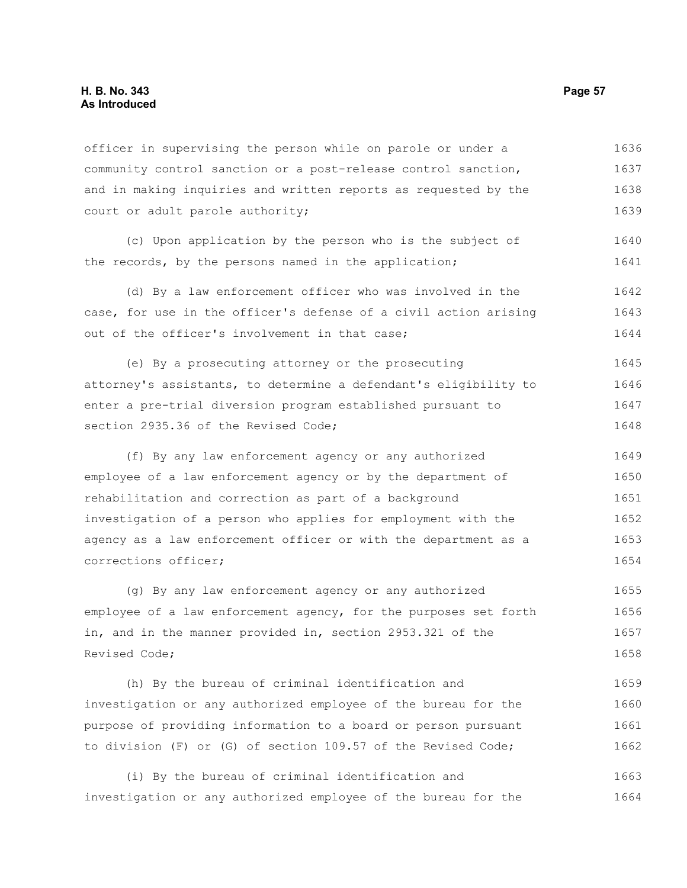officer in supervising the person while on parole or under a community control sanction or a post-release control sanction, and in making inquiries and written reports as requested by the court or adult parole authority; 1636 1637 1638 1639

(c) Upon application by the person who is the subject of the records, by the persons named in the application; 1640 1641

(d) By a law enforcement officer who was involved in the case, for use in the officer's defense of a civil action arising out of the officer's involvement in that case; 1642 1643 1644

(e) By a prosecuting attorney or the prosecuting attorney's assistants, to determine a defendant's eligibility to enter a pre-trial diversion program established pursuant to section 2935.36 of the Revised Code; 1645 1646 1647 1648

(f) By any law enforcement agency or any authorized employee of a law enforcement agency or by the department of rehabilitation and correction as part of a background investigation of a person who applies for employment with the agency as a law enforcement officer or with the department as a corrections officer; 1649 1650 1651 1652 1653 1654

(g) By any law enforcement agency or any authorized employee of a law enforcement agency, for the purposes set forth in, and in the manner provided in, section 2953.321 of the Revised Code; 1655 1656 1657 1658

(h) By the bureau of criminal identification and investigation or any authorized employee of the bureau for the purpose of providing information to a board or person pursuant to division (F) or (G) of section 109.57 of the Revised Code; 1659 1660 1661 1662

(i) By the bureau of criminal identification and investigation or any authorized employee of the bureau for the 1663 1664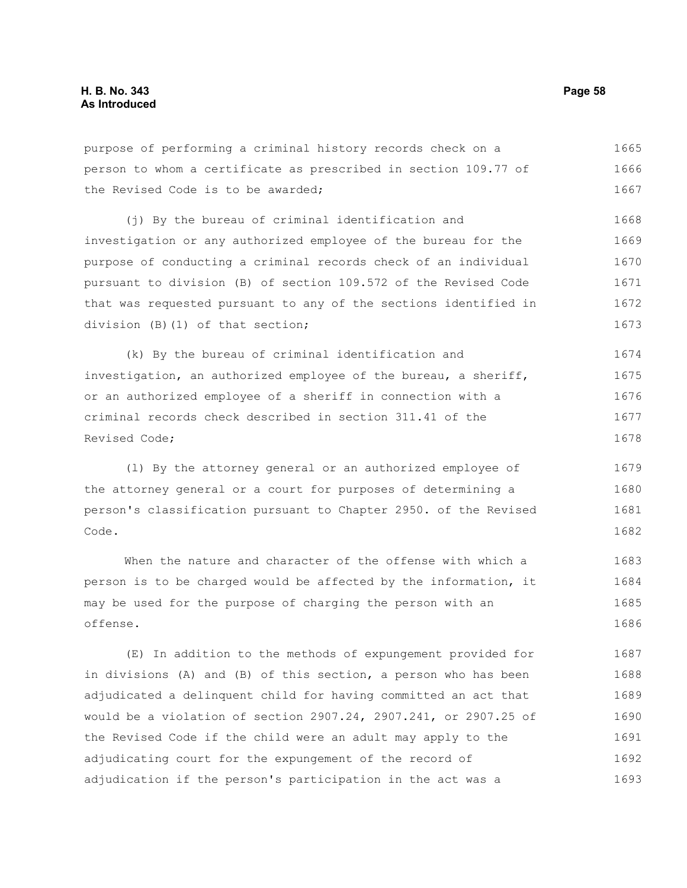purpose of performing a criminal history records check on a person to whom a certificate as prescribed in section 109.77 of the Revised Code is to be awarded; 1665 1666 1667

(j) By the bureau of criminal identification and investigation or any authorized employee of the bureau for the purpose of conducting a criminal records check of an individual pursuant to division (B) of section 109.572 of the Revised Code that was requested pursuant to any of the sections identified in division (B)(1) of that section; 1668 1669 1670 1671 1672 1673

(k) By the bureau of criminal identification and investigation, an authorized employee of the bureau, a sheriff, or an authorized employee of a sheriff in connection with a criminal records check described in section 311.41 of the Revised Code; 1674 1675 1676 1677 1678

(l) By the attorney general or an authorized employee of the attorney general or a court for purposes of determining a person's classification pursuant to Chapter 2950. of the Revised Code. 1679 1680 1681 1682

When the nature and character of the offense with which a person is to be charged would be affected by the information, it may be used for the purpose of charging the person with an offense. 1683 1684 1685 1686

(E) In addition to the methods of expungement provided for in divisions (A) and (B) of this section, a person who has been adjudicated a delinquent child for having committed an act that would be a violation of section 2907.24, 2907.241, or 2907.25 of the Revised Code if the child were an adult may apply to the adjudicating court for the expungement of the record of adjudication if the person's participation in the act was a 1687 1688 1689 1690 1691 1692 1693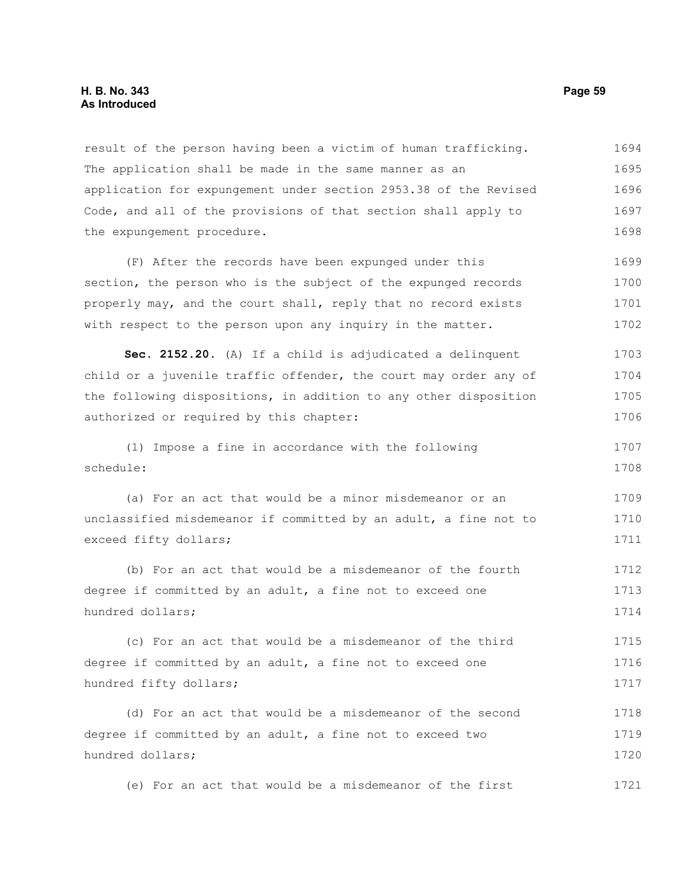### **H. B. No. 343 Page 59 As Introduced**

result of the person having been a victim of human trafficking. The application shall be made in the same manner as an application for expungement under section 2953.38 of the Revised Code, and all of the provisions of that section shall apply to the expungement procedure. 1694 1695 1696 1697 1698

(F) After the records have been expunged under this section, the person who is the subject of the expunged records properly may, and the court shall, reply that no record exists with respect to the person upon any inquiry in the matter. 1699 1700 1701 1702

**Sec. 2152.20.** (A) If a child is adjudicated a delinquent child or a juvenile traffic offender, the court may order any of the following dispositions, in addition to any other disposition authorized or required by this chapter: 1703 1704 1705 1706

(1) Impose a fine in accordance with the following schedule: 1707 1708

(a) For an act that would be a minor misdemeanor or an unclassified misdemeanor if committed by an adult, a fine not to exceed fifty dollars; 1709 1710 1711

(b) For an act that would be a misdemeanor of the fourth degree if committed by an adult, a fine not to exceed one hundred dollars; 1712 1713 1714

(c) For an act that would be a misdemeanor of the third degree if committed by an adult, a fine not to exceed one hundred fifty dollars; 1715 1716 1717

(d) For an act that would be a misdemeanor of the second degree if committed by an adult, a fine not to exceed two hundred dollars; 1718 1719 1720

(e) For an act that would be a misdemeanor of the first 1721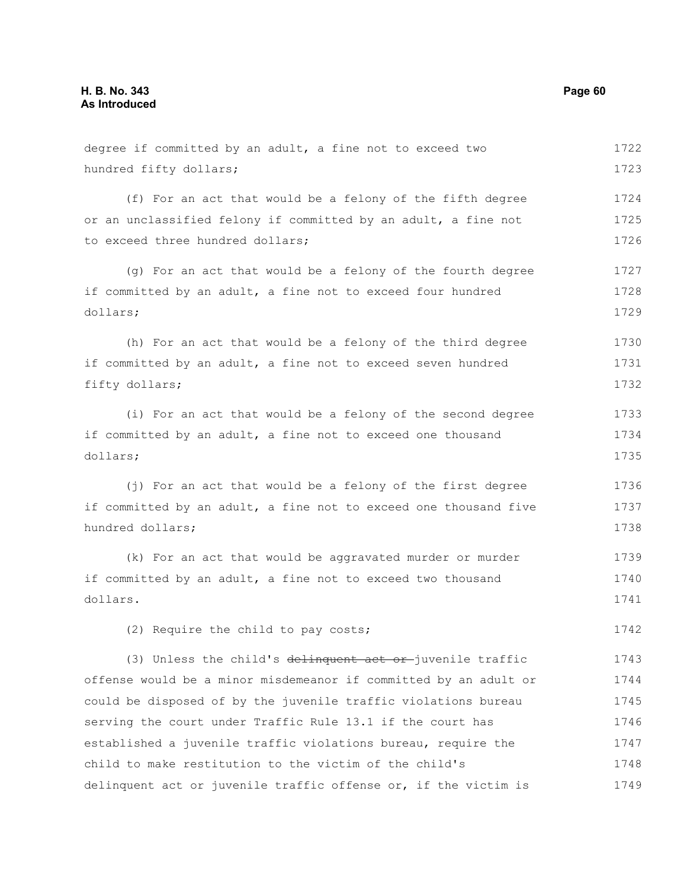hundred fifty dollars;

degree if committed by an adult, a fine not to exceed two

(f) For an act that would be a felony of the fifth degree or an unclassified felony if committed by an adult, a fine not to exceed three hundred dollars; 1724 1725 1726

(g) For an act that would be a felony of the fourth degree if committed by an adult, a fine not to exceed four hundred dollars; 1727 1728 1729

(h) For an act that would be a felony of the third degree if committed by an adult, a fine not to exceed seven hundred fifty dollars; 1730 1731 1732

(i) For an act that would be a felony of the second degree if committed by an adult, a fine not to exceed one thousand dollars; 1733 1734 1735

(j) For an act that would be a felony of the first degree if committed by an adult, a fine not to exceed one thousand five hundred dollars; 1736 1737 1738

(k) For an act that would be aggravated murder or murder if committed by an adult, a fine not to exceed two thousand dollars. 1739 1740 1741

(2) Require the child to pay costs;

(3) Unless the child's delinquent act or juvenile traffic offense would be a minor misdemeanor if committed by an adult or could be disposed of by the juvenile traffic violations bureau serving the court under Traffic Rule 13.1 if the court has established a juvenile traffic violations bureau, require the child to make restitution to the victim of the child's delinquent act or juvenile traffic offense or, if the victim is 1743 1744 1745 1746 1747 1748 1749

1722 1723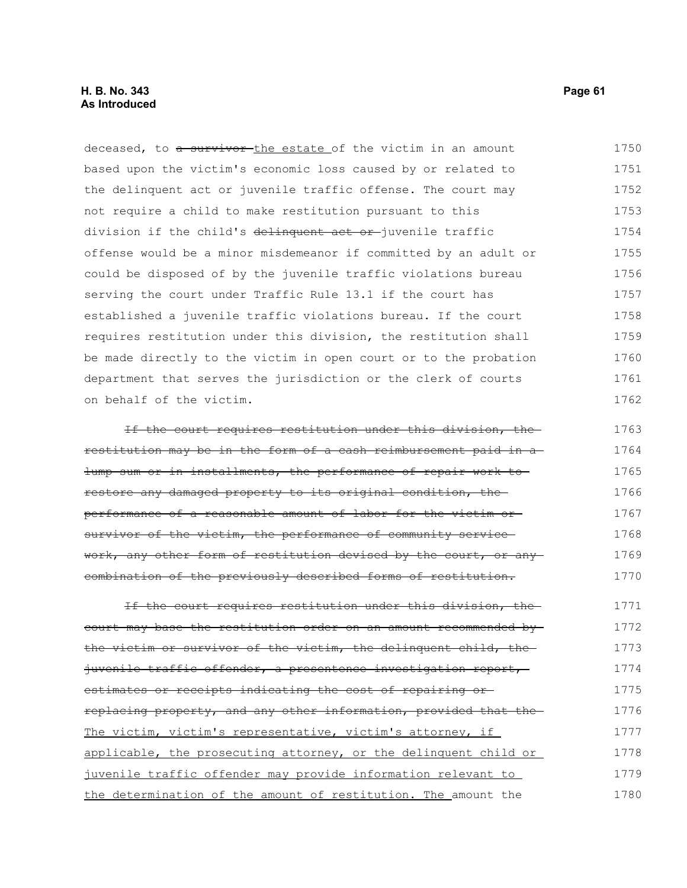deceased, to a survivor the estate of the victim in an amount based upon the victim's economic loss caused by or related to the delinquent act or juvenile traffic offense. The court may not require a child to make restitution pursuant to this division if the child's delinquent act or-juvenile traffic offense would be a minor misdemeanor if committed by an adult or could be disposed of by the juvenile traffic violations bureau serving the court under Traffic Rule 13.1 if the court has established a juvenile traffic violations bureau. If the court requires restitution under this division, the restitution shall be made directly to the victim in open court or to the probation department that serves the jurisdiction or the clerk of courts on behalf of the victim. 1750 1751 1752 1753 1754 1755 1756 1757 1758 1759 1760 1761 1762

If the court requires restitution under this division, the restitution may be in the form of a cash reimbursement paid in a lump sum or in installments, the performance of repair work to restore any damaged property to its original condition, the performance of a reasonable amount of labor for the victim or survivor of the victim, the performance of community service work, any other form of restitution devised by the court, or any combination of the previously described forms of restitution. 1763 1764 1765 1766 1767 1768 1769 1770

If the court requires restitution under this division, the court may base the restitution order on an amount recommended by the victim or survivor of the victim, the delinquent child, the juvenile traffic offender, a presentence investigation report, estimates or receipts indicating the cost of repairing or replacing property, and any other information, provided that the The victim, victim's representative, victim's attorney, if applicable, the prosecuting attorney, or the delinquent child or juvenile traffic offender may provide information relevant to the determination of the amount of restitution. The amount the 1771 1772 1773 1774 1775 1776 1777 1778 1779 1780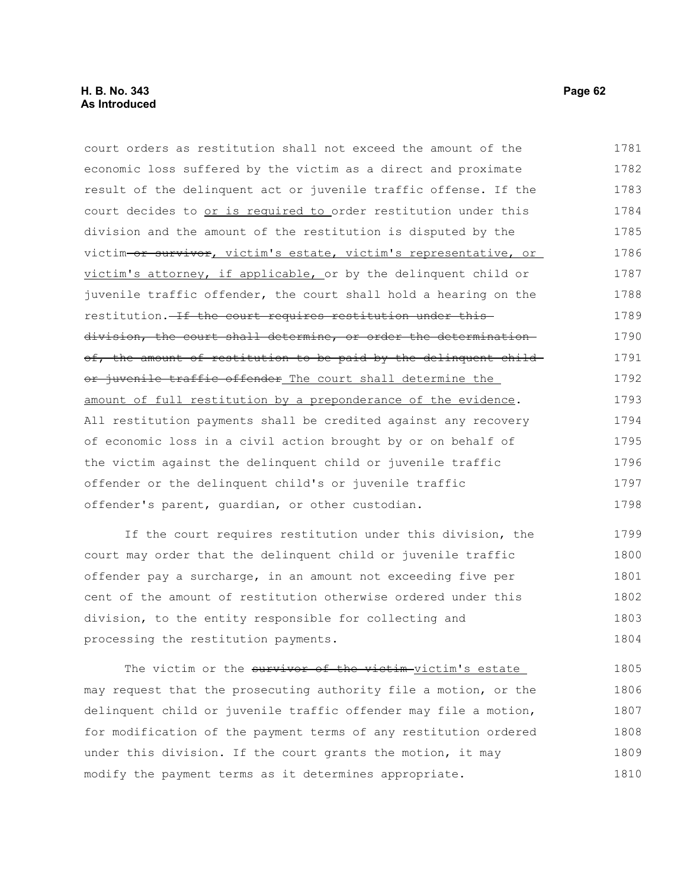court orders as restitution shall not exceed the amount of the economic loss suffered by the victim as a direct and proximate result of the delinquent act or juvenile traffic offense. If the court decides to or is required to order restitution under this division and the amount of the restitution is disputed by the victim or survivor, victim's estate, victim's representative, or victim's attorney, if applicable, or by the delinquent child or juvenile traffic offender, the court shall hold a hearing on the restitution. If the court requires restitution under thisdivision, the court shall determine, or order the determination of, the amount of restitution to be paid by the delinquent childor juvenile traffic offender The court shall determine the amount of full restitution by a preponderance of the evidence. All restitution payments shall be credited against any recovery of economic loss in a civil action brought by or on behalf of the victim against the delinquent child or juvenile traffic offender or the delinquent child's or juvenile traffic offender's parent, guardian, or other custodian. 1781 1782 1783 1784 1785 1786 1787 1788 1789 1790 1791 1792 1793 1794 1795 1796 1797 1798

If the court requires restitution under this division, the court may order that the delinquent child or juvenile traffic offender pay a surcharge, in an amount not exceeding five per cent of the amount of restitution otherwise ordered under this division, to the entity responsible for collecting and processing the restitution payments. 1799 1800 1801 1802 1803 1804

The victim or the survivor of the victim-victim's estate may request that the prosecuting authority file a motion, or the delinquent child or juvenile traffic offender may file a motion, for modification of the payment terms of any restitution ordered under this division. If the court grants the motion, it may modify the payment terms as it determines appropriate. 1805 1806 1807 1808 1809 1810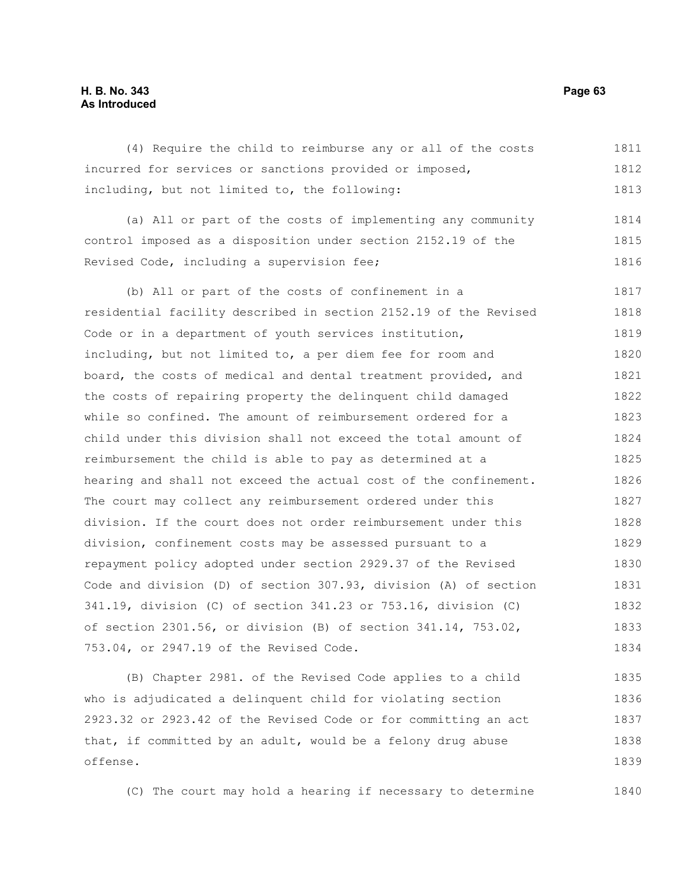# **H. B. No. 343 Page 63 As Introduced**

(4) Require the child to reimburse any or all of the costs incurred for services or sanctions provided or imposed, including, but not limited to, the following: (a) All or part of the costs of implementing any community control imposed as a disposition under section 2152.19 of the Revised Code, including a supervision fee; (b) All or part of the costs of confinement in a residential facility described in section 2152.19 of the Revised Code or in a department of youth services institution, including, but not limited to, a per diem fee for room and board, the costs of medical and dental treatment provided, and the costs of repairing property the delinquent child damaged while so confined. The amount of reimbursement ordered for a child under this division shall not exceed the total amount of reimbursement the child is able to pay as determined at a hearing and shall not exceed the actual cost of the confinement. The court may collect any reimbursement ordered under this division. If the court does not order reimbursement under this division, confinement costs may be assessed pursuant to a repayment policy adopted under section 2929.37 of the Revised Code and division (D) of section 307.93, division (A) of section 341.19, division (C) of section 341.23 or 753.16, division (C) of section 2301.56, or division (B) of section 341.14, 753.02, 753.04, or 2947.19 of the Revised Code. 1811 1812 1813 1814 1815 1816 1817 1818 1819 1820 1821 1822 1823 1824 1825 1826 1827 1828 1829 1830 1831 1832 1833 1834

(B) Chapter 2981. of the Revised Code applies to a child who is adjudicated a delinquent child for violating section 2923.32 or 2923.42 of the Revised Code or for committing an act that, if committed by an adult, would be a felony drug abuse offense. 1835 1836 1837 1838 1839

(C) The court may hold a hearing if necessary to determine 1840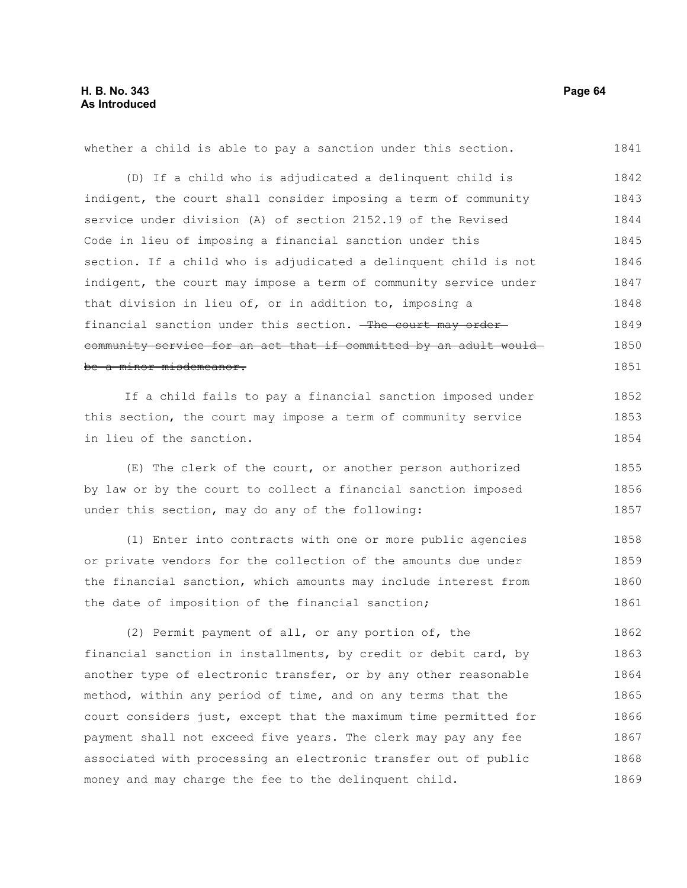whether a child is able to pay a sanction under this section. (D) If a child who is adjudicated a delinquent child is indigent, the court shall consider imposing a term of community service under division (A) of section 2152.19 of the Revised Code in lieu of imposing a financial sanction under this section. If a child who is adjudicated a delinquent child is not indigent, the court may impose a term of community service under that division in lieu of, or in addition to, imposing a financial sanction under this section. The court may order community service for an act that if committed by an adult would be a minor misdemeanor. 1841 1842 1843 1844 1845 1846 1847 1848 1849 1850 1851

If a child fails to pay a financial sanction imposed under this section, the court may impose a term of community service in lieu of the sanction. 1852 1853 1854

(E) The clerk of the court, or another person authorized by law or by the court to collect a financial sanction imposed under this section, may do any of the following: 1855 1856 1857

(1) Enter into contracts with one or more public agencies or private vendors for the collection of the amounts due under the financial sanction, which amounts may include interest from the date of imposition of the financial sanction; 1858 1859 1860 1861

(2) Permit payment of all, or any portion of, the financial sanction in installments, by credit or debit card, by another type of electronic transfer, or by any other reasonable method, within any period of time, and on any terms that the court considers just, except that the maximum time permitted for payment shall not exceed five years. The clerk may pay any fee associated with processing an electronic transfer out of public money and may charge the fee to the delinquent child. 1862 1863 1864 1865 1866 1867 1868 1869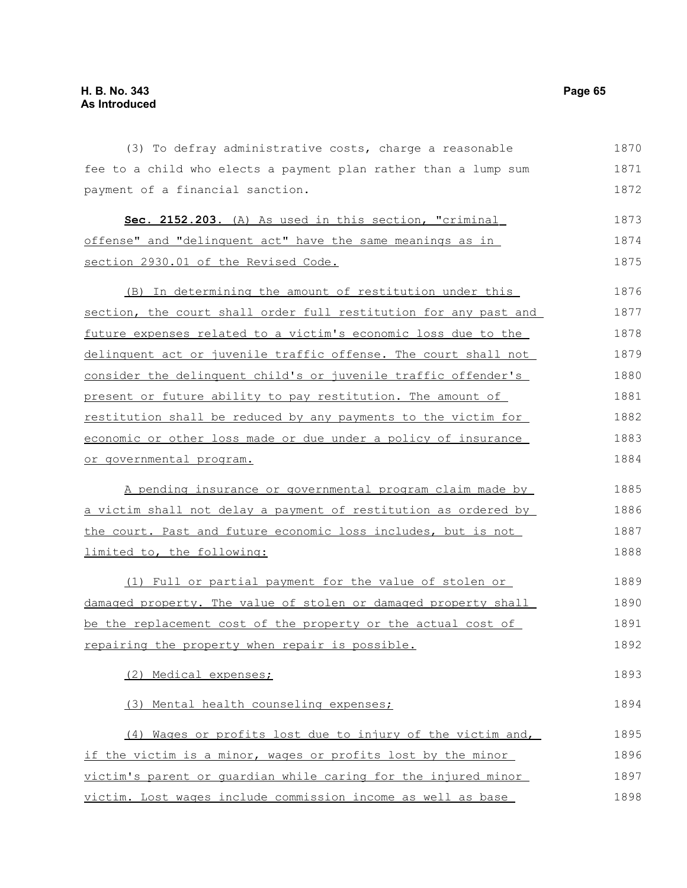(3) To defray administrative costs, charge a reasonable fee to a child who elects a payment plan rather than a lump sum payment of a financial sanction. **Sec. 2152.203.** (A) As used in this section, "criminal offense" and "delinquent act" have the same meanings as in section 2930.01 of the Revised Code. (B) In determining the amount of restitution under this section, the court shall order full restitution for any past and future expenses related to a victim's economic loss due to the delinquent act or juvenile traffic offense. The court shall not consider the delinquent child's or juvenile traffic offender's present or future ability to pay restitution. The amount of restitution shall be reduced by any payments to the victim for economic or other loss made or due under a policy of insurance or governmental program. A pending insurance or governmental program claim made by a victim shall not delay a payment of restitution as ordered by the court. Past and future economic loss includes, but is not limited to, the following: (1) Full or partial payment for the value of stolen or damaged property. The value of stolen or damaged property shall be the replacement cost of the property or the actual cost of repairing the property when repair is possible. (2) Medical expenses; (3) Mental health counseling expenses; (4) Wages or profits lost due to injury of the victim and, if the victim is a minor, wages or profits lost by the minor victim's parent or guardian while caring for the injured minor victim. Lost wages include commission income as well as base 1870 1871 1872 1873 1874 1875 1876 1877 1878 1879 1880 1881 1882 1883 1884 1885 1886 1887 1888 1889 1890 1891 1892 1893 1894 1895 1896 1897 1898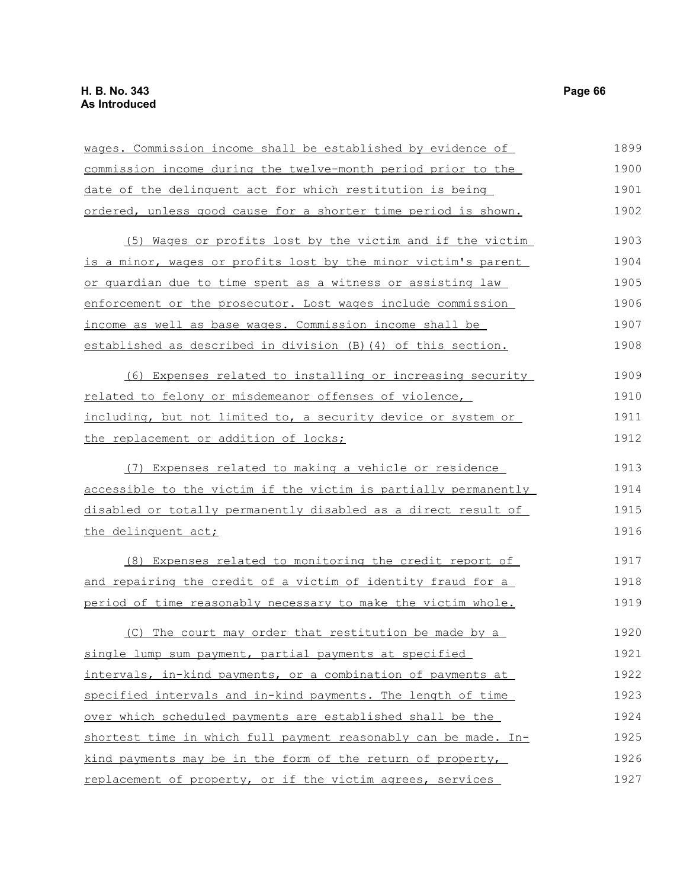wages. Commission income shall be established by evidence of commission income during the twelve-month period prior to the date of the delinquent act for which restitution is being ordered, unless good cause for a shorter time period is shown. (5) Wages or profits lost by the victim and if the victim is a minor, wages or profits lost by the minor victim's parent or guardian due to time spent as a witness or assisting law enforcement or the prosecutor. Lost wages include commission income as well as base wages. Commission income shall be established as described in division (B)(4) of this section. (6) Expenses related to installing or increasing security related to felony or misdemeanor offenses of violence, including, but not limited to, a security device or system or the replacement or addition of locks; (7) Expenses related to making a vehicle or residence accessible to the victim if the victim is partially permanently disabled or totally permanently disabled as a direct result of the delinquent act; (8) Expenses related to monitoring the credit report of and repairing the credit of a victim of identity fraud for a period of time reasonably necessary to make the victim whole. (C) The court may order that restitution be made by a single lump sum payment, partial payments at specified intervals, in-kind payments, or a combination of payments at specified intervals and in-kind payments. The length of time over which scheduled payments are established shall be the shortest time in which full payment reasonably can be made. Inkind payments may be in the form of the return of property, replacement of property, or if the victim agrees, services 1899 1900 1901 1902 1903 1904 1905 1906 1907 1908 1909 1910 1911 1912 1913 1914 1915 1916 1917 1918 1919 1920 1921 1922 1923 1924 1925 1926 1927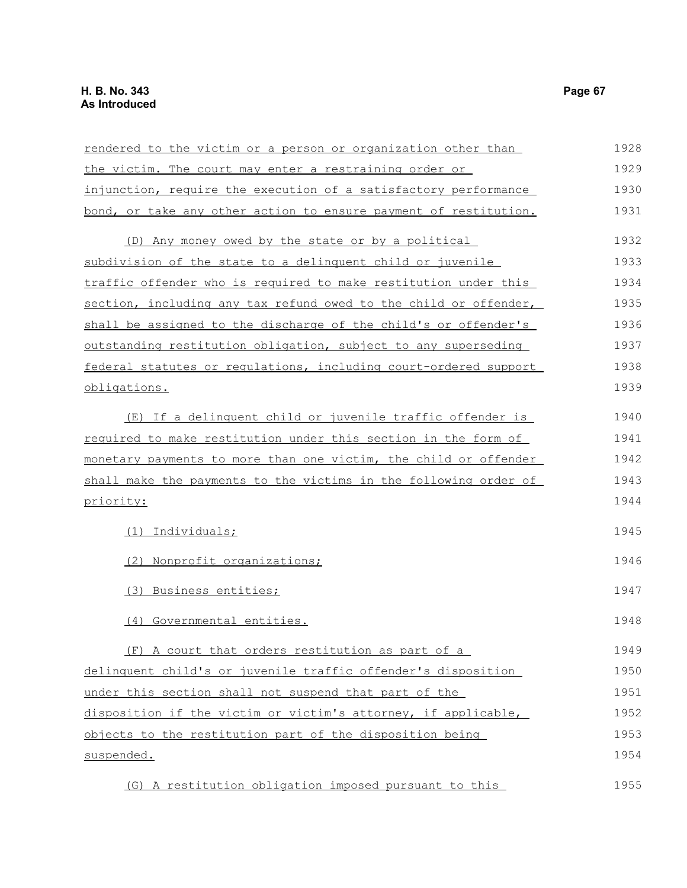| rendered to the victim or a person or organization other than    | 1928 |
|------------------------------------------------------------------|------|
| the victim. The court may enter a restraining order or           | 1929 |
| injunction, require the execution of a satisfactory performance  | 1930 |
| bond, or take any other action to ensure payment of restitution. | 1931 |
| (D) Any money owed by the state or by a political                | 1932 |
| subdivision of the state to a delinquent child or juvenile       | 1933 |
| traffic offender who is required to make restitution under this  | 1934 |
| section, including any tax refund owed to the child or offender, | 1935 |
| shall be assigned to the discharge of the child's or offender's  | 1936 |
| outstanding restitution obligation, subject to any superseding   | 1937 |
| federal statutes or regulations, including court-ordered support | 1938 |
| obligations.                                                     | 1939 |
| (E) If a delinquent child or juvenile traffic offender is        | 1940 |
| required to make restitution under this section in the form of   | 1941 |
| monetary payments to more than one victim, the child or offender | 1942 |
| shall make the payments to the victims in the following order of | 1943 |
| priority:                                                        | 1944 |
| (1) Individuals;                                                 | 1945 |
| Nonprofit organizations;<br>(2)                                  | 1946 |
| (3) Business entities;                                           | 1947 |
| (4) Governmental entities.                                       | 1948 |
| (F) A court that orders restitution as part of a                 | 1949 |
| delinquent child's or juvenile traffic offender's disposition    | 1950 |
| under this section shall not suspend that part of the            | 1951 |
| disposition if the victim or victim's attorney, if applicable,   | 1952 |
| objects to the restitution part of the disposition being         | 1953 |
| suspended.                                                       | 1954 |
| (G) A restitution obligation imposed pursuant to this            | 1955 |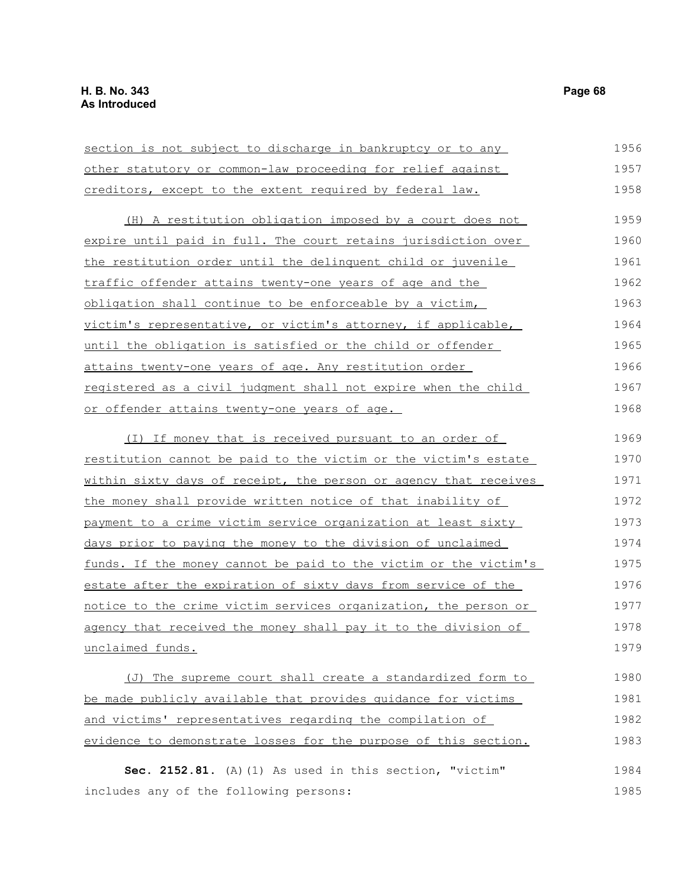| section is not subject to discharge in bankruptcy or to any        | 1956 |
|--------------------------------------------------------------------|------|
| <u>other statutory or common-law proceeding for relief against</u> | 1957 |
| creditors, except to the extent required by federal law.           | 1958 |
| (H) A restitution obligation imposed by a court does not           | 1959 |
| expire until paid in full. The court retains jurisdiction over     | 1960 |
| the restitution order until the delinquent child or juvenile       | 1961 |
| traffic offender attains twenty-one years of age and the           | 1962 |
| obligation shall continue to be enforceable by a victim,           | 1963 |
| victim's representative, or victim's attorney, if applicable,      | 1964 |
| until the obligation is satisfied or the child or offender         | 1965 |
| attains twenty-one years of age. Any restitution order             | 1966 |
| registered as a civil judgment shall not expire when the child     | 1967 |
| or offender attains twenty-one years of age.                       | 1968 |
| (I) If money that is received pursuant to an order of              | 1969 |
| restitution cannot be paid to the victim or the victim's estate    | 1970 |
| within sixty days of receipt, the person or agency that receives   | 1971 |
| the money shall provide written notice of that inability of        | 1972 |
| payment to a crime victim service organization at least sixty      | 1973 |
| days prior to paying the money to the division of unclaimed        | 1974 |
| funds. If the money cannot be paid to the victim or the victim's   | 1975 |
| estate after the expiration of sixty days from service of the      | 1976 |
| notice to the crime victim services organization, the person or    | 1977 |
| agency that received the money shall pay it to the division of     | 1978 |
| unclaimed funds.                                                   | 1979 |
| (J) The supreme court shall create a standardized form to          | 1980 |
| be made publicly available that provides quidance for victims      | 1981 |
| and victims' representatives regarding the compilation of          | 1982 |
| evidence to demonstrate losses for the purpose of this section.    | 1983 |
| Sec. 2152.81. (A) (1) As used in this section, "victim"            | 1984 |

includes any of the following persons: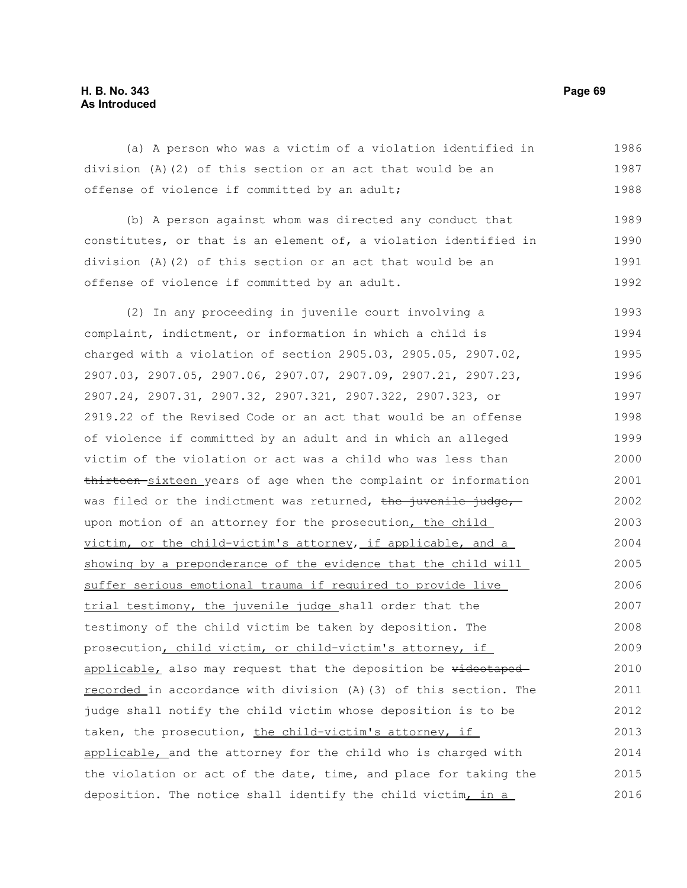# **H. B. No. 343 Page 69 As Introduced**

(a) A person who was a victim of a violation identified in division (A)(2) of this section or an act that would be an offense of violence if committed by an adult; (b) A person against whom was directed any conduct that constitutes, or that is an element of, a violation identified in division (A)(2) of this section or an act that would be an offense of violence if committed by an adult. (2) In any proceeding in juvenile court involving a complaint, indictment, or information in which a child is charged with a violation of section 2905.03, 2905.05, 2907.02, 2907.03, 2907.05, 2907.06, 2907.07, 2907.09, 2907.21, 2907.23, 2907.24, 2907.31, 2907.32, 2907.321, 2907.322, 2907.323, or 2919.22 of the Revised Code or an act that would be an offense of violence if committed by an adult and in which an alleged victim of the violation or act was a child who was less than thirteen sixteen years of age when the complaint or information was filed or the indictment was returned, the juvenile judge, upon motion of an attorney for the prosecution, the child victim, or the child-victim's attorney, if applicable, and a showing by a preponderance of the evidence that the child will suffer serious emotional trauma if required to provide live trial testimony, the juvenile judge shall order that the testimony of the child victim be taken by deposition. The prosecution, child victim, or child-victim's attorney, if applicable, also may request that the deposition be videotaped recorded in accordance with division (A)(3) of this section. The judge shall notify the child victim whose deposition is to be taken, the prosecution, the child-victim's attorney, if applicable, and the attorney for the child who is charged with the violation or act of the date, time, and place for taking the deposition. The notice shall identify the child victim, in a 1986 1987 1988 1989 1990 1991 1992 1993 1994 1995 1996 1997 1998 1999 2000 2001 2002 2003 2004 2005 2006 2007 2008 2009 2010 2011 2012 2013 2014 2015 2016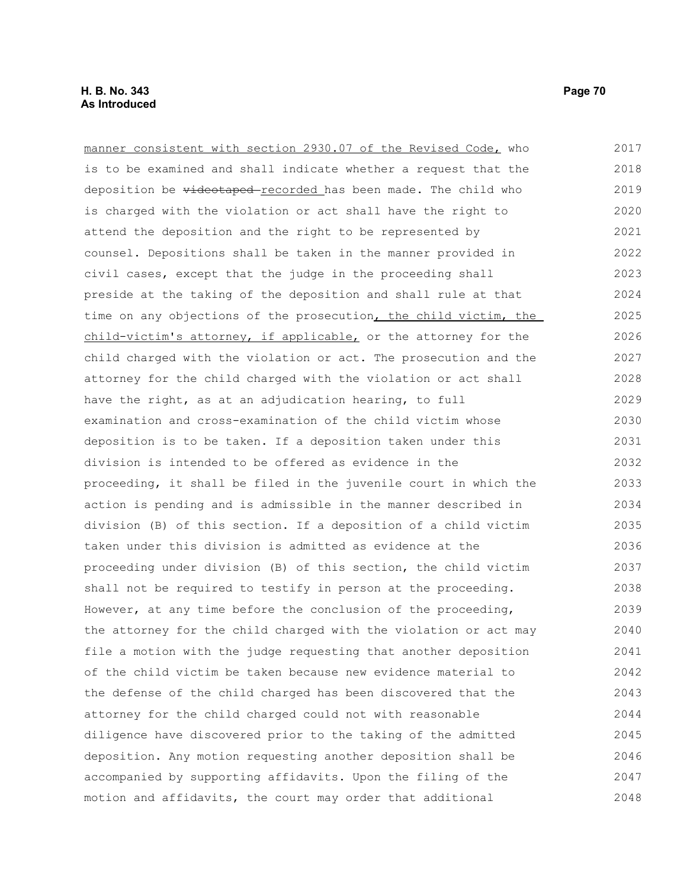manner consistent with section 2930.07 of the Revised Code, who is to be examined and shall indicate whether a request that the deposition be videotaped recorded has been made. The child who is charged with the violation or act shall have the right to attend the deposition and the right to be represented by counsel. Depositions shall be taken in the manner provided in civil cases, except that the judge in the proceeding shall preside at the taking of the deposition and shall rule at that time on any objections of the prosecution, the child victim, the child-victim's attorney, if applicable, or the attorney for the child charged with the violation or act. The prosecution and the attorney for the child charged with the violation or act shall have the right, as at an adjudication hearing, to full examination and cross-examination of the child victim whose deposition is to be taken. If a deposition taken under this division is intended to be offered as evidence in the proceeding, it shall be filed in the juvenile court in which the action is pending and is admissible in the manner described in division (B) of this section. If a deposition of a child victim taken under this division is admitted as evidence at the proceeding under division (B) of this section, the child victim shall not be required to testify in person at the proceeding. However, at any time before the conclusion of the proceeding, the attorney for the child charged with the violation or act may file a motion with the judge requesting that another deposition of the child victim be taken because new evidence material to the defense of the child charged has been discovered that the attorney for the child charged could not with reasonable diligence have discovered prior to the taking of the admitted deposition. Any motion requesting another deposition shall be 2017 2018 2019 2020 2021 2022 2023 2024 2025 2026 2027 2028 2029 2030 2031 2032 2033 2034 2035 2036 2037 2038 2039 2040 2041 2042 2043 2044 2045 2046

accompanied by supporting affidavits. Upon the filing of the motion and affidavits, the court may order that additional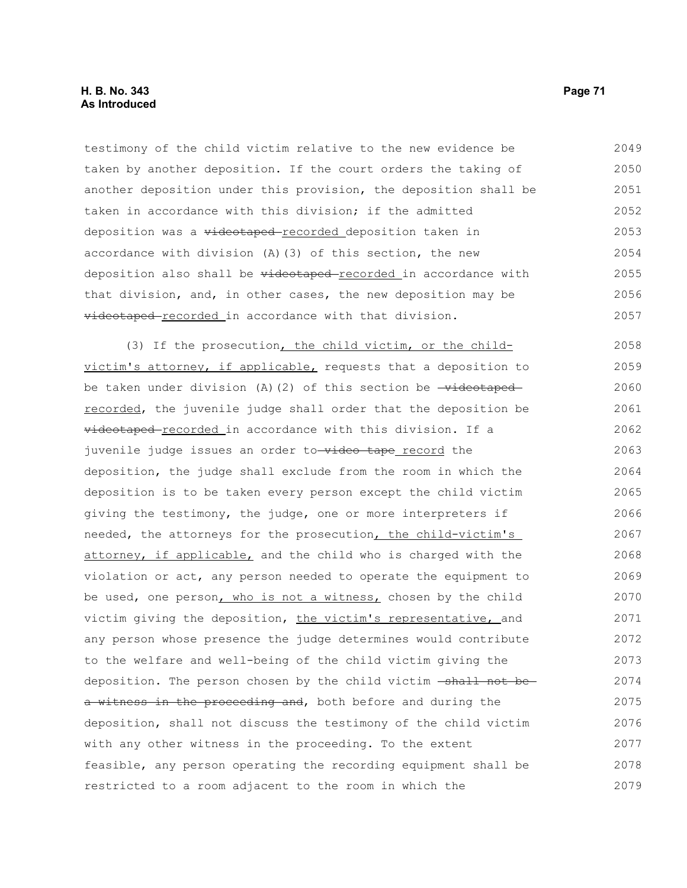## **H. B. No. 343 Page 71 As Introduced**

testimony of the child victim relative to the new evidence be taken by another deposition. If the court orders the taking of another deposition under this provision, the deposition shall be taken in accordance with this division; if the admitted deposition was a videotaped-recorded deposition taken in accordance with division (A)(3) of this section, the new deposition also shall be videotaped-recorded in accordance with that division, and, in other cases, the new deposition may be videotaped recorded in accordance with that division. 2049 2050 2051 2052 2053 2054 2055 2056 2057

(3) If the prosecution, the child victim, or the childvictim's attorney, if applicable, requests that a deposition to be taken under division (A)(2) of this section be  $-\nu i$  deotaped recorded, the juvenile judge shall order that the deposition be videotaped recorded in accordance with this division. If a juvenile judge issues an order to-video tape record the deposition, the judge shall exclude from the room in which the deposition is to be taken every person except the child victim giving the testimony, the judge, one or more interpreters if needed, the attorneys for the prosecution, the child-victim's attorney, if applicable, and the child who is charged with the violation or act, any person needed to operate the equipment to be used, one person, who is not a witness, chosen by the child victim giving the deposition, the victim's representative, and any person whose presence the judge determines would contribute to the welfare and well-being of the child victim giving the deposition. The person chosen by the child victim -shall not bea witness in the proceeding and, both before and during the deposition, shall not discuss the testimony of the child victim with any other witness in the proceeding. To the extent feasible, any person operating the recording equipment shall be restricted to a room adjacent to the room in which the 2058 2059 2060 2061 2062 2063 2064 2065 2066 2067 2068 2069 2070 2071 2072 2073 2074 2075 2076 2077 2078 2079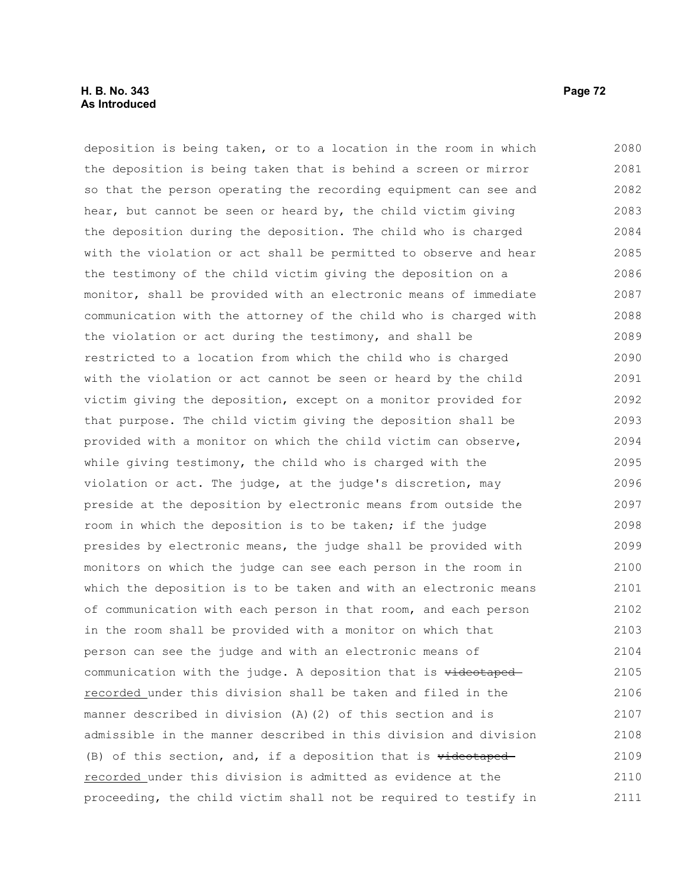# **H. B. No. 343 Page 72 As Introduced**

deposition is being taken, or to a location in the room in which the deposition is being taken that is behind a screen or mirror so that the person operating the recording equipment can see and hear, but cannot be seen or heard by, the child victim giving the deposition during the deposition. The child who is charged with the violation or act shall be permitted to observe and hear the testimony of the child victim giving the deposition on a monitor, shall be provided with an electronic means of immediate communication with the attorney of the child who is charged with the violation or act during the testimony, and shall be restricted to a location from which the child who is charged with the violation or act cannot be seen or heard by the child victim giving the deposition, except on a monitor provided for that purpose. The child victim giving the deposition shall be provided with a monitor on which the child victim can observe, while giving testimony, the child who is charged with the violation or act. The judge, at the judge's discretion, may preside at the deposition by electronic means from outside the room in which the deposition is to be taken; if the judge presides by electronic means, the judge shall be provided with monitors on which the judge can see each person in the room in which the deposition is to be taken and with an electronic means of communication with each person in that room, and each person in the room shall be provided with a monitor on which that person can see the judge and with an electronic means of communication with the judge. A deposition that is videotaped recorded under this division shall be taken and filed in the manner described in division (A)(2) of this section and is admissible in the manner described in this division and division (B) of this section, and, if a deposition that is  $v$ ideotaped recorded under this division is admitted as evidence at the proceeding, the child victim shall not be required to testify in 2080 2081 2082 2083 2084 2085 2086 2087 2088 2089 2090 2091 2092 2093 2094 2095 2096 2097 2098 2099 2100 2101 2102 2103 2104 2105 2106 2107 2108 2109 2110 2111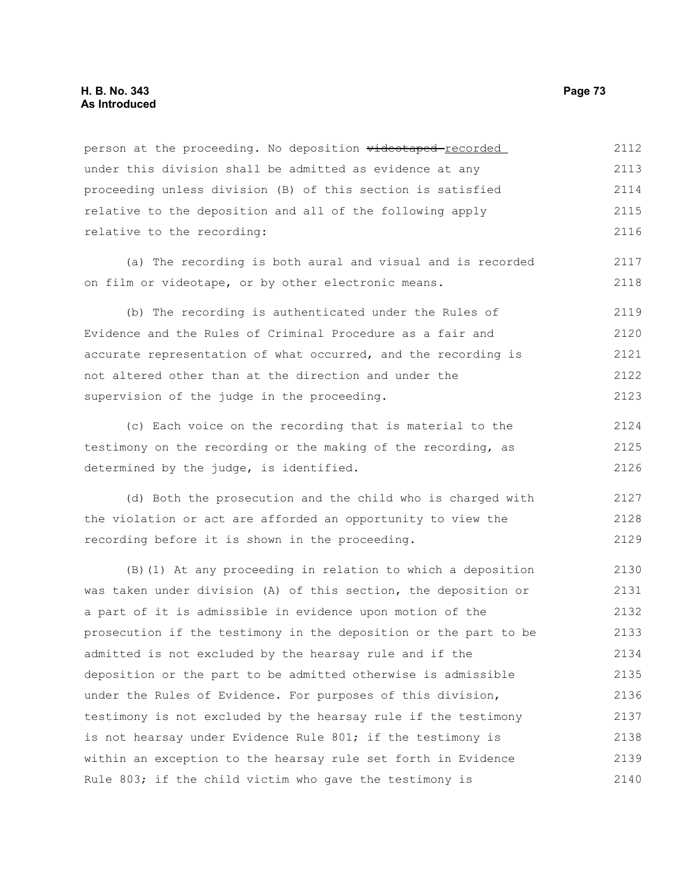person at the proceeding. No deposition videotaped recorded under this division shall be admitted as evidence at any proceeding unless division (B) of this section is satisfied relative to the deposition and all of the following apply relative to the recording: 2112 2113 2114 2115 2116

(a) The recording is both aural and visual and is recorded on film or videotape, or by other electronic means.

(b) The recording is authenticated under the Rules of Evidence and the Rules of Criminal Procedure as a fair and accurate representation of what occurred, and the recording is not altered other than at the direction and under the supervision of the judge in the proceeding. 2119 2120 2121 2122 2123

(c) Each voice on the recording that is material to the testimony on the recording or the making of the recording, as determined by the judge, is identified. 2124 2125 2126

(d) Both the prosecution and the child who is charged with the violation or act are afforded an opportunity to view the recording before it is shown in the proceeding. 2127 2128 2129

(B)(1) At any proceeding in relation to which a deposition was taken under division (A) of this section, the deposition or a part of it is admissible in evidence upon motion of the prosecution if the testimony in the deposition or the part to be admitted is not excluded by the hearsay rule and if the deposition or the part to be admitted otherwise is admissible under the Rules of Evidence. For purposes of this division, testimony is not excluded by the hearsay rule if the testimony is not hearsay under Evidence Rule 801; if the testimony is within an exception to the hearsay rule set forth in Evidence Rule 803; if the child victim who gave the testimony is 2130 2131 2132 2133 2134 2135 2136 2137 2138 2139 2140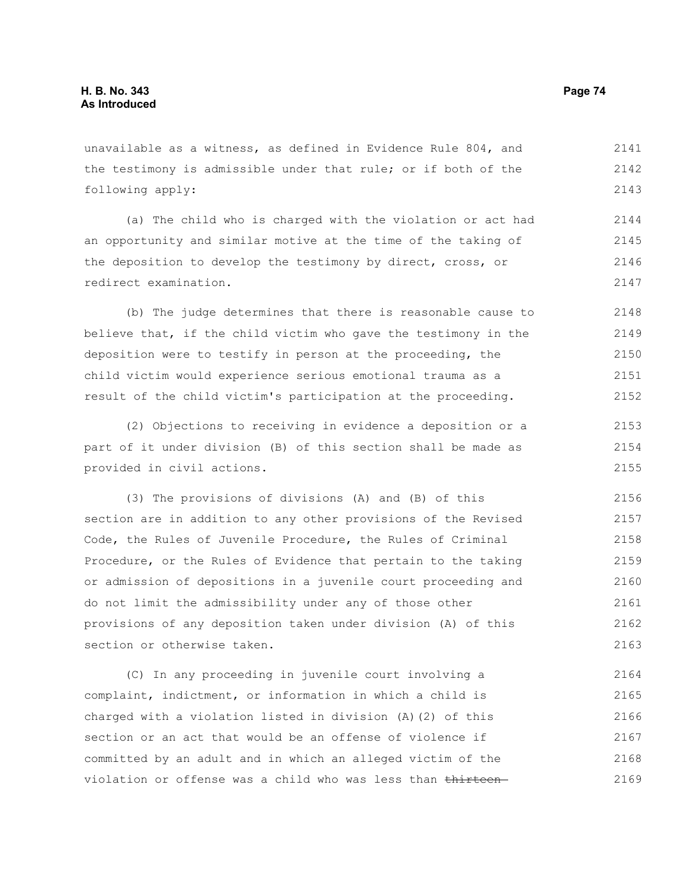unavailable as a witness, as defined in Evidence Rule 804, and the testimony is admissible under that rule; or if both of the following apply: 2141 2142 2143

(a) The child who is charged with the violation or act had an opportunity and similar motive at the time of the taking of the deposition to develop the testimony by direct, cross, or redirect examination. 2144 2145 2146 2147

(b) The judge determines that there is reasonable cause to believe that, if the child victim who gave the testimony in the deposition were to testify in person at the proceeding, the child victim would experience serious emotional trauma as a result of the child victim's participation at the proceeding. 2148 2149 2150 2151 2152

(2) Objections to receiving in evidence a deposition or a part of it under division (B) of this section shall be made as provided in civil actions. 2153 2154 2155

(3) The provisions of divisions (A) and (B) of this section are in addition to any other provisions of the Revised Code, the Rules of Juvenile Procedure, the Rules of Criminal Procedure, or the Rules of Evidence that pertain to the taking or admission of depositions in a juvenile court proceeding and do not limit the admissibility under any of those other provisions of any deposition taken under division (A) of this section or otherwise taken. 2156 2157 2158 2159 2160 2161 2162 2163

(C) In any proceeding in juvenile court involving a complaint, indictment, or information in which a child is charged with a violation listed in division (A)(2) of this section or an act that would be an offense of violence if committed by an adult and in which an alleged victim of the violation or offense was a child who was less than thirteen-2164 2165 2166 2167 2168 2169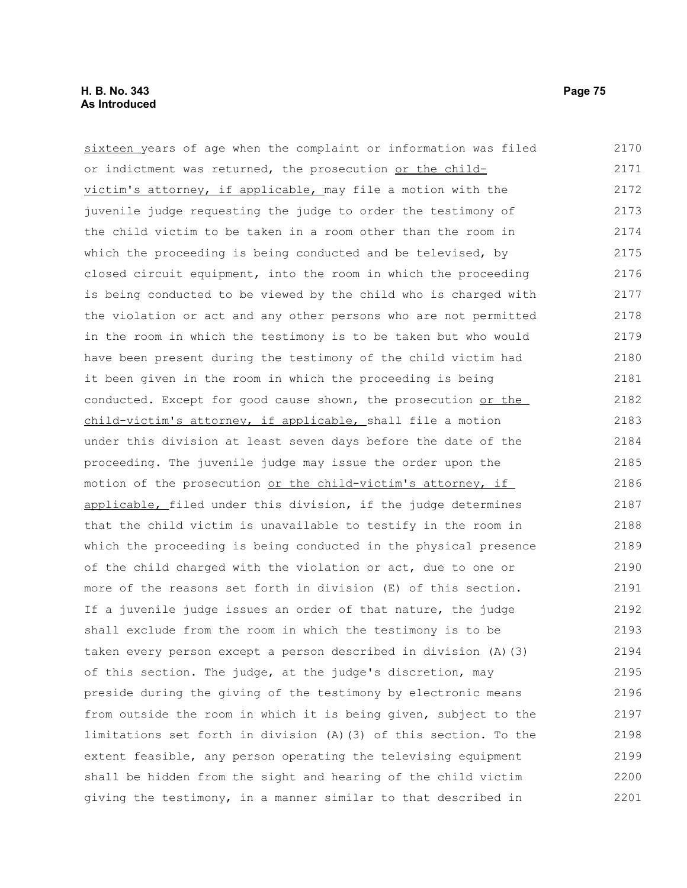sixteen years of age when the complaint or information was filed or indictment was returned, the prosecution or the childvictim's attorney, if applicable, may file a motion with the juvenile judge requesting the judge to order the testimony of the child victim to be taken in a room other than the room in which the proceeding is being conducted and be televised, by closed circuit equipment, into the room in which the proceeding is being conducted to be viewed by the child who is charged with the violation or act and any other persons who are not permitted in the room in which the testimony is to be taken but who would have been present during the testimony of the child victim had it been given in the room in which the proceeding is being conducted. Except for good cause shown, the prosecution or the child-victim's attorney, if applicable, shall file a motion under this division at least seven days before the date of the proceeding. The juvenile judge may issue the order upon the motion of the prosecution or the child-victim's attorney, if applicable, filed under this division, if the judge determines that the child victim is unavailable to testify in the room in which the proceeding is being conducted in the physical presence of the child charged with the violation or act, due to one or more of the reasons set forth in division (E) of this section. If a juvenile judge issues an order of that nature, the judge shall exclude from the room in which the testimony is to be taken every person except a person described in division (A)(3) of this section. The judge, at the judge's discretion, may preside during the giving of the testimony by electronic means from outside the room in which it is being given, subject to the limitations set forth in division (A)(3) of this section. To the extent feasible, any person operating the televising equipment shall be hidden from the sight and hearing of the child victim giving the testimony, in a manner similar to that described in 2170 2171 2172 2173 2174 2175 2176 2177 2178 2179 2180 2181 2182 2183 2184 2185 2186 2187 2188 2189 2190 2191 2192 2193 2194 2195 2196 2197 2198 2199 2200 2201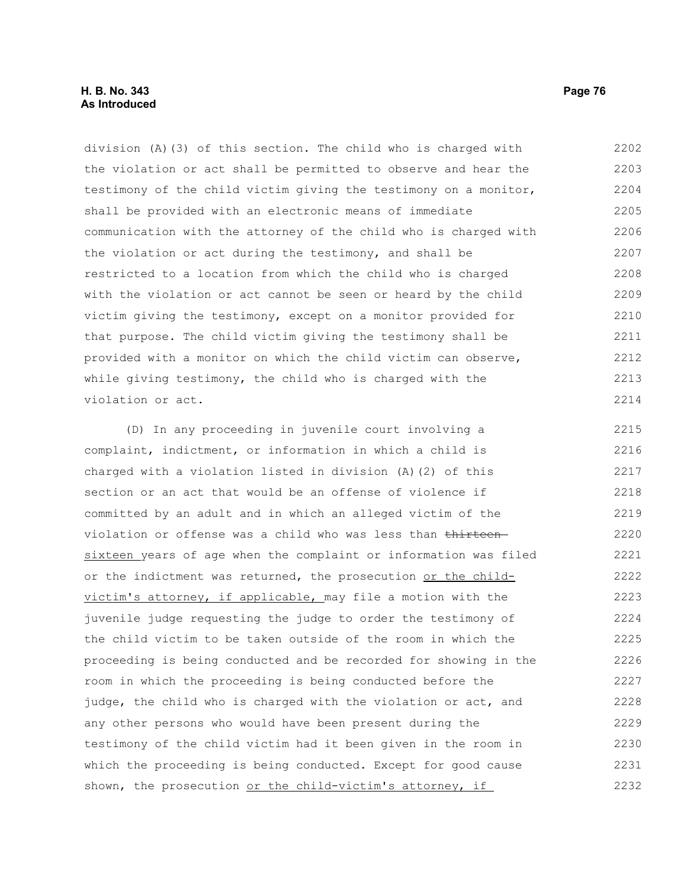## **H. B. No. 343 Page 76 As Introduced**

division (A)(3) of this section. The child who is charged with the violation or act shall be permitted to observe and hear the testimony of the child victim giving the testimony on a monitor, shall be provided with an electronic means of immediate communication with the attorney of the child who is charged with the violation or act during the testimony, and shall be restricted to a location from which the child who is charged with the violation or act cannot be seen or heard by the child victim giving the testimony, except on a monitor provided for that purpose. The child victim giving the testimony shall be provided with a monitor on which the child victim can observe, while giving testimony, the child who is charged with the violation or act. 2202 2203 2204 2205 2206 2207 2208 2209 2210 2211 2212 2213 2214

(D) In any proceeding in juvenile court involving a complaint, indictment, or information in which a child is charged with a violation listed in division (A)(2) of this section or an act that would be an offense of violence if committed by an adult and in which an alleged victim of the violation or offense was a child who was less than thirteensixteen years of age when the complaint or information was filed or the indictment was returned, the prosecution or the childvictim's attorney, if applicable, may file a motion with the juvenile judge requesting the judge to order the testimony of the child victim to be taken outside of the room in which the proceeding is being conducted and be recorded for showing in the room in which the proceeding is being conducted before the judge, the child who is charged with the violation or act, and any other persons who would have been present during the testimony of the child victim had it been given in the room in which the proceeding is being conducted. Except for good cause shown, the prosecution or the child-victim's attorney, if 2215 2216 2217 2218 2219 2220 2221 2222 2223 2224 2225 2226 2227 2228 2229 2230 2231 2232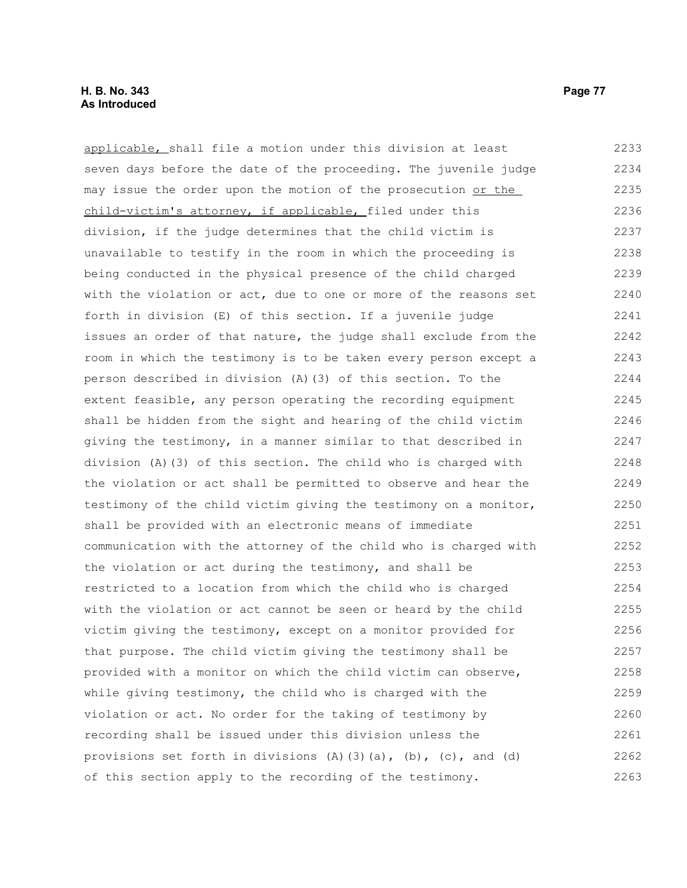applicable, shall file a motion under this division at least seven days before the date of the proceeding. The juvenile judge may issue the order upon the motion of the prosecution or the child-victim's attorney, if applicable, filed under this division, if the judge determines that the child victim is unavailable to testify in the room in which the proceeding is being conducted in the physical presence of the child charged with the violation or act, due to one or more of the reasons set forth in division (E) of this section. If a juvenile judge issues an order of that nature, the judge shall exclude from the room in which the testimony is to be taken every person except a person described in division (A)(3) of this section. To the extent feasible, any person operating the recording equipment shall be hidden from the sight and hearing of the child victim giving the testimony, in a manner similar to that described in division (A)(3) of this section. The child who is charged with the violation or act shall be permitted to observe and hear the testimony of the child victim giving the testimony on a monitor, shall be provided with an electronic means of immediate communication with the attorney of the child who is charged with the violation or act during the testimony, and shall be restricted to a location from which the child who is charged with the violation or act cannot be seen or heard by the child victim giving the testimony, except on a monitor provided for that purpose. The child victim giving the testimony shall be provided with a monitor on which the child victim can observe, while giving testimony, the child who is charged with the violation or act. No order for the taking of testimony by recording shall be issued under this division unless the provisions set forth in divisions  $(A)$   $(3)$   $(a)$ ,  $(b)$ ,  $(c)$ , and  $(d)$ 2233 2234 2235 2236 2237 2238 2239 2240 2241 2242 2243 2244 2245 2246 2247 2248 2249 2250 2251 2252 2253 2254 2255 2256 2257 2258 2259 2260 2261 2262

of this section apply to the recording of the testimony.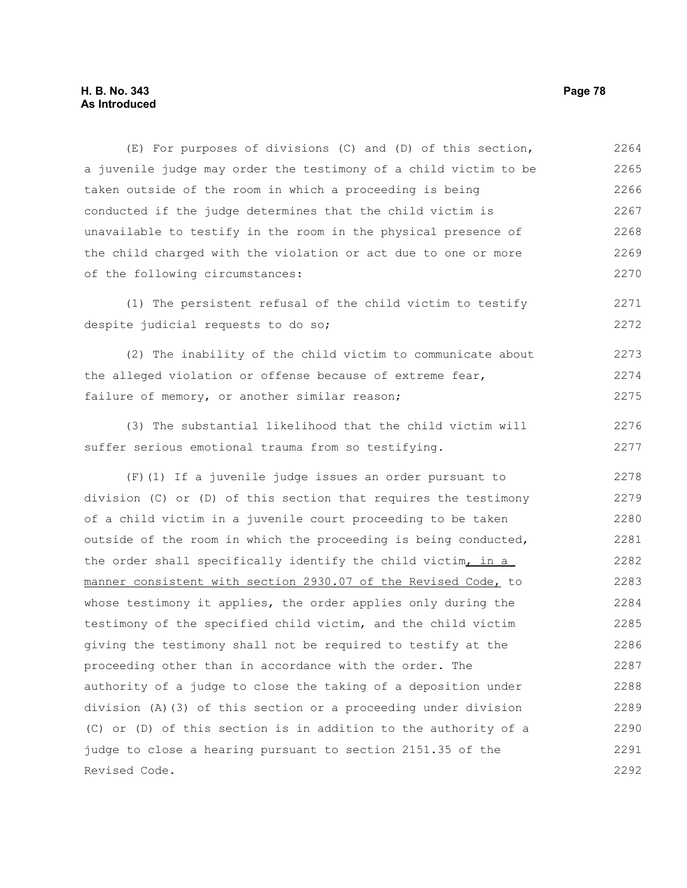# **H. B. No. 343 Page 78 As Introduced**

(E) For purposes of divisions (C) and (D) of this section, a juvenile judge may order the testimony of a child victim to be taken outside of the room in which a proceeding is being conducted if the judge determines that the child victim is unavailable to testify in the room in the physical presence of the child charged with the violation or act due to one or more of the following circumstances: 2264 2265 2266 2267 2268 2269 2270

(1) The persistent refusal of the child victim to testify despite judicial requests to do so; 2271 2272

(2) The inability of the child victim to communicate about the alleged violation or offense because of extreme fear, failure of memory, or another similar reason; 2273 2274 2275

(3) The substantial likelihood that the child victim will suffer serious emotional trauma from so testifying. 2276 2277

(F)(1) If a juvenile judge issues an order pursuant to division (C) or (D) of this section that requires the testimony of a child victim in a juvenile court proceeding to be taken outside of the room in which the proceeding is being conducted, the order shall specifically identify the child victim, in a manner consistent with section 2930.07 of the Revised Code, to whose testimony it applies, the order applies only during the testimony of the specified child victim, and the child victim giving the testimony shall not be required to testify at the proceeding other than in accordance with the order. The authority of a judge to close the taking of a deposition under division (A)(3) of this section or a proceeding under division (C) or (D) of this section is in addition to the authority of a judge to close a hearing pursuant to section 2151.35 of the Revised Code. 2278 2279 2280 2281 2282 2283 2284 2285 2286 2287 2288 2289 2290 2291 2292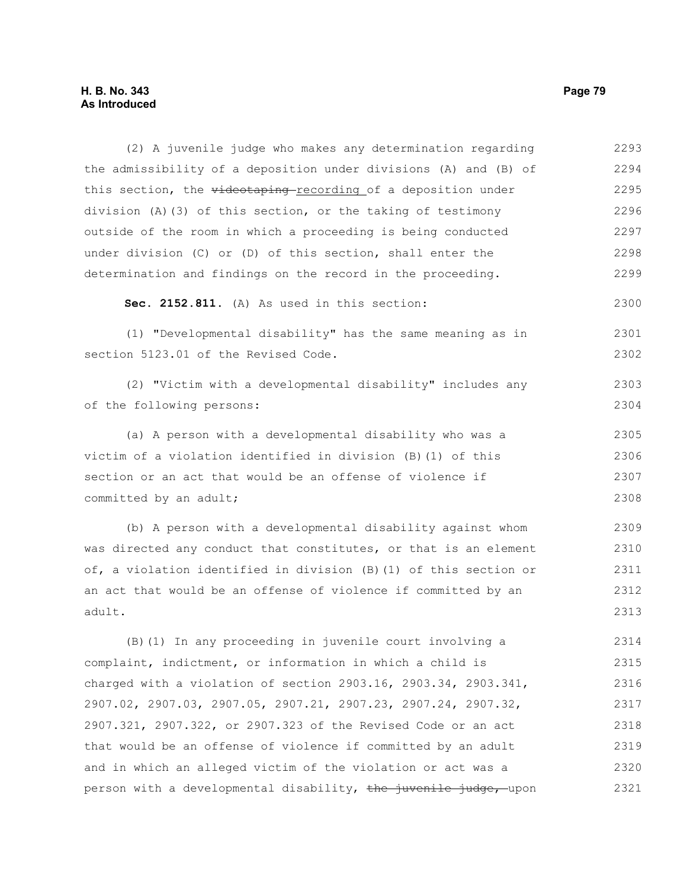## **H. B. No. 343 Page 79 As Introduced**

(2) A juvenile judge who makes any determination regarding the admissibility of a deposition under divisions (A) and (B) of this section, the videotaping recording of a deposition under division (A)(3) of this section, or the taking of testimony outside of the room in which a proceeding is being conducted under division (C) or (D) of this section, shall enter the determination and findings on the record in the proceeding. **Sec. 2152.811.** (A) As used in this section: (1) "Developmental disability" has the same meaning as in section 5123.01 of the Revised Code. (2) "Victim with a developmental disability" includes any of the following persons: (a) A person with a developmental disability who was a victim of a violation identified in division (B)(1) of this section or an act that would be an offense of violence if 2293 2294 2295 2296 2297 2298 2299 2300 2301 2302 2303 2304 2305 2306 2307

committed by an adult;

(b) A person with a developmental disability against whom was directed any conduct that constitutes, or that is an element of, a violation identified in division (B)(1) of this section or an act that would be an offense of violence if committed by an adult. 2309 2310 2311 2312 2313

(B)(1) In any proceeding in juvenile court involving a complaint, indictment, or information in which a child is charged with a violation of section 2903.16, 2903.34, 2903.341, 2907.02, 2907.03, 2907.05, 2907.21, 2907.23, 2907.24, 2907.32, 2907.321, 2907.322, or 2907.323 of the Revised Code or an act that would be an offense of violence if committed by an adult and in which an alleged victim of the violation or act was a person with a developmental disability, the juvenile judge, upon 2314 2315 2316 2317 2318 2319 2320 2321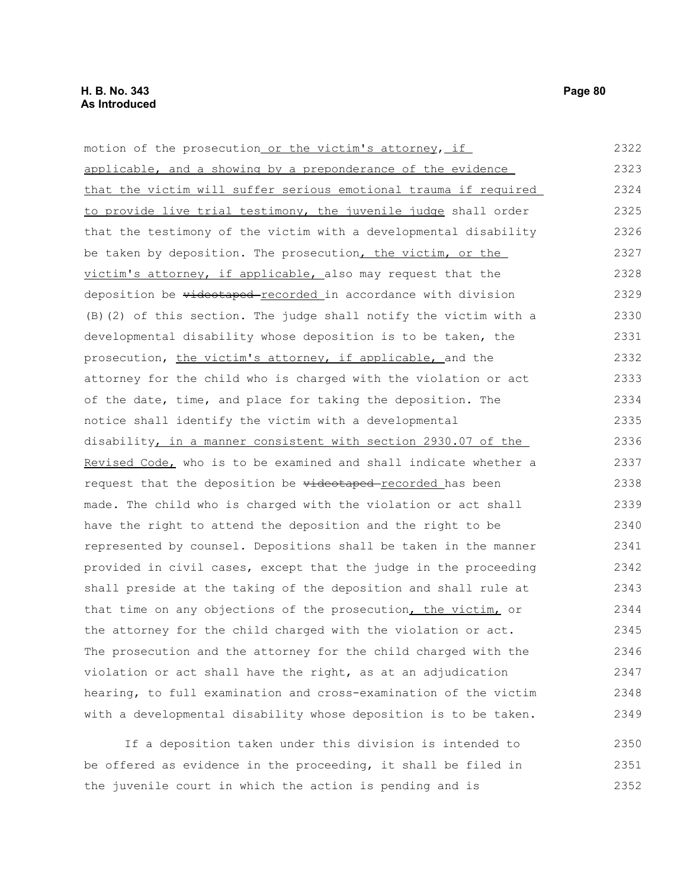motion of the prosecution or the victim's attorney, if applicable, and a showing by a preponderance of the evidence that the victim will suffer serious emotional trauma if required to provide live trial testimony, the juvenile judge shall order that the testimony of the victim with a developmental disability be taken by deposition. The prosecution, the victim, or the victim's attorney, if applicable, also may request that the deposition be videotaped recorded in accordance with division (B)(2) of this section. The judge shall notify the victim with a developmental disability whose deposition is to be taken, the prosecution, the victim's attorney, if applicable, and the attorney for the child who is charged with the violation or act of the date, time, and place for taking the deposition. The notice shall identify the victim with a developmental disability, in a manner consistent with section 2930.07 of the Revised Code, who is to be examined and shall indicate whether a request that the deposition be videotaped-recorded has been made. The child who is charged with the violation or act shall have the right to attend the deposition and the right to be represented by counsel. Depositions shall be taken in the manner provided in civil cases, except that the judge in the proceeding shall preside at the taking of the deposition and shall rule at that time on any objections of the prosecution, the victim, or the attorney for the child charged with the violation or act. The prosecution and the attorney for the child charged with the violation or act shall have the right, as at an adjudication hearing, to full examination and cross-examination of the victim with a developmental disability whose deposition is to be taken. 2322 2323 2324 2325 2326 2327 2328 2329 2330 2331 2332 2333 2334 2335 2336 2337 2338 2339 2340 2341 2342 2343 2344 2345 2346 2347 2348 2349

If a deposition taken under this division is intended to be offered as evidence in the proceeding, it shall be filed in the juvenile court in which the action is pending and is 2350 2351 2352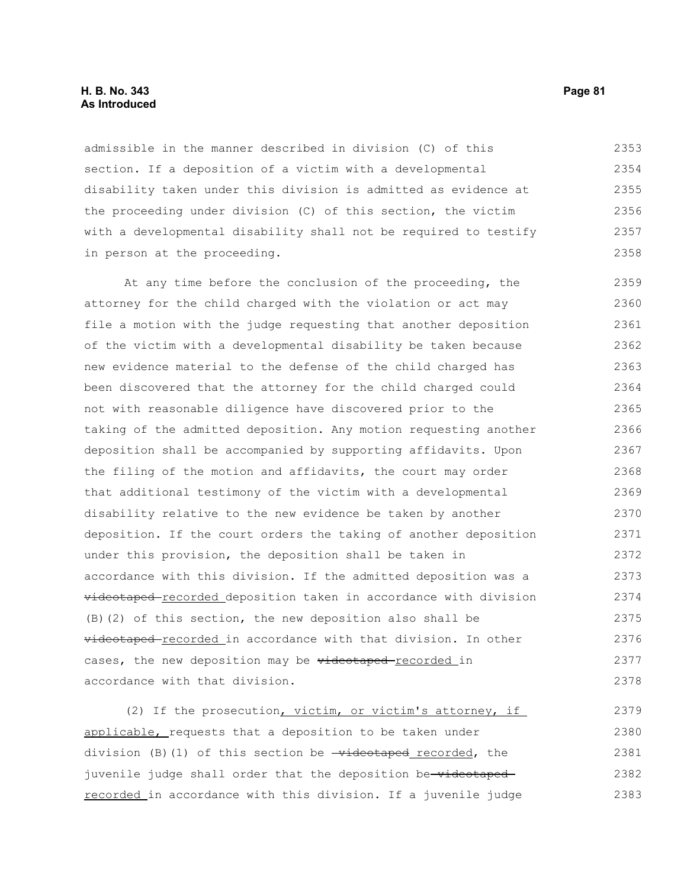#### **H. B. No. 343 Page 81 As Introduced**

admissible in the manner described in division (C) of this section. If a deposition of a victim with a developmental disability taken under this division is admitted as evidence at the proceeding under division (C) of this section, the victim with a developmental disability shall not be required to testify in person at the proceeding. 2353 2354 2355 2356 2357 2358

At any time before the conclusion of the proceeding, the attorney for the child charged with the violation or act may file a motion with the judge requesting that another deposition of the victim with a developmental disability be taken because new evidence material to the defense of the child charged has been discovered that the attorney for the child charged could not with reasonable diligence have discovered prior to the taking of the admitted deposition. Any motion requesting another deposition shall be accompanied by supporting affidavits. Upon the filing of the motion and affidavits, the court may order that additional testimony of the victim with a developmental disability relative to the new evidence be taken by another deposition. If the court orders the taking of another deposition under this provision, the deposition shall be taken in accordance with this division. If the admitted deposition was a videotaped recorded deposition taken in accordance with division (B)(2) of this section, the new deposition also shall be videotaped recorded in accordance with that division. In other cases, the new deposition may be videotaped-recorded in accordance with that division. 2359 2360 2361 2362 2363 2364 2365 2366 2367 2368 2369 2370 2371 2372 2373 2374 2375 2376 2377 2378

(2) If the prosecution, victim, or victim's attorney, if applicable, requests that a deposition to be taken under division (B)(1) of this section be  $-\nu i$  deotaped recorded, the juvenile judge shall order that the deposition be-videotapedrecorded in accordance with this division. If a juvenile judge 2379 2380 2381 2382 2383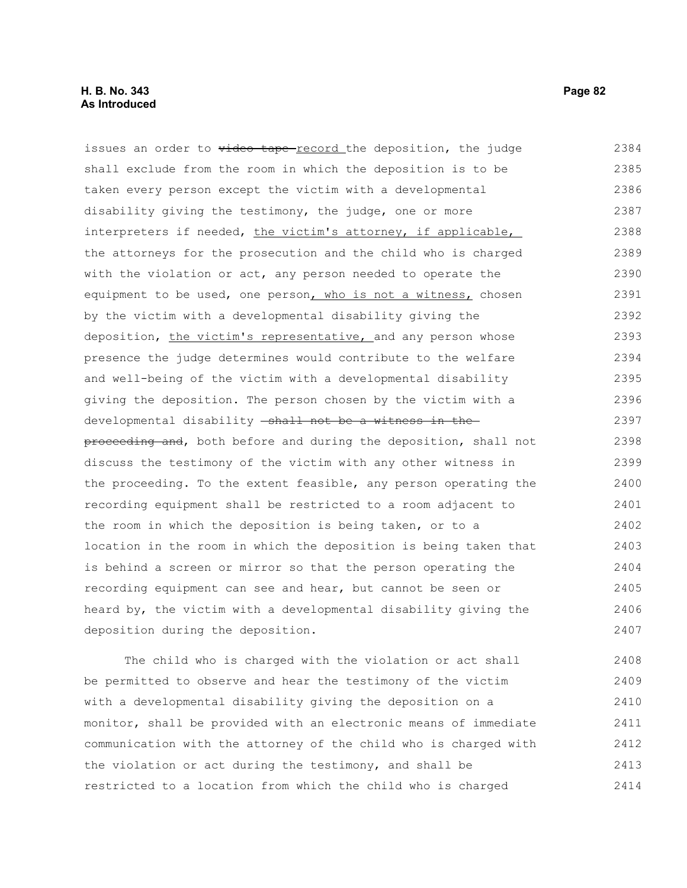## **H. B. No. 343 Page 82 As Introduced**

issues an order to video tape record the deposition, the judge shall exclude from the room in which the deposition is to be taken every person except the victim with a developmental disability giving the testimony, the judge, one or more interpreters if needed, the victim's attorney, if applicable, the attorneys for the prosecution and the child who is charged with the violation or act, any person needed to operate the equipment to be used, one person, who is not a witness, chosen by the victim with a developmental disability giving the deposition, the victim's representative, and any person whose presence the judge determines would contribute to the welfare and well-being of the victim with a developmental disability giving the deposition. The person chosen by the victim with a developmental disability -shall not be a witness in theproceeding and, both before and during the deposition, shall not discuss the testimony of the victim with any other witness in the proceeding. To the extent feasible, any person operating the recording equipment shall be restricted to a room adjacent to the room in which the deposition is being taken, or to a location in the room in which the deposition is being taken that is behind a screen or mirror so that the person operating the recording equipment can see and hear, but cannot be seen or heard by, the victim with a developmental disability giving the deposition during the deposition. 2384 2385 2386 2387 2388 2389 2390 2391 2392 2393 2394 2395 2396 2397 2398 2399 2400 2401 2402 2403 2404 2405 2406 2407

The child who is charged with the violation or act shall be permitted to observe and hear the testimony of the victim with a developmental disability giving the deposition on a monitor, shall be provided with an electronic means of immediate communication with the attorney of the child who is charged with the violation or act during the testimony, and shall be restricted to a location from which the child who is charged 2408 2409 2410 2411 2412 2413 2414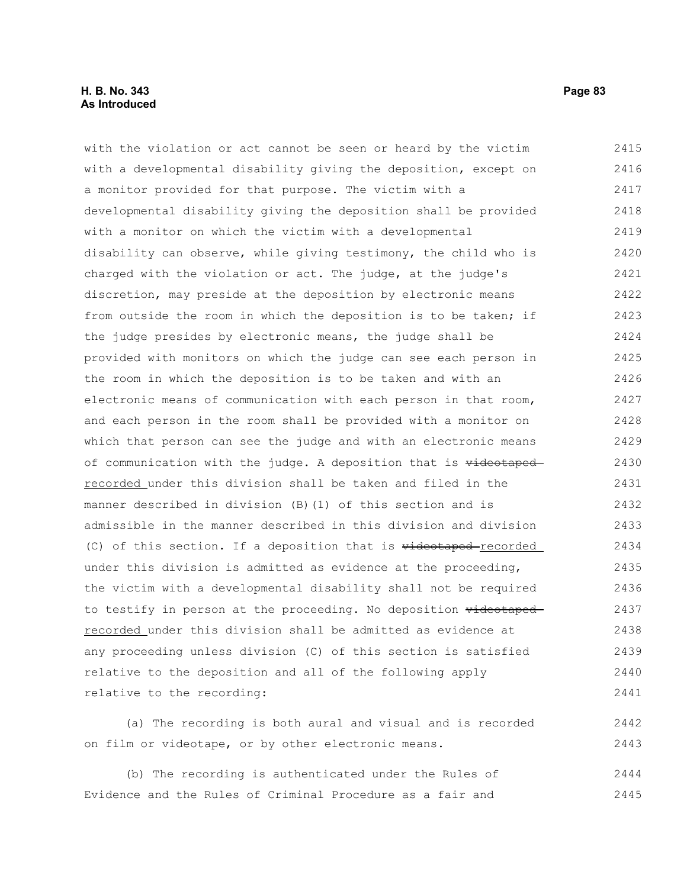## **H. B. No. 343 Page 83 As Introduced**

with the violation or act cannot be seen or heard by the victim with a developmental disability giving the deposition, except on a monitor provided for that purpose. The victim with a developmental disability giving the deposition shall be provided with a monitor on which the victim with a developmental disability can observe, while giving testimony, the child who is charged with the violation or act. The judge, at the judge's discretion, may preside at the deposition by electronic means from outside the room in which the deposition is to be taken; if the judge presides by electronic means, the judge shall be provided with monitors on which the judge can see each person in the room in which the deposition is to be taken and with an electronic means of communication with each person in that room, and each person in the room shall be provided with a monitor on which that person can see the judge and with an electronic means of communication with the judge. A deposition that is videotapedrecorded under this division shall be taken and filed in the manner described in division (B)(1) of this section and is admissible in the manner described in this division and division (C) of this section. If a deposition that is videotaped recorded under this division is admitted as evidence at the proceeding, the victim with a developmental disability shall not be required to testify in person at the proceeding. No deposition videotaped recorded under this division shall be admitted as evidence at any proceeding unless division (C) of this section is satisfied relative to the deposition and all of the following apply relative to the recording: (a) The recording is both aural and visual and is recorded 2415 2416 2417 2418 2419 2420 2421 2422 2423 2424 2425 2426 2427 2428 2429 2430 2431 2432 2433 2434 2435 2436 2437 2438 2439 2440 2441 2442

(b) The recording is authenticated under the Rules of Evidence and the Rules of Criminal Procedure as a fair and 2444 2445

on film or videotape, or by other electronic means.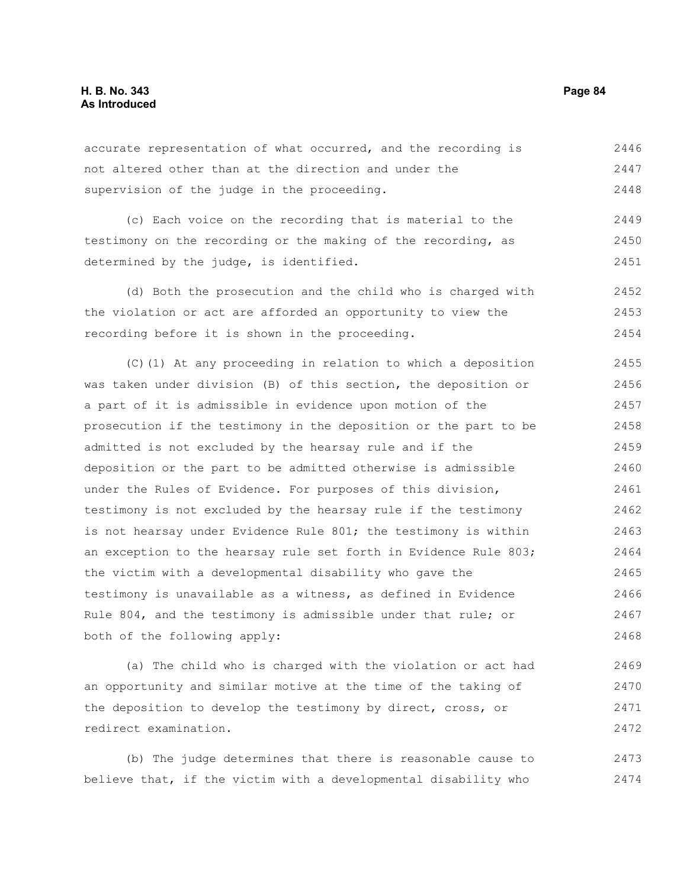accurate representation of what occurred, and the recording is not altered other than at the direction and under the supervision of the judge in the proceeding. (c) Each voice on the recording that is material to the 2446 2447 2448 2449

testimony on the recording or the making of the recording, as determined by the judge, is identified. 2450 2451

(d) Both the prosecution and the child who is charged with the violation or act are afforded an opportunity to view the recording before it is shown in the proceeding. 2452 2453 2454

(C)(1) At any proceeding in relation to which a deposition was taken under division (B) of this section, the deposition or a part of it is admissible in evidence upon motion of the prosecution if the testimony in the deposition or the part to be admitted is not excluded by the hearsay rule and if the deposition or the part to be admitted otherwise is admissible under the Rules of Evidence. For purposes of this division, testimony is not excluded by the hearsay rule if the testimony is not hearsay under Evidence Rule 801; the testimony is within an exception to the hearsay rule set forth in Evidence Rule 803; the victim with a developmental disability who gave the testimony is unavailable as a witness, as defined in Evidence Rule 804, and the testimony is admissible under that rule; or both of the following apply: 2455 2456 2457 2458 2459 2460 2461 2462 2463 2464 2465 2466 2467 2468

(a) The child who is charged with the violation or act had an opportunity and similar motive at the time of the taking of the deposition to develop the testimony by direct, cross, or redirect examination. 2469 2470 2471 2472

(b) The judge determines that there is reasonable cause to believe that, if the victim with a developmental disability who 2473 2474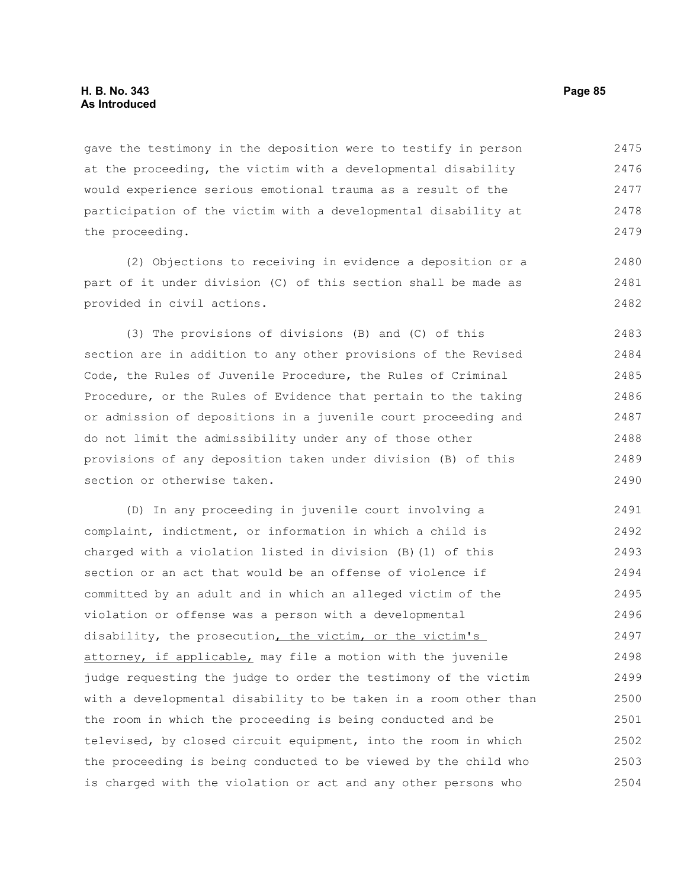gave the testimony in the deposition were to testify in person at the proceeding, the victim with a developmental disability would experience serious emotional trauma as a result of the participation of the victim with a developmental disability at the proceeding. 2475 2476 2477 2478 2479

(2) Objections to receiving in evidence a deposition or a part of it under division (C) of this section shall be made as provided in civil actions.

(3) The provisions of divisions (B) and (C) of this section are in addition to any other provisions of the Revised Code, the Rules of Juvenile Procedure, the Rules of Criminal Procedure, or the Rules of Evidence that pertain to the taking or admission of depositions in a juvenile court proceeding and do not limit the admissibility under any of those other provisions of any deposition taken under division (B) of this section or otherwise taken. 2483 2484 2485 2486 2487 2488 2489 2490

(D) In any proceeding in juvenile court involving a complaint, indictment, or information in which a child is charged with a violation listed in division (B)(1) of this section or an act that would be an offense of violence if committed by an adult and in which an alleged victim of the violation or offense was a person with a developmental disability, the prosecution, the victim, or the victim's attorney, if applicable, may file a motion with the juvenile judge requesting the judge to order the testimony of the victim with a developmental disability to be taken in a room other than the room in which the proceeding is being conducted and be televised, by closed circuit equipment, into the room in which the proceeding is being conducted to be viewed by the child who is charged with the violation or act and any other persons who 2491 2492 2493 2494 2495 2496 2497 2498 2499 2500 2501 2502 2503 2504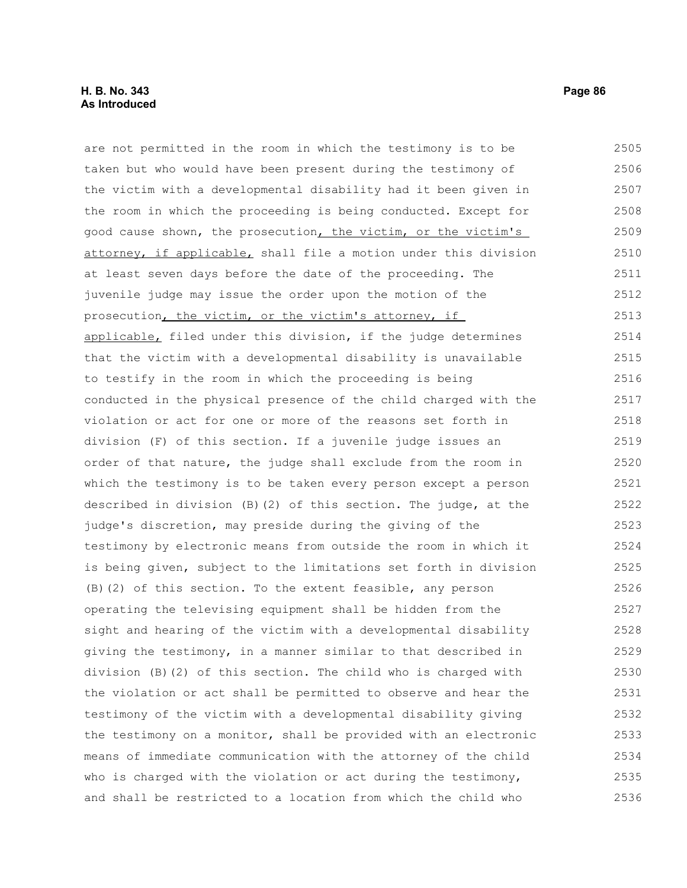## **H. B. No. 343 Page 86 As Introduced**

are not permitted in the room in which the testimony is to be taken but who would have been present during the testimony of the victim with a developmental disability had it been given in the room in which the proceeding is being conducted. Except for good cause shown, the prosecution, the victim, or the victim's attorney, if applicable, shall file a motion under this division at least seven days before the date of the proceeding. The juvenile judge may issue the order upon the motion of the prosecution, the victim, or the victim's attorney, if applicable, filed under this division, if the judge determines that the victim with a developmental disability is unavailable to testify in the room in which the proceeding is being conducted in the physical presence of the child charged with the violation or act for one or more of the reasons set forth in division (F) of this section. If a juvenile judge issues an order of that nature, the judge shall exclude from the room in which the testimony is to be taken every person except a person described in division (B)(2) of this section. The judge, at the judge's discretion, may preside during the giving of the testimony by electronic means from outside the room in which it is being given, subject to the limitations set forth in division (B)(2) of this section. To the extent feasible, any person operating the televising equipment shall be hidden from the sight and hearing of the victim with a developmental disability giving the testimony, in a manner similar to that described in division (B)(2) of this section. The child who is charged with the violation or act shall be permitted to observe and hear the testimony of the victim with a developmental disability giving the testimony on a monitor, shall be provided with an electronic means of immediate communication with the attorney of the child who is charged with the violation or act during the testimony, and shall be restricted to a location from which the child who 2505 2506 2507 2508 2509 2510 2511 2512 2513 2514 2515 2516 2517 2518 2519 2520 2521 2522 2523 2524 2525 2526 2527 2528 2529 2530 2531 2532 2533 2534 2535 2536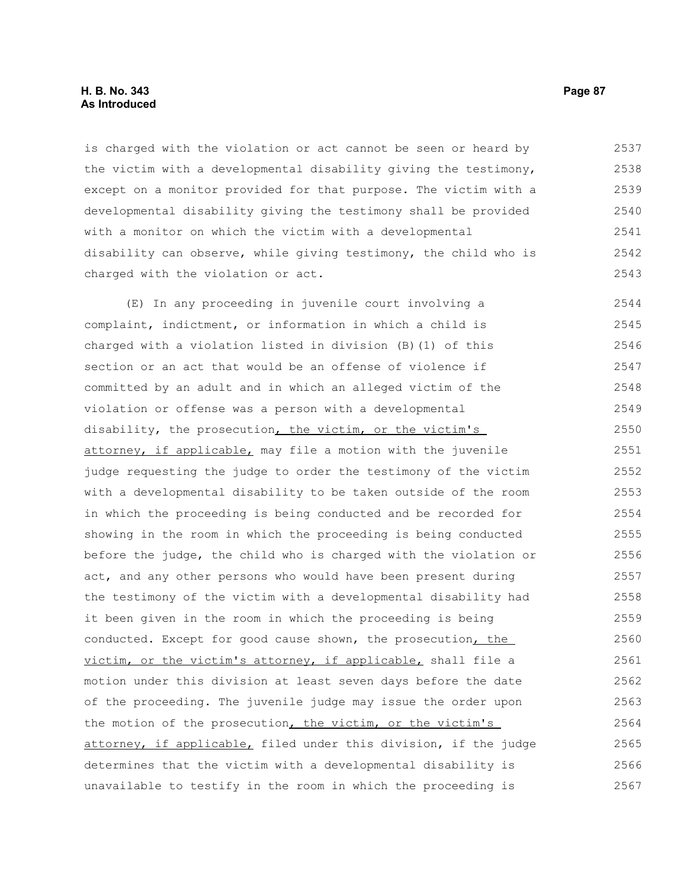#### **H. B. No. 343 Page 87 As Introduced**

is charged with the violation or act cannot be seen or heard by the victim with a developmental disability giving the testimony, except on a monitor provided for that purpose. The victim with a developmental disability giving the testimony shall be provided with a monitor on which the victim with a developmental disability can observe, while giving testimony, the child who is charged with the violation or act. 2537 2538 2539 2540 2541 2542 2543

(E) In any proceeding in juvenile court involving a complaint, indictment, or information in which a child is charged with a violation listed in division (B)(1) of this section or an act that would be an offense of violence if committed by an adult and in which an alleged victim of the violation or offense was a person with a developmental disability, the prosecution, the victim, or the victim's attorney, if applicable, may file a motion with the juvenile judge requesting the judge to order the testimony of the victim with a developmental disability to be taken outside of the room in which the proceeding is being conducted and be recorded for showing in the room in which the proceeding is being conducted before the judge, the child who is charged with the violation or act, and any other persons who would have been present during the testimony of the victim with a developmental disability had it been given in the room in which the proceeding is being conducted. Except for good cause shown, the prosecution, the victim, or the victim's attorney, if applicable, shall file a motion under this division at least seven days before the date of the proceeding. The juvenile judge may issue the order upon the motion of the prosecution, the victim, or the victim's attorney, if applicable, filed under this division, if the judge determines that the victim with a developmental disability is unavailable to testify in the room in which the proceeding is 2544 2545 2546 2547 2548 2549 2550 2551 2552 2553 2554 2555 2556 2557 2558 2559 2560 2561 2562 2563 2564 2565 2566 2567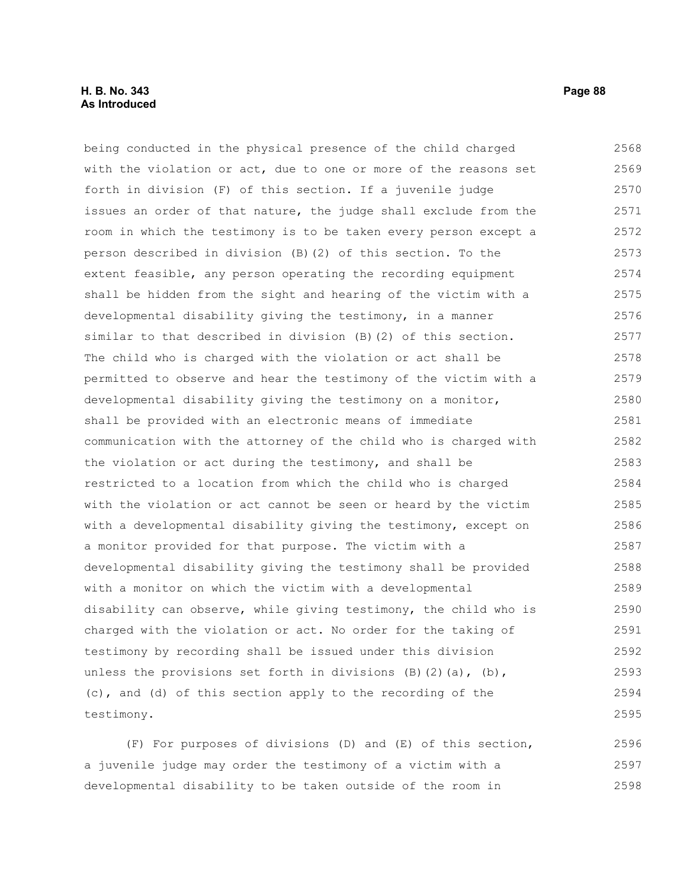## **H. B. No. 343 Page 88 As Introduced**

being conducted in the physical presence of the child charged with the violation or act, due to one or more of the reasons set forth in division (F) of this section. If a juvenile judge issues an order of that nature, the judge shall exclude from the room in which the testimony is to be taken every person except a person described in division (B)(2) of this section. To the extent feasible, any person operating the recording equipment shall be hidden from the sight and hearing of the victim with a developmental disability giving the testimony, in a manner similar to that described in division (B)(2) of this section. The child who is charged with the violation or act shall be permitted to observe and hear the testimony of the victim with a developmental disability giving the testimony on a monitor, shall be provided with an electronic means of immediate communication with the attorney of the child who is charged with the violation or act during the testimony, and shall be restricted to a location from which the child who is charged with the violation or act cannot be seen or heard by the victim with a developmental disability giving the testimony, except on a monitor provided for that purpose. The victim with a developmental disability giving the testimony shall be provided with a monitor on which the victim with a developmental disability can observe, while giving testimony, the child who is charged with the violation or act. No order for the taking of testimony by recording shall be issued under this division unless the provisions set forth in divisions  $(B)$   $(2)$   $(a)$ ,  $(b)$ , (c), and (d) of this section apply to the recording of the testimony. 2568 2569 2570 2571 2572 2573 2574 2575 2576 2577 2578 2579 2580 2581 2582 2583 2584 2585 2586 2587 2588 2589 2590 2591 2592 2593 2594 2595

(F) For purposes of divisions (D) and (E) of this section, a juvenile judge may order the testimony of a victim with a developmental disability to be taken outside of the room in 2596 2597 2598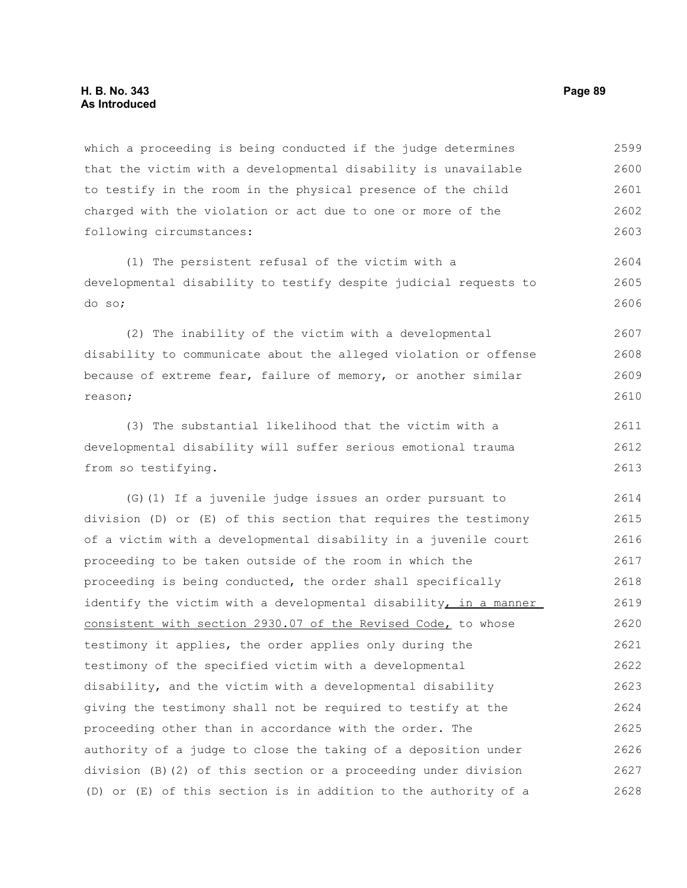which a proceeding is being conducted if the judge determines that the victim with a developmental disability is unavailable to testify in the room in the physical presence of the child charged with the violation or act due to one or more of the following circumstances: 2599 2600 2601 2602 2603

(1) The persistent refusal of the victim with a developmental disability to testify despite judicial requests to do so; 2604 2605 2606

(2) The inability of the victim with a developmental disability to communicate about the alleged violation or offense because of extreme fear, failure of memory, or another similar reason;

(3) The substantial likelihood that the victim with a developmental disability will suffer serious emotional trauma from so testifying. 2611 2612 2613

(G)(1) If a juvenile judge issues an order pursuant to division (D) or (E) of this section that requires the testimony of a victim with a developmental disability in a juvenile court proceeding to be taken outside of the room in which the proceeding is being conducted, the order shall specifically identify the victim with a developmental disability, in a manner consistent with section 2930.07 of the Revised Code, to whose testimony it applies, the order applies only during the testimony of the specified victim with a developmental disability, and the victim with a developmental disability giving the testimony shall not be required to testify at the proceeding other than in accordance with the order. The authority of a judge to close the taking of a deposition under division (B)(2) of this section or a proceeding under division (D) or (E) of this section is in addition to the authority of a 2614 2615 2616 2617 2618 2619 2620 2621 2622 2623 2624 2625 2626 2627 2628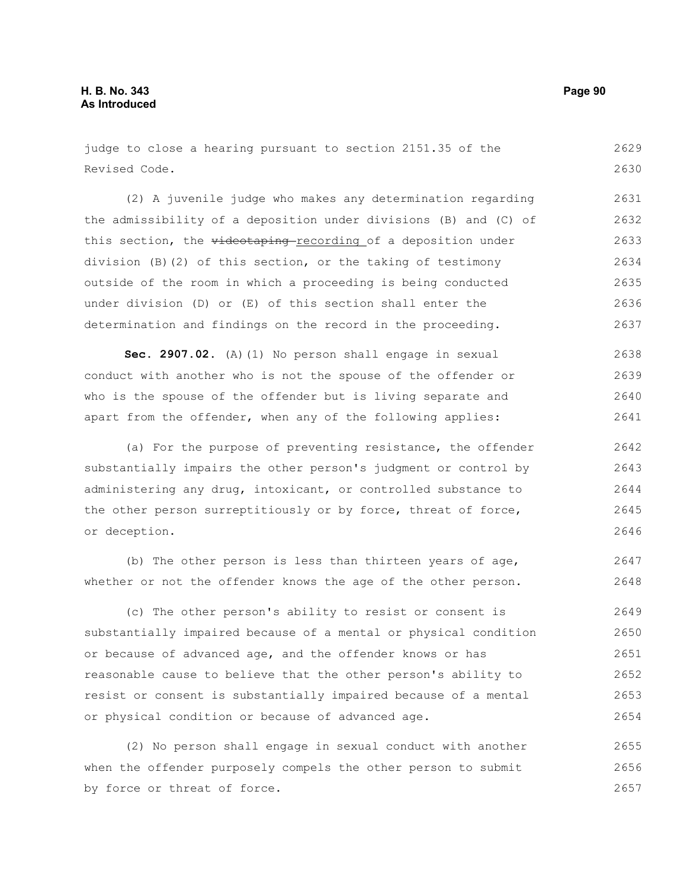judge to close a hearing pursuant to section 2151.35 of the Revised Code. 2629 2630

(2) A juvenile judge who makes any determination regarding the admissibility of a deposition under divisions (B) and (C) of this section, the videotaping recording of a deposition under division (B)(2) of this section, or the taking of testimony outside of the room in which a proceeding is being conducted under division (D) or (E) of this section shall enter the determination and findings on the record in the proceeding. 2631 2632 2633 2634 2635 2636 2637

**Sec. 2907.02.** (A)(1) No person shall engage in sexual conduct with another who is not the spouse of the offender or who is the spouse of the offender but is living separate and apart from the offender, when any of the following applies: 2638 2639 2640 2641

(a) For the purpose of preventing resistance, the offender substantially impairs the other person's judgment or control by administering any drug, intoxicant, or controlled substance to the other person surreptitiously or by force, threat of force, or deception. 2642 2643 2644 2645 2646

(b) The other person is less than thirteen years of age, whether or not the offender knows the age of the other person. 2647 2648

(c) The other person's ability to resist or consent is substantially impaired because of a mental or physical condition or because of advanced age, and the offender knows or has reasonable cause to believe that the other person's ability to resist or consent is substantially impaired because of a mental or physical condition or because of advanced age. 2649 2650 2651 2652 2653 2654

(2) No person shall engage in sexual conduct with another when the offender purposely compels the other person to submit by force or threat of force. 2655 2656 2657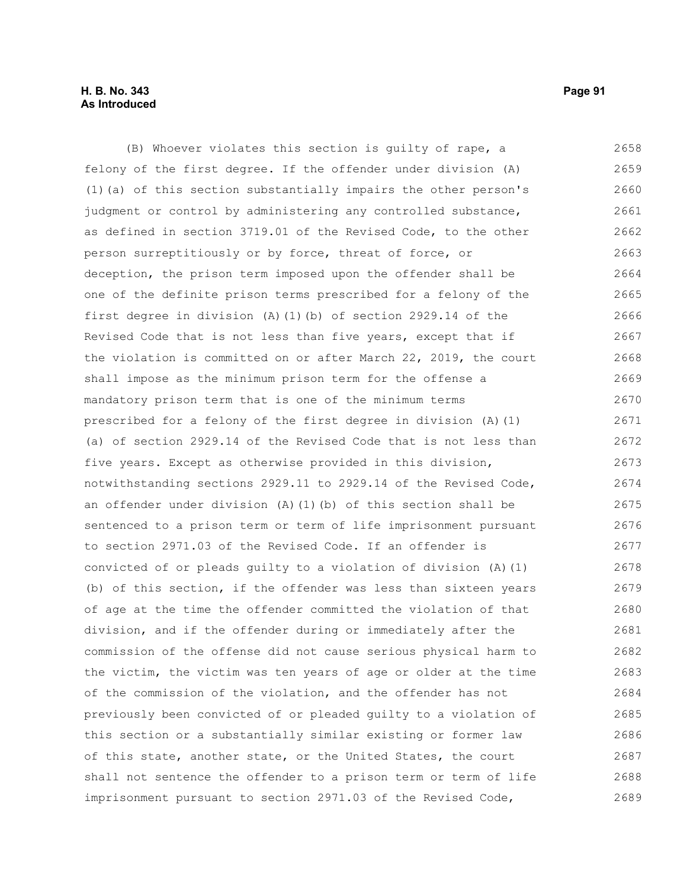# **H. B. No. 343 Page 91 As Introduced**

(B) Whoever violates this section is guilty of rape, a felony of the first degree. If the offender under division (A) (1)(a) of this section substantially impairs the other person's judgment or control by administering any controlled substance, as defined in section 3719.01 of the Revised Code, to the other person surreptitiously or by force, threat of force, or deception, the prison term imposed upon the offender shall be one of the definite prison terms prescribed for a felony of the first degree in division (A)(1)(b) of section 2929.14 of the Revised Code that is not less than five years, except that if the violation is committed on or after March 22, 2019, the court shall impose as the minimum prison term for the offense a mandatory prison term that is one of the minimum terms prescribed for a felony of the first degree in division (A)(1) (a) of section 2929.14 of the Revised Code that is not less than five years. Except as otherwise provided in this division, notwithstanding sections 2929.11 to 2929.14 of the Revised Code, an offender under division (A)(1)(b) of this section shall be sentenced to a prison term or term of life imprisonment pursuant to section 2971.03 of the Revised Code. If an offender is convicted of or pleads guilty to a violation of division (A)(1) (b) of this section, if the offender was less than sixteen years of age at the time the offender committed the violation of that division, and if the offender during or immediately after the commission of the offense did not cause serious physical harm to the victim, the victim was ten years of age or older at the time of the commission of the violation, and the offender has not previously been convicted of or pleaded guilty to a violation of this section or a substantially similar existing or former law of this state, another state, or the United States, the court shall not sentence the offender to a prison term or term of life imprisonment pursuant to section 2971.03 of the Revised Code, 2658 2659 2660 2661 2662 2663 2664 2665 2666 2667 2668 2669 2670 2671 2672 2673 2674 2675 2676 2677 2678 2679 2680 2681 2682 2683 2684 2685 2686 2687 2688 2689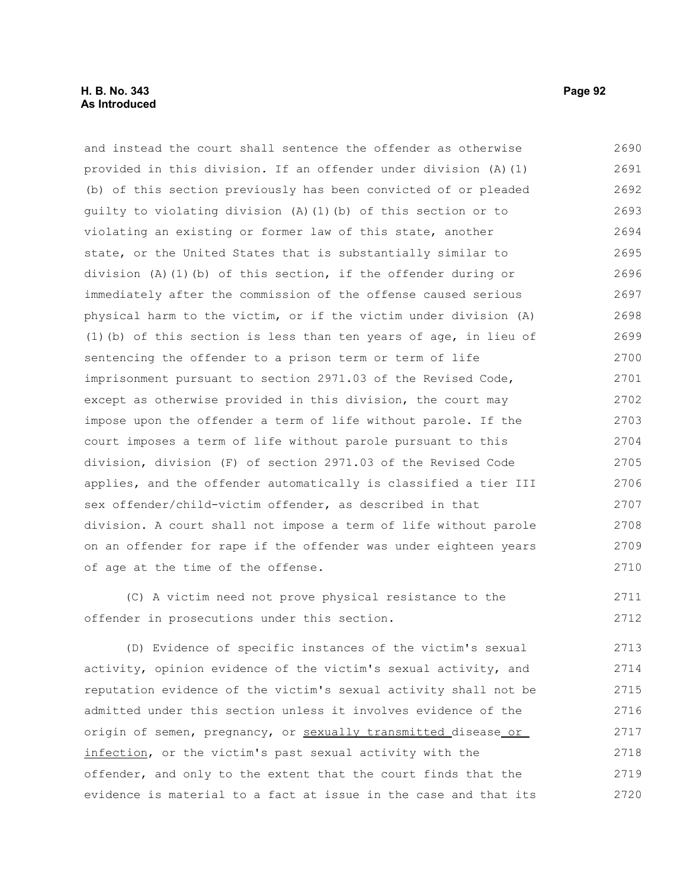and instead the court shall sentence the offender as otherwise provided in this division. If an offender under division (A)(1) (b) of this section previously has been convicted of or pleaded guilty to violating division (A)(1)(b) of this section or to violating an existing or former law of this state, another state, or the United States that is substantially similar to division (A)(1)(b) of this section, if the offender during or immediately after the commission of the offense caused serious physical harm to the victim, or if the victim under division (A) (1)(b) of this section is less than ten years of age, in lieu of sentencing the offender to a prison term or term of life imprisonment pursuant to section 2971.03 of the Revised Code, except as otherwise provided in this division, the court may impose upon the offender a term of life without parole. If the court imposes a term of life without parole pursuant to this division, division (F) of section 2971.03 of the Revised Code applies, and the offender automatically is classified a tier III sex offender/child-victim offender, as described in that division. A court shall not impose a term of life without parole on an offender for rape if the offender was under eighteen years of age at the time of the offense. 2690 2691 2692 2693 2694 2695 2696 2697 2698 2699 2700 2701 2702 2703 2704 2705 2706 2707 2708 2709 2710

(C) A victim need not prove physical resistance to the offender in prosecutions under this section. 2711 2712

(D) Evidence of specific instances of the victim's sexual activity, opinion evidence of the victim's sexual activity, and reputation evidence of the victim's sexual activity shall not be admitted under this section unless it involves evidence of the origin of semen, pregnancy, or sexually transmitted disease or infection, or the victim's past sexual activity with the offender, and only to the extent that the court finds that the evidence is material to a fact at issue in the case and that its 2713 2714 2715 2716 2717 2718 2719 2720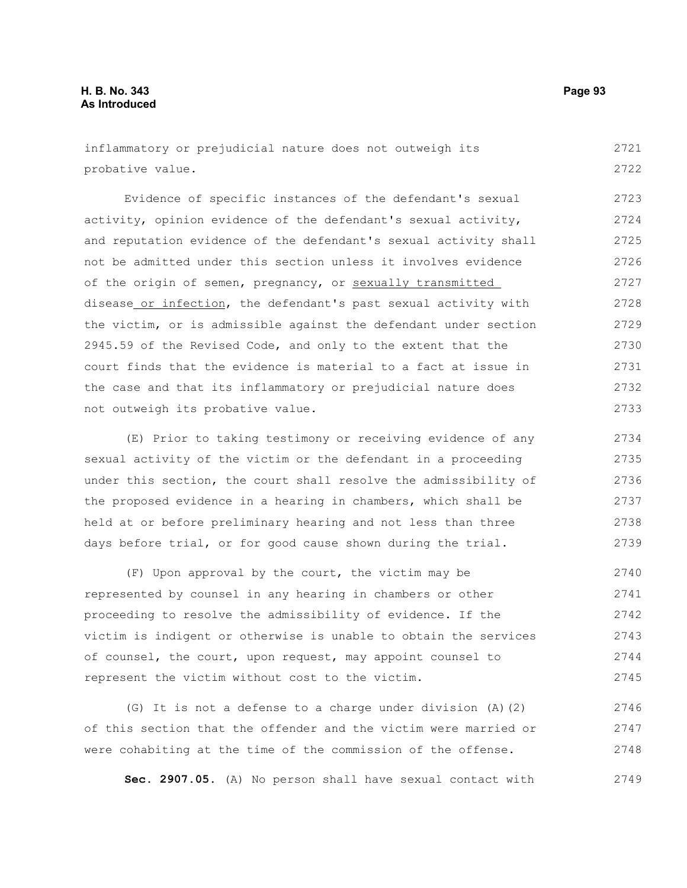inflammatory or prejudicial nature does not outweigh its probative value. 2721 2722

Evidence of specific instances of the defendant's sexual activity, opinion evidence of the defendant's sexual activity, and reputation evidence of the defendant's sexual activity shall not be admitted under this section unless it involves evidence of the origin of semen, pregnancy, or sexually transmitted disease or infection, the defendant's past sexual activity with the victim, or is admissible against the defendant under section 2945.59 of the Revised Code, and only to the extent that the court finds that the evidence is material to a fact at issue in the case and that its inflammatory or prejudicial nature does not outweigh its probative value. 2723 2724 2725 2726 2727 2728 2729 2730 2731 2732 2733

(E) Prior to taking testimony or receiving evidence of any sexual activity of the victim or the defendant in a proceeding under this section, the court shall resolve the admissibility of the proposed evidence in a hearing in chambers, which shall be held at or before preliminary hearing and not less than three days before trial, or for good cause shown during the trial. 2734 2735 2736 2737 2738 2739

(F) Upon approval by the court, the victim may be represented by counsel in any hearing in chambers or other proceeding to resolve the admissibility of evidence. If the victim is indigent or otherwise is unable to obtain the services of counsel, the court, upon request, may appoint counsel to represent the victim without cost to the victim. 2740 2741 2742 2743 2744 2745

(G) It is not a defense to a charge under division (A)(2) of this section that the offender and the victim were married or were cohabiting at the time of the commission of the offense. 2746 2747 2748

**Sec. 2907.05.** (A) No person shall have sexual contact with 2749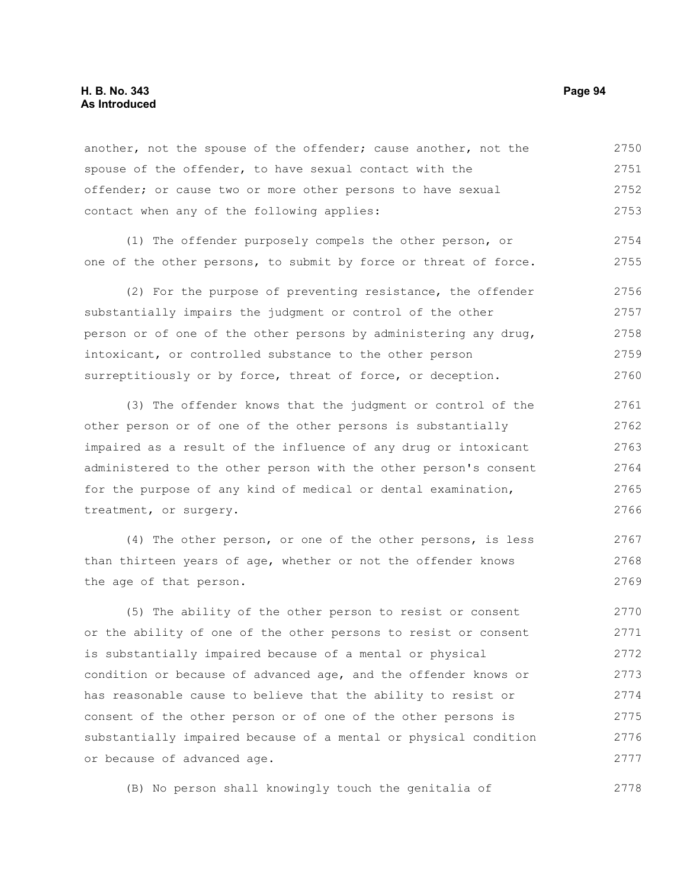another, not the spouse of the offender; cause another, not the spouse of the offender, to have sexual contact with the offender; or cause two or more other persons to have sexual contact when any of the following applies: 2750 2751 2752 2753

(1) The offender purposely compels the other person, or one of the other persons, to submit by force or threat of force. 2754 2755

(2) For the purpose of preventing resistance, the offender substantially impairs the judgment or control of the other person or of one of the other persons by administering any drug, intoxicant, or controlled substance to the other person surreptitiously or by force, threat of force, or deception. 2756 2757 2758 2759 2760

(3) The offender knows that the judgment or control of the other person or of one of the other persons is substantially impaired as a result of the influence of any drug or intoxicant administered to the other person with the other person's consent for the purpose of any kind of medical or dental examination, treatment, or surgery. 2761 2762 2763 2764 2765 2766

(4) The other person, or one of the other persons, is less than thirteen years of age, whether or not the offender knows the age of that person. 2767 2768 2769

(5) The ability of the other person to resist or consent or the ability of one of the other persons to resist or consent is substantially impaired because of a mental or physical condition or because of advanced age, and the offender knows or has reasonable cause to believe that the ability to resist or consent of the other person or of one of the other persons is substantially impaired because of a mental or physical condition or because of advanced age. 2770 2771 2772 2773 2774 2775 2776 2777

(B) No person shall knowingly touch the genitalia of 2778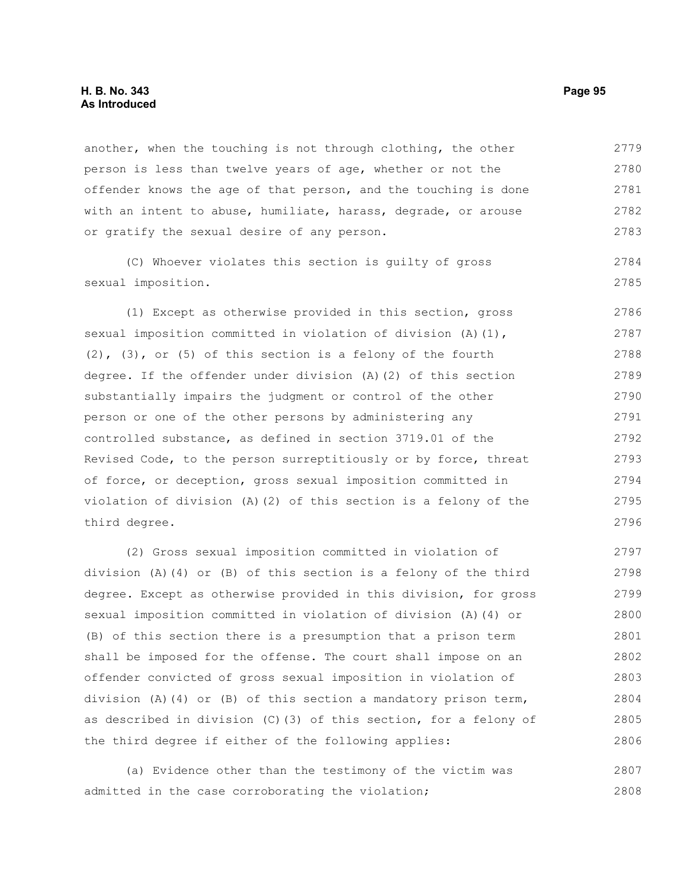#### **H. B. No. 343 Page 95 As Introduced**

another, when the touching is not through clothing, the other person is less than twelve years of age, whether or not the offender knows the age of that person, and the touching is done with an intent to abuse, humiliate, harass, degrade, or arouse or gratify the sexual desire of any person. 2779 2780 2781 2782 2783

(C) Whoever violates this section is guilty of gross sexual imposition.

(1) Except as otherwise provided in this section, gross sexual imposition committed in violation of division (A)(1), (2), (3), or (5) of this section is a felony of the fourth degree. If the offender under division (A)(2) of this section substantially impairs the judgment or control of the other person or one of the other persons by administering any controlled substance, as defined in section 3719.01 of the Revised Code, to the person surreptitiously or by force, threat of force, or deception, gross sexual imposition committed in violation of division (A)(2) of this section is a felony of the third degree. 2786 2787 2788 2789 2790 2791 2792 2793 2794 2795 2796

(2) Gross sexual imposition committed in violation of division (A)(4) or (B) of this section is a felony of the third degree. Except as otherwise provided in this division, for gross sexual imposition committed in violation of division (A)(4) or (B) of this section there is a presumption that a prison term shall be imposed for the offense. The court shall impose on an offender convicted of gross sexual imposition in violation of division (A)(4) or (B) of this section a mandatory prison term, as described in division  $(C)$  (3) of this section, for a felony of the third degree if either of the following applies: 2797 2798 2799 2800 2801 2802 2803 2804 2805 2806

(a) Evidence other than the testimony of the victim was admitted in the case corroborating the violation; 2807 2808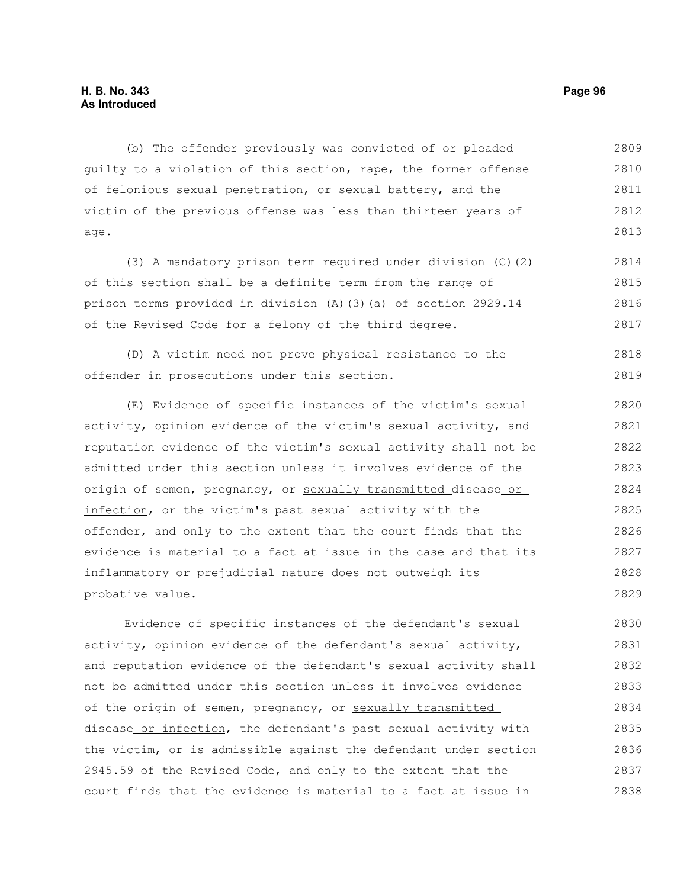(b) The offender previously was convicted of or pleaded guilty to a violation of this section, rape, the former offense of felonious sexual penetration, or sexual battery, and the victim of the previous offense was less than thirteen years of age. 2809 2810 2811 2812 2813

(3) A mandatory prison term required under division (C)(2) of this section shall be a definite term from the range of prison terms provided in division (A)(3)(a) of section 2929.14 of the Revised Code for a felony of the third degree. 2814 2815 2816 2817

(D) A victim need not prove physical resistance to the offender in prosecutions under this section. 2818 2819

(E) Evidence of specific instances of the victim's sexual activity, opinion evidence of the victim's sexual activity, and reputation evidence of the victim's sexual activity shall not be admitted under this section unless it involves evidence of the origin of semen, pregnancy, or sexually transmitted disease or infection, or the victim's past sexual activity with the offender, and only to the extent that the court finds that the evidence is material to a fact at issue in the case and that its inflammatory or prejudicial nature does not outweigh its probative value. 2820 2821 2822 2823 2824 2825 2826 2827 2828 2829

Evidence of specific instances of the defendant's sexual activity, opinion evidence of the defendant's sexual activity, and reputation evidence of the defendant's sexual activity shall not be admitted under this section unless it involves evidence of the origin of semen, pregnancy, or sexually transmitted disease or infection, the defendant's past sexual activity with the victim, or is admissible against the defendant under section 2945.59 of the Revised Code, and only to the extent that the court finds that the evidence is material to a fact at issue in 2830 2831 2832 2833 2834 2835 2836 2837 2838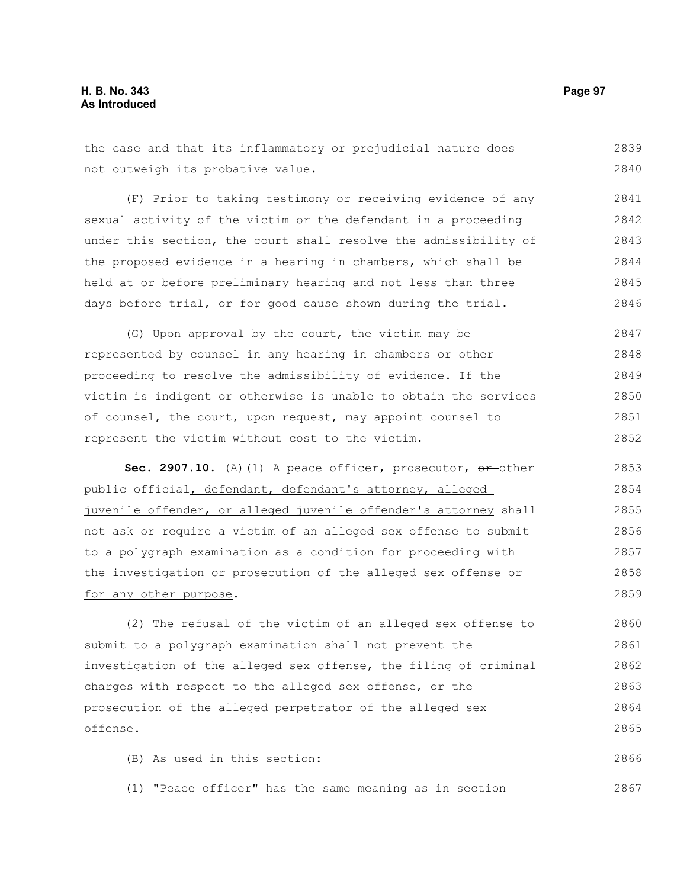offense.

2865

| the case and that its inflammatory or prejudicial nature does    | 2839 |
|------------------------------------------------------------------|------|
| not outweigh its probative value.                                | 2840 |
| (F) Prior to taking testimony or receiving evidence of any       | 2841 |
|                                                                  |      |
| sexual activity of the victim or the defendant in a proceeding   | 2842 |
| under this section, the court shall resolve the admissibility of | 2843 |
| the proposed evidence in a hearing in chambers, which shall be   | 2844 |
| held at or before preliminary hearing and not less than three    | 2845 |
| days before trial, or for good cause shown during the trial.     | 2846 |
| (G) Upon approval by the court, the victim may be                | 2847 |
|                                                                  |      |
| represented by counsel in any hearing in chambers or other       | 2848 |
| proceeding to resolve the admissibility of evidence. If the      | 2849 |
| victim is indigent or otherwise is unable to obtain the services | 2850 |
| of counsel, the court, upon request, may appoint counsel to      | 2851 |
| represent the victim without cost to the victim.                 | 2852 |
| Sec. 2907.10. (A) (1) A peace officer, prosecutor, or other      | 2853 |
| public official, defendant, defendant's attorney, alleged        | 2854 |
| juvenile offender, or alleged juvenile offender's attorney shall | 2855 |
| not ask or require a victim of an alleged sex offense to submit  | 2856 |
| to a polygraph examination as a condition for proceeding with    | 2857 |
| the investigation or prosecution of the alleged sex offense or   | 2858 |
| for any other purpose.                                           | 2859 |
| (2) The refusal of the victim of an alleged sex offense to       | 2860 |
| submit to a polygraph examination shall not prevent the          | 2861 |
|                                                                  |      |
| investigation of the alleged sex offense, the filing of criminal | 2862 |
| charges with respect to the alleged sex offense, or the          | 2863 |

(B) As used in this section: 2866

(1) "Peace officer" has the same meaning as in section 2867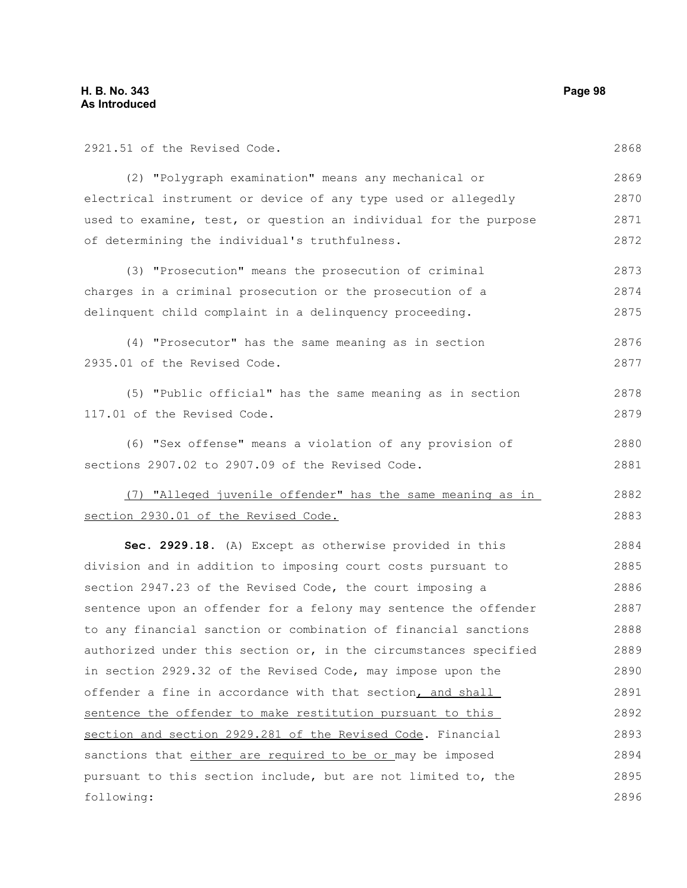2921.51 of the Revised Code.

| (2) "Polygraph examination" means any mechanical or              | 2869 |
|------------------------------------------------------------------|------|
| electrical instrument or device of any type used or allegedly    | 2870 |
| used to examine, test, or question an individual for the purpose | 2871 |
| of determining the individual's truthfulness.                    | 2872 |

(3) "Prosecution" means the prosecution of criminal charges in a criminal prosecution or the prosecution of a delinquent child complaint in a delinquency proceeding. 2873 2874 2875

(4) "Prosecutor" has the same meaning as in section 2935.01 of the Revised Code. 2876 2877

(5) "Public official" has the same meaning as in section 117.01 of the Revised Code. 2878 2879

(6) "Sex offense" means a violation of any provision of sections 2907.02 to 2907.09 of the Revised Code. 2880 2881

#### (7) "Alleged juvenile offender" has the same meaning as in section 2930.01 of the Revised Code. 2882 2883

**Sec. 2929.18.** (A) Except as otherwise provided in this division and in addition to imposing court costs pursuant to section 2947.23 of the Revised Code, the court imposing a sentence upon an offender for a felony may sentence the offender to any financial sanction or combination of financial sanctions authorized under this section or, in the circumstances specified in section 2929.32 of the Revised Code, may impose upon the offender a fine in accordance with that section, and shall sentence the offender to make restitution pursuant to this section and section 2929.281 of the Revised Code. Financial sanctions that either are required to be or may be imposed pursuant to this section include, but are not limited to, the following: 2884 2885 2886 2887 2888 2889 2890 2891 2892 2893 2894 2895 2896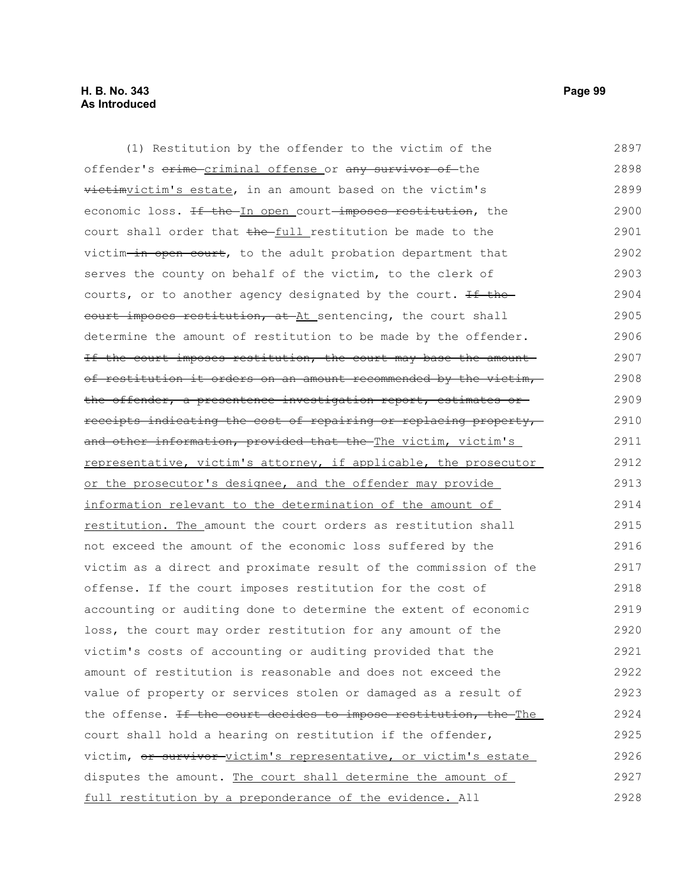# **H. B. No. 343 Page 99 As Introduced**

(1) Restitution by the offender to the victim of the offender's erime-criminal offense or any survivor of the victimvictim's estate, in an amount based on the victim's economic loss. If the In open court imposes restitution, the court shall order that the full restitution be made to the victim in open court, to the adult probation department that serves the county on behalf of the victim, to the clerk of courts, or to another agency designated by the court. If the court imposes restitution, at At sentencing, the court shall determine the amount of restitution to be made by the offender. If the court imposes restitution, the court may base the amountof restitution it orders on an amount recommended by the victim, the offender, a presentence investigation report, estimates or receipts indicating the cost of repairing or replacing property, and other information, provided that the The victim, victim's representative, victim's attorney, if applicable, the prosecutor or the prosecutor's designee, and the offender may provide information relevant to the determination of the amount of restitution. The amount the court orders as restitution shall not exceed the amount of the economic loss suffered by the victim as a direct and proximate result of the commission of the offense. If the court imposes restitution for the cost of accounting or auditing done to determine the extent of economic loss, the court may order restitution for any amount of the victim's costs of accounting or auditing provided that the amount of restitution is reasonable and does not exceed the value of property or services stolen or damaged as a result of the offense. If the court decides to impose restitution, the The court shall hold a hearing on restitution if the offender, victim, or survivor-victim's representative, or victim's estate disputes the amount. The court shall determine the amount of full restitution by a preponderance of the evidence. All 2897 2898 2899 2900 2901 2902 2903 2904 2905 2906 2907 2908 2909 2910 2911 2912 2913 2914 2915 2916 2917 2918 2919 2920 2921 2922 2923 2924 2925 2926 2927 2928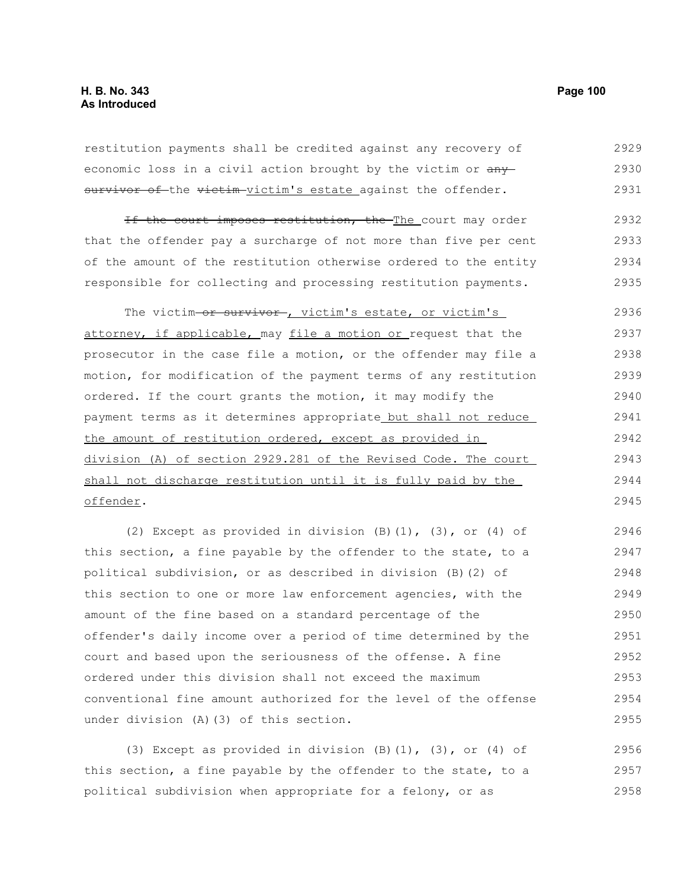restitution payments shall be credited against any recovery of economic loss in a civil action brought by the victim or  $\frac{any}{y}$ survivor of the victim-victim's estate against the offender. If the court imposes restitution, the The court may order that the offender pay a surcharge of not more than five per cent of the amount of the restitution otherwise ordered to the entity responsible for collecting and processing restitution payments. The victim-or survivor-, victim's estate, or victim's attorney, if applicable, may file a motion or request that the prosecutor in the case file a motion, or the offender may file a motion, for modification of the payment terms of any restitution ordered. If the court grants the motion, it may modify the 2929 2930 2931 2932 2933 2934 2935 2936 2937 2938 2939 2940

the amount of restitution ordered, except as provided in division (A) of section 2929.281 of the Revised Code. The court shall not discharge restitution until it is fully paid by the offender. 2942 2943 2944 2945

payment terms as it determines appropriate but shall not reduce

(2) Except as provided in division  $(B)$   $(1)$ ,  $(3)$ , or  $(4)$  of this section, a fine payable by the offender to the state, to a political subdivision, or as described in division (B)(2) of this section to one or more law enforcement agencies, with the amount of the fine based on a standard percentage of the offender's daily income over a period of time determined by the court and based upon the seriousness of the offense. A fine ordered under this division shall not exceed the maximum conventional fine amount authorized for the level of the offense under division (A)(3) of this section. 2947 2948 2949 2950 2951 2952 2953 2954 2955

(3) Except as provided in division (B)(1), (3), or (4) of this section, a fine payable by the offender to the state, to a political subdivision when appropriate for a felony, or as 2956 2957 2958

2946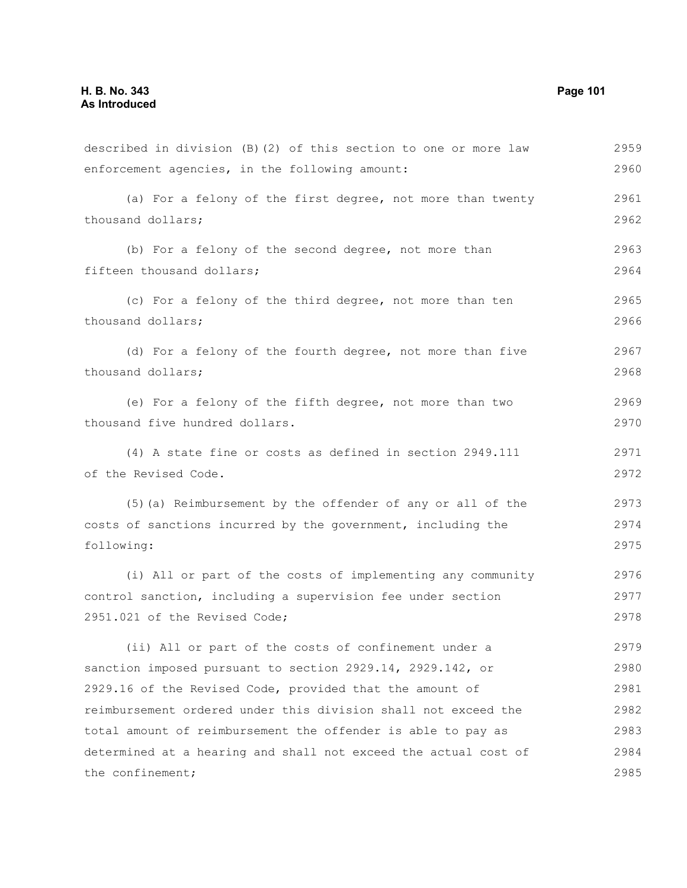described in division (B)(2) of this section to one or more law enforcement agencies, in the following amount: (a) For a felony of the first degree, not more than twenty thousand dollars; (b) For a felony of the second degree, not more than fifteen thousand dollars; (c) For a felony of the third degree, not more than ten thousand dollars; (d) For a felony of the fourth degree, not more than five thousand dollars; (e) For a felony of the fifth degree, not more than two thousand five hundred dollars. of the Revised Code. 2959 2960 2961 2962 2963 2964 2965 2966 2967 2968 2969 2970 2971 2972 2973 2974

(4) A state fine or costs as defined in section 2949.111

(5)(a) Reimbursement by the offender of any or all of the costs of sanctions incurred by the government, including the following: 2975

(i) All or part of the costs of implementing any community control sanction, including a supervision fee under section 2951.021 of the Revised Code; 2976 2977 2978

(ii) All or part of the costs of confinement under a sanction imposed pursuant to section 2929.14, 2929.142, or 2929.16 of the Revised Code, provided that the amount of reimbursement ordered under this division shall not exceed the total amount of reimbursement the offender is able to pay as determined at a hearing and shall not exceed the actual cost of the confinement; 2979 2980 2981 2982 2983 2984 2985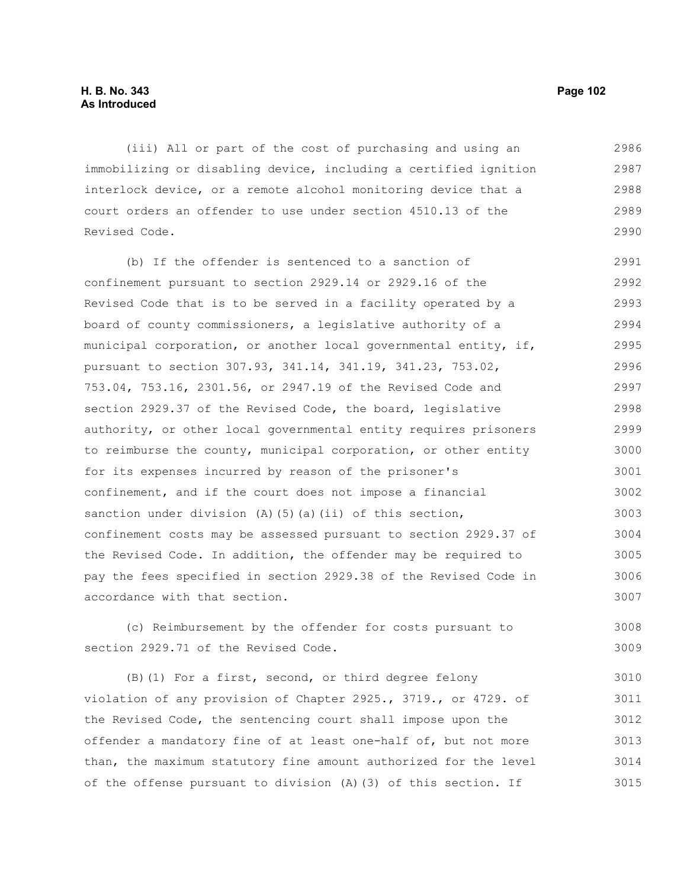# **H. B. No. 343 Page 102 As Introduced**

(iii) All or part of the cost of purchasing and using an immobilizing or disabling device, including a certified ignition interlock device, or a remote alcohol monitoring device that a court orders an offender to use under section 4510.13 of the Revised Code. 2986 2987 2988 2989 2990

(b) If the offender is sentenced to a sanction of confinement pursuant to section 2929.14 or 2929.16 of the Revised Code that is to be served in a facility operated by a board of county commissioners, a legislative authority of a municipal corporation, or another local governmental entity, if, pursuant to section 307.93, 341.14, 341.19, 341.23, 753.02, 753.04, 753.16, 2301.56, or 2947.19 of the Revised Code and section 2929.37 of the Revised Code, the board, legislative authority, or other local governmental entity requires prisoners to reimburse the county, municipal corporation, or other entity for its expenses incurred by reason of the prisoner's confinement, and if the court does not impose a financial sanction under division (A)(5)(a)(ii) of this section, confinement costs may be assessed pursuant to section 2929.37 of the Revised Code. In addition, the offender may be required to pay the fees specified in section 2929.38 of the Revised Code in accordance with that section. 2991 2992 2993 2994 2995 2996 2997 2998 2999 3000 3001 3002 3003 3004 3005 3006 3007

(c) Reimbursement by the offender for costs pursuant to section 2929.71 of the Revised Code.

(B)(1) For a first, second, or third degree felony violation of any provision of Chapter 2925., 3719., or 4729. of the Revised Code, the sentencing court shall impose upon the offender a mandatory fine of at least one-half of, but not more than, the maximum statutory fine amount authorized for the level of the offense pursuant to division (A)(3) of this section. If 3010 3011 3012 3013 3014 3015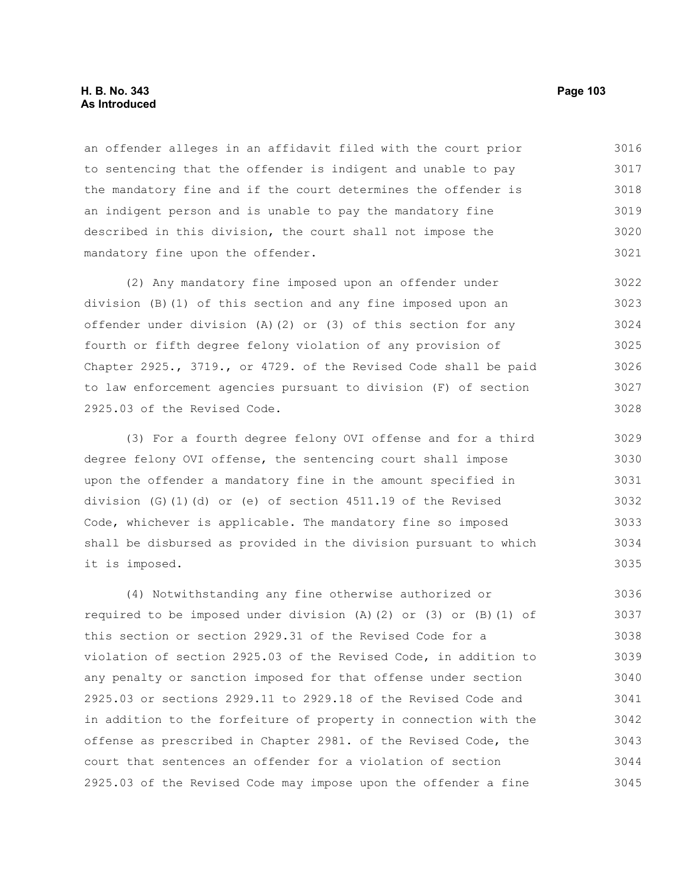#### **H. B. No. 343 Page 103 As Introduced**

an offender alleges in an affidavit filed with the court prior to sentencing that the offender is indigent and unable to pay the mandatory fine and if the court determines the offender is an indigent person and is unable to pay the mandatory fine described in this division, the court shall not impose the mandatory fine upon the offender. 3016 3017 3018 3019 3020 3021

(2) Any mandatory fine imposed upon an offender under division (B)(1) of this section and any fine imposed upon an offender under division (A)(2) or (3) of this section for any fourth or fifth degree felony violation of any provision of Chapter 2925., 3719., or 4729. of the Revised Code shall be paid to law enforcement agencies pursuant to division (F) of section 2925.03 of the Revised Code. 3022 3023 3024 3025 3026 3027 3028

(3) For a fourth degree felony OVI offense and for a third degree felony OVI offense, the sentencing court shall impose upon the offender a mandatory fine in the amount specified in division (G)(1)(d) or (e) of section 4511.19 of the Revised Code, whichever is applicable. The mandatory fine so imposed shall be disbursed as provided in the division pursuant to which it is imposed.

(4) Notwithstanding any fine otherwise authorized or required to be imposed under division  $(A)(2)$  or  $(3)$  or  $(B)(1)$  of this section or section 2929.31 of the Revised Code for a violation of section 2925.03 of the Revised Code, in addition to any penalty or sanction imposed for that offense under section 2925.03 or sections 2929.11 to 2929.18 of the Revised Code and in addition to the forfeiture of property in connection with the offense as prescribed in Chapter 2981. of the Revised Code, the court that sentences an offender for a violation of section 2925.03 of the Revised Code may impose upon the offender a fine 3036 3037 3038 3039 3040 3041 3042 3043 3044 3045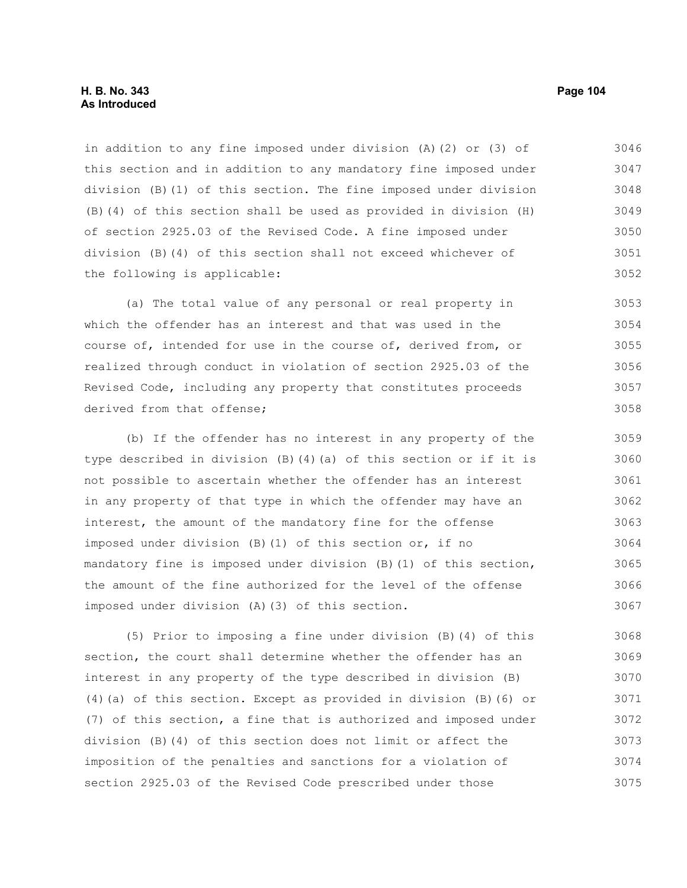in addition to any fine imposed under division (A)(2) or (3) of this section and in addition to any mandatory fine imposed under division (B)(1) of this section. The fine imposed under division (B)(4) of this section shall be used as provided in division (H) of section 2925.03 of the Revised Code. A fine imposed under division (B)(4) of this section shall not exceed whichever of the following is applicable: 3046 3047 3048 3049 3050 3051 3052

(a) The total value of any personal or real property in which the offender has an interest and that was used in the course of, intended for use in the course of, derived from, or realized through conduct in violation of section 2925.03 of the Revised Code, including any property that constitutes proceeds derived from that offense; 3053 3054 3055 3056 3057 3058

(b) If the offender has no interest in any property of the type described in division (B)(4)(a) of this section or if it is not possible to ascertain whether the offender has an interest in any property of that type in which the offender may have an interest, the amount of the mandatory fine for the offense imposed under division (B)(1) of this section or, if no mandatory fine is imposed under division (B)(1) of this section, the amount of the fine authorized for the level of the offense imposed under division (A)(3) of this section. 3059 3060 3061 3062 3063 3064 3065 3066 3067

(5) Prior to imposing a fine under division (B)(4) of this section, the court shall determine whether the offender has an interest in any property of the type described in division (B) (4)(a) of this section. Except as provided in division (B)(6) or (7) of this section, a fine that is authorized and imposed under division (B)(4) of this section does not limit or affect the imposition of the penalties and sanctions for a violation of section 2925.03 of the Revised Code prescribed under those 3068 3069 3070 3071 3072 3073 3074 3075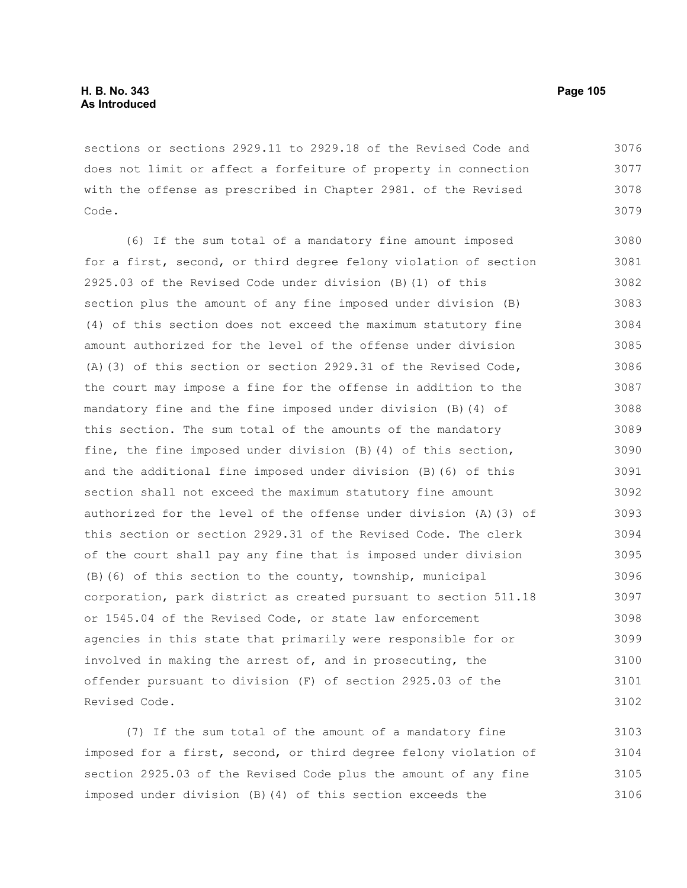sections or sections 2929.11 to 2929.18 of the Revised Code and does not limit or affect a forfeiture of property in connection with the offense as prescribed in Chapter 2981. of the Revised Code. 3076 3077 3078 3079

(6) If the sum total of a mandatory fine amount imposed for a first, second, or third degree felony violation of section 2925.03 of the Revised Code under division (B)(1) of this section plus the amount of any fine imposed under division (B) (4) of this section does not exceed the maximum statutory fine amount authorized for the level of the offense under division (A)(3) of this section or section 2929.31 of the Revised Code, the court may impose a fine for the offense in addition to the mandatory fine and the fine imposed under division (B)(4) of this section. The sum total of the amounts of the mandatory fine, the fine imposed under division (B)(4) of this section, and the additional fine imposed under division (B)(6) of this section shall not exceed the maximum statutory fine amount authorized for the level of the offense under division (A)(3) of this section or section 2929.31 of the Revised Code. The clerk of the court shall pay any fine that is imposed under division (B)(6) of this section to the county, township, municipal corporation, park district as created pursuant to section 511.18 or 1545.04 of the Revised Code, or state law enforcement agencies in this state that primarily were responsible for or involved in making the arrest of, and in prosecuting, the offender pursuant to division (F) of section 2925.03 of the Revised Code. 3080 3081 3082 3083 3084 3085 3086 3087 3088 3089 3090 3091 3092 3093 3094 3095 3096 3097 3098 3099 3100 3101 3102

(7) If the sum total of the amount of a mandatory fine imposed for a first, second, or third degree felony violation of section 2925.03 of the Revised Code plus the amount of any fine imposed under division (B)(4) of this section exceeds the 3103 3104 3105 3106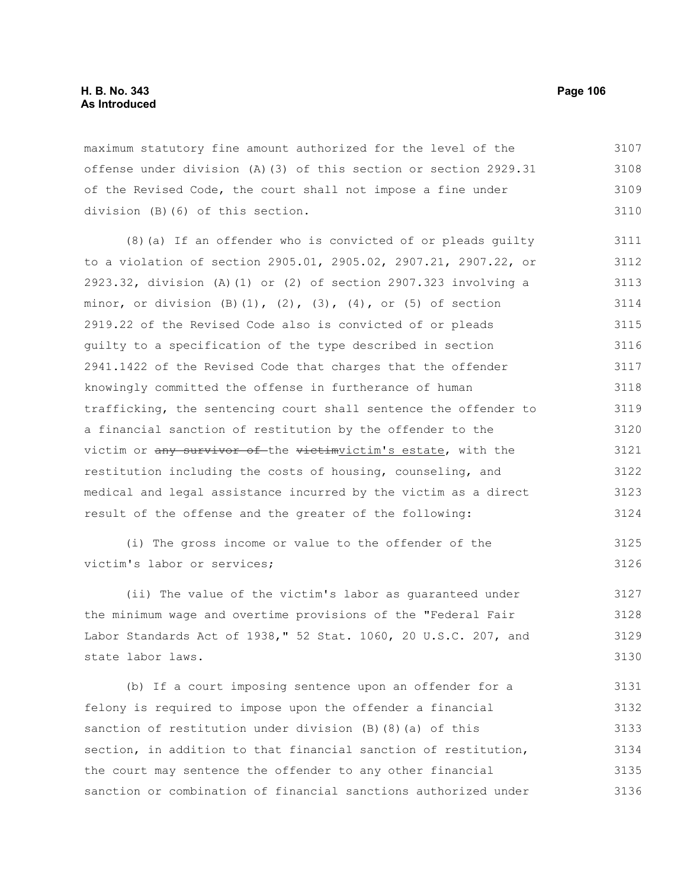maximum statutory fine amount authorized for the level of the offense under division (A)(3) of this section or section 2929.31 of the Revised Code, the court shall not impose a fine under division (B)(6) of this section. 3107 3108 3109 3110

(8)(a) If an offender who is convicted of or pleads guilty to a violation of section 2905.01, 2905.02, 2907.21, 2907.22, or 2923.32, division (A)(1) or (2) of section 2907.323 involving a minor, or division  $(B)$   $(1)$ ,  $(2)$ ,  $(3)$ ,  $(4)$ , or  $(5)$  of section 2919.22 of the Revised Code also is convicted of or pleads guilty to a specification of the type described in section 2941.1422 of the Revised Code that charges that the offender knowingly committed the offense in furtherance of human trafficking, the sentencing court shall sentence the offender to a financial sanction of restitution by the offender to the victim or any survivor of the victimyictim's estate, with the restitution including the costs of housing, counseling, and medical and legal assistance incurred by the victim as a direct result of the offense and the greater of the following: 3111 3112 3113 3114 3115 3116 3117 3118 3119 3120 3121 3122 3123 3124

(i) The gross income or value to the offender of the victim's labor or services; 3125

(ii) The value of the victim's labor as guaranteed under the minimum wage and overtime provisions of the "Federal Fair Labor Standards Act of 1938," 52 Stat. 1060, 20 U.S.C. 207, and state labor laws. 3127 3128 3129 3130

(b) If a court imposing sentence upon an offender for a felony is required to impose upon the offender a financial sanction of restitution under division (B)(8)(a) of this section, in addition to that financial sanction of restitution, the court may sentence the offender to any other financial sanction or combination of financial sanctions authorized under 3131 3132 3133 3134 3135 3136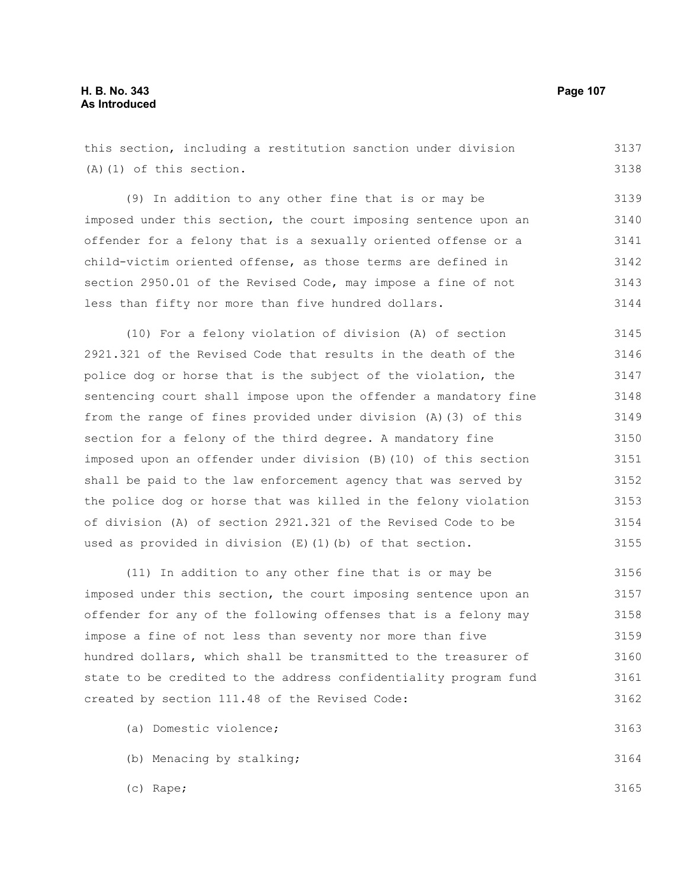3164

#### this section, including a restitution sanction under division (A)(1) of this section. (9) In addition to any other fine that is or may be imposed under this section, the court imposing sentence upon an offender for a felony that is a sexually oriented offense or a child-victim oriented offense, as those terms are defined in section 2950.01 of the Revised Code, may impose a fine of not less than fifty nor more than five hundred dollars. 3137 3138 3139 3140 3141 3142 3143 3144

(10) For a felony violation of division (A) of section 2921.321 of the Revised Code that results in the death of the police dog or horse that is the subject of the violation, the sentencing court shall impose upon the offender a mandatory fine from the range of fines provided under division (A)(3) of this section for a felony of the third degree. A mandatory fine imposed upon an offender under division (B)(10) of this section shall be paid to the law enforcement agency that was served by the police dog or horse that was killed in the felony violation of division (A) of section 2921.321 of the Revised Code to be used as provided in division (E)(1)(b) of that section. 3145 3146 3147 3148 3149 3150 3151 3152 3153 3154 3155

(11) In addition to any other fine that is or may be imposed under this section, the court imposing sentence upon an offender for any of the following offenses that is a felony may impose a fine of not less than seventy nor more than five hundred dollars, which shall be transmitted to the treasurer of state to be credited to the address confidentiality program fund created by section 111.48 of the Revised Code: 3156 3157 3158 3159 3160 3161 3162

(a) Domestic violence; 3163

- (b) Menacing by stalking;
- (c) Rape; 3165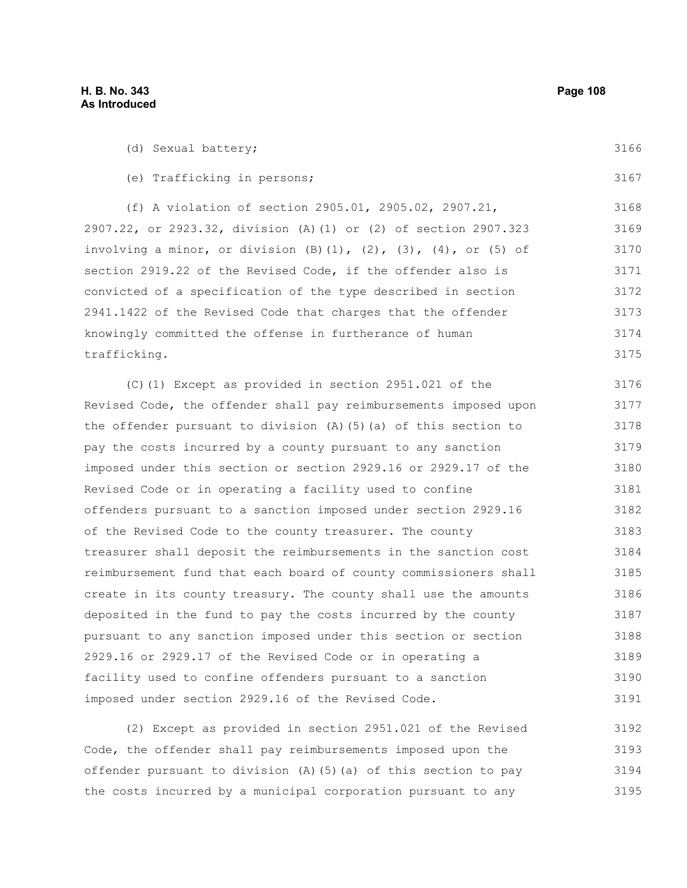| (d) Sexual battery;                                                              | 3166 |
|----------------------------------------------------------------------------------|------|
| (e) Trafficking in persons;                                                      | 3167 |
| (f) A violation of section 2905.01, 2905.02, 2907.21,                            | 3168 |
| 2907.22, or 2923.32, division (A) (1) or (2) of section 2907.323                 | 3169 |
| involving a minor, or division $(B)$ $(1)$ , $(2)$ , $(3)$ , $(4)$ , or $(5)$ of | 3170 |
| section 2919.22 of the Revised Code, if the offender also is                     | 3171 |
| convicted of a specification of the type described in section                    | 3172 |
| 2941.1422 of the Revised Code that charges that the offender                     | 3173 |
| knowingly committed the offense in furtherance of human                          | 3174 |
| trafficking.                                                                     | 3175 |
| (C) (1) Except as provided in section 2951.021 of the                            | 3176 |
| Revised Code, the offender shall pay reimbursements imposed upon                 | 3177 |
| the offender pursuant to division $(A)$ (5) (a) of this section to               | 3178 |
| pay the costs incurred by a county pursuant to any sanction                      | 3179 |
| imposed under this section or section 2929.16 or 2929.17 of the                  | 3180 |
| Revised Code or in operating a facility used to confine                          | 3181 |
| offenders pursuant to a sanction imposed under section 2929.16                   | 3182 |
| of the Revised Code to the county treasurer. The county                          | 3183 |
| treasurer shall deposit the reimbursements in the sanction cost                  | 3184 |
| reimbursement fund that each board of county commissioners shall                 | 3185 |
| create in its county treasury. The county shall use the amounts                  | 3186 |
| deposited in the fund to pay the costs incurred by the county                    | 3187 |
| pursuant to any sanction imposed under this section or section                   | 3188 |
| 2929.16 or 2929.17 of the Revised Code or in operating a                         | 3189 |
| facility used to confine offenders pursuant to a sanction                        | 3190 |
| imposed under section 2929.16 of the Revised Code.                               | 3191 |

(2) Except as provided in section 2951.021 of the Revised Code, the offender shall pay reimbursements imposed upon the offender pursuant to division (A)(5)(a) of this section to pay the costs incurred by a municipal corporation pursuant to any 3192 3193 3194 3195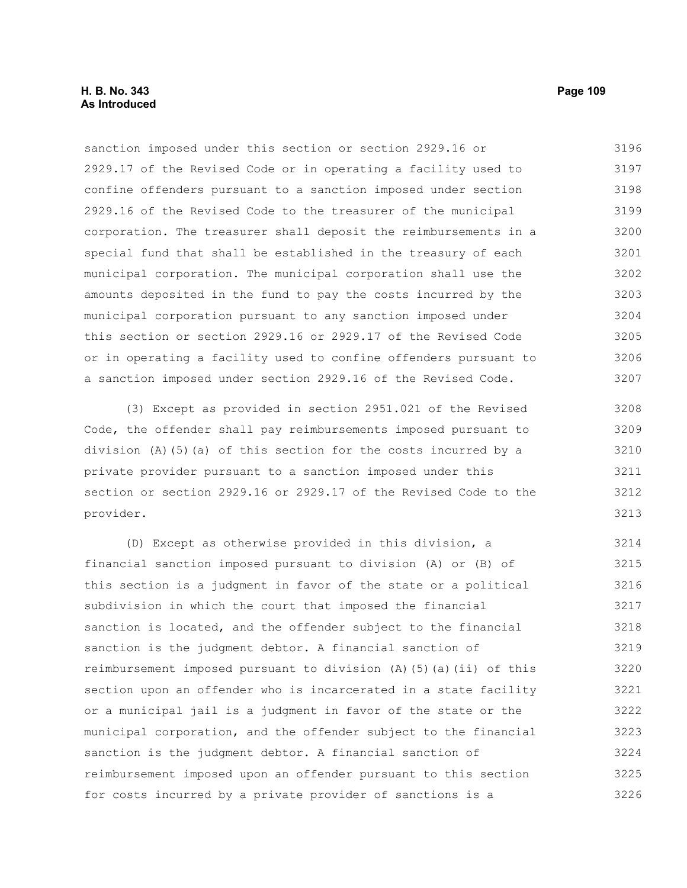sanction imposed under this section or section 2929.16 or 2929.17 of the Revised Code or in operating a facility used to confine offenders pursuant to a sanction imposed under section 2929.16 of the Revised Code to the treasurer of the municipal corporation. The treasurer shall deposit the reimbursements in a special fund that shall be established in the treasury of each municipal corporation. The municipal corporation shall use the amounts deposited in the fund to pay the costs incurred by the municipal corporation pursuant to any sanction imposed under this section or section 2929.16 or 2929.17 of the Revised Code or in operating a facility used to confine offenders pursuant to a sanction imposed under section 2929.16 of the Revised Code. 3196 3197 3198 3199 3200 3201 3202 3203 3204 3205 3206 3207

(3) Except as provided in section 2951.021 of the Revised Code, the offender shall pay reimbursements imposed pursuant to division (A)(5)(a) of this section for the costs incurred by a private provider pursuant to a sanction imposed under this section or section 2929.16 or 2929.17 of the Revised Code to the provider. 3208 3209 3210 3211 3212 3213

(D) Except as otherwise provided in this division, a financial sanction imposed pursuant to division (A) or (B) of this section is a judgment in favor of the state or a political subdivision in which the court that imposed the financial sanction is located, and the offender subject to the financial sanction is the judgment debtor. A financial sanction of reimbursement imposed pursuant to division (A)(5)(a)(ii) of this section upon an offender who is incarcerated in a state facility or a municipal jail is a judgment in favor of the state or the municipal corporation, and the offender subject to the financial sanction is the judgment debtor. A financial sanction of reimbursement imposed upon an offender pursuant to this section for costs incurred by a private provider of sanctions is a 3214 3215 3216 3217 3218 3219 3220 3221 3222 3223 3224 3225 3226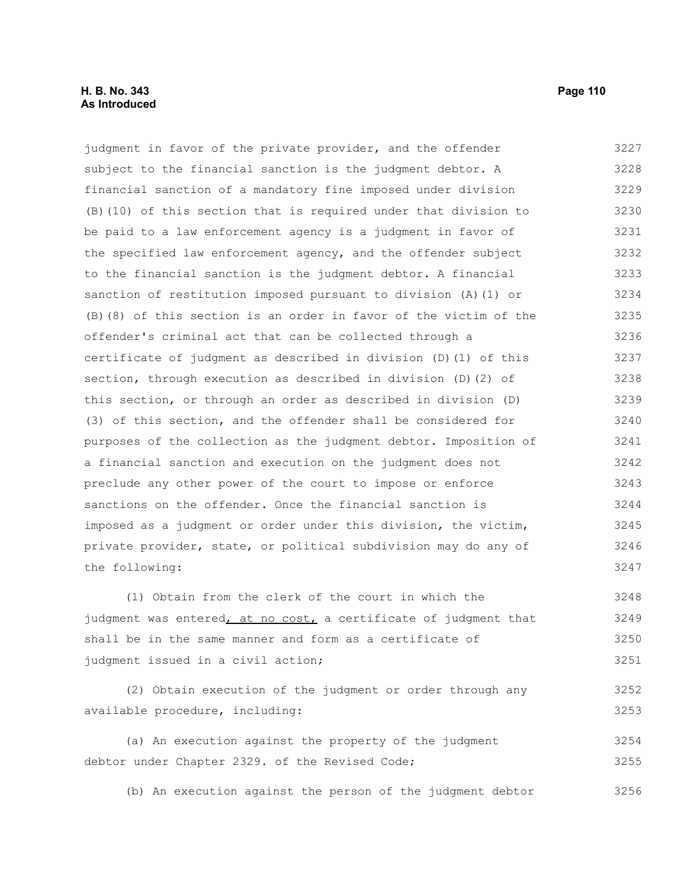judgment in favor of the private provider, and the offender subject to the financial sanction is the judgment debtor. A financial sanction of a mandatory fine imposed under division (B)(10) of this section that is required under that division to be paid to a law enforcement agency is a judgment in favor of the specified law enforcement agency, and the offender subject to the financial sanction is the judgment debtor. A financial sanction of restitution imposed pursuant to division (A)(1) or (B)(8) of this section is an order in favor of the victim of the offender's criminal act that can be collected through a certificate of judgment as described in division (D)(1) of this section, through execution as described in division (D)(2) of this section, or through an order as described in division (D) (3) of this section, and the offender shall be considered for purposes of the collection as the judgment debtor. Imposition of a financial sanction and execution on the judgment does not preclude any other power of the court to impose or enforce sanctions on the offender. Once the financial sanction is imposed as a judgment or order under this division, the victim, private provider, state, or political subdivision may do any of the following: (1) Obtain from the clerk of the court in which the judgment was entered, at no cost, a certificate of judgment that 3227 3228 3229 3230 3231 3232 3233 3234 3235 3236 3237 3238 3239 3240 3241 3242 3243 3244 3245 3246 3247 3248 3249

shall be in the same manner and form as a certificate of judgment issued in a civil action; 3250 3251

(2) Obtain execution of the judgment or order through any available procedure, including: 3252 3253

(a) An execution against the property of the judgment debtor under Chapter 2329. of the Revised Code; 3254 3255

(b) An execution against the person of the judgment debtor 3256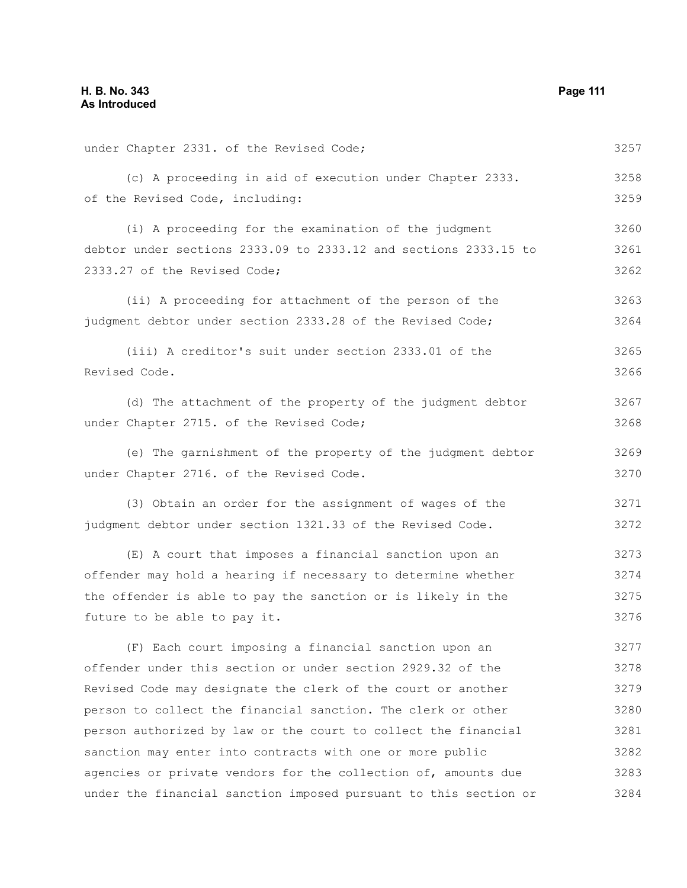| under Chapter 2331. of the Revised Code;                         | 3257 |
|------------------------------------------------------------------|------|
| (c) A proceeding in aid of execution under Chapter 2333.         | 3258 |
| of the Revised Code, including:                                  | 3259 |
| (i) A proceeding for the examination of the judgment             | 3260 |
| debtor under sections 2333.09 to 2333.12 and sections 2333.15 to | 3261 |
| 2333.27 of the Revised Code;                                     | 3262 |
| (ii) A proceeding for attachment of the person of the            | 3263 |
| judgment debtor under section 2333.28 of the Revised Code;       | 3264 |
| (iii) A creditor's suit under section 2333.01 of the             | 3265 |
| Revised Code.                                                    | 3266 |
| (d) The attachment of the property of the judgment debtor        | 3267 |
| under Chapter 2715. of the Revised Code;                         | 3268 |
| (e) The garnishment of the property of the judgment debtor       | 3269 |
| under Chapter 2716. of the Revised Code.                         | 3270 |
| (3) Obtain an order for the assignment of wages of the           | 3271 |
| judgment debtor under section 1321.33 of the Revised Code.       | 3272 |
| (E) A court that imposes a financial sanction upon an            | 3273 |
| offender may hold a hearing if necessary to determine whether    | 3274 |
| the offender is able to pay the sanction or is likely in the     | 3275 |
| future to be able to pay it.                                     | 3276 |
| (F) Each court imposing a financial sanction upon an             | 3277 |
| offender under this section or under section 2929.32 of the      | 3278 |
| Revised Code may designate the clerk of the court or another     | 3279 |
| person to collect the financial sanction. The clerk or other     | 3280 |
| person authorized by law or the court to collect the financial   | 3281 |
| sanction may enter into contracts with one or more public        | 3282 |
| agencies or private vendors for the collection of, amounts due   | 3283 |
| under the financial sanction imposed pursuant to this section or | 3284 |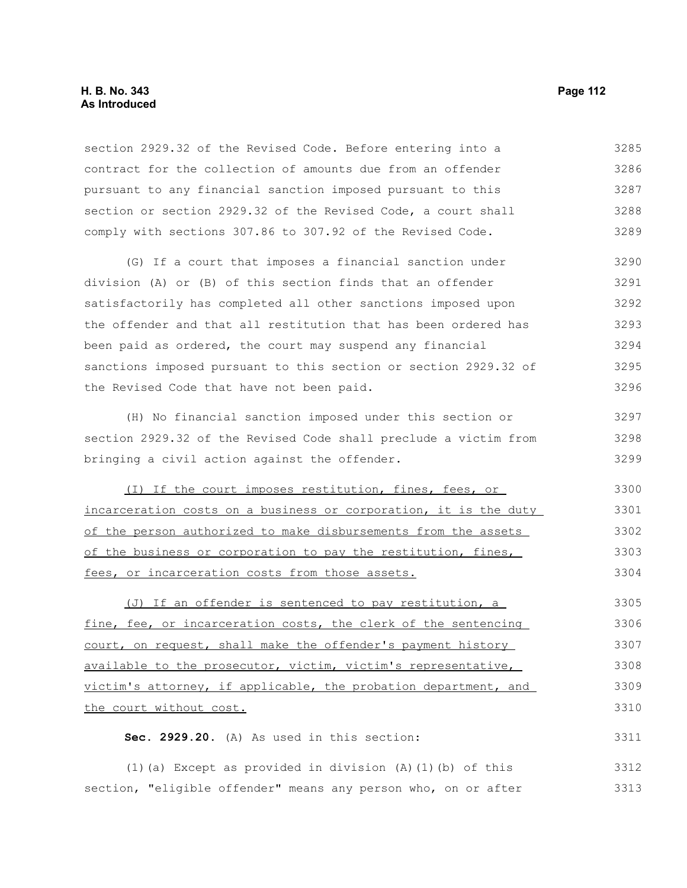## **H. B. No. 343 Page 112 As Introduced**

section 2929.32 of the Revised Code. Before entering into a contract for the collection of amounts due from an offender pursuant to any financial sanction imposed pursuant to this section or section 2929.32 of the Revised Code, a court shall comply with sections 307.86 to 307.92 of the Revised Code. 3285 3286 3287 3288 3289

(G) If a court that imposes a financial sanction under division (A) or (B) of this section finds that an offender satisfactorily has completed all other sanctions imposed upon the offender and that all restitution that has been ordered has been paid as ordered, the court may suspend any financial sanctions imposed pursuant to this section or section 2929.32 of the Revised Code that have not been paid. 3290 3291 3292 3293 3294 3295 3296

(H) No financial sanction imposed under this section or section 2929.32 of the Revised Code shall preclude a victim from bringing a civil action against the offender. 3297 3298 3299

(I) If the court imposes restitution, fines, fees, or incarceration costs on a business or corporation, it is the duty of the person authorized to make disbursements from the assets of the business or corporation to pay the restitution, fines, fees, or incarceration costs from those assets. 3300 3301 3302 3303 3304

(J) If an offender is sentenced to pay restitution, a fine, fee, or incarceration costs, the clerk of the sentencing court, on request, shall make the offender's payment history available to the prosecutor, victim, victim's representative, victim's attorney, if applicable, the probation department, and the court without cost. 3305 3306 3307 3308 3309 3310

**Sec. 2929.20.** (A) As used in this section: 3311

(1)(a) Except as provided in division (A)(1)(b) of this section, "eligible offender" means any person who, on or after 3312 3313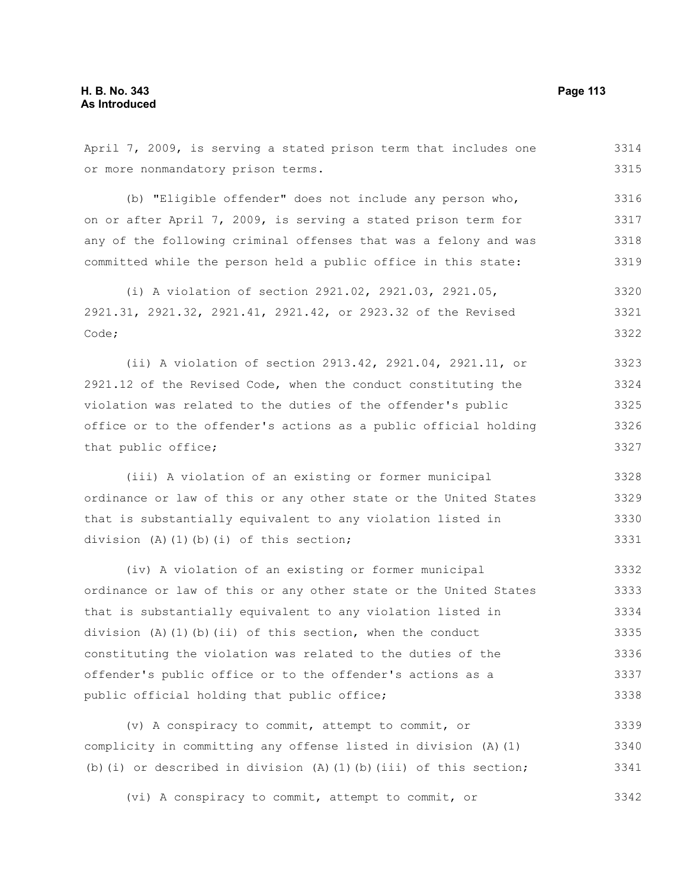| April 7, 2009, is serving a stated prison term that includes one        | 3314 |
|-------------------------------------------------------------------------|------|
| or more nonmandatory prison terms.                                      | 3315 |
| (b) "Eligible offender" does not include any person who,                | 3316 |
| on or after April 7, 2009, is serving a stated prison term for          | 3317 |
| any of the following criminal offenses that was a felony and was        | 3318 |
| committed while the person held a public office in this state:          | 3319 |
| (i) A violation of section 2921.02, 2921.03, 2921.05,                   | 3320 |
| 2921.31, 2921.32, 2921.41, 2921.42, or 2923.32 of the Revised           | 3321 |
| Code;                                                                   | 3322 |
| (ii) A violation of section 2913.42, 2921.04, 2921.11, or               | 3323 |
| 2921.12 of the Revised Code, when the conduct constituting the          | 3324 |
| violation was related to the duties of the offender's public            | 3325 |
| office or to the offender's actions as a public official holding        | 3326 |
| that public office;                                                     | 3327 |
| (iii) A violation of an existing or former municipal                    | 3328 |
| ordinance or law of this or any other state or the United States        | 3329 |
| that is substantially equivalent to any violation listed in             | 3330 |
| division $(A) (1) (b) (i)$ of this section;                             | 3331 |
| (iv) A violation of an existing or former municipal                     | 3332 |
| ordinance or law of this or any other state or the United States        | 3333 |
| that is substantially equivalent to any violation listed in             | 3334 |
| division (A) (1) (b) (ii) of this section, when the conduct             | 3335 |
| constituting the violation was related to the duties of the             | 3336 |
| offender's public office or to the offender's actions as a              | 3337 |
| public official holding that public office;                             | 3338 |
| (v) A conspiracy to commit, attempt to commit, or                       | 3339 |
| complicity in committing any offense listed in division (A) (1)         | 3340 |
| (b) (i) or described in division (A) $(1)$ (b) $(iii)$ of this section; | 3341 |

(b)(i) or described in division (A)(1)(b)(iii) of this section;

(vi) A conspiracy to commit, attempt to commit, or 3342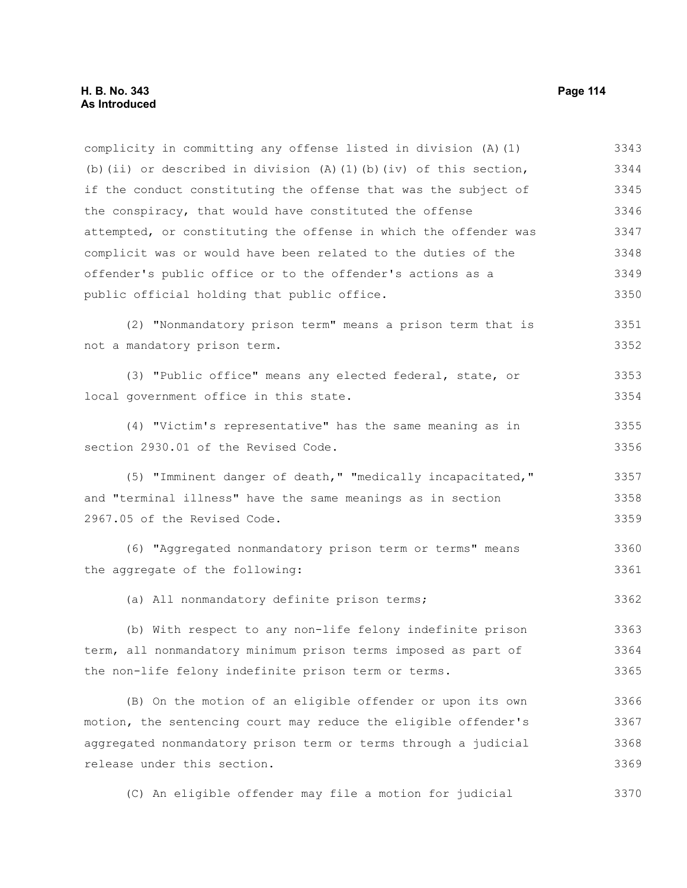complicity in committing any offense listed in division (A)(1) (b)(ii) or described in division (A)(1)(b)(iv) of this section, if the conduct constituting the offense that was the subject of the conspiracy, that would have constituted the offense attempted, or constituting the offense in which the offender was complicit was or would have been related to the duties of the offender's public office or to the offender's actions as a public official holding that public office. (2) "Nonmandatory prison term" means a prison term that is not a mandatory prison term. (3) "Public office" means any elected federal, state, or local government office in this state. (4) "Victim's representative" has the same meaning as in section 2930.01 of the Revised Code. (5) "Imminent danger of death," "medically incapacitated," and "terminal illness" have the same meanings as in section 2967.05 of the Revised Code. (6) "Aggregated nonmandatory prison term or terms" means the aggregate of the following: (a) All nonmandatory definite prison terms; (b) With respect to any non-life felony indefinite prison term, all nonmandatory minimum prison terms imposed as part of the non-life felony indefinite prison term or terms. (B) On the motion of an eligible offender or upon its own motion, the sentencing court may reduce the eligible offender's aggregated nonmandatory prison term or terms through a judicial release under this section. 3343 3344 3345 3346 3347 3348 3349 3350 3351 3352 3353 3354 3355 3356 3357 3358 3359 3360 3361 3362 3363 3364 3365 3366 3367 3368 3369

(C) An eligible offender may file a motion for judicial 3370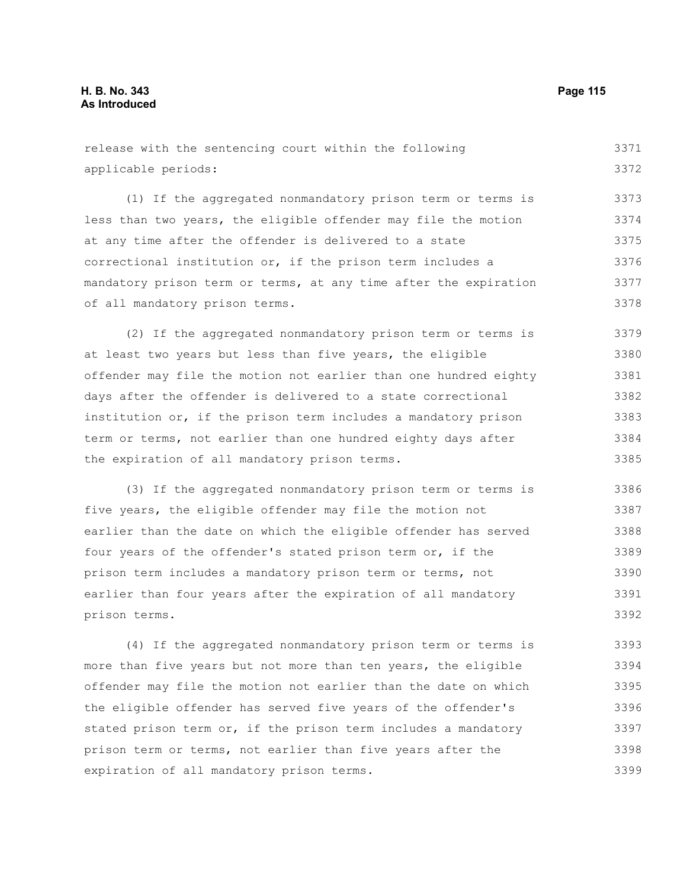release with the sentencing court within the following applicable periods: (1) If the aggregated nonmandatory prison term or terms is less than two years, the eligible offender may file the motion at any time after the offender is delivered to a state correctional institution or, if the prison term includes a mandatory prison term or terms, at any time after the expiration of all mandatory prison terms. 3371 3372 3373 3374 3375 3376 3377 3378

(2) If the aggregated nonmandatory prison term or terms is at least two years but less than five years, the eligible offender may file the motion not earlier than one hundred eighty days after the offender is delivered to a state correctional institution or, if the prison term includes a mandatory prison term or terms, not earlier than one hundred eighty days after the expiration of all mandatory prison terms. 3379 3380 3381 3382 3383 3384 3385

(3) If the aggregated nonmandatory prison term or terms is five years, the eligible offender may file the motion not earlier than the date on which the eligible offender has served four years of the offender's stated prison term or, if the prison term includes a mandatory prison term or terms, not earlier than four years after the expiration of all mandatory prison terms. 3386 3387 3388 3389 3390 3391 3392

(4) If the aggregated nonmandatory prison term or terms is more than five years but not more than ten years, the eligible offender may file the motion not earlier than the date on which the eligible offender has served five years of the offender's stated prison term or, if the prison term includes a mandatory prison term or terms, not earlier than five years after the expiration of all mandatory prison terms. 3393 3394 3395 3396 3397 3398 3399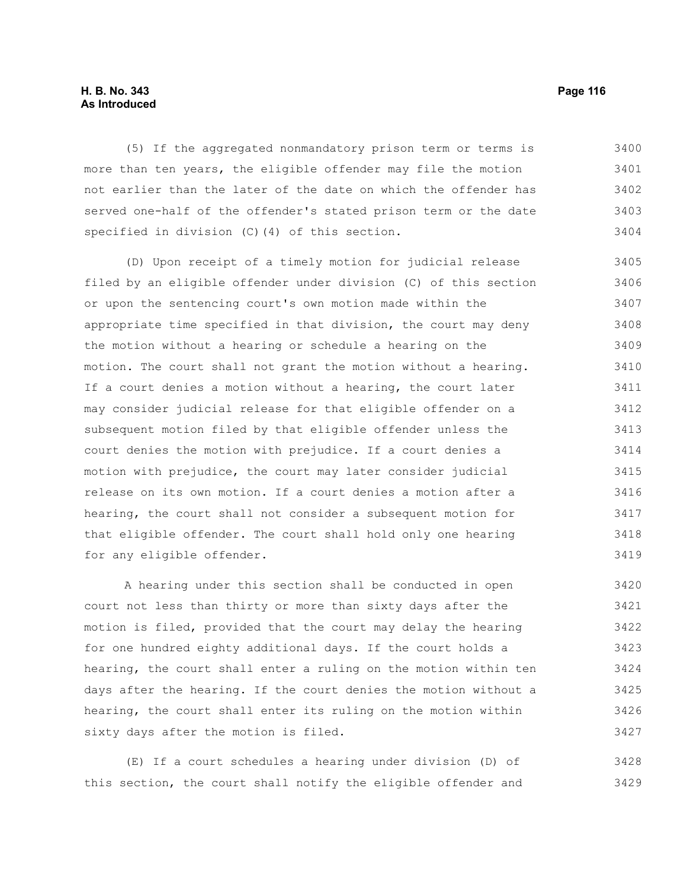# **H. B. No. 343 Page 116 As Introduced**

(5) If the aggregated nonmandatory prison term or terms is more than ten years, the eligible offender may file the motion not earlier than the later of the date on which the offender has served one-half of the offender's stated prison term or the date specified in division (C)(4) of this section. 3400 3401 3402 3403 3404

(D) Upon receipt of a timely motion for judicial release filed by an eligible offender under division (C) of this section or upon the sentencing court's own motion made within the appropriate time specified in that division, the court may deny the motion without a hearing or schedule a hearing on the motion. The court shall not grant the motion without a hearing. If a court denies a motion without a hearing, the court later may consider judicial release for that eligible offender on a subsequent motion filed by that eligible offender unless the court denies the motion with prejudice. If a court denies a motion with prejudice, the court may later consider judicial release on its own motion. If a court denies a motion after a hearing, the court shall not consider a subsequent motion for that eligible offender. The court shall hold only one hearing for any eligible offender. 3405 3406 3407 3408 3409 3410 3411 3412 3413 3414 3415 3416 3417 3418 3419

A hearing under this section shall be conducted in open court not less than thirty or more than sixty days after the motion is filed, provided that the court may delay the hearing for one hundred eighty additional days. If the court holds a hearing, the court shall enter a ruling on the motion within ten days after the hearing. If the court denies the motion without a hearing, the court shall enter its ruling on the motion within sixty days after the motion is filed. 3420 3421 3422 3423 3424 3425 3426 3427

(E) If a court schedules a hearing under division (D) of this section, the court shall notify the eligible offender and 3428 3429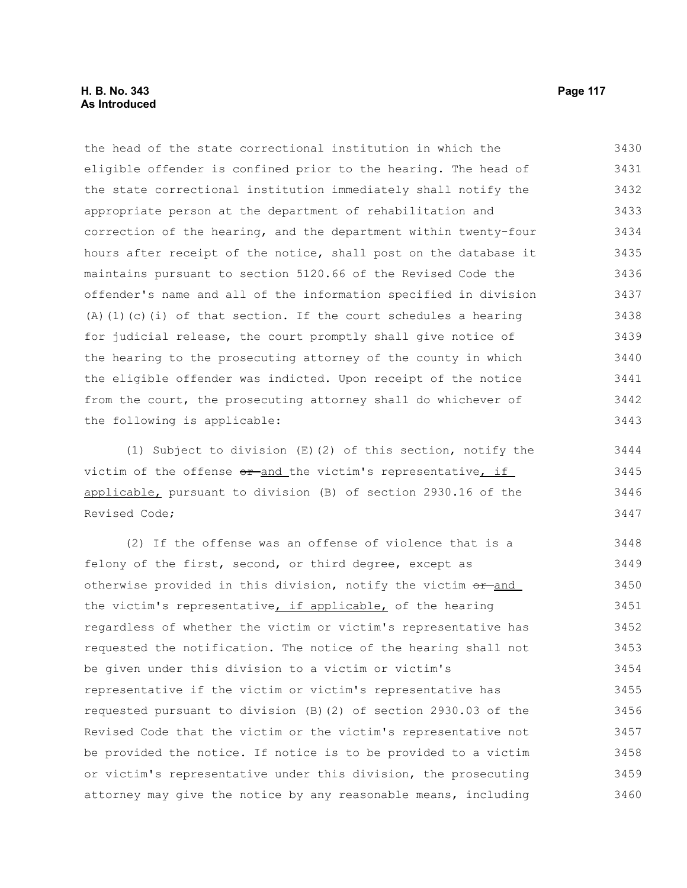# **H. B. No. 343** Page 117 **As Introduced**

the head of the state correctional institution in which the eligible offender is confined prior to the hearing. The head of the state correctional institution immediately shall notify the appropriate person at the department of rehabilitation and correction of the hearing, and the department within twenty-four hours after receipt of the notice, shall post on the database it maintains pursuant to section 5120.66 of the Revised Code the offender's name and all of the information specified in division (A)(1)(c)(i) of that section. If the court schedules a hearing for judicial release, the court promptly shall give notice of the hearing to the prosecuting attorney of the county in which the eligible offender was indicted. Upon receipt of the notice from the court, the prosecuting attorney shall do whichever of the following is applicable: 3430 3431 3432 3433 3434 3435 3436 3437 3438 3439 3440 3441 3442 3443

(1) Subject to division (E)(2) of this section, notify the victim of the offense  $er$ -and the victim's representative, if applicable, pursuant to division (B) of section 2930.16 of the Revised Code; 3444 3445 3446 3447

(2) If the offense was an offense of violence that is a felony of the first, second, or third degree, except as otherwise provided in this division, notify the victim or and the victim's representative, if applicable, of the hearing regardless of whether the victim or victim's representative has requested the notification. The notice of the hearing shall not be given under this division to a victim or victim's representative if the victim or victim's representative has requested pursuant to division (B)(2) of section 2930.03 of the Revised Code that the victim or the victim's representative not be provided the notice. If notice is to be provided to a victim or victim's representative under this division, the prosecuting attorney may give the notice by any reasonable means, including 3448 3449 3450 3451 3452 3453 3454 3455 3456 3457 3458 3459 3460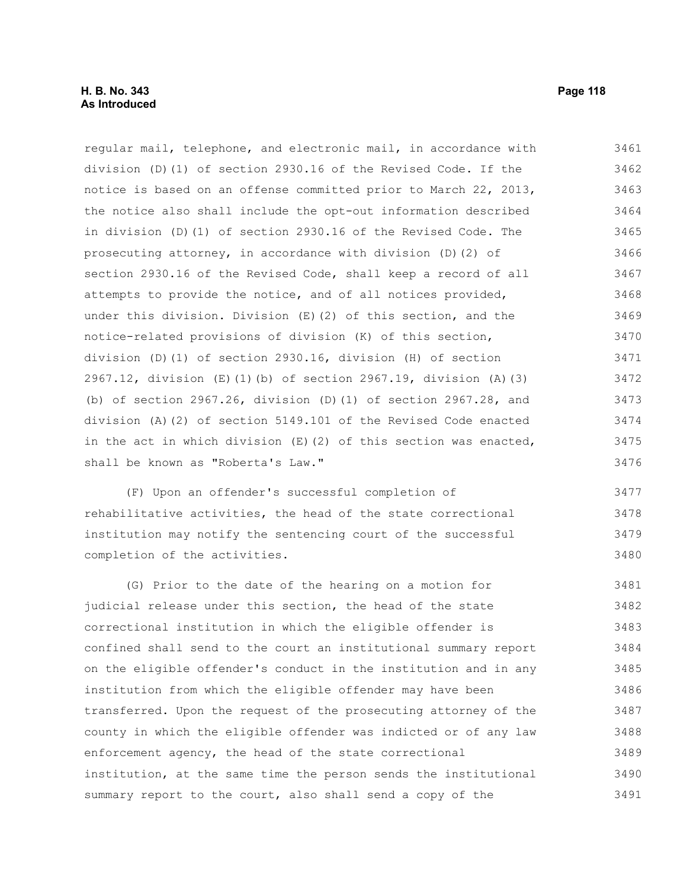regular mail, telephone, and electronic mail, in accordance with division (D)(1) of section 2930.16 of the Revised Code. If the notice is based on an offense committed prior to March 22, 2013, the notice also shall include the opt-out information described in division (D)(1) of section 2930.16 of the Revised Code. The prosecuting attorney, in accordance with division (D)(2) of section 2930.16 of the Revised Code, shall keep a record of all attempts to provide the notice, and of all notices provided, under this division. Division (E)(2) of this section, and the notice-related provisions of division (K) of this section, division (D)(1) of section 2930.16, division (H) of section 2967.12, division (E)(1)(b) of section 2967.19, division (A)(3) (b) of section 2967.26, division (D)(1) of section 2967.28, and division (A)(2) of section 5149.101 of the Revised Code enacted in the act in which division (E)(2) of this section was enacted, shall be known as "Roberta's Law." 3461 3462 3463 3464 3465 3466 3467 3468 3469 3470 3471 3472 3473 3474 3475 3476

(F) Upon an offender's successful completion of rehabilitative activities, the head of the state correctional institution may notify the sentencing court of the successful completion of the activities. 3477 3478 3479 3480

(G) Prior to the date of the hearing on a motion for judicial release under this section, the head of the state correctional institution in which the eligible offender is confined shall send to the court an institutional summary report on the eligible offender's conduct in the institution and in any institution from which the eligible offender may have been transferred. Upon the request of the prosecuting attorney of the county in which the eligible offender was indicted or of any law enforcement agency, the head of the state correctional institution, at the same time the person sends the institutional summary report to the court, also shall send a copy of the 3481 3482 3483 3484 3485 3486 3487 3488 3489 3490 3491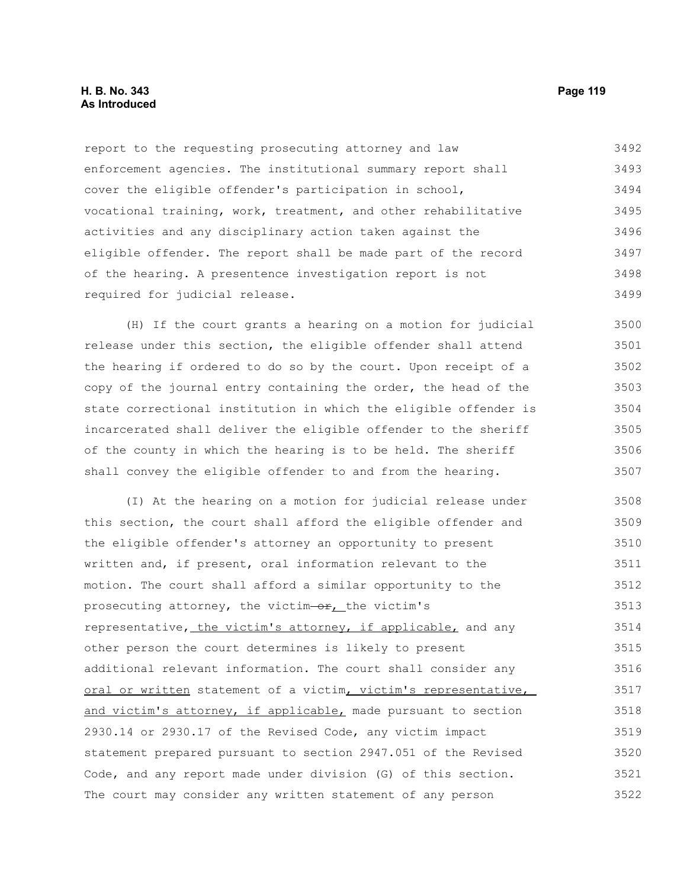report to the requesting prosecuting attorney and law enforcement agencies. The institutional summary report shall cover the eligible offender's participation in school, vocational training, work, treatment, and other rehabilitative activities and any disciplinary action taken against the eligible offender. The report shall be made part of the record of the hearing. A presentence investigation report is not required for judicial release. 3492 3493 3494 3495 3496 3497 3498 3499

(H) If the court grants a hearing on a motion for judicial release under this section, the eligible offender shall attend the hearing if ordered to do so by the court. Upon receipt of a copy of the journal entry containing the order, the head of the state correctional institution in which the eligible offender is incarcerated shall deliver the eligible offender to the sheriff of the county in which the hearing is to be held. The sheriff shall convey the eligible offender to and from the hearing. 3500 3501 3502 3503 3504 3505 3506 3507

(I) At the hearing on a motion for judicial release under this section, the court shall afford the eligible offender and the eligible offender's attorney an opportunity to present written and, if present, oral information relevant to the motion. The court shall afford a similar opportunity to the prosecuting attorney, the victim- $or$ , the victim's representative, the victim's attorney, if applicable, and any other person the court determines is likely to present additional relevant information. The court shall consider any oral or written statement of a victim, victim's representative, and victim's attorney, if applicable, made pursuant to section 2930.14 or 2930.17 of the Revised Code, any victim impact statement prepared pursuant to section 2947.051 of the Revised Code, and any report made under division (G) of this section. The court may consider any written statement of any person 3508 3509 3510 3511 3512 3513 3514 3515 3516 3517 3518 3519 3520 3521 3522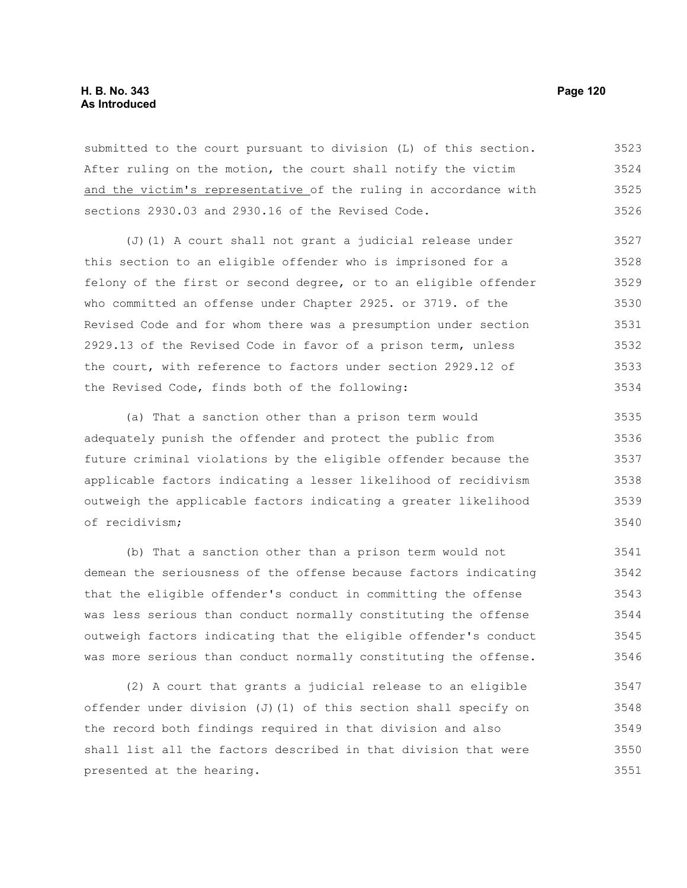submitted to the court pursuant to division (L) of this section. After ruling on the motion, the court shall notify the victim and the victim's representative of the ruling in accordance with sections 2930.03 and 2930.16 of the Revised Code. 3523 3524 3525 3526

(J)(1) A court shall not grant a judicial release under this section to an eligible offender who is imprisoned for a felony of the first or second degree, or to an eligible offender who committed an offense under Chapter 2925. or 3719. of the Revised Code and for whom there was a presumption under section 2929.13 of the Revised Code in favor of a prison term, unless the court, with reference to factors under section 2929.12 of the Revised Code, finds both of the following: 3527 3528 3529 3530 3531 3532 3533 3534

(a) That a sanction other than a prison term would adequately punish the offender and protect the public from future criminal violations by the eligible offender because the applicable factors indicating a lesser likelihood of recidivism outweigh the applicable factors indicating a greater likelihood of recidivism; 3535 3536 3537 3538 3539 3540

(b) That a sanction other than a prison term would not demean the seriousness of the offense because factors indicating that the eligible offender's conduct in committing the offense was less serious than conduct normally constituting the offense outweigh factors indicating that the eligible offender's conduct was more serious than conduct normally constituting the offense. 3541 3542 3543 3544 3545 3546

(2) A court that grants a judicial release to an eligible offender under division (J)(1) of this section shall specify on the record both findings required in that division and also shall list all the factors described in that division that were presented at the hearing. 3547 3548 3549 3550 3551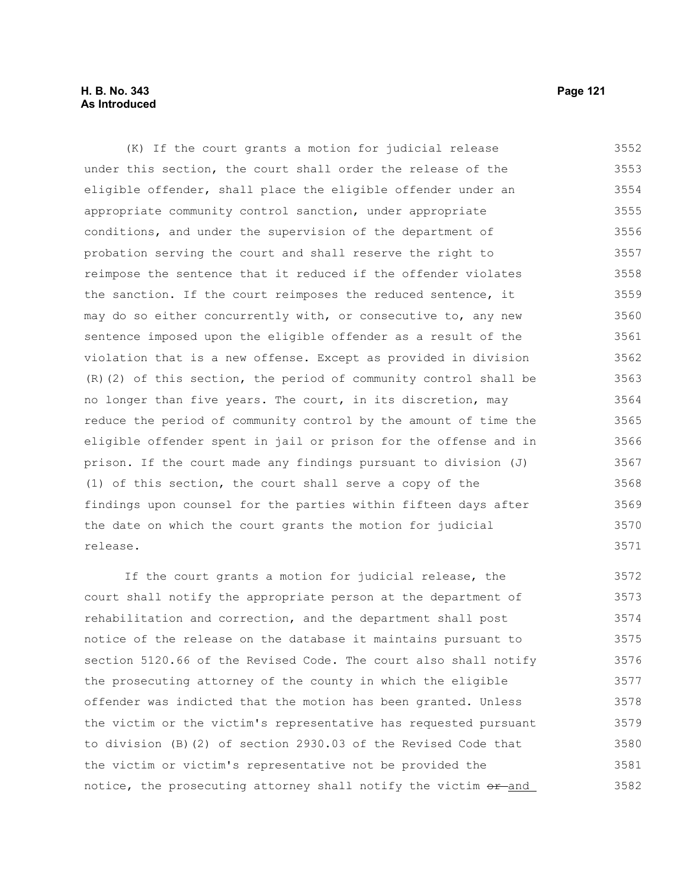# **H. B. No. 343 Page 121 As Introduced**

(K) If the court grants a motion for judicial release under this section, the court shall order the release of the eligible offender, shall place the eligible offender under an appropriate community control sanction, under appropriate conditions, and under the supervision of the department of probation serving the court and shall reserve the right to reimpose the sentence that it reduced if the offender violates the sanction. If the court reimposes the reduced sentence, it may do so either concurrently with, or consecutive to, any new sentence imposed upon the eligible offender as a result of the violation that is a new offense. Except as provided in division (R)(2) of this section, the period of community control shall be no longer than five years. The court, in its discretion, may reduce the period of community control by the amount of time the eligible offender spent in jail or prison for the offense and in prison. If the court made any findings pursuant to division (J) (1) of this section, the court shall serve a copy of the findings upon counsel for the parties within fifteen days after the date on which the court grants the motion for judicial release. 3552 3553 3554 3555 3556 3557 3558 3559 3560 3561 3562 3563 3564 3565 3566 3567 3568 3569 3570 3571

If the court grants a motion for judicial release, the court shall notify the appropriate person at the department of rehabilitation and correction, and the department shall post notice of the release on the database it maintains pursuant to section 5120.66 of the Revised Code. The court also shall notify the prosecuting attorney of the county in which the eligible offender was indicted that the motion has been granted. Unless the victim or the victim's representative has requested pursuant to division (B)(2) of section 2930.03 of the Revised Code that the victim or victim's representative not be provided the notice, the prosecuting attorney shall notify the victim  $or$  and 3572 3573 3574 3575 3576 3577 3578 3579 3580 3581 3582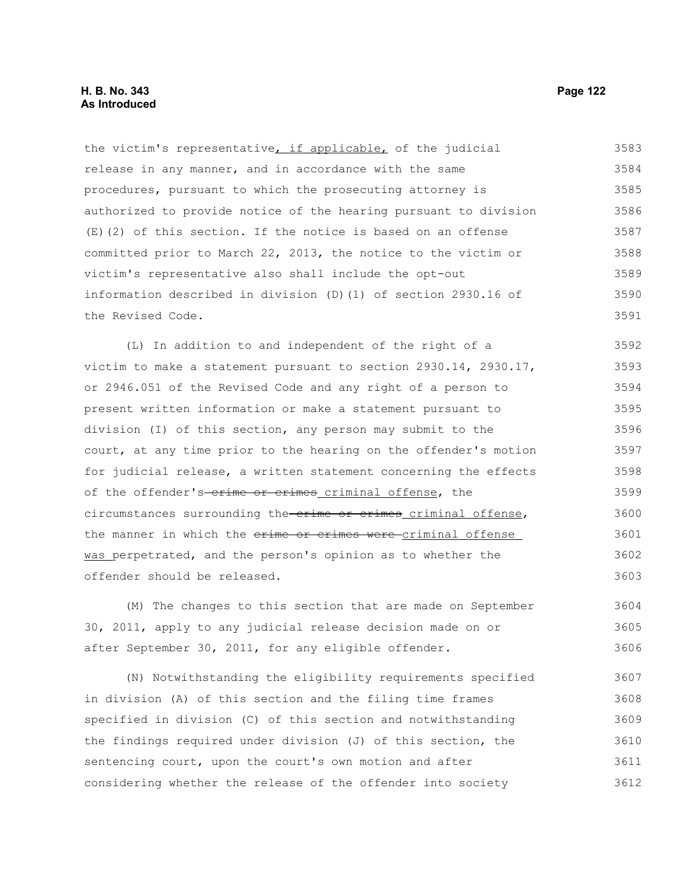## **H. B. No. 343 Page 122 As Introduced**

the victim's representative, if applicable, of the judicial release in any manner, and in accordance with the same procedures, pursuant to which the prosecuting attorney is authorized to provide notice of the hearing pursuant to division (E)(2) of this section. If the notice is based on an offense committed prior to March 22, 2013, the notice to the victim or victim's representative also shall include the opt-out information described in division (D)(1) of section 2930.16 of the Revised Code. (L) In addition to and independent of the right of a victim to make a statement pursuant to section 2930.14, 2930.17, or 2946.051 of the Revised Code and any right of a person to present written information or make a statement pursuant to division (I) of this section, any person may submit to the court, at any time prior to the hearing on the offender's motion for judicial release, a written statement concerning the effects of the offender's-crime or crimes criminal offense, the circumstances surrounding the crime or crimes criminal offense, the manner in which the erime or crimes were criminal offense was perpetrated, and the person's opinion as to whether the offender should be released. 3583 3584 3585 3586 3587 3588 3589 3590 3591 3592 3593 3594 3595 3596 3597 3598 3599 3600 3601 3602 3603

(M) The changes to this section that are made on September 30, 2011, apply to any judicial release decision made on or after September 30, 2011, for any eligible offender. 3604 3605 3606

(N) Notwithstanding the eligibility requirements specified in division (A) of this section and the filing time frames specified in division (C) of this section and notwithstanding the findings required under division (J) of this section, the sentencing court, upon the court's own motion and after considering whether the release of the offender into society 3607 3608 3609 3610 3611 3612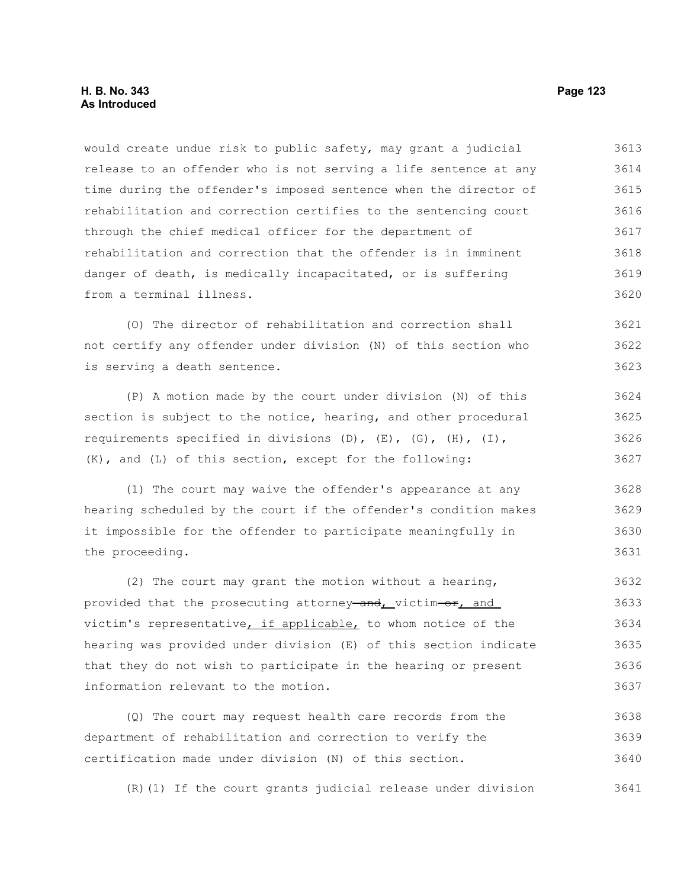would create undue risk to public safety, may grant a judicial release to an offender who is not serving a life sentence at any time during the offender's imposed sentence when the director of rehabilitation and correction certifies to the sentencing court through the chief medical officer for the department of rehabilitation and correction that the offender is in imminent danger of death, is medically incapacitated, or is suffering from a terminal illness. 3613 3614 3615 3616 3617 3618 3619 3620

(O) The director of rehabilitation and correction shall not certify any offender under division (N) of this section who is serving a death sentence. 3621 3622 3623

(P) A motion made by the court under division (N) of this section is subject to the notice, hearing, and other procedural requirements specified in divisions (D), (E), (G), (H), (I), (K), and (L) of this section, except for the following: 3624 3625 3626 3627

(1) The court may waive the offender's appearance at any hearing scheduled by the court if the offender's condition makes it impossible for the offender to participate meaningfully in the proceeding.

(2) The court may grant the motion without a hearing, provided that the prosecuting attorney and, victim or, and victim's representative, if applicable, to whom notice of the hearing was provided under division (E) of this section indicate that they do not wish to participate in the hearing or present information relevant to the motion. 3632 3633 3634 3635 3636 3637

(Q) The court may request health care records from the department of rehabilitation and correction to verify the certification made under division (N) of this section. 3638 3639 3640

(R)(1) If the court grants judicial release under division 3641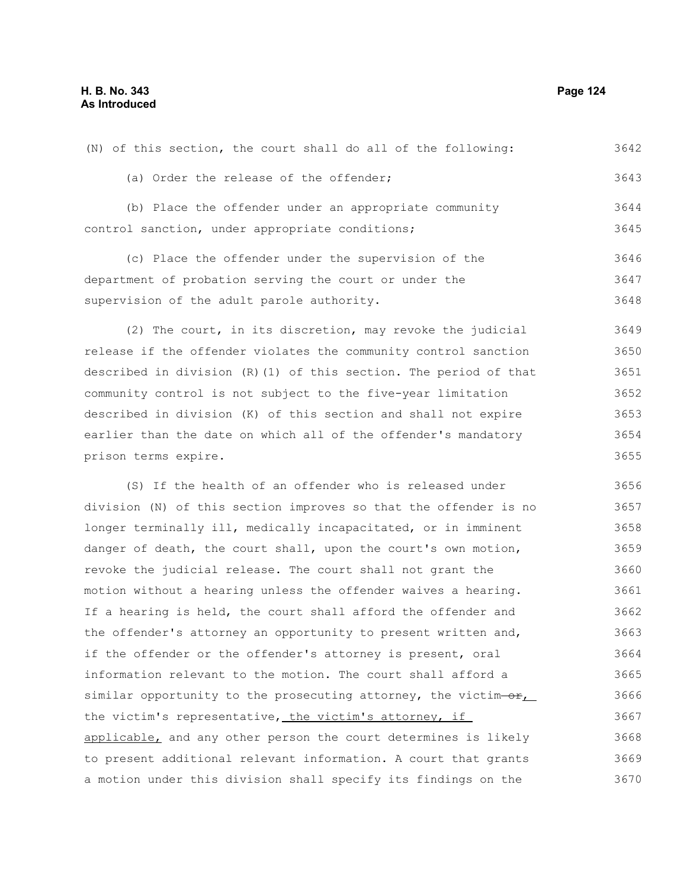(a) Order the release of the offender; (b) Place the offender under an appropriate community control sanction, under appropriate conditions; (c) Place the offender under the supervision of the department of probation serving the court or under the supervision of the adult parole authority. (2) The court, in its discretion, may revoke the judicial release if the offender violates the community control sanction described in division (R)(1) of this section. The period of that community control is not subject to the five-year limitation described in division (K) of this section and shall not expire earlier than the date on which all of the offender's mandatory prison terms expire. (S) If the health of an offender who is released under division (N) of this section improves so that the offender is no longer terminally ill, medically incapacitated, or in imminent danger of death, the court shall, upon the court's own motion, revoke the judicial release. The court shall not grant the motion without a hearing unless the offender waives a hearing. If a hearing is held, the court shall afford the offender and the offender's attorney an opportunity to present written and, if the offender or the offender's attorney is present, oral information relevant to the motion. The court shall afford a similar opportunity to the prosecuting attorney, the victim- $o$ r, the victim's representative, the victim's attorney, if applicable, and any other person the court determines is likely to present additional relevant information. A court that grants 3643 3644 3645 3646 3647 3648 3649 3650 3651 3652 3653 3654 3655 3656 3657 3658 3659 3660 3661 3662 3663 3664 3665 3666 3667 3668 3669

a motion under this division shall specify its findings on the

(N) of this section, the court shall do all of the following:

3642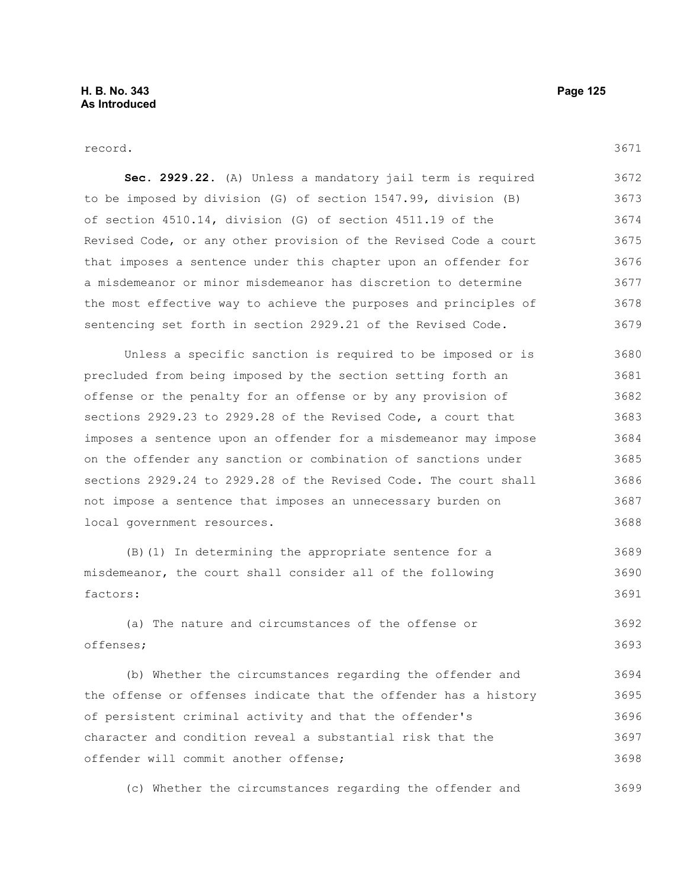3671

| Sec. 2929.22. (A) Unless a mandatory jail term is required       | 3672 |
|------------------------------------------------------------------|------|
| to be imposed by division (G) of section 1547.99, division (B)   | 3673 |
| of section 4510.14, division (G) of section 4511.19 of the       | 3674 |
| Revised Code, or any other provision of the Revised Code a court | 3675 |
| that imposes a sentence under this chapter upon an offender for  | 3676 |
| a misdemeanor or minor misdemeanor has discretion to determine   | 3677 |
| the most effective way to achieve the purposes and principles of | 3678 |
| sentencing set forth in section 2929.21 of the Revised Code.     | 3679 |

Unless a specific sanction is required to be imposed or is precluded from being imposed by the section setting forth an offense or the penalty for an offense or by any provision of sections 2929.23 to 2929.28 of the Revised Code, a court that imposes a sentence upon an offender for a misdemeanor may impose on the offender any sanction or combination of sanctions under sections 2929.24 to 2929.28 of the Revised Code. The court shall not impose a sentence that imposes an unnecessary burden on local government resources. 3680 3681 3682 3683 3684 3685 3686 3687 3688

(B)(1) In determining the appropriate sentence for a misdemeanor, the court shall consider all of the following factors: 3689 3690 3691

(a) The nature and circumstances of the offense or offenses; 3692 3693

(b) Whether the circumstances regarding the offender and the offense or offenses indicate that the offender has a history of persistent criminal activity and that the offender's character and condition reveal a substantial risk that the offender will commit another offense; 3694 3695 3696 3697 3698

(c) Whether the circumstances regarding the offender and 3699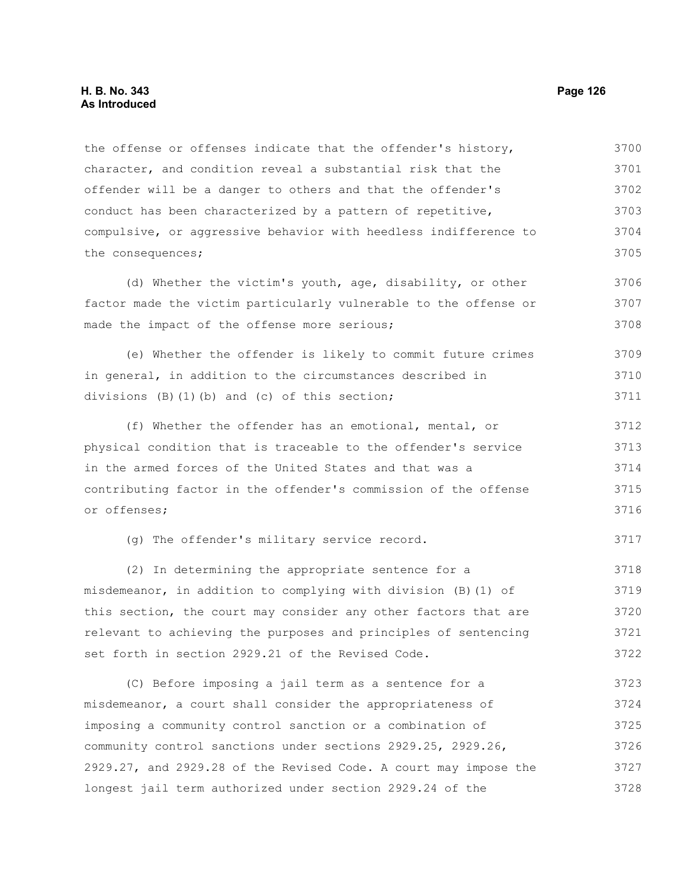#### **H. B. No. 343 Page 126 As Introduced**

the offense or offenses indicate that the offender's history, character, and condition reveal a substantial risk that the offender will be a danger to others and that the offender's conduct has been characterized by a pattern of repetitive, compulsive, or aggressive behavior with heedless indifference to the consequences; 3700 3701 3702 3703 3704 3705

(d) Whether the victim's youth, age, disability, or other factor made the victim particularly vulnerable to the offense or made the impact of the offense more serious; 3706 3707 3708

(e) Whether the offender is likely to commit future crimes in general, in addition to the circumstances described in divisions (B)(1)(b) and (c) of this section; 3709 3710 3711

(f) Whether the offender has an emotional, mental, or physical condition that is traceable to the offender's service in the armed forces of the United States and that was a contributing factor in the offender's commission of the offense or offenses; 3712 3713 3714 3715 3716

(g) The offender's military service record.

(2) In determining the appropriate sentence for a misdemeanor, in addition to complying with division (B)(1) of this section, the court may consider any other factors that are relevant to achieving the purposes and principles of sentencing set forth in section 2929.21 of the Revised Code. 3718 3719 3720 3721 3722

(C) Before imposing a jail term as a sentence for a misdemeanor, a court shall consider the appropriateness of imposing a community control sanction or a combination of community control sanctions under sections 2929.25, 2929.26, 2929.27, and 2929.28 of the Revised Code. A court may impose the longest jail term authorized under section 2929.24 of the 3723 3724 3725 3726 3727 3728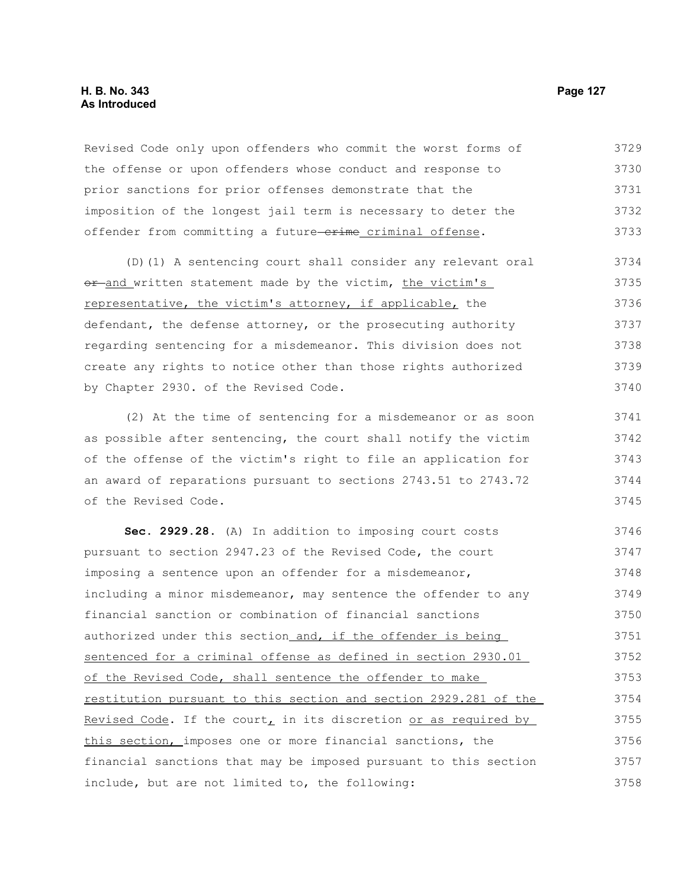## **H. B. No. 343 Page 127 As Introduced**

Revised Code only upon offenders who commit the worst forms of the offense or upon offenders whose conduct and response to prior sanctions for prior offenses demonstrate that the imposition of the longest jail term is necessary to deter the offender from committing a future-crime criminal offense. 3729 3730 3731 3732 3733

(D)(1) A sentencing court shall consider any relevant oral or and written statement made by the victim, the victim's representative, the victim's attorney, if applicable, the defendant, the defense attorney, or the prosecuting authority regarding sentencing for a misdemeanor. This division does not create any rights to notice other than those rights authorized by Chapter 2930. of the Revised Code. 3734 3735 3736 3737 3738 3739 3740

(2) At the time of sentencing for a misdemeanor or as soon as possible after sentencing, the court shall notify the victim of the offense of the victim's right to file an application for an award of reparations pursuant to sections 2743.51 to 2743.72 of the Revised Code. 3741 3742 3743 3744 3745

**Sec. 2929.28.** (A) In addition to imposing court costs pursuant to section 2947.23 of the Revised Code, the court imposing a sentence upon an offender for a misdemeanor, including a minor misdemeanor, may sentence the offender to any financial sanction or combination of financial sanctions authorized under this section and, if the offender is being sentenced for a criminal offense as defined in section 2930.01 of the Revised Code, shall sentence the offender to make restitution pursuant to this section and section 2929.281 of the Revised Code. If the court, in its discretion or as required by this section, imposes one or more financial sanctions, the financial sanctions that may be imposed pursuant to this section include, but are not limited to, the following: 3746 3747 3748 3749 3750 3751 3752 3753 3754 3755 3756 3757 3758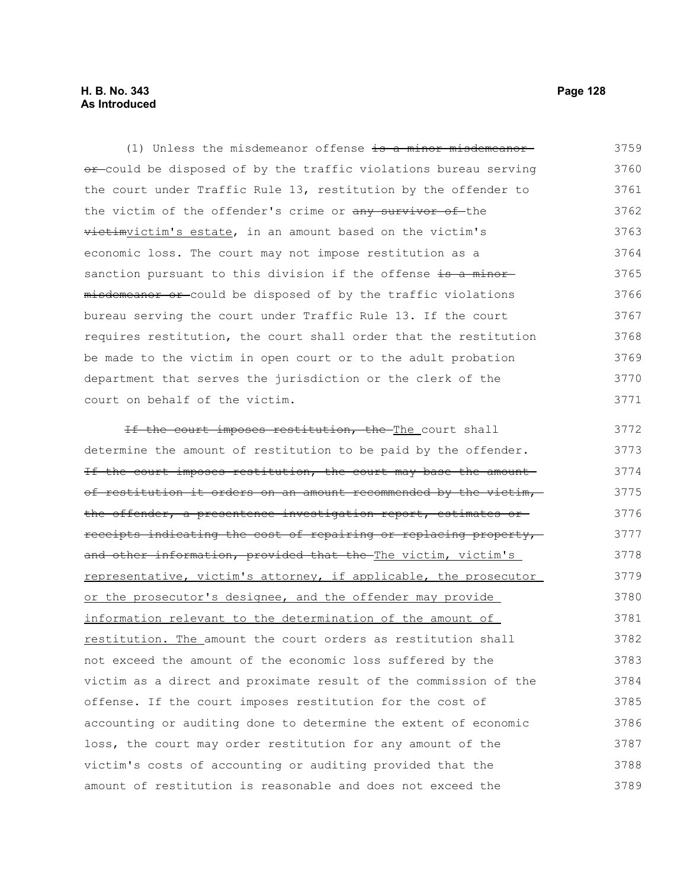# **H. B. No. 343 Page 128 As Introduced**

(1) Unless the misdemeanor offense is a minor misdemeanor or-could be disposed of by the traffic violations bureau serving the court under Traffic Rule 13, restitution by the offender to the victim of the offender's crime or any survivor of the victimvictim's estate, in an amount based on the victim's economic loss. The court may not impose restitution as a sanction pursuant to this division if the offense is a minormisdemeanor or could be disposed of by the traffic violations bureau serving the court under Traffic Rule 13. If the court requires restitution, the court shall order that the restitution be made to the victim in open court or to the adult probation department that serves the jurisdiction or the clerk of the court on behalf of the victim. If the court imposes restitution, the The court shall 3759 3760 3761 3762 3763 3764 3765 3766 3767 3768 3769 3770 3771 3772

determine the amount of restitution to be paid by the offender. If the court imposes restitution, the court may base the amount of restitution it orders on an amount recommended by the victim, the offender, a presentence investigation report, estimates or receipts indicating the cost of repairing or replacing property, and other information, provided that the The victim, victim's representative, victim's attorney, if applicable, the prosecutor or the prosecutor's designee, and the offender may provide information relevant to the determination of the amount of restitution. The amount the court orders as restitution shall not exceed the amount of the economic loss suffered by the victim as a direct and proximate result of the commission of the offense. If the court imposes restitution for the cost of accounting or auditing done to determine the extent of economic loss, the court may order restitution for any amount of the victim's costs of accounting or auditing provided that the amount of restitution is reasonable and does not exceed the 3773 3774 3775 3776 3777 3778 3779 3780 3781 3782 3783 3784 3785 3786 3787 3788 3789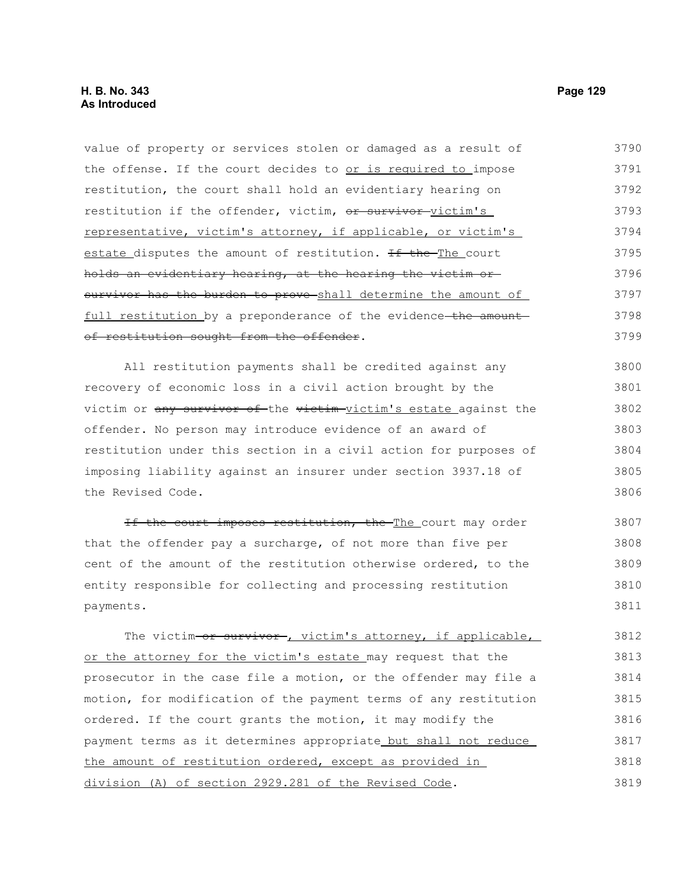## **H. B. No. 343 Page 129 As Introduced**

value of property or services stolen or damaged as a result of the offense. If the court decides to or is required to impose restitution, the court shall hold an evidentiary hearing on restitution if the offender, victim, or survivor-victim's representative, victim's attorney, if applicable, or victim's estate disputes the amount of restitution. If the The court holds an evidentiary hearing, at the hearing the victim or survivor has the burden to prove shall determine the amount of full restitution by a preponderance of the evidence-the amountof restitution sought from the offender. All restitution payments shall be credited against any recovery of economic loss in a civil action brought by the victim or any survivor of the victim-victim's estate against the offender. No person may introduce evidence of an award of restitution under this section in a civil action for purposes of imposing liability against an insurer under section 3937.18 of the Revised Code. If the court imposes restitution, the The court may order that the offender pay a surcharge, of not more than five per cent of the amount of the restitution otherwise ordered, to the entity responsible for collecting and processing restitution payments. The victim-or survivor, victim's attorney, if applicable, or the attorney for the victim's estate may request that the prosecutor in the case file a motion, or the offender may file a motion, for modification of the payment terms of any restitution ordered. If the court grants the motion, it may modify the payment terms as it determines appropriate but shall not reduce the amount of restitution ordered, except as provided in division (A) of section 2929.281 of the Revised Code. 3790 3791 3792 3793 3794 3795 3796 3797 3798 3799 3800 3801 3802 3803 3804 3805 3806 3807 3808 3809 3810 3811 3812 3813 3814 3815 3816 3817 3818 3819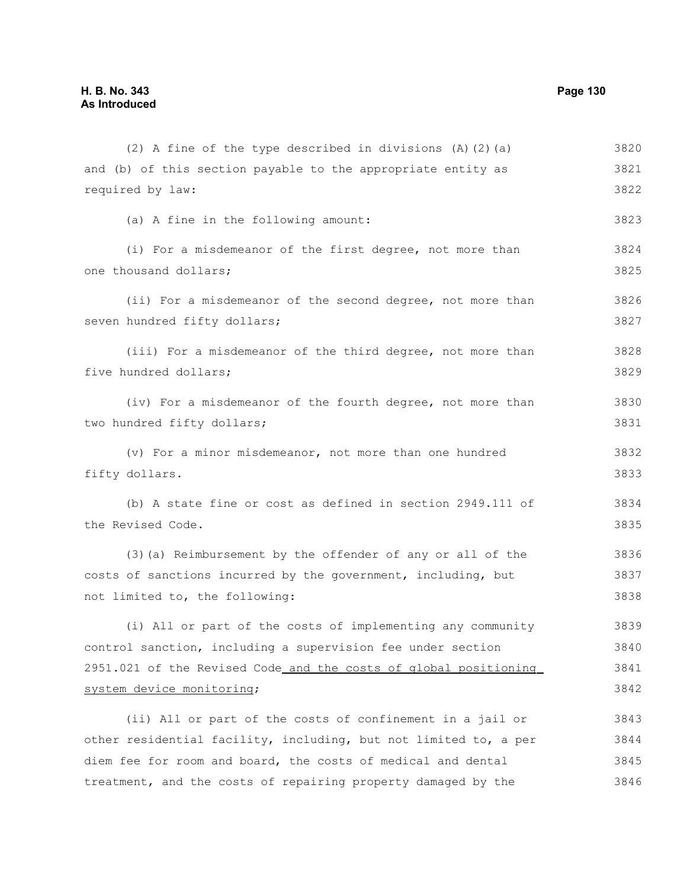(2) A fine of the type described in divisions (A)(2)(a) and (b) of this section payable to the appropriate entity as required by law: (a) A fine in the following amount: (i) For a misdemeanor of the first degree, not more than one thousand dollars; (ii) For a misdemeanor of the second degree, not more than seven hundred fifty dollars; (iii) For a misdemeanor of the third degree, not more than five hundred dollars; (iv) For a misdemeanor of the fourth degree, not more than two hundred fifty dollars; (v) For a minor misdemeanor, not more than one hundred fifty dollars. (b) A state fine or cost as defined in section 2949.111 of the Revised Code. (3)(a) Reimbursement by the offender of any or all of the costs of sanctions incurred by the government, including, but not limited to, the following: (i) All or part of the costs of implementing any community control sanction, including a supervision fee under section 2951.021 of the Revised Code and the costs of global positioning system device monitoring; (ii) All or part of the costs of confinement in a jail or other residential facility, including, but not limited to, a per diem fee for room and board, the costs of medical and dental 3820 3821 3822 3823 3824 3825 3826 3827 3828 3829 3830 3831 3832 3833 3834 3835 3836 3837 3838 3839 3840 3841 3842 3843 3844 3845

treatment, and the costs of repairing property damaged by the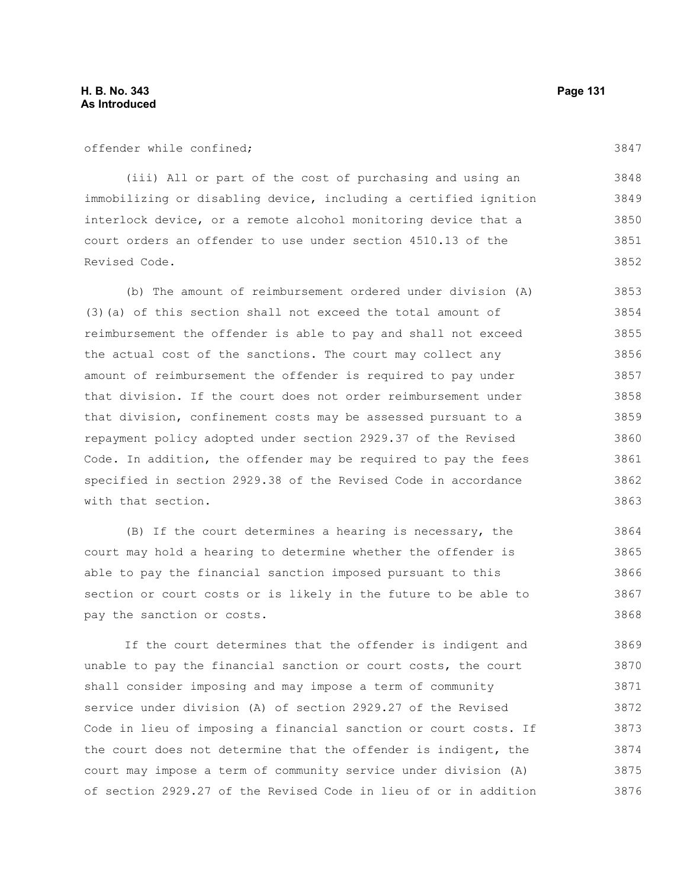offender while confined;

(iii) All or part of the cost of purchasing and using an immobilizing or disabling device, including a certified ignition interlock device, or a remote alcohol monitoring device that a court orders an offender to use under section 4510.13 of the Revised Code. 3848 3849 3850 3851 3852

(b) The amount of reimbursement ordered under division (A) (3)(a) of this section shall not exceed the total amount of reimbursement the offender is able to pay and shall not exceed the actual cost of the sanctions. The court may collect any amount of reimbursement the offender is required to pay under that division. If the court does not order reimbursement under that division, confinement costs may be assessed pursuant to a repayment policy adopted under section 2929.37 of the Revised Code. In addition, the offender may be required to pay the fees specified in section 2929.38 of the Revised Code in accordance with that section. 3853 3854 3855 3856 3857 3858 3859 3860 3861 3862 3863

(B) If the court determines a hearing is necessary, the court may hold a hearing to determine whether the offender is able to pay the financial sanction imposed pursuant to this section or court costs or is likely in the future to be able to pay the sanction or costs. 3864 3865 3866 3867 3868

If the court determines that the offender is indigent and unable to pay the financial sanction or court costs, the court shall consider imposing and may impose a term of community service under division (A) of section 2929.27 of the Revised Code in lieu of imposing a financial sanction or court costs. If the court does not determine that the offender is indigent, the court may impose a term of community service under division (A) of section 2929.27 of the Revised Code in lieu of or in addition 3869 3870 3871 3872 3873 3874 3875 3876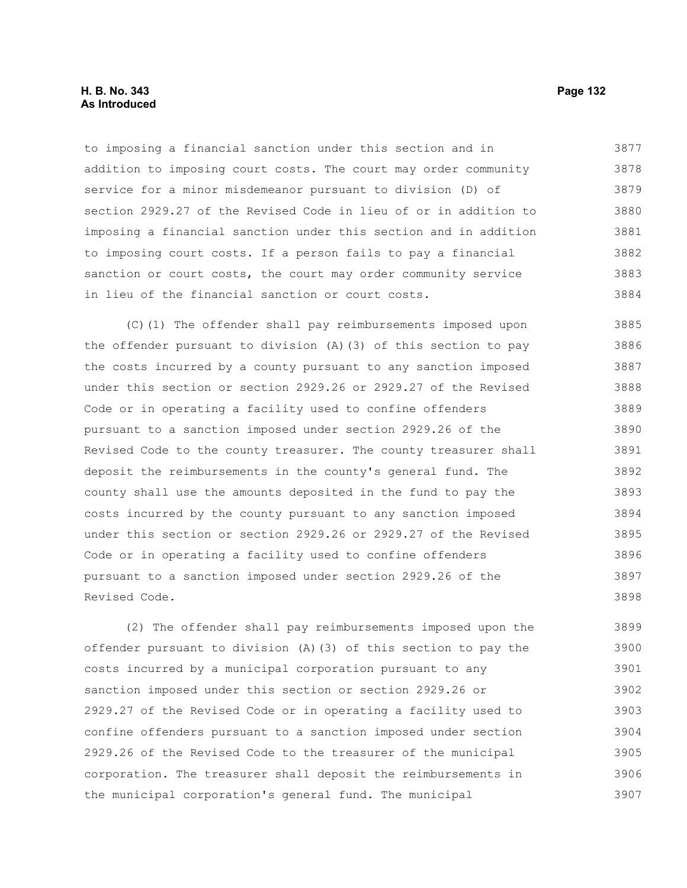to imposing a financial sanction under this section and in addition to imposing court costs. The court may order community service for a minor misdemeanor pursuant to division (D) of section 2929.27 of the Revised Code in lieu of or in addition to imposing a financial sanction under this section and in addition to imposing court costs. If a person fails to pay a financial sanction or court costs, the court may order community service in lieu of the financial sanction or court costs. 3877 3878 3879 3880 3881 3882 3883 3884

(C)(1) The offender shall pay reimbursements imposed upon the offender pursuant to division (A)(3) of this section to pay the costs incurred by a county pursuant to any sanction imposed under this section or section 2929.26 or 2929.27 of the Revised Code or in operating a facility used to confine offenders pursuant to a sanction imposed under section 2929.26 of the Revised Code to the county treasurer. The county treasurer shall deposit the reimbursements in the county's general fund. The county shall use the amounts deposited in the fund to pay the costs incurred by the county pursuant to any sanction imposed under this section or section 2929.26 or 2929.27 of the Revised Code or in operating a facility used to confine offenders pursuant to a sanction imposed under section 2929.26 of the Revised Code. 3885 3886 3887 3888 3889 3890 3891 3892 3893 3894 3895 3896 3897 3898

(2) The offender shall pay reimbursements imposed upon the offender pursuant to division (A)(3) of this section to pay the costs incurred by a municipal corporation pursuant to any sanction imposed under this section or section 2929.26 or 2929.27 of the Revised Code or in operating a facility used to confine offenders pursuant to a sanction imposed under section 2929.26 of the Revised Code to the treasurer of the municipal corporation. The treasurer shall deposit the reimbursements in the municipal corporation's general fund. The municipal 3899 3900 3901 3902 3903 3904 3905 3906 3907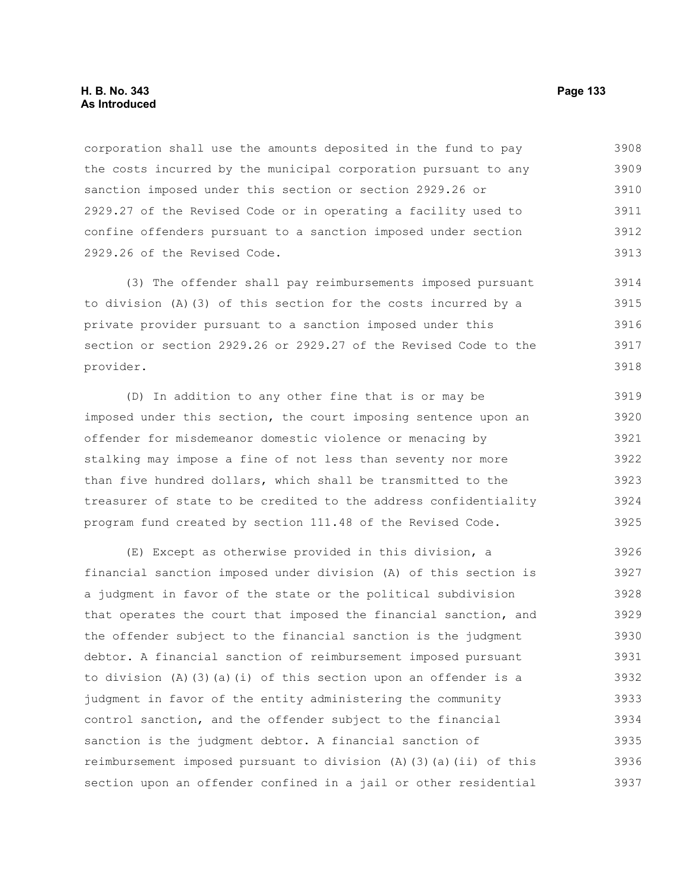corporation shall use the amounts deposited in the fund to pay the costs incurred by the municipal corporation pursuant to any sanction imposed under this section or section 2929.26 or 2929.27 of the Revised Code or in operating a facility used to confine offenders pursuant to a sanction imposed under section 2929.26 of the Revised Code. 3908 3909 3910 3911 3912 3913

(3) The offender shall pay reimbursements imposed pursuant to division (A)(3) of this section for the costs incurred by a private provider pursuant to a sanction imposed under this section or section 2929.26 or 2929.27 of the Revised Code to the provider. 3914 3915 3916 3917 3918

(D) In addition to any other fine that is or may be imposed under this section, the court imposing sentence upon an offender for misdemeanor domestic violence or menacing by stalking may impose a fine of not less than seventy nor more than five hundred dollars, which shall be transmitted to the treasurer of state to be credited to the address confidentiality program fund created by section 111.48 of the Revised Code. 3919 3920 3921 3922 3923 3924 3925

(E) Except as otherwise provided in this division, a financial sanction imposed under division (A) of this section is a judgment in favor of the state or the political subdivision that operates the court that imposed the financial sanction, and the offender subject to the financial sanction is the judgment debtor. A financial sanction of reimbursement imposed pursuant to division (A)(3)(a)(i) of this section upon an offender is a judgment in favor of the entity administering the community control sanction, and the offender subject to the financial sanction is the judgment debtor. A financial sanction of reimbursement imposed pursuant to division (A)(3)(a)(ii) of this section upon an offender confined in a jail or other residential 3926 3927 3928 3929 3930 3931 3932 3933 3934 3935 3936 3937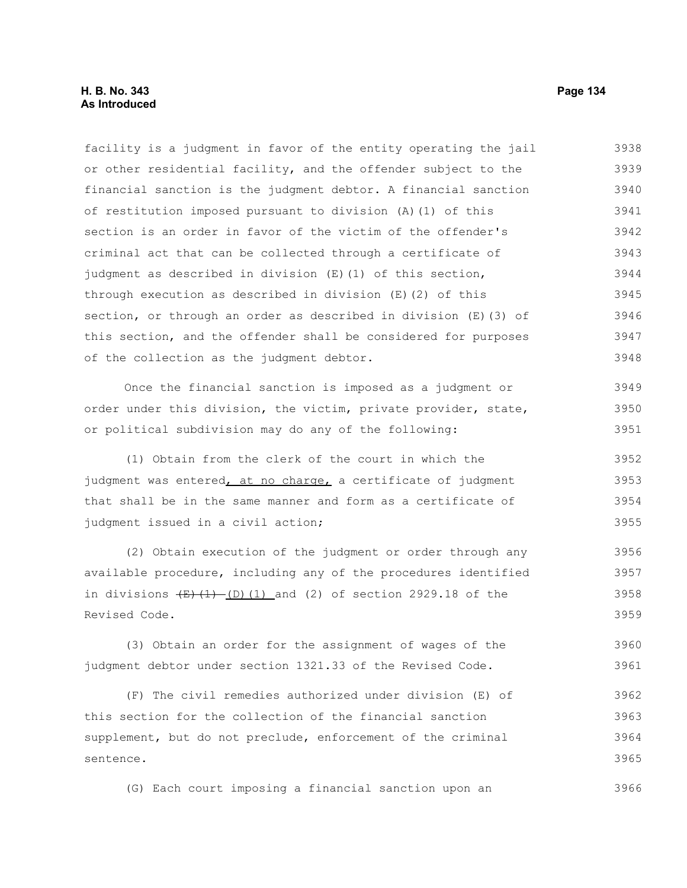## **H. B. No. 343 Page 134 As Introduced**

facility is a judgment in favor of the entity operating the jail or other residential facility, and the offender subject to the financial sanction is the judgment debtor. A financial sanction of restitution imposed pursuant to division (A)(1) of this section is an order in favor of the victim of the offender's criminal act that can be collected through a certificate of judgment as described in division (E)(1) of this section, through execution as described in division (E)(2) of this section, or through an order as described in division (E)(3) of this section, and the offender shall be considered for purposes of the collection as the judgment debtor. 3938 3939 3940 3941 3942 3943 3944 3945 3946 3947 3948

Once the financial sanction is imposed as a judgment or order under this division, the victim, private provider, state, or political subdivision may do any of the following: 3949 3950 3951

(1) Obtain from the clerk of the court in which the judgment was entered, at no charge, a certificate of judgment that shall be in the same manner and form as a certificate of judgment issued in a civil action; 3952 3953 3954 3955

(2) Obtain execution of the judgment or order through any available procedure, including any of the procedures identified in divisions  $\left(\frac{E}{E}\right)\left(1\right)$  (D)(1) and (2) of section 2929.18 of the Revised Code. 3956 3957 3958 3959

(3) Obtain an order for the assignment of wages of the judgment debtor under section 1321.33 of the Revised Code. 3960 3961

(F) The civil remedies authorized under division (E) of this section for the collection of the financial sanction supplement, but do not preclude, enforcement of the criminal sentence. 3962 3963 3964 3965

(G) Each court imposing a financial sanction upon an 3966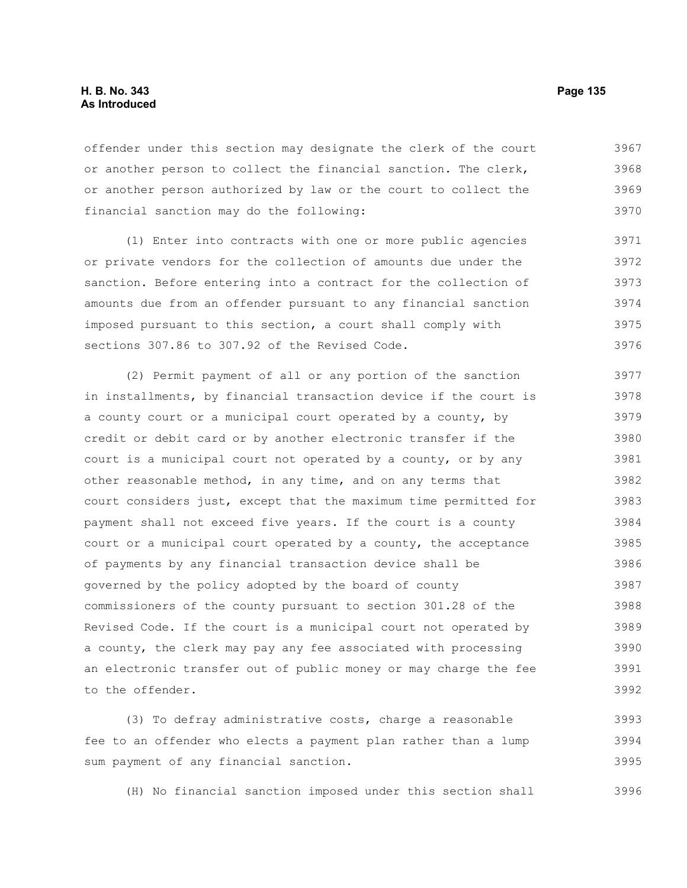# **H. B. No. 343 Page 135 As Introduced**

offender under this section may designate the clerk of the court or another person to collect the financial sanction. The clerk, or another person authorized by law or the court to collect the financial sanction may do the following: 3967 3968 3969 3970

(1) Enter into contracts with one or more public agencies or private vendors for the collection of amounts due under the sanction. Before entering into a contract for the collection of amounts due from an offender pursuant to any financial sanction imposed pursuant to this section, a court shall comply with sections 307.86 to 307.92 of the Revised Code. 3971 3972 3973 3974 3975 3976

(2) Permit payment of all or any portion of the sanction in installments, by financial transaction device if the court is a county court or a municipal court operated by a county, by credit or debit card or by another electronic transfer if the court is a municipal court not operated by a county, or by any other reasonable method, in any time, and on any terms that court considers just, except that the maximum time permitted for payment shall not exceed five years. If the court is a county court or a municipal court operated by a county, the acceptance of payments by any financial transaction device shall be governed by the policy adopted by the board of county commissioners of the county pursuant to section 301.28 of the Revised Code. If the court is a municipal court not operated by a county, the clerk may pay any fee associated with processing an electronic transfer out of public money or may charge the fee to the offender. 3977 3978 3979 3980 3981 3982 3983 3984 3985 3986 3987 3988 3989 3990 3991 3992

(3) To defray administrative costs, charge a reasonable fee to an offender who elects a payment plan rather than a lump sum payment of any financial sanction. 3993 3994 3995

(H) No financial sanction imposed under this section shall 3996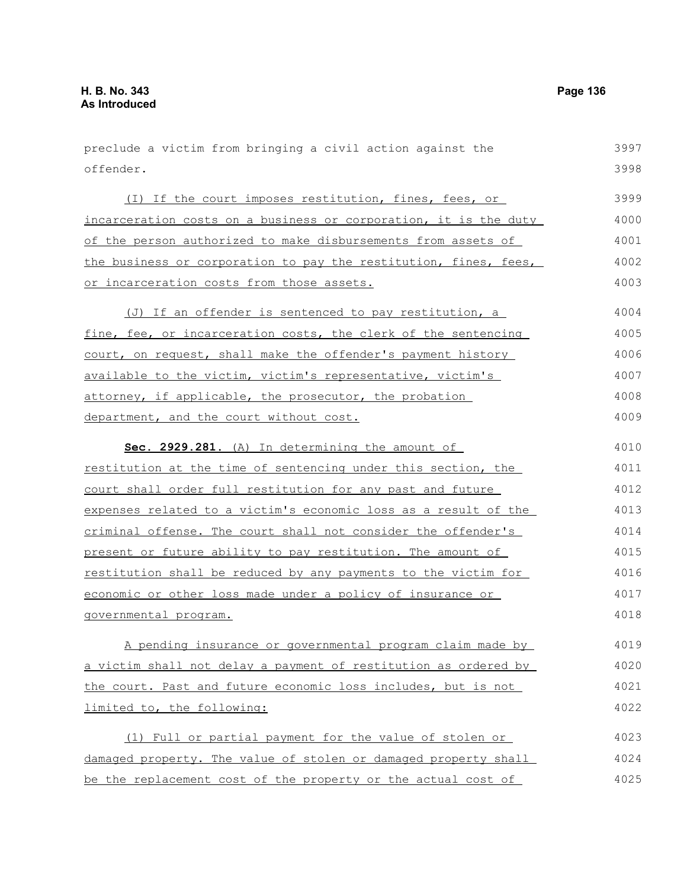| preclude a victim from bringing a civil action against the       | 3997 |
|------------------------------------------------------------------|------|
| offender.                                                        | 3998 |
| (I) If the court imposes restitution, fines, fees, or            | 3999 |
| incarceration costs on a business or corporation, it is the duty | 4000 |
| of the person authorized to make disbursements from assets of    | 4001 |
| the business or corporation to pay the restitution, fines, fees, | 4002 |
| or incarceration costs from those assets.                        | 4003 |
| (J) If an offender is sentenced to pay restitution, a            | 4004 |
| fine, fee, or incarceration costs, the clerk of the sentencing   | 4005 |
| court, on request, shall make the offender's payment history     | 4006 |
| available to the victim, victim's representative, victim's       | 4007 |
| attorney, if applicable, the prosecutor, the probation           | 4008 |
| department, and the court without cost.                          | 4009 |
| Sec. 2929.281. (A) In determining the amount of                  | 4010 |
| restitution at the time of sentencing under this section, the    | 4011 |
| court shall order full restitution for any past and future       | 4012 |
| expenses related to a victim's economic loss as a result of the  | 4013 |
| criminal offense. The court shall not consider the offender's    | 4014 |
| present or future ability to pay restitution. The amount of      | 4015 |
| restitution shall be reduced by any payments to the victim for   | 4016 |
| economic or other loss made under a policy of insurance or       | 4017 |
| governmental program.                                            | 4018 |
| A pending insurance or governmental program claim made by        | 4019 |
| a victim shall not delay a payment of restitution as ordered by  | 4020 |
| the court. Past and future economic loss includes, but is not    | 4021 |
| limited to, the following:                                       | 4022 |
| (1) Full or partial payment for the value of stolen or           | 4023 |
| damaged property. The value of stolen or damaged property shall  | 4024 |
| be the replacement cost of the property or the actual cost of    | 4025 |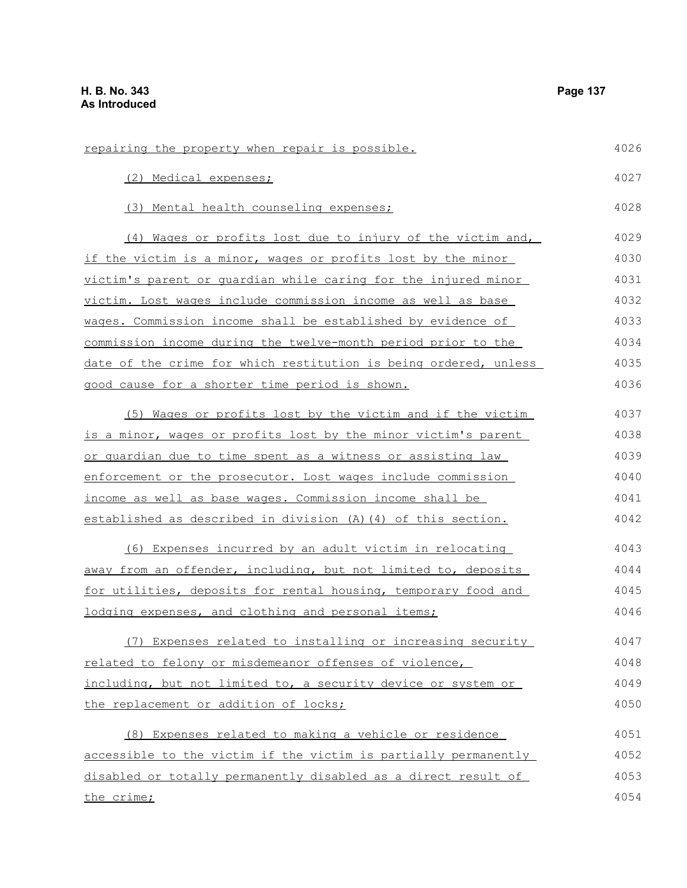| repairing the property when repair is possible.                  | 4026 |
|------------------------------------------------------------------|------|
| (2) Medical expenses;                                            | 4027 |
| (3) Mental health counseling expenses;                           | 4028 |
| (4) Wages or profits lost due to injury of the victim and,       | 4029 |
| if the victim is a minor, wages or profits lost by the minor     | 4030 |
| victim's parent or quardian while caring for the injured minor   | 4031 |
| victim. Lost wages include commission income as well as base     | 4032 |
| wages. Commission income shall be established by evidence of     | 4033 |
| commission income during the twelve-month period prior to the    | 4034 |
| date of the crime for which restitution is being ordered, unless | 4035 |
| good cause for a shorter time period is shown.                   | 4036 |
| (5) Wages or profits lost by the victim and if the victim        | 4037 |
| is a minor, wages or profits lost by the minor victim's parent   | 4038 |
| or quardian due to time spent as a witness or assisting law      | 4039 |
| enforcement or the prosecutor. Lost wages include commission     | 4040 |
| income as well as base wages. Commission income shall be         | 4041 |
| established as described in division (A) (4) of this section.    | 4042 |
| (6) Expenses incurred by an adult victim in relocating           | 4043 |
| away from an offender, including, but not limited to, deposits   | 4044 |
| for utilities, deposits for rental housing, temporary food and   | 4045 |
| lodging expenses, and clothing and personal items;               | 4046 |
| (7) Expenses related to installing or increasing security        | 4047 |
| related to felony or misdemeanor offenses of violence,           | 4048 |
| including, but not limited to, a security device or system or    | 4049 |
| the replacement or addition of locks;                            | 4050 |
| (8) Expenses related to making a vehicle or residence            | 4051 |
| accessible to the victim if the victim is partially permanently  | 4052 |
| disabled or totally permanently disabled as a direct result of   | 4053 |
| the crime;                                                       | 4054 |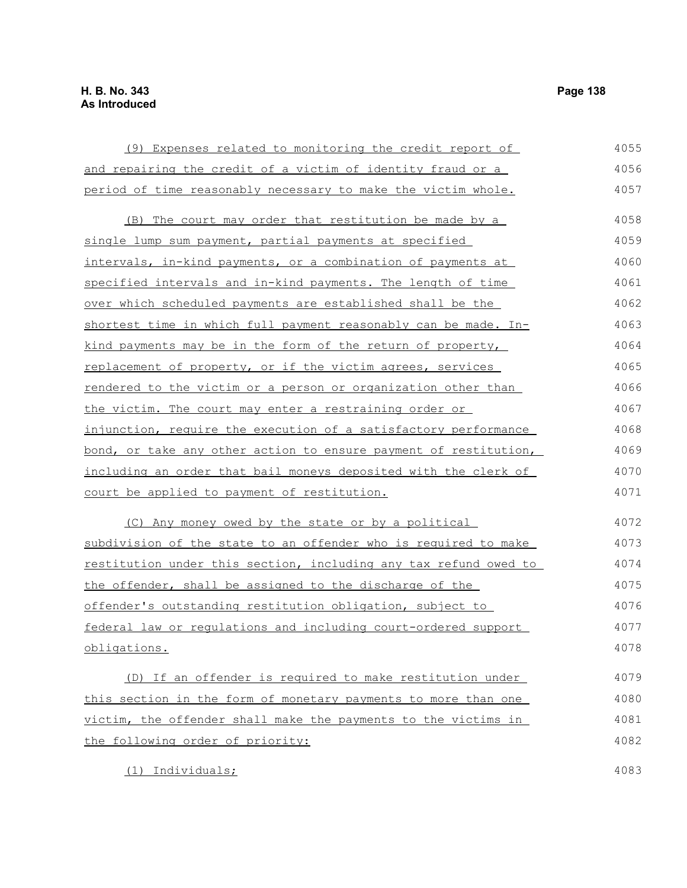(9) Expenses related to monitoring the credit report of and repairing the credit of a victim of identity fraud or a period of time reasonably necessary to make the victim whole. (B) The court may order that restitution be made by a 4055 4056 4057 4058 4059

| single lump sum payment, partial payments at specified           | 4059 |
|------------------------------------------------------------------|------|
| intervals, in-kind payments, or a combination of payments at     | 4060 |
| specified intervals and in-kind payments. The length of time     | 4061 |
| over which scheduled payments are established shall be the       | 4062 |
| shortest time in which full payment reasonably can be made. In-  | 4063 |
| kind payments may be in the form of the return of property,      | 4064 |
| replacement of property, or if the victim agrees, services       | 4065 |
| rendered to the victim or a person or organization other than    | 4066 |
| the victim. The court may enter a restraining order or           | 4067 |
| injunction, require the execution of a satisfactory performance  | 4068 |
| bond, or take any other action to ensure payment of restitution, | 4069 |
| including an order that bail moneys deposited with the clerk of  | 4070 |
| court be applied to payment of restitution.                      | 4071 |
|                                                                  |      |

(C) Any money owed by the state or by a political subdivision of the state to an offender who is required to make restitution under this section, including any tax refund owed to the offender, shall be assigned to the discharge of the offender's outstanding restitution obligation, subject to federal law or regulations and including court-ordered support obligations. 4072 4073 4074 4075 4076 4077 4078

(D) If an offender is required to make restitution under this section in the form of monetary payments to more than one victim, the offender shall make the payments to the victims in the following order of priority: 4079 4080 4081 4082

(1) Individuals;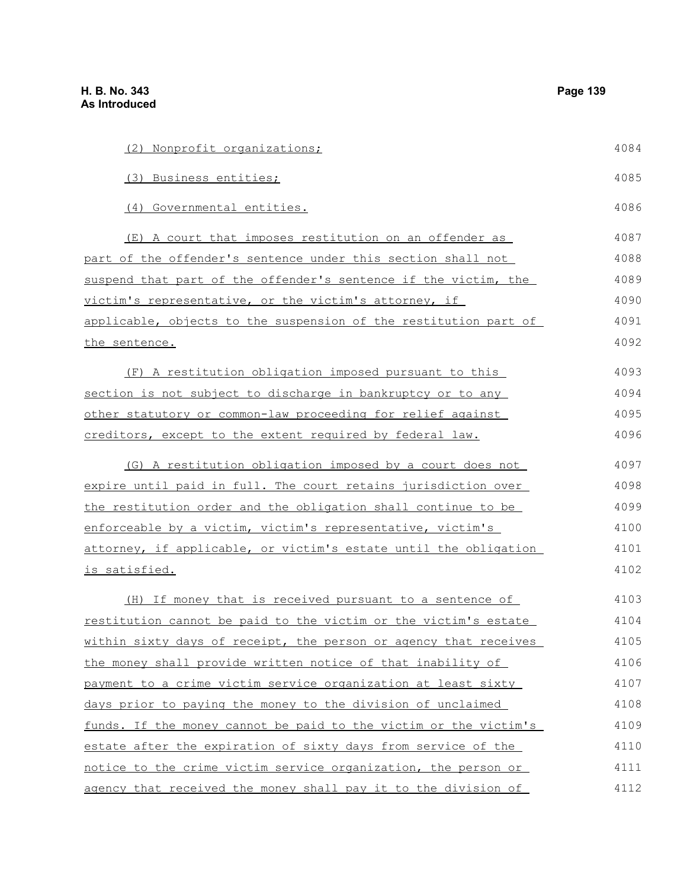(2) Nonprofit organizations; (3) Business entities; (4) Governmental entities. (E) A court that imposes restitution on an offender as part of the offender's sentence under this section shall not suspend that part of the offender's sentence if the victim, the victim's representative, or the victim's attorney, if applicable, objects to the suspension of the restitution part of the sentence. (F) A restitution obligation imposed pursuant to this section is not subject to discharge in bankruptcy or to any other statutory or common-law proceeding for relief against creditors, except to the extent required by federal law. (G) A restitution obligation imposed by a court does not expire until paid in full. The court retains jurisdiction over the restitution order and the obligation shall continue to be enforceable by a victim, victim's representative, victim's attorney, if applicable, or victim's estate until the obligation is satisfied. (H) If money that is received pursuant to a sentence of restitution cannot be paid to the victim or the victim's estate within sixty days of receipt, the person or agency that receives the money shall provide written notice of that inability of payment to a crime victim service organization at least sixty days prior to paying the money to the division of unclaimed funds. If the money cannot be paid to the victim or the victim's estate after the expiration of sixty days from service of the notice to the crime victim service organization, the person or agency that received the money shall pay it to the division of 4084 4085 4086 4087 4088 4089 4090 4091 4092 4093 4094 4095 4096 4097 4098 4099 4100 4101 4102 4103 4104 4105 4106 4107 4108 4109 4110 4111 4112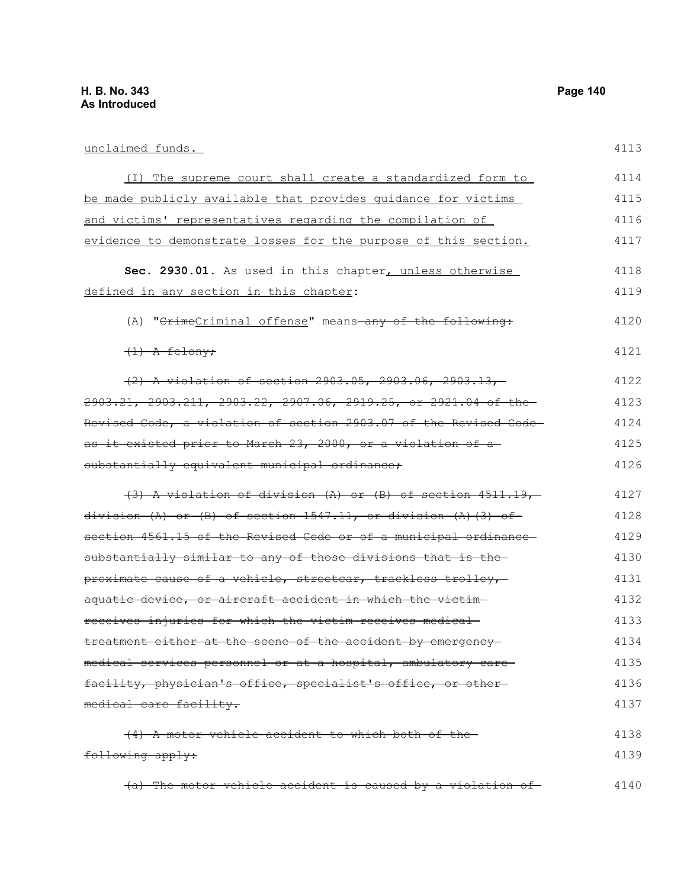| unclaimed funds.                                                                 | 4113 |
|----------------------------------------------------------------------------------|------|
| (I) The supreme court shall create a standardized form to                        | 4114 |
| be made publicly available that provides quidance for victims                    | 4115 |
| and victims' representatives regarding the compilation of                        | 4116 |
| evidence to demonstrate losses for the purpose of this section.                  | 4117 |
| Sec. 2930.01. As used in this chapter, unless otherwise                          | 4118 |
| defined in any section in this chapter:                                          | 4119 |
| (A) "GrimeCriminal offense" means-any of the following:                          | 4120 |
| $(1)$ A felony;                                                                  | 4121 |
| (2) A violation of section 2903.05, 2903.06, 2903.13,                            | 4122 |
| $2903.21$ , $2903.211$ , $2903.22$ , $2907.06$ , $2919.25$ , or $2921.04$ of the | 4123 |
| Revised Code, a violation of section 2903.07 of the Revised Code-                | 4124 |
| as it existed prior to March 23, 2000, or a violation of a                       | 4125 |
| substantially equivalent municipal ordinance;                                    | 4126 |
| (3) A violation of division (A) or (B) of section 4511.19,                       | 4127 |
| division (A) or (B) of section $1547.11$ , or division (A) $(3)$ of              | 4128 |
| section 4561.15 of the Revised Code or of a municipal ordinance                  | 4129 |
| substantially similar to any of those divisions that is the-                     | 4130 |
| proximate cause of a vehicle, streetcar, trackless trolley,                      | 4131 |
| aquatic device, or aircraft accident in which the victim-                        | 4132 |
| receives injuries for which the victim receives medical-                         | 4133 |
| treatment either at the scene of the accident by emergency                       | 4134 |
| medical services personnel or at a hospital, ambulatory care-                    | 4135 |
| facility, physician's office, specialist's office, or other-                     | 4136 |
| medical care facility.                                                           | 4137 |
| (4) A motor vehicle accident to which both of the                                | 4138 |
| following apply:                                                                 | 4139 |
| The motor vehicle accident is caused by a violation of                           | 4140 |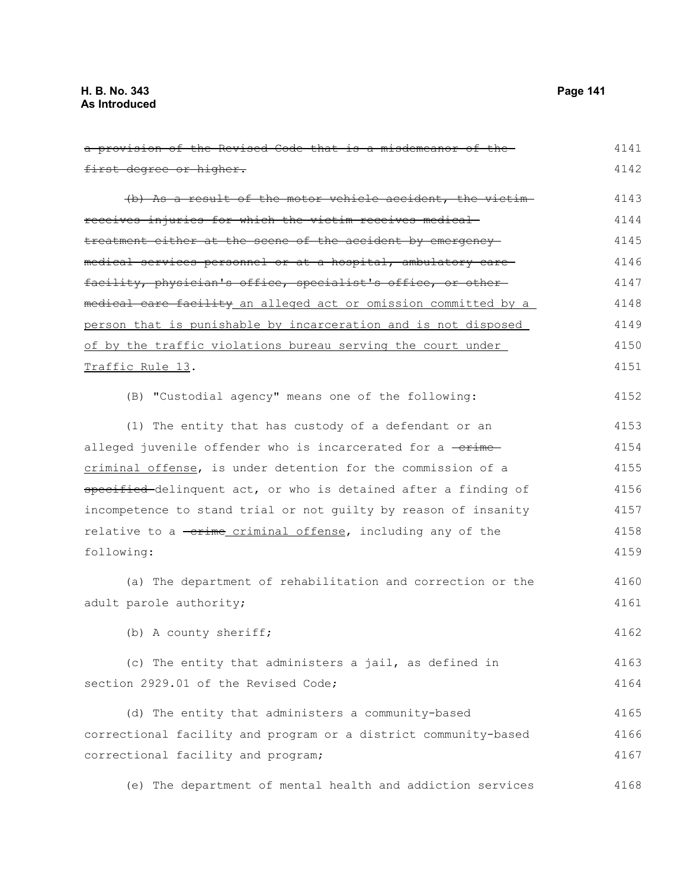# **H. B. No. 343 Page 141 As Introduced**

| a provision of the Revised Code that is a misdemeanor of the    | 4141 |
|-----------------------------------------------------------------|------|
| first degree or higher.                                         | 4142 |
| (b) As a result of the motor vehicle accident, the victim-      | 4143 |
| receives injuries for which the victim receives medical-        | 4144 |
| treatment either at the scene of the accident by emergency-     | 4145 |
| medical services personnel or at a hospital, ambulatory care-   | 4146 |
| facility, physician's office, specialist's office, or other-    | 4147 |
| medical care facility an alleged act or omission committed by a | 4148 |
| person that is punishable by incarceration and is not disposed  | 4149 |
| of by the traffic violations bureau serving the court under     | 4150 |
| Traffic Rule 13.                                                | 4151 |
| (B) "Custodial agency" means one of the following:              | 4152 |
| (1) The entity that has custody of a defendant or an            | 4153 |
| alleged juvenile offender who is incarcerated for a -erime-     | 4154 |
| criminal offense, is under detention for the commission of a    | 4155 |
| specified-delinquent act, or who is detained after a finding of | 4156 |
| incompetence to stand trial or not guilty by reason of insanity | 4157 |
| relative to a -crime criminal offense, including any of the     | 4158 |
| following:                                                      | 4159 |
| (a) The department of rehabilitation and correction or the      | 4160 |
| adult parole authority;                                         | 4161 |
| (b) A county sheriff;                                           | 4162 |
| (c) The entity that administers a jail, as defined in           | 4163 |
| section 2929.01 of the Revised Code;                            | 4164 |
| (d) The entity that administers a community-based               | 4165 |
| correctional facility and program or a district community-based | 4166 |
| correctional facility and program;                              | 4167 |
| (e) The department of mental health and addiction services      | 4168 |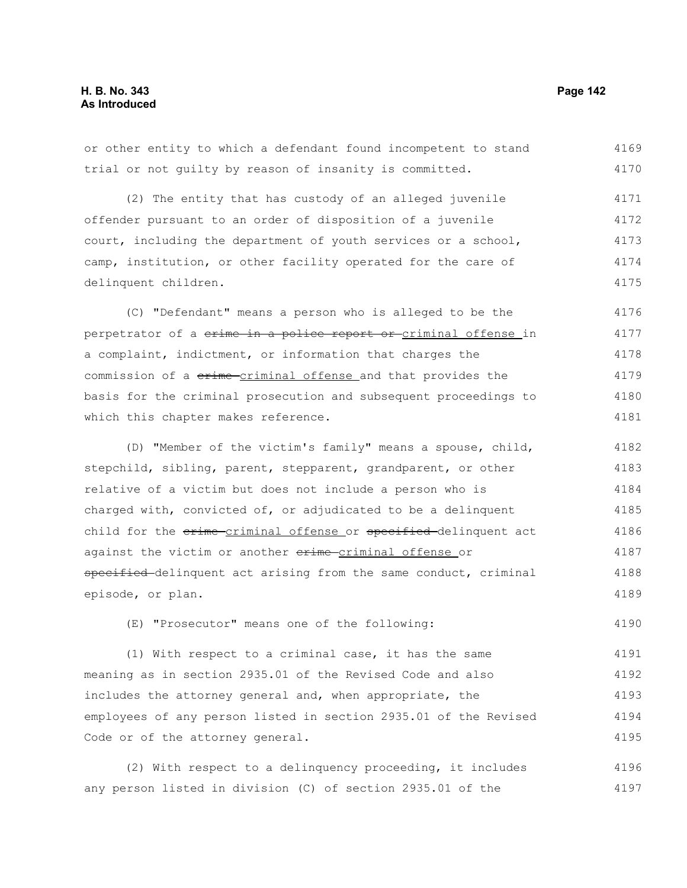| or other entity to which a defendant found incompetent to stand  | 4169 |
|------------------------------------------------------------------|------|
| trial or not guilty by reason of insanity is committed.          | 4170 |
| (2) The entity that has custody of an alleged juvenile           | 4171 |
| offender pursuant to an order of disposition of a juvenile       | 4172 |
| court, including the department of youth services or a school,   | 4173 |
| camp, institution, or other facility operated for the care of    | 4174 |
| delinquent children.                                             | 4175 |
| (C) "Defendant" means a person who is alleged to be the          | 4176 |
| perpetrator of a erime in a police report or criminal offense in | 4177 |
| a complaint, indictment, or information that charges the         | 4178 |
| commission of a erime-criminal offense and that provides the     | 4179 |
| basis for the criminal prosecution and subsequent proceedings to | 4180 |
| which this chapter makes reference.                              | 4181 |
| (D) "Member of the victim's family" means a spouse, child,       | 4182 |
| stepchild, sibling, parent, stepparent, grandparent, or other    | 4183 |
| relative of a victim but does not include a person who is        | 4184 |
| charged with, convicted of, or adjudicated to be a delinquent    | 4185 |
| child for the erime-criminal offense or specified-delinquent act | 4186 |
| against the victim or another erime-criminal offense or          | 4187 |
| specified-delinquent act arising from the same conduct, criminal | 4188 |
| episode, or plan.                                                | 4189 |
| (E) "Prosecutor" means one of the following:                     | 4190 |
| (1) With respect to a criminal case, it has the same             | 4191 |

meaning as in section 2935.01 of the Revised Code and also includes the attorney general and, when appropriate, the employees of any person listed in section 2935.01 of the Revised Code or of the attorney general. 4192 4193 4194 4195

(2) With respect to a delinquency proceeding, it includes any person listed in division (C) of section 2935.01 of the 4196 4197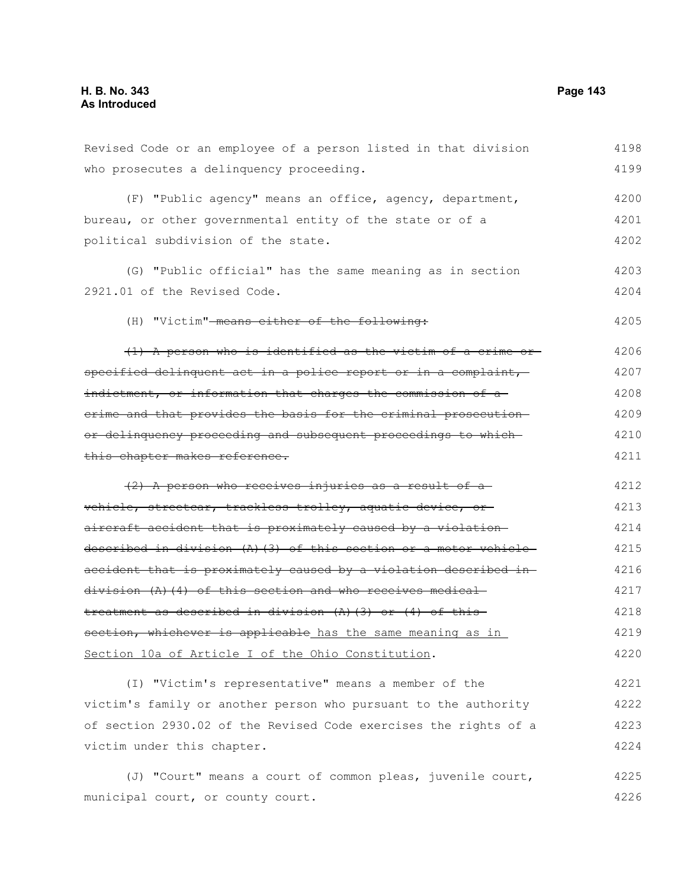who prosecutes a delinquency proceeding.

(F) "Public agency" means an office, agency, department, bureau, or other governmental entity of the state or of a political subdivision of the state. 4200 4201 4202

(G) "Public official" has the same meaning as in section 2921.01 of the Revised Code. 4203 4204

(H) "Victim"-means either of the following:

(1) A person who is identified as the victim of a crime or specified delinquent act in a police report or in a complaint, indictment, or information that charges the commission of a crime and that provides the basis for the criminal prosecution or delinquency proceeding and subsequent proceedings to which this chapter makes reference. 4206 4207 4208 4209 4210 4211

(2) A person who receives injuries as a result of a vehicle, streetcar, trackless trolley, aquatic device, or aircraft accident that is proximately caused by a violation described in division (A)(3) of this section or a motor vehicle accident that is proximately caused by a violation described in  $division (A) (4) of this section and who receives medical$ treatment as described in division (A)(3) or (4) of this section, whichever is applicable\_has the same meaning as in\_ Section 10a of Article I of the Ohio Constitution. 4212 4213 4214 4215 4216 4217 4218 4219 4220

(I) "Victim's representative" means a member of the victim's family or another person who pursuant to the authority of section 2930.02 of the Revised Code exercises the rights of a victim under this chapter. 4221 4222 4223 4224

(J) "Court" means a court of common pleas, juvenile court, municipal court, or county court. 4225 4226

4198 4199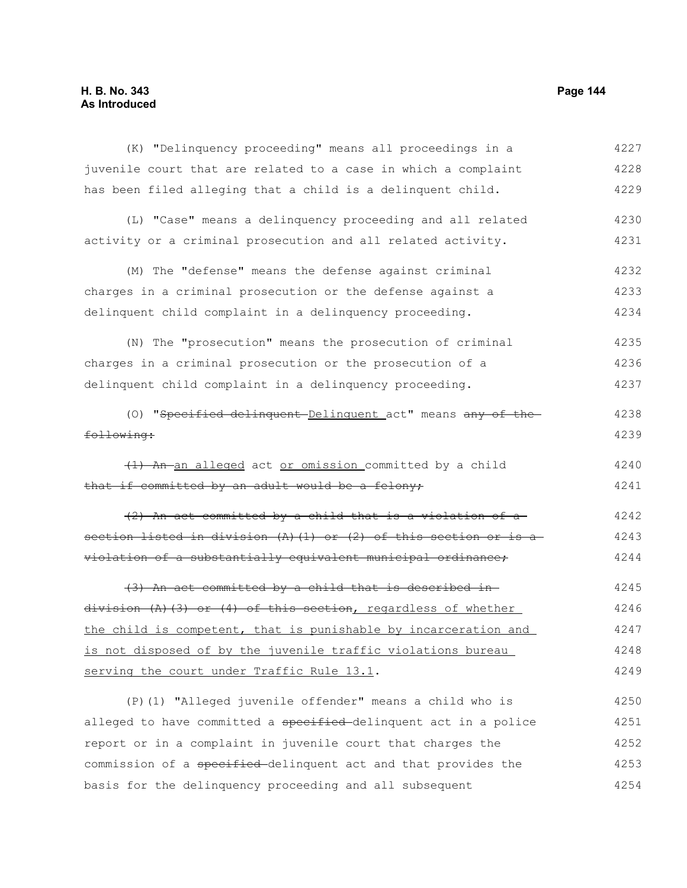#### **H. B. No. 343 Page 144 As Introduced**

(K) "Delinquency proceeding" means all proceedings in a juvenile court that are related to a case in which a complaint has been filed alleging that a child is a delinquent child. 4227 4228 4229

(L) "Case" means a delinquency proceeding and all related activity or a criminal prosecution and all related activity. 4230 4231

(M) The "defense" means the defense against criminal charges in a criminal prosecution or the defense against a delinquent child complaint in a delinquency proceeding. 4232 4233 4234

(N) The "prosecution" means the prosecution of criminal charges in a criminal prosecution or the prosecution of a delinquent child complaint in a delinquency proceeding. 4235 4236 4237

(0) "Specified delinquent Delinquent act" means any of the following: 4238 4239

(1) An an alleged act or omission committed by a child that if committed by an adult would be a felony; 4240 4241

(2) An act committed by a child that is a violation of a section listed in division  $(A)$   $(1)$  or  $(2)$  of this section or is a violation of a substantially equivalent municipal ordinance; 4242 4243 4244

(3) An act committed by a child that is described in division (A)(3) or (4) of this section, regardless of whether the child is competent, that is punishable by incarceration and is not disposed of by the juvenile traffic violations bureau serving the court under Traffic Rule 13.1. 4245 4246 4247 4248 4249

(P)(1) "Alleged juvenile offender" means a child who is alleged to have committed a specified-delinquent act in a police report or in a complaint in juvenile court that charges the commission of a specified delinquent act and that provides the basis for the delinquency proceeding and all subsequent 4250 4251 4252 4253 4254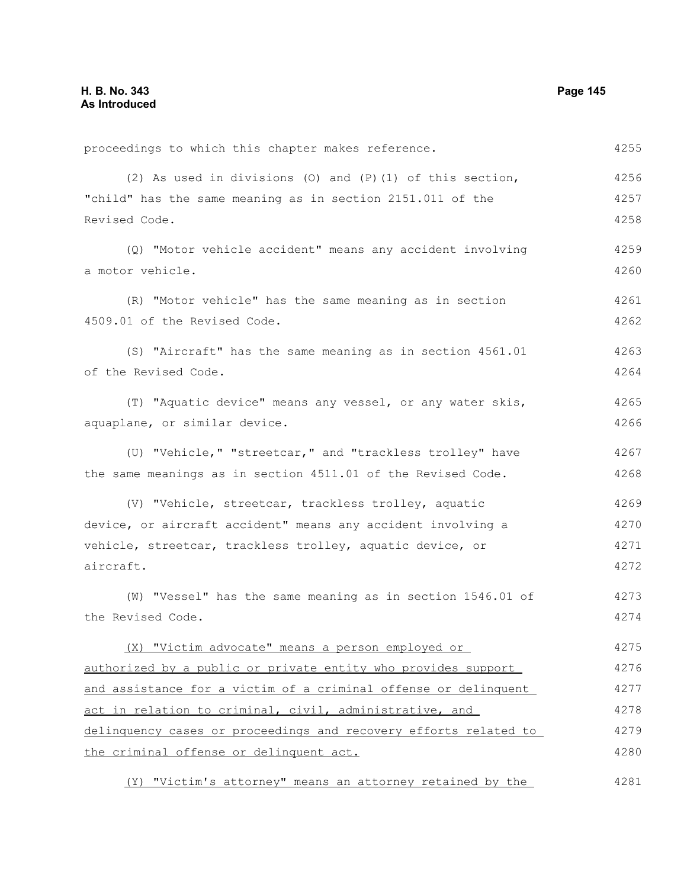proceedings to which this chapter makes reference. (2) As used in divisions (O) and (P)(1) of this section, "child" has the same meaning as in section 2151.011 of the Revised Code. (Q) "Motor vehicle accident" means any accident involving a motor vehicle. (R) "Motor vehicle" has the same meaning as in section 4509.01 of the Revised Code. (S) "Aircraft" has the same meaning as in section 4561.01 of the Revised Code. (T) "Aquatic device" means any vessel, or any water skis, aquaplane, or similar device. (U) "Vehicle," "streetcar," and "trackless trolley" have the same meanings as in section 4511.01 of the Revised Code. (V) "Vehicle, streetcar, trackless trolley, aquatic device, or aircraft accident" means any accident involving a vehicle, streetcar, trackless trolley, aquatic device, or aircraft. (W) "Vessel" has the same meaning as in section 1546.01 of the Revised Code. (X) "Victim advocate" means a person employed or authorized by a public or private entity who provides support and assistance for a victim of a criminal offense or delinquent act in relation to criminal, civil, administrative, and delinquency cases or proceedings and recovery efforts related to the criminal offense or delinquent act. (Y) "Victim's attorney" means an attorney retained by the 4255 4256 4257 4258 4259 4260 4261 4262 4263 4264 4265 4266 4267 4268 4269 4270 4271 4272 4273 4274 4275 4276 4277 4278 4279 4280 4281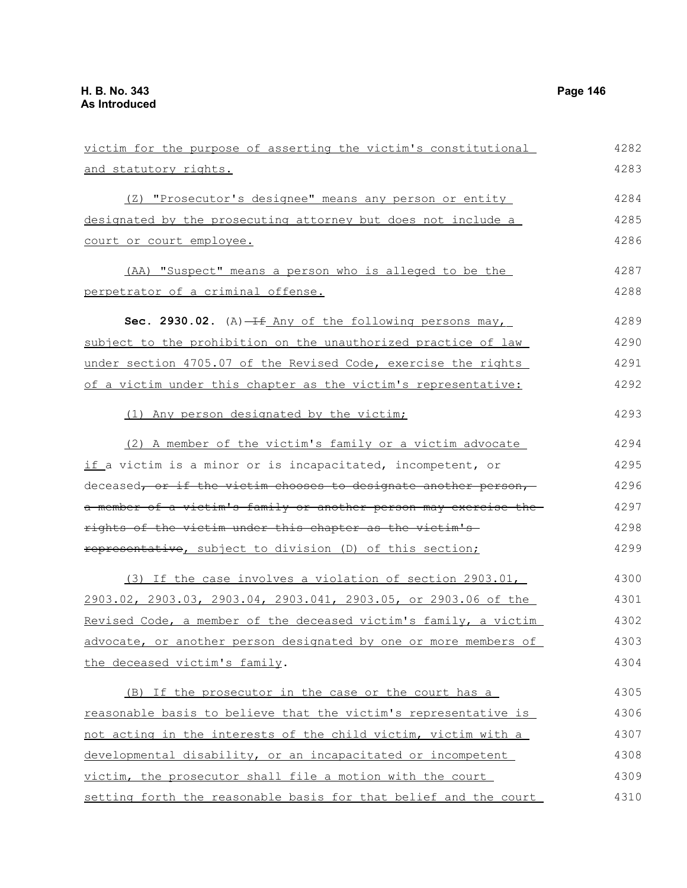| victim for the purpose of asserting the victim's constitutional  | 4282 |
|------------------------------------------------------------------|------|
| and statutory rights.                                            | 4283 |
| (Z) "Prosecutor's designee" means any person or entity           | 4284 |
| designated by the prosecuting attorney but does not include a    | 4285 |
| court or court employee.                                         | 4286 |
| (AA) "Suspect" means a person who is alleged to be the           | 4287 |
| perpetrator of a criminal offense.                               | 4288 |
| Sec. 2930.02. (A) - If Any of the following persons may,         | 4289 |
| subject to the prohibition on the unauthorized practice of law   | 4290 |
| under section 4705.07 of the Revised Code, exercise the rights   | 4291 |
| of a victim under this chapter as the victim's representative:   | 4292 |
| (1) Any person designated by the victim;                         | 4293 |
| (2) A member of the victim's family or a victim advocate         | 4294 |
| if a victim is a minor or is incapacitated, incompetent, or      | 4295 |
| deceased, or if the victim chooses to designate another person,  | 4296 |
| a member of a victim's family or another person may exercise the | 4297 |
| rights of the victim under this chapter as the victim's          | 4298 |
| representative, subject to division (D) of this section;         | 4299 |
| (3) If the case involves a violation of section 2903.01,         | 4300 |
| 2903.02, 2903.03, 2903.04, 2903.041, 2903.05, or 2903.06 of the  | 4301 |
| Revised Code, a member of the deceased victim's family, a victim | 4302 |
| advocate, or another person designated by one or more members of | 4303 |
| the deceased victim's family.                                    | 4304 |
| (B) If the prosecutor in the case or the court has a             | 4305 |
| reasonable basis to believe that the victim's representative is  | 4306 |
| not acting in the interests of the child victim, victim with a   | 4307 |
| developmental disability, or an incapacitated or incompetent     | 4308 |
| victim, the prosecutor shall file a motion with the court        | 4309 |
| setting forth the reasonable basis for that belief and the court | 4310 |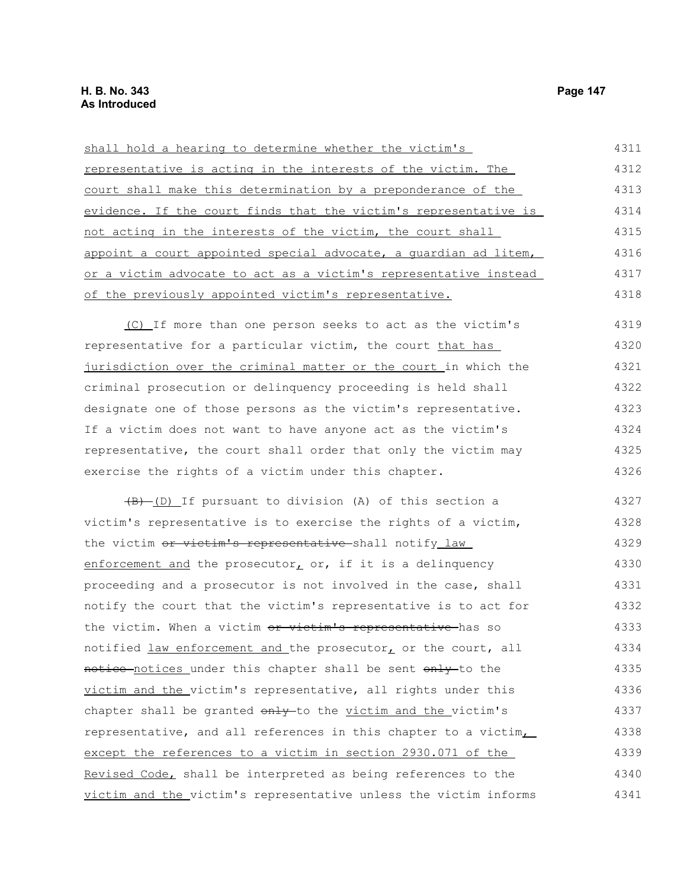| shall hold a hearing to determine whether the victim's           | 4311 |
|------------------------------------------------------------------|------|
| representative is acting in the interests of the victim. The     | 4312 |
| court shall make this determination by a preponderance of the    | 4313 |
| evidence. If the court finds that the victim's representative is | 4314 |
| not acting in the interests of the victim, the court shall       | 4315 |
| appoint a court appointed special advocate, a quardian ad litem, | 4316 |
| or a victim advocate to act as a victim's representative instead | 4317 |
| of the previously appointed victim's representative.             | 4318 |
|                                                                  |      |

(C) If more than one person seeks to act as the victim's representative for a particular victim, the court that has jurisdiction over the criminal matter or the court in which the criminal prosecution or delinquency proceeding is held shall designate one of those persons as the victim's representative. If a victim does not want to have anyone act as the victim's representative, the court shall order that only the victim may exercise the rights of a victim under this chapter. 4319 4320 4321 4322 4323 4324 4325 4326

 $(B)$  (D) If pursuant to division (A) of this section a victim's representative is to exercise the rights of a victim, the victim or victim's representative shall notify law enforcement and the prosecutor<sub> $L$ </sub> or, if it is a delinquency proceeding and a prosecutor is not involved in the case, shall notify the court that the victim's representative is to act for the victim. When a victim or victim's representative has so notified law enforcement and the prosecutor, or the court, all notice-notices under this chapter shall be sent only-to the victim and the victim's representative, all rights under this chapter shall be granted only to the victim and the victim's representative, and all references in this chapter to a victim, except the references to a victim in section 2930.071 of the Revised Code, shall be interpreted as being references to the victim and the victim's representative unless the victim informs 4327 4328 4329 4330 4331 4332 4333 4334 4335 4336 4337 4338 4339 4340 4341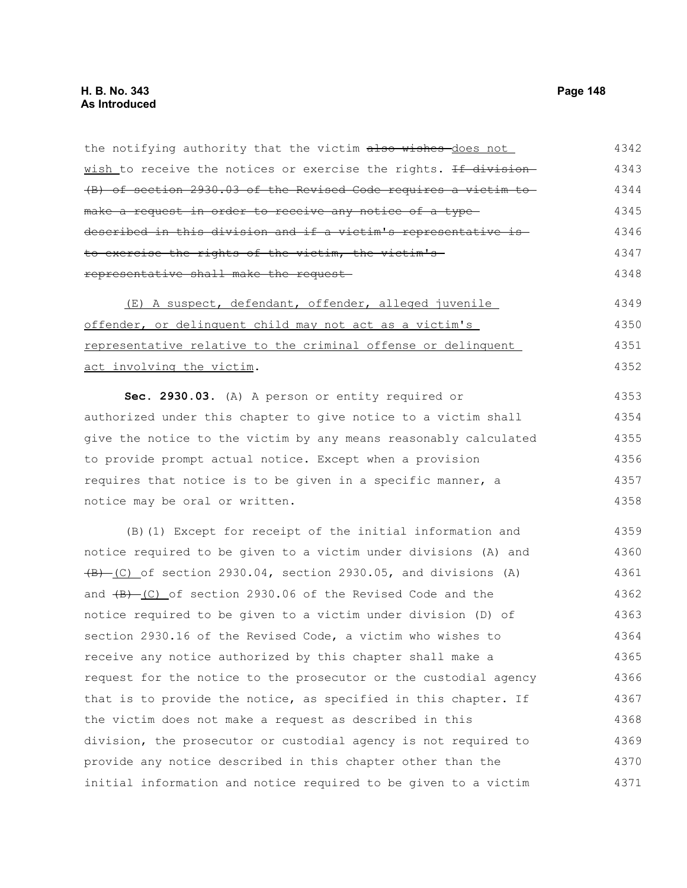## **H. B. No. 343 Page 148 As Introduced**

the notifying authority that the victim also wishes does not wish to receive the notices or exercise the rights. If division-(B) of section 2930.03 of the Revised Code requires a victim to make a request in order to receive any notice of a typedescribed in this division and if a victim's representative is to exercise the rights of the victim, the victim's representative shall make the request 4342 4343 4344 4345 4346 4347 4348

(E) A suspect, defendant, offender, alleged juvenile offender, or delinquent child may not act as a victim's representative relative to the criminal offense or delinquent act involving the victim. 4349 4350 4351 4352

**Sec. 2930.03.** (A) A person or entity required or authorized under this chapter to give notice to a victim shall give the notice to the victim by any means reasonably calculated to provide prompt actual notice. Except when a provision requires that notice is to be given in a specific manner, a notice may be oral or written. 4353 4354 4355 4356 4357 4358

(B)(1) Except for receipt of the initial information and notice required to be given to a victim under divisions (A) and  $\overline{(B) - (C)}$  of section 2930.04, section 2930.05, and divisions (A) and  $\overline{(B)}$  (C) of section 2930.06 of the Revised Code and the notice required to be given to a victim under division (D) of section 2930.16 of the Revised Code, a victim who wishes to receive any notice authorized by this chapter shall make a request for the notice to the prosecutor or the custodial agency that is to provide the notice, as specified in this chapter. If the victim does not make a request as described in this division, the prosecutor or custodial agency is not required to provide any notice described in this chapter other than the initial information and notice required to be given to a victim 4359 4360 4361 4362 4363 4364 4365 4366 4367 4368 4369 4370 4371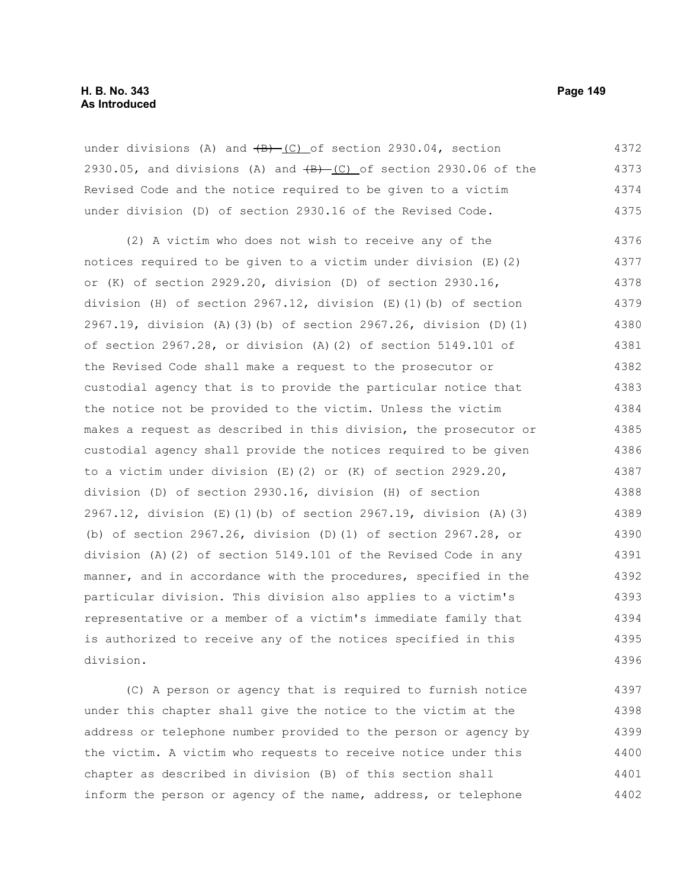under divisions (A) and  $\overline{(B) - (C)}$  of section 2930.04, section 2930.05, and divisions (A) and  $\overline{(B) - (C)}$  of section 2930.06 of the Revised Code and the notice required to be given to a victim under division (D) of section 2930.16 of the Revised Code. 4372 4373 4374 4375

(2) A victim who does not wish to receive any of the notices required to be given to a victim under division (E)(2) or (K) of section 2929.20, division (D) of section 2930.16, division (H) of section 2967.12, division (E)(1)(b) of section 2967.19, division (A)(3)(b) of section 2967.26, division (D)(1) of section 2967.28, or division (A)(2) of section 5149.101 of the Revised Code shall make a request to the prosecutor or custodial agency that is to provide the particular notice that the notice not be provided to the victim. Unless the victim makes a request as described in this division, the prosecutor or custodial agency shall provide the notices required to be given to a victim under division (E)(2) or (K) of section 2929.20, division (D) of section 2930.16, division (H) of section 2967.12, division (E)(1)(b) of section 2967.19, division (A)(3) (b) of section 2967.26, division (D)(1) of section 2967.28, or division (A)(2) of section 5149.101 of the Revised Code in any manner, and in accordance with the procedures, specified in the particular division. This division also applies to a victim's representative or a member of a victim's immediate family that is authorized to receive any of the notices specified in this division. 4376 4377 4378 4379 4380 4381 4382 4383 4384 4385 4386 4387 4388 4389 4390 4391 4392 4393 4394 4395 4396

(C) A person or agency that is required to furnish notice under this chapter shall give the notice to the victim at the address or telephone number provided to the person or agency by the victim. A victim who requests to receive notice under this chapter as described in division (B) of this section shall inform the person or agency of the name, address, or telephone 4397 4398 4399 4400 4401 4402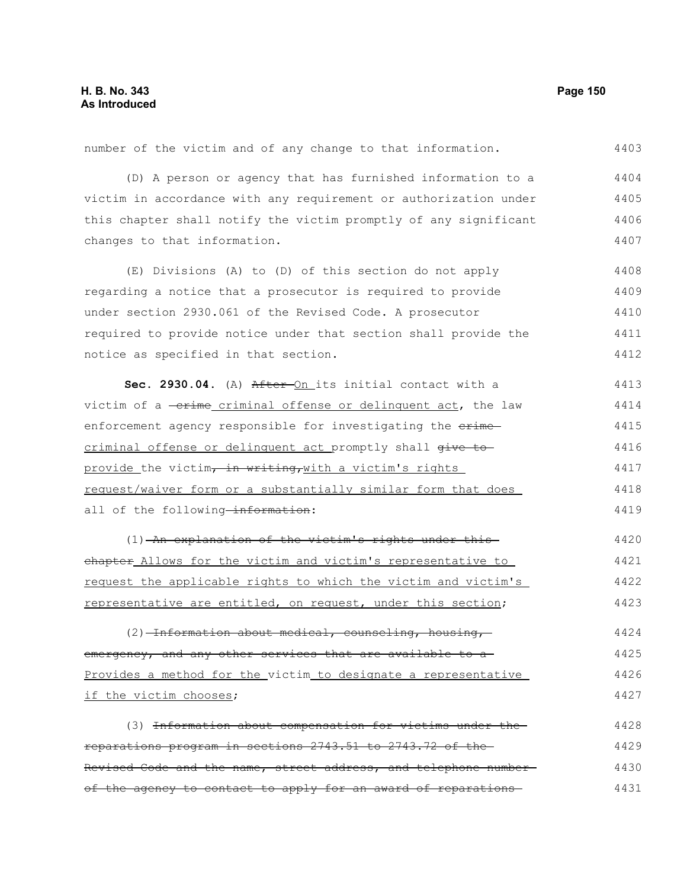| number of the victim and of any change to that information.      | 4403 |
|------------------------------------------------------------------|------|
| (D) A person or agency that has furnished information to a       | 4404 |
| victim in accordance with any requirement or authorization under | 4405 |
| this chapter shall notify the victim promptly of any significant | 4406 |
| changes to that information.                                     | 4407 |
| (E) Divisions (A) to (D) of this section do not apply            | 4408 |
| regarding a notice that a prosecutor is required to provide      | 4409 |
| under section 2930.061 of the Revised Code. A prosecutor         | 4410 |
| required to provide notice under that section shall provide the  | 4411 |
| notice as specified in that section.                             | 4412 |
| Sec. 2930.04. (A) After-On its initial contact with a            | 4413 |
| victim of a -erime_criminal offense or delinquent act, the law   | 4414 |
| enforcement agency responsible for investigating the erime-      | 4415 |
| criminal offense or delinquent act promptly shall give to        | 4416 |
| provide the victim, in writing, with a victim's rights           | 4417 |
| request/waiver form or a substantially similar form that does    | 4418 |
| all of the following-information:                                | 4419 |
| (1) An explanation of the victim's rights under this-            | 4420 |
| chapter_Allows for the victim and victim's representative to     | 4421 |
| request the applicable rights to which the victim and victim's   | 4422 |
| representative are entitled, on request, under this section;     | 4423 |
| $(2)$ -Information about medical, counseling, housing,           | 4424 |
| emergency, and any other services that are available to a        | 4425 |
| Provides a method for the victim to designate a representative   | 4426 |
| if the victim chooses;                                           | 4427 |
| (3) Information about compensation for victims under the-        | 4428 |
| reparations program in sections 2743.51 to 2743.72 of the-       | 4429 |
| Revised Code and the name, street address, and telephone number- | 4430 |
| of the agency to contact to apply for an award of reparations-   | 4431 |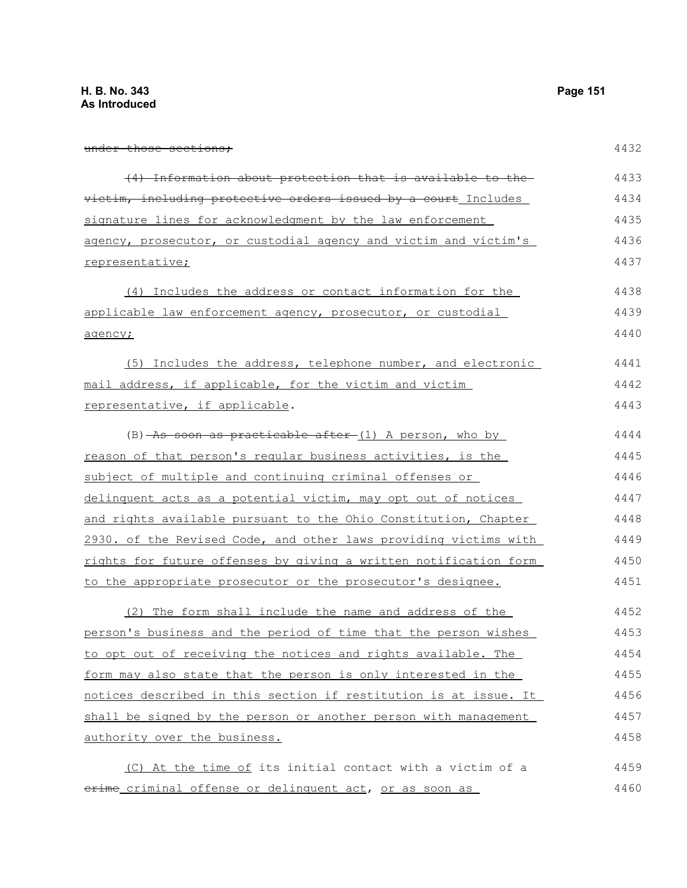under those sections; (4) Information about protection that is available to the victim, including protective orders issued by a court Includes signature lines for acknowledgment by the law enforcement agency, prosecutor, or custodial agency and victim and victim's representative; (4) Includes the address or contact information for the applicable law enforcement agency, prosecutor, or custodial agency; (5) Includes the address, telephone number, and electronic mail address, if applicable, for the victim and victim representative, if applicable.  $(B)$   $\overline{As}$  soon as practicable after (1) A person, who by reason of that person's regular business activities, is the subject of multiple and continuing criminal offenses or delinquent acts as a potential victim, may opt out of notices and rights available pursuant to the Ohio Constitution, Chapter 2930. of the Revised Code, and other laws providing victims with rights for future offenses by giving a written notification form to the appropriate prosecutor or the prosecutor's designee. (2) The form shall include the name and address of the person's business and the period of time that the person wishes to opt out of receiving the notices and rights available. The form may also state that the person is only interested in the notices described in this section if restitution is at issue. It shall be signed by the person or another person with management authority over the business. (C) At the time of its initial contact with a victim of a erime criminal offense or delinquent act, or as soon as 4432 4433 4434 4435 4436 4437 4438 4439 4440 4441 4442 4443 4444 4445 4446 4447 4448 4449 4450 4451 4452 4453 4454 4455 4456 4457 4458 4459 4460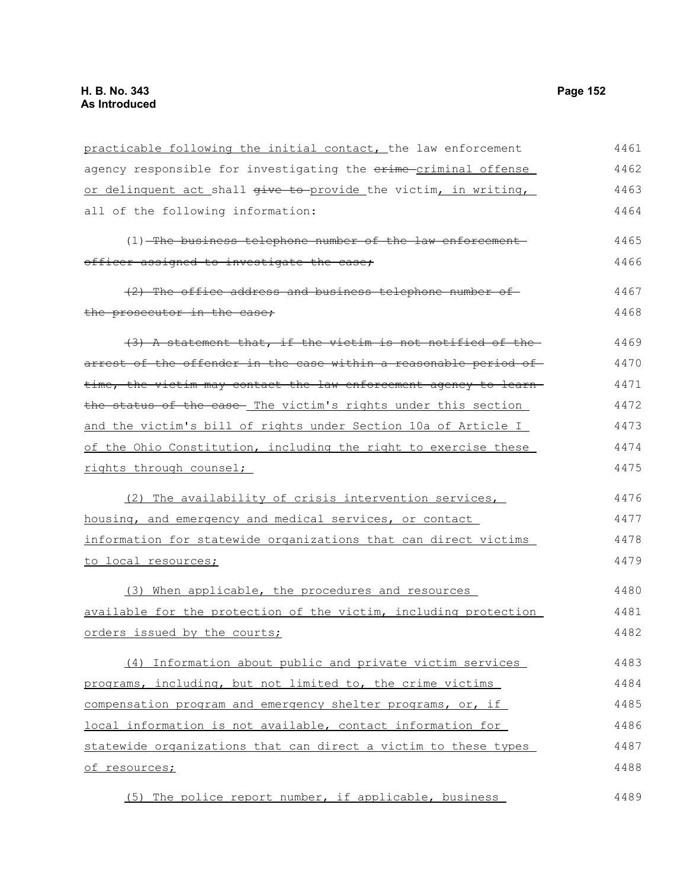practicable following the initial contact, the law enforcement agency responsible for investigating the erime-criminal offense or delinquent act shall give to provide the victim, in writing, all of the following information: (1)-The business telephone number of the law enforcementofficer assigned to investigate the case; (2) The office address and business telephone number of the prosecutor in the case; (3) A statement that, if the victim is not notified of the arrest of the offender in the case within a reasonable period of time, the victim may contact the law enforcement agency to learnthe status of the case The victim's rights under this section and the victim's bill of rights under Section 10a of Article I of the Ohio Constitution, including the right to exercise these rights through counsel; (2) The availability of crisis intervention services, housing, and emergency and medical services, or contact information for statewide organizations that can direct victims to local resources; (3) When applicable, the procedures and resources available for the protection of the victim, including protection orders issued by the courts; (4) Information about public and private victim services programs, including, but not limited to, the crime victims 4461 4462 4463 4464 4465 4466 4467 4468 4469 4470 4471 4472 4473 4474 4475 4476 4477 4478 4479 4480 4481 4482 4483 4484

compensation program and emergency shelter programs, or, if local information is not available, contact information for statewide organizations that can direct a victim to these types of resources; 4485 4486 4487 4488

(5) The police report number, if applicable, business 4489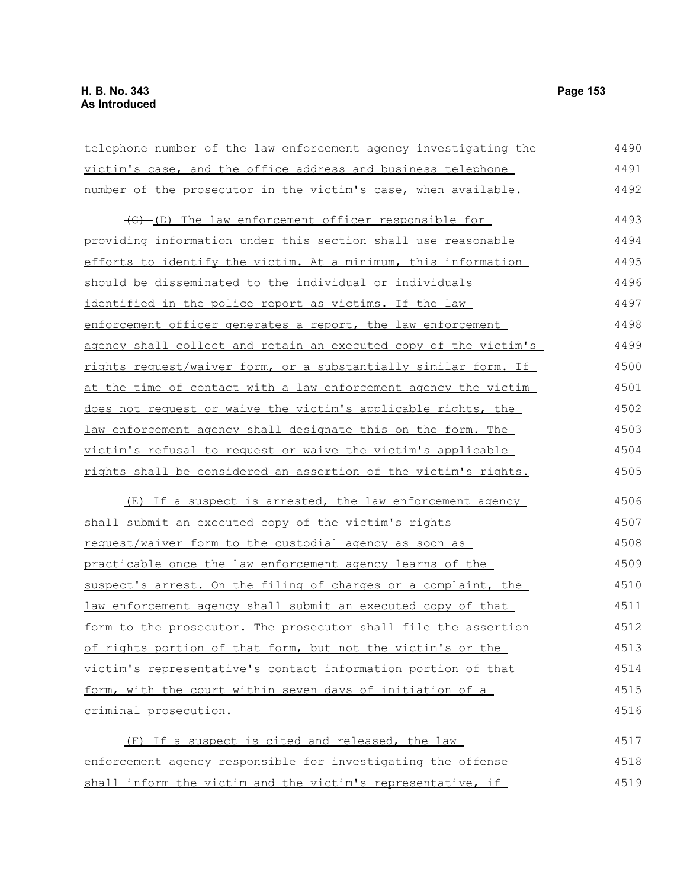telephone number of the law enforcement agency investigating the victim's case, and the office address and business telephone number of the prosecutor in the victim's case, when available.  $\left(\theta-\theta\right)$  The law enforcement officer responsible for providing information under this section shall use reasonable efforts to identify the victim. At a minimum, this information should be disseminated to the individual or individuals identified in the police report as victims. If the law enforcement officer generates a report, the law enforcement agency shall collect and retain an executed copy of the victim's rights request/waiver form, or a substantially similar form. If at the time of contact with a law enforcement agency the victim does not request or waive the victim's applicable rights, the law enforcement agency shall designate this on the form. The victim's refusal to request or waive the victim's applicable rights shall be considered an assertion of the victim's rights. (E) If a suspect is arrested, the law enforcement agency shall submit an executed copy of the victim's rights request/waiver form to the custodial agency as soon as practicable once the law enforcement agency learns of the suspect's arrest. On the filing of charges or a complaint, the law enforcement agency shall submit an executed copy of that form to the prosecutor. The prosecutor shall file the assertion of rights portion of that form, but not the victim's or the victim's representative's contact information portion of that form, with the court within seven days of initiation of a criminal prosecution. (F) If a suspect is cited and released, the law enforcement agency responsible for investigating the offense shall inform the victim and the victim's representative, if 4490 4491 4492 4493 4494 4495 4496 4497 4498 4499 4500 4501 4502 4503 4504 4505 4506 4507 4508 4509 4510 4511 4512 4513 4514 4515 4516 4517 4518 4519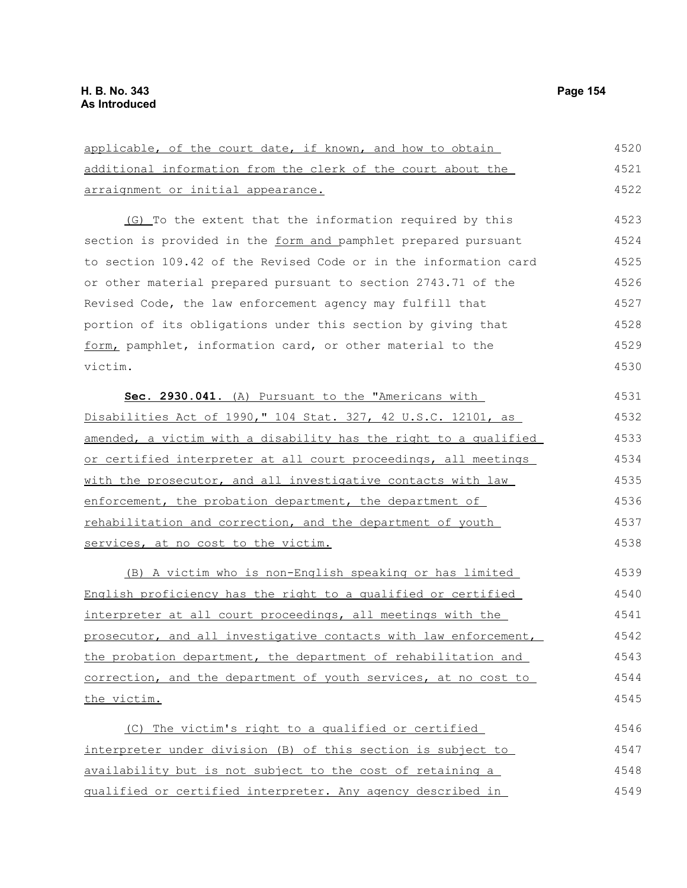| applicable, of the court date, if known, and how to obtain       | 4520 |
|------------------------------------------------------------------|------|
| additional information from the clerk of the court about the     | 4521 |
| arraignment or initial appearance.                               | 4522 |
| (G) To the extent that the information required by this          | 4523 |
| section is provided in the form and pamphlet prepared pursuant   | 4524 |
| to section 109.42 of the Revised Code or in the information card | 4525 |
| or other material prepared pursuant to section 2743.71 of the    | 4526 |
| Revised Code, the law enforcement agency may fulfill that        | 4527 |
| portion of its obligations under this section by giving that     | 4528 |
| form, pamphlet, information card, or other material to the       | 4529 |
| victim.                                                          | 4530 |
| Sec. 2930.041. (A) Pursuant to the "Americans with               | 4531 |
| Disabilities Act of 1990," 104 Stat. 327, 42 U.S.C. 12101, as    | 4532 |
| amended, a victim with a disability has the right to a qualified | 4533 |
| or certified interpreter at all court proceedings, all meetings  | 4534 |
| with the prosecutor, and all investigative contacts with law     | 4535 |
| enforcement, the probation department, the department of         | 4536 |
| rehabilitation and correction, and the department of youth       | 4537 |
| services, at no cost to the victim.                              | 4538 |
| (B) A victim who is non-English speaking or has limited          | 4539 |
| English proficiency has the right to a qualified or certified    | 4540 |
| interpreter at all court proceedings, all meetings with the      | 4541 |
| prosecutor, and all investigative contacts with law enforcement, | 4542 |
| the probation department, the department of rehabilitation and   | 4543 |
| correction, and the department of youth services, at no cost to  | 4544 |
| the victim.                                                      | 4545 |
| (C) The victim's right to a qualified or certified               | 4546 |
| interpreter under division (B) of this section is subject to     | 4547 |
| availability but is not subject to the cost of retaining a       | 4548 |
| qualified or certified interpreter. Any agency described in      | 4549 |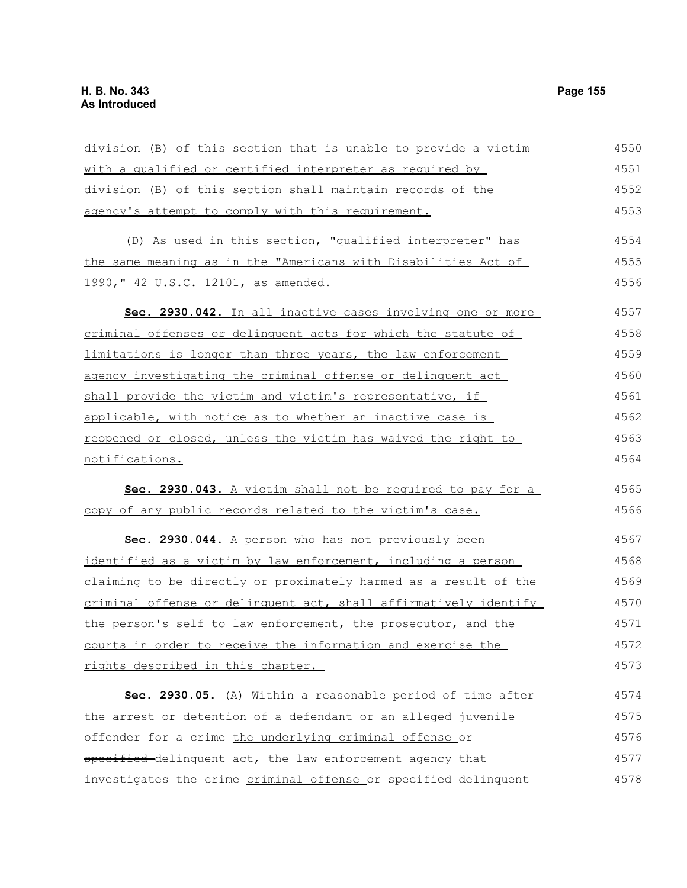division (B) of this section that is unable to provide a victim with a qualified or certified interpreter as required by division (B) of this section shall maintain records of the agency's attempt to comply with this requirement. (D) As used in this section, "qualified interpreter" has the same meaning as in the "Americans with Disabilities Act of 1990," 42 U.S.C. 12101, as amended. **Sec. 2930.042.** In all inactive cases involving one or more criminal offenses or delinquent acts for which the statute of limitations is longer than three years, the law enforcement agency investigating the criminal offense or delinquent act shall provide the victim and victim's representative, if applicable, with notice as to whether an inactive case is reopened or closed, unless the victim has waived the right to notifications. **Sec. 2930.043.** A victim shall not be required to pay for a copy of any public records related to the victim's case. **Sec. 2930.044.** A person who has not previously been identified as a victim by law enforcement, including a person claiming to be directly or proximately harmed as a result of the criminal offense or delinquent act, shall affirmatively identify the person's self to law enforcement, the prosecutor, and the courts in order to receive the information and exercise the rights described in this chapter. **Sec. 2930.05.** (A) Within a reasonable period of time after the arrest or detention of a defendant or an alleged juvenile offender for a crime the underlying criminal offense or specified-delinquent act, the law enforcement agency that 4550 4551 4552 4553 4554 4555 4556 4557 4558 4559 4560 4561 4562 4563 4564 4565 4566 4567 4568 4569 4570 4571 4572 4573 4574 4575 4576 4577

investigates the erime-criminal offense or specified-delinquent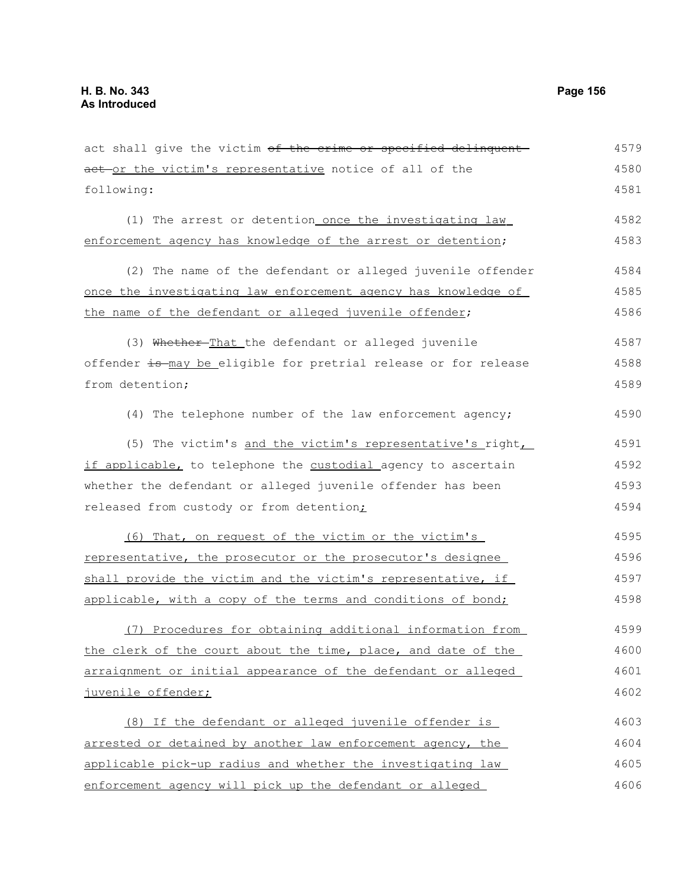| act shall give the victim of the crime or specified delinquent- | 4579 |
|-----------------------------------------------------------------|------|
| act or the victim's representative notice of all of the         | 4580 |
| following:                                                      | 4581 |
| (1) The arrest or detention once the investigating law          | 4582 |
| enforcement agency has knowledge of the arrest or detention;    | 4583 |
| (2) The name of the defendant or alleged juvenile offender      | 4584 |
| once the investigating law enforcement agency has knowledge of  | 4585 |
| the name of the defendant or alleged juvenile offender;         | 4586 |
| (3) Whether-That the defendant or alleged juvenile              | 4587 |
| offender is may be eligible for pretrial release or for release | 4588 |
| from detention;                                                 | 4589 |
| (4) The telephone number of the law enforcement agency;         | 4590 |
| (5) The victim's and the victim's representative's right        | 4591 |
| if applicable, to telephone the custodial agency to ascertain   | 4592 |
| whether the defendant or alleged juvenile offender has been     | 4593 |
| released from custody or from detention;                        | 4594 |
| (6) That, on request of the victim or the victim's              | 4595 |
| representative, the prosecutor or the prosecutor's designee     | 4596 |
| shall provide the victim and the victim's representative, if    | 4597 |
| applicable, with a copy of the terms and conditions of bond;    | 4598 |
| (7) Procedures for obtaining additional information from        | 4599 |
| the clerk of the court about the time, place, and date of the   | 4600 |
| arraignment or initial appearance of the defendant or alleged   | 4601 |
| juvenile offender;                                              | 4602 |
| (8) If the defendant or alleged juvenile offender is            | 4603 |
| arrested or detained by another law enforcement agency, the     | 4604 |
| applicable pick-up radius and whether the investigating law     | 4605 |
| enforcement agency will pick up the defendant or alleged        | 4606 |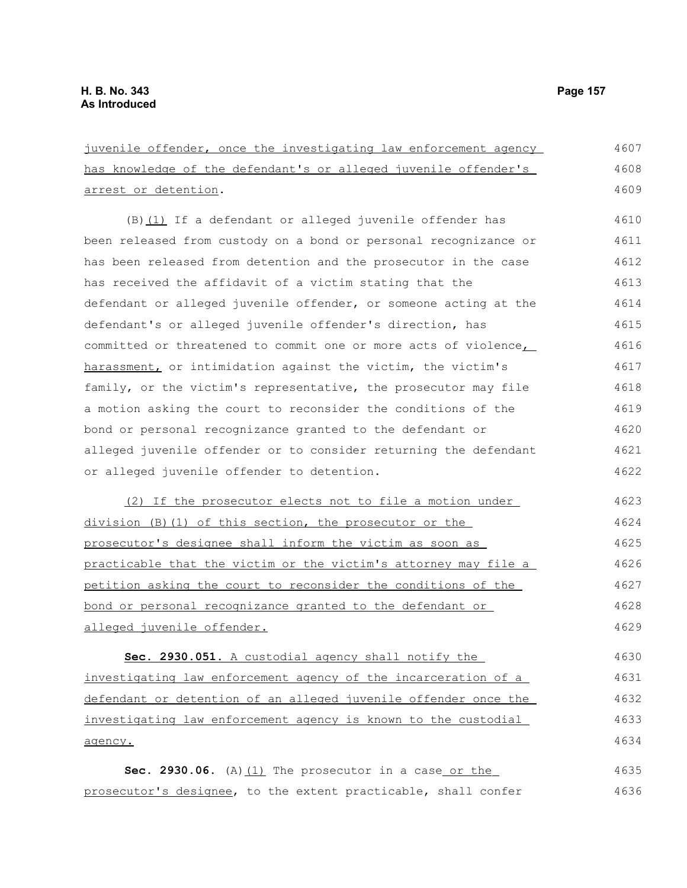juvenile offender, once the investigating law enforcement agency has knowledge of the defendant's or alleged juvenile offender's arrest or detention.  $(B)$  (1) If a defendant or alleged juvenile offender has been released from custody on a bond or personal recognizance or has been released from detention and the prosecutor in the case has received the affidavit of a victim stating that the defendant or alleged juvenile offender, or someone acting at the defendant's or alleged juvenile offender's direction, has committed or threatened to commit one or more acts of violence, harassment, or intimidation against the victim, the victim's family, or the victim's representative, the prosecutor may file a motion asking the court to reconsider the conditions of the bond or personal recognizance granted to the defendant or alleged juvenile offender or to consider returning the defendant or alleged juvenile offender to detention. (2) If the prosecutor elects not to file a motion under division (B)(1) of this section, the prosecutor or the prosecutor's designee shall inform the victim as soon as practicable that the victim or the victim's attorney may file a petition asking the court to reconsider the conditions of the bond or personal recognizance granted to the defendant or alleged juvenile offender. **Sec. 2930.051.** A custodial agency shall notify the investigating law enforcement agency of the incarceration of a defendant or detention of an alleged juvenile offender once the investigating law enforcement agency is known to the custodial agency. **Sec. 2930.06.** (A) (1) The prosecutor in a case or the 4607 4608 4609 4610 4611 4612 4613 4614 4615 4616 4617 4618 4619 4620 4621 4622 4623 4624 4625 4626 4627 4628 4629 4630 4631 4632 4633 4634 4635

prosecutor's designee, to the extent practicable, shall confer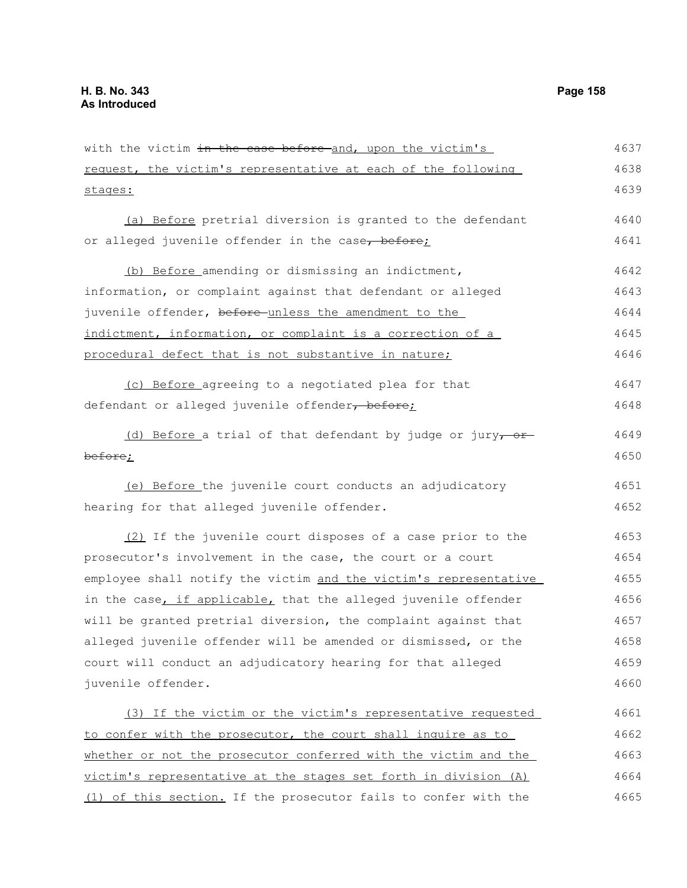| with the victim in the case before and, upon the victim's        | 4637 |
|------------------------------------------------------------------|------|
| request, the victim's representative at each of the following    | 4638 |
| stages:                                                          | 4639 |
| (a) Before pretrial diversion is granted to the defendant        | 4640 |
| or alleged juvenile offender in the case, before;                | 4641 |
| (b) Before amending or dismissing an indictment,                 | 4642 |
| information, or complaint against that defendant or alleged      | 4643 |
| juvenile offender, before unless the amendment to the            | 4644 |
| indictment, information, or complaint is a correction of a       | 4645 |
| procedural defect that is not substantive in nature;             | 4646 |
| (c) Before agreeing to a negotiated plea for that                | 4647 |
| defendant or alleged juvenile offender, before;                  | 4648 |
| (d) Before a trial of that defendant by judge or jury, or        | 4649 |
| before;                                                          | 4650 |
| (e) Before the juvenile court conducts an adjudicatory           | 4651 |
| hearing for that alleged juvenile offender.                      | 4652 |
| (2) If the juvenile court disposes of a case prior to the        | 4653 |
| prosecutor's involvement in the case, the court or a court       | 4654 |
| employee shall notify the victim and the victim's representative | 4655 |
| in the case, if applicable, that the alleged juvenile offender   | 4656 |
| will be granted pretrial diversion, the complaint against that   | 4657 |
| alleged juvenile offender will be amended or dismissed, or the   | 4658 |
| court will conduct an adjudicatory hearing for that alleged      | 4659 |
| juvenile offender.                                               | 4660 |
| (3) If the victim or the victim's representative requested       | 4661 |
| to confer with the prosecutor, the court shall inquire as to     | 4662 |
| whether or not the prosecutor conferred with the victim and the  | 4663 |
| victim's representative at the stages set forth in division (A)  | 4664 |
| (1) of this section. If the prosecutor fails to confer with the  | 4665 |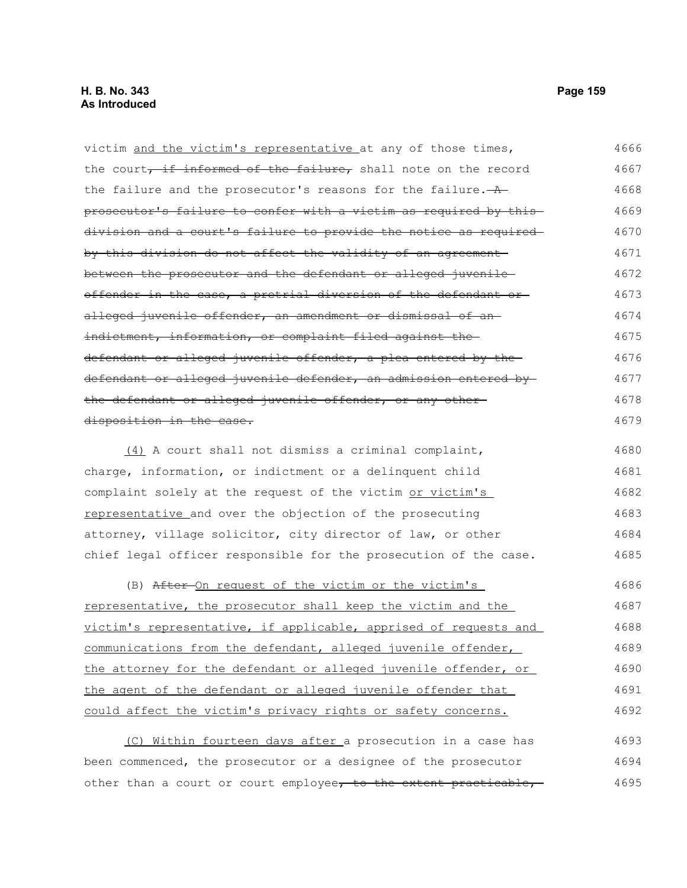victim and the victim's representative at any of those times, the court, if informed of the failure, shall note on the record the failure and the prosecutor's reasons for the failure. $A$ prosecutor's failure to confer with a victim as required by this division and a court's failure to provide the notice as required by this division do not affect the validity of an agreement between the prosecutor and the defendant or alleged juvenile offender in the case, a pretrial diversion of the defendant or alleged juvenile offender, an amendment or dismissal of an indictment, information, or complaint filed against the defendant or alleged juvenile offender, a plea entered by thedefendant or alleged juvenile defender, an admission entered by the defendant or alleged juvenile offender, or any other disposition in the case. 4666 4667 4668 4669 4670 4671 4672 4673 4674 4675 4676 4677 4678 4679

(4) A court shall not dismiss a criminal complaint, charge, information, or indictment or a delinquent child complaint solely at the request of the victim or victim's representative and over the objection of the prosecuting attorney, village solicitor, city director of law, or other chief legal officer responsible for the prosecution of the case. 4680 4681 4682 4683 4684 4685

(B) After-On request of the victim or the victim's representative, the prosecutor shall keep the victim and the victim's representative, if applicable, apprised of requests and communications from the defendant, alleged juvenile offender, the attorney for the defendant or alleged juvenile offender, or the agent of the defendant or alleged juvenile offender that could affect the victim's privacy rights or safety concerns. 4686 4687 4688 4689 4690 4691 4692

(C) Within fourteen days after a prosecution in a case has been commenced, the prosecutor or a designee of the prosecutor other than a court or court employee, to the extent practicable, 4693 4694 4695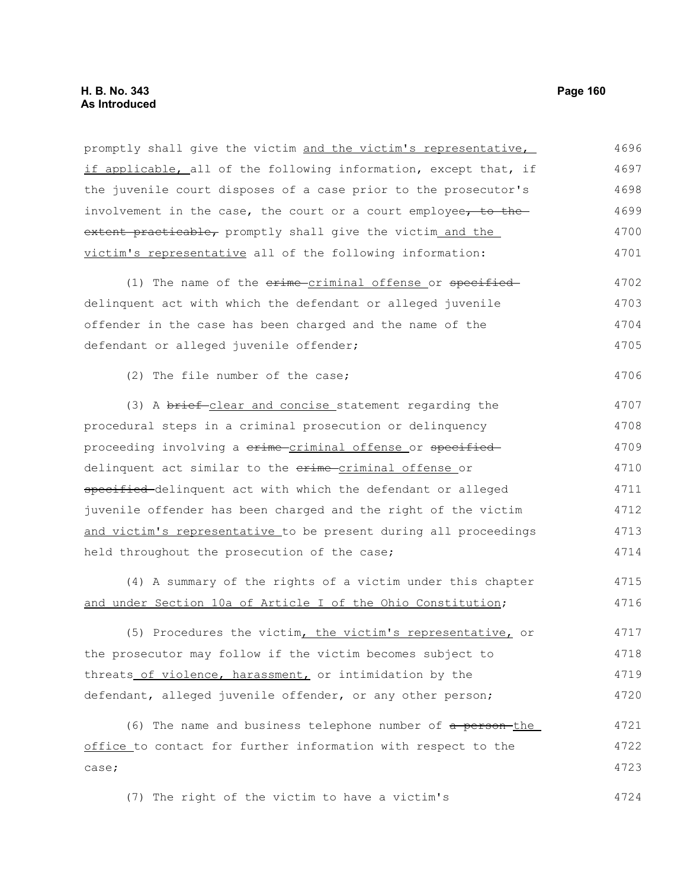## **H. B. No. 343 Page 160 As Introduced**

promptly shall give the victim and the victim's representative, if applicable, all of the following information, except that, if the juvenile court disposes of a case prior to the prosecutor's involvement in the case, the court or a court employee, to the extent practicable, promptly shall give the victim\_and the victim's representative all of the following information: 4696 4697 4698 4699 4700 4701

(1) The name of the erime-criminal offense or specified delinquent act with which the defendant or alleged juvenile offender in the case has been charged and the name of the defendant or alleged juvenile offender; 4702 4703 4704 4705

(2) The file number of the case;

(3) A brief clear and concise statement regarding the procedural steps in a criminal prosecution or delinquency proceeding involving a crime criminal offense or specified delinquent act similar to the erime-criminal offense or specified delinquent act with which the defendant or alleged juvenile offender has been charged and the right of the victim and victim's representative to be present during all proceedings held throughout the prosecution of the case; 4707 4708 4709 4710 4711 4712 4713 4714

(4) A summary of the rights of a victim under this chapter and under Section 10a of Article I of the Ohio Constitution; 4715 4716

(5) Procedures the victim, the victim's representative, or the prosecutor may follow if the victim becomes subject to threats of violence, harassment, or intimidation by the defendant, alleged juvenile offender, or any other person; 4717 4718 4719 4720

(6) The name and business telephone number of  $a$  person-the office to contact for further information with respect to the case; 4721 4722 4723

(7) The right of the victim to have a victim's 4724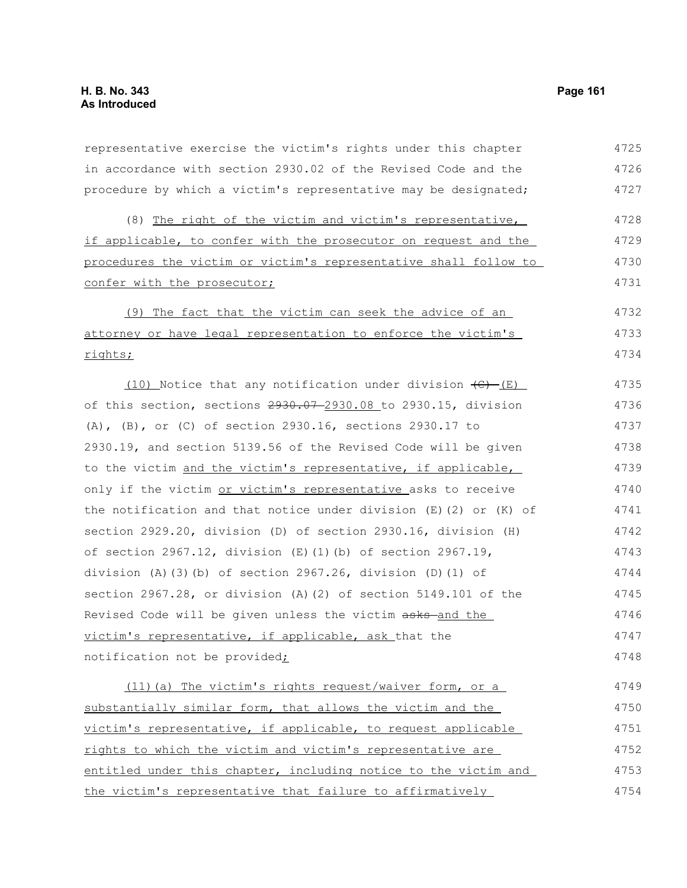representative exercise the victim's rights under this chapter in accordance with section 2930.02 of the Revised Code and the procedure by which a victim's representative may be designated; (8) The right of the victim and victim's representative, if applicable, to confer with the prosecutor on request and the procedures the victim or victim's representative shall follow to confer with the prosecutor; (9) The fact that the victim can seek the advice of an attorney or have legal representation to enforce the victim's rights; (10) Notice that any notification under division  $\left(\overline{C}\right)$  (E) of this section, sections  $2930.07-2930.08$  to 2930.15, division (A), (B), or (C) of section 2930.16, sections 2930.17 to 2930.19, and section 5139.56 of the Revised Code will be given to the victim and the victim's representative, if applicable, only if the victim or victim's representative asks to receive the notification and that notice under division  $(E)(2)$  or  $(K)$  of section 2929.20, division (D) of section 2930.16, division (H) of section  $2967.12$ , division (E)(1)(b) of section  $2967.19$ , division (A)(3)(b) of section 2967.26, division (D)(1) of section 2967.28, or division (A)(2) of section 5149.101 of the Revised Code will be given unless the victim asks-and the victim's representative, if applicable, ask that the notification not be provided; (11)(a) The victim's rights request/waiver form, or a substantially similar form, that allows the victim and the victim's representative, if applicable, to request applicable rights to which the victim and victim's representative are entitled under this chapter, including notice to the victim and 4725 4726 4727 4728 4729 4730 4731 4732 4733 4734 4735 4736 4737 4738 4739 4740 4741 4742 4743 4744 4745 4746 4747 4748 4749 4750 4751 4752 4753

the victim's representative that failure to affirmatively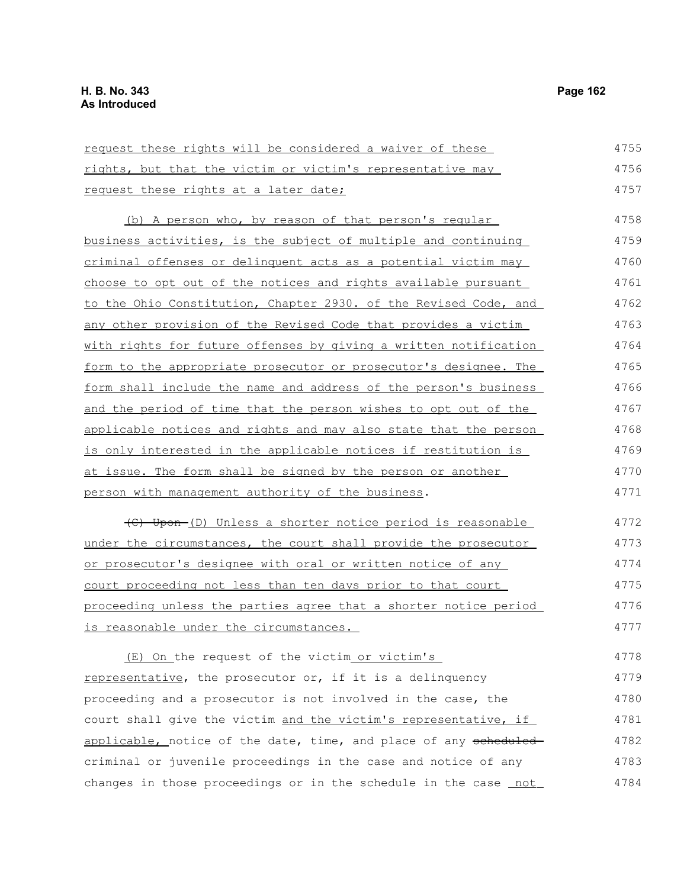| request these rights will be considered a waiver of these        | 4755 |
|------------------------------------------------------------------|------|
| rights, but that the victim or victim's representative may       | 4756 |
| request these rights at a later date;                            | 4757 |
| (b) A person who, by reason of that person's reqular             | 4758 |
| business activities, is the subject of multiple and continuing   | 4759 |
| criminal offenses or delinquent acts as a potential victim may   | 4760 |
| choose to opt out of the notices and rights available pursuant   | 4761 |
| to the Ohio Constitution, Chapter 2930. of the Revised Code, and | 4762 |
| any other provision of the Revised Code that provides a victim   | 4763 |
| with rights for future offenses by giving a written notification | 4764 |
| form to the appropriate prosecutor or prosecutor's designee. The | 4765 |
| form shall include the name and address of the person's business | 4766 |
| and the period of time that the person wishes to opt out of the  | 4767 |
| applicable notices and rights and may also state that the person | 4768 |
| is only interested in the applicable notices if restitution is   | 4769 |
| at issue. The form shall be signed by the person or another      | 4770 |
| person with management authority of the business.                | 4771 |
| (C) Upon-(D) Unless a shorter notice period is reasonable        | 4772 |
| under the circumstances, the court shall provide the prosecutor  | 4773 |
| or prosecutor's designee with oral or written notice of any      | 4774 |
| court proceeding not less than ten days prior to that court      | 4775 |
| proceeding unless the parties agree that a shorter notice period | 4776 |
| is reasonable under the circumstances.                           | 4777 |
| (E) On the request of the victim or victim's                     | 4778 |
| representative, the prosecutor or, if it is a delinquency        | 4779 |
| proceeding and a prosecutor is not involved in the case, the     | 4780 |
| court shall give the victim and the victim's representative, if  | 4781 |
| applicable, notice of the date, time, and place of any scheduled | 4782 |
| criminal or juvenile proceedings in the case and notice of any   | 4783 |
| changes in those proceedings or in the schedule in the case not  | 4784 |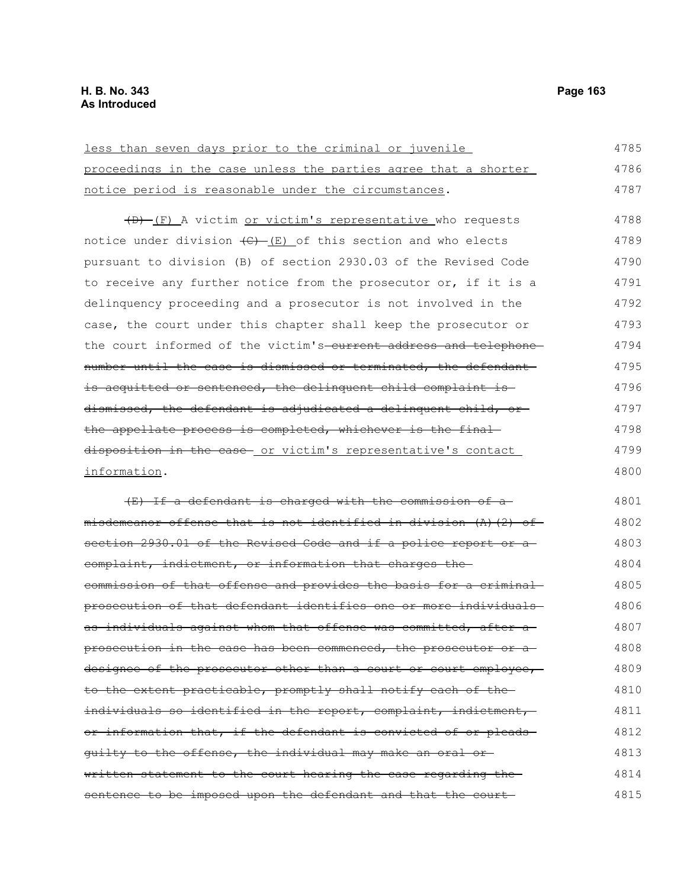| less than seven days prior to the criminal or juvenile                      | 4785 |
|-----------------------------------------------------------------------------|------|
| proceedings in the case unless the parties agree that a shorter             | 4786 |
| notice period is reasonable under the circumstances.                        | 4787 |
| (F) A victim or victim's representative who requests                        | 4788 |
| notice under division $\overline{(C) - (E)}$ of this section and who elects | 4789 |
| pursuant to division (B) of section 2930.03 of the Revised Code             | 4790 |
| to receive any further notice from the prosecutor or, if it is a            | 4791 |
| delinquency proceeding and a prosecutor is not involved in the              | 4792 |
| case, the court under this chapter shall keep the prosecutor or             | 4793 |
| the court informed of the victim's-current address and telephone-           | 4794 |
| number until the case is dismissed or terminated, the defendant-            | 4795 |
| is acquitted or sentenced, the delinquent child complaint is                | 4796 |
| dismissed, the defendant is adjudicated a delinquent child, or-             | 4797 |
| the appellate process is completed, whichever is the final-                 | 4798 |
| disposition in the case- or victim's representative's contact               | 4799 |
| information.                                                                | 4800 |
| (E) If a defendant is charged with the commission of a                      | 4801 |
| misdemeanor offense that is not identified in division (A)(2) of            | 4802 |
|                                                                             |      |
| section 2930.01 of the Revised Code and if a police report or a             | 4803 |
| eomplaint, indictment, or information that charges the                      | 4804 |
| eommission of that offense and provides the basis for a criminal            | 4805 |
| prosecution of that defendant identifies one or more individuals            | 4806 |
| as individuals against whom that offense was committed, after a             | 4807 |
| prosecution in the case has been commenced, the prosecutor or a             | 4808 |
| designee of the prosecutor other than a court or court employee,            | 4809 |
| to the extent practicable, promptly shall notify each of the                | 4810 |
| individuals so identified in the report, complaint, indictment,             | 4811 |
| or information that, if the defendant is convicted of or pleads             | 4812 |
| quilty to the offense, the individual may make an oral or-                  | 4813 |
| written statement to the court hearing the case regarding the               | 4814 |
| sentence to be imposed upon the defendant and that the court-               | 4815 |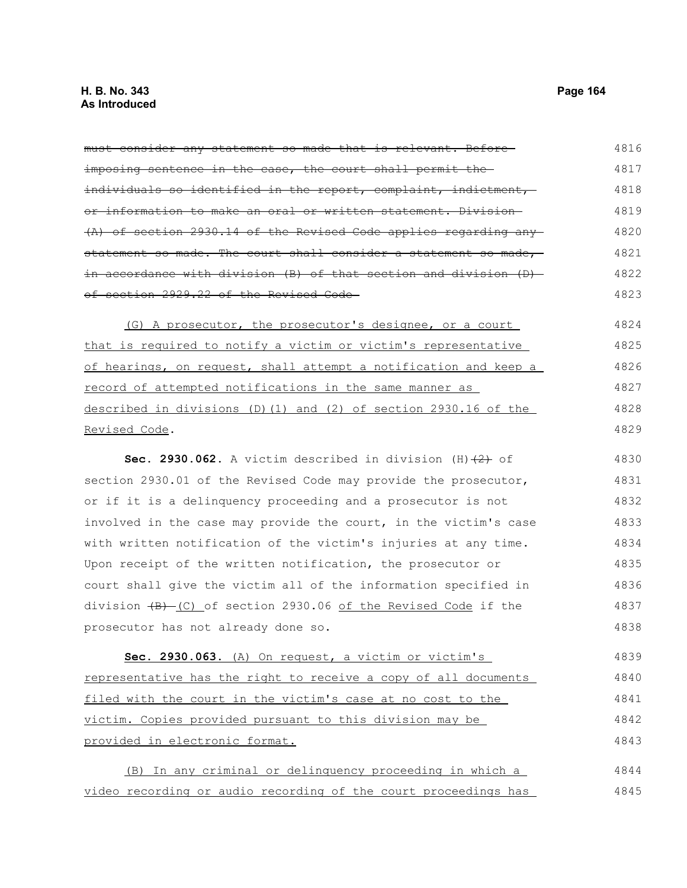## **H. B. No. 343 Page 164 As Introduced**

must consider any statement so made that is relevant. Before imposing sentence in the case, the court shall permit the individuals so identified in the report, complaint, indictment, or information to make an oral or written statement. Division (A) of section 2930.14 of the Revised Code applies regarding any statement so made. The court shall consider a statement so made, in accordance with division (B) of that section and division (D) of section 2929.22 of the Revised Code (G) A prosecutor, the prosecutor's designee, or a court that is required to notify a victim or victim's representative of hearings, on request, shall attempt a notification and keep a record of attempted notifications in the same manner as described in divisions (D)(1) and (2) of section 2930.16 of the Revised Code. **Sec. 2930.062.** A victim described in division  $(H)$ <sup> $(2)$ </sup> of section 2930.01 of the Revised Code may provide the prosecutor, or if it is a delinquency proceeding and a prosecutor is not involved in the case may provide the court, in the victim's case with written notification of the victim's injuries at any time. Upon receipt of the written notification, the prosecutor or court shall give the victim all of the information specified in division  $\left(\overline{B}\right)$  (C) of section 2930.06 of the Revised Code if the prosecutor has not already done so. **Sec. 2930.063.** (A) On request, a victim or victim's representative has the right to receive a copy of all documents filed with the court in the victim's case at no cost to the victim. Copies provided pursuant to this division may be provided in electronic format. (B) In any criminal or delinquency proceeding in which a video recording or audio recording of the court proceedings has 4816 4817 4818 4819 4820 4821 4822 4823 4824 4825 4826 4827 4828 4829 4830 4831 4832 4833 4834 4835 4836 4837 4838 4839 4840 4841 4842 4843 4844 4845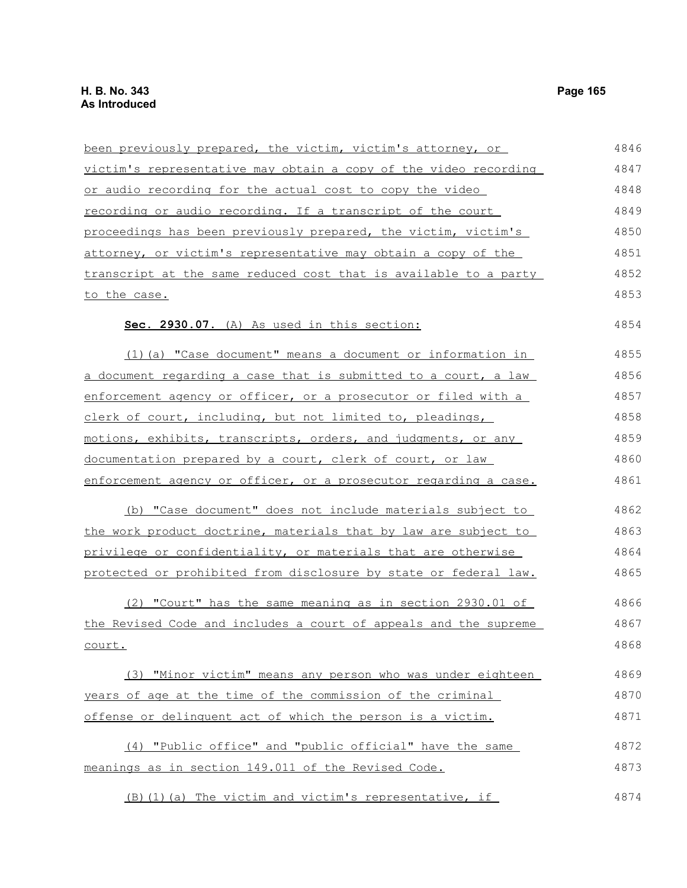| been previously prepared, the victim, victim's attorney, or      | 4846 |
|------------------------------------------------------------------|------|
| victim's representative may obtain a copy of the video recording | 4847 |
| or audio recording for the actual cost to copy the video         | 4848 |
| recording or audio recording. If a transcript of the court       | 4849 |
| proceedings has been previously prepared, the victim, victim's   | 4850 |
| attorney, or victim's representative may obtain a copy of the    | 4851 |
| transcript at the same reduced cost that is available to a party | 4852 |
| <u>to the case.</u>                                              | 4853 |
| Sec. 2930.07. (A) As used in this section:                       | 4854 |
| (1) (a) "Case document" means a document or information in       | 4855 |
| a document regarding a case that is submitted to a court, a law  | 4856 |
| enforcement agency or officer, or a prosecutor or filed with a   | 4857 |
| clerk of court, including, but not limited to, pleadings,        | 4858 |
| motions, exhibits, transcripts, orders, and judgments, or any    | 4859 |
| documentation prepared by a court, clerk of court, or law        | 4860 |
| enforcement agency or officer, or a prosecutor regarding a case. | 4861 |
| (b) "Case document" does not include materials subject to        | 4862 |
| the work product doctrine, materials that by law are subject to  | 4863 |
| privilege or confidentiality, or materials that are otherwise    | 4864 |
| protected or prohibited from disclosure by state or federal law. | 4865 |
| (2) "Court" has the same meaning as in section 2930.01 of        | 4866 |
| the Revised Code and includes a court of appeals and the supreme | 4867 |
| <u>court.</u>                                                    | 4868 |
| (3) "Minor victim" means any person who was under eighteen       | 4869 |
| years of age at the time of the commission of the criminal       | 4870 |
| offense or delinquent act of which the person is a victim.       | 4871 |
| (4) "Public office" and "public official" have the same          | 4872 |
| meanings as in section 149.011 of the Revised Code.              | 4873 |
|                                                                  |      |
| (B) (1) (a) The victim and victim's representative, if           | 4874 |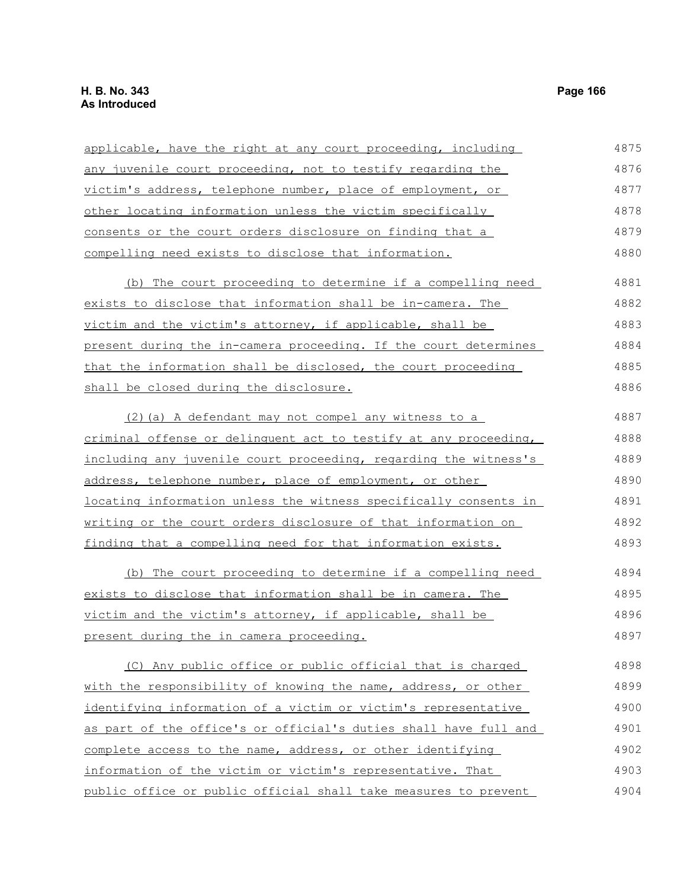| applicable, have the right at any court proceeding, including    | 4875 |
|------------------------------------------------------------------|------|
| any juvenile court proceeding, not to testify regarding the      | 4876 |
| victim's address, telephone number, place of employment, or      | 4877 |
| other locating information unless the victim specifically        | 4878 |
| consents or the court orders disclosure on finding that a        | 4879 |
| compelling need exists to disclose that information.             | 4880 |
| (b) The court proceeding to determine if a compelling need       | 4881 |
| exists to disclose that information shall be in-camera. The      | 4882 |
| victim and the victim's attorney, if applicable, shall be        | 4883 |
| present during the in-camera proceeding. If the court determines | 4884 |
| that the information shall be disclosed, the court proceeding    | 4885 |
| shall be closed during the disclosure.                           | 4886 |
| (2) (a) A defendant may not compel any witness to a              | 4887 |
| criminal offense or delinquent act to testify at any proceeding, | 4888 |
| including any juvenile court proceeding, regarding the witness's | 4889 |
| address, telephone number, place of employment, or other         | 4890 |
| locating information unless the witness specifically consents in | 4891 |
| writing or the court orders disclosure of that information on    | 4892 |
| finding that a compelling need for that information exists.      | 4893 |
| (b) The court proceeding to determine if a compelling need       | 4894 |
| exists to disclose that information shall be in camera. The      | 4895 |
| victim and the victim's attorney, if applicable, shall be        | 4896 |
| present during the in camera proceeding.                         | 4897 |
| (C) Any public office or public official that is charged         | 4898 |
| with the responsibility of knowing the name, address, or other   | 4899 |
| identifying information of a victim or victim's representative   | 4900 |
| as part of the office's or official's duties shall have full and | 4901 |
| complete access to the name, address, or other identifying       | 4902 |
| information of the victim or victim's representative. That       | 4903 |
| public office or public official shall take measures to prevent  | 4904 |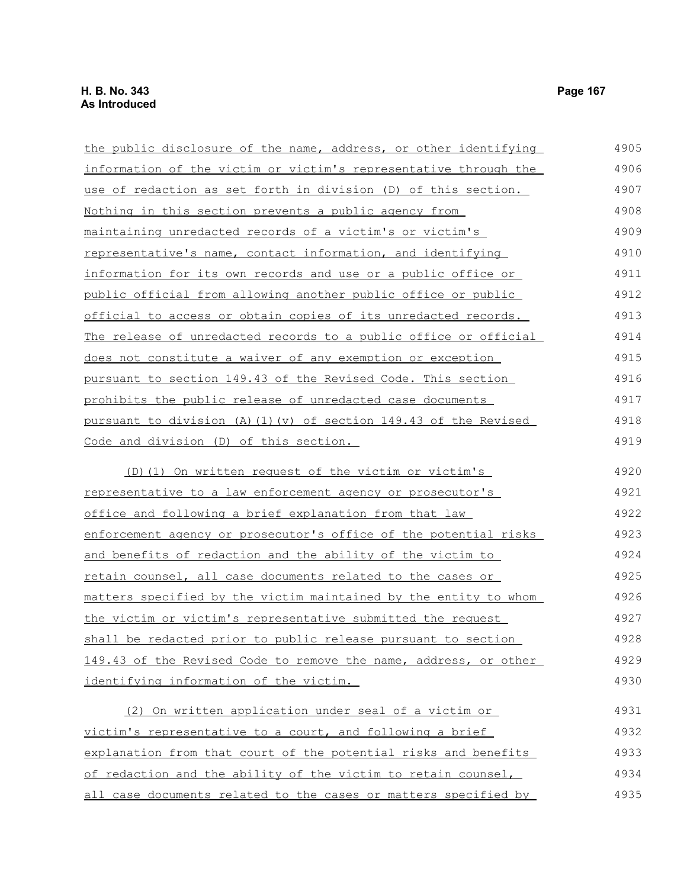| the public disclosure of the name, address, or other identifying   | 4905 |
|--------------------------------------------------------------------|------|
| information of the victim or victim's representative through the   | 4906 |
| use of redaction as set forth in division (D) of this section.     | 4907 |
| Nothing in this section prevents a public agency from              | 4908 |
| maintaining unredacted records of a victim's or victim's           | 4909 |
| <u>representative's name, contact information, and identifying</u> | 4910 |
| information for its own records and use or a public office or      | 4911 |
| public official from allowing another public office or public      | 4912 |
| official to access or obtain copies of its unredacted records.     | 4913 |
| The release of unredacted records to a public office or official   | 4914 |
| does not constitute a waiver of any exemption or exception         | 4915 |
| pursuant to section 149.43 of the Revised Code. This section       | 4916 |
| prohibits the public release of unredacted case documents          | 4917 |
| pursuant to division (A)(1)(v) of section 149.43 of the Revised    | 4918 |
| Code and division (D) of this section.                             | 4919 |
| (D) (1) On written request of the victim or victim's               | 4920 |
| representative to a law enforcement agency or prosecutor's         | 4921 |
| office and following a brief explanation from that law             | 4922 |
| enforcement agency or prosecutor's office of the potential risks   | 4923 |
| and benefits of redaction and the ability of the victim to         | 4924 |
| <u>retain counsel, all case documents related to the cases or</u>  | 4925 |
| matters specified by the victim maintained by the entity to whom   | 4926 |
| <u>the victim or victim's representative submitted the request</u> | 4927 |
| shall be redacted prior to public release pursuant to section      | 4928 |
| 149.43 of the Revised Code to remove the name, address, or other   | 4929 |
| identifying information of the victim.                             | 4930 |
| (2) On written application under seal of a victim or               | 4931 |
| victim's representative to a court, and following a brief          | 4932 |
| explanation from that court of the potential risks and benefits    | 4933 |
| of redaction and the ability of the victim to retain counsel,      | 4934 |

all case documents related to the cases or matters specified by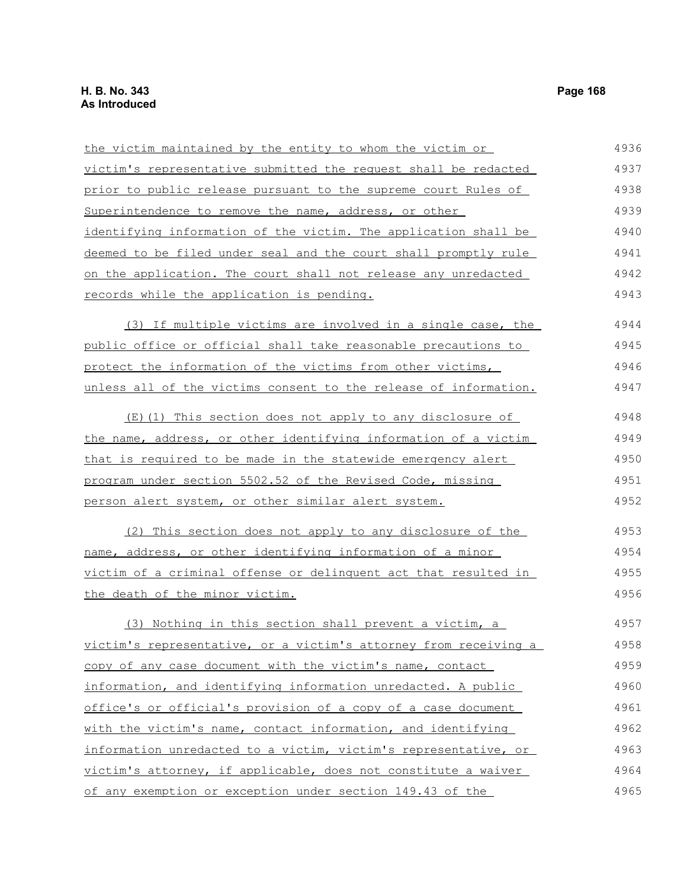the victim maintained by the entity to whom the victim or victim's representative submitted the request shall be redacted prior to public release pursuant to the supreme court Rules of Superintendence to remove the name, address, or other identifying information of the victim. The application shall be deemed to be filed under seal and the court shall promptly rule on the application. The court shall not release any unredacted records while the application is pending. (3) If multiple victims are involved in a single case, the public office or official shall take reasonable precautions to protect the information of the victim<u>s from other victims,</u> unless all of the victims consent to the release of information. (E)(1) This section does not apply to any disclosure of the name, address, or other identifying information of a victim that is required to be made in the statewide emergency alert program under section 5502.52 of the Revised Code, missing person alert system, or other similar alert system. (2) This section does not apply to any disclosure of the name, address, or other identifying information of a minor victim of a criminal offense or delinquent act that resulted in the death of the minor victim. (3) Nothing in this section shall prevent a victim, a victim's representative, or a victim's attorney from receiving a copy of any case document with the victim's name, contact information, and identifying information unredacted. A public office's or official's provision of a copy of a case document with the victim's name, contact information, and identifying information unredacted to a victim, victim's representative, or victim's attorney, if applicable, does not constitute a waiver of any exemption or exception under section 149.43 of the 4936 4937 4938 4939 4940 4941 4942 4943 4944 4945 4946 4947 4948 4949 4950 4951 4952 4953 4954 4955 4956 4957 4958 4959 4960 4961 4962 4963 4964 4965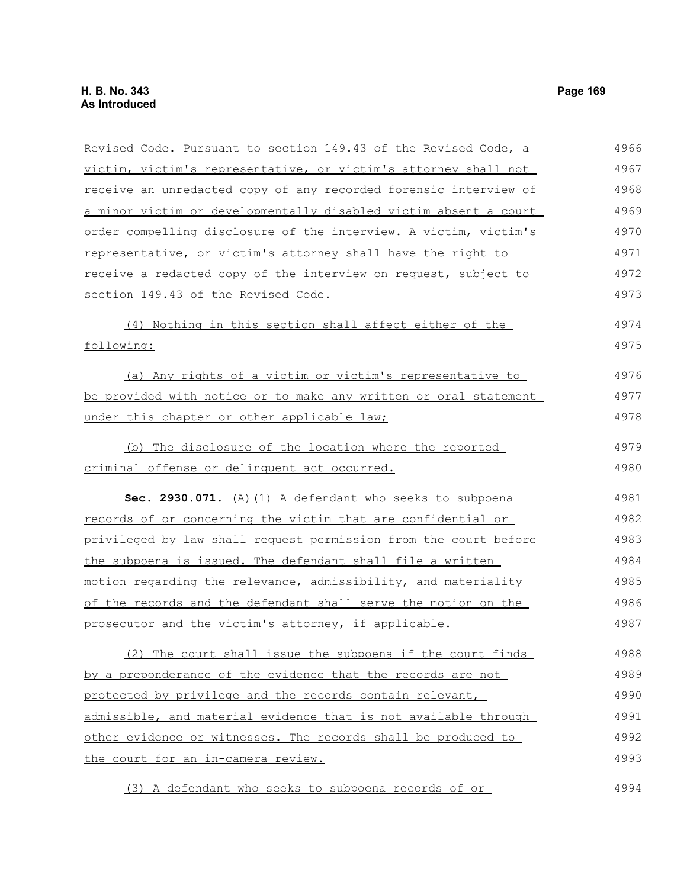| Revised Code. Pursuant to section 149.43 of the Revised Code, a          | 4966 |
|--------------------------------------------------------------------------|------|
| <u>victim, victim's representative, or victim's attorney shall not</u>   | 4967 |
| receive an unredacted copy of any recorded forensic interview of         | 4968 |
| <u>a minor victim or developmentally disabled victim absent a court </u> | 4969 |
| order compelling disclosure of the interview. A victim, victim's         | 4970 |
| representative, or victim's attorney shall have the right to             | 4971 |
| receive a redacted copy of the interview on request, subject to          | 4972 |
| section 149.43 of the Revised Code.                                      | 4973 |
| (4) Nothing in this section shall affect either of the                   | 4974 |
| following:                                                               | 4975 |
| (a) Any rights of a victim or victim's representative to                 | 4976 |
| be provided with notice or to make any written or oral statement         | 4977 |
| under this chapter or other applicable law;                              | 4978 |
| (b) The disclosure of the location where the reported                    | 4979 |
| criminal offense or delinquent act occurred.                             | 4980 |
| Sec. 2930.071. (A) (1) A defendant who seeks to subpoena                 | 4981 |
| records of or concerning the victim that are confidential or             | 4982 |
| <u>privileged by law shall request permission from the court before </u> | 4983 |
| the subpoena is issued. The defendant shall file a written               | 4984 |
| motion regarding the relevance, admissibility, and materiality           | 4985 |
| of the records and the defendant shall serve the motion on the           | 4986 |
| prosecutor and the victim's attorney, if applicable.                     | 4987 |
| (2) The court shall issue the subpoena if the court finds                | 4988 |
| by a preponderance of the evidence that the records are not              | 4989 |
| protected by privilege and the records contain relevant,                 | 4990 |
| admissible, and material evidence that is not available through          | 4991 |
| other evidence or witnesses. The records shall be produced to            | 4992 |
| the court for an in-camera review.                                       | 4993 |
| (3) A defendant who seeks to subpoena records of or                      | 4994 |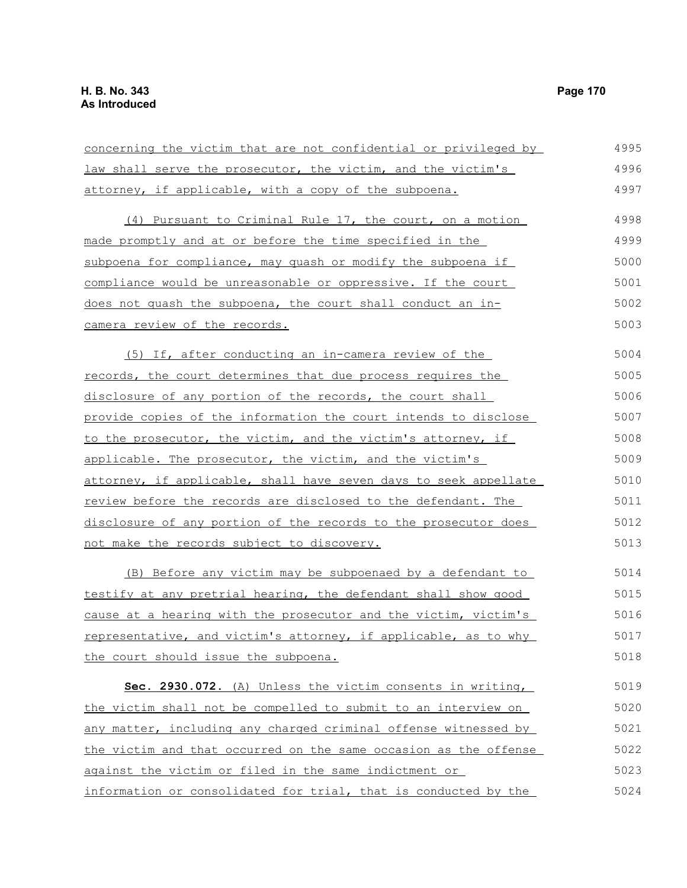| concerning the victim that are not confidential or privileged by      | 4995 |
|-----------------------------------------------------------------------|------|
| law shall serve the prosecutor, the victim, and the victim's          | 4996 |
| attorney, if applicable, with a copy of the subpoena.                 | 4997 |
| (4) Pursuant to Criminal Rule 17, the court, on a motion              | 4998 |
| <u>made promptly and at or before the time specified in the </u>      | 4999 |
| subpoena for compliance, may quash or modify the subpoena if          | 5000 |
| compliance would be unreasonable or oppressive. If the court          | 5001 |
| does not quash the subpoena, the court shall conduct an in-           | 5002 |
| <u>camera review of the records.</u>                                  | 5003 |
| (5) If, after conducting an in-camera review of the                   | 5004 |
| records, the court determines that due process requires the           | 5005 |
| disclosure of any portion of the records, the court shall             | 5006 |
| provide copies of the information the court intends to disclose       | 5007 |
| to the prosecutor, the victim, and the victim's attorney, if          | 5008 |
| applicable. The prosecutor, the victim, and the victim's              | 5009 |
| attorney, if applicable, shall have seven days to seek appellate      | 5010 |
| <u>review before the records are disclosed to the defendant. The </u> | 5011 |
| disclosure of any portion of the records to the prosecutor does       | 5012 |
| not make the records subject to discovery.                            | 5013 |
| (B) Before any victim may be subpoenaed by a defendant to             | 5014 |
| testify at any pretrial hearing, the defendant shall show good        | 5015 |
| cause at a hearing with the prosecutor and the victim, victim's       | 5016 |
| representative, and victim's attorney, if applicable, as to why       | 5017 |
| the court should issue the subpoena.                                  | 5018 |
| Sec. 2930.072. (A) Unless the victim consents in writing,             | 5019 |
| the victim shall not be compelled to submit to an interview on        | 5020 |
| any matter, including any charged criminal offense witnessed by       | 5021 |
| the victim and that occurred on the same occasion as the offense      | 5022 |
| against the victim or filed in the same indictment or                 | 5023 |
| information or consolidated for trial, that is conducted by the       | 5024 |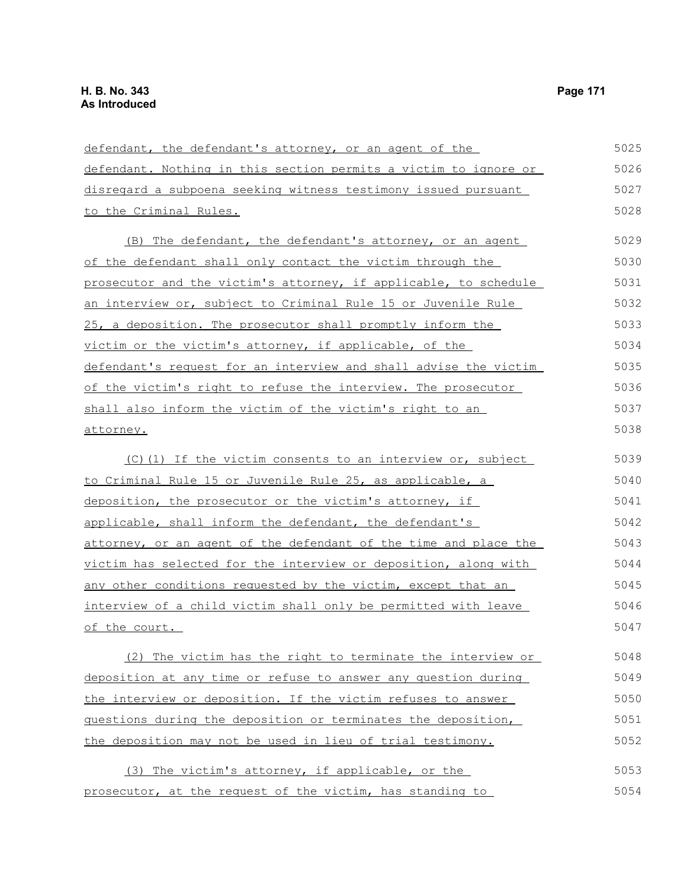| defendant, the defendant's attorney, or an agent of the             | 5025 |
|---------------------------------------------------------------------|------|
| defendant. Nothing in this section permits a victim to ignore or    | 5026 |
| disregard a subpoena seeking witness testimony issued pursuant      | 5027 |
| to the Criminal Rules.                                              | 5028 |
| (B) The defendant, the defendant's attorney, or an agent            | 5029 |
| of the defendant shall only contact the victim through the          | 5030 |
| prosecutor and the victim's attorney, if applicable, to schedule    | 5031 |
| an interview or, subject to Criminal Rule 15 or Juvenile Rule       | 5032 |
| 25, a deposition. The prosecutor shall promptly inform the          | 5033 |
| victim or the victim's attorney, if applicable, of the              | 5034 |
| defendant's request for an interview and shall advise the victim    | 5035 |
| of the victim's right to refuse the interview. The prosecutor       | 5036 |
| shall also inform the victim of the victim's right to an            | 5037 |
| attorney.                                                           | 5038 |
| (C)(1) If the victim consents to an interview or, subject           | 5039 |
| to Criminal Rule 15 or Juvenile Rule 25, as applicable, a           | 5040 |
| deposition, the prosecutor or the victim's attorney, if             | 5041 |
| applicable, shall inform the defendant, the defendant's             | 5042 |
| attorney, or an agent of the defendant of the time and place the    | 5043 |
| victim has selected for the interview or deposition, along with     | 5044 |
| <u>any other conditions requested by the victim, except that an</u> | 5045 |
| interview of a child victim shall only be permitted with leave      | 5046 |
| of the court.                                                       | 5047 |
|                                                                     |      |
| (2) The victim has the right to terminate the interview or          | 5048 |
| deposition at any time or refuse to answer any question during      | 5049 |
| the interview or deposition. If the victim refuses to answer        | 5050 |
| questions during the deposition or terminates the deposition,       | 5051 |
| the deposition may not be used in lieu of trial testimony.          | 5052 |
| (3) The victim's attorney, if applicable, or the                    | 5053 |
| prosecutor, at the request of the victim, has standing to           | 5054 |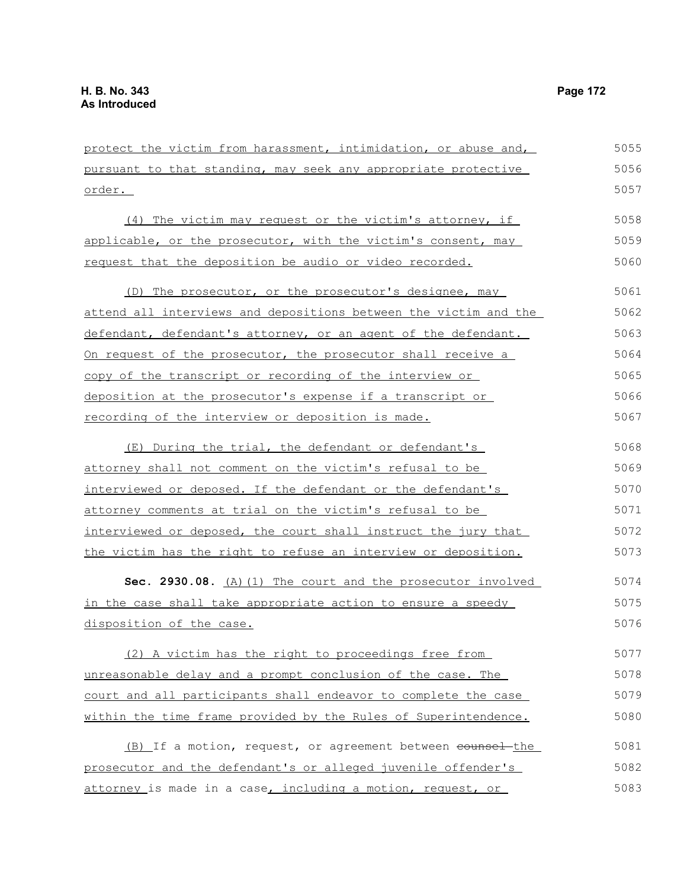protect the victim from harassment, intimidation, or abuse and, pursuant to that standing, may seek any appropriate protective order. 5055 5056 5057

(4) The victim may request or the victim's attorney, if applicable, or the prosecutor, with the victim's consent, may request that the deposition be audio or video recorded. 5058 5059 5060

(D) The prosecutor, or the prosecutor's designee, may attend all interviews and depositions between the victim and the defendant, defendant's attorney, or an agent of the defendant. On request of the prosecutor, the prosecutor shall receive a copy of the transcript or recording of the interview or deposition at the prosecutor's expense if a transcript or recording of the interview or deposition is made. 5061 5062 5063 5064 5065 5066 5067

(E) During the trial, the defendant or defendant's attorney shall not comment on the victim's refusal to be interviewed or deposed. If the defendant or the defendant's attorney comments at trial on the victim's refusal to be interviewed or deposed, the court shall instruct the jury that the victim has the right to refuse an interview or deposition. 5068 5069 5070 5071 5072 5073

**Sec. 2930.08.** (A)(1) The court and the prosecutor involved in the case shall take appropriate action to ensure a speedy disposition of the case. 5074 5075 5076

(2) A victim has the right to proceedings free from unreasonable delay and a prompt conclusion of the case. The court and all participants shall endeavor to complete the case within the time frame provided by the Rules of Superintendence. 5077 5078 5079 5080

(B) If a motion, request, or agreement between counsel the prosecutor and the defendant's or alleged juvenile offender's attorney is made in a case, including a motion, request, or 5081 5082 5083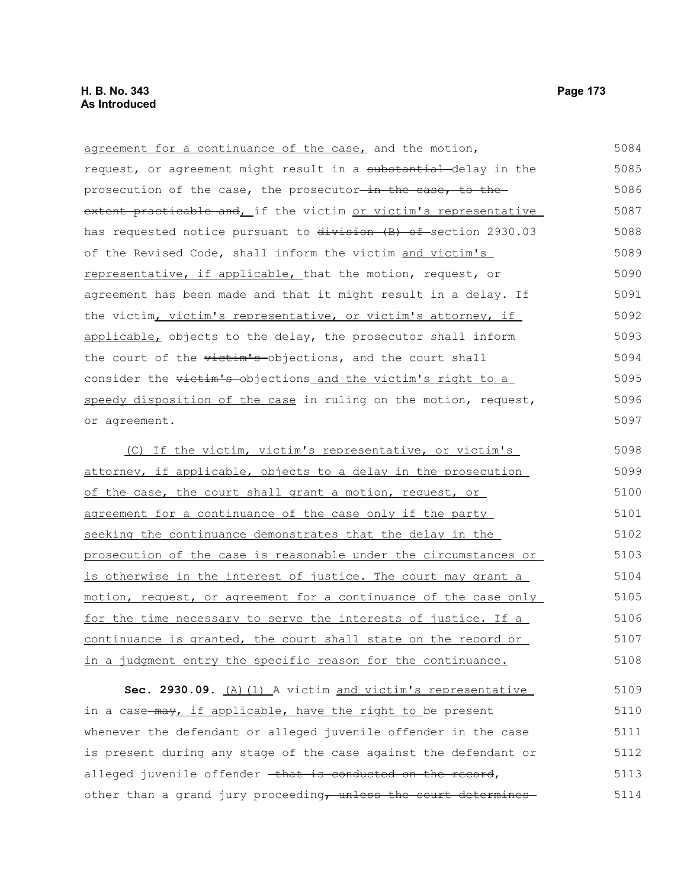agreement for a continuance of the case, and the motion, request, or agreement might result in a substantial delay in the prosecution of the case, the prosecutor in the case, to the extent practicable and, if the victim or victim's representative has requested notice pursuant to division (B) of section 2930.03 of the Revised Code, shall inform the victim and victim's representative, if applicable, that the motion, request, or agreement has been made and that it might result in a delay. If the victim, victim's representative, or victim's attorney, if applicable, objects to the delay, the prosecutor shall inform the court of the victim's-objections, and the court shall consider the victim's objections and the victim's right to a speedy disposition of the case in ruling on the motion, request, or agreement. (C) If the victim, victim's representative, or victim's attorney, if applicable, objects to a delay in the prosecution of the case, the court shall grant a motion, request, or agreement for a continuance of the case only if the party seeking the continuance demonstrates that the delay in the prosecution of the case is reasonable under the circumstances or 5084 5085 5086 5087 5088 5089 5090 5091 5092 5093 5094 5095 5096 5097 5098 5099 5100 5101 5102 5103

is otherwise in the interest of justice. The court may grant a motion, request, or agreement for a continuance of the case only for the time necessary to serve the interests of justice. If a continuance is granted, the court shall state on the record or in a judgment entry the specific reason for the continuance. 5104 5105 5106 5107 5108

Sec. 2930.09. (A)(1) A victim and victim's representative in a case-may, if applicable, have the right to be present whenever the defendant or alleged juvenile offender in the case is present during any stage of the case against the defendant or alleged juvenile offender -that is conducted on the record, other than a grand jury proceeding, unless the court determines-5109 5110 5111 5112 5113 5114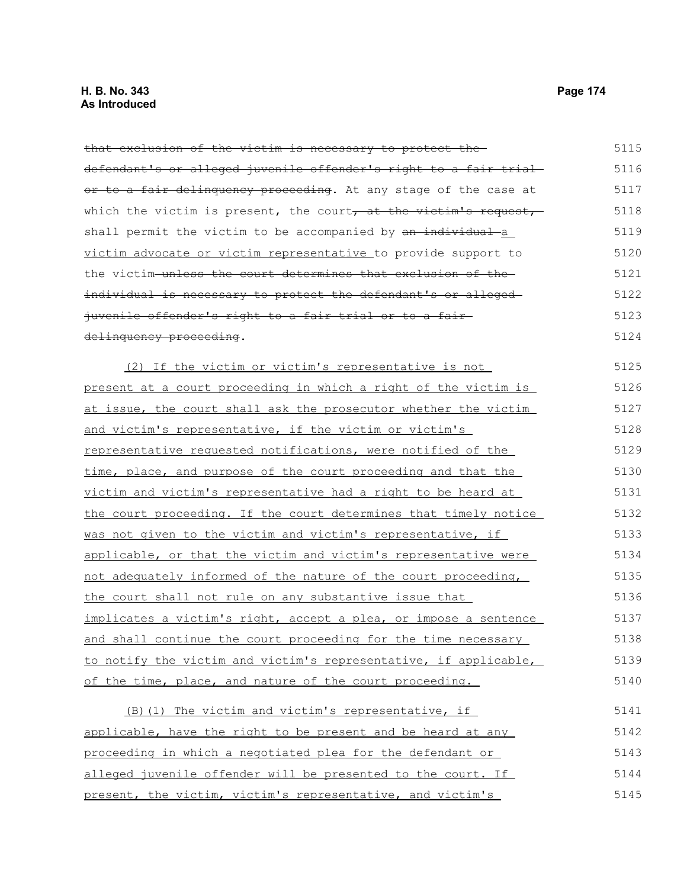that exclusion of the victim is necessary to protect the defendant's or alleged juvenile offender's right to a fair trial or to a fair delinquency proceeding. At any stage of the case at which the victim is present, the court, at the victim's request, shall permit the victim to be accompanied by an individual a victim advocate or victim representative to provide support to the victim unless the court determines that exclusion of the individual is necessary to protect the defendant's or allegedjuvenile offender's right to a fair trial or to a fair delinquency proceeding. (2) If the victim or victim's representative is not present at a court proceeding in which a right of the victim is at issue, the court shall ask the prosecutor whether the victim and victim's representative, if the victim or victim's representative requested notifications, were notified of the time, place, and purpose of the court proceeding and that the victim and victim's representative had a right to be heard at the court proceeding. If the court determines that timely notice was not given to the victim and victim's representative, if applicable, or that the victim and victim's representative were not adequately informed of the nature of the court proceeding, the court shall not rule on any substantive issue that implicates a victim's right, accept a plea, or impose a sentence and shall continue the court proceeding for the time necessary to notify the victim and victim's representative, if applicable, of the time, place, and nature of the court proceeding. 5115 5116 5117 5118 5119 5120 5121 5122 5123 5124 5125 5126 5127 5128 5129 5130 5131 5132 5133 5134 5135 5136 5137 5138 5139 5140

(B)(1) The victim and victim's representative, if applicable, have the right to be present and be heard at any proceeding in which a negotiated plea for the defendant or alleged juvenile offender will be presented to the court. If present, the victim, victim's representative, and victim's 5141 5142 5143 5144 5145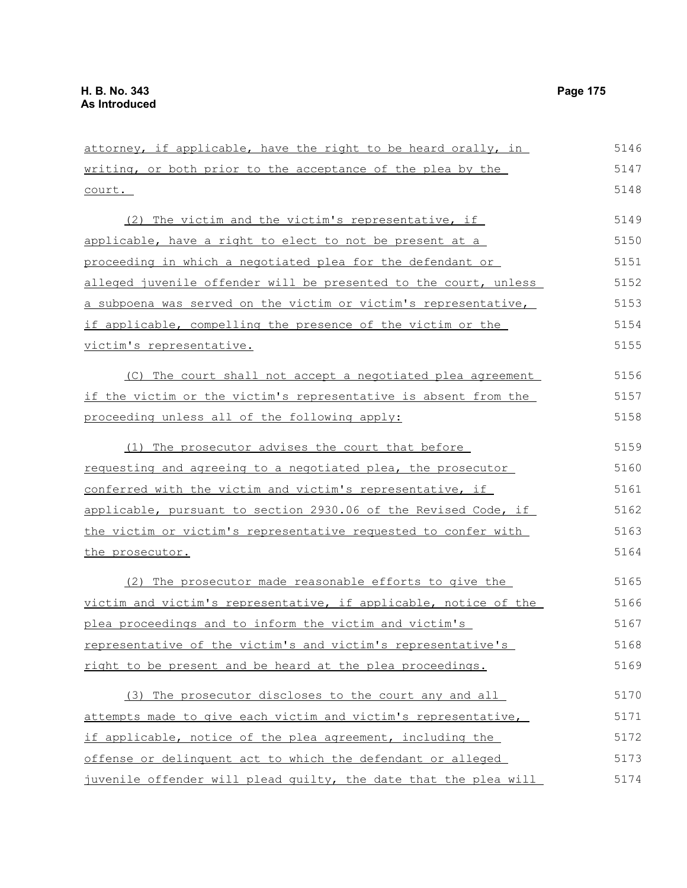attorney, if applicable, have the right to be heard orally, in writing, or both prior to the acceptance of the plea by the court. (2) The victim and the victim's representative, if applicable, have a right to elect to not be present at a proceeding in which a negotiated plea for the defendant or alleged juvenile offender will be presented to the court, unless a subpoena was served on the victim or victim's representative, if applicable, compelling the presence of the victim or the victim's representative. (C) The court shall not accept a negotiated plea agreement if the victim or the victim's representative is absent from the proceeding unless all of the following apply: (1) The prosecutor advises the court that before requesting and agreeing to a negotiated plea, the prosecutor conferred with the victim and victim's representative, if applicable, pursuant to section 2930.06 of the Revised Code, if the victim or victim's representative requested to confer with the prosecutor. (2) The prosecutor made reasonable efforts to give the victim and victim's representative, if applicable, notice of the plea proceedings and to inform the victim and victim's representative of the victim's and victim's representative's right to be present and be heard at the plea proceedings. 5146 5147 5148 5149 5150 5151 5152 5153 5154 5155 5156 5157 5158 5159 5160 5161 5162 5163 5164 5165 5166 5167 5168 5169

(3) The prosecutor discloses to the court any and all attempts made to give each victim and victim's representative, if applicable, notice of the plea agreement, including the offense or delinquent act to which the defendant or alleged juvenile offender will plead guilty, the date that the plea will 5170 5171 5172 5173 5174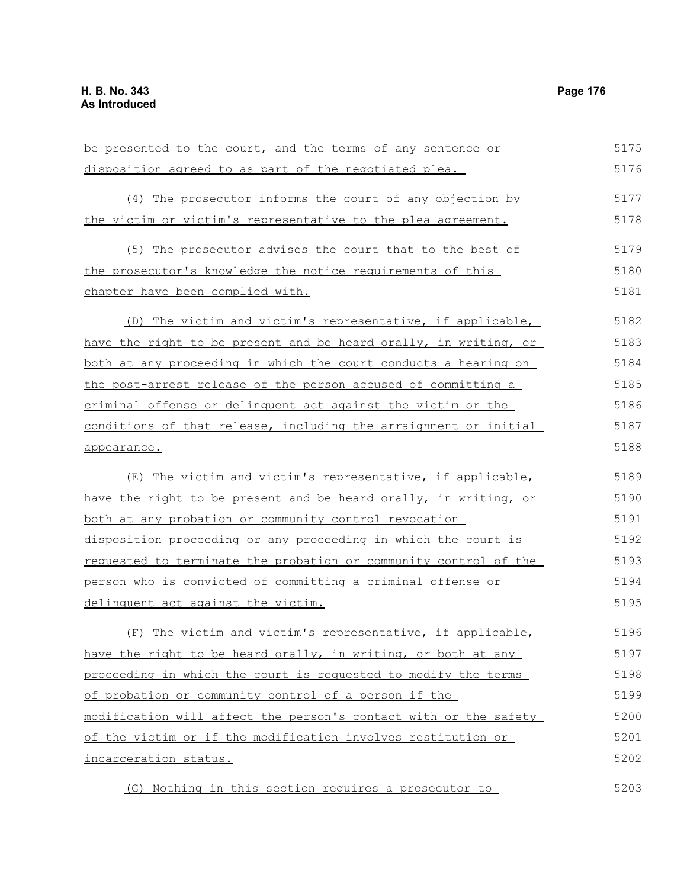| be presented to the court, and the terms of any sentence or      | 5175 |
|------------------------------------------------------------------|------|
| disposition agreed to as part of the negotiated plea.            | 5176 |
| (4) The prosecutor informs the court of any objection by         | 5177 |
| the victim or victim's representative to the plea agreement.     | 5178 |
| (5) The prosecutor advises the court that to the best of         | 5179 |
| the prosecutor's knowledge the notice requirements of this       | 5180 |
| chapter have been complied with.                                 | 5181 |
| (D) The victim and victim's representative, if applicable,       | 5182 |
| have the right to be present and be heard orally, in writing, or | 5183 |
| both at any proceeding in which the court conducts a hearing on  | 5184 |
| the post-arrest release of the person accused of committing a    | 5185 |
| criminal offense or delinquent act against the victim or the     | 5186 |
| conditions of that release, including the arraignment or initial | 5187 |
| appearance.                                                      | 5188 |
| The victim and victim's representative, if applicable,<br>(E)    | 5189 |
| have the right to be present and be heard orally, in writing, or | 5190 |
| both at any probation or community control revocation            | 5191 |
| disposition proceeding or any proceeding in which the court is   | 5192 |
| requested to terminate the probation or community control of the | 5193 |
| person who is convicted of committing a criminal offense or      | 5194 |
| delinquent act against the victim.                               | 5195 |
| (F) The victim and victim's representative, if applicable,       | 5196 |
| have the right to be heard orally, in writing, or both at any    | 5197 |
| proceeding in which the court is requested to modify the terms   | 5198 |
| of probation or community control of a person if the             | 5199 |
| modification will affect the person's contact with or the safety | 5200 |
| of the victim or if the modification involves restitution or     | 5201 |
| incarceration status.                                            | 5202 |
| (G) Nothing in this section requires a prosecutor to             | 5203 |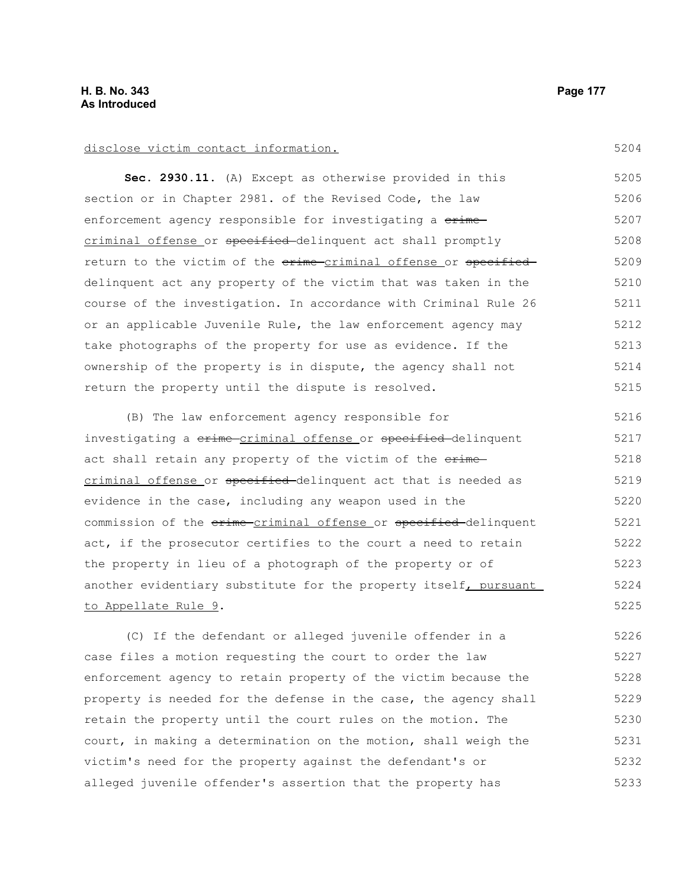disclose victim contact information.

**Sec. 2930.11.** (A) Except as otherwise provided in this section or in Chapter 2981. of the Revised Code, the law enforcement agency responsible for investigating a erimecriminal offense or specified delinquent act shall promptly return to the victim of the erime-criminal offense or specified delinquent act any property of the victim that was taken in the course of the investigation. In accordance with Criminal Rule 26 or an applicable Juvenile Rule, the law enforcement agency may take photographs of the property for use as evidence. If the ownership of the property is in dispute, the agency shall not return the property until the dispute is resolved. 5205 5206 5207 5208 5209 5210 5211 5212 5213 5214 5215

(B) The law enforcement agency responsible for investigating a crime-criminal offense or specified-delinquent act shall retain any property of the victim of the erimecriminal offense or specified delinquent act that is needed as evidence in the case, including any weapon used in the commission of the erime-criminal offense or specified-delinquent act, if the prosecutor certifies to the court a need to retain the property in lieu of a photograph of the property or of another evidentiary substitute for the property itself, pursuant to Appellate Rule 9. 5216 5217 5218 5219 5220 5221 5222 5223 5224 5225

(C) If the defendant or alleged juvenile offender in a case files a motion requesting the court to order the law enforcement agency to retain property of the victim because the property is needed for the defense in the case, the agency shall retain the property until the court rules on the motion. The court, in making a determination on the motion, shall weigh the victim's need for the property against the defendant's or alleged juvenile offender's assertion that the property has 5226 5227 5228 5229 5230 5231 5232 5233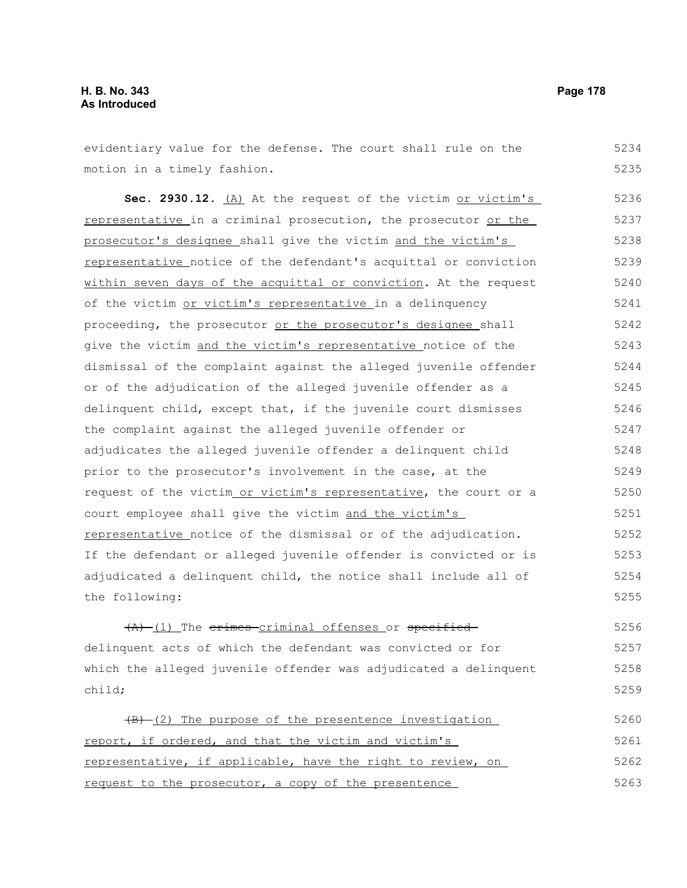motion in a timely fashion.

evidentiary value for the defense. The court shall rule on the 5234

**Sec. 2930.12.** (A) At the request of the victim or victim's representative in a criminal prosecution, the prosecutor or the prosecutor's designee shall give the victim and the victim's representative notice of the defendant's acquittal or conviction within seven days of the acquittal or conviction. At the request of the victim or victim's representative in a delinquency proceeding, the prosecutor or the prosecutor's designee shall give the victim and the victim's representative notice of the dismissal of the complaint against the alleged juvenile offender or of the adjudication of the alleged juvenile offender as a delinquent child, except that, if the juvenile court dismisses the complaint against the alleged juvenile offender or adjudicates the alleged juvenile offender a delinquent child prior to the prosecutor's involvement in the case, at the request of the victim or victim's representative, the court or a court employee shall give the victim and the victim's representative notice of the dismissal or of the adjudication. If the defendant or alleged juvenile offender is convicted or is adjudicated a delinquent child, the notice shall include all of the following: 5236 5237 5238 5239 5240 5241 5242 5243 5244 5245 5246 5247 5248 5249 5250 5251 5252 5253 5254 5255

 $(A)$  (1) The crimes criminal offenses or specified delinquent acts of which the defendant was convicted or for which the alleged juvenile offender was adjudicated a delinquent child; 5256 5257 5258 5259

(B) (2) The purpose of the presentence investigation report, if ordered, and that the victim and victim's representative, if applicable, have the right to review, on request to the prosecutor, a copy of the presentence 5260 5261 5262 5263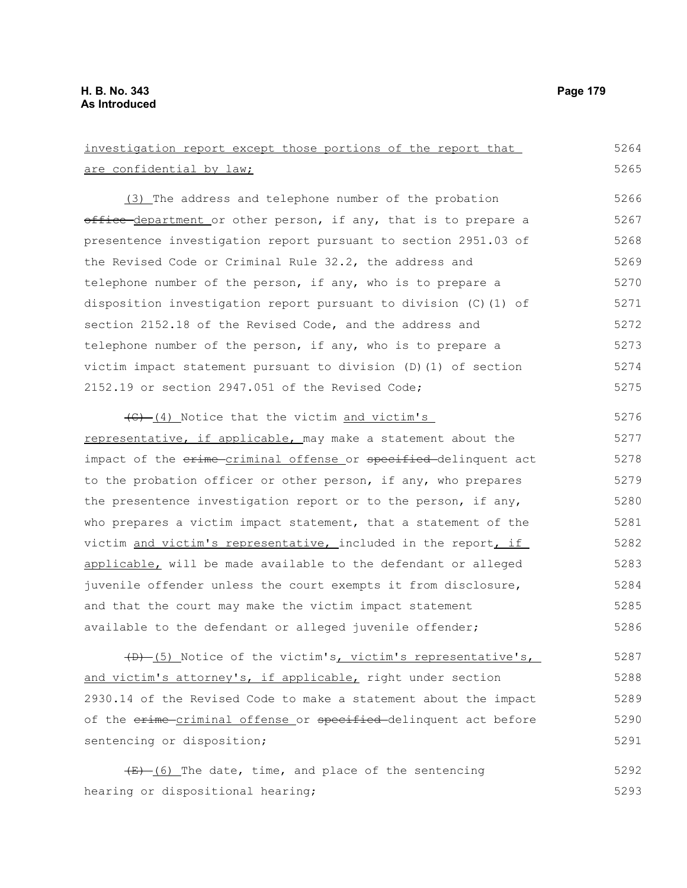| investigation report except those portions of the report that      | 5264 |
|--------------------------------------------------------------------|------|
| are confidential by law;                                           | 5265 |
| (3) The address and telephone number of the probation              | 5266 |
| office department or other person, if any, that is to prepare a    | 5267 |
| presentence investigation report pursuant to section 2951.03 of    | 5268 |
| the Revised Code or Criminal Rule 32.2, the address and            | 5269 |
| telephone number of the person, if any, who is to prepare a        | 5270 |
| disposition investigation report pursuant to division (C) (1) of   | 5271 |
| section 2152.18 of the Revised Code, and the address and           | 5272 |
| telephone number of the person, if any, who is to prepare a        | 5273 |
|                                                                    |      |
| victim impact statement pursuant to division (D) (1) of section    | 5274 |
| 2152.19 or section 2947.051 of the Revised Code;                   | 5275 |
| (C) (4) Notice that the victim and victim's                        | 5276 |
| representative, if applicable, may make a statement about the      | 5277 |
| impact of the erime-criminal offense or specified-delinquent act   | 5278 |
| to the probation officer or other person, if any, who prepares     | 5279 |
| the presentence investigation report or to the person, if any,     | 5280 |
| who prepares a victim impact statement, that a statement of the    | 5281 |
| victim and victim's representative, included in the report, if     | 5282 |
| applicable, will be made available to the defendant or alleged     | 5283 |
| juvenile offender unless the court exempts it from disclosure,     | 5284 |
| and that the court may make the victim impact statement            | 5285 |
| available to the defendant or alleged juvenile offender;           | 5286 |
| (b) (5) Notice of the victim's, victim's representative's,         | 5287 |
| and victim's attorney's, if applicable, right under section        | 5288 |
| 2930.14 of the Revised Code to make a statement about the impact   | 5289 |
| of the erime-criminal offense or specified-delinquent act before   | 5290 |
| sentencing or disposition;                                         | 5291 |
|                                                                    |      |
| $\overline{(E) - (6)}$ The date, time, and place of the sentencing | 5292 |
| hearing or dispositional hearing;                                  | 5293 |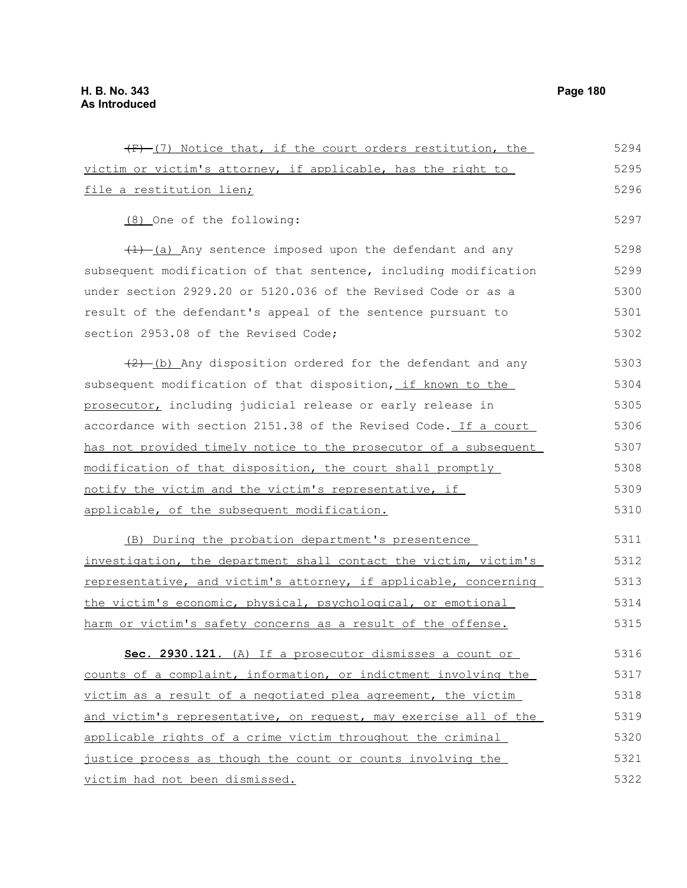| (F) (7) Notice that, if the court orders restitution, the             | 5294 |
|-----------------------------------------------------------------------|------|
| victim or victim's attorney, if applicable, has the right to          | 5295 |
| file a restitution lien;                                              | 5296 |
| (8) One of the following:                                             | 5297 |
| $\frac{(1)}{(1)}$ (a) Any sentence imposed upon the defendant and any | 5298 |
| subsequent modification of that sentence, including modification      | 5299 |
| under section 2929.20 or 5120.036 of the Revised Code or as a         | 5300 |
| result of the defendant's appeal of the sentence pursuant to          | 5301 |
| section 2953.08 of the Revised Code;                                  | 5302 |
| $(2)$ (b) Any disposition ordered for the defendant and any           | 5303 |
| subsequent modification of that disposition, if known to the          | 5304 |
| prosecutor, including judicial release or early release in            | 5305 |
| accordance with section 2151.38 of the Revised Code. If a court       | 5306 |
| has not provided timely notice to the prosecutor of a subsequent      | 5307 |
| modification of that disposition, the court shall promptly            | 5308 |
| notify the victim and the victim's representative, if                 | 5309 |
| applicable, of the subsequent modification.                           | 5310 |
| (B) During the probation department's presentence                     | 5311 |
| investigation, the department shall contact the victim, victim's      | 5312 |
| representative, and victim's attorney, if applicable, concerning      | 5313 |
| the victim's economic, physical, psychological, or emotional          | 5314 |
| harm or victim's safety concerns as a result of the offense.          | 5315 |
| Sec. 2930.121. (A) If a prosecutor dismisses a count or               | 5316 |
| counts of a complaint, information, or indictment involving the       | 5317 |
| victim as a result of a negotiated plea agreement, the victim         | 5318 |
| and victim's representative, on request, may exercise all of the      | 5319 |
| applicable rights of a crime victim throughout the criminal           | 5320 |
| justice process as though the count or counts involving the           | 5321 |
| victim had not been dismissed.                                        | 5322 |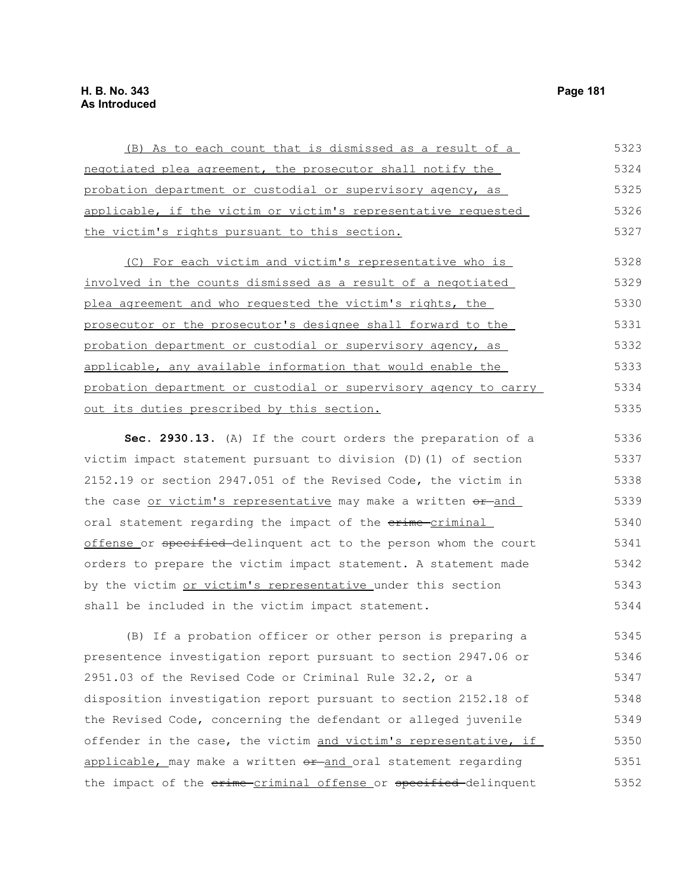| (B) As to each count that is dismissed as a result of a                  | 5323 |
|--------------------------------------------------------------------------|------|
| negotiated plea agreement, the prosecutor shall notify the               | 5324 |
| probation department or custodial or supervisory agency, as              | 5325 |
| applicable, if the victim or victim's representative requested           | 5326 |
| the victim's rights pursuant to this section.                            | 5327 |
| (C) For each victim and victim's representative who is                   | 5328 |
| involved in the counts dismissed as a result of a negotiated             | 5329 |
| plea agreement and who requested the victim's rights, the                | 5330 |
| prosecutor or the prosecutor's designee shall forward to the             | 5331 |
| probation department or custodial or supervisory agency, as              | 5332 |
| <u>applicable, any available information that would enable the </u>      | 5333 |
| <u>probation department or custodial or supervisory agency to carry </u> | 5334 |
| out its duties prescribed by this section.                               | 5335 |
| Sec. 2930.13. (A) If the court orders the preparation of a               | 5336 |
| victim impact statement pursuant to division (D) (1) of section          | 5337 |
| 2152.19 or section 2947.051 of the Revised Code, the victim in           | 5338 |
| the case <u>or victim's representative</u> may make a written or and     | 5339 |
| oral statement regarding the impact of the erime-criminal                | 5340 |
| offense or specified delinquent act to the person whom the court         | 5341 |
| orders to prepare the victim impact statement. A statement made          | 5342 |
| by the victim or victim's representative under this section              | 5343 |
| shall be included in the victim impact statement.                        | 5344 |
| (B) If a probation officer or other person is preparing a                | 5345 |
| presentence investigation report pursuant to section 2947.06 or          | 5346 |
| 2951.03 of the Revised Code or Criminal Rule 32.2, or a                  | 5347 |
| disposition investigation report pursuant to section 2152.18 of          | 5348 |
| the Revised Code, concerning the defendant or alleged juvenile           | 5349 |
| offender in the case, the victim <u>and victim's representative, if </u> | 5350 |
| applicable, may make a written or and oral statement regarding           | 5351 |
| the impact of the erime-criminal offense or specified-delinquent         | 5352 |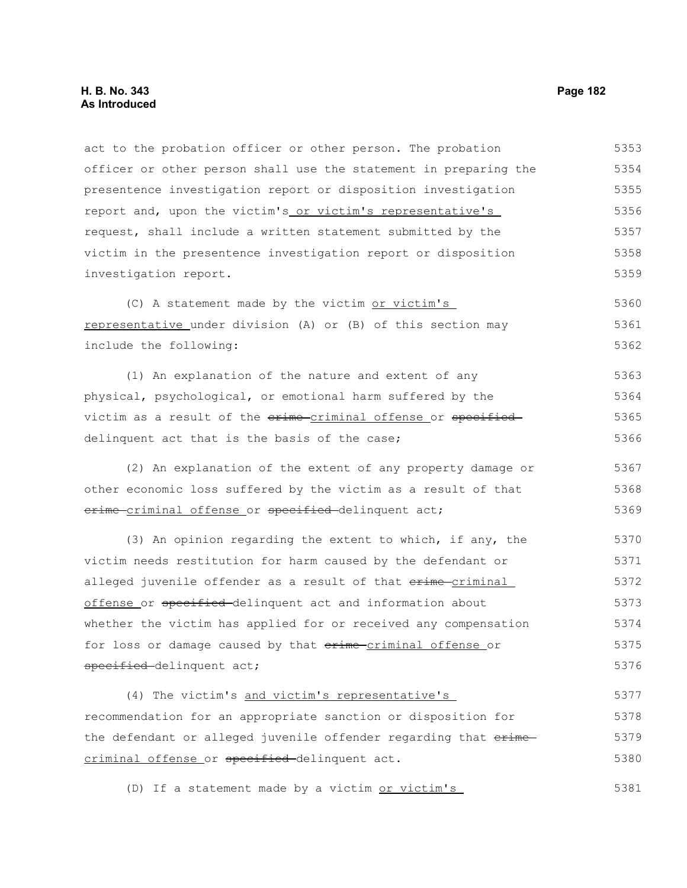act to the probation officer or other person. The probation officer or other person shall use the statement in preparing the presentence investigation report or disposition investigation report and, upon the victim's or victim's representative's request, shall include a written statement submitted by the victim in the presentence investigation report or disposition investigation report. 5353 5354 5355 5356 5357 5358 5359

(C) A statement made by the victim or victim's representative under division (A) or (B) of this section may include the following: 5360 5361 5362

(1) An explanation of the nature and extent of any physical, psychological, or emotional harm suffered by the victim as a result of the erime-criminal offense or specifieddelinquent act that is the basis of the case; 5363 5364 5365 5366

(2) An explanation of the extent of any property damage or other economic loss suffered by the victim as a result of that erime criminal offense or specified delinquent act; 5367 5368 5369

(3) An opinion regarding the extent to which, if any, the victim needs restitution for harm caused by the defendant or alleged juvenile offender as a result of that erime-criminal offense or specified delinquent act and information about whether the victim has applied for or received any compensation for loss or damage caused by that erime-criminal offense or specified-delinquent act; 5370 5371 5372 5373 5374 5375 5376

(4) The victim's and victim's representative's recommendation for an appropriate sanction or disposition for the defendant or alleged juvenile offender regarding that  $e$ rimecriminal offense or specified-delinquent act. 5377 5378 5379 5380

(D) If a statement made by a victim or victim's 5381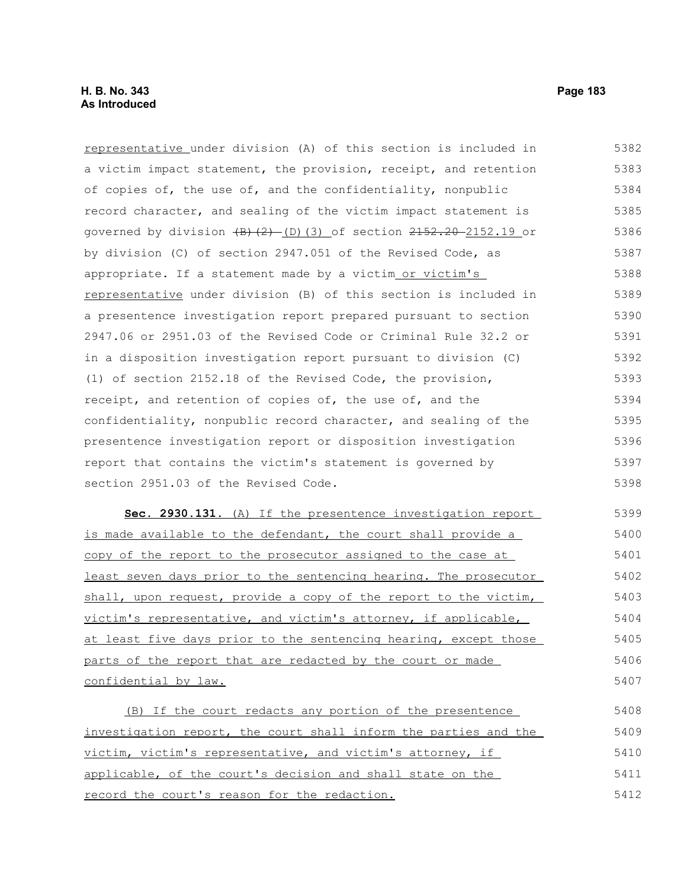representative under division (A) of this section is included in a victim impact statement, the provision, receipt, and retention of copies of, the use of, and the confidentiality, nonpublic record character, and sealing of the victim impact statement is governed by division  $\left(\frac{B}{2}\right)$  (D)(3) of section  $2152.20 - 2152.19$  or by division (C) of section 2947.051 of the Revised Code, as appropriate. If a statement made by a victim or victim's representative under division (B) of this section is included in a presentence investigation report prepared pursuant to section 2947.06 or 2951.03 of the Revised Code or Criminal Rule 32.2 or in a disposition investigation report pursuant to division (C) (1) of section 2152.18 of the Revised Code, the provision, receipt, and retention of copies of, the use of, and the confidentiality, nonpublic record character, and sealing of the presentence investigation report or disposition investigation report that contains the victim's statement is governed by section 2951.03 of the Revised Code. 5382 5383 5384 5385 5386 5387 5388 5389 5390 5391 5392 5393 5394 5395 5396 5397 5398

 **Sec. 2930.131.** (A) If the presentence investigation report is made available to the defendant, the court shall provide a copy of the report to the prosecutor assigned to the case at least seven days prior to the sentencing hearing. The prosecutor shall, upon request, provide a copy of the report to the victim, victim's representative, and victim's attorney, if applicable, at least five days prior to the sentencing hearing, except those parts of the report that are redacted by the court or made confidential by law. 5399 5400 5401 5402 5403 5404 5405 5406 5407

(B) If the court redacts any portion of the presentence investigation report, the court shall inform the parties and the victim, victim's representative, and victim's attorney, if applicable, of the court's decision and shall state on the record the court's reason for the redaction. 5408 5409 5410 5411 5412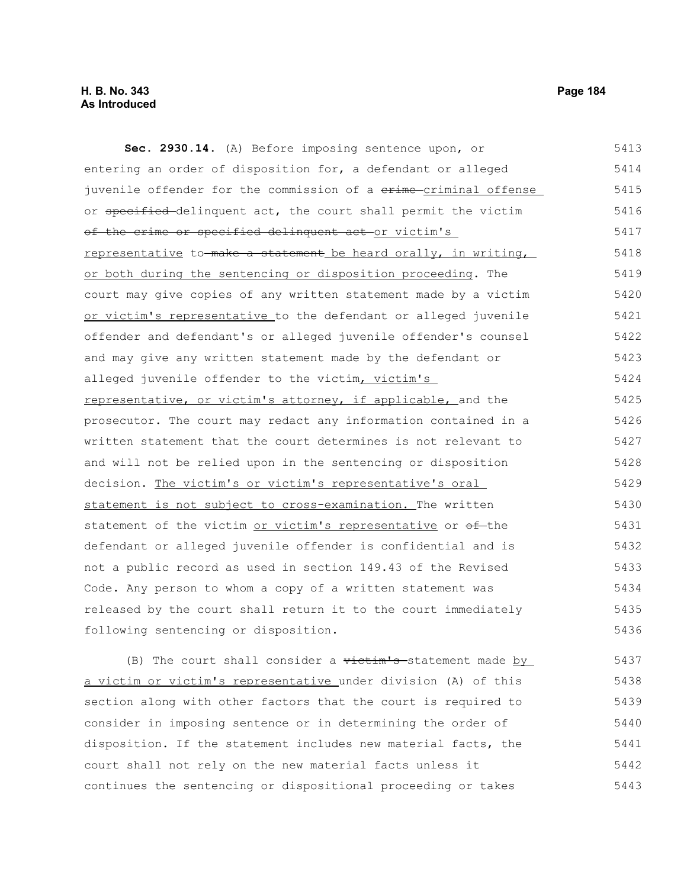# **H. B. No. 343 Page 184 As Introduced**

| Sec. 2930.14. (A) Before imposing sentence upon, or              | 5413 |
|------------------------------------------------------------------|------|
| entering an order of disposition for, a defendant or alleged     | 5414 |
| juvenile offender for the commission of a erime-criminal offense | 5415 |
| or specified delinquent act, the court shall permit the victim   | 5416 |
| of the crime or specified delinquent act-or victim's             | 5417 |
| representative to make a statement be heard orally, in writing,  | 5418 |
| or both during the sentencing or disposition proceeding. The     | 5419 |
| court may give copies of any written statement made by a victim  | 5420 |
| or victim's representative to the defendant or alleged juvenile  | 5421 |
| offender and defendant's or alleged juvenile offender's counsel  | 5422 |
| and may give any written statement made by the defendant or      | 5423 |
| alleged juvenile offender to the victim, victim's                | 5424 |
| representative, or victim's attorney, if applicable, and the     | 5425 |
| prosecutor. The court may redact any information contained in a  | 5426 |
| written statement that the court determines is not relevant to   | 5427 |
| and will not be relied upon in the sentencing or disposition     | 5428 |
| decision. The victim's or victim's representative's oral         | 5429 |
| statement is not subject to cross-examination. The written       | 5430 |
| statement of the victim or victim's representative or of the     | 5431 |
| defendant or alleged juvenile offender is confidential and is    | 5432 |
| not a public record as used in section 149.43 of the Revised     | 5433 |
| Code. Any person to whom a copy of a written statement was       | 5434 |
| released by the court shall return it to the court immediately   | 5435 |
| following sentencing or disposition.                             | 5436 |

(B) The court shall consider a  $\overline{v}$  victim's statement made by a victim or victim's representative under division (A) of this section along with other factors that the court is required to consider in imposing sentence or in determining the order of disposition. If the statement includes new material facts, the court shall not rely on the new material facts unless it continues the sentencing or dispositional proceeding or takes 5437 5438 5439 5440 5441 5442 5443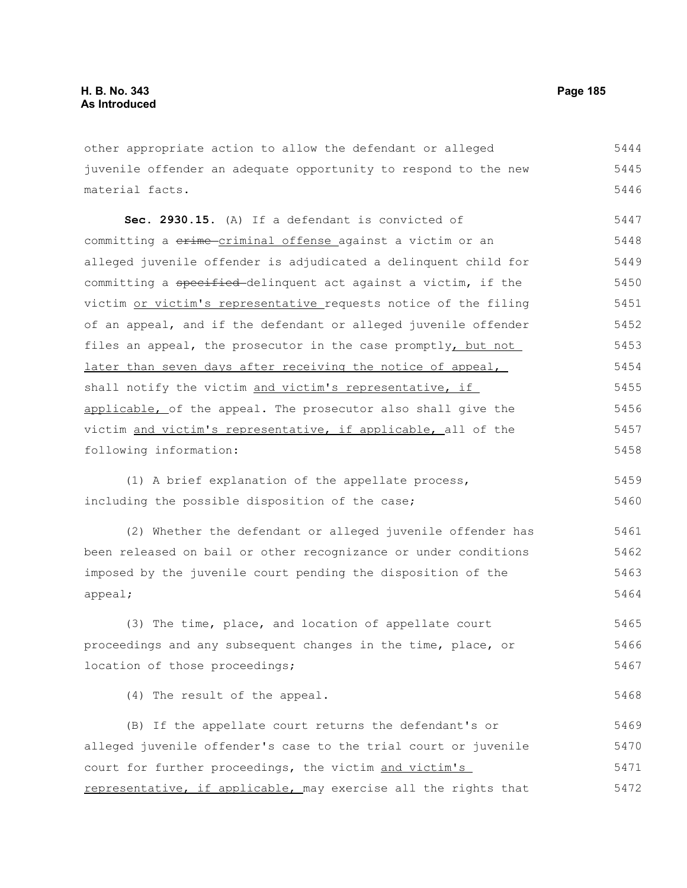other appropriate action to allow the defendant or alleged juvenile offender an adequate opportunity to respond to the new material facts. 5444 5445 5446

**Sec. 2930.15.** (A) If a defendant is convicted of committing a erime-criminal offense against a victim or an alleged juvenile offender is adjudicated a delinquent child for committing a specified-delinquent act against a victim, if the victim or victim's representative requests notice of the filing of an appeal, and if the defendant or alleged juvenile offender files an appeal, the prosecutor in the case promptly, but not later than seven days after receiving the notice of appeal, shall notify the victim and victim's representative, if applicable, of the appeal. The prosecutor also shall give the victim and victim's representative, if applicable, all of the following information: 5447 5448 5449 5450 5451 5452 5453 5454 5455 5456 5457 5458

(1) A brief explanation of the appellate process, including the possible disposition of the case; 5459 5460

(2) Whether the defendant or alleged juvenile offender has been released on bail or other recognizance or under conditions imposed by the juvenile court pending the disposition of the appeal; 5461 5462 5463 5464

(3) The time, place, and location of appellate court proceedings and any subsequent changes in the time, place, or location of those proceedings; 5465 5466 5467

(4) The result of the appeal. 5468

(B) If the appellate court returns the defendant's or alleged juvenile offender's case to the trial court or juvenile court for further proceedings, the victim and victim's representative, if applicable, may exercise all the rights that 5469 5470 5471 5472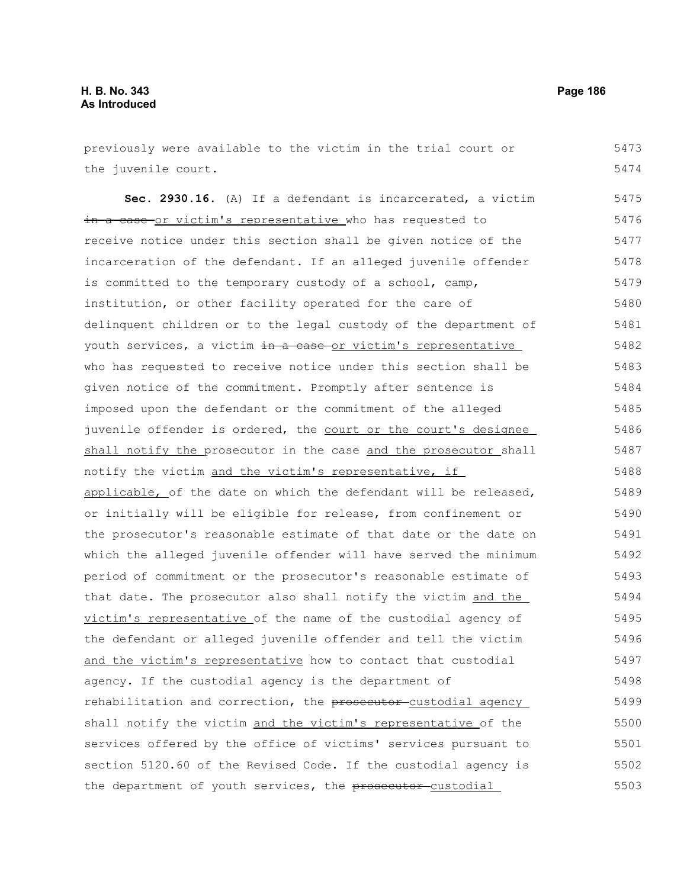| previously were available to the victim in the trial court or    | 5473 |
|------------------------------------------------------------------|------|
| the juvenile court.                                              | 5474 |
| Sec. 2930.16. (A) If a defendant is incarcerated, a victim       | 5475 |
| in a case or victim's representative who has requested to        | 5476 |
| receive notice under this section shall be given notice of the   | 5477 |
| incarceration of the defendant. If an alleged juvenile offender  | 5478 |
| is committed to the temporary custody of a school, camp,         | 5479 |
| institution, or other facility operated for the care of          | 5480 |
| delinquent children or to the legal custody of the department of | 5481 |
| youth services, a victim in a case-or victim's representative    | 5482 |
| who has requested to receive notice under this section shall be  | 5483 |
| given notice of the commitment. Promptly after sentence is       | 5484 |
| imposed upon the defendant or the commitment of the alleged      | 5485 |
| juvenile offender is ordered, the court or the court's designee  | 5486 |
| shall notify the prosecutor in the case and the prosecutor shall | 5487 |
| notify the victim and the victim's representative, if            | 5488 |
| applicable, of the date on which the defendant will be released, | 5489 |
| or initially will be eligible for release, from confinement or   | 5490 |
| the prosecutor's reasonable estimate of that date or the date on | 5491 |
| which the alleged juvenile offender will have served the minimum | 5492 |
| period of commitment or the prosecutor's reasonable estimate of  | 5493 |
| that date. The prosecutor also shall notify the victim and the   | 5494 |
| victim's representative of the name of the custodial agency of   | 5495 |
| the defendant or alleged juvenile offender and tell the victim   | 5496 |
| and the victim's representative how to contact that custodial    | 5497 |
| agency. If the custodial agency is the department of             | 5498 |
| rehabilitation and correction, the prosecutor custodial agency   | 5499 |
| shall notify the victim and the victim's representative of the   | 5500 |
| services offered by the office of victims' services pursuant to  | 5501 |
| section 5120.60 of the Revised Code. If the custodial agency is  | 5502 |
| the department of youth services, the prosecutor-custodial       | 5503 |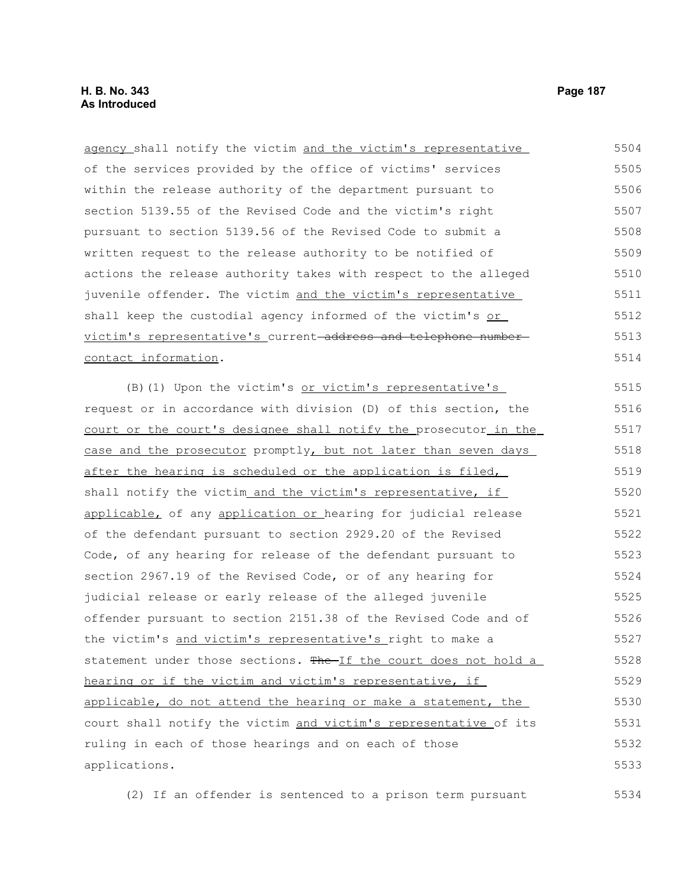# **H. B. No. 343 Page 187 As Introduced**

agency shall notify the victim and the victim's representative of the services provided by the office of victims' services within the release authority of the department pursuant to section 5139.55 of the Revised Code and the victim's right pursuant to section 5139.56 of the Revised Code to submit a written request to the release authority to be notified of actions the release authority takes with respect to the alleged juvenile offender. The victim and the victim's representative shall keep the custodial agency informed of the victim's or victim's representative's current address and telephone numbercontact information. 5504 5505 5506 5507 5508 5509 5510 5511 5512 5513 5514

(B)(1) Upon the victim's or victim's representative's request or in accordance with division (D) of this section, the court or the court's designee shall notify the prosecutor in the case and the prosecutor promptly, but not later than seven days after the hearing is scheduled or the application is filed, shall notify the victim\_and the victim's representative, if applicable, of any application or hearing for judicial release of the defendant pursuant to section 2929.20 of the Revised Code, of any hearing for release of the defendant pursuant to section 2967.19 of the Revised Code, or of any hearing for judicial release or early release of the alleged juvenile offender pursuant to section 2151.38 of the Revised Code and of the victim's and victim's representative's right to make a statement under those sections. The If the court does not hold a hearing or if the victim and victim's representative, if applicable, do not attend the hearing or make a statement, the court shall notify the victim and victim's representative of its ruling in each of those hearings and on each of those applications. 5515 5516 5517 5518 5519 5520 5521 5522 5523 5524 5525 5526 5527 5528 5529 5530 5531 5532 5533

(2) If an offender is sentenced to a prison term pursuant 5534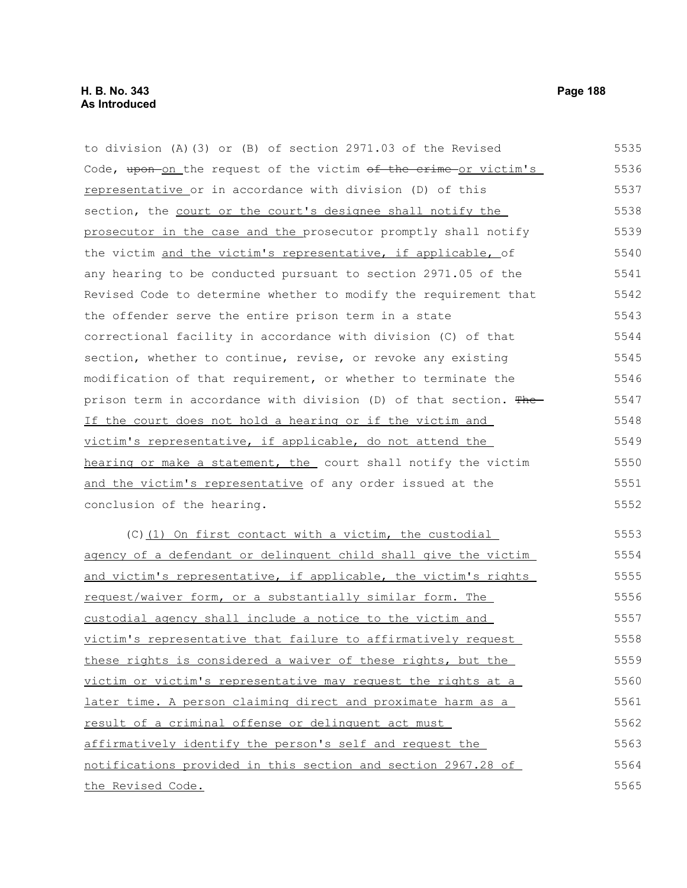to division (A)(3) or (B) of section 2971.03 of the Revised Code, upon-on the request of the victim of the crime or victim's representative or in accordance with division (D) of this section, the court or the court's designee shall notify the prosecutor in the case and the prosecutor promptly shall notify the victim and the victim's representative, if applicable, of any hearing to be conducted pursuant to section 2971.05 of the Revised Code to determine whether to modify the requirement that the offender serve the entire prison term in a state correctional facility in accordance with division (C) of that section, whether to continue, revise, or revoke any existing modification of that requirement, or whether to terminate the prison term in accordance with division (D) of that section. The If the court does not hold a hearing or if the victim and victim's representative, if applicable, do not attend the hearing or make a statement, the court shall notify the victim and the victim's representative of any order issued at the conclusion of the hearing. (C)(1) On first contact with a victim, the custodial agency of a defendant or delinquent child shall give the victim and victim's representative, if applicable, the victim's rights request/waiver form, or a substantially similar form. The custodial agency shall include a notice to the victim and victim's representative that failure to affirmatively request these rights is considered a waiver of these rights, but the victim or victim's representative may request the rights at a later time. A person claiming direct and proximate harm as a result of a criminal offense or delinquent act must affirmatively identify the person's self and request the notifications provided in this section and section 2967.28 of the Revised Code. 5535 5536 5537 5538 5539 5540 5541 5542 5543 5544 5545 5546 5547 5548 5549 5550 5551 5552 5553 5554 5555 5556 5557 5558 5559 5560 5561 5562 5563 5564 5565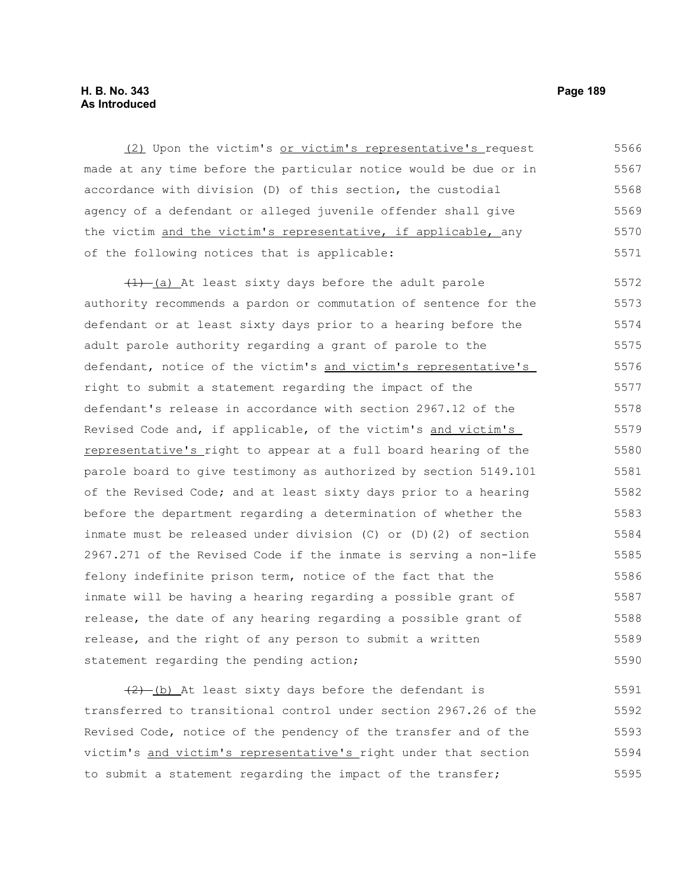# **H. B. No. 343 Page 189 As Introduced**

(2) Upon the victim's or victim's representative's request made at any time before the particular notice would be due or in accordance with division (D) of this section, the custodial agency of a defendant or alleged juvenile offender shall give the victim and the victim's representative, if applicable, any of the following notices that is applicable: 5566 5567 5568 5569 5570 5571

 $(1)$  (a) At least sixty days before the adult parole authority recommends a pardon or commutation of sentence for the defendant or at least sixty days prior to a hearing before the adult parole authority regarding a grant of parole to the defendant, notice of the victim's and victim's representative's right to submit a statement regarding the impact of the defendant's release in accordance with section 2967.12 of the Revised Code and, if applicable, of the victim's and victim's representative's right to appear at a full board hearing of the parole board to give testimony as authorized by section 5149.101 of the Revised Code; and at least sixty days prior to a hearing before the department regarding a determination of whether the inmate must be released under division (C) or (D)(2) of section 2967.271 of the Revised Code if the inmate is serving a non-life felony indefinite prison term, notice of the fact that the inmate will be having a hearing regarding a possible grant of release, the date of any hearing regarding a possible grant of release, and the right of any person to submit a written statement regarding the pending action; 5572 5573 5574 5575 5576 5577 5578 5579 5580 5581 5582 5583 5584 5585 5586 5587 5588 5589 5590

 $(2)$  (b) At least sixty days before the defendant is transferred to transitional control under section 2967.26 of the Revised Code, notice of the pendency of the transfer and of the victim's and victim's representative's right under that section to submit a statement regarding the impact of the transfer; 5591 5592 5593 5594 5595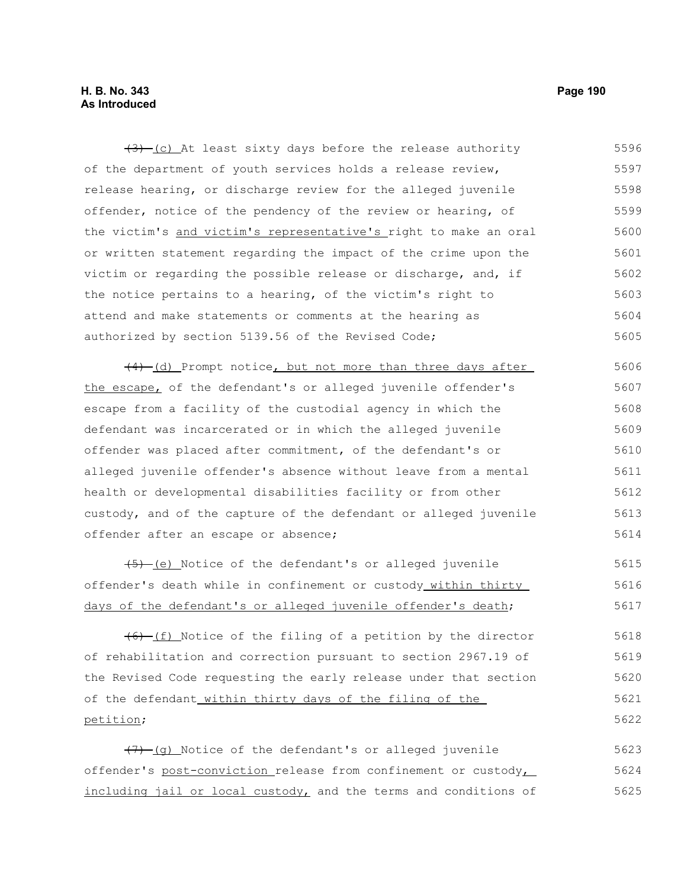# **H. B. No. 343 Page 190 As Introduced**

 $(3)$  (c) At least sixty days before the release authority of the department of youth services holds a release review, release hearing, or discharge review for the alleged juvenile offender, notice of the pendency of the review or hearing, of the victim's and victim's representative's right to make an oral or written statement regarding the impact of the crime upon the victim or regarding the possible release or discharge, and, if the notice pertains to a hearing, of the victim's right to attend and make statements or comments at the hearing as authorized by section 5139.56 of the Revised Code; 5596 5597 5598 5599 5600 5601 5602 5603 5604 5605

 $(4)$  (d) Prompt notice, but not more than three days after the escape, of the defendant's or alleged juvenile offender's escape from a facility of the custodial agency in which the defendant was incarcerated or in which the alleged juvenile offender was placed after commitment, of the defendant's or alleged juvenile offender's absence without leave from a mental health or developmental disabilities facility or from other custody, and of the capture of the defendant or alleged juvenile offender after an escape or absence; 5606 5607 5608 5609 5610 5611 5612 5613 5614

 $(5)$  (e) Notice of the defendant's or alleged juvenile offender's death while in confinement or custody within thirty days of the defendant's or alleged juvenile offender's death; 5615 5616 5617

 $(6)$  (f) Notice of the filing of a petition by the director of rehabilitation and correction pursuant to section 2967.19 of the Revised Code requesting the early release under that section of the defendant within thirty days of the filing of the petition; 5618 5619 5620 5621 5622

(7) (g) Notice of the defendant's or alleged juvenile offender's post-conviction release from confinement or custody including jail or local custody, and the terms and conditions of 5623 5624 5625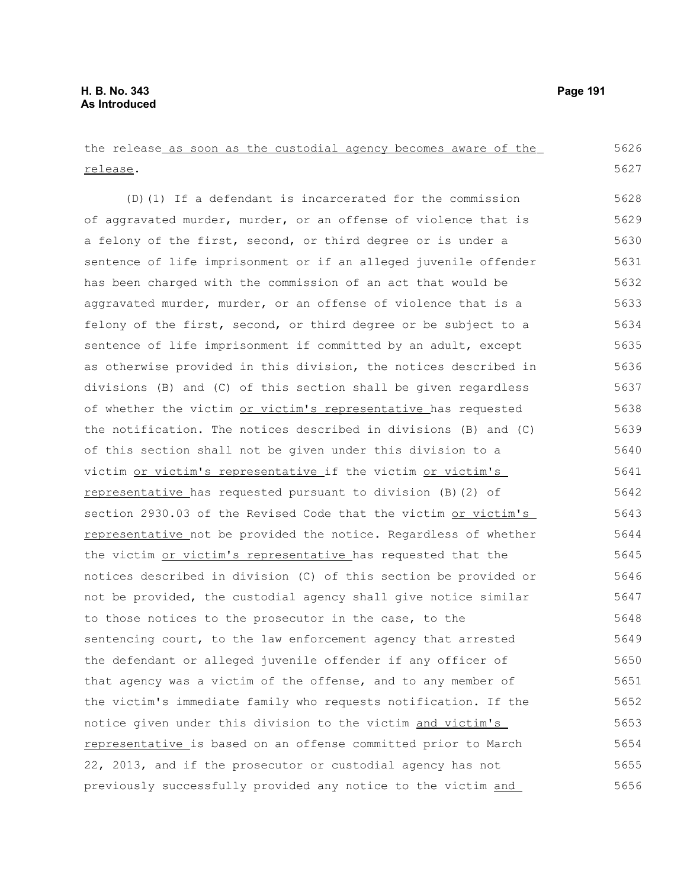the release as soon as the custodial agency becomes aware of the release. (D)(1) If a defendant is incarcerated for the commission of aggravated murder, murder, or an offense of violence that is a felony of the first, second, or third degree or is under a sentence of life imprisonment or if an alleged juvenile offender has been charged with the commission of an act that would be aggravated murder, murder, or an offense of violence that is a felony of the first, second, or third degree or be subject to a sentence of life imprisonment if committed by an adult, except as otherwise provided in this division, the notices described in divisions (B) and (C) of this section shall be given regardless of whether the victim or victim's representative has requested the notification. The notices described in divisions (B) and (C) of this section shall not be given under this division to a victim or victim's representative if the victim or victim's representative has requested pursuant to division (B)(2) of section 2930.03 of the Revised Code that the victim or victim's representative not be provided the notice. Regardless of whether the victim or victim's representative has requested that the notices described in division (C) of this section be provided or not be provided, the custodial agency shall give notice similar to those notices to the prosecutor in the case, to the sentencing court, to the law enforcement agency that arrested the defendant or alleged juvenile offender if any officer of that agency was a victim of the offense, and to any member of the victim's immediate family who requests notification. If the notice given under this division to the victim and victim's representative is based on an offense committed prior to March 5626 5627 5628 5629 5630 5631 5632 5633 5634 5635 5636 5637 5638 5639 5640 5641 5642 5643 5644 5645 5646 5647 5648 5649 5650 5651 5652 5653 5654

22, 2013, and if the prosecutor or custodial agency has not previously successfully provided any notice to the victim and 5655 5656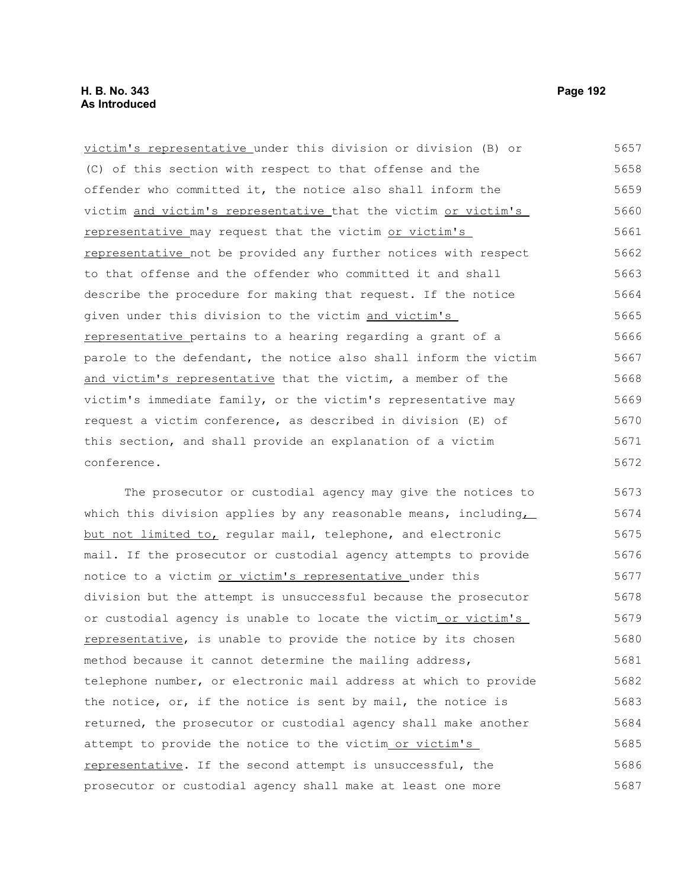victim's representative under this division or division (B) or (C) of this section with respect to that offense and the offender who committed it, the notice also shall inform the victim and victim's representative that the victim or victim's representative may request that the victim or victim's representative not be provided any further notices with respect to that offense and the offender who committed it and shall describe the procedure for making that request. If the notice given under this division to the victim and victim's representative pertains to a hearing regarding a grant of a parole to the defendant, the notice also shall inform the victim and victim's representative that the victim, a member of the victim's immediate family, or the victim's representative may request a victim conference, as described in division (E) of this section, and shall provide an explanation of a victim conference. 5657 5658 5659 5660 5661 5662 5663 5664 5665 5666 5667 5668 5669 5670 5671 5672

The prosecutor or custodial agency may give the notices to which this division applies by any reasonable means, including but not limited to, regular mail, telephone, and electronic mail. If the prosecutor or custodial agency attempts to provide notice to a victim or victim's representative under this division but the attempt is unsuccessful because the prosecutor or custodial agency is unable to locate the victim or victim's representative, is unable to provide the notice by its chosen method because it cannot determine the mailing address, telephone number, or electronic mail address at which to provide the notice, or, if the notice is sent by mail, the notice is returned, the prosecutor or custodial agency shall make another attempt to provide the notice to the victim or victim's representative. If the second attempt is unsuccessful, the prosecutor or custodial agency shall make at least one more 5673 5674 5675 5676 5677 5678 5679 5680 5681 5682 5683 5684 5685 5686 5687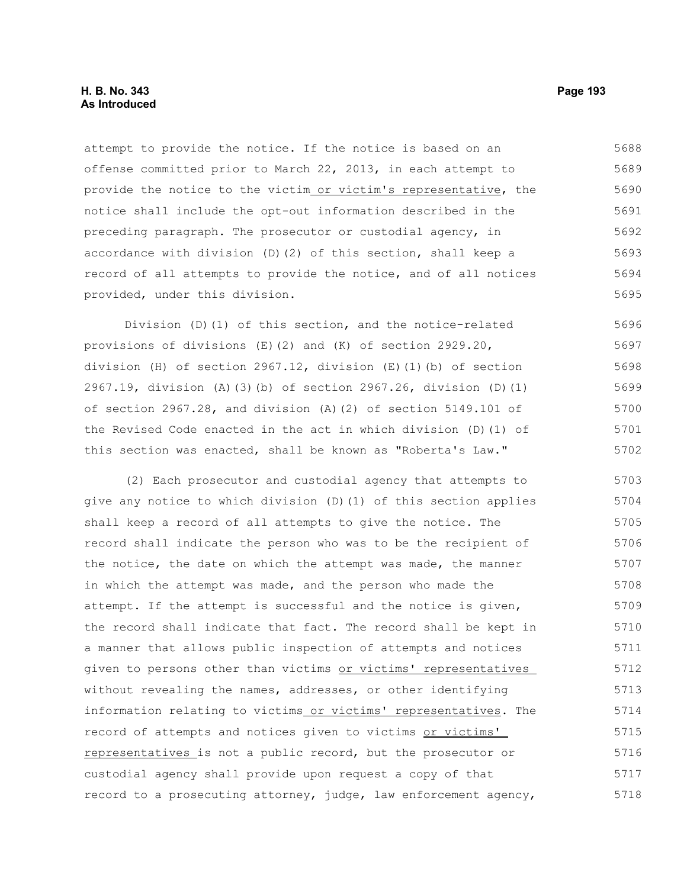attempt to provide the notice. If the notice is based on an offense committed prior to March 22, 2013, in each attempt to provide the notice to the victim or victim's representative, the notice shall include the opt-out information described in the preceding paragraph. The prosecutor or custodial agency, in accordance with division (D)(2) of this section, shall keep a record of all attempts to provide the notice, and of all notices provided, under this division. 5688 5689 5690 5691 5692 5693 5694 5695

Division (D)(1) of this section, and the notice-related provisions of divisions (E)(2) and (K) of section 2929.20, division (H) of section 2967.12, division (E)(1)(b) of section 2967.19, division (A)(3)(b) of section 2967.26, division (D)(1) of section 2967.28, and division (A)(2) of section 5149.101 of the Revised Code enacted in the act in which division (D)(1) of this section was enacted, shall be known as "Roberta's Law." 5696 5697 5698 5699 5700 5701 5702

(2) Each prosecutor and custodial agency that attempts to give any notice to which division (D)(1) of this section applies shall keep a record of all attempts to give the notice. The record shall indicate the person who was to be the recipient of the notice, the date on which the attempt was made, the manner in which the attempt was made, and the person who made the attempt. If the attempt is successful and the notice is given, the record shall indicate that fact. The record shall be kept in a manner that allows public inspection of attempts and notices given to persons other than victims or victims' representatives without revealing the names, addresses, or other identifying information relating to victims or victims' representatives. The record of attempts and notices given to victims or victims' representatives is not a public record, but the prosecutor or custodial agency shall provide upon request a copy of that record to a prosecuting attorney, judge, law enforcement agency, 5703 5704 5705 5706 5707 5708 5709 5710 5711 5712 5713 5714 5715 5716 5717 5718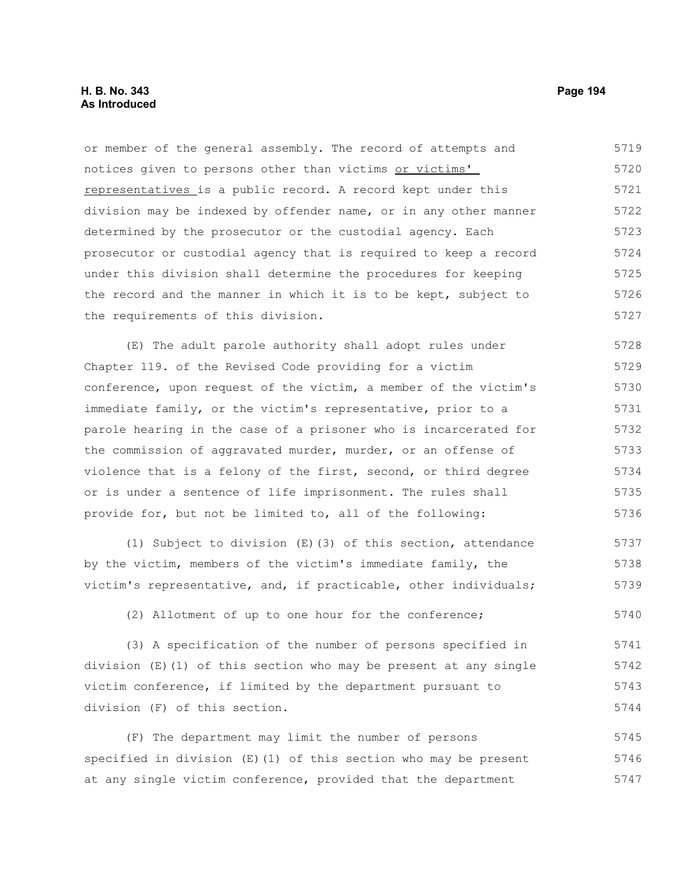#### **H. B. No. 343 Page 194 As Introduced**

or member of the general assembly. The record of attempts and notices given to persons other than victims or victims' representatives is a public record. A record kept under this division may be indexed by offender name, or in any other manner determined by the prosecutor or the custodial agency. Each prosecutor or custodial agency that is required to keep a record under this division shall determine the procedures for keeping the record and the manner in which it is to be kept, subject to the requirements of this division. 5719 5720 5721 5722 5723 5724 5725 5726 5727

(E) The adult parole authority shall adopt rules under Chapter 119. of the Revised Code providing for a victim conference, upon request of the victim, a member of the victim's immediate family, or the victim's representative, prior to a parole hearing in the case of a prisoner who is incarcerated for the commission of aggravated murder, murder, or an offense of violence that is a felony of the first, second, or third degree or is under a sentence of life imprisonment. The rules shall provide for, but not be limited to, all of the following: 5728 5729 5730 5731 5732 5733 5734 5735 5736

(1) Subject to division (E)(3) of this section, attendance by the victim, members of the victim's immediate family, the victim's representative, and, if practicable, other individuals; 5737 5738 5739

(2) Allotment of up to one hour for the conference;

(3) A specification of the number of persons specified in division (E)(1) of this section who may be present at any single victim conference, if limited by the department pursuant to division (F) of this section. 5741 5742 5743 5744

(F) The department may limit the number of persons specified in division (E)(1) of this section who may be present at any single victim conference, provided that the department 5745 5746 5747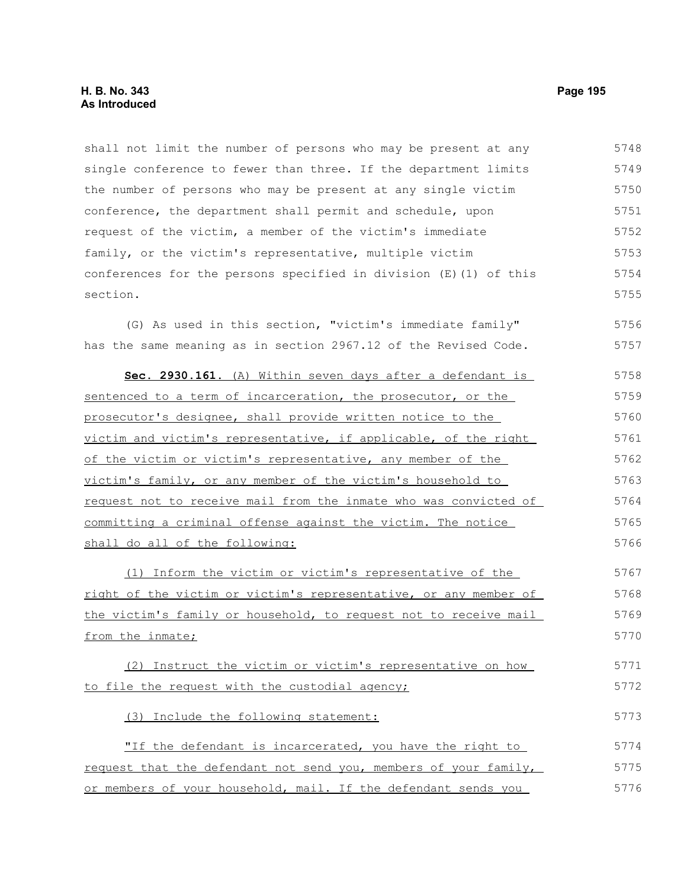shall not limit the number of persons who may be present at any single conference to fewer than three. If the department limits the number of persons who may be present at any single victim conference, the department shall permit and schedule, upon request of the victim, a member of the victim's immediate family, or the victim's representative, multiple victim conferences for the persons specified in division (E)(1) of this section. 5748 5749 5750 5751 5752 5753 5754 5755

(G) As used in this section, "victim's immediate family" has the same meaning as in section 2967.12 of the Revised Code. 5756 5757

 **Sec. 2930.161.** (A) Within seven days after a defendant is sentenced to a term of incarceration, the prosecutor, or the prosecutor's designee, shall provide written notice to the victim and victim's representative, if applicable, of the right of the victim or victim's representative, any member of the victim's family, or any member of the victim's household to request not to receive mail from the inmate who was convicted of committing a criminal offense against the victim. The notice shall do all of the following: 5758 5759 5760 5761 5762 5763 5764 5765 5766

(1) Inform the victim or victim's representative of the right of the victim or victim's representative, or any member of the victim's family or household, to request not to receive mail from the inmate; 5767 5768 5769 5770

(2) Instruct the victim or victim's representative on how to file the request with the custodial agency; 5771 5772

(3) Include the following statement:

| "If the defendant is incarcerated, you have the right to         | 5774 |
|------------------------------------------------------------------|------|
| request that the defendant not send you, members of your family, | 5775 |
| or members of your household, mail. If the defendant sends you   | 5776 |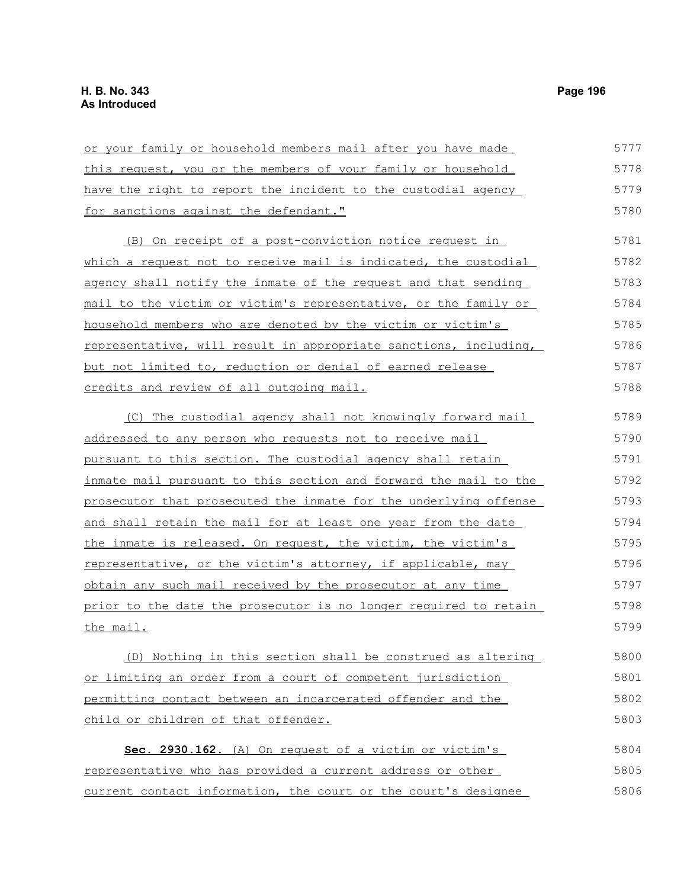| or your family or household members mail after you have made     | 5777 |
|------------------------------------------------------------------|------|
| this request, you or the members of your family or household     | 5778 |
| have the right to report the incident to the custodial agency    | 5779 |
| for sanctions against the defendant."                            | 5780 |
| (B) On receipt of a post-conviction notice request in            | 5781 |
| which a request not to receive mail is indicated, the custodial  | 5782 |
| agency shall notify the inmate of the request and that sending   | 5783 |
| mail to the victim or victim's representative, or the family or  | 5784 |
| household members who are denoted by the victim or victim's      | 5785 |
| representative, will result in appropriate sanctions, including, | 5786 |
| but not limited to, reduction or denial of earned release        | 5787 |
| credits and review of all outgoing mail.                         | 5788 |
| (C) The custodial agency shall not knowingly forward mail        | 5789 |
| addressed to any person who requests not to receive mail         | 5790 |
| pursuant to this section. The custodial agency shall retain      | 5791 |
| inmate mail pursuant to this section and forward the mail to the | 5792 |
| prosecutor that prosecuted the inmate for the underlying offense | 5793 |
| and shall retain the mail for at least one year from the date    | 5794 |
| the inmate is released. On request, the victim, the victim's     | 5795 |
| representative, or the victim's attorney, if applicable, may     | 5796 |
| obtain any such mail received by the prosecutor at any time      | 5797 |
| prior to the date the prosecutor is no longer required to retain | 5798 |
| the mail.                                                        | 5799 |
| (D) Nothing in this section shall be construed as altering       | 5800 |
| or limiting an order from a court of competent jurisdiction      | 5801 |
| permitting contact between an incarcerated offender and the      | 5802 |
| child or children of that offender.                              | 5803 |
| Sec. 2930.162. (A) On request of a victim or victim's            | 5804 |
| representative who has provided a current address or other       | 5805 |
| current contact information, the court or the court's designee   | 5806 |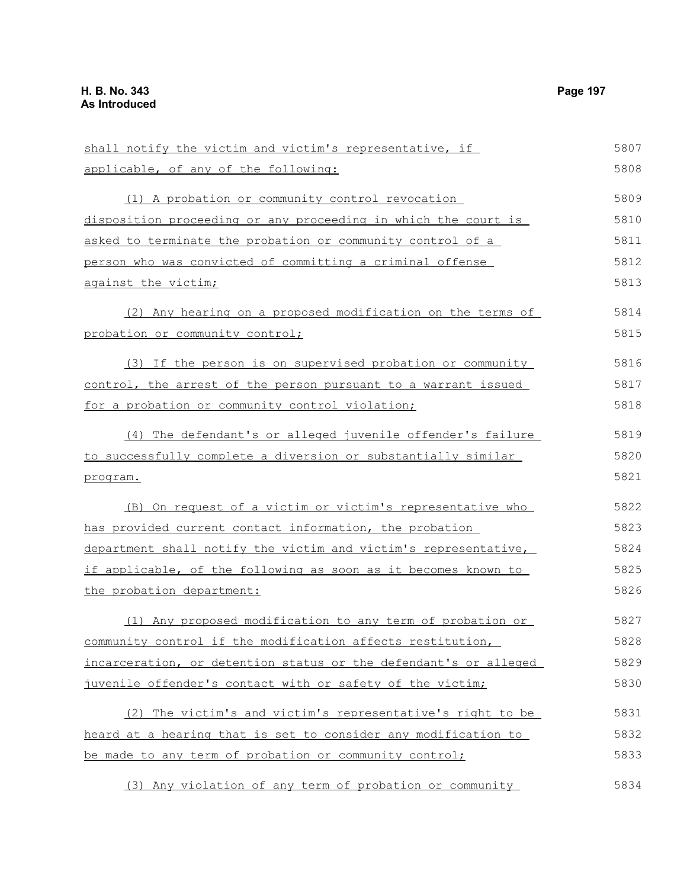shall notify the victim and victim's representative, if applicable, of any of the following: (1) A probation or community control revocation disposition proceeding or any proceeding in which the court is asked to terminate the probation or community control of a person who was convicted of committing a criminal offense against the victim; (2) Any hearing on a proposed modification on the terms of probation or community control; (3) If the person is on supervised probation or community control, the arrest of the person pursuant to a warrant issued for a probation or community control violation; (4) The defendant's or alleged juvenile offender's failure to successfully complete a diversion or substantially similar program. (B) On request of a victim or victim's representative who has provided current contact information, the probation department shall notify the victim and victim's representative, if applicable, of the following as soon as it becomes known to the probation department: (1) Any proposed modification to any term of probation or community control if the modification affects restitution, incarceration, or detention status or the defendant's or alleged juvenile offender's contact with or safety of the victim; (2) The victim's and victim's representative's right to be heard at a hearing that is set to consider any modification to be made to any term of probation or community control; (3) Any violation of any term of probation or community 5808 5809 5810 5811 5812 5813 5814 5815 5816 5817 5818 5819 5820 5821 5822 5823 5824 5825 5826 5827 5828 5829 5830 5831 5832 5833 5834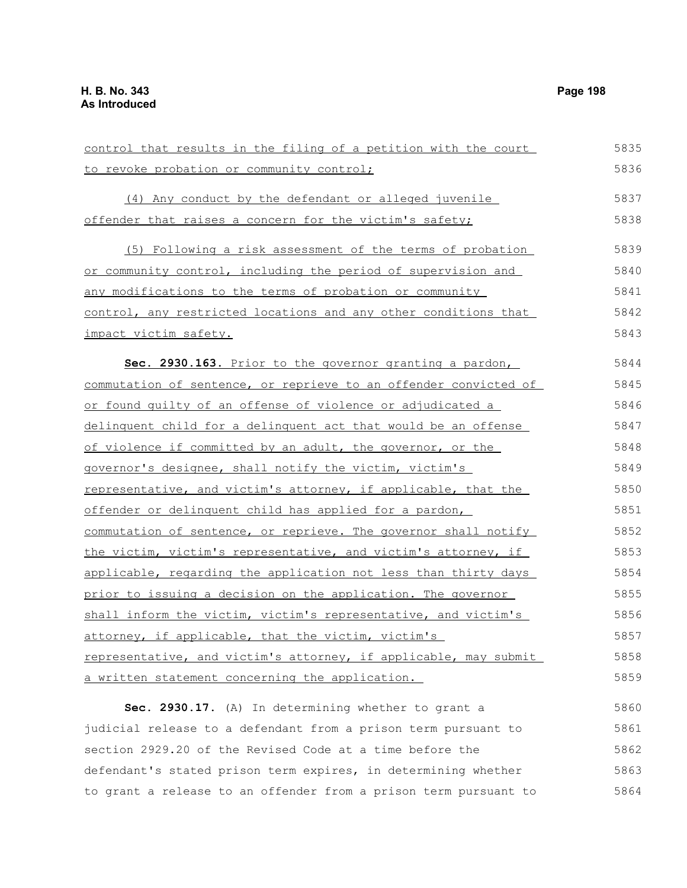| control that results in the filing of a petition with the court   | 5835 |
|-------------------------------------------------------------------|------|
| to revoke probation or community control;                         | 5836 |
| (4) Any conduct by the defendant or alleged juvenile              | 5837 |
| offender that raises a concern for the victim's safety;           | 5838 |
| (5) Following a risk assessment of the terms of probation         | 5839 |
| or community control, including the period of supervision and     | 5840 |
| any modifications to the terms of probation or community          | 5841 |
| control, any restricted locations and any other conditions that   | 5842 |
| impact victim safety.                                             | 5843 |
| <b>Sec. 2930.163.</b> Prior to the governor granting a pardon,    | 5844 |
| commutation of sentence, or reprieve to an offender convicted of  | 5845 |
| or found quilty of an offense of violence or adjudicated a        | 5846 |
| delinquent child for a delinquent act that would be an offense    | 5847 |
| <u>of violence if committed by an adult, the governor, or the</u> | 5848 |
| governor's designee, shall notify the victim, victim's            | 5849 |
| representative, and victim's attorney, if applicable, that the    | 5850 |
| offender or delinquent child has applied for a pardon,            | 5851 |
| commutation of sentence, or reprieve. The governor shall notify   | 5852 |
| the victim, victim's representative, and victim's attorney, if    | 5853 |
| applicable, regarding the application not less than thirty days   | 5854 |
| prior to issuing a decision on the application. The governor      | 5855 |
| shall inform the victim, victim's representative, and victim's    | 5856 |
| attorney, if applicable, that the victim, victim's                | 5857 |
| representative, and victim's attorney, if applicable, may submit  | 5858 |
| a written statement concerning the application.                   | 5859 |
|                                                                   |      |

**Sec. 2930.17.** (A) In determining whether to grant a judicial release to a defendant from a prison term pursuant to section 2929.20 of the Revised Code at a time before the defendant's stated prison term expires, in determining whether to grant a release to an offender from a prison term pursuant to 5860 5861 5862 5863 5864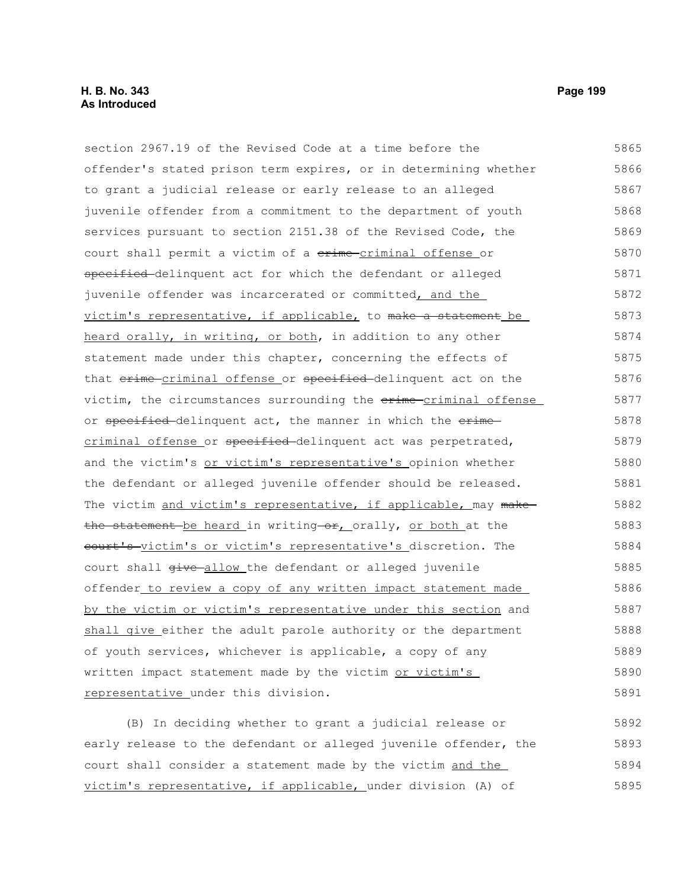section 2967.19 of the Revised Code at a time before the offender's stated prison term expires, or in determining whether to grant a judicial release or early release to an alleged juvenile offender from a commitment to the department of youth services pursuant to section 2151.38 of the Revised Code, the court shall permit a victim of a crime-criminal offense or specified delinquent act for which the defendant or alleged juvenile offender was incarcerated or committed, and the victim's representative, if applicable, to make a statement be heard orally, in writing, or both, in addition to any other statement made under this chapter, concerning the effects of that erime criminal offense or specified delinquent act on the victim, the circumstances surrounding the erime-criminal offense or specified-delinquent act, the manner in which the crimecriminal offense or specified delinquent act was perpetrated, and the victim's or victim's representative's opinion whether the defendant or alleged juvenile offender should be released. The victim and victim's representative, if applicable, may makethe statement be heard in writing or, orally, or both at the court's victim's or victim's representative's discretion. The court shall  $\frac{div}{div}$ -allow the defendant or alleged juvenile offender to review a copy of any written impact statement made by the victim or victim's representative under this section and shall give either the adult parole authority or the department of youth services, whichever is applicable, a copy of any written impact statement made by the victim or victim's representative under this division. 5865 5866 5867 5868 5869 5870 5871 5872 5873 5874 5875 5876 5877 5878 5879 5880 5881 5882 5883 5884 5885 5886 5887 5888 5889 5890 5891

(B) In deciding whether to grant a judicial release or early release to the defendant or alleged juvenile offender, the court shall consider a statement made by the victim and the victim's representative, if applicable, under division (A) of 5892 5893 5894 5895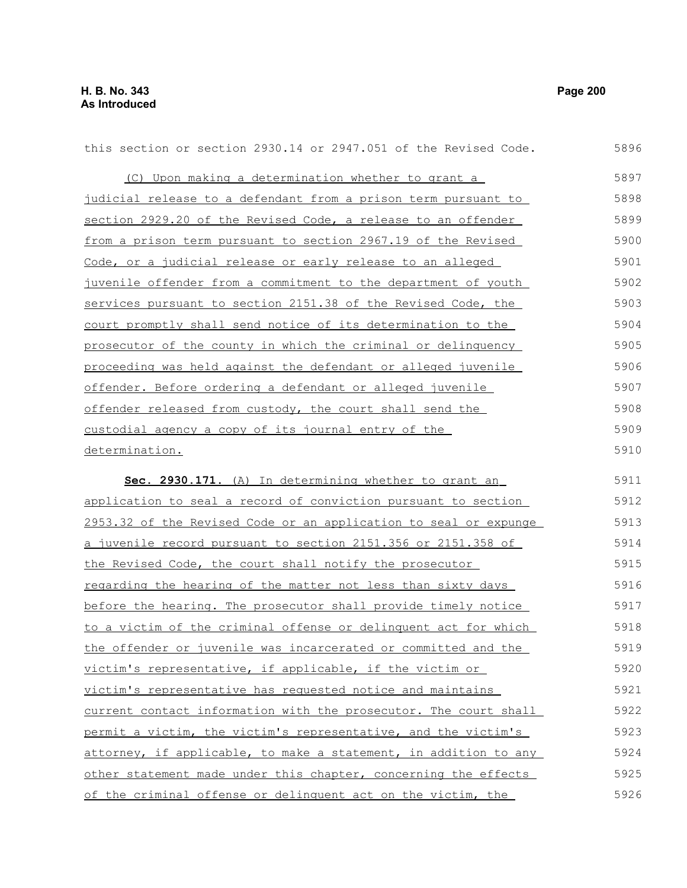| this section or section 2930.14 or 2947.051 of the Revised Code. | 5896 |
|------------------------------------------------------------------|------|
| (C) Upon making a determination whether to grant a               | 5897 |
| judicial release to a defendant from a prison term pursuant to   | 5898 |
| section 2929.20 of the Revised Code, a release to an offender    | 5899 |
| from a prison term pursuant to section 2967.19 of the Revised    | 5900 |
| Code, or a judicial release or early release to an alleged       | 5901 |
| juvenile offender from a commitment to the department of youth   | 5902 |
| services pursuant to section 2151.38 of the Revised Code, the    | 5903 |
| court promptly shall send notice of its determination to the     | 5904 |
| prosecutor of the county in which the criminal or delinquency    | 5905 |
| proceeding was held against the defendant or alleged juvenile    | 5906 |
| offender. Before ordering a defendant or alleged juvenile        | 5907 |
| offender released from custody, the court shall send the         | 5908 |
| custodial agency a copy of its journal entry of the              | 5909 |
| determination.                                                   | 5910 |
| Sec. 2930.171. (A) In determining whether to grant an            | 5911 |
| application to seal a record of conviction pursuant to section   | 5912 |
| 2953.32 of the Revised Code or an application to seal or expunge | 5913 |
| a juvenile record pursuant to section 2151.356 or 2151.358 of    | 5914 |
| the Revised Code, the court shall notify the prosecutor          | 5915 |
| regarding the hearing of the matter not less than sixty days     | 5916 |
| before the hearing. The prosecutor shall provide timely notice   | 5917 |
| to a victim of the criminal offense or delinquent act for which  | 5918 |
| the offender or juvenile was incarcerated or committed and the   | 5919 |
| victim's representative, if applicable, if the victim or         | 5920 |
| victim's representative has requested notice and maintains       | 5921 |
| current contact information with the prosecutor. The court shall | 5922 |
| permit a victim, the victim's representative, and the victim's   | 5923 |
| attorney, if applicable, to make a statement, in addition to any | 5924 |
| other statement made under this chapter, concerning the effects  | 5925 |
| of the criminal offense or delinquent act on the victim, the     | 5926 |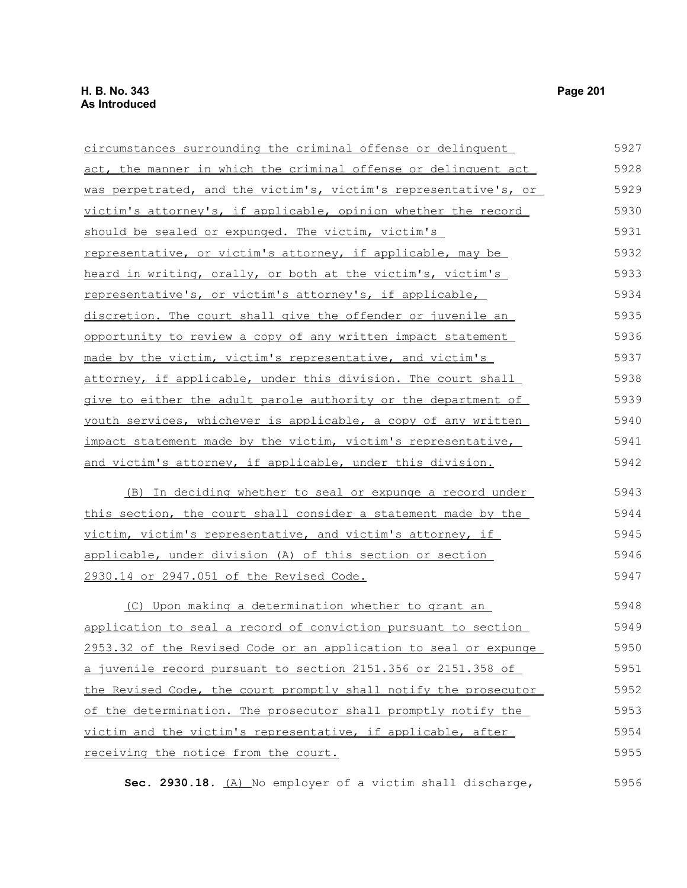| circumstances surrounding the criminal offense or delinquent     | 5927 |
|------------------------------------------------------------------|------|
| act, the manner in which the criminal offense or delinquent act  | 5928 |
| was perpetrated, and the victim's, victim's representative's, or | 5929 |
| victim's attorney's, if applicable, opinion whether the record   | 5930 |
| should be sealed or expunged. The victim, victim's               | 5931 |
| representative, or victim's attorney, if applicable, may be      | 5932 |
| heard in writing, orally, or both at the victim's, victim's      | 5933 |
| representative's, or victim's attorney's, if applicable,         | 5934 |
| discretion. The court shall give the offender or juvenile an     | 5935 |
| opportunity to review a copy of any written impact statement     | 5936 |
| made by the victim, victim's representative, and victim's        | 5937 |
| attorney, if applicable, under this division. The court shall    | 5938 |
| give to either the adult parole authority or the department of   | 5939 |
| youth services, whichever is applicable, a copy of any written   | 5940 |
| impact statement made by the victim, victim's representative,    | 5941 |
| and victim's attorney, if applicable, under this division.       | 5942 |
| (B) In deciding whether to seal or expunge a record under        | 5943 |
| this section, the court shall consider a statement made by the   | 5944 |
| victim, victim's representative, and victim's attorney, if       | 5945 |
| applicable, under division (A) of this section or section        | 5946 |
| 2930.14 or 2947.051 of the Revised Code.                         | 5947 |
| (C) Upon making a determination whether to grant an              | 5948 |
| application to seal a record of conviction pursuant to section   | 5949 |
| 2953.32 of the Revised Code or an application to seal or expunge | 5950 |
| a juvenile record pursuant to section 2151.356 or 2151.358 of    | 5951 |
| the Revised Code, the court promptly shall notify the prosecutor | 5952 |
| of the determination. The prosecutor shall promptly notify the   | 5953 |
| victim and the victim's representative, if applicable, after     | 5954 |
| receiving the notice from the court.                             | 5955 |

**Sec. 2930.18.** (A) No employer of a victim shall discharge, 5956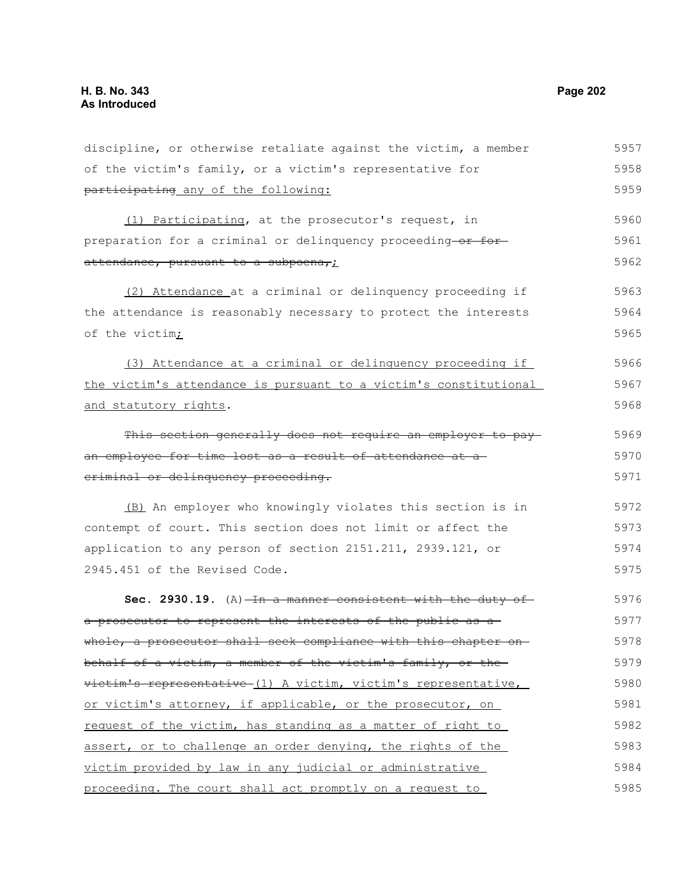discipline, or otherwise retaliate against the victim, a member of the victim's family, or a victim's representative for participating any of the following: (1) Participating, at the prosecutor's request, in preparation for a criminal or delinquency proceeding or forattendance, pursuant to a subpoena,; (2) Attendance at a criminal or delinquency proceeding if the attendance is reasonably necessary to protect the interests of the victim<sub>i</sub> (3) Attendance at a criminal or delinquency proceeding if the victim's attendance is pursuant to a victim's constitutional and statutory rights. This section generally does not require an employer to pay an employee for time lost as a result of attendance at a criminal or delinquency proceeding. (B) An employer who knowingly violates this section is in contempt of court. This section does not limit or affect the application to any person of section 2151.211, 2939.121, or 2945.451 of the Revised Code. **Sec. 2930.19.** (A) <del>In a manner consistent with the duty of</del> a prosecutor to represent the interests of the public as awhole, a prosecutor shall seek compliance with this chapter onbehalf of a victim, a member of the victim's family, or the victim's representative (1) A victim, victim's representative, or victim's attorney, if applicable, or the prosecutor, on request of the victim, has standing as a matter of right to assert, or to challenge an order denying, the rights of the victim provided by law in any judicial or administrative proceeding. The court shall act promptly on a request to 5957 5958 5959 5960 5961 5962 5963 5964 5965 5966 5967 5968 5969 5970 5971 5972 5973 5974 5975 5976 5977 5978 5979 5980 5981 5982 5983 5984 5985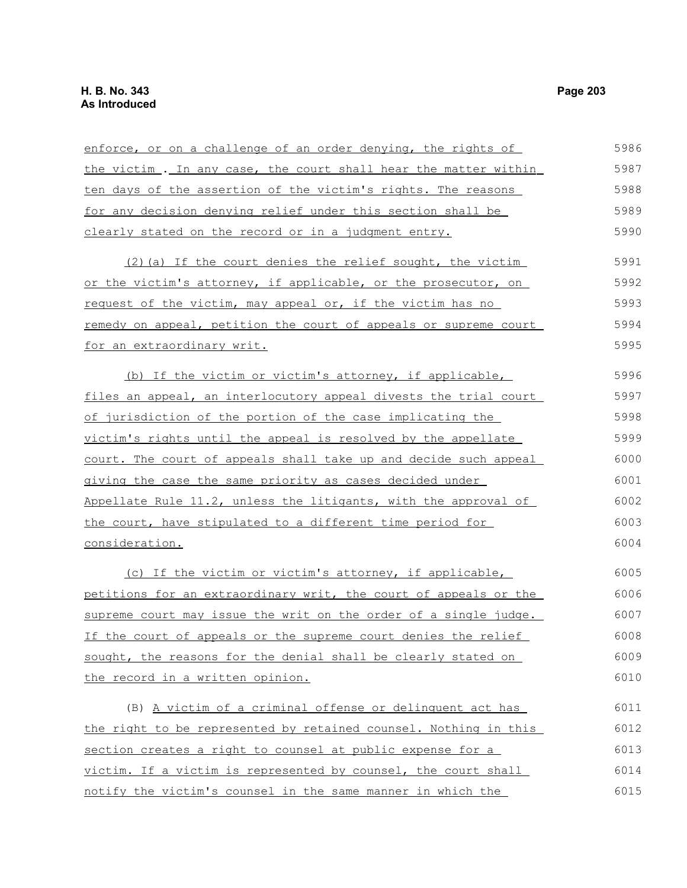| enforce, or on a challenge of an order denying, the rights of     | 5986 |
|-------------------------------------------------------------------|------|
| the victim. In any case, the court shall hear the matter within   | 5987 |
| ten days of the assertion of the victim's rights. The reasons     | 5988 |
| for any decision denying relief under this section shall be       | 5989 |
| clearly stated on the record or in a judgment entry.              | 5990 |
| (2) (a) If the court denies the relief sought, the victim         | 5991 |
| or the victim's attorney, if applicable, or the prosecutor, on    | 5992 |
| <u>request of the victim, may appeal or, if the victim has no</u> | 5993 |
| remedy on appeal, petition the court of appeals or supreme court  | 5994 |
| for an extraordinary writ.                                        | 5995 |
| (b) If the victim or victim's attorney, if applicable,            | 5996 |
| files an appeal, an interlocutory appeal divests the trial court  | 5997 |
| of jurisdiction of the portion of the case implicating the        | 5998 |
| victim's rights until the appeal is resolved by the appellate     | 5999 |
| court. The court of appeals shall take up and decide such appeal  | 6000 |
| giving the case the same priority as cases decided under          | 6001 |
| Appellate Rule 11.2, unless the litigants, with the approval of   | 6002 |
| the court, have stipulated to a different time period for         | 6003 |
| consideration.                                                    | 6004 |
| (c) If the victim or victim's attorney, if applicable,            | 6005 |
| petitions for an extraordinary writ, the court of appeals or the  | 6006 |
| supreme court may issue the writ on the order of a single judge.  | 6007 |
| If the court of appeals or the supreme court denies the relief    | 6008 |
| sought, the reasons for the denial shall be clearly stated on     | 6009 |
| the record in a written opinion.                                  | 6010 |
| (B) A victim of a criminal offense or delinquent act has          | 6011 |
| the right to be represented by retained counsel. Nothing in this  | 6012 |
| section creates a right to counsel at public expense for a        | 6013 |
| victim. If a victim is represented by counsel, the court shall    | 6014 |
| notify the victim's counsel in the same manner in which the       | 6015 |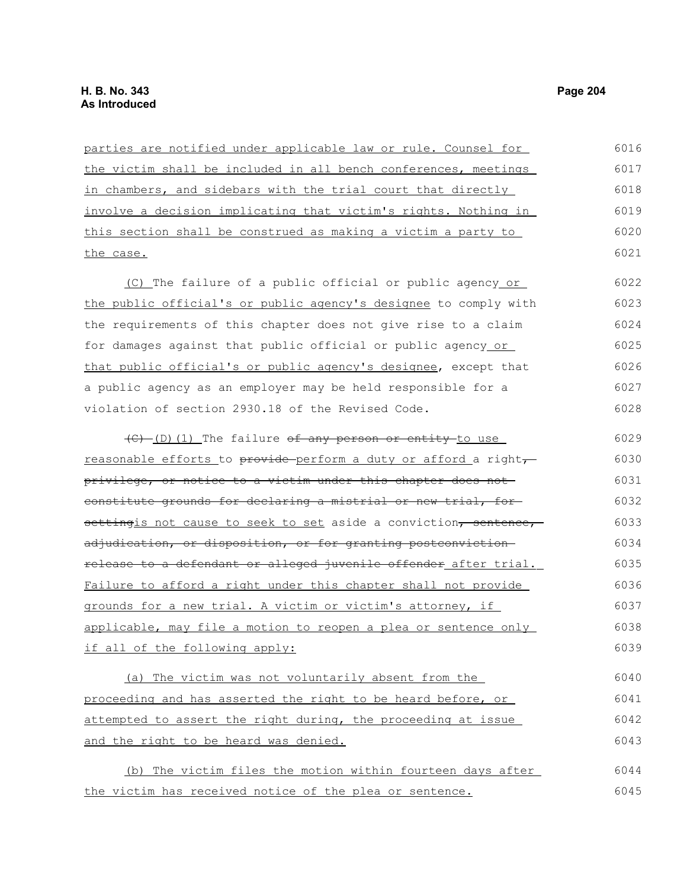parties are notified under applicable law or rule. Counsel for the victim shall be included in all bench conferences, meetings in chambers, and sidebars with the trial court that directly involve a decision implicating that victim's rights. Nothing in this section shall be construed as making a victim a party to the case. (C) The failure of a public official or public agency or the public official's or public agency's designee to comply with the requirements of this chapter does not give rise to a claim for damages against that public official or public agency or 6016 6017 6018 6019 6020 6021 6022 6023 6024 6025

that public official's or public agency's designee, except that a public agency as an employer may be held responsible for a violation of section 2930.18 of the Revised Code. 6026 6027 6028

 $(C)$  (D)(1) The failure of any person or entity to use reasonable efforts to provide perform a duty or afford a right, privilege, or notice to a victim under this chapter does not constitute grounds for declaring a mistrial or new trial, for settingis not cause to seek to set aside a conviction, sentence, adjudication, or disposition, or for granting postconviction release to a defendant or alleged juvenile offender after trial. Failure to afford a right under this chapter shall not provide grounds for a new trial. A victim or victim's attorney, if applicable, may file a motion to reopen a plea or sentence only if all of the following apply: 6029 6030 6031 6032 6033 6034 6035 6036 6037 6038 6039

(a) The victim was not voluntarily absent from the proceeding and has asserted the right to be heard before, or attempted to assert the right during, the proceeding at issue and the right to be heard was denied. 6040 6041 6042 6043

(b) The victim files the motion within fourteen days after the victim has received notice of the plea or sentence. 6044 6045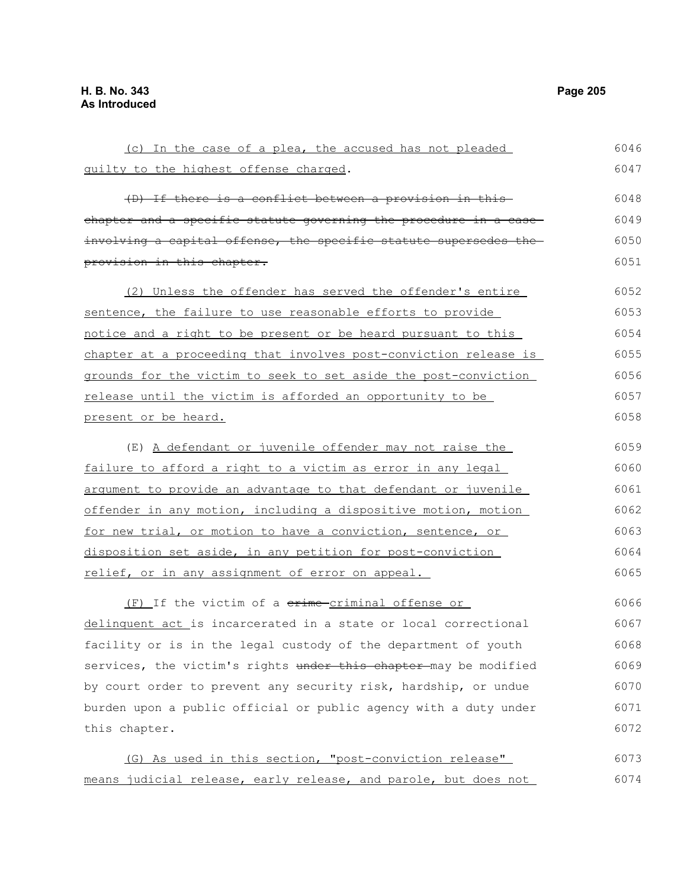this chapter.

(c) In the case of a plea, the accused has not pleaded guilty to the highest offense charged. (D) If there is a conflict between a provision in this chapter and a specific statute governing the procedure in a case involving a capital offense, the specific statute supersedes the provision in this chapter. (2) Unless the offender has served the offender's entire sentence, the failure to use reasonable efforts to provide notice and a right to be present or be heard pursuant to this chapter at a proceeding that involves post-conviction release is grounds for the victim to seek to set aside the post-conviction release until the victim is afforded an opportunity to be present or be heard. (E) A defendant or juvenile offender may not raise the failure to afford a right to a victim as error in any legal argument to provide an advantage to that defendant or juvenile offender in any motion, including a dispositive motion, motion for new trial, or motion to have a conviction, sentence, or disposition set aside, in any petition for post-conviction relief, or in any assignment of error on appeal. (F) If the victim of a crime criminal offense or delinquent act is incarcerated in a state or local correctional facility or is in the legal custody of the department of youth services, the victim's rights under this chapter may be modified by court order to prevent any security risk, hardship, or undue 6047 6048 6049 6050 6051 6052 6053 6054 6055 6056 6057 6058 6059 6060 6061 6062 6063 6064 6065 6066 6067 6068 6069 6070

(G) As used in this section, "post-conviction release" means judicial release, early release, and parole, but does not 6073 6074

burden upon a public official or public agency with a duty under

6046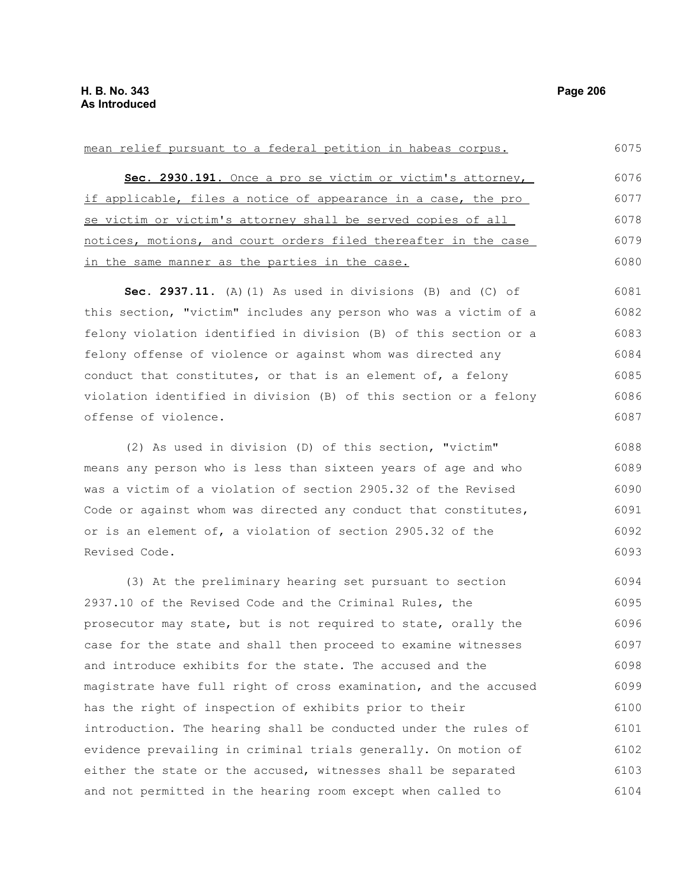Sec. 2930.191. Once a pro se victim or victim's attorney, if applicable, files a notice of appearance in a case, the pro se victim or victim's attorney shall be served copies of all notices, motions, and court orders filed thereafter in the case in the same manner as the parties in the case. **Sec. 2937.11.** (A)(1) As used in divisions (B) and (C) of this section, "victim" includes any person who was a victim of a felony violation identified in division (B) of this section or a felony offense of violence or against whom was directed any conduct that constitutes, or that is an element of, a felony violation identified in division (B) of this section or a felony offense of violence. (2) As used in division (D) of this section, "victim" means any person who is less than sixteen years of age and who was a victim of a violation of section 2905.32 of the Revised Code or against whom was directed any conduct that constitutes, or is an element of, a violation of section 2905.32 of the Revised Code. (3) At the preliminary hearing set pursuant to section 2937.10 of the Revised Code and the Criminal Rules, the prosecutor may state, but is not required to state, orally the case for the state and shall then proceed to examine witnesses and introduce exhibits for the state. The accused and the magistrate have full right of cross examination, and the accused has the right of inspection of exhibits prior to their introduction. The hearing shall be conducted under the rules of evidence prevailing in criminal trials generally. On motion of either the state or the accused, witnesses shall be separated 6076 6077 6078 6079 6080 6081 6082 6083 6084 6085 6086 6087 6088 6089 6090 6091 6092 6093 6094 6095 6096 6097 6098 6099 6100 6101 6102 6103

mean relief pursuant to a federal petition in habeas corpus.

and not permitted in the hearing room except when called to

6075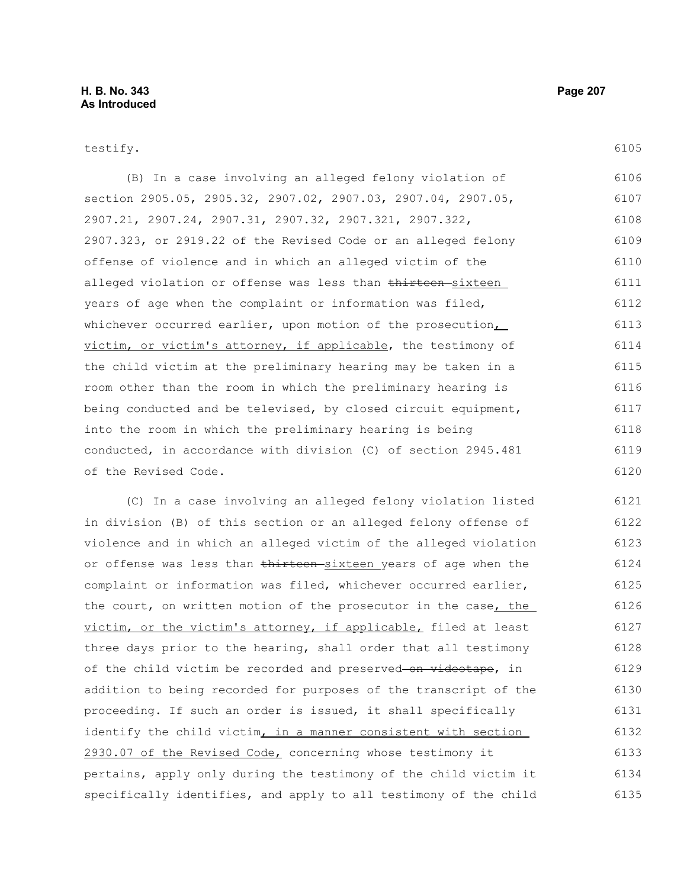testify.

6105

(B) In a case involving an alleged felony violation of section 2905.05, 2905.32, 2907.02, 2907.03, 2907.04, 2907.05, 2907.21, 2907.24, 2907.31, 2907.32, 2907.321, 2907.322, 2907.323, or 2919.22 of the Revised Code or an alleged felony offense of violence and in which an alleged victim of the alleged violation or offense was less than thirteen-sixteen years of age when the complaint or information was filed, whichever occurred earlier, upon motion of the prosecution, victim, or victim's attorney, if applicable, the testimony of the child victim at the preliminary hearing may be taken in a room other than the room in which the preliminary hearing is being conducted and be televised, by closed circuit equipment, into the room in which the preliminary hearing is being conducted, in accordance with division (C) of section 2945.481 of the Revised Code. 6106 6107 6108 6109 6110 6111 6112 6113 6114 6115 6116 6117 6118 6119 6120

(C) In a case involving an alleged felony violation listed in division (B) of this section or an alleged felony offense of violence and in which an alleged victim of the alleged violation or offense was less than thirteen sixteen years of age when the complaint or information was filed, whichever occurred earlier, the court, on written motion of the prosecutor in the case, the victim, or the victim's attorney, if applicable, filed at least three days prior to the hearing, shall order that all testimony of the child victim be recorded and preserved on videotape, in addition to being recorded for purposes of the transcript of the proceeding. If such an order is issued, it shall specifically identify the child victim, in a manner consistent with section 2930.07 of the Revised Code, concerning whose testimony it pertains, apply only during the testimony of the child victim it specifically identifies, and apply to all testimony of the child 6121 6122 6123 6124 6125 6126 6127 6128 6129 6130 6131 6132 6133 6134 6135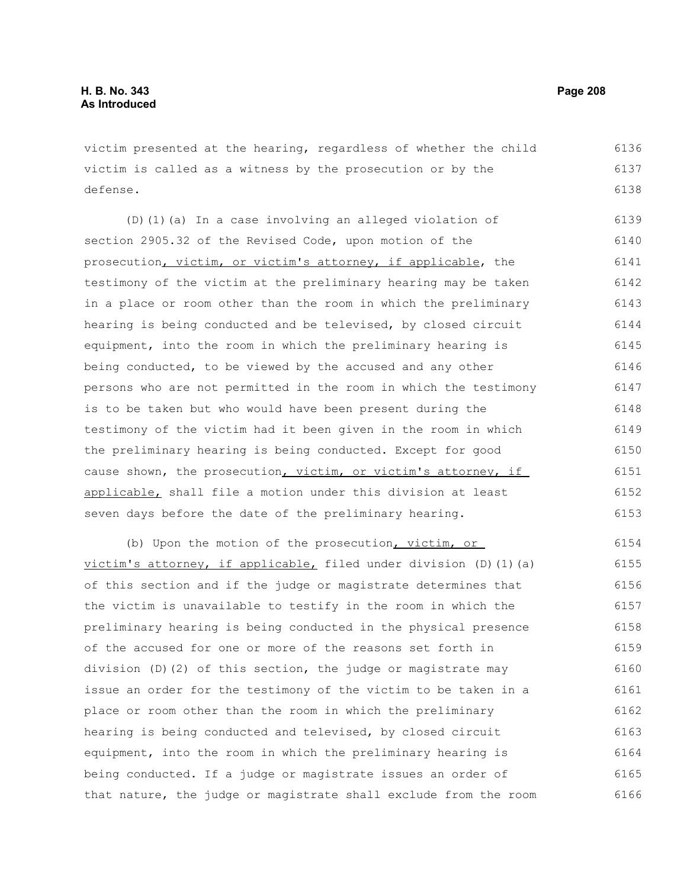victim presented at the hearing, regardless of whether the child victim is called as a witness by the prosecution or by the defense. 6136 6137 6138

(D)(1)(a) In a case involving an alleged violation of section 2905.32 of the Revised Code, upon motion of the prosecution, victim, or victim's attorney, if applicable, the testimony of the victim at the preliminary hearing may be taken in a place or room other than the room in which the preliminary hearing is being conducted and be televised, by closed circuit equipment, into the room in which the preliminary hearing is being conducted, to be viewed by the accused and any other persons who are not permitted in the room in which the testimony is to be taken but who would have been present during the testimony of the victim had it been given in the room in which the preliminary hearing is being conducted. Except for good cause shown, the prosecution, victim, or victim's attorney, if applicable, shall file a motion under this division at least seven days before the date of the preliminary hearing. 6139 6140 6141 6142 6143 6144 6145 6146 6147 6148 6149 6150 6151 6152 6153

(b) Upon the motion of the prosecution, victim, or victim's attorney, if applicable, filed under division (D)(1)(a) of this section and if the judge or magistrate determines that the victim is unavailable to testify in the room in which the preliminary hearing is being conducted in the physical presence of the accused for one or more of the reasons set forth in division (D)(2) of this section, the judge or magistrate may issue an order for the testimony of the victim to be taken in a place or room other than the room in which the preliminary hearing is being conducted and televised, by closed circuit equipment, into the room in which the preliminary hearing is being conducted. If a judge or magistrate issues an order of that nature, the judge or magistrate shall exclude from the room 6154 6155 6156 6157 6158 6159 6160 6161 6162 6163 6164 6165 6166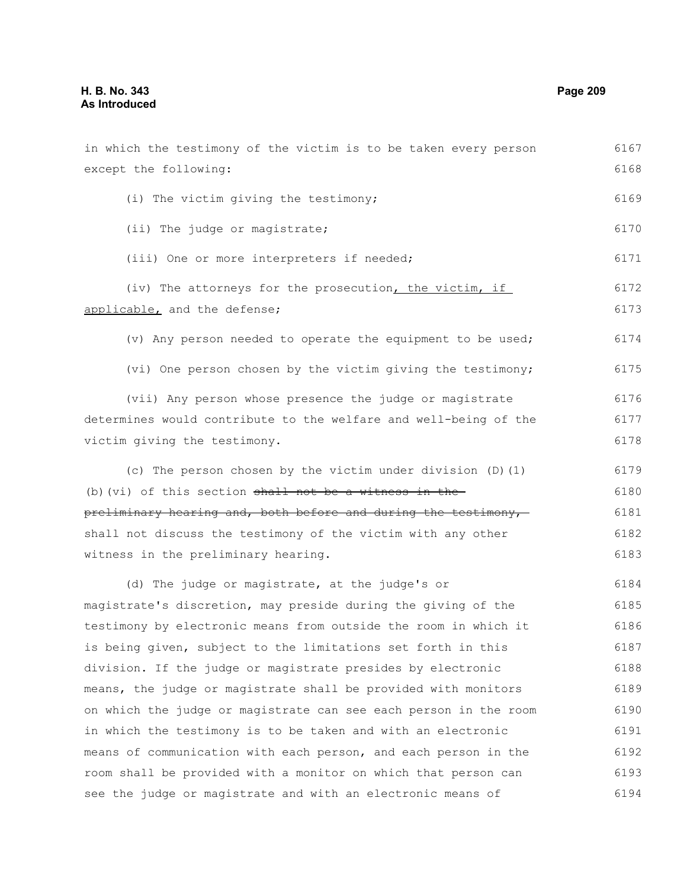| in which the testimony of the victim is to be taken every person | 6167 |
|------------------------------------------------------------------|------|
| except the following:                                            | 6168 |
| (i) The victim giving the testimony;                             | 6169 |
| (ii) The judge or magistrate;                                    | 6170 |
| (iii) One or more interpreters if needed;                        | 6171 |
| (iv) The attorneys for the prosecution, the victim, if           | 6172 |
| applicable, and the defense;                                     | 6173 |
| (v) Any person needed to operate the equipment to be used;       | 6174 |
| (vi) One person chosen by the victim giving the testimony;       | 6175 |
| (vii) Any person whose presence the judge or magistrate          | 6176 |
| determines would contribute to the welfare and well-being of the | 6177 |
| victim giving the testimony.                                     | 6178 |
| (c) The person chosen by the victim under division (D) (1)       | 6179 |
| (b) (vi) of this section shall not be a witness in the           | 6180 |
| preliminary hearing and, both before and during the testimony,   | 6181 |
| shall not discuss the testimony of the victim with any other     | 6182 |
| witness in the preliminary hearing.                              | 6183 |
| (d) The judge or magistrate, at the judge's or                   | 6184 |
| magistrate's discretion, may preside during the giving of the    | 6185 |
| testimony by electronic means from outside the room in which it  | 6186 |
| is being given, subject to the limitations set forth in this     | 6187 |
| division. If the judge or magistrate presides by electronic      | 6188 |
| means, the judge or magistrate shall be provided with monitors   | 6189 |
| on which the judge or magistrate can see each person in the room | 6190 |
| in which the testimony is to be taken and with an electronic     | 6191 |
| means of communication with each person, and each person in the  | 6192 |
| room shall be provided with a monitor on which that person can   | 6193 |
| see the judge or magistrate and with an electronic means of      | 6194 |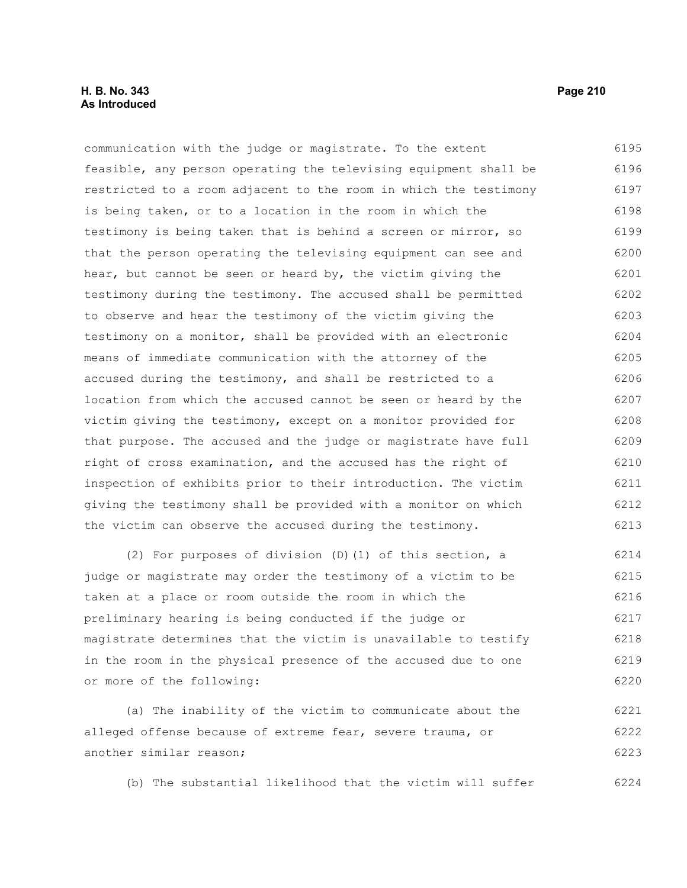### **H. B. No. 343 Page 210 As Introduced**

communication with the judge or magistrate. To the extent feasible, any person operating the televising equipment shall be restricted to a room adjacent to the room in which the testimony is being taken, or to a location in the room in which the testimony is being taken that is behind a screen or mirror, so that the person operating the televising equipment can see and hear, but cannot be seen or heard by, the victim giving the testimony during the testimony. The accused shall be permitted to observe and hear the testimony of the victim giving the testimony on a monitor, shall be provided with an electronic means of immediate communication with the attorney of the accused during the testimony, and shall be restricted to a location from which the accused cannot be seen or heard by the victim giving the testimony, except on a monitor provided for that purpose. The accused and the judge or magistrate have full right of cross examination, and the accused has the right of inspection of exhibits prior to their introduction. The victim giving the testimony shall be provided with a monitor on which the victim can observe the accused during the testimony. 6195 6196 6197 6198 6199 6200 6201 6202 6203 6204 6205 6206 6207 6208 6209 6210 6211 6212 6213

(2) For purposes of division (D)(1) of this section, a judge or magistrate may order the testimony of a victim to be taken at a place or room outside the room in which the preliminary hearing is being conducted if the judge or magistrate determines that the victim is unavailable to testify in the room in the physical presence of the accused due to one or more of the following: 6214 6215 6216 6217 6218 6219 6220

(a) The inability of the victim to communicate about the alleged offense because of extreme fear, severe trauma, or another similar reason; 6221 6222 6223

(b) The substantial likelihood that the victim will suffer 6224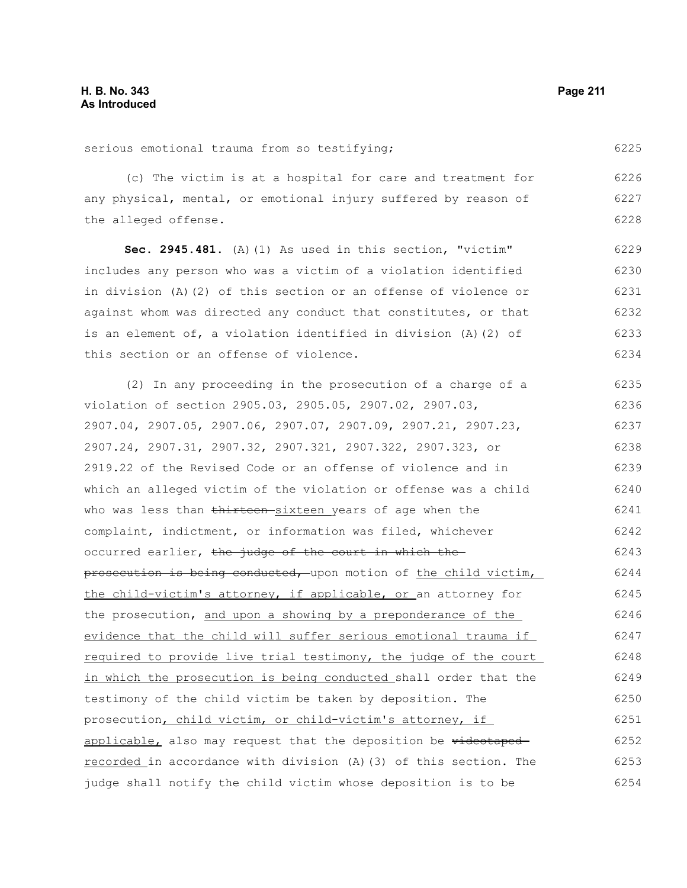6225

serious emotional trauma from so testifying;

(c) The victim is at a hospital for care and treatment for any physical, mental, or emotional injury suffered by reason of the alleged offense. 6226 6227 6228

**Sec. 2945.481.** (A)(1) As used in this section, "victim" includes any person who was a victim of a violation identified in division (A)(2) of this section or an offense of violence or against whom was directed any conduct that constitutes, or that is an element of, a violation identified in division (A)(2) of this section or an offense of violence. 6229 6230 6231 6232 6233 6234

(2) In any proceeding in the prosecution of a charge of a violation of section 2905.03, 2905.05, 2907.02, 2907.03, 2907.04, 2907.05, 2907.06, 2907.07, 2907.09, 2907.21, 2907.23, 2907.24, 2907.31, 2907.32, 2907.321, 2907.322, 2907.323, or 2919.22 of the Revised Code or an offense of violence and in which an alleged victim of the violation or offense was a child who was less than thirteen sixteen years of age when the complaint, indictment, or information was filed, whichever occurred earlier, the judge of the court in which theprosecution is being conducted, upon motion of the child victim, the child-victim's attorney, if applicable, or an attorney for the prosecution, and upon a showing by a preponderance of the evidence that the child will suffer serious emotional trauma if required to provide live trial testimony, the judge of the court in which the prosecution is being conducted shall order that the testimony of the child victim be taken by deposition. The prosecution, child victim, or child-victim's attorney, if applicable, also may request that the deposition be videotapedrecorded in accordance with division (A)(3) of this section. The judge shall notify the child victim whose deposition is to be 6235 6236 6237 6238 6239 6240 6241 6242 6243 6244 6245 6246 6247 6248 6249 6250 6251 6252 6253 6254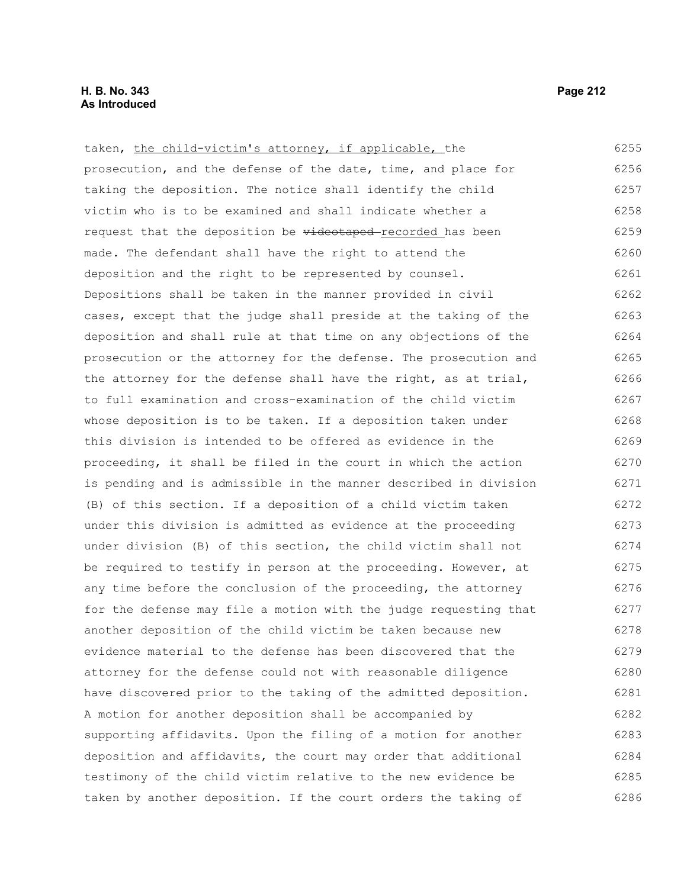#### **H. B. No. 343 Page 212 As Introduced**

taken, the child-victim's attorney, if applicable, the prosecution, and the defense of the date, time, and place for taking the deposition. The notice shall identify the child victim who is to be examined and shall indicate whether a request that the deposition be videotaped recorded has been made. The defendant shall have the right to attend the deposition and the right to be represented by counsel. Depositions shall be taken in the manner provided in civil cases, except that the judge shall preside at the taking of the deposition and shall rule at that time on any objections of the prosecution or the attorney for the defense. The prosecution and the attorney for the defense shall have the right, as at trial, to full examination and cross-examination of the child victim whose deposition is to be taken. If a deposition taken under this division is intended to be offered as evidence in the proceeding, it shall be filed in the court in which the action is pending and is admissible in the manner described in division (B) of this section. If a deposition of a child victim taken under this division is admitted as evidence at the proceeding under division (B) of this section, the child victim shall not be required to testify in person at the proceeding. However, at any time before the conclusion of the proceeding, the attorney for the defense may file a motion with the judge requesting that another deposition of the child victim be taken because new evidence material to the defense has been discovered that the attorney for the defense could not with reasonable diligence have discovered prior to the taking of the admitted deposition. A motion for another deposition shall be accompanied by supporting affidavits. Upon the filing of a motion for another deposition and affidavits, the court may order that additional testimony of the child victim relative to the new evidence be taken by another deposition. If the court orders the taking of 6255 6256 6257 6258 6259 6260 6261 6262 6263 6264 6265 6266 6267 6268 6269 6270 6271 6272 6273 6274 6275 6276 6277 6278 6279 6280 6281 6282 6283 6284 6285 6286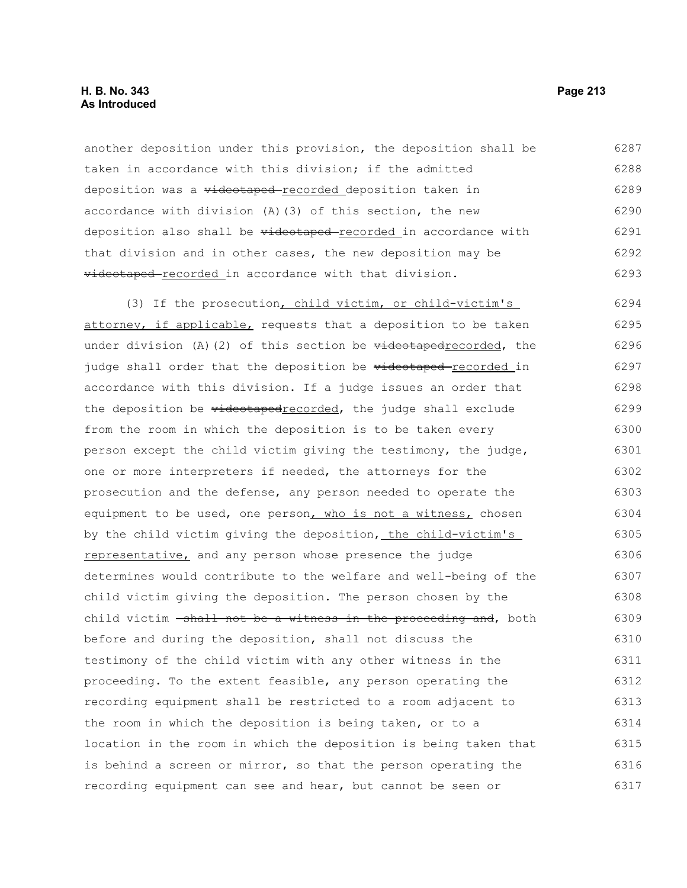### **H. B. No. 343 Page 213 As Introduced**

another deposition under this provision, the deposition shall be taken in accordance with this division; if the admitted deposition was a videotaped recorded deposition taken in accordance with division (A)(3) of this section, the new deposition also shall be videotaped recorded in accordance with that division and in other cases, the new deposition may be videotaped recorded in accordance with that division. 6287 6288 6289 6290 6291 6292 6293

(3) If the prosecution, child victim, or child-victim's attorney, if applicable, requests that a deposition to be taken under division (A)(2) of this section be videotapedrecorded, the judge shall order that the deposition be videotaped-recorded in accordance with this division. If a judge issues an order that the deposition be videotapedrecorded, the judge shall exclude from the room in which the deposition is to be taken every person except the child victim giving the testimony, the judge, one or more interpreters if needed, the attorneys for the prosecution and the defense, any person needed to operate the equipment to be used, one person, who is not a witness, chosen by the child victim giving the deposition, the child-victim's representative, and any person whose presence the judge determines would contribute to the welfare and well-being of the child victim giving the deposition. The person chosen by the child victim -shall not be a witness in the proceeding and, both before and during the deposition, shall not discuss the testimony of the child victim with any other witness in the proceeding. To the extent feasible, any person operating the recording equipment shall be restricted to a room adjacent to the room in which the deposition is being taken, or to a location in the room in which the deposition is being taken that is behind a screen or mirror, so that the person operating the recording equipment can see and hear, but cannot be seen or 6294 6295 6296 6297 6298 6299 6300 6301 6302 6303 6304 6305 6306 6307 6308 6309 6310 6311 6312 6313 6314 6315 6316 6317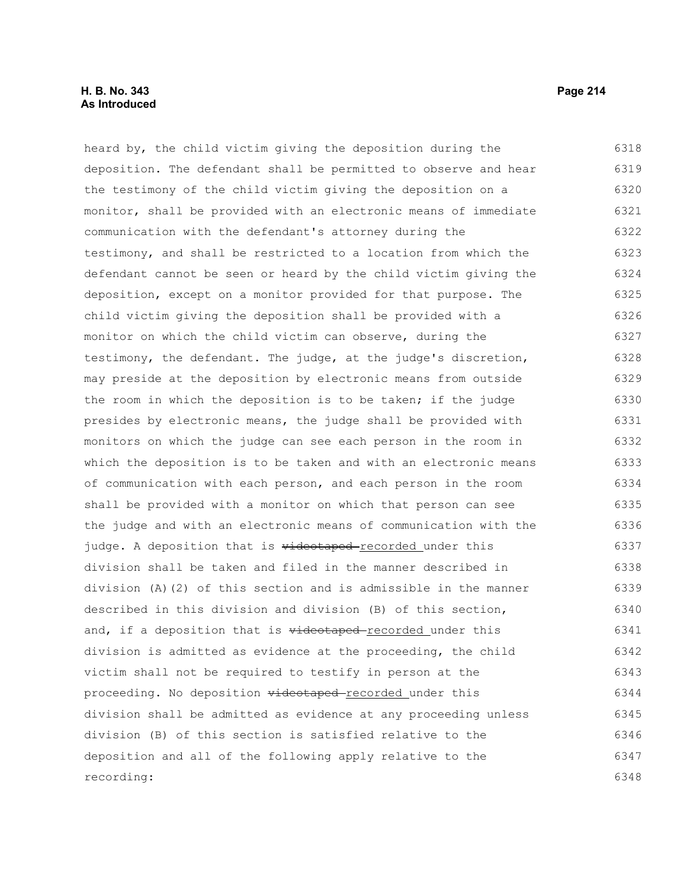#### **H. B. No. 343 Page 214 As Introduced**

heard by, the child victim giving the deposition during the deposition. The defendant shall be permitted to observe and hear the testimony of the child victim giving the deposition on a monitor, shall be provided with an electronic means of immediate communication with the defendant's attorney during the testimony, and shall be restricted to a location from which the defendant cannot be seen or heard by the child victim giving the deposition, except on a monitor provided for that purpose. The child victim giving the deposition shall be provided with a monitor on which the child victim can observe, during the testimony, the defendant. The judge, at the judge's discretion, may preside at the deposition by electronic means from outside the room in which the deposition is to be taken; if the judge presides by electronic means, the judge shall be provided with monitors on which the judge can see each person in the room in which the deposition is to be taken and with an electronic means of communication with each person, and each person in the room shall be provided with a monitor on which that person can see the judge and with an electronic means of communication with the judge. A deposition that is videotaped recorded under this division shall be taken and filed in the manner described in division (A)(2) of this section and is admissible in the manner described in this division and division (B) of this section, and, if a deposition that is videotaped-recorded under this division is admitted as evidence at the proceeding, the child victim shall not be required to testify in person at the proceeding. No deposition videotaped-recorded under this division shall be admitted as evidence at any proceeding unless division (B) of this section is satisfied relative to the deposition and all of the following apply relative to the recording: 6318 6319 6320 6321 6322 6323 6324 6325 6326 6327 6328 6329 6330 6331 6332 6333 6334 6335 6336 6337 6338 6339 6340 6341 6342 6343 6344 6345 6346 6347 6348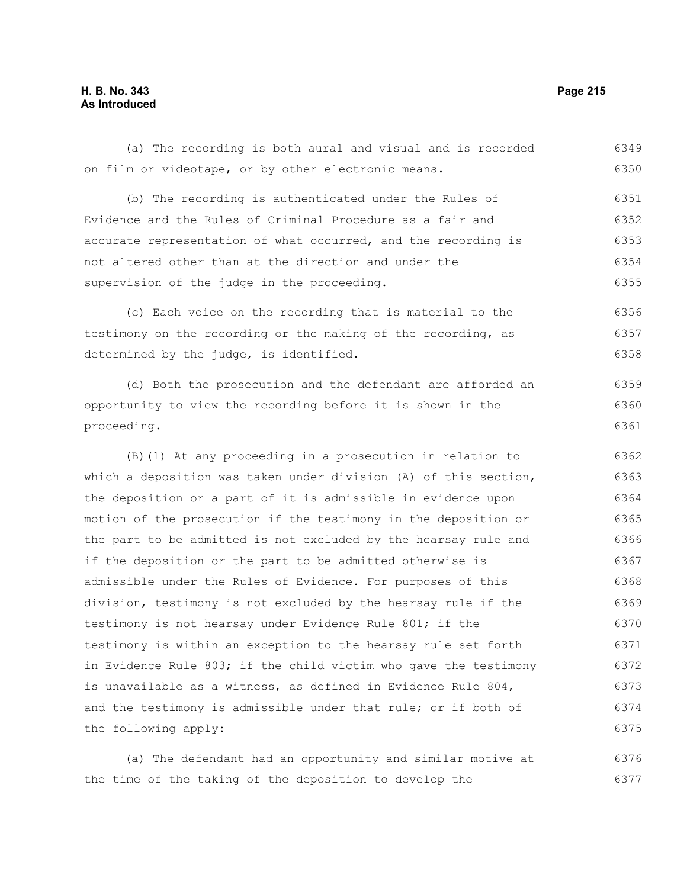# **H. B. No. 343 Page 215 As Introduced**

on film or videotape, or by other electronic means. (b) The recording is authenticated under the Rules of Evidence and the Rules of Criminal Procedure as a fair and accurate representation of what occurred, and the recording is not altered other than at the direction and under the supervision of the judge in the proceeding. (c) Each voice on the recording that is material to the testimony on the recording or the making of the recording, as determined by the judge, is identified. (d) Both the prosecution and the defendant are afforded an opportunity to view the recording before it is shown in the proceeding. 6350 6351 6352 6353 6354 6355 6356 6357 6358 6359 6360 6361

(a) The recording is both aural and visual and is recorded

(B)(1) At any proceeding in a prosecution in relation to which a deposition was taken under division (A) of this section, the deposition or a part of it is admissible in evidence upon motion of the prosecution if the testimony in the deposition or the part to be admitted is not excluded by the hearsay rule and if the deposition or the part to be admitted otherwise is admissible under the Rules of Evidence. For purposes of this division, testimony is not excluded by the hearsay rule if the testimony is not hearsay under Evidence Rule 801; if the testimony is within an exception to the hearsay rule set forth in Evidence Rule 803; if the child victim who gave the testimony is unavailable as a witness, as defined in Evidence Rule 804, and the testimony is admissible under that rule; or if both of the following apply: 6362 6363 6364 6365 6366 6367 6368 6369 6370 6371 6372 6373 6374 6375

(a) The defendant had an opportunity and similar motive at the time of the taking of the deposition to develop the 6376 6377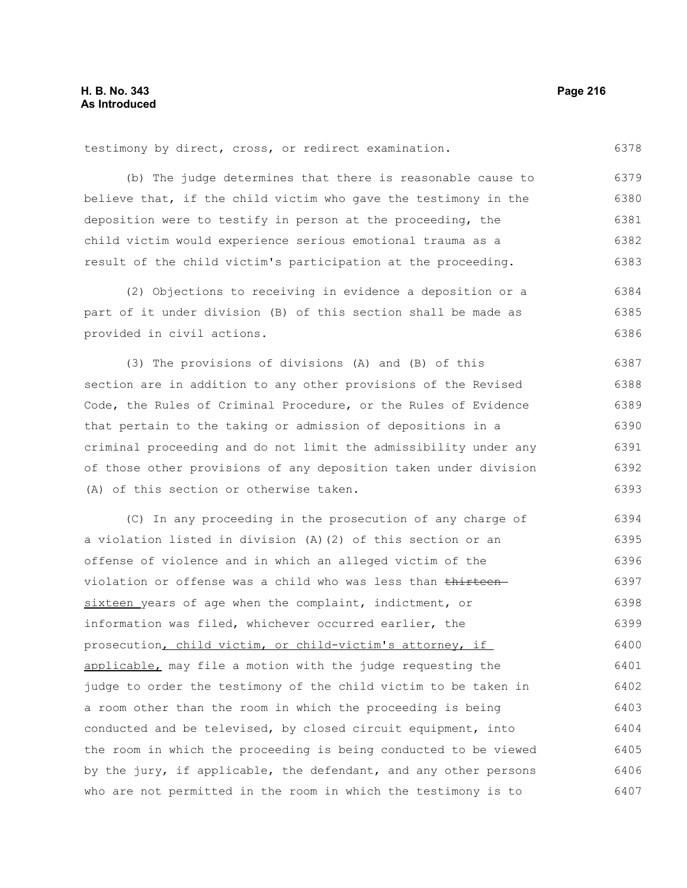testimony by direct, cross, or redirect examination.

(b) The judge determines that there is reasonable cause to believe that, if the child victim who gave the testimony in the deposition were to testify in person at the proceeding, the child victim would experience serious emotional trauma as a result of the child victim's participation at the proceeding. 6379 6380 6381 6382 6383

(2) Objections to receiving in evidence a deposition or a part of it under division (B) of this section shall be made as provided in civil actions. 6384 6385

(3) The provisions of divisions (A) and (B) of this section are in addition to any other provisions of the Revised Code, the Rules of Criminal Procedure, or the Rules of Evidence that pertain to the taking or admission of depositions in a criminal proceeding and do not limit the admissibility under any of those other provisions of any deposition taken under division (A) of this section or otherwise taken. 6387 6388 6389 6390 6391 6392 6393

(C) In any proceeding in the prosecution of any charge of a violation listed in division (A)(2) of this section or an offense of violence and in which an alleged victim of the violation or offense was a child who was less than thirteensixteen years of age when the complaint, indictment, or information was filed, whichever occurred earlier, the prosecution, child victim, or child-victim's attorney, if applicable, may file a motion with the judge requesting the judge to order the testimony of the child victim to be taken in a room other than the room in which the proceeding is being conducted and be televised, by closed circuit equipment, into the room in which the proceeding is being conducted to be viewed by the jury, if applicable, the defendant, and any other persons who are not permitted in the room in which the testimony is to 6394 6395 6396 6397 6398 6399 6400 6401 6402 6403 6404 6405 6406 6407

6386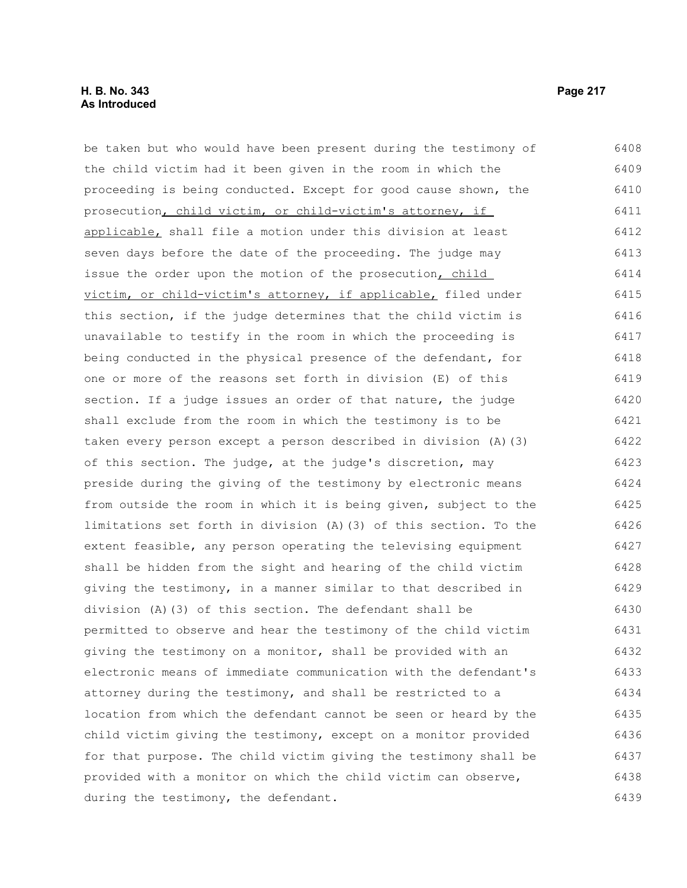# **H. B. No. 343 Page 217 As Introduced**

be taken but who would have been present during the testimony of the child victim had it been given in the room in which the proceeding is being conducted. Except for good cause shown, the prosecution, child victim, or child-victim's attorney, if applicable, shall file a motion under this division at least seven days before the date of the proceeding. The judge may issue the order upon the motion of the prosecution, child victim, or child-victim's attorney, if applicable, filed under this section, if the judge determines that the child victim is unavailable to testify in the room in which the proceeding is being conducted in the physical presence of the defendant, for one or more of the reasons set forth in division (E) of this section. If a judge issues an order of that nature, the judge shall exclude from the room in which the testimony is to be taken every person except a person described in division (A)(3) of this section. The judge, at the judge's discretion, may preside during the giving of the testimony by electronic means from outside the room in which it is being given, subject to the limitations set forth in division (A)(3) of this section. To the extent feasible, any person operating the televising equipment shall be hidden from the sight and hearing of the child victim giving the testimony, in a manner similar to that described in division (A)(3) of this section. The defendant shall be permitted to observe and hear the testimony of the child victim giving the testimony on a monitor, shall be provided with an electronic means of immediate communication with the defendant's attorney during the testimony, and shall be restricted to a location from which the defendant cannot be seen or heard by the child victim giving the testimony, except on a monitor provided for that purpose. The child victim giving the testimony shall be provided with a monitor on which the child victim can observe, 6408 6409 6410 6411 6412 6413 6414 6415 6416 6417 6418 6419 6420 6421 6422 6423 6424 6425 6426 6427 6428 6429 6430 6431 6432 6433 6434 6435 6436 6437 6438

during the testimony, the defendant.

6439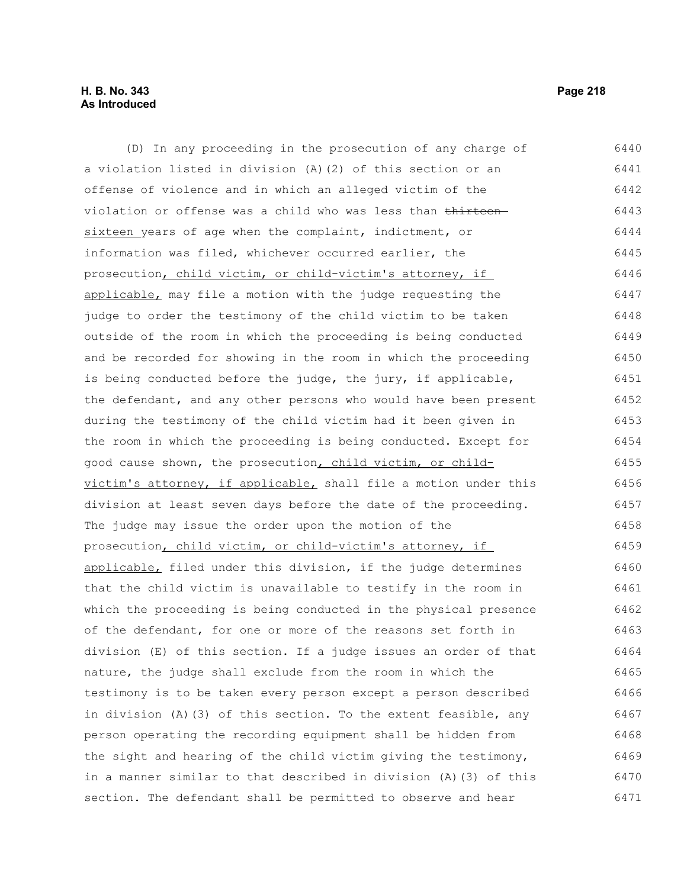# **H. B. No. 343 Page 218 As Introduced**

(D) In any proceeding in the prosecution of any charge of a violation listed in division (A)(2) of this section or an offense of violence and in which an alleged victim of the violation or offense was a child who was less than thirteensixteen years of age when the complaint, indictment, or information was filed, whichever occurred earlier, the prosecution, child victim, or child-victim's attorney, if applicable, may file a motion with the judge requesting the judge to order the testimony of the child victim to be taken outside of the room in which the proceeding is being conducted and be recorded for showing in the room in which the proceeding is being conducted before the judge, the jury, if applicable, the defendant, and any other persons who would have been present during the testimony of the child victim had it been given in the room in which the proceeding is being conducted. Except for good cause shown, the prosecution, child victim, or childvictim's attorney, if applicable, shall file a motion under this division at least seven days before the date of the proceeding. The judge may issue the order upon the motion of the prosecution, child victim, or child-victim's attorney, if applicable, filed under this division, if the judge determines that the child victim is unavailable to testify in the room in which the proceeding is being conducted in the physical presence of the defendant, for one or more of the reasons set forth in division (E) of this section. If a judge issues an order of that nature, the judge shall exclude from the room in which the testimony is to be taken every person except a person described in division (A)(3) of this section. To the extent feasible, any person operating the recording equipment shall be hidden from the sight and hearing of the child victim giving the testimony, in a manner similar to that described in division (A)(3) of this section. The defendant shall be permitted to observe and hear 6440 6441 6442 6443 6444 6445 6446 6447 6448 6449 6450 6451 6452 6453 6454 6455 6456 6457 6458 6459 6460 6461 6462 6463 6464 6465 6466 6467 6468 6469 6470 6471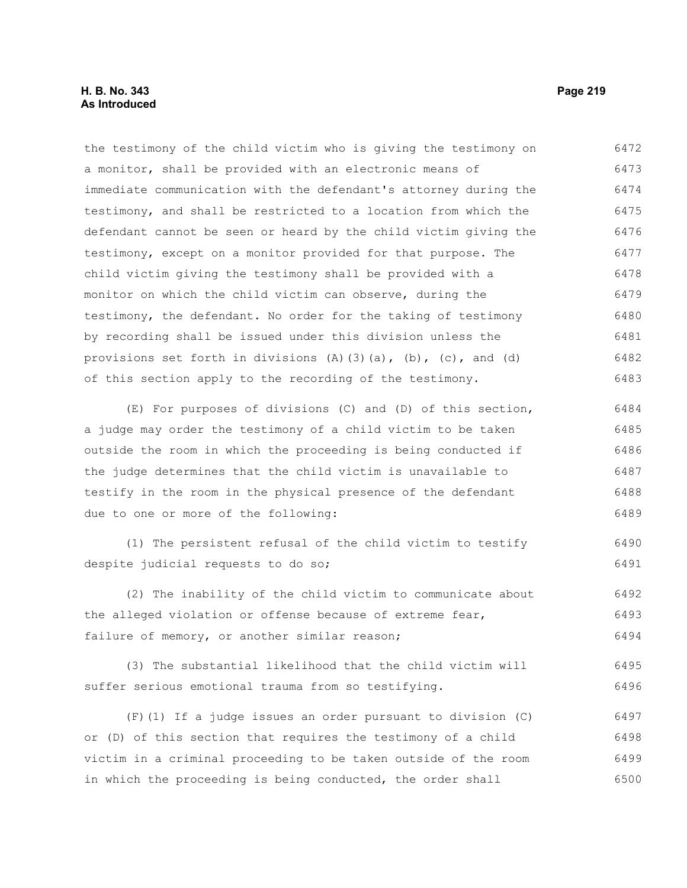# **H. B. No. 343 Page 219 As Introduced**

the testimony of the child victim who is giving the testimony on a monitor, shall be provided with an electronic means of immediate communication with the defendant's attorney during the testimony, and shall be restricted to a location from which the defendant cannot be seen or heard by the child victim giving the testimony, except on a monitor provided for that purpose. The child victim giving the testimony shall be provided with a monitor on which the child victim can observe, during the testimony, the defendant. No order for the taking of testimony by recording shall be issued under this division unless the provisions set forth in divisions  $(A)$   $(3)$   $(a)$ ,  $(b)$ ,  $(c)$ , and  $(d)$ of this section apply to the recording of the testimony. 6472 6473 6474 6475 6476 6477 6478 6479 6480 6481 6482 6483

(E) For purposes of divisions (C) and (D) of this section, a judge may order the testimony of a child victim to be taken outside the room in which the proceeding is being conducted if the judge determines that the child victim is unavailable to testify in the room in the physical presence of the defendant due to one or more of the following: 6484 6485 6486 6487 6488 6489

(1) The persistent refusal of the child victim to testify despite judicial requests to do so; 6490 6491

(2) The inability of the child victim to communicate about the alleged violation or offense because of extreme fear, failure of memory, or another similar reason; 6492 6493 6494

(3) The substantial likelihood that the child victim will suffer serious emotional trauma from so testifying. 6495 6496

(F)(1) If a judge issues an order pursuant to division (C) or (D) of this section that requires the testimony of a child victim in a criminal proceeding to be taken outside of the room in which the proceeding is being conducted, the order shall 6497 6498 6499 6500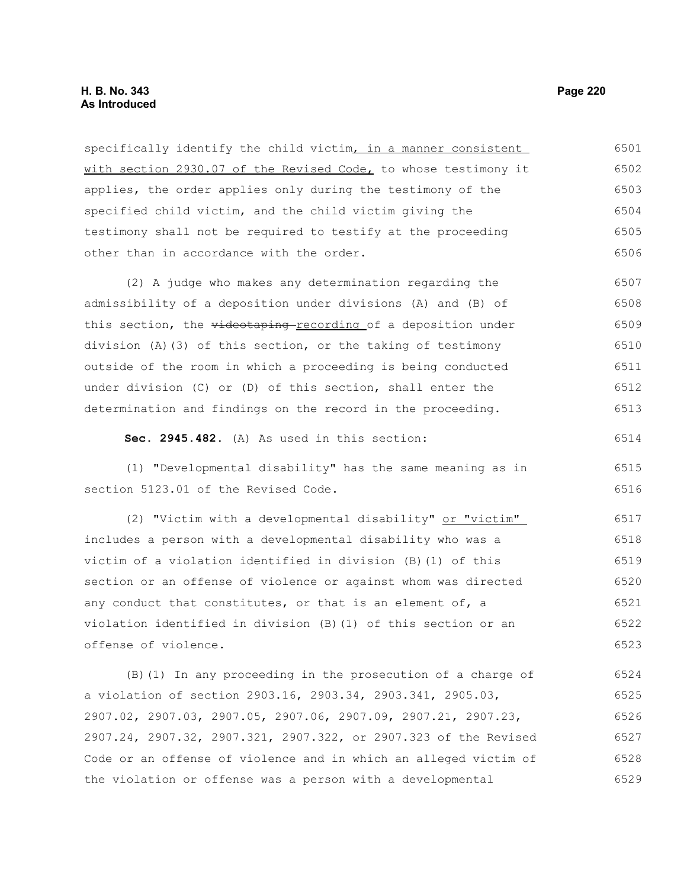specifically identify the child victim, in a manner consistent with section 2930.07 of the Revised Code, to whose testimony it applies, the order applies only during the testimony of the specified child victim, and the child victim giving the testimony shall not be required to testify at the proceeding other than in accordance with the order. 6501 6502 6503 6504 6505 6506

(2) A judge who makes any determination regarding the admissibility of a deposition under divisions (A) and (B) of this section, the videotaping recording of a deposition under division (A)(3) of this section, or the taking of testimony outside of the room in which a proceeding is being conducted under division (C) or (D) of this section, shall enter the determination and findings on the record in the proceeding. 6507 6508 6509 6510 6511 6512 6513

**Sec. 2945.482.** (A) As used in this section:

(1) "Developmental disability" has the same meaning as in section 5123.01 of the Revised Code. 6515 6516

(2) "Victim with a developmental disability" or "victim" includes a person with a developmental disability who was a victim of a violation identified in division (B)(1) of this section or an offense of violence or against whom was directed any conduct that constitutes, or that is an element of, a violation identified in division (B)(1) of this section or an offense of violence. 6517 6518 6519 6520 6521 6522 6523

(B)(1) In any proceeding in the prosecution of a charge of a violation of section 2903.16, 2903.34, 2903.341, 2905.03, 2907.02, 2907.03, 2907.05, 2907.06, 2907.09, 2907.21, 2907.23, 2907.24, 2907.32, 2907.321, 2907.322, or 2907.323 of the Revised Code or an offense of violence and in which an alleged victim of the violation or offense was a person with a developmental 6524 6525 6526 6527 6528 6529

6514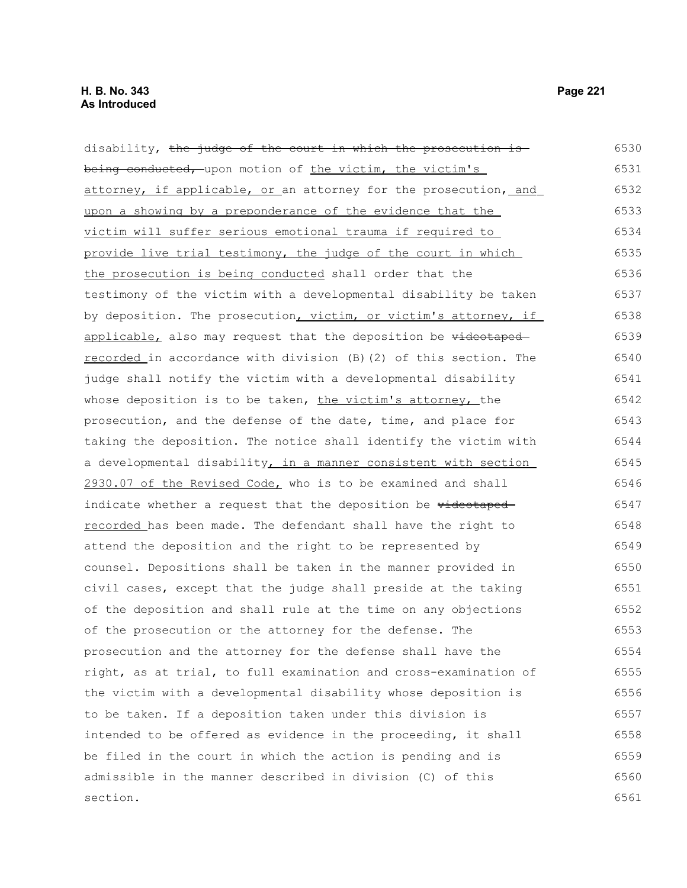| disability, the judge of the court in which the prosecution is    | 6530 |
|-------------------------------------------------------------------|------|
| being conducted, upon motion of the victim, the victim's          | 6531 |
| attorney, if applicable, or an attorney for the prosecution, and  | 6532 |
| upon a showing by a preponderance of the evidence that the        | 6533 |
| victim will suffer serious emotional trauma if required to        | 6534 |
| provide live trial testimony, the judge of the court in which     | 6535 |
| the prosecution is being conducted shall order that the           | 6536 |
| testimony of the victim with a developmental disability be taken  | 6537 |
| by deposition. The prosecution, victim, or victim's attorney, if  | 6538 |
| applicable, also may request that the deposition be videotaped-   | 6539 |
| recorded in accordance with division (B) (2) of this section. The | 6540 |
| judge shall notify the victim with a developmental disability     | 6541 |
| whose deposition is to be taken, the victim's attorney, the       | 6542 |
| prosecution, and the defense of the date, time, and place for     | 6543 |
| taking the deposition. The notice shall identify the victim with  | 6544 |
| a developmental disability, in a manner consistent with section   | 6545 |
| 2930.07 of the Revised Code, who is to be examined and shall      | 6546 |
| indicate whether a request that the deposition be videotaped      | 6547 |
| recorded has been made. The defendant shall have the right to     | 6548 |
| attend the deposition and the right to be represented by          | 6549 |
| counsel. Depositions shall be taken in the manner provided in     | 6550 |
| civil cases, except that the judge shall preside at the taking    | 6551 |
| of the deposition and shall rule at the time on any objections    | 6552 |
| of the prosecution or the attorney for the defense. The           | 6553 |
| prosecution and the attorney for the defense shall have the       | 6554 |
| right, as at trial, to full examination and cross-examination of  | 6555 |
| the victim with a developmental disability whose deposition is    | 6556 |
| to be taken. If a deposition taken under this division is         | 6557 |
| intended to be offered as evidence in the proceeding, it shall    | 6558 |
| be filed in the court in which the action is pending and is       | 6559 |
| admissible in the manner described in division (C) of this        | 6560 |
| section.                                                          | 6561 |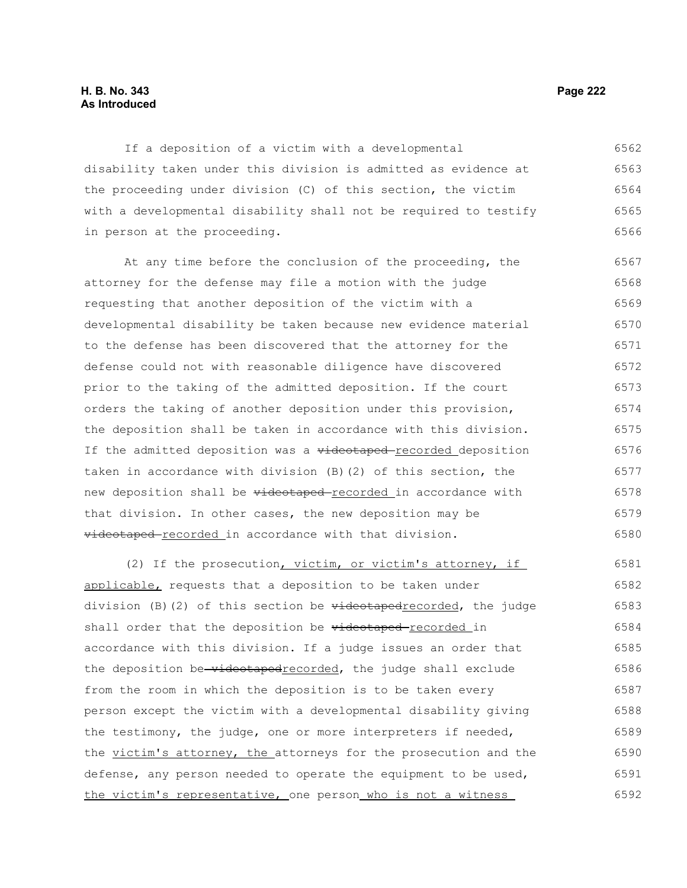# **H. B. No. 343 Page 222 As Introduced**

If a deposition of a victim with a developmental disability taken under this division is admitted as evidence at the proceeding under division (C) of this section, the victim with a developmental disability shall not be required to testify in person at the proceeding. 6562 6563 6564 6565 6566

At any time before the conclusion of the proceeding, the attorney for the defense may file a motion with the judge requesting that another deposition of the victim with a developmental disability be taken because new evidence material to the defense has been discovered that the attorney for the defense could not with reasonable diligence have discovered prior to the taking of the admitted deposition. If the court orders the taking of another deposition under this provision, the deposition shall be taken in accordance with this division. If the admitted deposition was a videotaped-recorded deposition taken in accordance with division (B)(2) of this section, the new deposition shall be videotaped recorded in accordance with that division. In other cases, the new deposition may be videotaped recorded in accordance with that division. 6567 6568 6569 6570 6571 6572 6573 6574 6575 6576 6577 6578 6579 6580

(2) If the prosecution, victim, or victim's attorney, if applicable, requests that a deposition to be taken under division (B)(2) of this section be videotapedrecorded, the judge shall order that the deposition be videotaped recorded in accordance with this division. If a judge issues an order that the deposition be-videotapedrecorded, the judge shall exclude from the room in which the deposition is to be taken every person except the victim with a developmental disability giving the testimony, the judge, one or more interpreters if needed, the victim's attorney, the attorneys for the prosecution and the defense, any person needed to operate the equipment to be used, the victim's representative, one person who is not a witness 6581 6582 6583 6584 6585 6586 6587 6588 6589 6590 6591 6592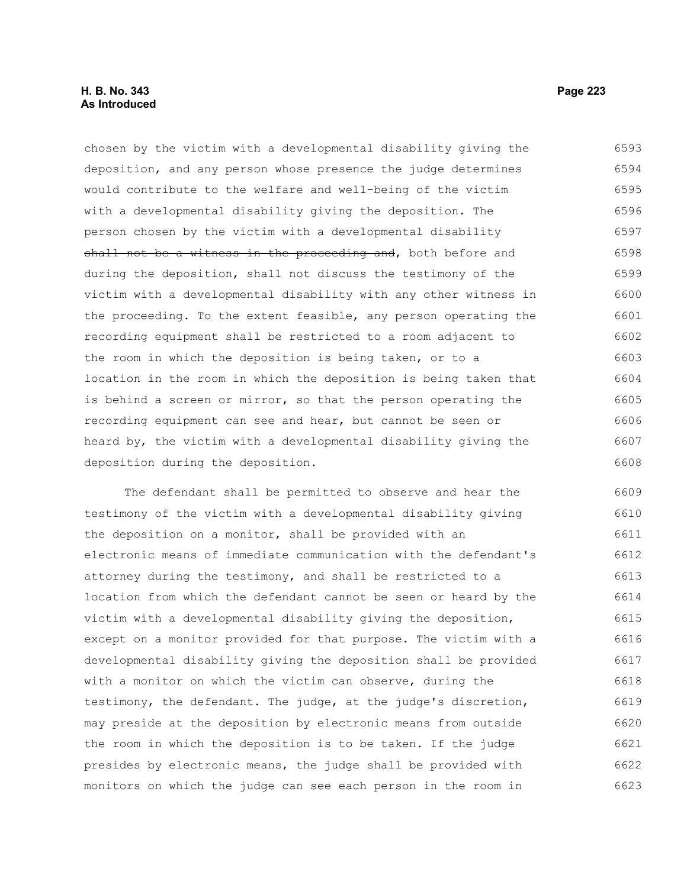# **H. B. No. 343 Page 223 As Introduced**

chosen by the victim with a developmental disability giving the deposition, and any person whose presence the judge determines would contribute to the welfare and well-being of the victim with a developmental disability giving the deposition. The person chosen by the victim with a developmental disability shall not be a witness in the proceeding and, both before and during the deposition, shall not discuss the testimony of the victim with a developmental disability with any other witness in the proceeding. To the extent feasible, any person operating the recording equipment shall be restricted to a room adjacent to the room in which the deposition is being taken, or to a location in the room in which the deposition is being taken that is behind a screen or mirror, so that the person operating the recording equipment can see and hear, but cannot be seen or heard by, the victim with a developmental disability giving the deposition during the deposition. 6593 6594 6595 6596 6597 6598 6599 6600 6601 6602 6603 6604 6605 6606 6607 6608

The defendant shall be permitted to observe and hear the testimony of the victim with a developmental disability giving the deposition on a monitor, shall be provided with an electronic means of immediate communication with the defendant's attorney during the testimony, and shall be restricted to a location from which the defendant cannot be seen or heard by the victim with a developmental disability giving the deposition, except on a monitor provided for that purpose. The victim with a developmental disability giving the deposition shall be provided with a monitor on which the victim can observe, during the testimony, the defendant. The judge, at the judge's discretion, may preside at the deposition by electronic means from outside the room in which the deposition is to be taken. If the judge presides by electronic means, the judge shall be provided with monitors on which the judge can see each person in the room in 6609 6610 6611 6612 6613 6614 6615 6616 6617 6618 6619 6620 6621 6622 6623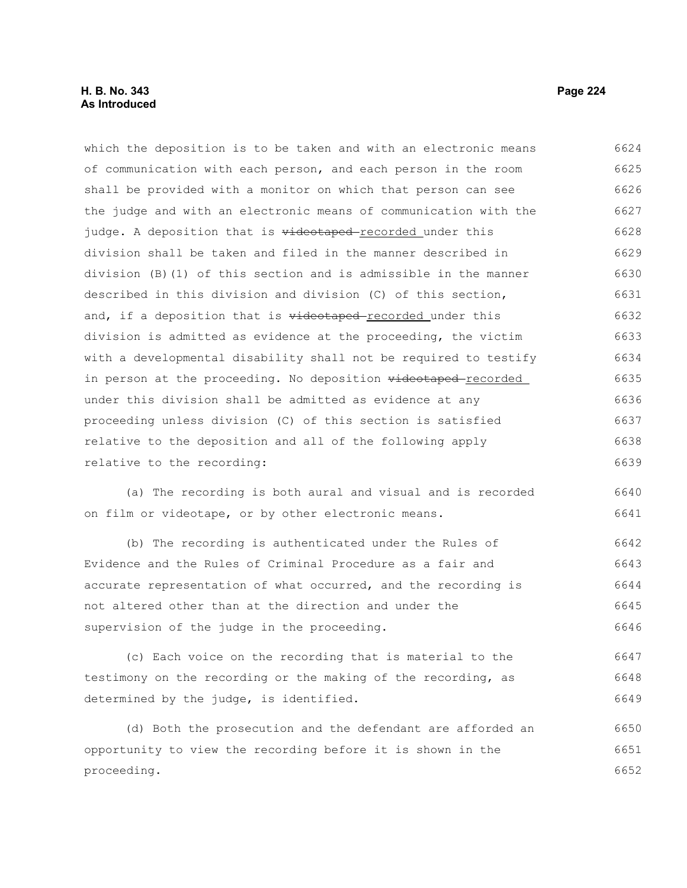which the deposition is to be taken and with an electronic means of communication with each person, and each person in the room shall be provided with a monitor on which that person can see the judge and with an electronic means of communication with the judge. A deposition that is videotaped recorded under this division shall be taken and filed in the manner described in division (B)(1) of this section and is admissible in the manner described in this division and division (C) of this section, and, if a deposition that is videotaped-recorded under this division is admitted as evidence at the proceeding, the victim with a developmental disability shall not be required to testify in person at the proceeding. No deposition videotaped recorded under this division shall be admitted as evidence at any proceeding unless division (C) of this section is satisfied relative to the deposition and all of the following apply relative to the recording: 6624 6625 6626 6627 6628 6629 6630 6631 6632 6633 6634 6635 6636 6637 6638 6639

(a) The recording is both aural and visual and is recorded on film or videotape, or by other electronic means. 6640 6641

(b) The recording is authenticated under the Rules of Evidence and the Rules of Criminal Procedure as a fair and accurate representation of what occurred, and the recording is not altered other than at the direction and under the supervision of the judge in the proceeding. 6642 6643 6644 6645 6646

(c) Each voice on the recording that is material to the testimony on the recording or the making of the recording, as determined by the judge, is identified. 6647 6648 6649

(d) Both the prosecution and the defendant are afforded an opportunity to view the recording before it is shown in the proceeding. 6650 6651 6652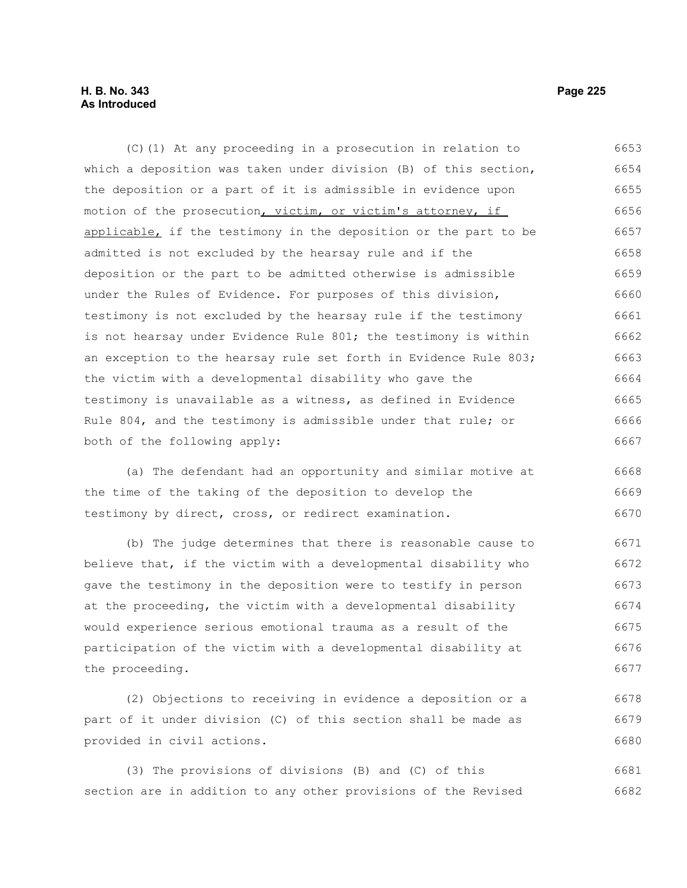# **H. B. No. 343 Page 225 As Introduced**

(C)(1) At any proceeding in a prosecution in relation to which a deposition was taken under division (B) of this section, the deposition or a part of it is admissible in evidence upon motion of the prosecution, victim, or victim's attorney, if applicable, if the testimony in the deposition or the part to be admitted is not excluded by the hearsay rule and if the deposition or the part to be admitted otherwise is admissible under the Rules of Evidence. For purposes of this division, testimony is not excluded by the hearsay rule if the testimony is not hearsay under Evidence Rule 801; the testimony is within an exception to the hearsay rule set forth in Evidence Rule 803; the victim with a developmental disability who gave the testimony is unavailable as a witness, as defined in Evidence Rule 804, and the testimony is admissible under that rule; or both of the following apply: 6653 6654 6655 6656 6657 6658 6659 6660 6661 6662 6663 6664 6665 6666 6667

(a) The defendant had an opportunity and similar motive at the time of the taking of the deposition to develop the testimony by direct, cross, or redirect examination. 6668 6669 6670

(b) The judge determines that there is reasonable cause to believe that, if the victim with a developmental disability who gave the testimony in the deposition were to testify in person at the proceeding, the victim with a developmental disability would experience serious emotional trauma as a result of the participation of the victim with a developmental disability at the proceeding. 6671 6672 6673 6674 6675 6676 6677

(2) Objections to receiving in evidence a deposition or a part of it under division (C) of this section shall be made as provided in civil actions. 6678 6679 6680

(3) The provisions of divisions (B) and (C) of this section are in addition to any other provisions of the Revised 6681 6682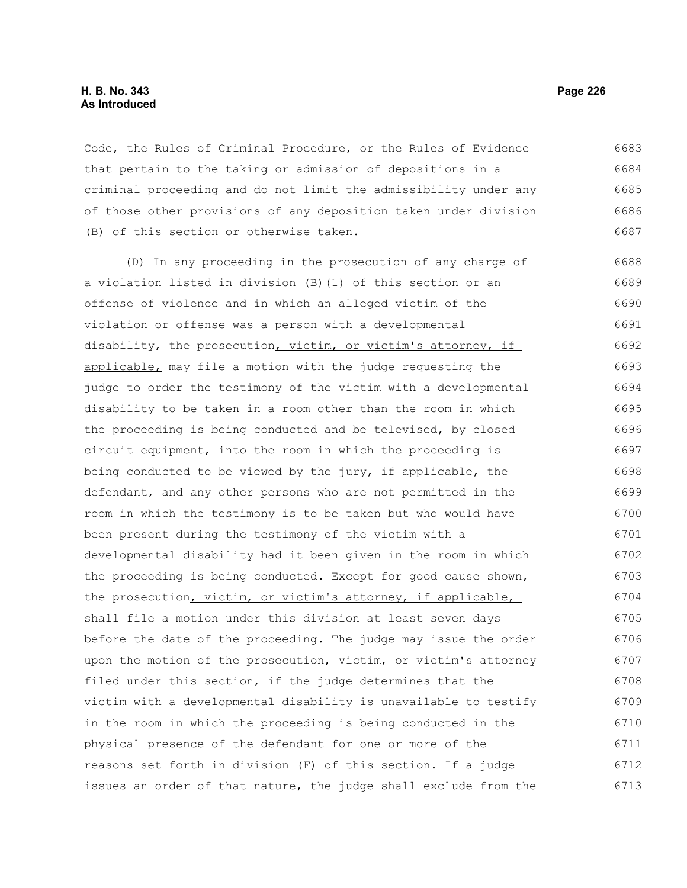# **H. B. No. 343 Page 226 As Introduced**

Code, the Rules of Criminal Procedure, or the Rules of Evidence that pertain to the taking or admission of depositions in a criminal proceeding and do not limit the admissibility under any of those other provisions of any deposition taken under division (B) of this section or otherwise taken. 6683 6684 6685 6686 6687

(D) In any proceeding in the prosecution of any charge of a violation listed in division (B)(1) of this section or an offense of violence and in which an alleged victim of the violation or offense was a person with a developmental disability, the prosecution, victim, or victim's attorney, if applicable, may file a motion with the judge requesting the judge to order the testimony of the victim with a developmental disability to be taken in a room other than the room in which the proceeding is being conducted and be televised, by closed circuit equipment, into the room in which the proceeding is being conducted to be viewed by the jury, if applicable, the defendant, and any other persons who are not permitted in the room in which the testimony is to be taken but who would have been present during the testimony of the victim with a developmental disability had it been given in the room in which the proceeding is being conducted. Except for good cause shown, the prosecution, victim, or victim's attorney, if applicable, shall file a motion under this division at least seven days before the date of the proceeding. The judge may issue the order upon the motion of the prosecution, victim, or victim's attorney filed under this section, if the judge determines that the victim with a developmental disability is unavailable to testify in the room in which the proceeding is being conducted in the physical presence of the defendant for one or more of the reasons set forth in division (F) of this section. If a judge issues an order of that nature, the judge shall exclude from the 6688 6689 6690 6691 6692 6693 6694 6695 6696 6697 6698 6699 6700 6701 6702 6703 6704 6705 6706 6707 6708 6709 6710 6711 6712 6713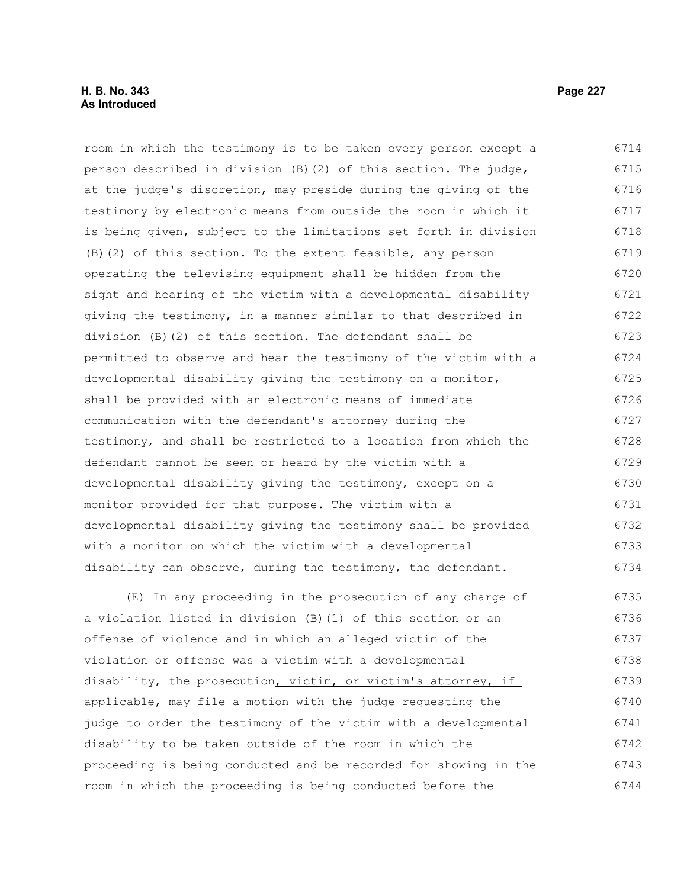# **H. B. No. 343 Page 227 As Introduced**

room in which the testimony is to be taken every person except a person described in division (B)(2) of this section. The judge, at the judge's discretion, may preside during the giving of the testimony by electronic means from outside the room in which it is being given, subject to the limitations set forth in division (B)(2) of this section. To the extent feasible, any person operating the televising equipment shall be hidden from the sight and hearing of the victim with a developmental disability giving the testimony, in a manner similar to that described in division (B)(2) of this section. The defendant shall be permitted to observe and hear the testimony of the victim with a developmental disability giving the testimony on a monitor, shall be provided with an electronic means of immediate communication with the defendant's attorney during the testimony, and shall be restricted to a location from which the defendant cannot be seen or heard by the victim with a developmental disability giving the testimony, except on a monitor provided for that purpose. The victim with a developmental disability giving the testimony shall be provided with a monitor on which the victim with a developmental disability can observe, during the testimony, the defendant. 6714 6715 6716 6717 6718 6719 6720 6721 6722 6723 6724 6725 6726 6727 6728 6729 6730 6731 6732 6733 6734

(E) In any proceeding in the prosecution of any charge of a violation listed in division (B)(1) of this section or an offense of violence and in which an alleged victim of the violation or offense was a victim with a developmental disability, the prosecution, victim, or victim's attorney, if applicable, may file a motion with the judge requesting the judge to order the testimony of the victim with a developmental disability to be taken outside of the room in which the proceeding is being conducted and be recorded for showing in the room in which the proceeding is being conducted before the 6735 6736 6737 6738 6739 6740 6741 6742 6743 6744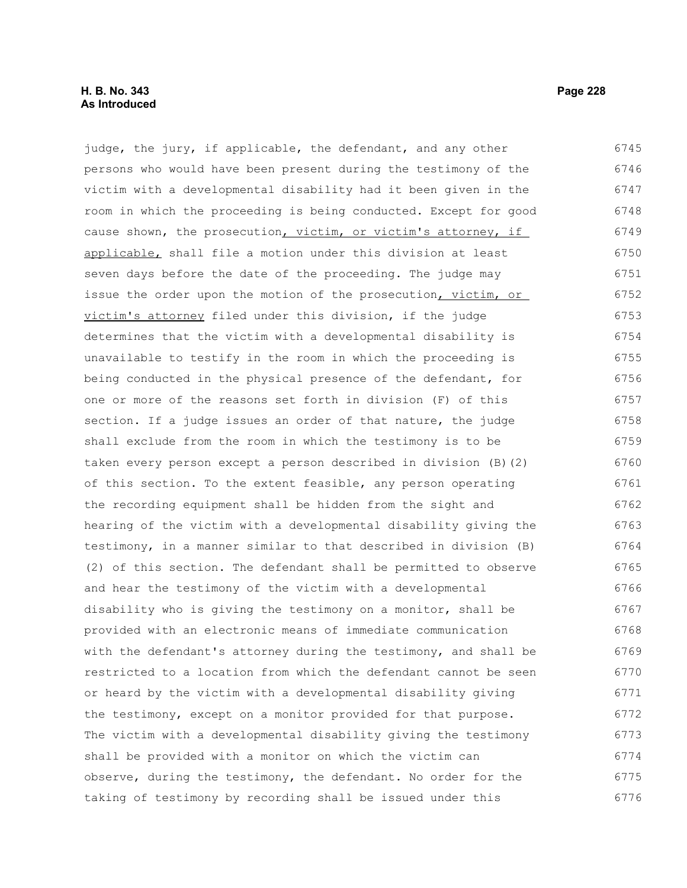# **H. B. No. 343 Page 228 As Introduced**

judge, the jury, if applicable, the defendant, and any other persons who would have been present during the testimony of the victim with a developmental disability had it been given in the room in which the proceeding is being conducted. Except for good cause shown, the prosecution, victim, or victim's attorney, if applicable, shall file a motion under this division at least seven days before the date of the proceeding. The judge may issue the order upon the motion of the prosecution, victim, or victim's attorney filed under this division, if the judge determines that the victim with a developmental disability is unavailable to testify in the room in which the proceeding is being conducted in the physical presence of the defendant, for one or more of the reasons set forth in division (F) of this section. If a judge issues an order of that nature, the judge shall exclude from the room in which the testimony is to be taken every person except a person described in division (B)(2) of this section. To the extent feasible, any person operating the recording equipment shall be hidden from the sight and hearing of the victim with a developmental disability giving the testimony, in a manner similar to that described in division (B) (2) of this section. The defendant shall be permitted to observe and hear the testimony of the victim with a developmental disability who is giving the testimony on a monitor, shall be provided with an electronic means of immediate communication with the defendant's attorney during the testimony, and shall be restricted to a location from which the defendant cannot be seen or heard by the victim with a developmental disability giving the testimony, except on a monitor provided for that purpose. The victim with a developmental disability giving the testimony shall be provided with a monitor on which the victim can observe, during the testimony, the defendant. No order for the taking of testimony by recording shall be issued under this 6745 6746 6747 6748 6749 6750 6751 6752 6753 6754 6755 6756 6757 6758 6759 6760 6761 6762 6763 6764 6765 6766 6767 6768 6769 6770 6771 6772 6773 6774 6775 6776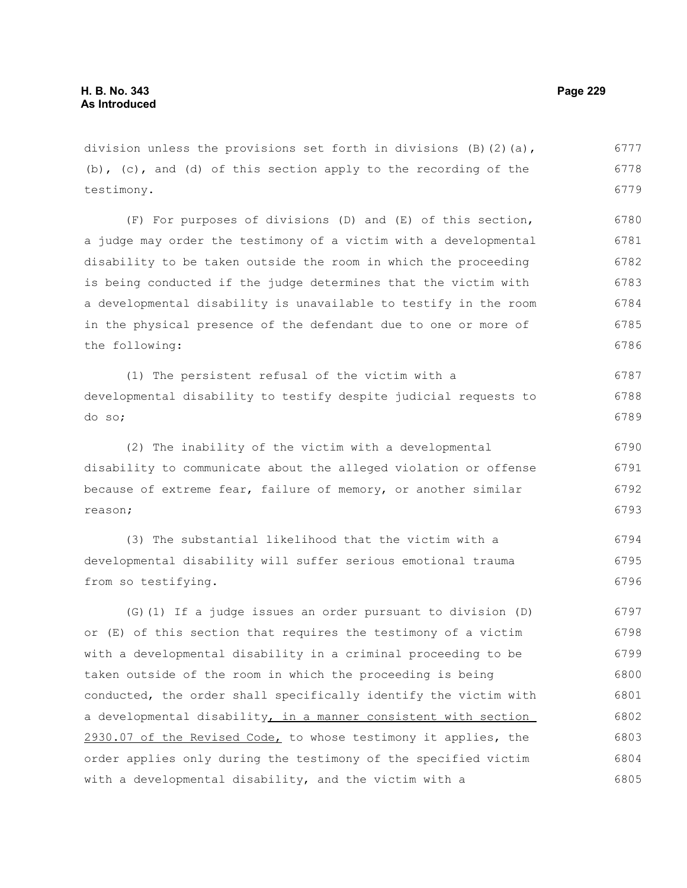division unless the provisions set forth in divisions  $(B)(2)(a)$ , (b), (c), and (d) of this section apply to the recording of the testimony. 6777 6778 6779

(F) For purposes of divisions (D) and (E) of this section, a judge may order the testimony of a victim with a developmental disability to be taken outside the room in which the proceeding is being conducted if the judge determines that the victim with a developmental disability is unavailable to testify in the room in the physical presence of the defendant due to one or more of the following: 6780 6781 6782 6783 6784 6785 6786

(1) The persistent refusal of the victim with a developmental disability to testify despite judicial requests to do so; 6787 6788 6789

(2) The inability of the victim with a developmental disability to communicate about the alleged violation or offense because of extreme fear, failure of memory, or another similar reason; 6790 6791 6792 6793

(3) The substantial likelihood that the victim with a developmental disability will suffer serious emotional trauma from so testifying. 6794 6795 6796

(G)(1) If a judge issues an order pursuant to division (D) or (E) of this section that requires the testimony of a victim with a developmental disability in a criminal proceeding to be taken outside of the room in which the proceeding is being conducted, the order shall specifically identify the victim with a developmental disability, in a manner consistent with section 2930.07 of the Revised Code, to whose testimony it applies, the order applies only during the testimony of the specified victim with a developmental disability, and the victim with a 6797 6798 6799 6800 6801 6802 6803 6804 6805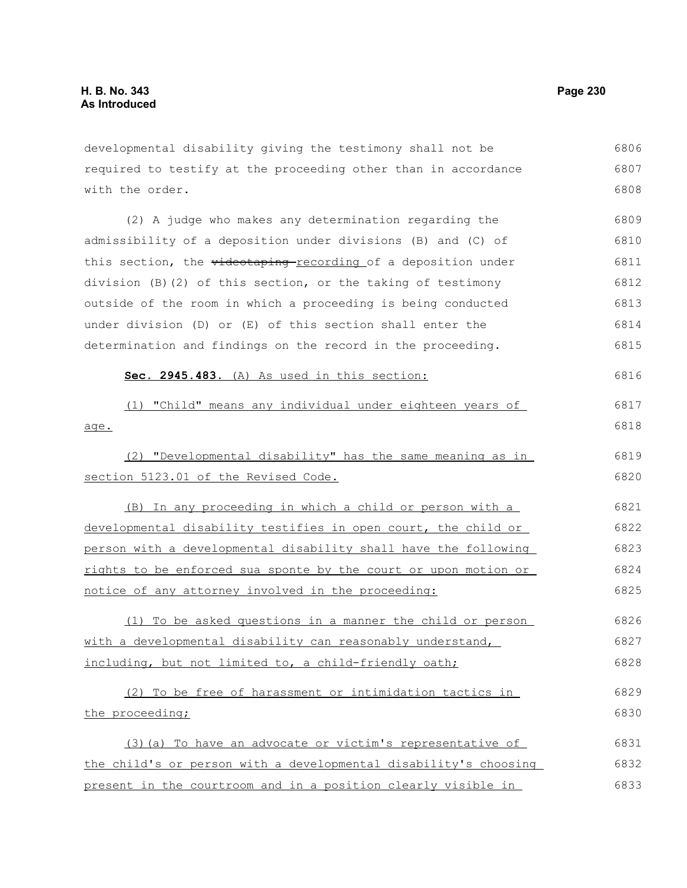| developmental disability giving the testimony shall not be       | 6806 |  |  |  |  |
|------------------------------------------------------------------|------|--|--|--|--|
| required to testify at the proceeding other than in accordance   | 6807 |  |  |  |  |
| with the order.                                                  | 6808 |  |  |  |  |
| (2) A judge who makes any determination regarding the            | 6809 |  |  |  |  |
| admissibility of a deposition under divisions (B) and (C) of     | 6810 |  |  |  |  |
| this section, the videotaping-recording of a deposition under    | 6811 |  |  |  |  |
| division (B) (2) of this section, or the taking of testimony     | 6812 |  |  |  |  |
| outside of the room in which a proceeding is being conducted     | 6813 |  |  |  |  |
| under division (D) or (E) of this section shall enter the        |      |  |  |  |  |
| determination and findings on the record in the proceeding.      | 6815 |  |  |  |  |
| Sec. 2945.483. (A) As used in this section:                      | 6816 |  |  |  |  |
| (1) "Child" means any individual under eighteen years of         | 6817 |  |  |  |  |
| age.                                                             | 6818 |  |  |  |  |
| (2) "Developmental disability" has the same meaning as in        | 6819 |  |  |  |  |
| section 5123.01 of the Revised Code.                             | 6820 |  |  |  |  |
| (B) In any proceeding in which a child or person with a          | 6821 |  |  |  |  |
| developmental disability testifies in open court, the child or   | 6822 |  |  |  |  |
| person with a developmental disability shall have the following  | 6823 |  |  |  |  |
| rights to be enforced sua sponte by the court or upon motion or  | 6824 |  |  |  |  |
| notice of any attorney involved in the proceeding:               | 6825 |  |  |  |  |
| To be asked questions in a manner the child or person<br>(1)     | 6826 |  |  |  |  |
| with a developmental disability can reasonably understand,       | 6827 |  |  |  |  |
| including, but not limited to, a child-friendly oath;            | 6828 |  |  |  |  |
| (2) To be free of harassment or intimidation tactics in          | 6829 |  |  |  |  |
| the proceeding;                                                  | 6830 |  |  |  |  |
| (3) (a) To have an advocate or victim's representative of        | 6831 |  |  |  |  |
| the child's or person with a developmental disability's choosing | 6832 |  |  |  |  |
| present in the courtroom and in a position clearly visible in    | 6833 |  |  |  |  |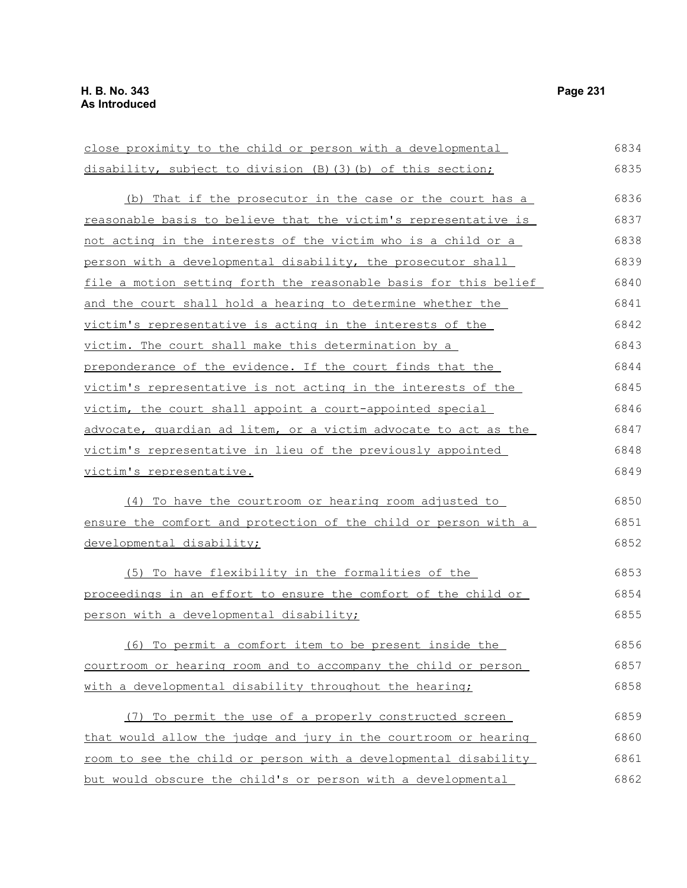close proximity to the child or person with a developmental disability, subject to division (B)(3)(b) of this section; (b) That if the prosecutor in the case or the court has a reasonable basis to believe that the victim's representative is not acting in the interests of the victim who is a child or a person with a developmental disability, the prosecutor shall file a motion setting forth the reasonable basis for this belief and the court shall hold a hearing to determine whether the victim's representative is acting in the interests of the victim. The court shall make this determination by a preponderance of the evidence. If the court finds that the victim's representative is not acting in the interests of the victim, the court shall appoint a court-appointed special advocate, guardian ad litem, or a victim advocate to act as the victim's representative in lieu of the previously appointed victim's representative. (4) To have the courtroom or hearing room adjusted to ensure the comfort and protection of the child or person with a developmental disability; (5) To have flexibility in the formalities of the proceedings in an effort to ensure the comfort of the child or person with a developmental disability; (6) To permit a comfort item to be present inside the courtroom or hearing room and to accompany the child or person with a developmental disability throughout the hearing; (7) To permit the use of a properly constructed screen that would allow the judge and jury in the courtroom or hearing room to see the child or person with a developmental disability 6834 6835 6836 6837 6838 6839 6840 6841 6842 6843 6844 6845 6846 6847 6848 6849 6850 6851 6852 6853 6854 6855 6856 6857 6858 6859 6860 6861

but would obscure the child's or person with a developmental

6862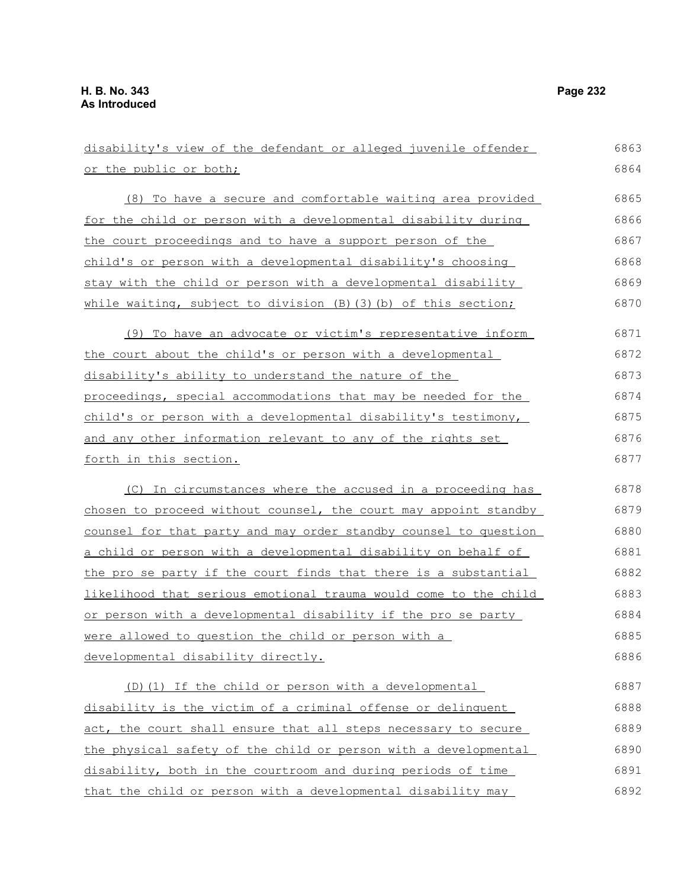| disability's view of the defendant or alleged juvenile offender       | 6863 |
|-----------------------------------------------------------------------|------|
| or the public or both;                                                | 6864 |
| (8) To have a secure and comfortable waiting area provided            | 6865 |
| for the child or person with a developmental disability during        | 6866 |
| the court proceedings and to have a support person of the             | 6867 |
| child's or person with a developmental disability's choosing          | 6868 |
| stay with the child or person with a developmental disability         | 6869 |
| while waiting, subject to division (B) (3) (b) of this section;       | 6870 |
| (9) To have an advocate or victim's representative inform             | 6871 |
| the court about the child's or person with a developmental            | 6872 |
| disability's ability to understand the nature of the                  | 6873 |
| proceedings, special accommodations that may be needed for the        | 6874 |
| child's or person with a developmental disability's testimony,        | 6875 |
| and any other information relevant to any of the rights set           | 6876 |
| forth in this section.                                                | 6877 |
| (C) In circumstances where the accused in a proceeding has            | 6878 |
| chosen to proceed without counsel, the court may appoint standby      | 6879 |
| counsel for that party and may order standby counsel to question      | 6880 |
| <u>a child or person with a developmental disability on behalf of</u> | 6881 |
| the pro se party if the court finds that there is a substantial       | 6882 |
| likelihood that serious emotional trauma would come to the child      | 6883 |
| or person with a developmental disability if the pro se party         | 6884 |
| were allowed to question the child or person with a                   | 6885 |
| developmental disability directly.                                    | 6886 |
| (D) (1) If the child or person with a developmental                   | 6887 |
| disability is the victim of a criminal offense or delinquent          | 6888 |
| act, the court shall ensure that all steps necessary to secure        | 6889 |
| the physical safety of the child or person with a developmental       | 6890 |
| disability, both in the courtroom and during periods of time          | 6891 |
| that the child or person with a developmental disability may          | 6892 |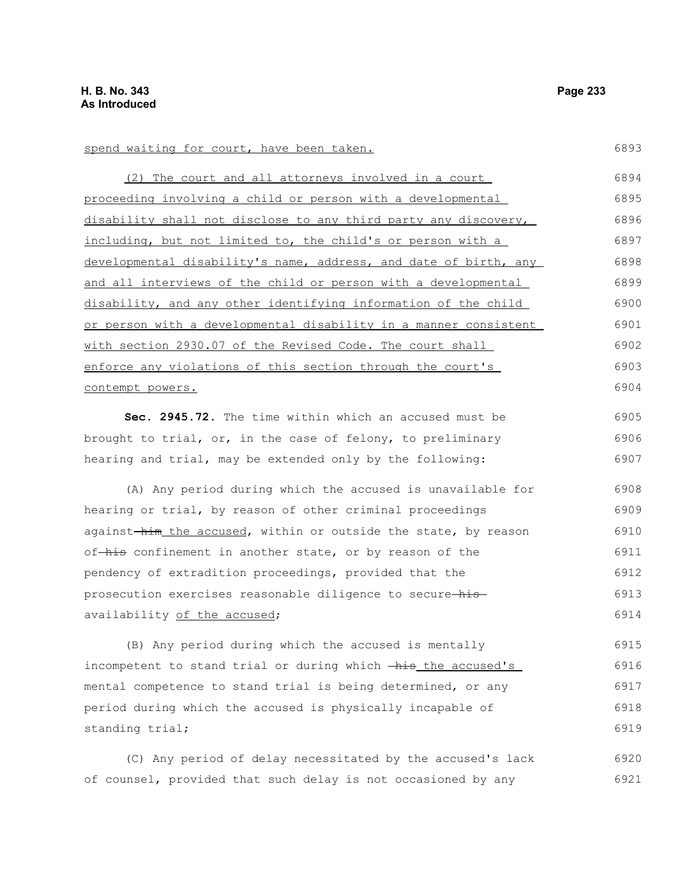| spend waiting for court, have been taken.                               | 6893 |
|-------------------------------------------------------------------------|------|
| (2) The court and all attorneys involved in a court                     | 6894 |
| proceeding involving a child or person with a developmental             | 6895 |
| disability shall not disclose to any third party any discovery,         | 6896 |
| including, but not limited to, the child's or person with a             | 6897 |
| developmental disability's name, address, and date of birth, any        | 6898 |
| and all interviews of the child or person with a developmental          | 6899 |
| disability, and any other identifying information of the child          | 6900 |
| or person with a developmental disability in a manner consistent        | 6901 |
| with section 2930.07 of the Revised Code. The court shall               | 6902 |
| enforce any violations of this section through the court's              | 6903 |
| contempt powers.                                                        | 6904 |
| Sec. 2945.72. The time within which an accused must be                  | 6905 |
| brought to trial, or, in the case of felony, to preliminary             | 6906 |
| hearing and trial, may be extended only by the following:               | 6907 |
|                                                                         |      |
| (A) Any period during which the accused is unavailable for              | 6908 |
| hearing or trial, by reason of other criminal proceedings               | 6909 |
| against-him the accused, within or outside the state, by reason         | 6910 |
| of-his confinement in another state, or by reason of the                | 6911 |
| pendency of extradition proceedings, provided that the                  | 6912 |
| prosecution exercises reasonable diligence to secure-his-               | 6913 |
| availability of the accused;                                            | 6914 |
| (B) Any period during which the accused is mentally                     | 6915 |
| incompetent to stand trial or during which $-\text{his\_the}$ accused's | 6916 |
| mental competence to stand trial is being determined, or any            | 6917 |
| period during which the accused is physically incapable of              | 6918 |
| standing trial;                                                         | 6919 |
|                                                                         |      |

(C) Any period of delay necessitated by the accused's lack of counsel, provided that such delay is not occasioned by any 6920 6921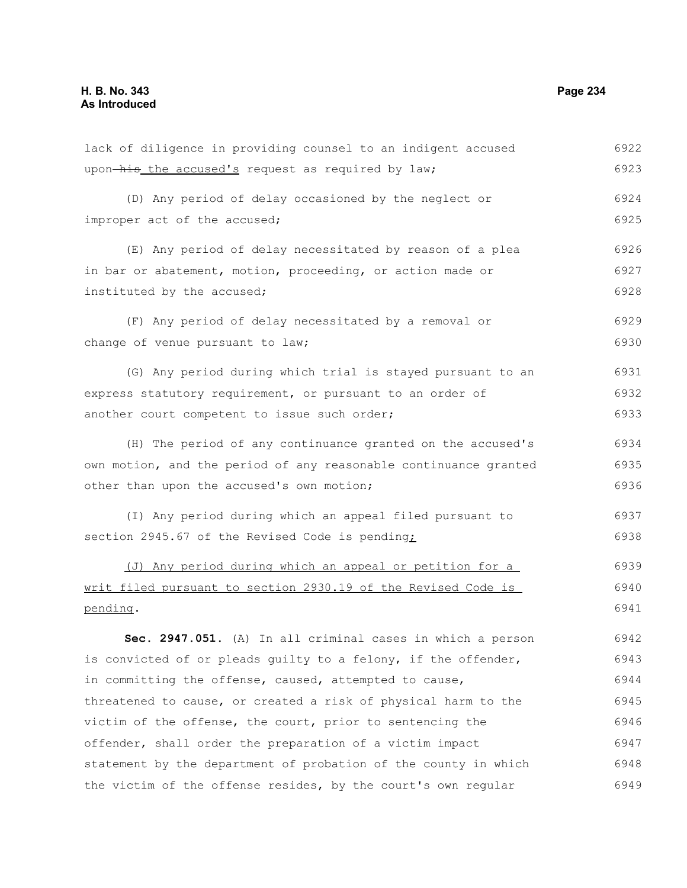lack of diligence in providing counsel to an indigent accused upon-his the accused's request as required by law; (D) Any period of delay occasioned by the neglect or improper act of the accused; (E) Any period of delay necessitated by reason of a plea in bar or abatement, motion, proceeding, or action made or instituted by the accused; (F) Any period of delay necessitated by a removal or change of venue pursuant to law; (G) Any period during which trial is stayed pursuant to an express statutory requirement, or pursuant to an order of another court competent to issue such order; (H) The period of any continuance granted on the accused's own motion, and the period of any reasonable continuance granted other than upon the accused's own motion; (I) Any period during which an appeal filed pursuant to section 2945.67 of the Revised Code is pending; (J) Any period during which an appeal or petition for a writ filed pursuant to section 2930.19 of the Revised Code is pending. **Sec. 2947.051.** (A) In all criminal cases in which a person is convicted of or pleads guilty to a felony, if the offender, in committing the offense, caused, attempted to cause, threatened to cause, or created a risk of physical harm to the victim of the offense, the court, prior to sentencing the offender, shall order the preparation of a victim impact statement by the department of probation of the county in which the victim of the offense resides, by the court's own regular 6922 6923 6924 6925 6926 6927 6928 6929 6930 6931 6932 6933 6934 6935 6936 6937 6938 6939 6940 6941 6942 6943 6944 6945 6946 6947 6948 6949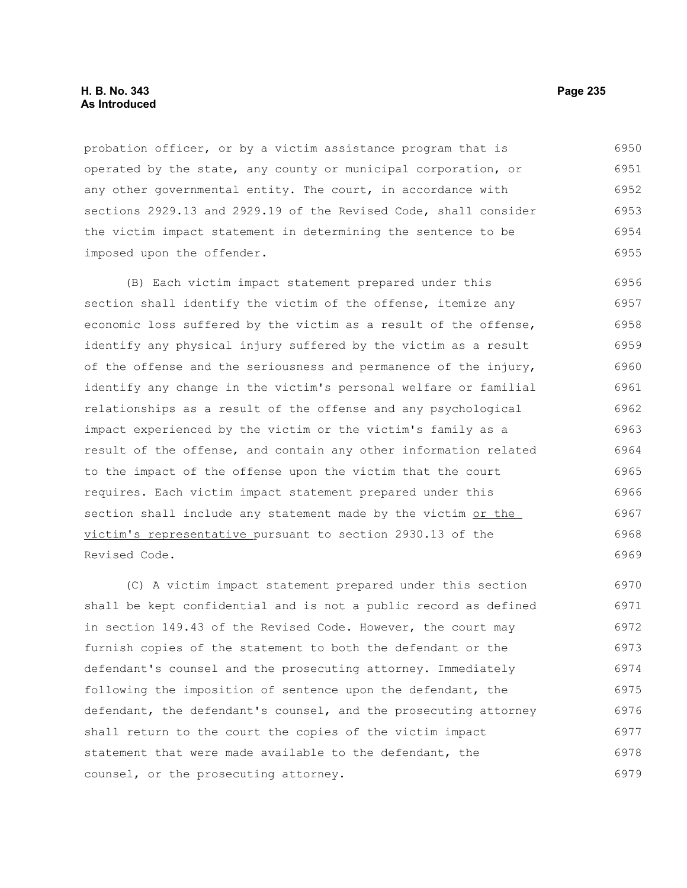probation officer, or by a victim assistance program that is operated by the state, any county or municipal corporation, or any other governmental entity. The court, in accordance with sections 2929.13 and 2929.19 of the Revised Code, shall consider the victim impact statement in determining the sentence to be imposed upon the offender. 6950 6951 6952 6953 6954 6955

(B) Each victim impact statement prepared under this section shall identify the victim of the offense, itemize any economic loss suffered by the victim as a result of the offense, identify any physical injury suffered by the victim as a result of the offense and the seriousness and permanence of the injury, identify any change in the victim's personal welfare or familial relationships as a result of the offense and any psychological impact experienced by the victim or the victim's family as a result of the offense, and contain any other information related to the impact of the offense upon the victim that the court requires. Each victim impact statement prepared under this section shall include any statement made by the victim or the victim's representative pursuant to section 2930.13 of the Revised Code. 6956 6957 6958 6959 6960 6961 6962 6963 6964 6965 6966 6967 6968 6969

(C) A victim impact statement prepared under this section shall be kept confidential and is not a public record as defined in section 149.43 of the Revised Code. However, the court may furnish copies of the statement to both the defendant or the defendant's counsel and the prosecuting attorney. Immediately following the imposition of sentence upon the defendant, the defendant, the defendant's counsel, and the prosecuting attorney shall return to the court the copies of the victim impact statement that were made available to the defendant, the counsel, or the prosecuting attorney. 6970 6971 6972 6973 6974 6975 6976 6977 6978 6979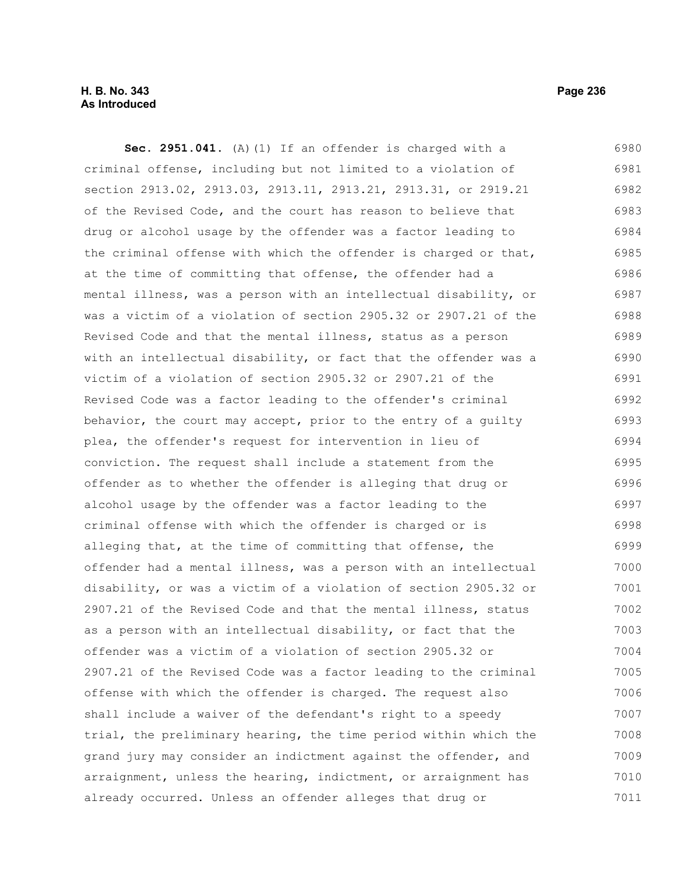**Sec. 2951.041.** (A)(1) If an offender is charged with a criminal offense, including but not limited to a violation of section 2913.02, 2913.03, 2913.11, 2913.21, 2913.31, or 2919.21 of the Revised Code, and the court has reason to believe that drug or alcohol usage by the offender was a factor leading to the criminal offense with which the offender is charged or that, at the time of committing that offense, the offender had a mental illness, was a person with an intellectual disability, or was a victim of a violation of section 2905.32 or 2907.21 of the Revised Code and that the mental illness, status as a person with an intellectual disability, or fact that the offender was a victim of a violation of section 2905.32 or 2907.21 of the Revised Code was a factor leading to the offender's criminal behavior, the court may accept, prior to the entry of a guilty plea, the offender's request for intervention in lieu of conviction. The request shall include a statement from the offender as to whether the offender is alleging that drug or alcohol usage by the offender was a factor leading to the criminal offense with which the offender is charged or is alleging that, at the time of committing that offense, the offender had a mental illness, was a person with an intellectual disability, or was a victim of a violation of section 2905.32 or 2907.21 of the Revised Code and that the mental illness, status as a person with an intellectual disability, or fact that the offender was a victim of a violation of section 2905.32 or 2907.21 of the Revised Code was a factor leading to the criminal offense with which the offender is charged. The request also shall include a waiver of the defendant's right to a speedy trial, the preliminary hearing, the time period within which the grand jury may consider an indictment against the offender, and arraignment, unless the hearing, indictment, or arraignment has already occurred. Unless an offender alleges that drug or 6980 6981 6982 6983 6984 6985 6986 6987 6988 6989 6990 6991 6992 6993 6994 6995 6996 6997 6998 6999 7000 7001 7002 7003 7004 7005 7006 7007 7008 7009 7010 7011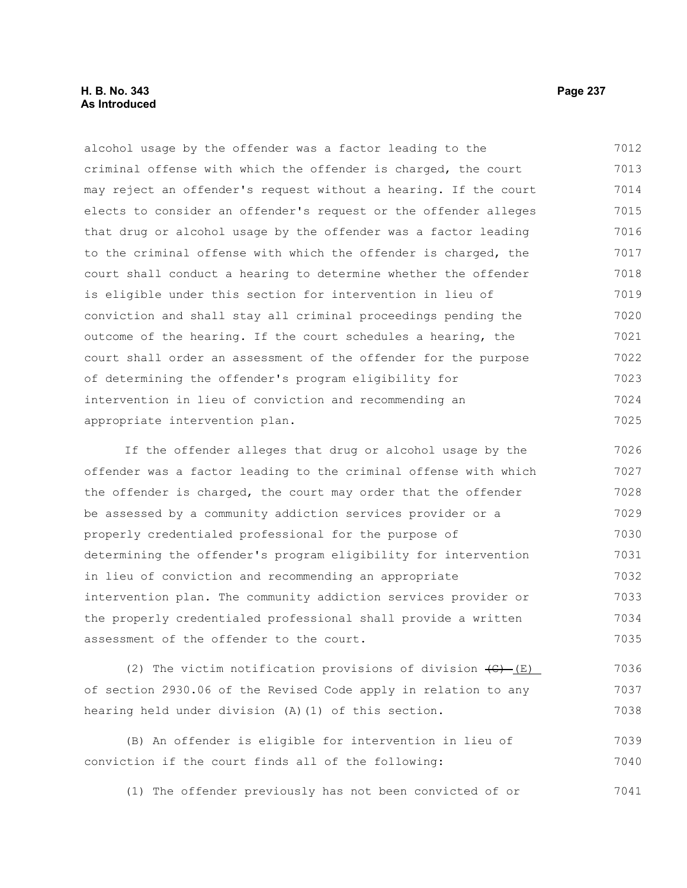# **H. B. No. 343 Page 237 As Introduced**

alcohol usage by the offender was a factor leading to the criminal offense with which the offender is charged, the court may reject an offender's request without a hearing. If the court elects to consider an offender's request or the offender alleges that drug or alcohol usage by the offender was a factor leading to the criminal offense with which the offender is charged, the court shall conduct a hearing to determine whether the offender is eligible under this section for intervention in lieu of conviction and shall stay all criminal proceedings pending the outcome of the hearing. If the court schedules a hearing, the court shall order an assessment of the offender for the purpose of determining the offender's program eligibility for intervention in lieu of conviction and recommending an appropriate intervention plan. 7012 7013 7014 7015 7016 7017 7018 7019 7020 7021 7022 7023 7024 7025

If the offender alleges that drug or alcohol usage by the offender was a factor leading to the criminal offense with which the offender is charged, the court may order that the offender be assessed by a community addiction services provider or a properly credentialed professional for the purpose of determining the offender's program eligibility for intervention in lieu of conviction and recommending an appropriate intervention plan. The community addiction services provider or the properly credentialed professional shall provide a written assessment of the offender to the court. 7026 7027 7028 7029 7030 7031 7032 7033 7034 7035

(2) The victim notification provisions of division  $\overline{(C) - (E)}$ of section 2930.06 of the Revised Code apply in relation to any hearing held under division (A)(1) of this section. 7036 7037 7038

(B) An offender is eligible for intervention in lieu of conviction if the court finds all of the following: 7039 7040

(1) The offender previously has not been convicted of or 7041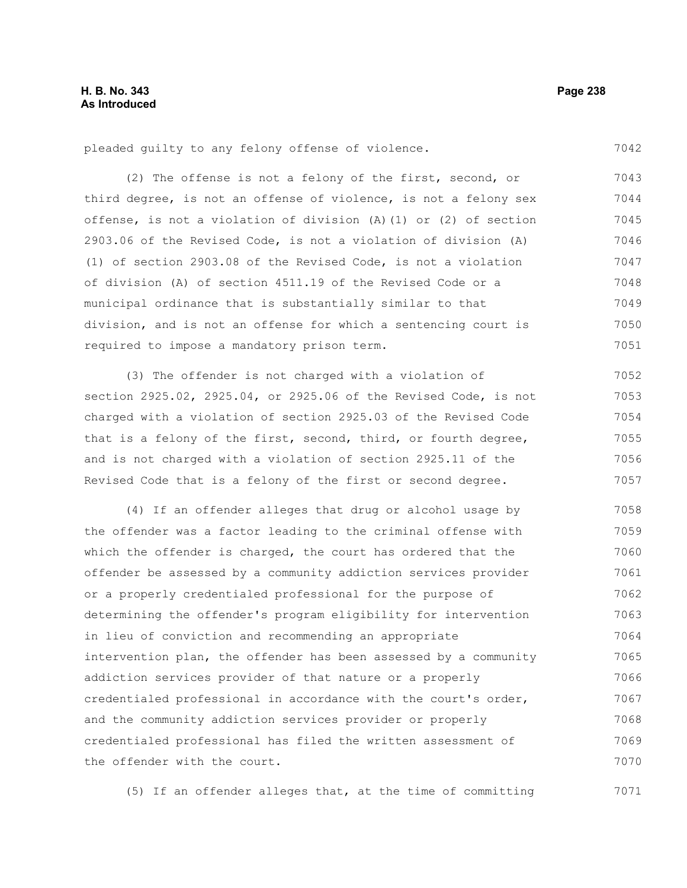pleaded guilty to any felony offense of violence.

(2) The offense is not a felony of the first, second, or third degree, is not an offense of violence, is not a felony sex offense, is not a violation of division (A)(1) or (2) of section 2903.06 of the Revised Code, is not a violation of division (A) (1) of section 2903.08 of the Revised Code, is not a violation of division (A) of section 4511.19 of the Revised Code or a municipal ordinance that is substantially similar to that division, and is not an offense for which a sentencing court is required to impose a mandatory prison term. 7043 7044 7045 7046 7047 7048 7049 7050 7051

(3) The offender is not charged with a violation of section 2925.02, 2925.04, or 2925.06 of the Revised Code, is not charged with a violation of section 2925.03 of the Revised Code that is a felony of the first, second, third, or fourth degree, and is not charged with a violation of section 2925.11 of the Revised Code that is a felony of the first or second degree. 7052 7053 7054 7055 7056 7057

(4) If an offender alleges that drug or alcohol usage by the offender was a factor leading to the criminal offense with which the offender is charged, the court has ordered that the offender be assessed by a community addiction services provider or a properly credentialed professional for the purpose of determining the offender's program eligibility for intervention in lieu of conviction and recommending an appropriate intervention plan, the offender has been assessed by a community addiction services provider of that nature or a properly credentialed professional in accordance with the court's order, and the community addiction services provider or properly credentialed professional has filed the written assessment of the offender with the court. 7058 7059 7060 7061 7062 7063 7064 7065 7066 7067 7068 7069 7070

(5) If an offender alleges that, at the time of committing 7071

7042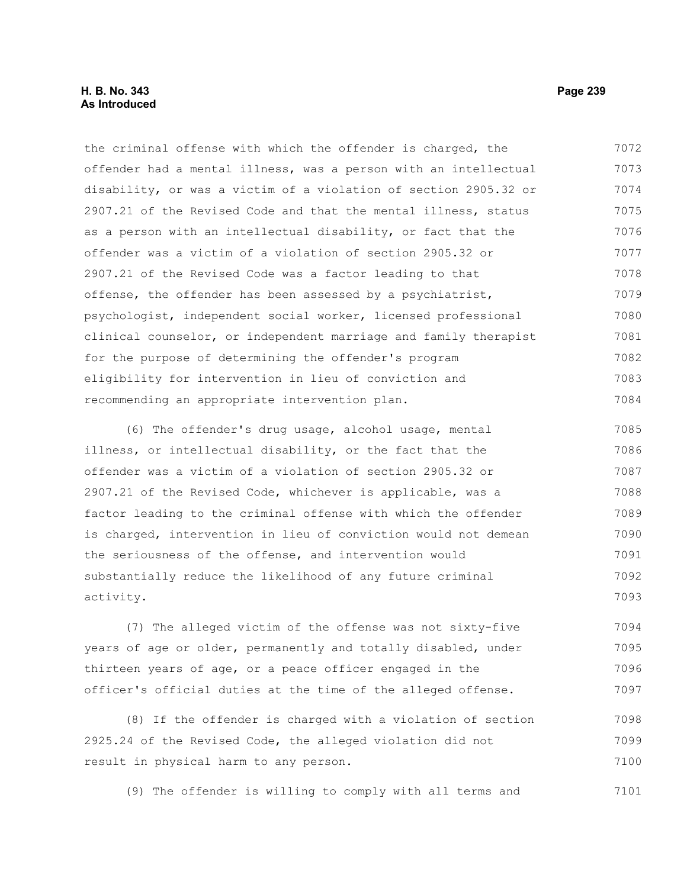# **H. B. No. 343 Page 239 As Introduced**

the criminal offense with which the offender is charged, the offender had a mental illness, was a person with an intellectual disability, or was a victim of a violation of section 2905.32 or 2907.21 of the Revised Code and that the mental illness, status as a person with an intellectual disability, or fact that the offender was a victim of a violation of section 2905.32 or 2907.21 of the Revised Code was a factor leading to that offense, the offender has been assessed by a psychiatrist, psychologist, independent social worker, licensed professional clinical counselor, or independent marriage and family therapist for the purpose of determining the offender's program eligibility for intervention in lieu of conviction and recommending an appropriate intervention plan. 7072 7073 7074 7075 7076 7077 7078 7079 7080 7081 7082 7083 7084

(6) The offender's drug usage, alcohol usage, mental illness, or intellectual disability, or the fact that the offender was a victim of a violation of section 2905.32 or 2907.21 of the Revised Code, whichever is applicable, was a factor leading to the criminal offense with which the offender is charged, intervention in lieu of conviction would not demean the seriousness of the offense, and intervention would substantially reduce the likelihood of any future criminal activity. 7085 7086 7087 7088 7089 7090 7091 7092 7093

(7) The alleged victim of the offense was not sixty-five years of age or older, permanently and totally disabled, under thirteen years of age, or a peace officer engaged in the officer's official duties at the time of the alleged offense. 7094 7095 7096 7097

(8) If the offender is charged with a violation of section 2925.24 of the Revised Code, the alleged violation did not result in physical harm to any person. 7098 7099 7100

(9) The offender is willing to comply with all terms and 7101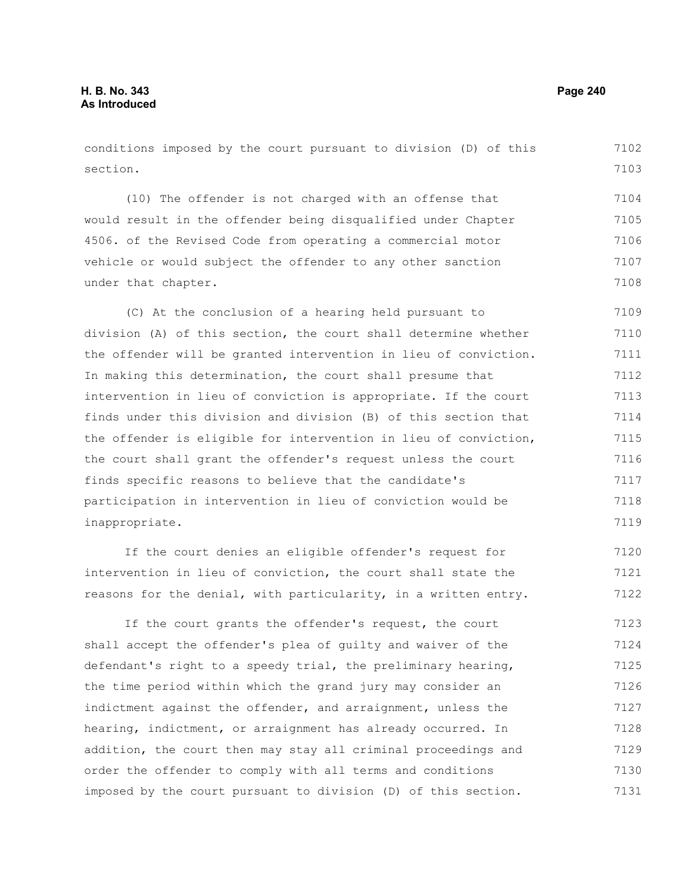7102

### section. (10) The offender is not charged with an offense that would result in the offender being disqualified under Chapter 4506. of the Revised Code from operating a commercial motor vehicle or would subject the offender to any other sanction under that chapter. (C) At the conclusion of a hearing held pursuant to division (A) of this section, the court shall determine whether the offender will be granted intervention in lieu of conviction. In making this determination, the court shall presume that intervention in lieu of conviction is appropriate. If the court finds under this division and division (B) of this section that the offender is eligible for intervention in lieu of conviction, the court shall grant the offender's request unless the court finds specific reasons to believe that the candidate's participation in intervention in lieu of conviction would be inappropriate. If the court denies an eligible offender's request for intervention in lieu of conviction, the court shall state the reasons for the denial, with particularity, in a written entry. If the court grants the offender's request, the court shall accept the offender's plea of guilty and waiver of the defendant's right to a speedy trial, the preliminary hearing, the time period within which the grand jury may consider an indictment against the offender, and arraignment, unless the hearing, indictment, or arraignment has already occurred. In addition, the court then may stay all criminal proceedings and order the offender to comply with all terms and conditions imposed by the court pursuant to division (D) of this section. 7103 7104 7105 7106 7107 7108 7109 7110 7111 7112 7113 7114 7115 7116 7117 7118 7119 7120 7121 7122 7123 7124 7125 7126 7127 7128 7129 7130 7131

conditions imposed by the court pursuant to division (D) of this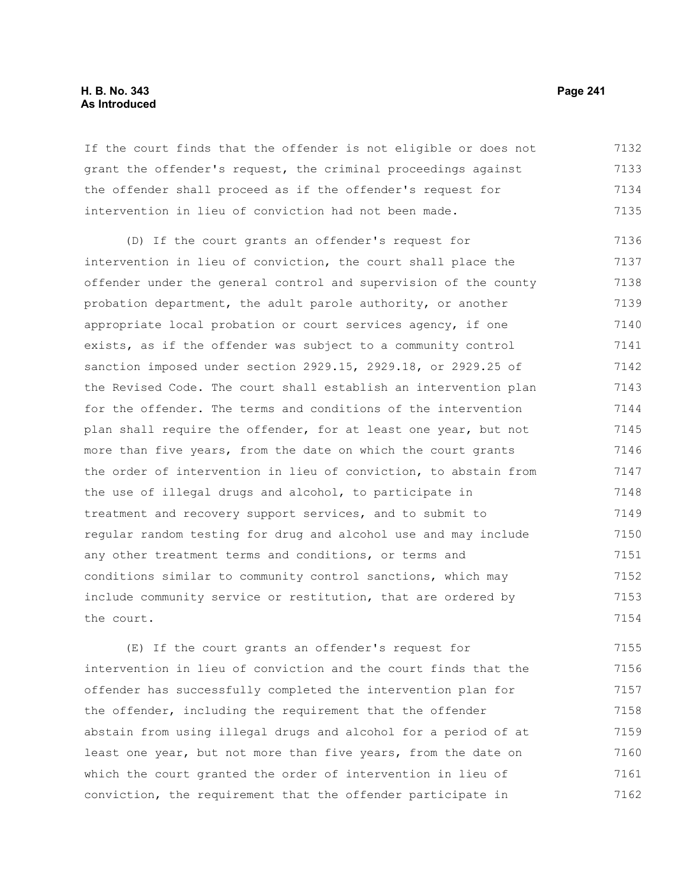# **H. B. No. 343 Page 241 As Introduced**

If the court finds that the offender is not eligible or does not grant the offender's request, the criminal proceedings against the offender shall proceed as if the offender's request for intervention in lieu of conviction had not been made. 7132 7133 7134 7135

(D) If the court grants an offender's request for intervention in lieu of conviction, the court shall place the offender under the general control and supervision of the county probation department, the adult parole authority, or another appropriate local probation or court services agency, if one exists, as if the offender was subject to a community control sanction imposed under section 2929.15, 2929.18, or 2929.25 of the Revised Code. The court shall establish an intervention plan for the offender. The terms and conditions of the intervention plan shall require the offender, for at least one year, but not more than five years, from the date on which the court grants the order of intervention in lieu of conviction, to abstain from the use of illegal drugs and alcohol, to participate in treatment and recovery support services, and to submit to regular random testing for drug and alcohol use and may include any other treatment terms and conditions, or terms and conditions similar to community control sanctions, which may include community service or restitution, that are ordered by the court. 7136 7137 7138 7139 7140 7141 7142 7143 7144 7145 7146 7147 7148 7149 7150 7151 7152 7153 7154

(E) If the court grants an offender's request for intervention in lieu of conviction and the court finds that the offender has successfully completed the intervention plan for the offender, including the requirement that the offender abstain from using illegal drugs and alcohol for a period of at least one year, but not more than five years, from the date on which the court granted the order of intervention in lieu of conviction, the requirement that the offender participate in 7155 7156 7157 7158 7159 7160 7161 7162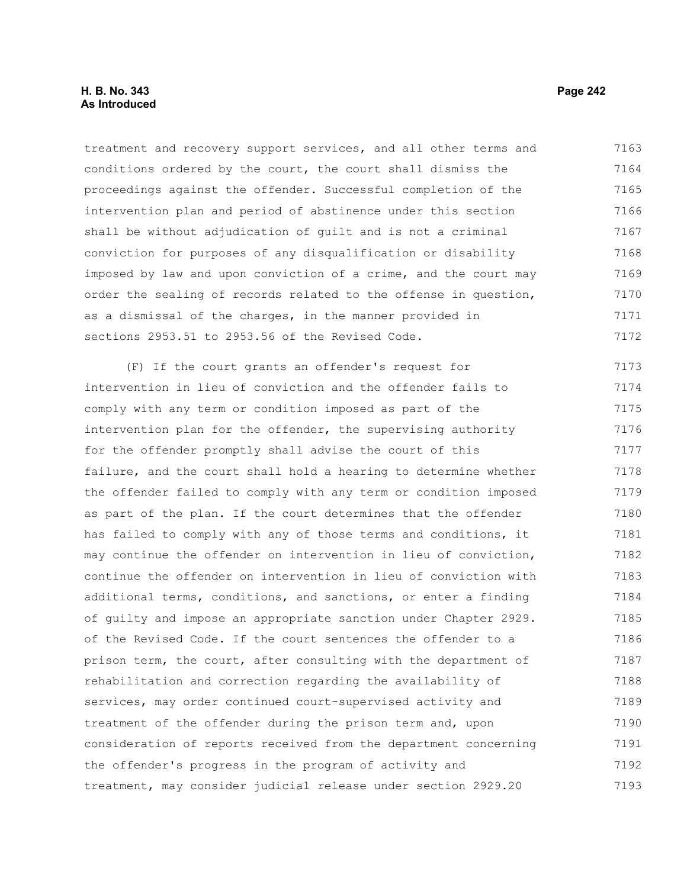# **H. B. No. 343 Page 242 As Introduced**

treatment and recovery support services, and all other terms and conditions ordered by the court, the court shall dismiss the proceedings against the offender. Successful completion of the intervention plan and period of abstinence under this section shall be without adjudication of guilt and is not a criminal conviction for purposes of any disqualification or disability imposed by law and upon conviction of a crime, and the court may order the sealing of records related to the offense in question, as a dismissal of the charges, in the manner provided in sections 2953.51 to 2953.56 of the Revised Code. 7163 7164 7165 7166 7167 7168 7169 7170 7171 7172

(F) If the court grants an offender's request for intervention in lieu of conviction and the offender fails to comply with any term or condition imposed as part of the intervention plan for the offender, the supervising authority for the offender promptly shall advise the court of this failure, and the court shall hold a hearing to determine whether the offender failed to comply with any term or condition imposed as part of the plan. If the court determines that the offender has failed to comply with any of those terms and conditions, it may continue the offender on intervention in lieu of conviction, continue the offender on intervention in lieu of conviction with additional terms, conditions, and sanctions, or enter a finding of guilty and impose an appropriate sanction under Chapter 2929. of the Revised Code. If the court sentences the offender to a prison term, the court, after consulting with the department of rehabilitation and correction regarding the availability of services, may order continued court-supervised activity and treatment of the offender during the prison term and, upon consideration of reports received from the department concerning the offender's progress in the program of activity and treatment, may consider judicial release under section 2929.20 7173 7174 7175 7176 7177 7178 7179 7180 7181 7182 7183 7184 7185 7186 7187 7188 7189 7190 7191 7192 7193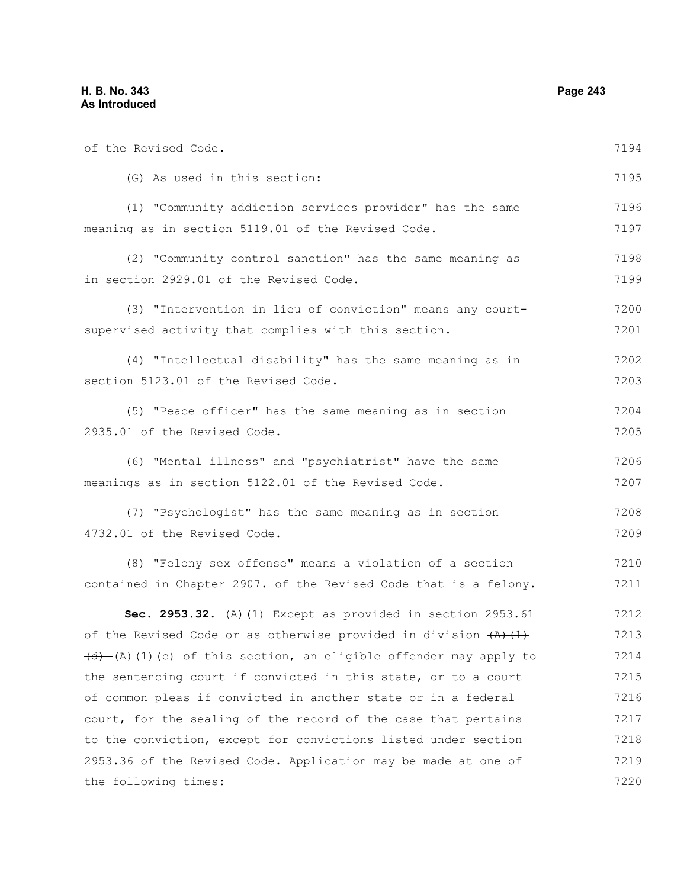of the Revised Code. (G) As used in this section: (1) "Community addiction services provider" has the same meaning as in section 5119.01 of the Revised Code. (2) "Community control sanction" has the same meaning as in section 2929.01 of the Revised Code. (3) "Intervention in lieu of conviction" means any courtsupervised activity that complies with this section. (4) "Intellectual disability" has the same meaning as in section 5123.01 of the Revised Code. (5) "Peace officer" has the same meaning as in section 2935.01 of the Revised Code. (6) "Mental illness" and "psychiatrist" have the same meanings as in section 5122.01 of the Revised Code. (7) "Psychologist" has the same meaning as in section 4732.01 of the Revised Code. (8) "Felony sex offense" means a violation of a section contained in Chapter 2907. of the Revised Code that is a felony. **Sec. 2953.32.** (A)(1) Except as provided in section 2953.61 7194 7195 7196 7197 7198 7199 7200 7201 7202 7203 7204 7205 7206 7207 7208 7209 7210 7211 7212

of the Revised Code or as otherwise provided in division  $(A)$   $(1)$  $(d)$  (A)(1)(c) of this section, an eligible offender may apply to the sentencing court if convicted in this state, or to a court of common pleas if convicted in another state or in a federal court, for the sealing of the record of the case that pertains to the conviction, except for convictions listed under section 2953.36 of the Revised Code. Application may be made at one of the following times: 7213 7214 7215 7216 7217 7218 7219 7220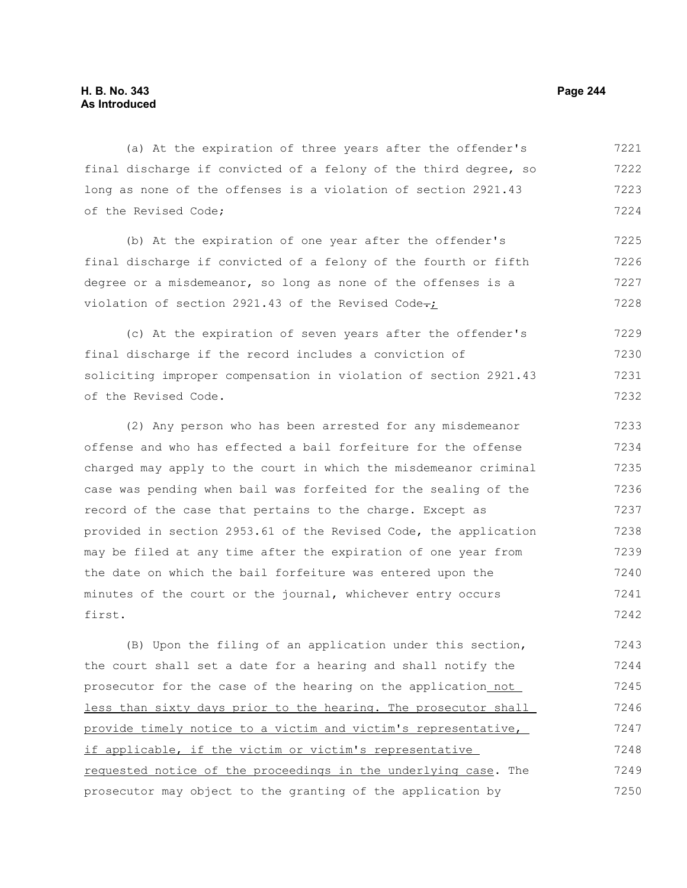(a) At the expiration of three years after the offender's final discharge if convicted of a felony of the third degree, so long as none of the offenses is a violation of section 2921.43 of the Revised Code; 7221 7222 7223 7224

(b) At the expiration of one year after the offender's final discharge if convicted of a felony of the fourth or fifth degree or a misdemeanor, so long as none of the offenses is a violation of section 2921.43 of the Revised Code-; 7225 7226 7227 7228

(c) At the expiration of seven years after the offender's final discharge if the record includes a conviction of soliciting improper compensation in violation of section 2921.43 of the Revised Code. 7229 7230 7231 7232

(2) Any person who has been arrested for any misdemeanor offense and who has effected a bail forfeiture for the offense charged may apply to the court in which the misdemeanor criminal case was pending when bail was forfeited for the sealing of the record of the case that pertains to the charge. Except as provided in section 2953.61 of the Revised Code, the application may be filed at any time after the expiration of one year from the date on which the bail forfeiture was entered upon the minutes of the court or the journal, whichever entry occurs first. 7233 7234 7235 7236 7237 7238 7239 7240 7241 7242

(B) Upon the filing of an application under this section, the court shall set a date for a hearing and shall notify the prosecutor for the case of the hearing on the application not less than sixty days prior to the hearing. The prosecutor shall provide timely notice to a victim and victim's representative, if applicable, if the victim or victim's representative requested notice of the proceedings in the underlying case. The prosecutor may object to the granting of the application by 7243 7244 7245 7246 7247 7248 7249 7250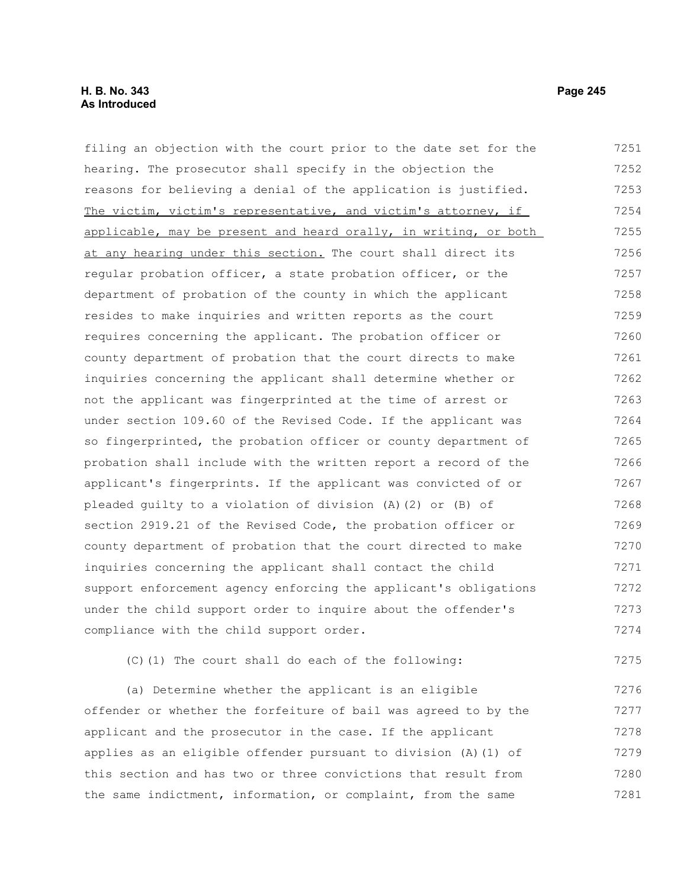# **H. B. No. 343 Page 245 As Introduced**

filing an objection with the court prior to the date set for the hearing. The prosecutor shall specify in the objection the reasons for believing a denial of the application is justified. The victim, victim's representative, and victim's attorney, if applicable, may be present and heard orally, in writing, or both at any hearing under this section. The court shall direct its regular probation officer, a state probation officer, or the department of probation of the county in which the applicant resides to make inquiries and written reports as the court requires concerning the applicant. The probation officer or county department of probation that the court directs to make inquiries concerning the applicant shall determine whether or not the applicant was fingerprinted at the time of arrest or under section 109.60 of the Revised Code. If the applicant was so fingerprinted, the probation officer or county department of probation shall include with the written report a record of the applicant's fingerprints. If the applicant was convicted of or pleaded guilty to a violation of division (A)(2) or (B) of section 2919.21 of the Revised Code, the probation officer or county department of probation that the court directed to make inquiries concerning the applicant shall contact the child support enforcement agency enforcing the applicant's obligations under the child support order to inquire about the offender's compliance with the child support order. 7251 7252 7253 7254 7255 7256 7257 7258 7259 7260 7261 7262 7263 7264 7265 7266 7267 7268 7269 7270 7271 7272 7273 7274 7275

(C)(1) The court shall do each of the following:

(a) Determine whether the applicant is an eligible offender or whether the forfeiture of bail was agreed to by the applicant and the prosecutor in the case. If the applicant applies as an eligible offender pursuant to division (A)(1) of this section and has two or three convictions that result from the same indictment, information, or complaint, from the same 7276 7277 7278 7279 7280 7281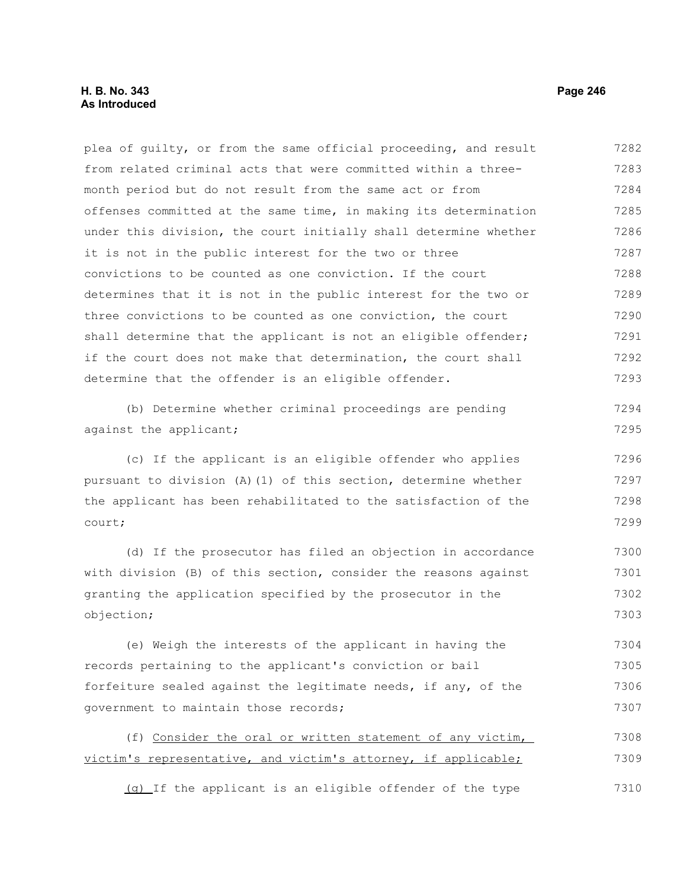# **H. B. No. 343 Page 246 As Introduced**

plea of guilty, or from the same official proceeding, and result from related criminal acts that were committed within a threemonth period but do not result from the same act or from offenses committed at the same time, in making its determination under this division, the court initially shall determine whether it is not in the public interest for the two or three convictions to be counted as one conviction. If the court determines that it is not in the public interest for the two or three convictions to be counted as one conviction, the court shall determine that the applicant is not an eligible offender; if the court does not make that determination, the court shall determine that the offender is an eligible offender. (b) Determine whether criminal proceedings are pending against the applicant; (c) If the applicant is an eligible offender who applies pursuant to division (A)(1) of this section, determine whether the applicant has been rehabilitated to the satisfaction of the court; (d) If the prosecutor has filed an objection in accordance 7282 7283 7284 7285 7286 7287 7288 7289 7290 7291 7292 7293 7294 7295 7296 7297 7298 7299 7300

with division (B) of this section, consider the reasons against granting the application specified by the prosecutor in the objection; 7301 7302 7303

(e) Weigh the interests of the applicant in having the records pertaining to the applicant's conviction or bail forfeiture sealed against the legitimate needs, if any, of the government to maintain those records; 7304 7305 7306 7307

| (f) Consider the oral or written statement of any victim,      |  |  | 7308 |
|----------------------------------------------------------------|--|--|------|
| victim's representative, and victim's attorney, if applicable; |  |  | 7309 |

(g) If the applicant is an eligible offender of the type 7310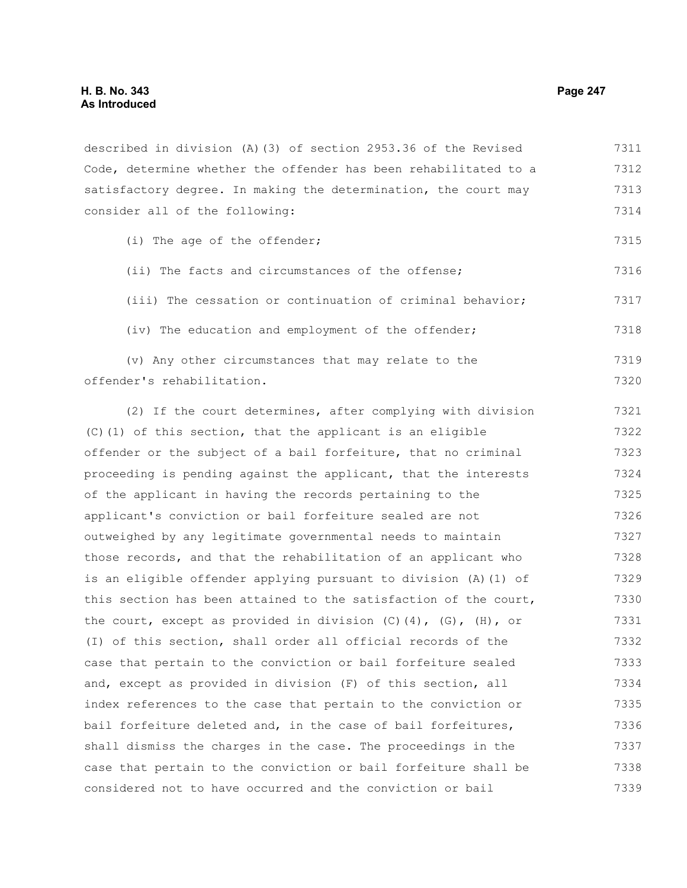described in division (A)(3) of section 2953.36 of the Revised Code, determine whether the offender has been rehabilitated to a satisfactory degree. In making the determination, the court may consider all of the following: (i) The age of the offender; (ii) The facts and circumstances of the offense; (iii) The cessation or continuation of criminal behavior; (iv) The education and employment of the offender; (v) Any other circumstances that may relate to the offender's rehabilitation. (2) If the court determines, after complying with division (C)(1) of this section, that the applicant is an eligible offender or the subject of a bail forfeiture, that no criminal proceeding is pending against the applicant, that the interests of the applicant in having the records pertaining to the 7311 7312 7313 7314 7315 7316 7317 7318 7319 7320 7321 7322 7323 7324 7325

applicant's conviction or bail forfeiture sealed are not outweighed by any legitimate governmental needs to maintain those records, and that the rehabilitation of an applicant who is an eligible offender applying pursuant to division (A)(1) of this section has been attained to the satisfaction of the court, the court, except as provided in division  $(C)$  (4),  $(G)$ ,  $(H)$ , or (I) of this section, shall order all official records of the case that pertain to the conviction or bail forfeiture sealed and, except as provided in division (F) of this section, all index references to the case that pertain to the conviction or bail forfeiture deleted and, in the case of bail forfeitures, shall dismiss the charges in the case. The proceedings in the case that pertain to the conviction or bail forfeiture shall be considered not to have occurred and the conviction or bail 7326 7327 7328 7329 7330 7331 7332 7333 7334 7335 7336 7337 7338 7339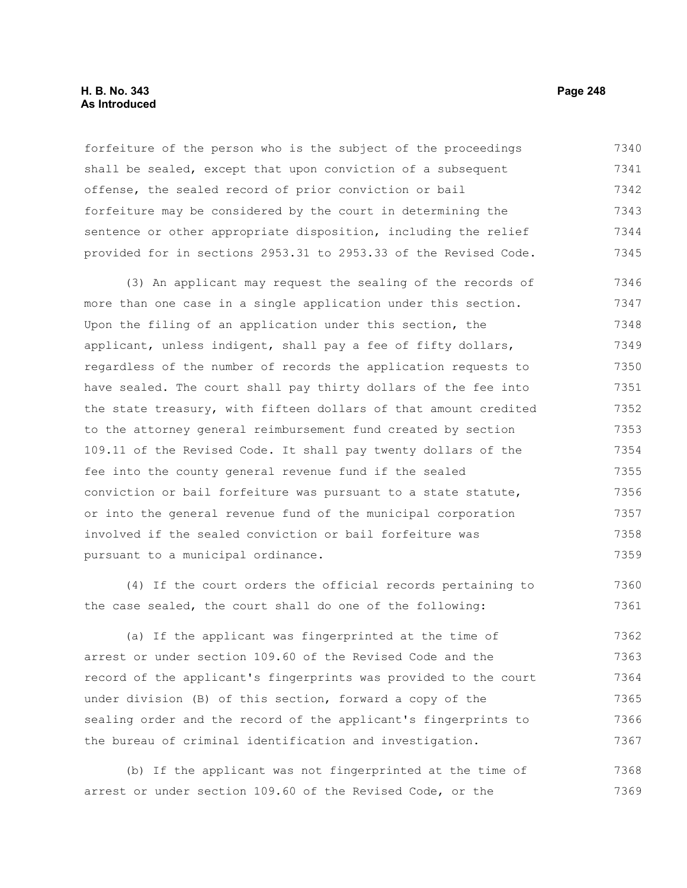# **H. B. No. 343 Page 248 As Introduced**

forfeiture of the person who is the subject of the proceedings shall be sealed, except that upon conviction of a subsequent offense, the sealed record of prior conviction or bail forfeiture may be considered by the court in determining the sentence or other appropriate disposition, including the relief provided for in sections 2953.31 to 2953.33 of the Revised Code. 7340 7341 7342 7343 7344 7345

(3) An applicant may request the sealing of the records of more than one case in a single application under this section. Upon the filing of an application under this section, the applicant, unless indigent, shall pay a fee of fifty dollars, regardless of the number of records the application requests to have sealed. The court shall pay thirty dollars of the fee into the state treasury, with fifteen dollars of that amount credited to the attorney general reimbursement fund created by section 109.11 of the Revised Code. It shall pay twenty dollars of the fee into the county general revenue fund if the sealed conviction or bail forfeiture was pursuant to a state statute, or into the general revenue fund of the municipal corporation involved if the sealed conviction or bail forfeiture was pursuant to a municipal ordinance. 7346 7347 7348 7349 7350 7351 7352 7353 7354 7355 7356 7357 7358 7359

(4) If the court orders the official records pertaining to the case sealed, the court shall do one of the following: 7360 7361

(a) If the applicant was fingerprinted at the time of arrest or under section 109.60 of the Revised Code and the record of the applicant's fingerprints was provided to the court under division (B) of this section, forward a copy of the sealing order and the record of the applicant's fingerprints to the bureau of criminal identification and investigation. 7362 7363 7364 7365 7366 7367

(b) If the applicant was not fingerprinted at the time of arrest or under section 109.60 of the Revised Code, or the 7368 7369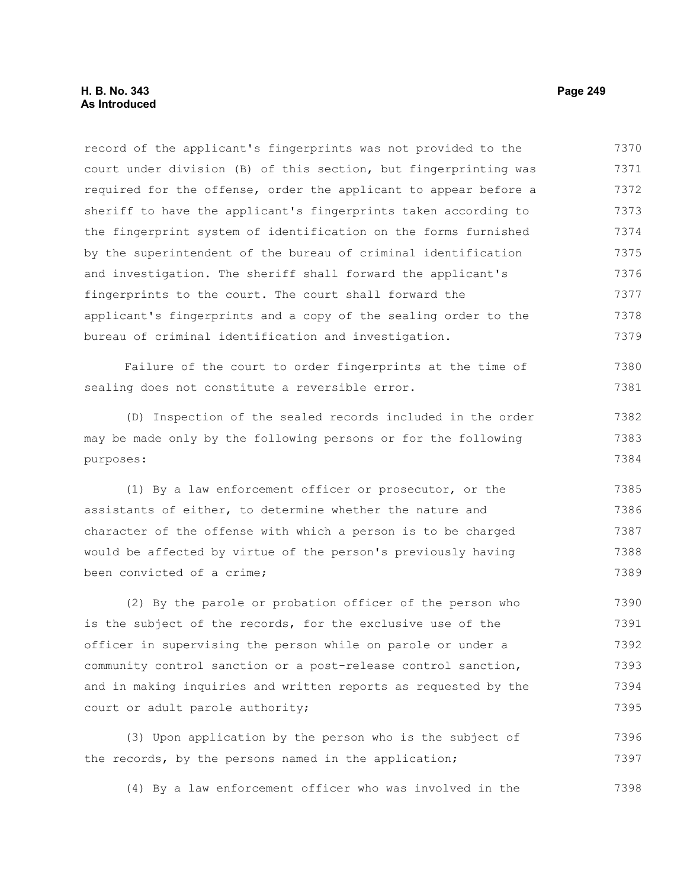record of the applicant's fingerprints was not provided to the court under division (B) of this section, but fingerprinting was required for the offense, order the applicant to appear before a sheriff to have the applicant's fingerprints taken according to the fingerprint system of identification on the forms furnished by the superintendent of the bureau of criminal identification and investigation. The sheriff shall forward the applicant's fingerprints to the court. The court shall forward the applicant's fingerprints and a copy of the sealing order to the bureau of criminal identification and investigation. 7370 7371 7372 7373 7374 7375 7376 7377 7378 7379

Failure of the court to order fingerprints at the time of sealing does not constitute a reversible error. 7380 7381

(D) Inspection of the sealed records included in the order may be made only by the following persons or for the following purposes:

(1) By a law enforcement officer or prosecutor, or the assistants of either, to determine whether the nature and character of the offense with which a person is to be charged would be affected by virtue of the person's previously having been convicted of a crime; 7385 7386 7387 7388 7389

(2) By the parole or probation officer of the person who is the subject of the records, for the exclusive use of the officer in supervising the person while on parole or under a community control sanction or a post-release control sanction, and in making inquiries and written reports as requested by the court or adult parole authority; 7390 7391 7392 7393 7394 7395

(3) Upon application by the person who is the subject of the records, by the persons named in the application; 7396 7397

(4) By a law enforcement officer who was involved in the 7398

7382 7383 7384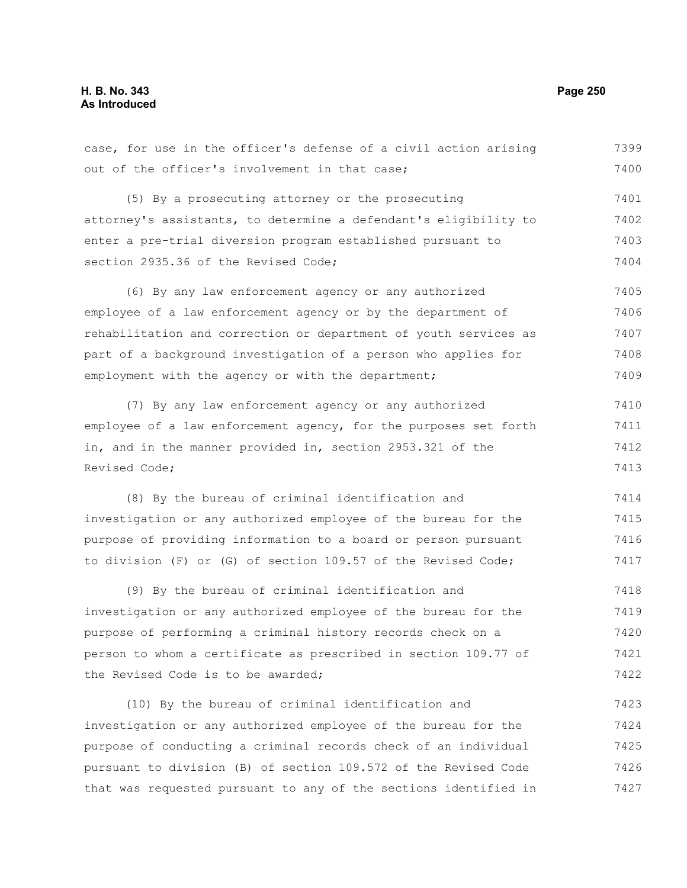case, for use in the officer's defense of a civil action arising out of the officer's involvement in that case; (5) By a prosecuting attorney or the prosecuting attorney's assistants, to determine a defendant's eligibility to enter a pre-trial diversion program established pursuant to section 2935.36 of the Revised Code: (6) By any law enforcement agency or any authorized employee of a law enforcement agency or by the department of rehabilitation and correction or department of youth services as part of a background investigation of a person who applies for employment with the agency or with the department; (7) By any law enforcement agency or any authorized employee of a law enforcement agency, for the purposes set forth in, and in the manner provided in, section 2953.321 of the Revised Code; (8) By the bureau of criminal identification and investigation or any authorized employee of the bureau for the purpose of providing information to a board or person pursuant to division (F) or (G) of section 109.57 of the Revised Code; (9) By the bureau of criminal identification and investigation or any authorized employee of the bureau for the purpose of performing a criminal history records check on a person to whom a certificate as prescribed in section 109.77 of the Revised Code is to be awarded; 7399 7400 7401 7402 7403 7404 7405 7406 7407 7408 7409 7410 7411 7412 7413 7414 7415 7416 7417 7418 7419 7420 7421 7422

(10) By the bureau of criminal identification and investigation or any authorized employee of the bureau for the purpose of conducting a criminal records check of an individual pursuant to division (B) of section 109.572 of the Revised Code that was requested pursuant to any of the sections identified in 7423 7424 7425 7426 7427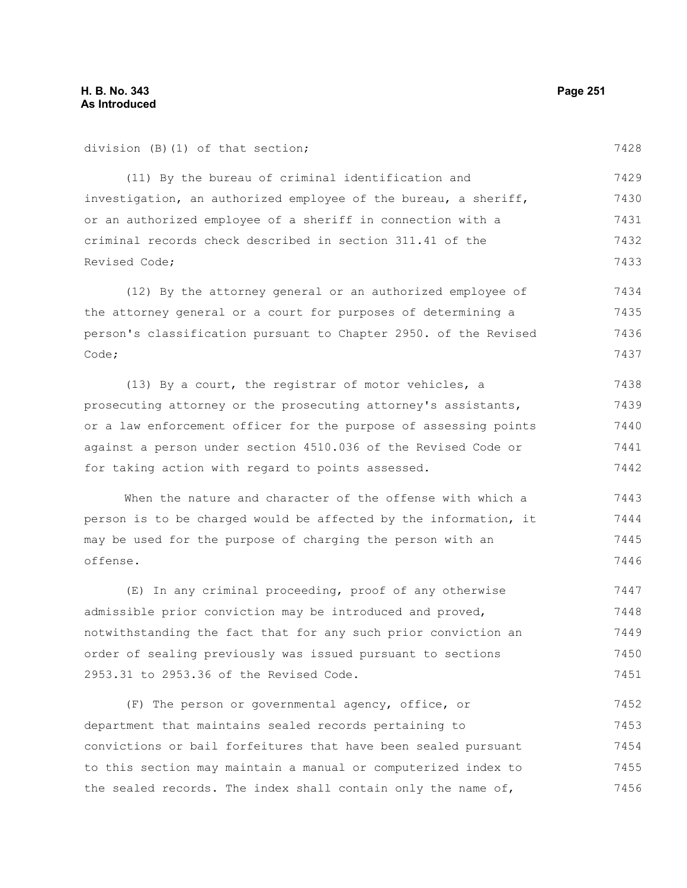division (B)(1) of that section;

(11) By the bureau of criminal identification and investigation, an authorized employee of the bureau, a sheriff, or an authorized employee of a sheriff in connection with a criminal records check described in section 311.41 of the Revised Code; 7429 7430 7431 7432 7433

(12) By the attorney general or an authorized employee of the attorney general or a court for purposes of determining a person's classification pursuant to Chapter 2950. of the Revised Code; 7434 7435 7436 7437

(13) By a court, the registrar of motor vehicles, a prosecuting attorney or the prosecuting attorney's assistants, or a law enforcement officer for the purpose of assessing points against a person under section 4510.036 of the Revised Code or for taking action with regard to points assessed. 7438 7439 7440 7441 7442

When the nature and character of the offense with which a person is to be charged would be affected by the information, it may be used for the purpose of charging the person with an offense. 7443 7444 7445 7446

(E) In any criminal proceeding, proof of any otherwise admissible prior conviction may be introduced and proved, notwithstanding the fact that for any such prior conviction an order of sealing previously was issued pursuant to sections 2953.31 to 2953.36 of the Revised Code. 7447 7448 7449 7450 7451

(F) The person or governmental agency, office, or department that maintains sealed records pertaining to convictions or bail forfeitures that have been sealed pursuant to this section may maintain a manual or computerized index to the sealed records. The index shall contain only the name of, 7452 7453 7454 7455 7456

7428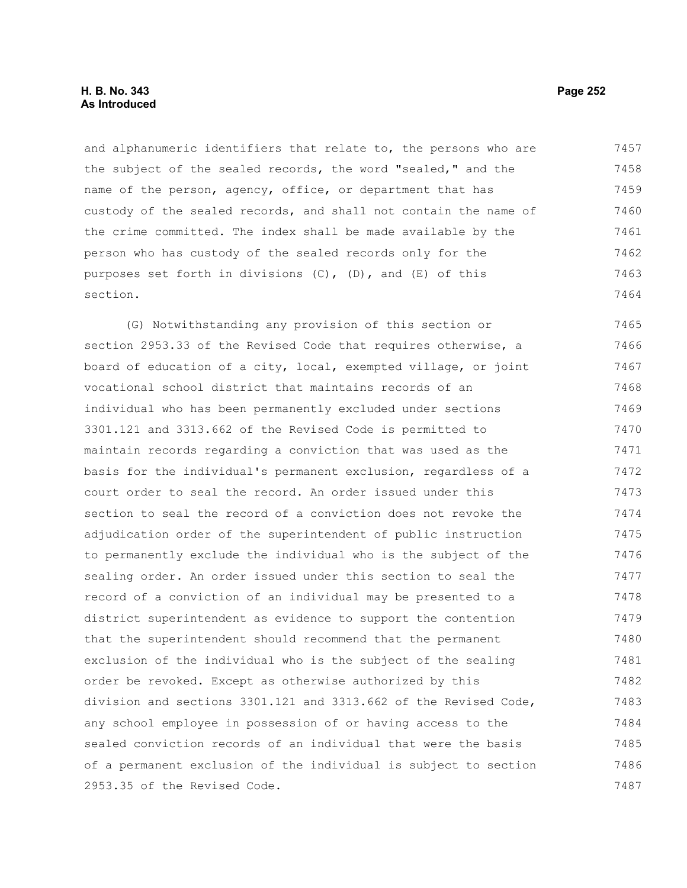# **H. B. No. 343 Page 252 As Introduced**

and alphanumeric identifiers that relate to, the persons who are the subject of the sealed records, the word "sealed," and the name of the person, agency, office, or department that has custody of the sealed records, and shall not contain the name of the crime committed. The index shall be made available by the person who has custody of the sealed records only for the purposes set forth in divisions  $(C)$ ,  $(D)$ , and  $(E)$  of this section. 7457 7458 7459 7460 7461 7462 7463 7464

(G) Notwithstanding any provision of this section or section 2953.33 of the Revised Code that requires otherwise, a board of education of a city, local, exempted village, or joint vocational school district that maintains records of an individual who has been permanently excluded under sections 3301.121 and 3313.662 of the Revised Code is permitted to maintain records regarding a conviction that was used as the basis for the individual's permanent exclusion, regardless of a court order to seal the record. An order issued under this section to seal the record of a conviction does not revoke the adjudication order of the superintendent of public instruction to permanently exclude the individual who is the subject of the sealing order. An order issued under this section to seal the record of a conviction of an individual may be presented to a district superintendent as evidence to support the contention that the superintendent should recommend that the permanent exclusion of the individual who is the subject of the sealing order be revoked. Except as otherwise authorized by this division and sections 3301.121 and 3313.662 of the Revised Code, any school employee in possession of or having access to the sealed conviction records of an individual that were the basis of a permanent exclusion of the individual is subject to section 2953.35 of the Revised Code. 7465 7466 7467 7468 7469 7470 7471 7472 7473 7474 7475 7476 7477 7478 7479 7480 7481 7482 7483 7484 7485 7486 7487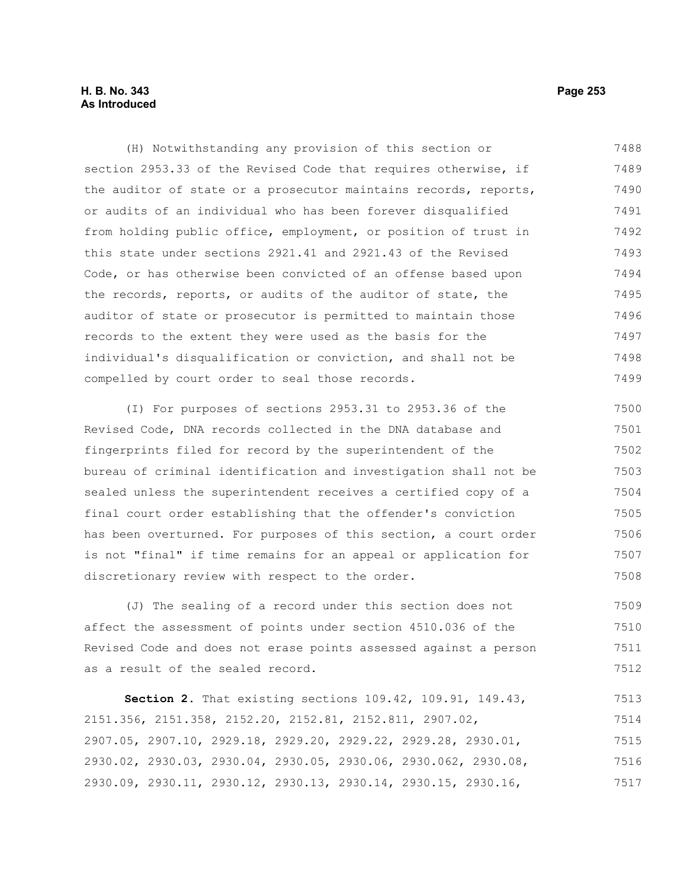## **H. B. No. 343 Page 253 As Introduced**

(H) Notwithstanding any provision of this section or section 2953.33 of the Revised Code that requires otherwise, if the auditor of state or a prosecutor maintains records, reports, or audits of an individual who has been forever disqualified from holding public office, employment, or position of trust in this state under sections 2921.41 and 2921.43 of the Revised Code, or has otherwise been convicted of an offense based upon the records, reports, or audits of the auditor of state, the auditor of state or prosecutor is permitted to maintain those records to the extent they were used as the basis for the individual's disqualification or conviction, and shall not be compelled by court order to seal those records. 7488 7489 7490 7491 7492 7493 7494 7495 7496 7497 7498 7499

(I) For purposes of sections 2953.31 to 2953.36 of the Revised Code, DNA records collected in the DNA database and fingerprints filed for record by the superintendent of the bureau of criminal identification and investigation shall not be sealed unless the superintendent receives a certified copy of a final court order establishing that the offender's conviction has been overturned. For purposes of this section, a court order is not "final" if time remains for an appeal or application for discretionary review with respect to the order. 7500 7501 7502 7503 7504 7505 7506 7507 7508

(J) The sealing of a record under this section does not affect the assessment of points under section 4510.036 of the Revised Code and does not erase points assessed against a person as a result of the sealed record. 7509 7510 7511 7512

**Section 2.** That existing sections 109.42, 109.91, 149.43, 2151.356, 2151.358, 2152.20, 2152.81, 2152.811, 2907.02, 2907.05, 2907.10, 2929.18, 2929.20, 2929.22, 2929.28, 2930.01, 2930.02, 2930.03, 2930.04, 2930.05, 2930.06, 2930.062, 2930.08, 2930.09, 2930.11, 2930.12, 2930.13, 2930.14, 2930.15, 2930.16, 7513 7514 7515 7516 7517